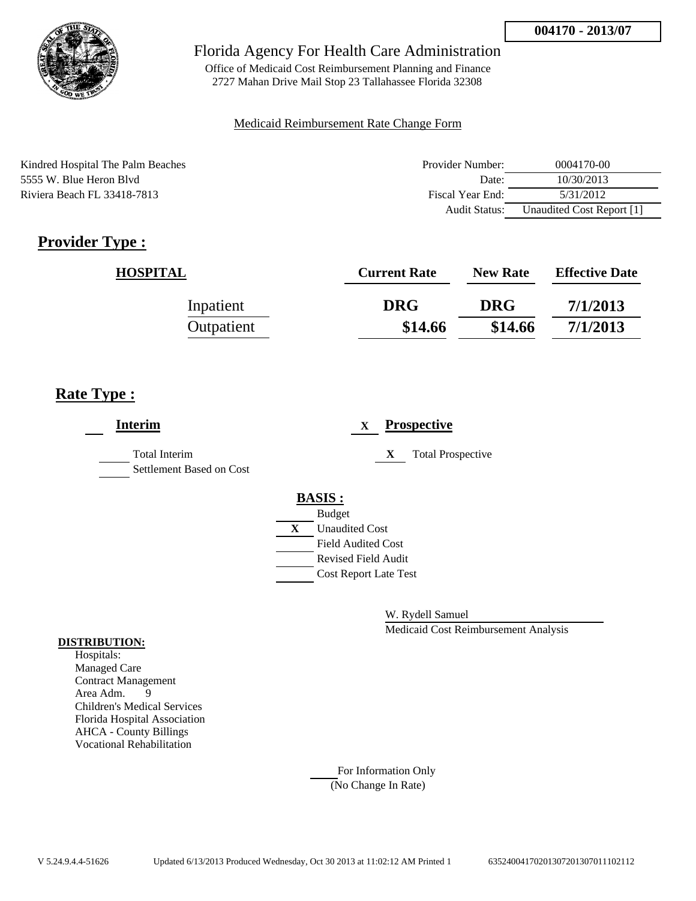

Office of Medicaid Cost Reimbursement Planning and Finance 2727 Mahan Drive Mail Stop 23 Tallahassee Florida 32308

### Medicaid Reimbursement Rate Change Form

Kindred Hospital The Palm Beaches 5555 W. Blue Heron Blvd Riviera Beach FL 33418-7813

| Provider Number:     | 0004170-00                |
|----------------------|---------------------------|
| Date:                | 10/30/2013                |
| Fiscal Year End:     | 5/31/2012                 |
| <b>Audit Status:</b> | Unaudited Cost Report [1] |

# **Provider Type :**

| <b>HOSPITAL</b> | <b>Current Rate</b> | <b>New Rate</b> | <b>Effective Date</b> |
|-----------------|---------------------|-----------------|-----------------------|
| Inpatient       | <b>DRG</b>          | <b>DRG</b>      | 7/1/2013              |
| Outpatient      | \$14.66             | \$14.66         | 7/1/2013              |

## **Rate Type :**

| <b>Interim</b>                                   |                              | X |   | <b>Prospective</b>       |
|--------------------------------------------------|------------------------------|---|---|--------------------------|
| <b>Total Interim</b><br>Settlement Based on Cost |                              |   | X | <b>Total Prospective</b> |
|                                                  | <b>BASIS:</b>                |   |   |                          |
|                                                  | <b>Budget</b>                |   |   |                          |
|                                                  | X<br><b>Unaudited Cost</b>   |   |   |                          |
|                                                  | <b>Field Audited Cost</b>    |   |   |                          |
|                                                  | <b>Revised Field Audit</b>   |   |   |                          |
|                                                  | <b>Cost Report Late Test</b> |   |   |                          |
|                                                  |                              |   |   |                          |

W. Rydell Samuel

Medicaid Cost Reimbursement Analysis

#### **DISTRIBUTION:**

Hospitals: Managed Care Contract Management Area Adm. 9 Children's Medical Services Florida Hospital Association AHCA - County Billings Vocational Rehabilitation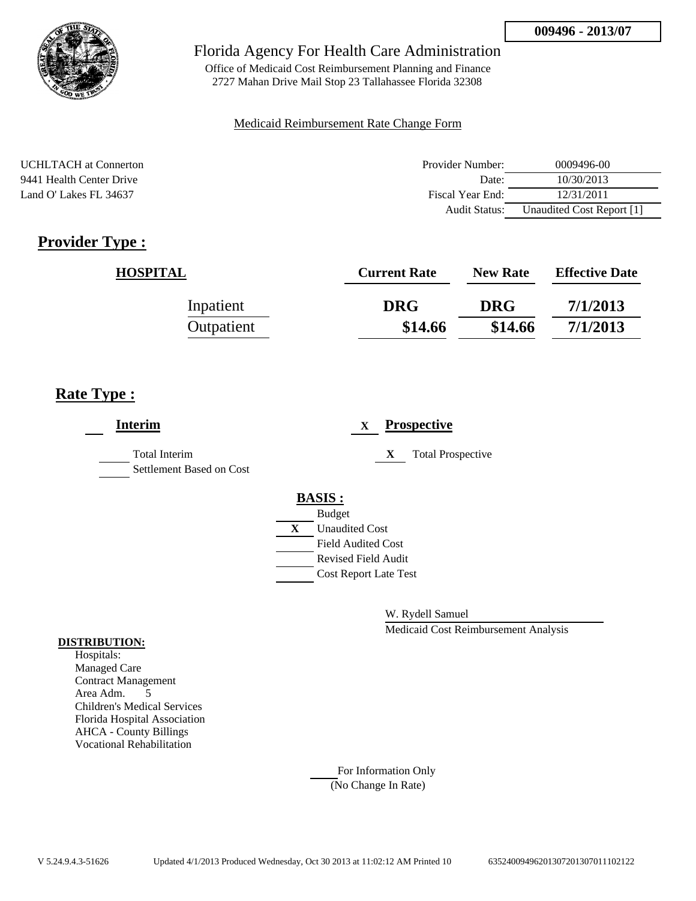

Office of Medicaid Cost Reimbursement Planning and Finance 2727 Mahan Drive Mail Stop 23 Tallahassee Florida 32308

### Medicaid Reimbursement Rate Change Form

UCHLTACH at Connerton 9441 Health Center Drive Land O' Lakes FL 34637

| Provider Number: | 0009496-00                |
|------------------|---------------------------|
| Date:            | 10/30/2013                |
| Fiscal Year End: | 12/31/2011                |
| Audit Status:    | Unaudited Cost Report [1] |

# **Provider Type :**

| <b>HOSPITAL</b> | <b>Current Rate</b> | <b>New Rate</b> | <b>Effective Date</b> |
|-----------------|---------------------|-----------------|-----------------------|
| Inpatient       | <b>DRG</b>          | <b>DRG</b>      | 7/1/2013              |
| Outpatient      | \$14.66             | \$14.66         | 7/1/2013              |

# **Rate Type :**

| <b>Interim</b>                                   | <b>Prospective</b><br>$\mathbf{X}$ |
|--------------------------------------------------|------------------------------------|
| <b>Total Interim</b><br>Settlement Based on Cost | X<br><b>Total Prospective</b>      |
|                                                  | <b>BASIS:</b>                      |
|                                                  | <b>Budget</b>                      |
|                                                  | X<br><b>Unaudited Cost</b>         |
|                                                  | <b>Field Audited Cost</b>          |
|                                                  | <b>Revised Field Audit</b>         |
|                                                  | <b>Cost Report Late Test</b>       |
|                                                  |                                    |

W. Rydell Samuel

Medicaid Cost Reimbursement Analysis

#### **DISTRIBUTION:**

Hospitals: Managed Care Contract Management Area Adm. 5 Children's Medical Services Florida Hospital Association AHCA - County Billings Vocational Rehabilitation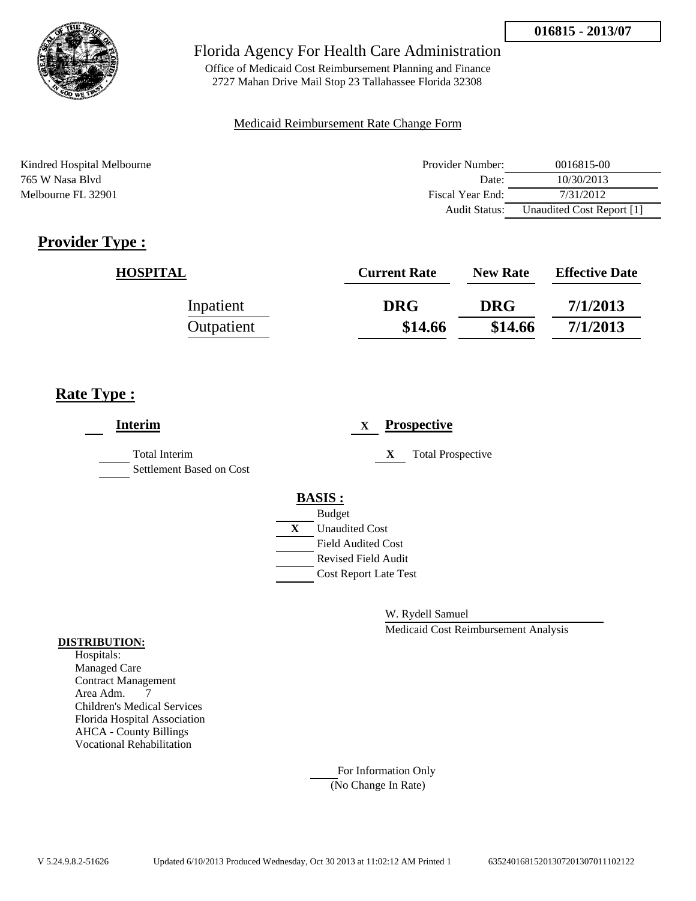

Office of Medicaid Cost Reimbursement Planning and Finance 2727 Mahan Drive Mail Stop 23 Tallahassee Florida 32308

### Medicaid Reimbursement Rate Change Form

Kindred Hospital Melbourne **Provider Number:** 0016815-00 765 W Nasa Blvd Date: 10/30/2013 Melbourne FL 32901 **Fiscal Year End:** 7/31/2012 Audit Status: Unaudited Cost Report [1]

# **Provider Type :**

| <b>HOSPITAL</b> | <b>Current Rate</b> | <b>New Rate</b> | <b>Effective Date</b> |
|-----------------|---------------------|-----------------|-----------------------|
| Inpatient       | <b>DRG</b>          | <b>DRG</b>      | 7/1/2013              |
| Outpatient      | \$14.66             | \$14.66         | 7/1/2013              |

# **Rate Type :**

| <b>Interim</b>                                   |               | X                         | <b>Prospective</b>            |
|--------------------------------------------------|---------------|---------------------------|-------------------------------|
| <b>Total Interim</b><br>Settlement Based on Cost |               |                           | <b>Total Prospective</b><br>X |
|                                                  | <b>BASIS:</b> |                           |                               |
|                                                  | <b>Budget</b> |                           |                               |
|                                                  | X             | <b>Unaudited Cost</b>     |                               |
|                                                  |               | <b>Field Audited Cost</b> |                               |
|                                                  |               |                           | <b>Revised Field Audit</b>    |
|                                                  |               |                           | <b>Cost Report Late Test</b>  |
|                                                  |               |                           |                               |

W. Rydell Samuel

Medicaid Cost Reimbursement Analysis

### **DISTRIBUTION:**

Hospitals: Managed Care Contract Management Area Adm. 7 Children's Medical Services Florida Hospital Association AHCA - County Billings Vocational Rehabilitation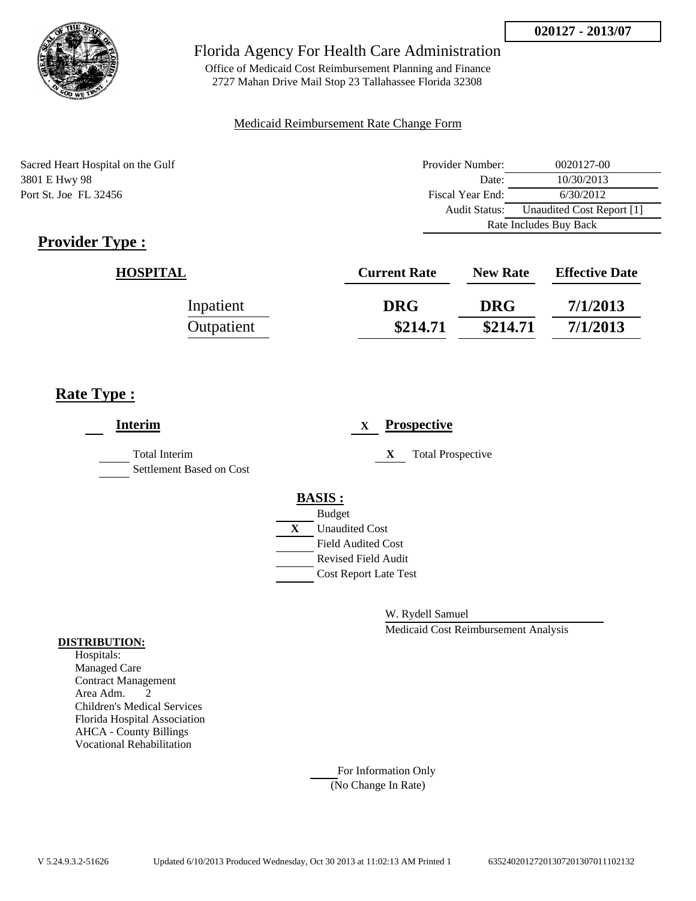

Office of Medicaid Cost Reimbursement Planning and Finance 2727 Mahan Drive Mail Stop 23 Tallahassee Florida 32308

### Medicaid Reimbursement Rate Change Form

Sacred Heart Hospital on the Gulf 3801 E Hwy 98 Port St. Joe FL 32456

| Provider Number:       | 0020127-00                |  |
|------------------------|---------------------------|--|
| Date:                  | 10/30/2013                |  |
| Fiscal Year End:       | 6/30/2012                 |  |
| Audit Status:          | Unaudited Cost Report [1] |  |
| Rate Includes Buy Back |                           |  |

# **Provider Type :**

| <b>HOSPITAL</b> | <b>Current Rate</b> | <b>New Rate</b> | <b>Effective Date</b> |
|-----------------|---------------------|-----------------|-----------------------|
| Inpatient       | <b>DRG</b>          | <b>DRG</b>      | 7/1/2013              |
| Outpatient      | \$214.71            | \$214.71        | 7/1/2013              |

# **Rate Type :**

| <b>Interim</b>                                   |   |                              | X |   | <b>Prospective</b>       |
|--------------------------------------------------|---|------------------------------|---|---|--------------------------|
| <b>Total Interim</b><br>Settlement Based on Cost |   |                              |   | X | <b>Total Prospective</b> |
|                                                  |   | <b>BASIS:</b>                |   |   |                          |
|                                                  |   | <b>Budget</b>                |   |   |                          |
|                                                  | X | <b>Unaudited Cost</b>        |   |   |                          |
|                                                  |   | <b>Field Audited Cost</b>    |   |   |                          |
|                                                  |   | <b>Revised Field Audit</b>   |   |   |                          |
|                                                  |   | <b>Cost Report Late Test</b> |   |   |                          |
|                                                  |   |                              |   |   |                          |
|                                                  |   |                              |   |   |                          |

W. Rydell Samuel

Medicaid Cost Reimbursement Analysis

#### **DISTRIBUTION:**

Hospitals: Managed Care Contract Management Area Adm. 2 Children's Medical Services Florida Hospital Association AHCA - County Billings Vocational Rehabilitation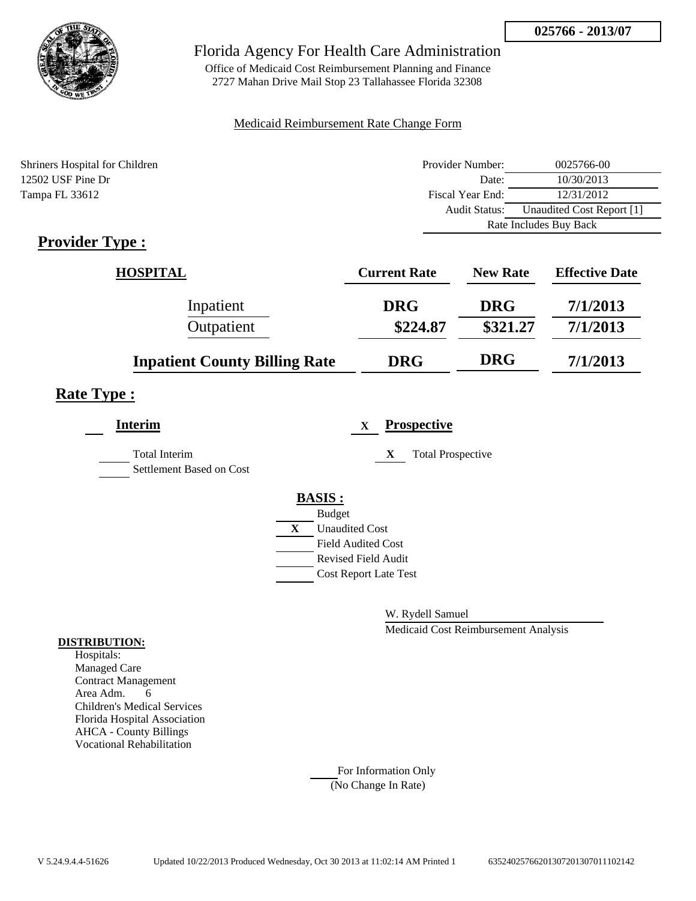

Office of Medicaid Cost Reimbursement Planning and Finance 2727 Mahan Drive Mail Stop 23 Tallahassee Florida 32308

### Medicaid Reimbursement Rate Change Form

| Shriners Hospital for Children | Provider Number:       | 0025766-00                |
|--------------------------------|------------------------|---------------------------|
| 12502 USF Pine Dr              | Date:                  | 10/30/2013                |
| Tampa FL 33612                 | Fiscal Year End:       | 12/31/2012                |
|                                | Audit Status:          | Unaudited Cost Report [1] |
|                                | Rate Includes Buy Back |                           |

# **Provider Type :**

| HOSPITAL                             | <b>Current Rate</b> | <b>New Rate</b> | <b>Effective Date</b> |
|--------------------------------------|---------------------|-----------------|-----------------------|
| Inpatient                            | <b>DRG</b>          | <b>DRG</b>      | 7/1/2013              |
| Outpatient                           | \$224.87            | \$321.27        | 7/1/2013              |
| <b>Inpatient County Billing Rate</b> | <b>DRG</b>          | <b>DRG</b>      | 7/1/2013              |

# **Rate Type :**

| <b>Interim</b>                                   | <b>Prospective</b><br>X       |
|--------------------------------------------------|-------------------------------|
| <b>Total Interim</b><br>Settlement Based on Cost | <b>Total Prospective</b><br>X |
|                                                  | <b>BASIS:</b>                 |
|                                                  | <b>Budget</b>                 |
|                                                  | <b>Unaudited Cost</b><br>X    |
|                                                  | <b>Field Audited Cost</b>     |
|                                                  | <b>Revised Field Audit</b>    |
|                                                  | <b>Cost Report Late Test</b>  |
|                                                  |                               |

W. Rydell Samuel

Medicaid Cost Reimbursement Analysis

### **DISTRIBUTION:**

Hospitals: Managed Care Contract Management Area Adm. 6 Children's Medical Services Florida Hospital Association AHCA - County Billings Vocational Rehabilitation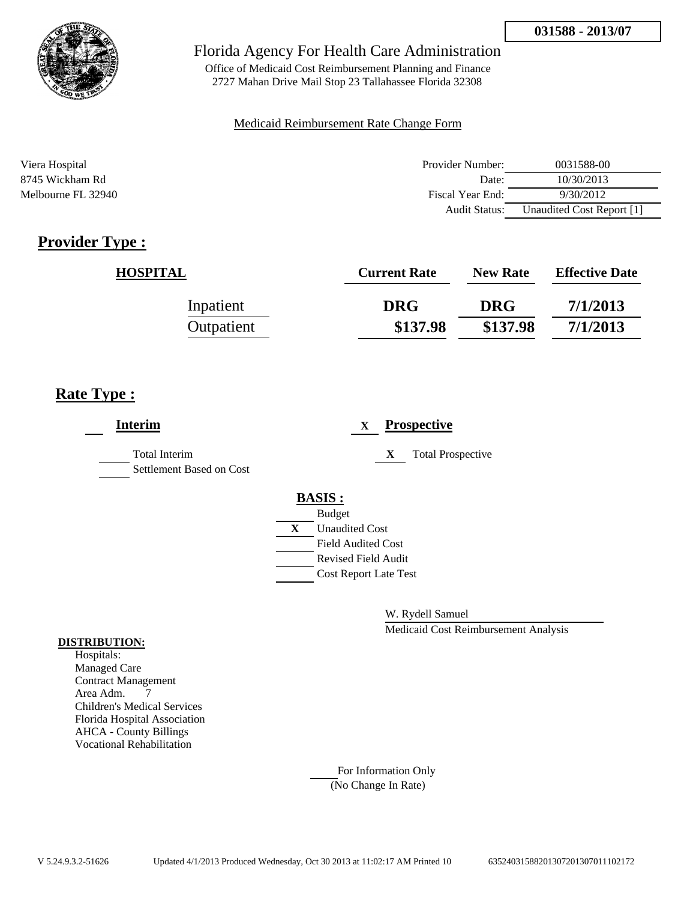

Office of Medicaid Cost Reimbursement Planning and Finance 2727 Mahan Drive Mail Stop 23 Tallahassee Florida 32308

### Medicaid Reimbursement Rate Change Form

| Viera Hospital     | Provider Number:     | 0031588-00                |
|--------------------|----------------------|---------------------------|
| 8745 Wickham Rd    | Date:                | 10/30/2013                |
| Melbourne FL 32940 | Fiscal Year End:     | 9/30/2012                 |
|                    | <b>Audit Status:</b> | Unaudited Cost Report [1] |

# **Provider Type :**

| <b>HOSPITAL</b> | <b>Current Rate</b> | <b>New Rate</b> | <b>Effective Date</b> |
|-----------------|---------------------|-----------------|-----------------------|
| Inpatient       | <b>DRG</b>          | <b>DRG</b>      | 7/1/2013              |
| Outpatient      | \$137.98            | \$137.98        | 7/1/2013              |

# **Rate Type :**

| <b>Interim</b>                            |   | <b>Prospective</b><br>$\mathbf x$ |
|-------------------------------------------|---|-----------------------------------|
| Total Interim<br>Settlement Based on Cost |   | X<br><b>Total Prospective</b>     |
|                                           |   | <b>BASIS:</b>                     |
|                                           |   | <b>Budget</b>                     |
|                                           | X | <b>Unaudited Cost</b>             |
|                                           |   | <b>Field Audited Cost</b>         |
|                                           |   | <b>Revised Field Audit</b>        |
|                                           |   | <b>Cost Report Late Test</b>      |
|                                           |   |                                   |

W. Rydell Samuel

Medicaid Cost Reimbursement Analysis

#### **DISTRIBUTION:**

Hospitals: Managed Care Contract Management Area Adm. 7 Children's Medical Services Florida Hospital Association AHCA - County Billings Vocational Rehabilitation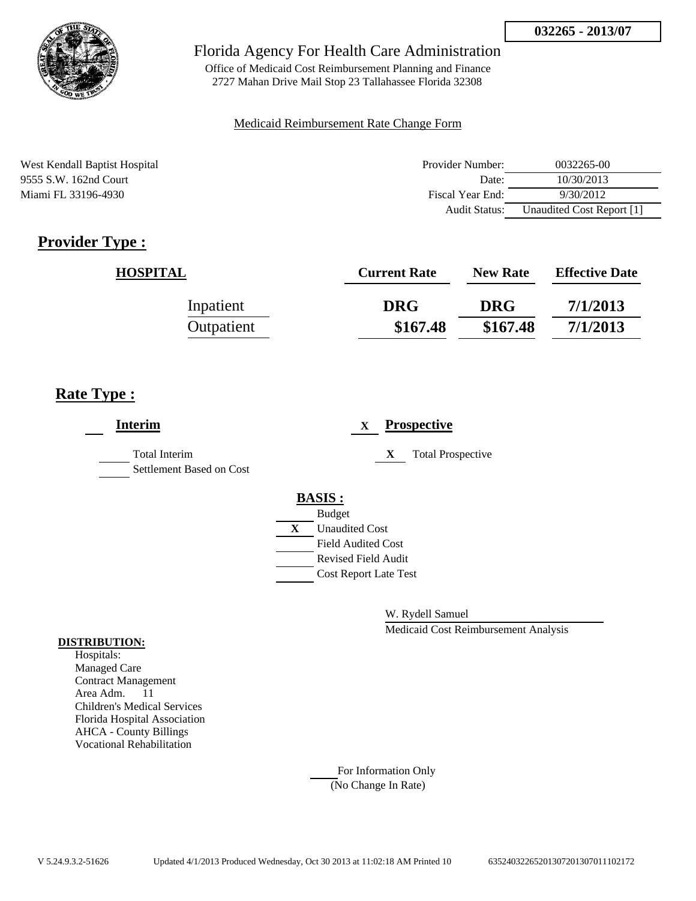

Office of Medicaid Cost Reimbursement Planning and Finance 2727 Mahan Drive Mail Stop 23 Tallahassee Florida 32308

### Medicaid Reimbursement Rate Change Form

West Kendall Baptist Hospital 9555 S.W. 162nd Court Miami FL 33196-4930

| Provider Number: | 0032265-00                |
|------------------|---------------------------|
| Date:            | 10/30/2013                |
| Fiscal Year End: | 9/30/2012                 |
| Audit Status:    | Unaudited Cost Report [1] |

# **Provider Type :**

| <b>HOSPITAL</b> | <b>Current Rate</b> | <b>New Rate</b> | <b>Effective Date</b> |
|-----------------|---------------------|-----------------|-----------------------|
| Inpatient       | <b>DRG</b>          | <b>DRG</b>      | 7/1/2013              |
| Outpatient      | \$167.48            | \$167.48        | 7/1/2013              |

# **Rate Type :**

| <b>Interim</b>                            |               | <b>Prospective</b><br>$\mathbf X$ |
|-------------------------------------------|---------------|-----------------------------------|
| Total Interim<br>Settlement Based on Cost |               | X<br><b>Total Prospective</b>     |
|                                           | <b>BASIS:</b> |                                   |
|                                           | <b>Budget</b> |                                   |
|                                           | X             | <b>Unaudited Cost</b>             |
|                                           |               | <b>Field Audited Cost</b>         |
|                                           |               | <b>Revised Field Audit</b>        |
|                                           |               | <b>Cost Report Late Test</b>      |
|                                           |               |                                   |

W. Rydell Samuel

Medicaid Cost Reimbursement Analysis

#### **DISTRIBUTION:**

Hospitals: Managed Care Contract Management Area Adm. 11 Children's Medical Services Florida Hospital Association AHCA - County Billings Vocational Rehabilitation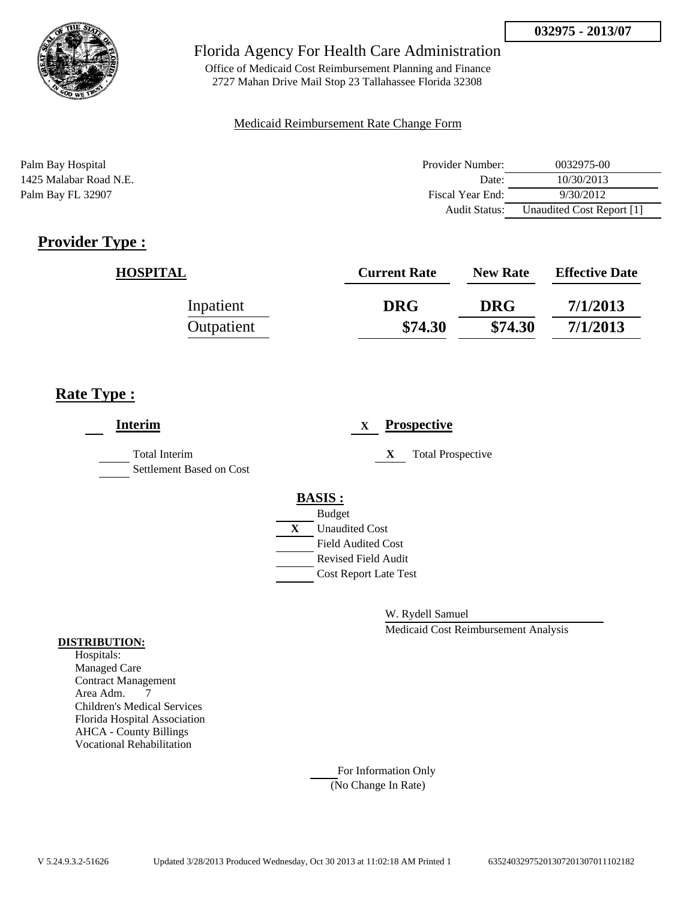

Office of Medicaid Cost Reimbursement Planning and Finance 2727 Mahan Drive Mail Stop 23 Tallahassee Florida 32308

### Medicaid Reimbursement Rate Change Form

Palm Bay Hospital Provider Number: 0032975-00 1425 Malabar Road N.E. Date: 10/30/2013 Palm Bay FL 32907 **Fiscal Year End:** 9/30/2012 Audit Status: Unaudited Cost Report [1]

# **Provider Type :**

| <b>HOSPITAL</b> | <b>Current Rate</b> | <b>New Rate</b> | <b>Effective Date</b> |
|-----------------|---------------------|-----------------|-----------------------|
| Inpatient       | <b>DRG</b>          | <b>DRG</b>      | 7/1/2013              |
| Outpatient      | \$74.30             | \$74.30         | 7/1/2013              |

## **Rate Type :**

| <b>Interim</b>                                   |   | <b>Prospective</b><br>X       |
|--------------------------------------------------|---|-------------------------------|
| <b>Total Interim</b><br>Settlement Based on Cost |   | X<br><b>Total Prospective</b> |
|                                                  |   | <b>BASIS:</b>                 |
|                                                  |   | <b>Budget</b>                 |
|                                                  | X | <b>Unaudited Cost</b>         |
|                                                  |   | <b>Field Audited Cost</b>     |
|                                                  |   | <b>Revised Field Audit</b>    |
|                                                  |   | <b>Cost Report Late Test</b>  |
|                                                  |   |                               |

W. Rydell Samuel

Medicaid Cost Reimbursement Analysis

#### **DISTRIBUTION:**

Hospitals: Managed Care Contract Management Area Adm. 7 Children's Medical Services Florida Hospital Association AHCA - County Billings Vocational Rehabilitation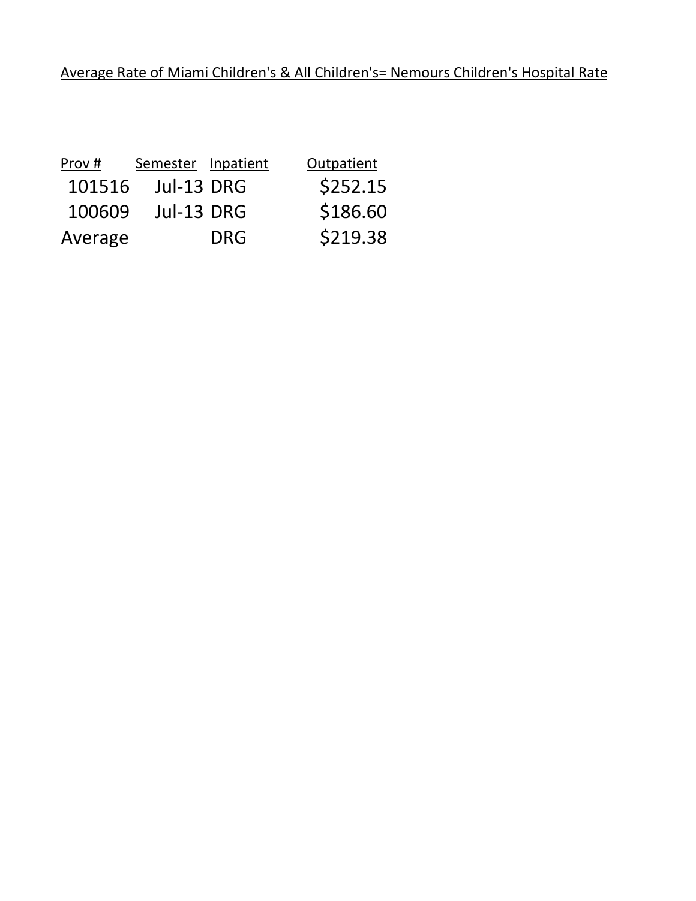| Prov#   | Semester Inpatient |            | Outpatient |
|---------|--------------------|------------|------------|
| 101516  | Jul-13 DRG         |            | \$252.15   |
| 100609  | Jul-13 DRG         |            | \$186.60   |
| Average |                    | <b>DRG</b> | \$219.38   |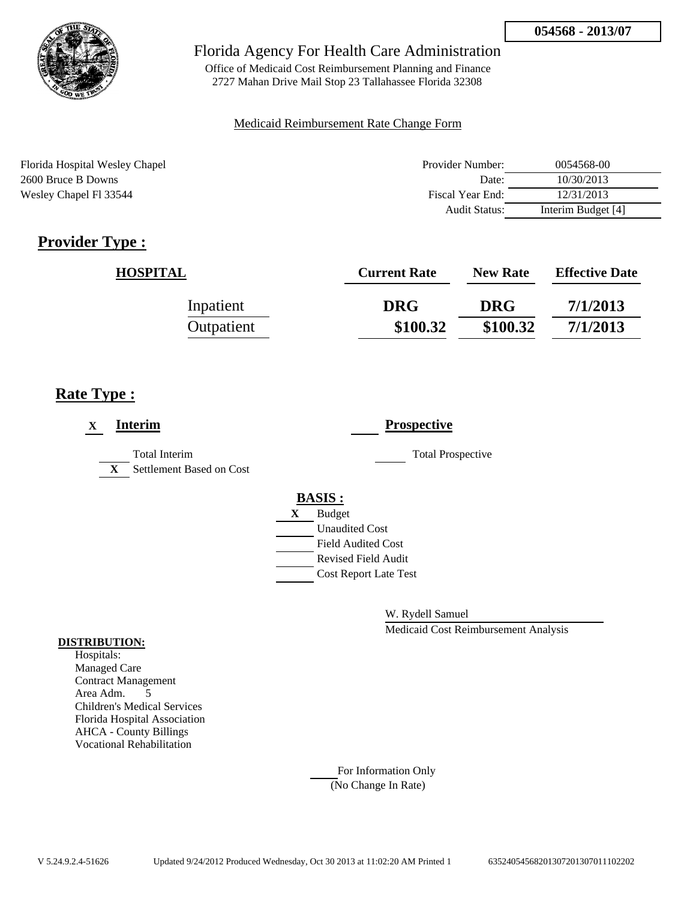

Office of Medicaid Cost Reimbursement Planning and Finance 2727 Mahan Drive Mail Stop 23 Tallahassee Florida 32308

### Medicaid Reimbursement Rate Change Form

Florida Hospital Wesley Chapel 2600 Bruce B Downs Wesley Chapel Fl 33544

| Provider Number:     | 0054568-00         |
|----------------------|--------------------|
| Date:                | 10/30/2013         |
| Fiscal Year End:     | 12/31/2013         |
| <b>Audit Status:</b> | Interim Budget [4] |

# **Provider Type :**

| <b>HOSPITAL</b> | <b>Current Rate</b> | <b>New Rate</b> | <b>Effective Date</b> |
|-----------------|---------------------|-----------------|-----------------------|
| Inpatient       | <b>DRG</b>          | <b>DRG</b>      | 7/1/2013              |
| Outpatient      | \$100.32            | \$100.32        | 7/1/2013              |

# **Rate Type :**

| <b>Interim</b><br>X                                              | <b>Prospective</b>           |
|------------------------------------------------------------------|------------------------------|
| <b>Total Interim</b><br>Settlement Based on Cost<br>$\mathbf{X}$ | <b>Total Prospective</b>     |
|                                                                  | <b>BASIS:</b>                |
|                                                                  | <b>Budget</b><br>X           |
|                                                                  | <b>Unaudited Cost</b>        |
|                                                                  | <b>Field Audited Cost</b>    |
|                                                                  | Revised Field Audit          |
|                                                                  | <b>Cost Report Late Test</b> |

W. Rydell Samuel

Medicaid Cost Reimbursement Analysis

#### **DISTRIBUTION:**

Hospitals: Managed Care Contract Management Area Adm. 5 Children's Medical Services Florida Hospital Association AHCA - County Billings Vocational Rehabilitation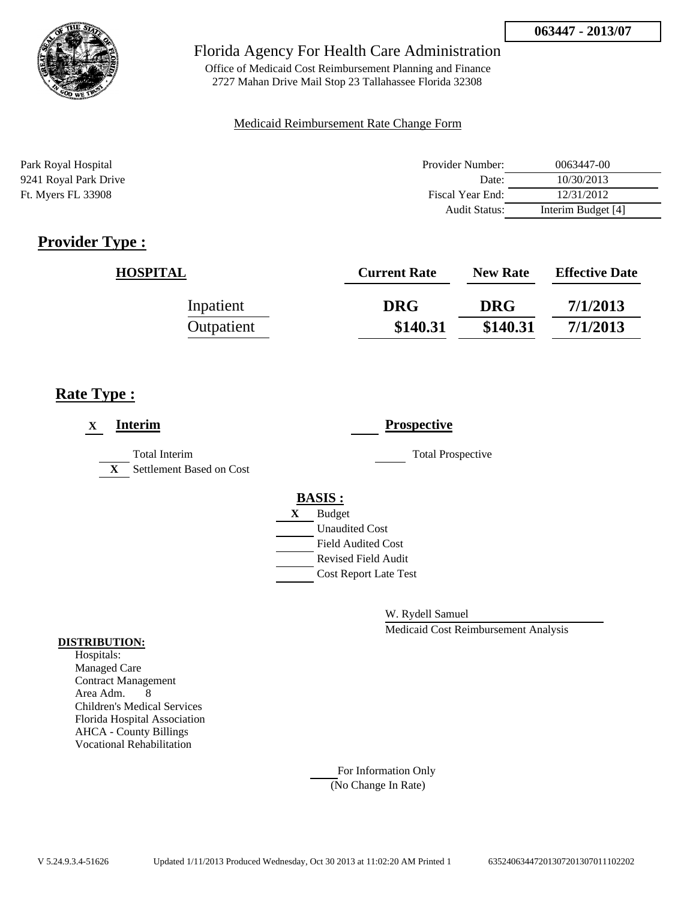

Office of Medicaid Cost Reimbursement Planning and Finance 2727 Mahan Drive Mail Stop 23 Tallahassee Florida 32308

### Medicaid Reimbursement Rate Change Form

| Park Royal Hospital       | Provider Number:     | 0063447-00         |
|---------------------------|----------------------|--------------------|
| 9241 Royal Park Drive     | Date:                | 10/30/2013         |
| <b>Ft. Myers FL 33908</b> | Fiscal Year End:     | 12/31/2012         |
|                           | <b>Audit Status:</b> | Interim Budget [4] |

# **Provider Type :**

| <b>HOSPITAL</b> | <b>Current Rate</b> | <b>New Rate</b> | <b>Effective Date</b> |
|-----------------|---------------------|-----------------|-----------------------|
| Inpatient       | <b>DRG</b>          | <b>DRG</b>      | 7/1/2013              |
| Outpatient      | \$140.31            | \$140.31        | 7/1/2013              |

## **Rate Type :**

| <b>Interim</b><br>X                                              | <b>Prospective</b>           |
|------------------------------------------------------------------|------------------------------|
| <b>Total Interim</b><br>Settlement Based on Cost<br>$\mathbf{X}$ | <b>Total Prospective</b>     |
|                                                                  | <b>BASIS:</b>                |
|                                                                  | <b>Budget</b><br>X           |
|                                                                  | <b>Unaudited Cost</b>        |
|                                                                  | <b>Field Audited Cost</b>    |
|                                                                  | Revised Field Audit          |
|                                                                  | <b>Cost Report Late Test</b> |

W. Rydell Samuel

Medicaid Cost Reimbursement Analysis

#### **DISTRIBUTION:**

Hospitals: Managed Care Contract Management Area Adm. 8 Children's Medical Services Florida Hospital Association AHCA - County Billings Vocational Rehabilitation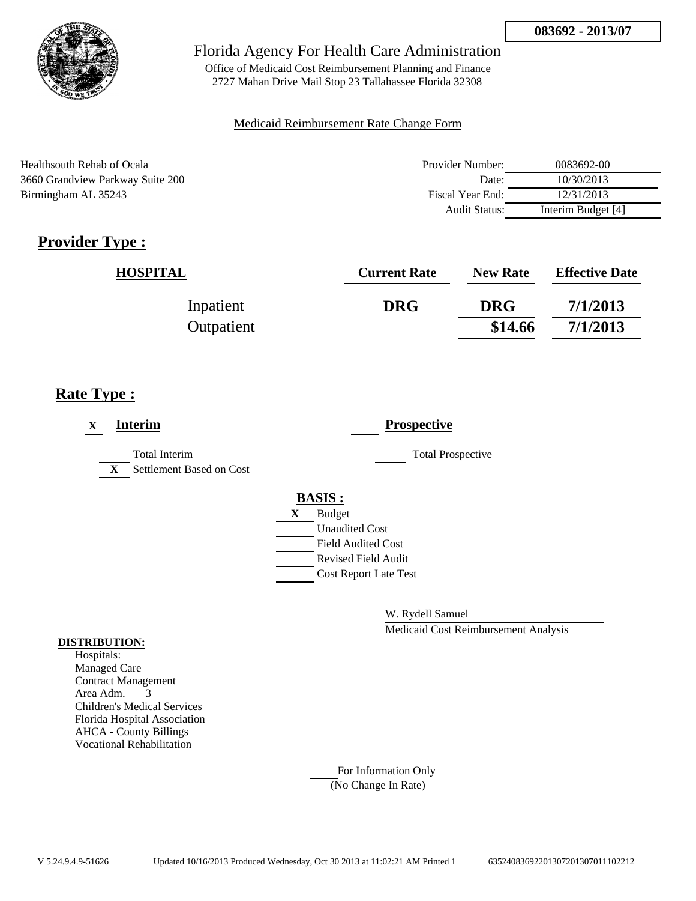

Office of Medicaid Cost Reimbursement Planning and Finance 2727 Mahan Drive Mail Stop 23 Tallahassee Florida 32308

### Medicaid Reimbursement Rate Change Form

| Healthsouth Rehab of Ocala       | Provider Number:     | 0083692-00         |
|----------------------------------|----------------------|--------------------|
| 3660 Grandview Parkway Suite 200 | Date:                | 10/30/2013         |
| Birmingham AL 35243              | Fiscal Year End:     | 12/31/2013         |
|                                  | <b>Audit Status:</b> | Interim Budget [4] |

# **Provider Type :**

| <b>HOSPITAL</b> | <b>Current Rate</b> | <b>New Rate</b> | <b>Effective Date</b> |
|-----------------|---------------------|-----------------|-----------------------|
| Inpatient       | <b>DRG</b>          | <b>DRG</b>      | 7/1/2013              |
| Outpatient      |                     | \$14.66         | 7/1/2013              |

## **Rate Type :**

| <b>Interim</b><br>X                                       | <b>Prospective</b>           |
|-----------------------------------------------------------|------------------------------|
| Total Interim<br>Settlement Based on Cost<br>$\mathbf{X}$ | <b>Total Prospective</b>     |
|                                                           | <b>BASIS:</b>                |
|                                                           | <b>Budget</b><br>X           |
|                                                           | <b>Unaudited Cost</b>        |
|                                                           | <b>Field Audited Cost</b>    |
|                                                           | Revised Field Audit          |
|                                                           | <b>Cost Report Late Test</b> |

W. Rydell Samuel

Medicaid Cost Reimbursement Analysis

#### **DISTRIBUTION:**

Hospitals: Managed Care Contract Management Area Adm. 3 Children's Medical Services Florida Hospital Association AHCA - County Billings Vocational Rehabilitation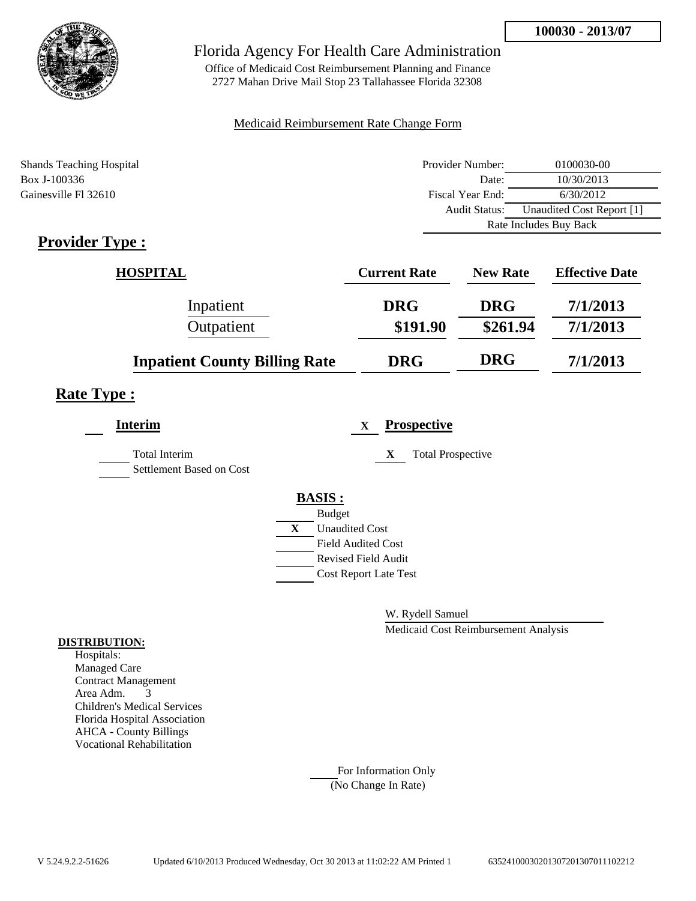

Office of Medicaid Cost Reimbursement Planning and Finance 2727 Mahan Drive Mail Stop 23 Tallahassee Florida 32308

### Medicaid Reimbursement Rate Change Form

| <b>Shands Teaching Hospital</b> | Provider Number:       | 0100030-00                |
|---------------------------------|------------------------|---------------------------|
| Box J-100336                    | Date:                  | 10/30/2013                |
| Gainesville Fl 32610            | Fiscal Year End:       | 6/30/2012                 |
|                                 | <b>Audit Status:</b>   | Unaudited Cost Report [1] |
|                                 | Rate Includes Buy Back |                           |

# **Provider Type :**

| <b>HOSPITAL</b>                      | <b>Current Rate</b> | <b>New Rate</b> | <b>Effective Date</b> |
|--------------------------------------|---------------------|-----------------|-----------------------|
| Inpatient                            | <b>DRG</b>          | <b>DRG</b>      | 7/1/2013              |
| Outpatient                           | \$191.90            | \$261.94        | 7/1/2013              |
| <b>Inpatient County Billing Rate</b> | <b>DRG</b>          | <b>DRG</b>      | 7/1/2013              |

## **Rate Type :**

| <b>Interim</b>                                   | <b>Prospective</b><br>$\mathbf x$ |
|--------------------------------------------------|-----------------------------------|
| <b>Total Interim</b><br>Settlement Based on Cost | <b>Total Prospective</b><br>X     |
|                                                  | <b>BASIS:</b>                     |
|                                                  | <b>Budget</b>                     |
|                                                  | X<br><b>Unaudited Cost</b>        |
|                                                  | <b>Field Audited Cost</b>         |
|                                                  | <b>Revised Field Audit</b>        |
|                                                  | <b>Cost Report Late Test</b>      |
|                                                  |                                   |

W. Rydell Samuel

Medicaid Cost Reimbursement Analysis

### **DISTRIBUTION:**

Hospitals: Managed Care Contract Management Area Adm. 3 Children's Medical Services Florida Hospital Association AHCA - County Billings Vocational Rehabilitation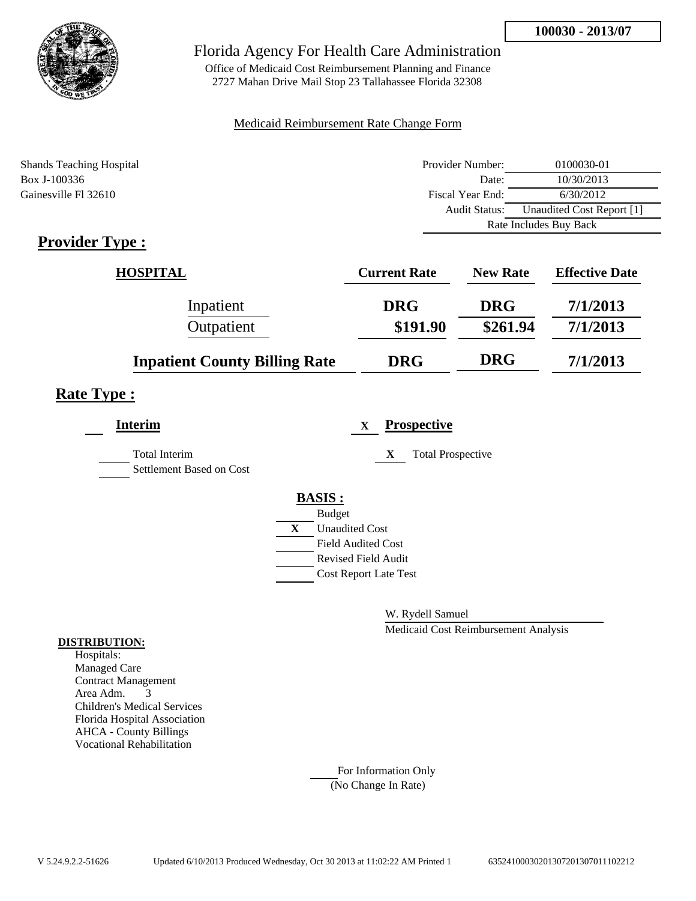

Office of Medicaid Cost Reimbursement Planning and Finance 2727 Mahan Drive Mail Stop 23 Tallahassee Florida 32308

### Medicaid Reimbursement Rate Change Form

| <b>Shands Teaching Hospital</b> | Provider Number:       | 0100030-01                |
|---------------------------------|------------------------|---------------------------|
| Box J-100336                    | Date:                  | 10/30/2013                |
| Gainesville Fl 32610            | Fiscal Year End:       | 6/30/2012                 |
|                                 | Audit Status:          | Unaudited Cost Report [1] |
|                                 | Rate Includes Buy Back |                           |

# **Provider Type :**

| <b>HOSPITAL</b>                      | <b>Current Rate</b> | <b>New Rate</b> | <b>Effective Date</b> |
|--------------------------------------|---------------------|-----------------|-----------------------|
| Inpatient                            | <b>DRG</b>          | <b>DRG</b>      | 7/1/2013              |
| Outpatient                           | \$191.90            | \$261.94        | 7/1/2013              |
| <b>Inpatient County Billing Rate</b> | <b>DRG</b>          | <b>DRG</b>      | 7/1/2013              |

## **Rate Type :**

| <b>Interim</b>                                   | <b>Prospective</b><br>$\mathbf{X}$ |
|--------------------------------------------------|------------------------------------|
| <b>Total Interim</b><br>Settlement Based on Cost | X<br><b>Total Prospective</b>      |
|                                                  | <b>BASIS:</b>                      |
|                                                  | <b>Budget</b>                      |
|                                                  | X<br><b>Unaudited Cost</b>         |
|                                                  | <b>Field Audited Cost</b>          |
|                                                  | <b>Revised Field Audit</b>         |
|                                                  | <b>Cost Report Late Test</b>       |
|                                                  |                                    |

W. Rydell Samuel

Medicaid Cost Reimbursement Analysis

### **DISTRIBUTION:**

Hospitals: Managed Care Contract Management Area Adm. 3 Children's Medical Services Florida Hospital Association AHCA - County Billings Vocational Rehabilitation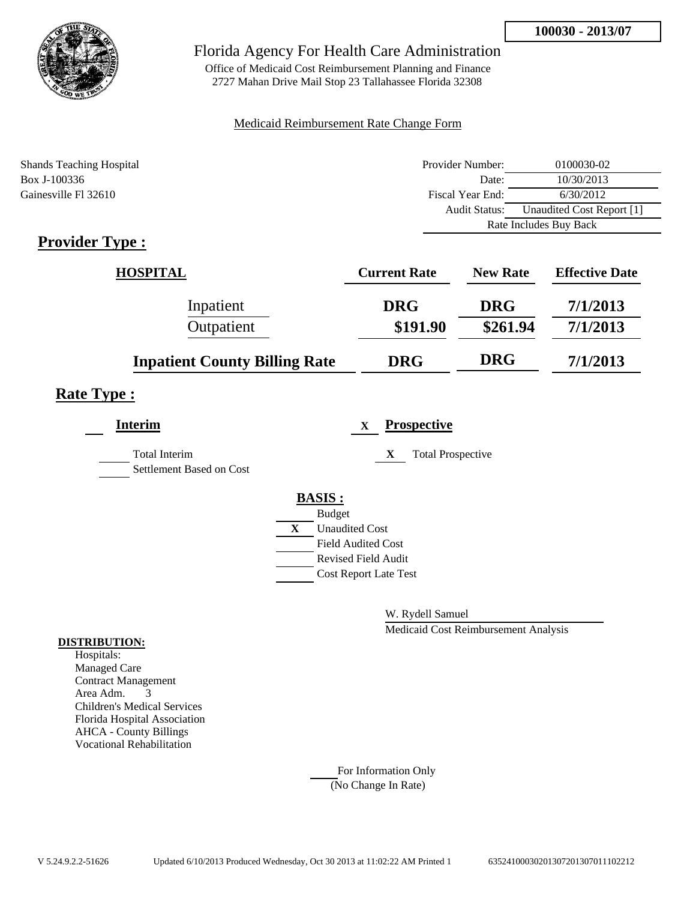

Office of Medicaid Cost Reimbursement Planning and Finance 2727 Mahan Drive Mail Stop 23 Tallahassee Florida 32308

### Medicaid Reimbursement Rate Change Form

| <b>Shands Teaching Hospital</b> | Provider Number: | 0100030-02                |
|---------------------------------|------------------|---------------------------|
| Box J-100336                    | Date:            | 10/30/2013                |
| Gainesville Fl 32610            | Fiscal Year End: | 6/30/2012                 |
|                                 | Audit Status:    | Unaudited Cost Report [1] |
|                                 |                  | Rate Includes Buy Back    |

# **Provider Type :**

| <b>HOSPITAL</b>                      | <b>Current Rate</b> | <b>New Rate</b> | <b>Effective Date</b> |
|--------------------------------------|---------------------|-----------------|-----------------------|
| Inpatient                            | <b>DRG</b>          | <b>DRG</b>      | 7/1/2013              |
| Outpatient                           | \$191.90            | \$261.94        | 7/1/2013              |
| <b>Inpatient County Billing Rate</b> | <b>DRG</b>          | <b>DRG</b>      | 7/1/2013              |

## **Rate Type :**

| <b>Interim</b>                                   | <b>Prospective</b><br>$\mathbf x$ |
|--------------------------------------------------|-----------------------------------|
| <b>Total Interim</b><br>Settlement Based on Cost | <b>Total Prospective</b><br>X     |
|                                                  | <b>BASIS:</b>                     |
|                                                  | <b>Budget</b>                     |
|                                                  | X<br><b>Unaudited Cost</b>        |
|                                                  | <b>Field Audited Cost</b>         |
|                                                  | <b>Revised Field Audit</b>        |
|                                                  | <b>Cost Report Late Test</b>      |
|                                                  |                                   |

W. Rydell Samuel

Medicaid Cost Reimbursement Analysis

### **DISTRIBUTION:**

Hospitals: Managed Care Contract Management Area Adm. 3 Children's Medical Services Florida Hospital Association AHCA - County Billings Vocational Rehabilitation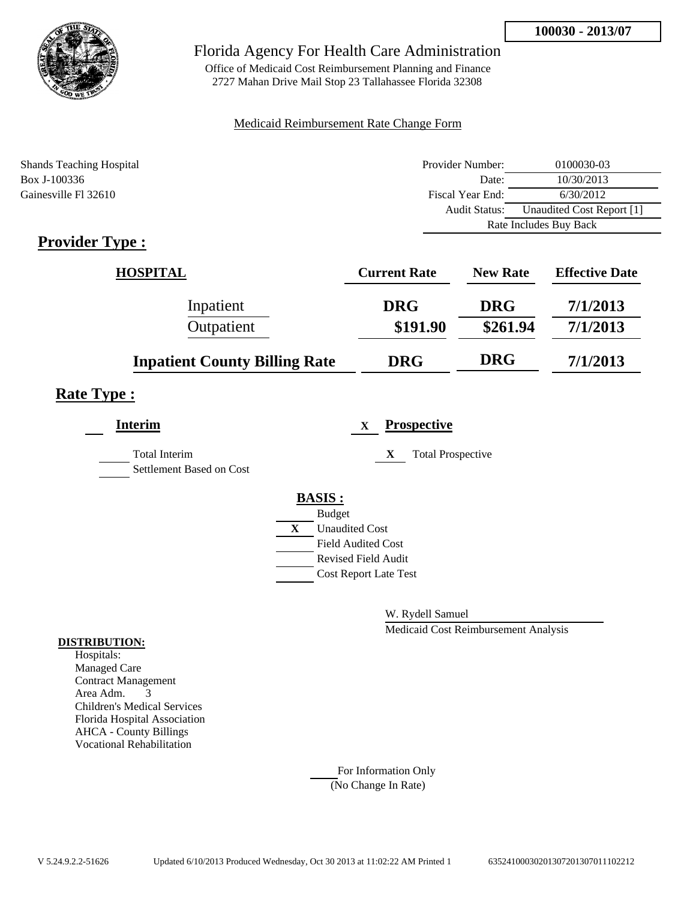

Office of Medicaid Cost Reimbursement Planning and Finance 2727 Mahan Drive Mail Stop 23 Tallahassee Florida 32308

### Medicaid Reimbursement Rate Change Form

| <b>Shands Teaching Hospital</b> | Provider Number: | 0100030-03                |
|---------------------------------|------------------|---------------------------|
| Box J-100336                    | Date:            | 10/30/2013                |
| Gainesville Fl 32610            | Fiscal Year End: | 6/30/2012                 |
|                                 | Audit Status:    | Unaudited Cost Report [1] |
|                                 |                  | Rate Includes Buy Back    |

# **Provider Type :**

| <b>HOSPITAL</b>                      | <b>Current Rate</b> | <b>New Rate</b> | <b>Effective Date</b> |
|--------------------------------------|---------------------|-----------------|-----------------------|
| Inpatient                            | <b>DRG</b>          | <b>DRG</b>      | 7/1/2013              |
| Outpatient                           | \$191.90            | \$261.94        | 7/1/2013              |
| <b>Inpatient County Billing Rate</b> | <b>DRG</b>          | <b>DRG</b>      | 7/1/2013              |

## **Rate Type :**

| <b>Interim</b>                                   | <b>Prospective</b><br>$\mathbf{X}$ |
|--------------------------------------------------|------------------------------------|
| <b>Total Interim</b><br>Settlement Based on Cost | X<br><b>Total Prospective</b>      |
|                                                  | <b>BASIS:</b>                      |
|                                                  | <b>Budget</b>                      |
|                                                  | X<br><b>Unaudited Cost</b>         |
|                                                  | <b>Field Audited Cost</b>          |
|                                                  | <b>Revised Field Audit</b>         |
|                                                  | <b>Cost Report Late Test</b>       |
|                                                  |                                    |

W. Rydell Samuel

Medicaid Cost Reimbursement Analysis

### **DISTRIBUTION:**

Hospitals: Managed Care Contract Management Area Adm. 3 Children's Medical Services Florida Hospital Association AHCA - County Billings Vocational Rehabilitation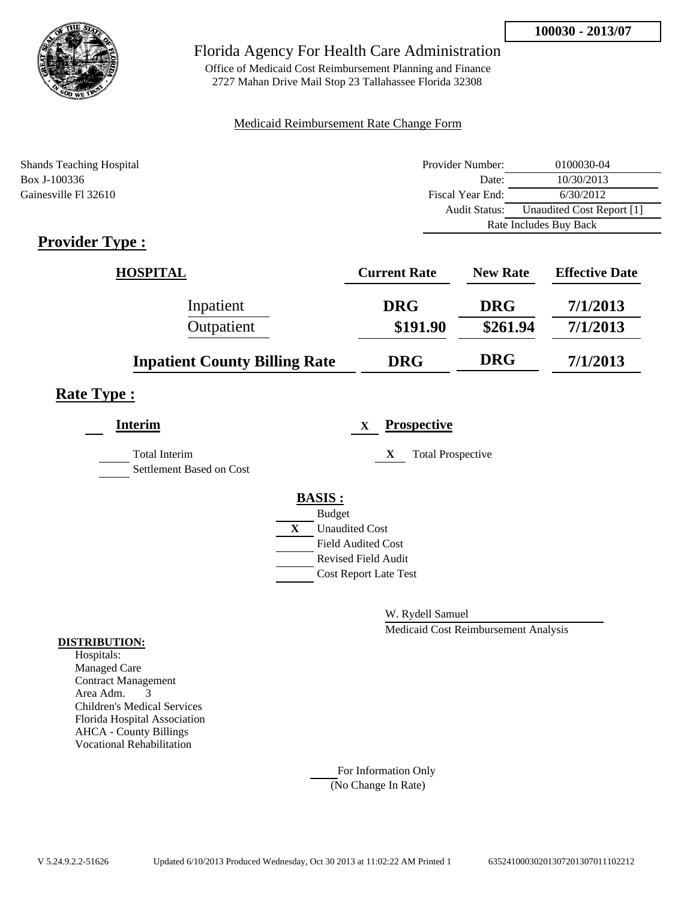

Office of Medicaid Cost Reimbursement Planning and Finance 2727 Mahan Drive Mail Stop 23 Tallahassee Florida 32308

### Medicaid Reimbursement Rate Change Form

| <b>Shands Teaching Hospital</b> | Provider Number: | 0100030-04                |
|---------------------------------|------------------|---------------------------|
| Box J-100336                    | Date:            | 10/30/2013                |
| Gainesville Fl 32610            | Fiscal Year End: | 6/30/2012                 |
|                                 | Audit Status:    | Unaudited Cost Report [1] |
|                                 |                  | Rate Includes Buy Back    |

# **Provider Type :**

| <b>HOSPITAL</b>                      | <b>Current Rate</b> | <b>New Rate</b> | <b>Effective Date</b> |
|--------------------------------------|---------------------|-----------------|-----------------------|
| Inpatient                            | <b>DRG</b>          | <b>DRG</b>      | 7/1/2013              |
| Outpatient                           | \$191.90            | \$261.94        | 7/1/2013              |
| <b>Inpatient County Billing Rate</b> | <b>DRG</b>          | <b>DRG</b>      | 7/1/2013              |

## **Rate Type :**

| <b>Interim</b>                                   | <b>Prospective</b><br>$\mathbf{X}$ |
|--------------------------------------------------|------------------------------------|
| <b>Total Interim</b><br>Settlement Based on Cost | X<br><b>Total Prospective</b>      |
|                                                  | <b>BASIS:</b>                      |
|                                                  | <b>Budget</b>                      |
|                                                  | X<br><b>Unaudited Cost</b>         |
|                                                  | <b>Field Audited Cost</b>          |
|                                                  | <b>Revised Field Audit</b>         |
|                                                  | <b>Cost Report Late Test</b>       |
|                                                  |                                    |

W. Rydell Samuel

Medicaid Cost Reimbursement Analysis

### **DISTRIBUTION:**

Hospitals: Managed Care Contract Management Area Adm. 3 Children's Medical Services Florida Hospital Association AHCA - County Billings Vocational Rehabilitation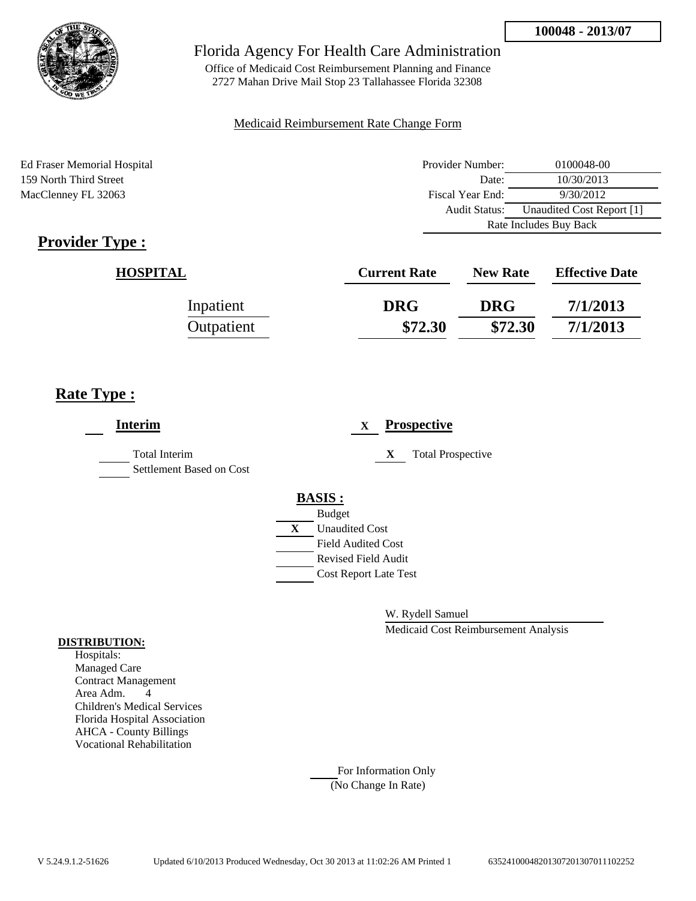

Office of Medicaid Cost Reimbursement Planning and Finance 2727 Mahan Drive Mail Stop 23 Tallahassee Florida 32308

### Medicaid Reimbursement Rate Change Form

Ed Fraser Memorial Hospital 159 North Third Street MacClenney FL 32063

| Provider Number:       | 0100048-00                |
|------------------------|---------------------------|
| Date:                  | 10/30/2013                |
| Fiscal Year End:       | 9/30/2012                 |
| Audit Status:          | Unaudited Cost Report [1] |
| Rate Includes Buy Back |                           |

# **Provider Type :**

| <b>HOSPITAL</b> | <b>Current Rate</b> | <b>New Rate</b> | <b>Effective Date</b> |
|-----------------|---------------------|-----------------|-----------------------|
| Inpatient       | <b>DRG</b>          | <b>DRG</b>      | 7/1/2013              |
| Outpatient      | \$72.30             | \$72.30         | 7/1/2013              |

# **Rate Type :**

| <b>Interim</b>                                   |               | X                            |   | <b>Prospective</b>       |
|--------------------------------------------------|---------------|------------------------------|---|--------------------------|
| <b>Total Interim</b><br>Settlement Based on Cost |               |                              | X | <b>Total Prospective</b> |
|                                                  | <b>BASIS:</b> |                              |   |                          |
|                                                  | <b>Budget</b> |                              |   |                          |
|                                                  | X             | <b>Unaudited Cost</b>        |   |                          |
|                                                  |               | <b>Field Audited Cost</b>    |   |                          |
|                                                  |               | <b>Revised Field Audit</b>   |   |                          |
|                                                  |               | <b>Cost Report Late Test</b> |   |                          |
|                                                  |               |                              |   |                          |
|                                                  |               |                              |   |                          |

W. Rydell Samuel

Medicaid Cost Reimbursement Analysis

#### **DISTRIBUTION:**

Hospitals: Managed Care Contract Management Area Adm. 4 Children's Medical Services Florida Hospital Association AHCA - County Billings Vocational Rehabilitation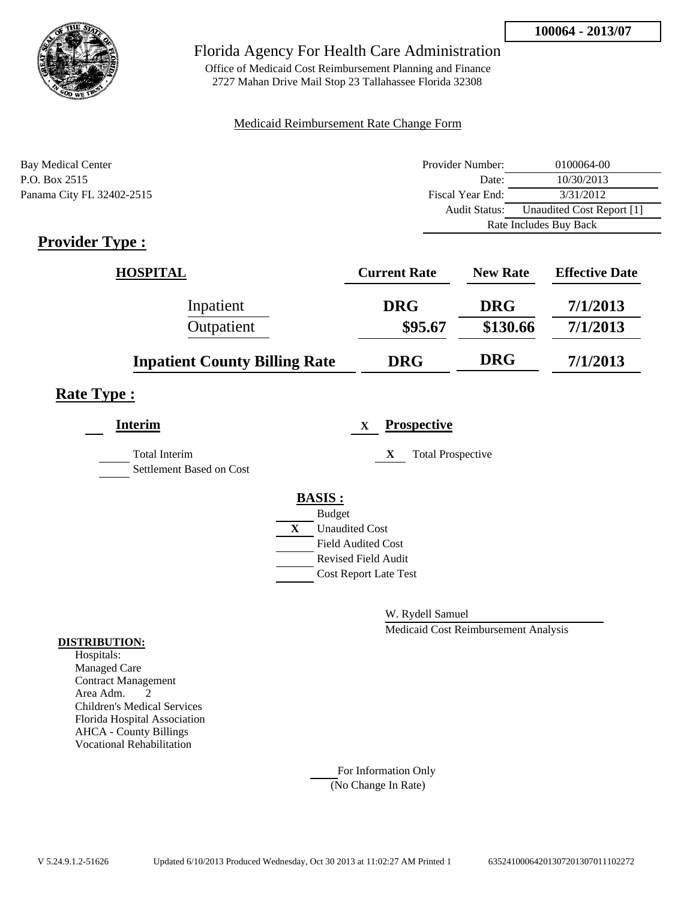

Office of Medicaid Cost Reimbursement Planning and Finance 2727 Mahan Drive Mail Stop 23 Tallahassee Florida 32308

### Medicaid Reimbursement Rate Change Form

| Bay Medical Center        | Provider Number: | 0100064-00                |  |
|---------------------------|------------------|---------------------------|--|
| P.O. Box 2515             | Date:            | 10/30/2013                |  |
| Panama City FL 32402-2515 | Fiscal Year End: | 3/31/2012                 |  |
|                           | Audit Status:    | Unaudited Cost Report [1] |  |
|                           |                  | Rate Includes Buy Back    |  |

# **Provider Type :**

| <b>HOSPITAL</b>                      | <b>Current Rate</b> | <b>New Rate</b> | <b>Effective Date</b> |
|--------------------------------------|---------------------|-----------------|-----------------------|
| Inpatient                            | <b>DRG</b>          | <b>DRG</b>      | 7/1/2013              |
| Outpatient                           | \$95.67             | \$130.66        | 7/1/2013              |
| <b>Inpatient County Billing Rate</b> | <b>DRG</b>          | <b>DRG</b>      | 7/1/2013              |

### **Rate Type :**

| <b>Interim</b>                                   | <b>Prospective</b><br>$\mathbf{X}$ |  |
|--------------------------------------------------|------------------------------------|--|
| <b>Total Interim</b><br>Settlement Based on Cost | <b>Total Prospective</b><br>X      |  |
|                                                  | <b>BASIS:</b>                      |  |
|                                                  | <b>Budget</b>                      |  |
|                                                  | <b>Unaudited Cost</b><br>X         |  |
|                                                  | <b>Field Audited Cost</b>          |  |
|                                                  | <b>Revised Field Audit</b>         |  |
|                                                  | <b>Cost Report Late Test</b>       |  |
|                                                  |                                    |  |

W. Rydell Samuel

Medicaid Cost Reimbursement Analysis

#### **DISTRIBUTION:**

Hospitals: Managed Care Contract Management Area Adm. 2 Children's Medical Services Florida Hospital Association AHCA - County Billings Vocational Rehabilitation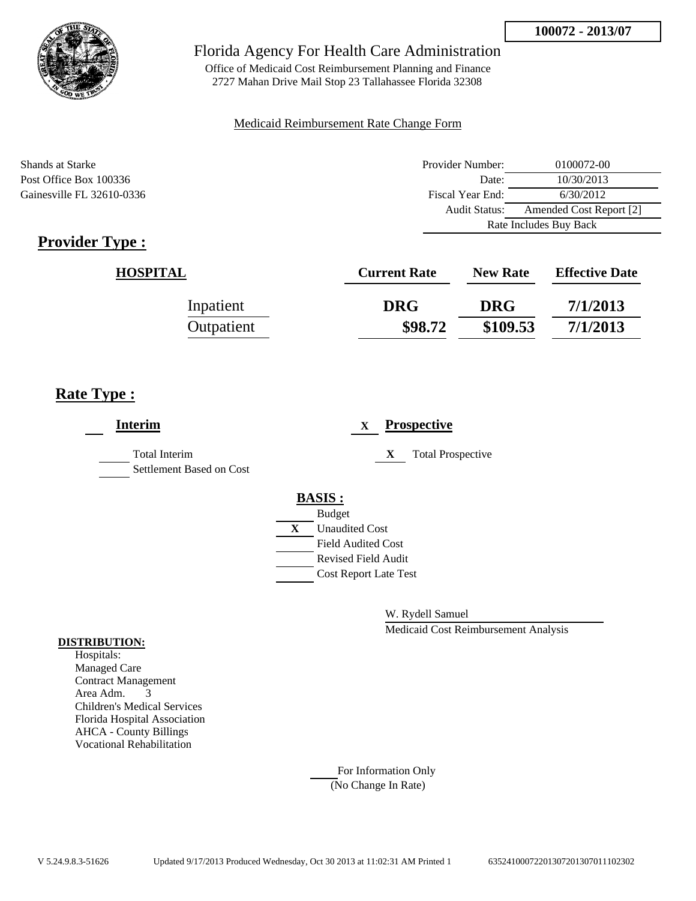

Office of Medicaid Cost Reimbursement Planning and Finance 2727 Mahan Drive Mail Stop 23 Tallahassee Florida 32308

### Medicaid Reimbursement Rate Change Form

Shands at Starke Post Office Box 100336 Gainesville FL 32610-0336

| Provider Number:       | 0100072-00              |  |  |
|------------------------|-------------------------|--|--|
| Date:                  | 10/30/2013              |  |  |
| Fiscal Year End:       | 6/30/2012               |  |  |
| Audit Status:          | Amended Cost Report [2] |  |  |
| Rate Includes Buy Back |                         |  |  |

# **Provider Type :**

| <b>HOSPITAL</b> | <b>Current Rate</b> | <b>New Rate</b> | <b>Effective Date</b> |
|-----------------|---------------------|-----------------|-----------------------|
| Inpatient       | <b>DRG</b>          | <b>DRG</b>      | 7/1/2013              |
| Outpatient      | \$98.72             | \$109.53        | 7/1/2013              |

# **Rate Type :**

| <b>Interim</b>                                   | <b>Prospective</b><br>$\mathbf{x}$ |
|--------------------------------------------------|------------------------------------|
| <b>Total Interim</b><br>Settlement Based on Cost | X<br><b>Total Prospective</b>      |
|                                                  | <b>BASIS:</b><br><b>Budget</b>     |
|                                                  | X<br><b>Unaudited Cost</b>         |
|                                                  | <b>Field Audited Cost</b>          |
|                                                  | <b>Revised Field Audit</b>         |
|                                                  | <b>Cost Report Late Test</b>       |
|                                                  |                                    |

W. Rydell Samuel

Medicaid Cost Reimbursement Analysis

### **DISTRIBUTION:**

Hospitals: Managed Care Contract Management Area Adm. 3 Children's Medical Services Florida Hospital Association AHCA - County Billings Vocational Rehabilitation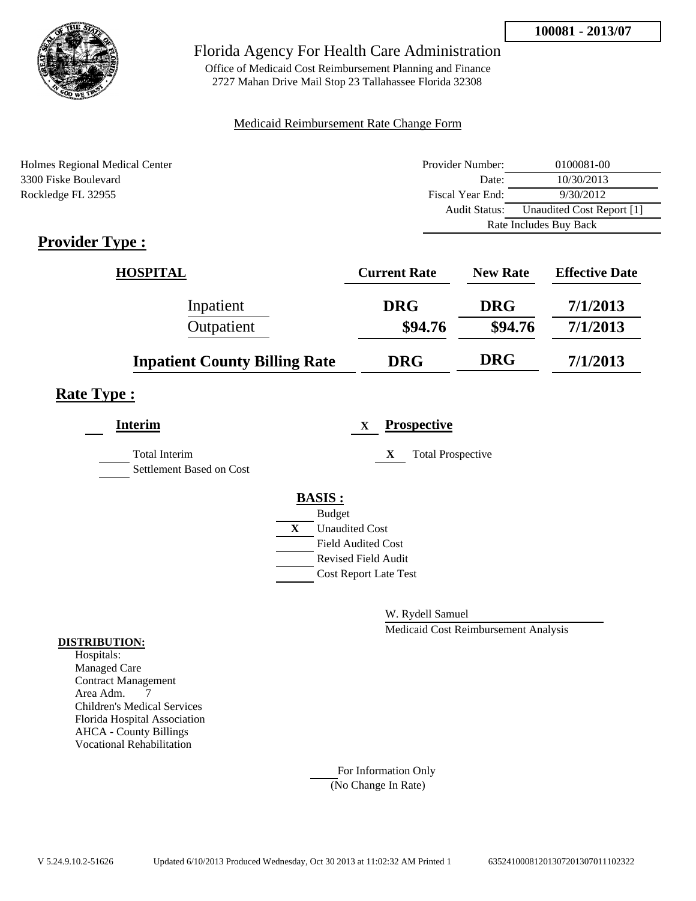

Office of Medicaid Cost Reimbursement Planning and Finance 2727 Mahan Drive Mail Stop 23 Tallahassee Florida 32308

### Medicaid Reimbursement Rate Change Form

| Holmes Regional Medical Center | Provider Number:     | 0100081-00                |  |
|--------------------------------|----------------------|---------------------------|--|
| 3300 Fiske Boulevard           | Date:                | 10/30/2013                |  |
| Rockledge FL 32955             | Fiscal Year End:     | 9/30/2012                 |  |
|                                | <b>Audit Status:</b> | Unaudited Cost Report [1] |  |
|                                |                      | Rate Includes Buy Back    |  |

# **Provider Type :**

| <b>HOSPITAL</b>                      | <b>Current Rate</b> | <b>New Rate</b> | <b>Effective Date</b> |
|--------------------------------------|---------------------|-----------------|-----------------------|
| Inpatient                            | <b>DRG</b>          | <b>DRG</b>      | 7/1/2013              |
| Outpatient                           | \$94.76             | \$94.76         | 7/1/2013              |
| <b>Inpatient County Billing Rate</b> | <b>DRG</b>          | <b>DRG</b>      | 7/1/2013              |

## **Rate Type :**

| <b>Interim</b>                                   |   | <b>Prospective</b><br>X       |
|--------------------------------------------------|---|-------------------------------|
| <b>Total Interim</b><br>Settlement Based on Cost |   | X<br><b>Total Prospective</b> |
|                                                  |   | <b>BASIS:</b>                 |
|                                                  |   | <b>Budget</b>                 |
|                                                  | X | <b>Unaudited Cost</b>         |
|                                                  |   | <b>Field Audited Cost</b>     |
|                                                  |   | Revised Field Audit           |
|                                                  |   | <b>Cost Report Late Test</b>  |
|                                                  |   |                               |

W. Rydell Samuel

Medicaid Cost Reimbursement Analysis

### **DISTRIBUTION:**

Hospitals: Managed Care Contract Management Area Adm. 7 Children's Medical Services Florida Hospital Association AHCA - County Billings Vocational Rehabilitation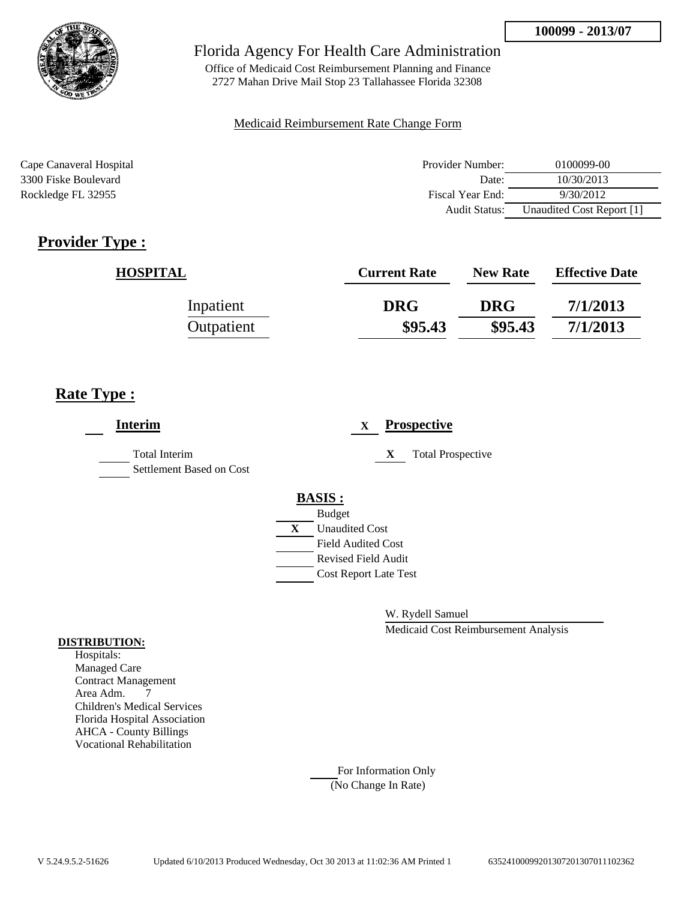

Office of Medicaid Cost Reimbursement Planning and Finance 2727 Mahan Drive Mail Stop 23 Tallahassee Florida 32308

### Medicaid Reimbursement Rate Change Form

| Cape Canaveral Hospital | Provider Number:     | 0100099-00                |
|-------------------------|----------------------|---------------------------|
| 3300 Fiske Boulevard    | Date:                | 10/30/2013                |
| Rockledge FL 32955      | Fiscal Year End:     | 9/30/2012                 |
|                         | <b>Audit Status:</b> | Unaudited Cost Report [1] |

# **Provider Type :**

| <b>HOSPITAL</b> | <b>Current Rate</b> | <b>New Rate</b> | <b>Effective Date</b> |
|-----------------|---------------------|-----------------|-----------------------|
| Inpatient       | <b>DRG</b>          | <b>DRG</b>      | 7/1/2013              |
| Outpatient      | \$95.43             | \$95.43         | 7/1/2013              |

# **Rate Type :**

| <b>Interim</b>                                   | <b>Prospective</b><br>X       |
|--------------------------------------------------|-------------------------------|
| <b>Total Interim</b><br>Settlement Based on Cost | <b>Total Prospective</b><br>X |
|                                                  | <b>BASIS:</b>                 |
|                                                  | <b>Budget</b>                 |
|                                                  | <b>Unaudited Cost</b><br>X    |
|                                                  | Field Audited Cost            |
|                                                  | Revised Field Audit           |
|                                                  | <b>Cost Report Late Test</b>  |
|                                                  |                               |

W. Rydell Samuel

Medicaid Cost Reimbursement Analysis

#### **DISTRIBUTION:**

Hospitals: Managed Care Contract Management Area Adm. 7 Children's Medical Services Florida Hospital Association AHCA - County Billings Vocational Rehabilitation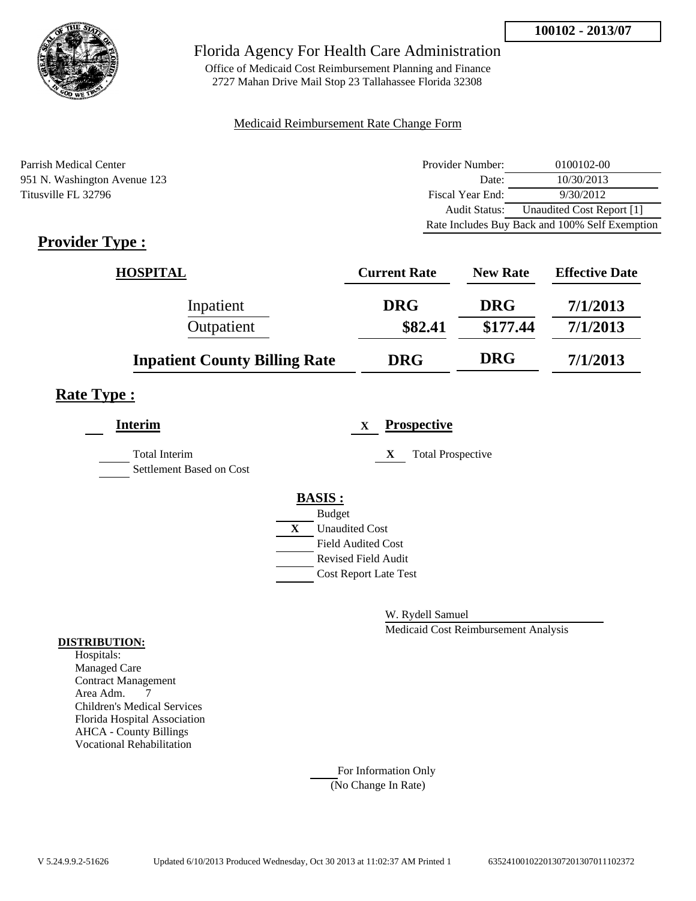

Office of Medicaid Cost Reimbursement Planning and Finance 2727 Mahan Drive Mail Stop 23 Tallahassee Florida 32308

### Medicaid Reimbursement Rate Change Form

Parrish Medical Center **Provider Number:** 0100102-00 951 N. Washington Avenue 123 Date: 10/30/2013 Titusville FL 32796 **Fiscal Year End:** 9/30/2012 Audit Status: Unaudited Cost Report [1] Rate Includes Buy Back and 100% Self Exemption

# **Provider Type :**

| <b>HOSPITAL</b>                      | <b>Current Rate</b> | <b>New Rate</b> | <b>Effective Date</b> |
|--------------------------------------|---------------------|-----------------|-----------------------|
| Inpatient                            | <b>DRG</b>          | <b>DRG</b>      | 7/1/2013              |
| Outpatient                           | \$82.41             | \$177.44        | 7/1/2013              |
| <b>Inpatient County Billing Rate</b> | <b>DRG</b>          | <b>DRG</b>      | 7/1/2013              |

### **Rate Type :**

| <b>Interim</b>                                   | <b>Prospective</b><br>$\mathbf X$ |
|--------------------------------------------------|-----------------------------------|
| <b>Total Interim</b><br>Settlement Based on Cost | <b>Total Prospective</b><br>X     |
|                                                  | <b>BASIS:</b>                     |
|                                                  | <b>Budget</b>                     |
|                                                  | X<br><b>Unaudited Cost</b>        |
|                                                  | <b>Field Audited Cost</b>         |
|                                                  | <b>Revised Field Audit</b>        |
|                                                  | <b>Cost Report Late Test</b>      |
|                                                  |                                   |
|                                                  |                                   |

W. Rydell Samuel

Medicaid Cost Reimbursement Analysis

#### **DISTRIBUTION:**

Hospitals: Managed Care Contract Management Area Adm. 7 Children's Medical Services Florida Hospital Association AHCA - County Billings Vocational Rehabilitation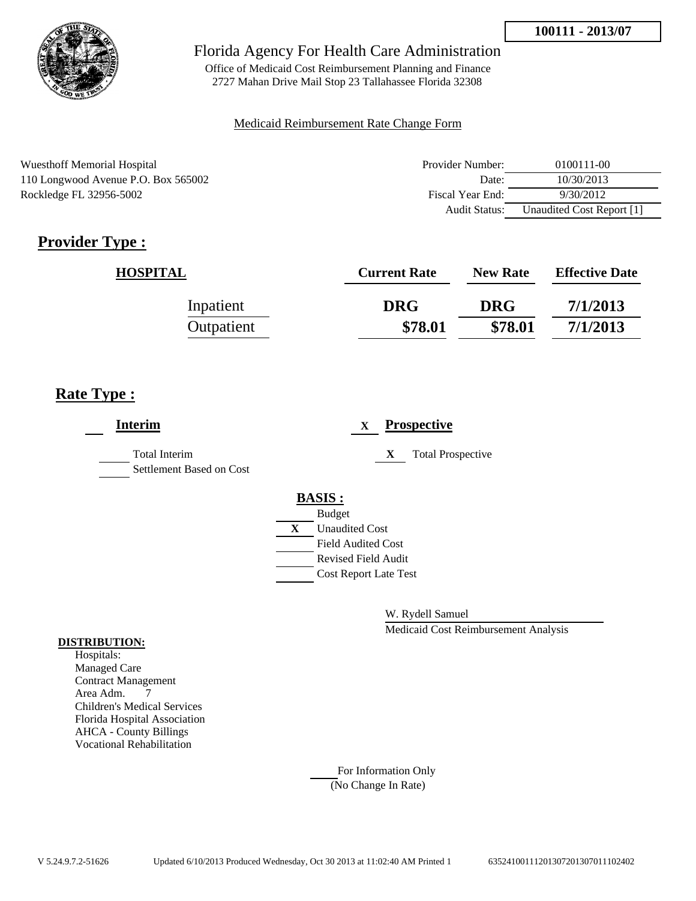

Office of Medicaid Cost Reimbursement Planning and Finance 2727 Mahan Drive Mail Stop 23 Tallahassee Florida 32308

### Medicaid Reimbursement Rate Change Form

Wuesthoff Memorial Hospital 110 Longwood Avenue P.O. Box 565002 Rockledge FL 32956-5002

| Provider Number: | 0100111-00                |
|------------------|---------------------------|
| Date:            | 10/30/2013                |
| Fiscal Year End: | 9/30/2012                 |
| Audit Status:    | Unaudited Cost Report [1] |

# **Provider Type :**

| <b>HOSPITAL</b> | <b>Current Rate</b> | <b>New Rate</b> | <b>Effective Date</b> |
|-----------------|---------------------|-----------------|-----------------------|
| Inpatient       | <b>DRG</b>          | <b>DRG</b>      | 7/1/2013              |
| Outpatient      | \$78.01             | \$78.01         | 7/1/2013              |

# **Rate Type :**

| <b>Interim</b>                                   | <b>Prospective</b><br>$\mathbf{X}$                                                        |
|--------------------------------------------------|-------------------------------------------------------------------------------------------|
| <b>Total Interim</b><br>Settlement Based on Cost | <b>Total Prospective</b><br>X                                                             |
|                                                  | <b>BASIS:</b><br><b>Budget</b><br><b>Unaudited Cost</b><br>X<br><b>Field Audited Cost</b> |
|                                                  | Revised Field Audit<br><b>Cost Report Late Test</b>                                       |

W. Rydell Samuel

Medicaid Cost Reimbursement Analysis

### **DISTRIBUTION:**

Hospitals: Managed Care Contract Management Area Adm. 7 Children's Medical Services Florida Hospital Association AHCA - County Billings Vocational Rehabilitation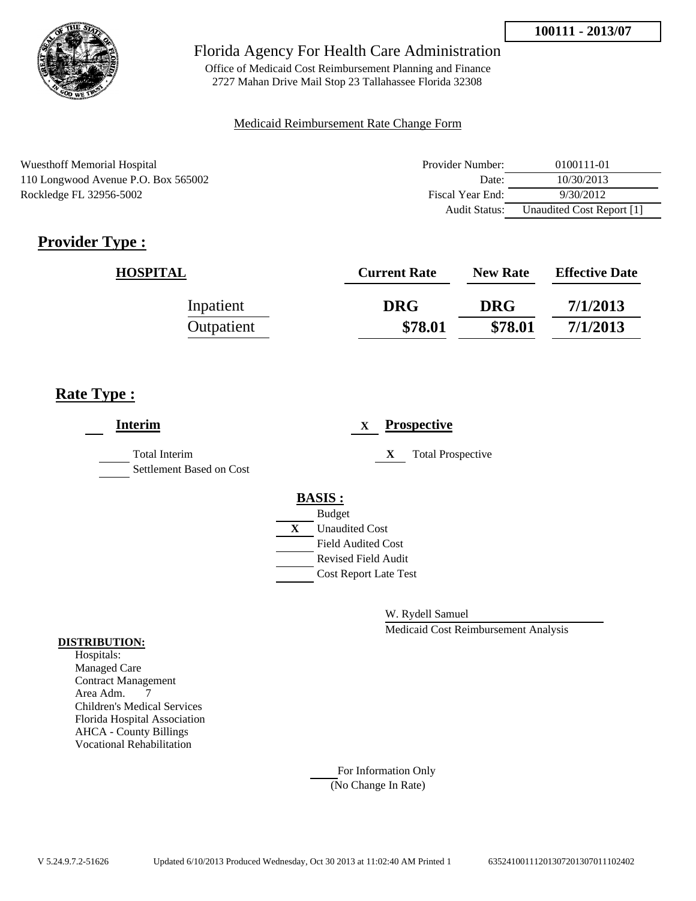

Office of Medicaid Cost Reimbursement Planning and Finance 2727 Mahan Drive Mail Stop 23 Tallahassee Florida 32308

### Medicaid Reimbursement Rate Change Form

Wuesthoff Memorial Hospital 110 Longwood Avenue P.O. Box 565002 Rockledge FL 32956-5002

| Provider Number: | 0100111-01                |
|------------------|---------------------------|
| Date:            | 10/30/2013                |
| Fiscal Year End: | 9/30/2012                 |
| Audit Status:    | Unaudited Cost Report [1] |

# **Provider Type :**

| <b>HOSPITAL</b> | <b>Current Rate</b> | <b>New Rate</b> | <b>Effective Date</b> |
|-----------------|---------------------|-----------------|-----------------------|
| Inpatient       | <b>DRG</b>          | <b>DRG</b>      | 7/1/2013              |
| Outpatient      | \$78.01             | \$78.01         | 7/1/2013              |

# **Rate Type :**

| <b>Interim</b>                                   | <b>Prospective</b><br>$\mathbf{X}$ |
|--------------------------------------------------|------------------------------------|
| <b>Total Interim</b><br>Settlement Based on Cost | <b>Total Prospective</b><br>X      |
|                                                  | <b>BASIS:</b><br><b>Budget</b>     |
|                                                  | <b>Unaudited Cost</b><br>X         |
|                                                  | <b>Field Audited Cost</b>          |
|                                                  | <b>Revised Field Audit</b>         |
|                                                  | <b>Cost Report Late Test</b>       |
|                                                  |                                    |

W. Rydell Samuel

Medicaid Cost Reimbursement Analysis

#### **DISTRIBUTION:**

Hospitals: Managed Care Contract Management Area Adm. 7 Children's Medical Services Florida Hospital Association AHCA - County Billings Vocational Rehabilitation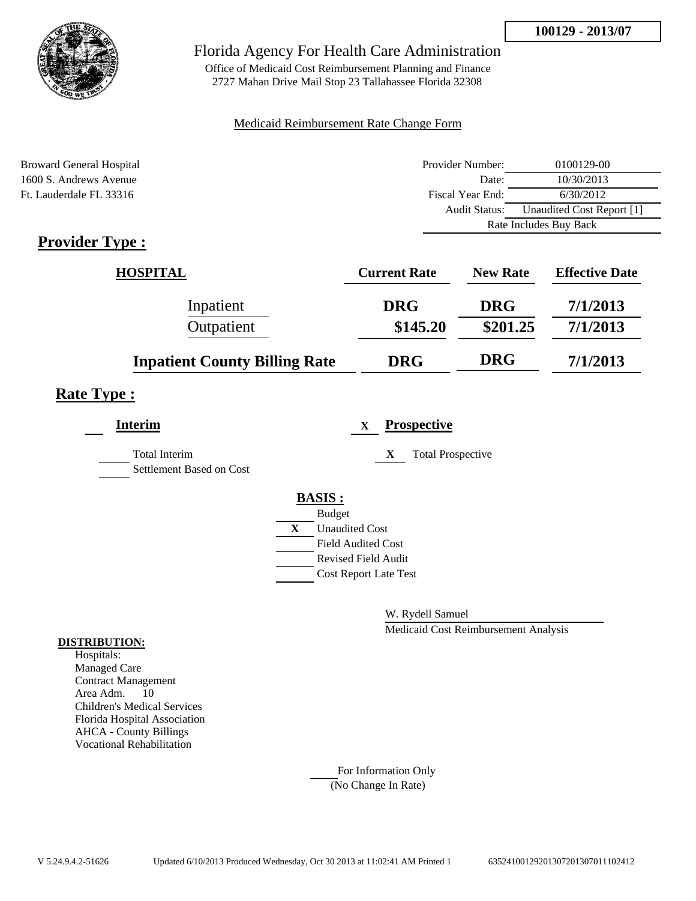

Office of Medicaid Cost Reimbursement Planning and Finance 2727 Mahan Drive Mail Stop 23 Tallahassee Florida 32308

### Medicaid Reimbursement Rate Change Form

| Broward General Hospital           | Provider Number: | 0100129-00                |  |
|------------------------------------|------------------|---------------------------|--|
| 1600 S. Andrews Avenue             | Date:            | 10/30/2013                |  |
| Ft. Lauderdale FL 33316            | Fiscal Year End: | 6/30/2012                 |  |
|                                    | Audit Status:    | Unaudited Cost Report [1] |  |
|                                    |                  | Rate Includes Buy Back    |  |
| $\sim$<br>$\overline{\phantom{a}}$ |                  |                           |  |

# **Provider Type :**

| <b>HOSPITAL</b>                      | <b>Current Rate</b> | <b>New Rate</b> | <b>Effective Date</b> |
|--------------------------------------|---------------------|-----------------|-----------------------|
| Inpatient                            | <b>DRG</b>          | <b>DRG</b>      | 7/1/2013              |
| Outpatient                           | \$145.20            | \$201.25        | 7/1/2013              |
| <b>Inpatient County Billing Rate</b> | <b>DRG</b>          | <b>DRG</b>      | 7/1/2013              |

### **Rate Type :**

| <b>Interim</b>                                   | <b>Prospective</b><br>X               |
|--------------------------------------------------|---------------------------------------|
| <b>Total Interim</b><br>Settlement Based on Cost | X<br><b>Total Prospective</b>         |
|                                                  | <b>BASIS:</b>                         |
|                                                  | <b>Budget</b>                         |
|                                                  | $\mathbf{X}$<br><b>Unaudited Cost</b> |
|                                                  | <b>Field Audited Cost</b>             |
|                                                  | <b>Revised Field Audit</b>            |
|                                                  | <b>Cost Report Late Test</b>          |
|                                                  |                                       |

W. Rydell Samuel

Medicaid Cost Reimbursement Analysis

#### **DISTRIBUTION:**

Hospitals: Managed Care Contract Management Area Adm. 10 Children's Medical Services Florida Hospital Association AHCA - County Billings Vocational Rehabilitation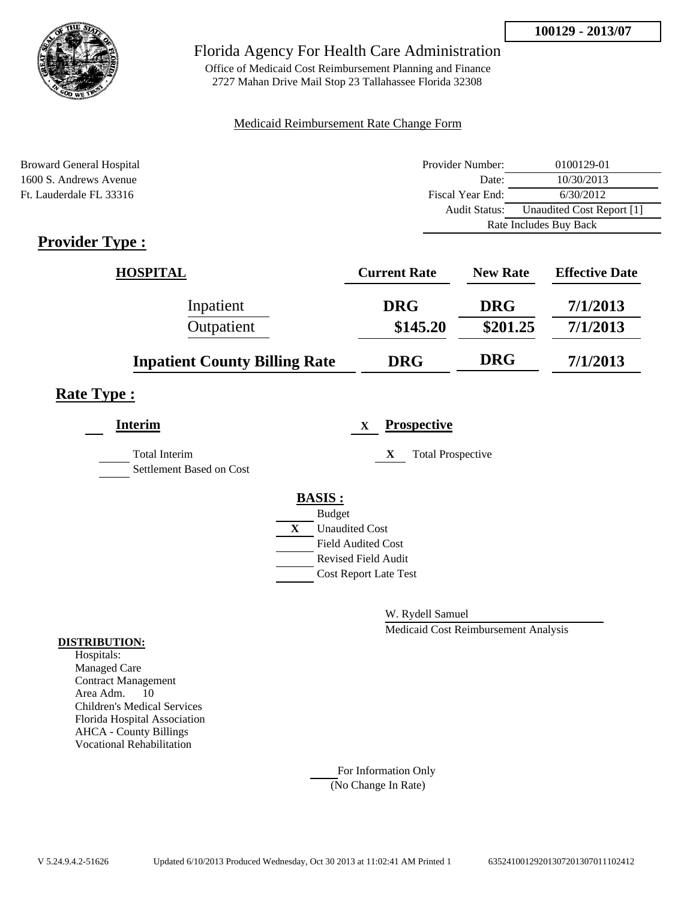

Office of Medicaid Cost Reimbursement Planning and Finance 2727 Mahan Drive Mail Stop 23 Tallahassee Florida 32308

### Medicaid Reimbursement Rate Change Form

| Broward General Hospital           | Provider Number: | 0100129-01                |  |
|------------------------------------|------------------|---------------------------|--|
| 1600 S. Andrews Avenue             | Date:            | 10/30/2013                |  |
| Ft. Lauderdale FL 33316            | Fiscal Year End: | 6/30/2012                 |  |
|                                    | Audit Status:    | Unaudited Cost Report [1] |  |
|                                    |                  | Rate Includes Buy Back    |  |
| $\sim$<br>$\overline{\phantom{a}}$ |                  |                           |  |

## **Provider Type :**

| <b>HOSPITAL</b>                      | <b>Current Rate</b> | <b>New Rate</b> | <b>Effective Date</b> |
|--------------------------------------|---------------------|-----------------|-----------------------|
| Inpatient                            | <b>DRG</b>          | <b>DRG</b>      | 7/1/2013              |
| Outpatient                           | \$145.20            | \$201.25        | 7/1/2013              |
| <b>Inpatient County Billing Rate</b> | <b>DRG</b>          | <b>DRG</b>      | 7/1/2013              |

### **Rate Type :**

| <b>Interim</b>                                   |              | <b>Prospective</b><br>$\mathbf{X}$ |
|--------------------------------------------------|--------------|------------------------------------|
| <b>Total Interim</b><br>Settlement Based on Cost |              | X<br><b>Total Prospective</b>      |
|                                                  |              | <b>BASIS:</b>                      |
|                                                  |              | <b>Budget</b>                      |
|                                                  | $\mathbf{X}$ | <b>Unaudited Cost</b>              |
|                                                  |              | <b>Field Audited Cost</b>          |
|                                                  |              | <b>Revised Field Audit</b>         |
|                                                  |              | <b>Cost Report Late Test</b>       |
|                                                  |              |                                    |

W. Rydell Samuel

Medicaid Cost Reimbursement Analysis

#### **DISTRIBUTION:**

Hospitals: Managed Care Contract Management Area Adm. 10 Children's Medical Services Florida Hospital Association AHCA - County Billings Vocational Rehabilitation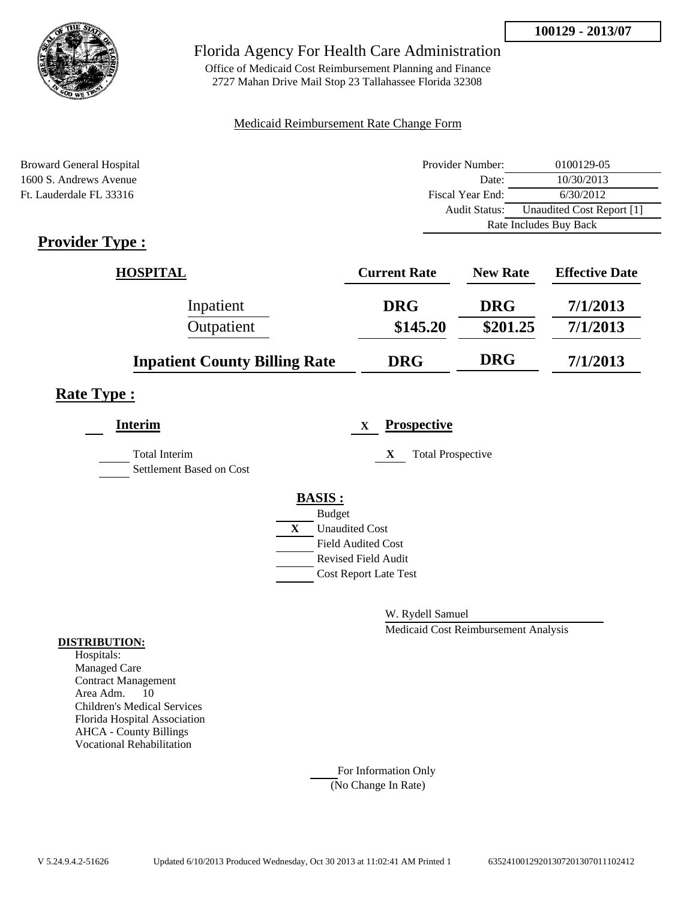

Office of Medicaid Cost Reimbursement Planning and Finance 2727 Mahan Drive Mail Stop 23 Tallahassee Florida 32308

### Medicaid Reimbursement Rate Change Form

| Broward General Hospital           | Provider Number: | 0100129-05                |  |
|------------------------------------|------------------|---------------------------|--|
| 1600 S. Andrews Avenue             | Date:            | 10/30/2013                |  |
| Ft. Lauderdale FL 33316            | Fiscal Year End: | 6/30/2012                 |  |
|                                    | Audit Status:    | Unaudited Cost Report [1] |  |
|                                    |                  | Rate Includes Buy Back    |  |
| $\sim$<br>$\overline{\phantom{a}}$ |                  |                           |  |

# **Provider Type :**

| <b>HOSPITAL</b>                      | <b>Current Rate</b> | <b>New Rate</b> | <b>Effective Date</b> |
|--------------------------------------|---------------------|-----------------|-----------------------|
| Inpatient                            | <b>DRG</b>          | <b>DRG</b>      | 7/1/2013              |
| Outpatient                           | \$145.20            | \$201.25        | 7/1/2013              |
| <b>Inpatient County Billing Rate</b> | <b>DRG</b>          | <b>DRG</b>      | 7/1/2013              |

## **Rate Type :**

| <b>Interim</b>                                   | <b>Prospective</b><br>$\mathbf{x}$    |
|--------------------------------------------------|---------------------------------------|
| <b>Total Interim</b><br>Settlement Based on Cost | <b>Total Prospective</b><br>X         |
|                                                  | <b>BASIS:</b>                         |
|                                                  | <b>Budget</b>                         |
|                                                  | $\mathbf{X}$<br><b>Unaudited Cost</b> |
|                                                  | <b>Field Audited Cost</b>             |
|                                                  | <b>Revised Field Audit</b>            |
|                                                  | <b>Cost Report Late Test</b>          |
|                                                  |                                       |

W. Rydell Samuel

Medicaid Cost Reimbursement Analysis

#### **DISTRIBUTION:**

Hospitals: Managed Care Contract Management Area Adm. 10 Children's Medical Services Florida Hospital Association AHCA - County Billings Vocational Rehabilitation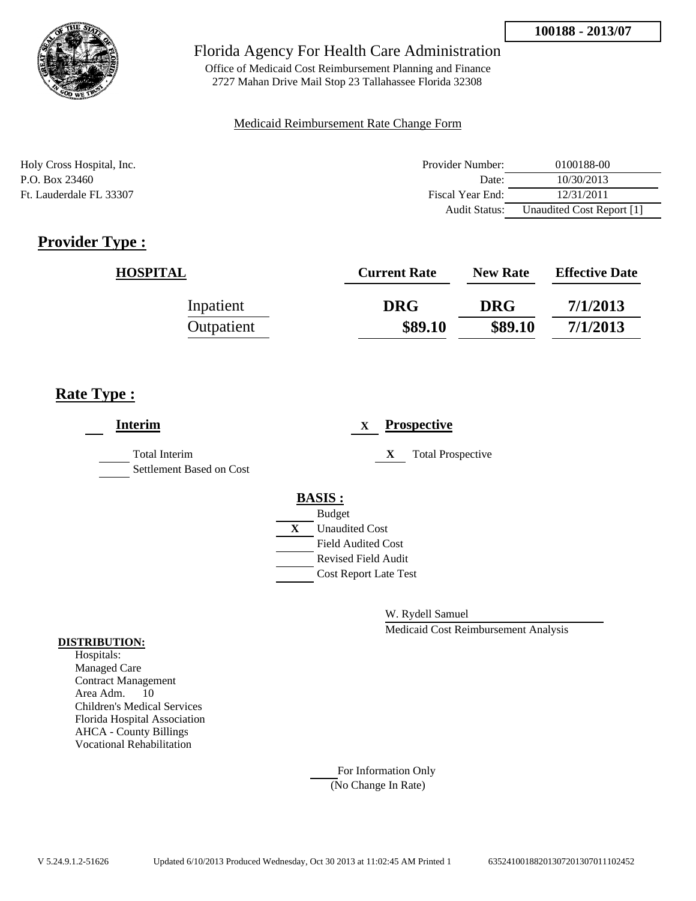

Office of Medicaid Cost Reimbursement Planning and Finance 2727 Mahan Drive Mail Stop 23 Tallahassee Florida 32308

### Medicaid Reimbursement Rate Change Form

| Holy Cross Hospital, Inc. | Provider Number:     | 0100188-00                |
|---------------------------|----------------------|---------------------------|
| P.O. Box 23460            | Date:                | 10/30/2013                |
| Ft. Lauderdale FL 33307   | Fiscal Year End:     | 12/31/2011                |
|                           | <b>Audit Status:</b> | Unaudited Cost Report [1] |

# **Provider Type :**

| <b>HOSPITAL</b> | <b>Current Rate</b> | <b>New Rate</b> | <b>Effective Date</b> |
|-----------------|---------------------|-----------------|-----------------------|
| Inpatient       | <b>DRG</b>          | <b>DRG</b>      | 7/1/2013              |
| Outpatient      | \$89.10             | \$89.10         | 7/1/2013              |

# **Rate Type :**

| <b>Interim</b>                                   | $\mathbf{X}$                 | <b>Prospective</b>       |
|--------------------------------------------------|------------------------------|--------------------------|
| <b>Total Interim</b><br>Settlement Based on Cost | X                            | <b>Total Prospective</b> |
|                                                  | <b>BASIS:</b>                |                          |
|                                                  | <b>Budget</b>                |                          |
|                                                  | X<br><b>Unaudited Cost</b>   |                          |
|                                                  | <b>Field Audited Cost</b>    |                          |
|                                                  | <b>Revised Field Audit</b>   |                          |
|                                                  | <b>Cost Report Late Test</b> |                          |
|                                                  |                              |                          |

W. Rydell Samuel

Medicaid Cost Reimbursement Analysis

#### **DISTRIBUTION:**

Hospitals: Managed Care Contract Management Area Adm. 10 Children's Medical Services Florida Hospital Association AHCA - County Billings Vocational Rehabilitation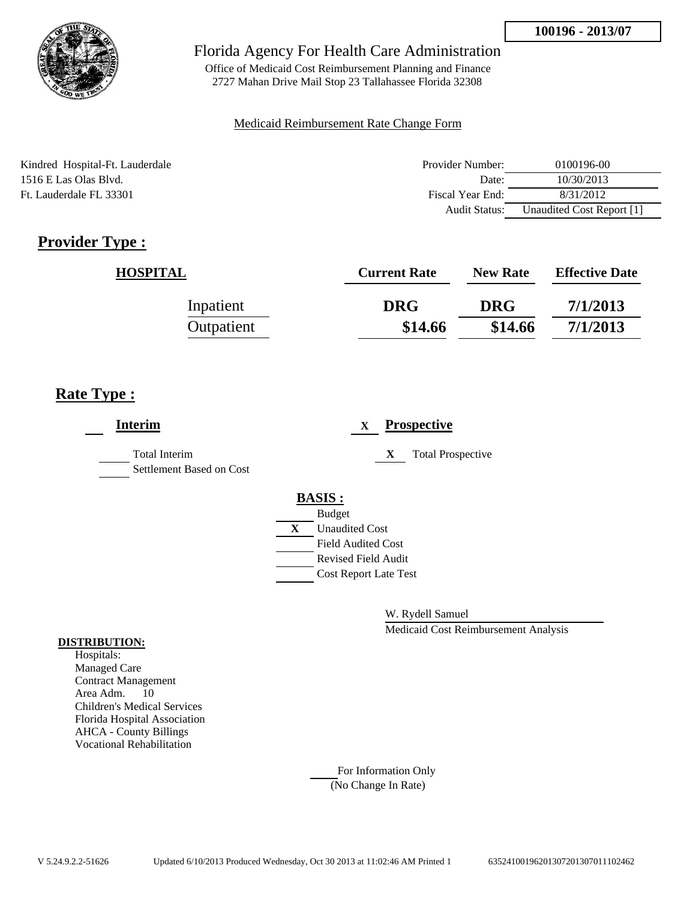

Office of Medicaid Cost Reimbursement Planning and Finance 2727 Mahan Drive Mail Stop 23 Tallahassee Florida 32308

### Medicaid Reimbursement Rate Change Form

Kindred Hospital-Ft. Lauderdale 1516 E Las Olas Blvd. Ft. Lauderdale FL 33301

| Provider Number: | 0100196-00                |
|------------------|---------------------------|
| Date:            | 10/30/2013                |
| Fiscal Year End: | 8/31/2012                 |
| Audit Status:    | Unaudited Cost Report [1] |

# **Provider Type :**

| <b>HOSPITAL</b> | <b>Current Rate</b> | <b>New Rate</b> | <b>Effective Date</b> |
|-----------------|---------------------|-----------------|-----------------------|
| Inpatient       | <b>DRG</b>          | <b>DRG</b>      | 7/1/2013              |
| Outpatient      | \$14.66             | \$14.66         | 7/1/2013              |

# **Rate Type :**

| <b>Interim</b>                                   | <b>Prospective</b><br>$\mathbf{X}$ |
|--------------------------------------------------|------------------------------------|
| <b>Total Interim</b><br>Settlement Based on Cost | <b>Total Prospective</b><br>X      |
|                                                  | <b>BASIS:</b>                      |
|                                                  | <b>Budget</b>                      |
|                                                  | X<br><b>Unaudited Cost</b>         |
|                                                  | <b>Field Audited Cost</b>          |
|                                                  | <b>Revised Field Audit</b>         |
|                                                  | <b>Cost Report Late Test</b>       |
|                                                  |                                    |

W. Rydell Samuel

Medicaid Cost Reimbursement Analysis

### **DISTRIBUTION:**

Hospitals: Managed Care Contract Management Area Adm. 10 Children's Medical Services Florida Hospital Association AHCA - County Billings Vocational Rehabilitation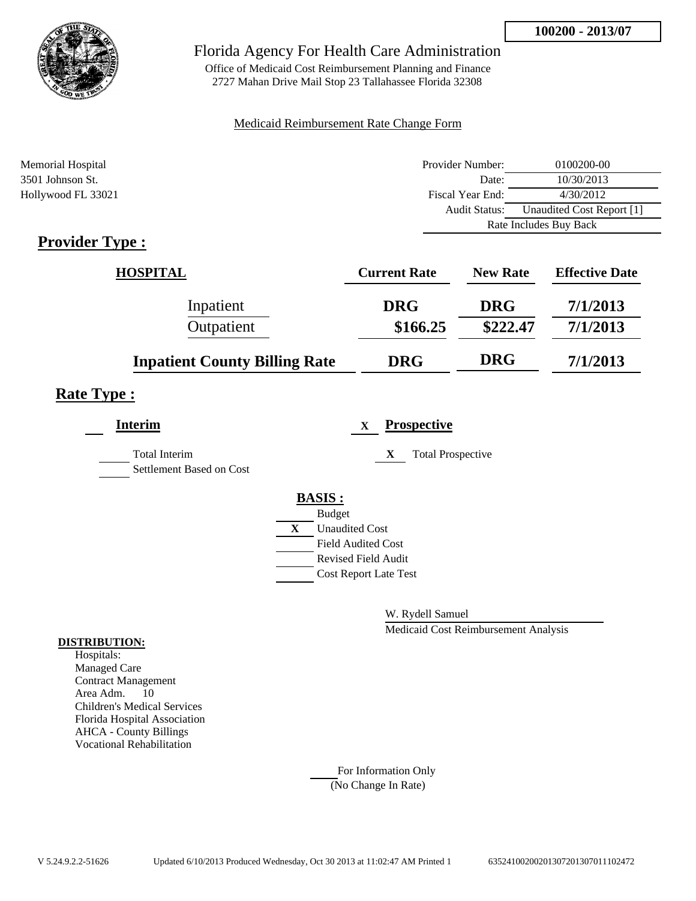

Office of Medicaid Cost Reimbursement Planning and Finance 2727 Mahan Drive Mail Stop 23 Tallahassee Florida 32308

### Medicaid Reimbursement Rate Change Form

| Memorial Hospital  | Provider Number:     | 0100200-00                |  |
|--------------------|----------------------|---------------------------|--|
| 3501 Johnson St.   | Date:                | 10/30/2013                |  |
| Hollywood FL 33021 | Fiscal Year End:     | 4/30/2012                 |  |
|                    | <b>Audit Status:</b> | Unaudited Cost Report [1] |  |
|                    |                      | Rate Includes Buy Back    |  |

# **Provider Type :**

| <b>HOSPITAL</b>                      | <b>Current Rate</b> | <b>New Rate</b> | <b>Effective Date</b> |
|--------------------------------------|---------------------|-----------------|-----------------------|
| Inpatient                            | <b>DRG</b>          | <b>DRG</b>      | 7/1/2013              |
| Outpatient                           | \$166.25            | \$222.47        | 7/1/2013              |
| <b>Inpatient County Billing Rate</b> | <b>DRG</b>          | <b>DRG</b>      | 7/1/2013              |

### **Rate Type :**

| <b>Interim</b>                                   | <b>Prospective</b><br>$\mathbf x$ |
|--------------------------------------------------|-----------------------------------|
| <b>Total Interim</b><br>Settlement Based on Cost | <b>Total Prospective</b><br>X     |
|                                                  | <b>BASIS:</b>                     |
|                                                  | <b>Budget</b>                     |
|                                                  | X<br><b>Unaudited Cost</b>        |
|                                                  | <b>Field Audited Cost</b>         |
|                                                  | <b>Revised Field Audit</b>        |
|                                                  | <b>Cost Report Late Test</b>      |
|                                                  |                                   |

W. Rydell Samuel

Medicaid Cost Reimbursement Analysis

#### **DISTRIBUTION:**

Hospitals: Managed Care Contract Management Area Adm. 10 Children's Medical Services Florida Hospital Association AHCA - County Billings Vocational Rehabilitation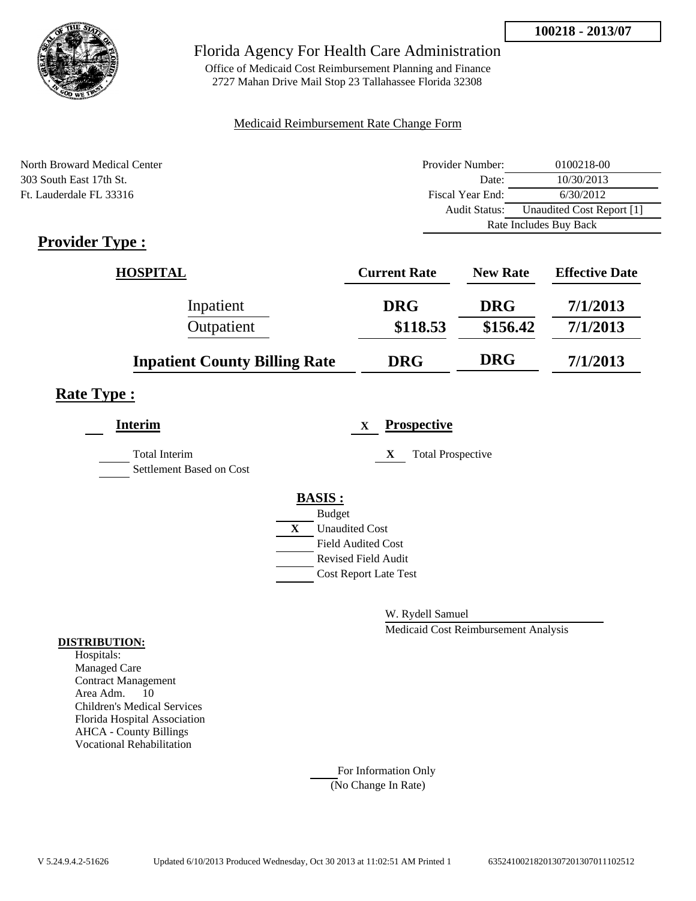

Office of Medicaid Cost Reimbursement Planning and Finance 2727 Mahan Drive Mail Stop 23 Tallahassee Florida 32308

### Medicaid Reimbursement Rate Change Form

| North Broward Medical Center | Provider Number:     | 0100218-00                |  |
|------------------------------|----------------------|---------------------------|--|
| 303 South East 17th St.      | Date:                | 10/30/2013                |  |
| Ft. Lauderdale FL 33316      | Fiscal Year End:     | 6/30/2012                 |  |
|                              | <b>Audit Status:</b> | Unaudited Cost Report [1] |  |
|                              |                      | Rate Includes Buy Back    |  |

# **Provider Type :**

| <b>HOSPITAL</b>                      | <b>Current Rate</b> | <b>New Rate</b> | <b>Effective Date</b> |
|--------------------------------------|---------------------|-----------------|-----------------------|
| Inpatient                            | <b>DRG</b>          | <b>DRG</b>      | 7/1/2013              |
| Outpatient                           | \$118.53            | \$156.42        | 7/1/2013              |
| <b>Inpatient County Billing Rate</b> | <b>DRG</b>          | <b>DRG</b>      | 7/1/2013              |

## **Rate Type :**

| <b>Interim</b>                            | <b>Prospective</b><br>$\mathbf x$ |
|-------------------------------------------|-----------------------------------|
| Total Interim<br>Settlement Based on Cost | <b>Total Prospective</b><br>X     |
|                                           | <b>BASIS:</b>                     |
|                                           | <b>Budget</b>                     |
|                                           | X<br><b>Unaudited Cost</b>        |
|                                           | <b>Field Audited Cost</b>         |
|                                           | <b>Revised Field Audit</b>        |
|                                           | <b>Cost Report Late Test</b>      |
|                                           |                                   |

W. Rydell Samuel

Medicaid Cost Reimbursement Analysis

### **DISTRIBUTION:**

Hospitals: Managed Care Contract Management Area Adm. 10 Children's Medical Services Florida Hospital Association AHCA - County Billings Vocational Rehabilitation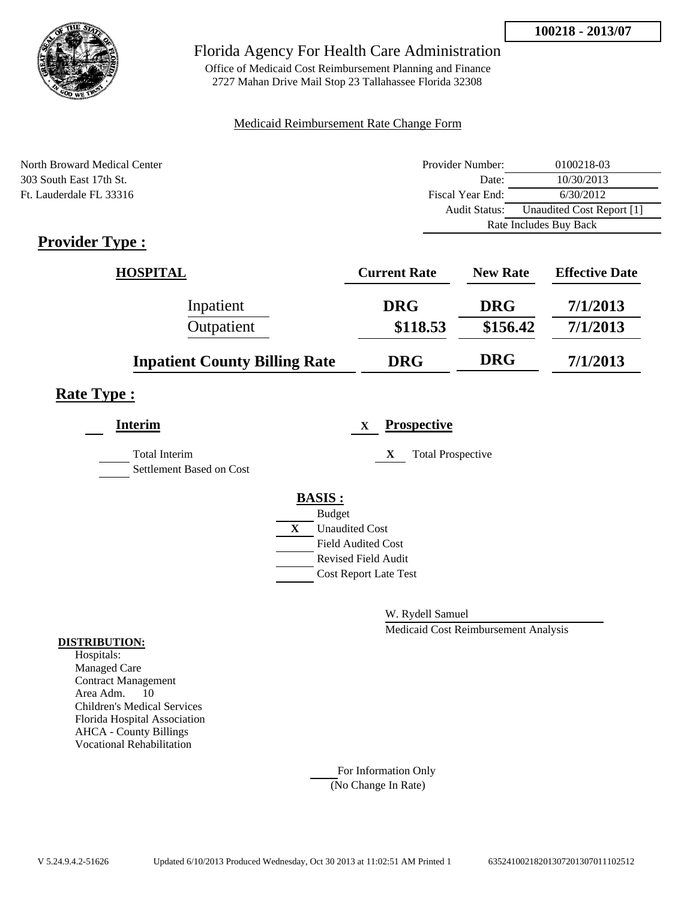

Office of Medicaid Cost Reimbursement Planning and Finance 2727 Mahan Drive Mail Stop 23 Tallahassee Florida 32308

### Medicaid Reimbursement Rate Change Form

| North Broward Medical Center | Provider Number: | 0100218-03                |  |
|------------------------------|------------------|---------------------------|--|
| 303 South East 17th St.      | Date:            | 10/30/2013                |  |
| Ft. Lauderdale FL 33316      | Fiscal Year End: | 6/30/2012                 |  |
|                              | Audit Status:    | Unaudited Cost Report [1] |  |
|                              |                  | Rate Includes Buy Back    |  |

# **Provider Type :**

| <b>HOSPITAL</b>                      | <b>Current Rate</b> | <b>New Rate</b> | <b>Effective Date</b> |
|--------------------------------------|---------------------|-----------------|-----------------------|
| Inpatient                            | <b>DRG</b>          | <b>DRG</b>      | 7/1/2013              |
| Outpatient                           | \$118.53            | \$156.42        | 7/1/2013              |
| <b>Inpatient County Billing Rate</b> | <b>DRG</b>          | <b>DRG</b>      | 7/1/2013              |

## **Rate Type :**

| <b>Interim</b>                                   |   | <b>Prospective</b><br>$\mathbf x$ |
|--------------------------------------------------|---|-----------------------------------|
| <b>Total Interim</b><br>Settlement Based on Cost |   | X<br><b>Total Prospective</b>     |
|                                                  |   | <b>BASIS:</b>                     |
|                                                  |   | <b>Budget</b>                     |
|                                                  | X | <b>Unaudited Cost</b>             |
|                                                  |   | <b>Field Audited Cost</b>         |
|                                                  |   | <b>Revised Field Audit</b>        |
|                                                  |   | <b>Cost Report Late Test</b>      |
|                                                  |   |                                   |

W. Rydell Samuel

Medicaid Cost Reimbursement Analysis

#### **DISTRIBUTION:**

Hospitals: Managed Care Contract Management Area Adm. 10 Children's Medical Services Florida Hospital Association AHCA - County Billings Vocational Rehabilitation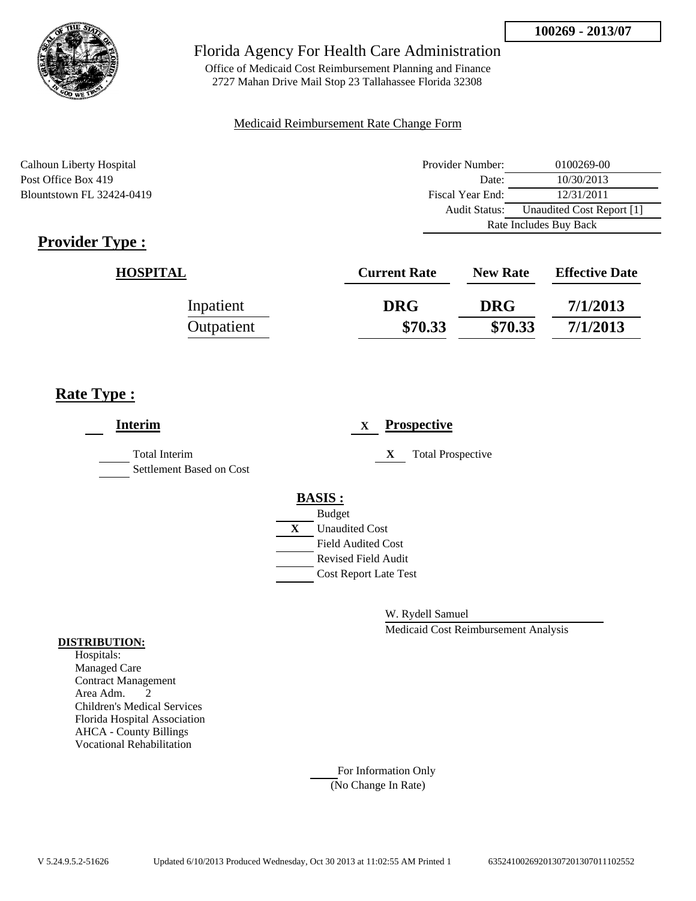

Office of Medicaid Cost Reimbursement Planning and Finance 2727 Mahan Drive Mail Stop 23 Tallahassee Florida 32308

### Medicaid Reimbursement Rate Change Form

Calhoun Liberty Hospital Post Office Box 419 Blountstown FL 32424-0419

| Provider Number:       | 0100269-00                |  |
|------------------------|---------------------------|--|
| Date:                  | 10/30/2013                |  |
| Fiscal Year End:       | 12/31/2011                |  |
| Audit Status:          | Unaudited Cost Report [1] |  |
| Rate Includes Buy Back |                           |  |

# **Provider Type :**

| <b>HOSPITAL</b> | <b>Current Rate</b> | <b>New Rate</b> | <b>Effective Date</b> |
|-----------------|---------------------|-----------------|-----------------------|
| Inpatient       | <b>DRG</b>          | <b>DRG</b>      | 7/1/2013              |
| Outpatient      | \$70.33             | \$70.33         | 7/1/2013              |

# **Rate Type :**

| <b>Interim</b>                                   | <b>Prospective</b><br>X                                                                                                                                 |
|--------------------------------------------------|---------------------------------------------------------------------------------------------------------------------------------------------------------|
| <b>Total Interim</b><br>Settlement Based on Cost | <b>Total Prospective</b><br>X                                                                                                                           |
|                                                  | <b>BASIS:</b><br><b>Budget</b><br>X<br><b>Unaudited Cost</b><br><b>Field Audited Cost</b><br><b>Revised Field Audit</b><br><b>Cost Report Late Test</b> |

W. Rydell Samuel

Medicaid Cost Reimbursement Analysis

#### **DISTRIBUTION:**

Hospitals: Managed Care Contract Management Area Adm. 2 Children's Medical Services Florida Hospital Association AHCA - County Billings Vocational Rehabilitation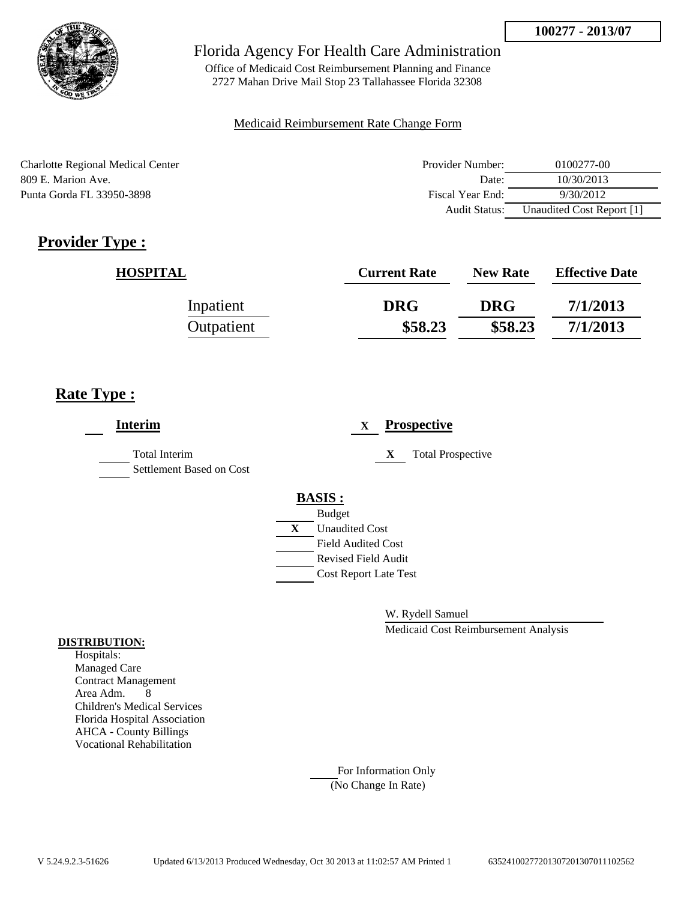

Office of Medicaid Cost Reimbursement Planning and Finance 2727 Mahan Drive Mail Stop 23 Tallahassee Florida 32308

### Medicaid Reimbursement Rate Change Form

Charlotte Regional Medical Center 809 E. Marion Ave. Punta Gorda FL 33950-3898

| Provider Number: | 0100277-00                |
|------------------|---------------------------|
| Date:            | 10/30/2013                |
| Fiscal Year End: | 9/30/2012                 |
| Audit Status:    | Unaudited Cost Report [1] |

# **Provider Type :**

| <b>HOSPITAL</b> | <b>Current Rate</b> | <b>New Rate</b> | <b>Effective Date</b> |
|-----------------|---------------------|-----------------|-----------------------|
| Inpatient       | <b>DRG</b>          | <b>DRG</b>      | 7/1/2013              |
| Outpatient      | \$58.23             | \$58.23         | 7/1/2013              |

# **Rate Type :**

| <b>Interim</b>                                   |   | <b>Prospective</b><br>$\mathbf X$ |
|--------------------------------------------------|---|-----------------------------------|
| <b>Total Interim</b><br>Settlement Based on Cost |   | <b>Total Prospective</b><br>X     |
|                                                  |   | <b>BASIS:</b>                     |
|                                                  |   | <b>Budget</b>                     |
|                                                  | X | <b>Unaudited Cost</b>             |
|                                                  |   | <b>Field Audited Cost</b>         |
|                                                  |   | <b>Revised Field Audit</b>        |
|                                                  |   | <b>Cost Report Late Test</b>      |
|                                                  |   |                                   |

W. Rydell Samuel

Medicaid Cost Reimbursement Analysis

### **DISTRIBUTION:**

Hospitals: Managed Care Contract Management Area Adm. 8 Children's Medical Services Florida Hospital Association AHCA - County Billings Vocational Rehabilitation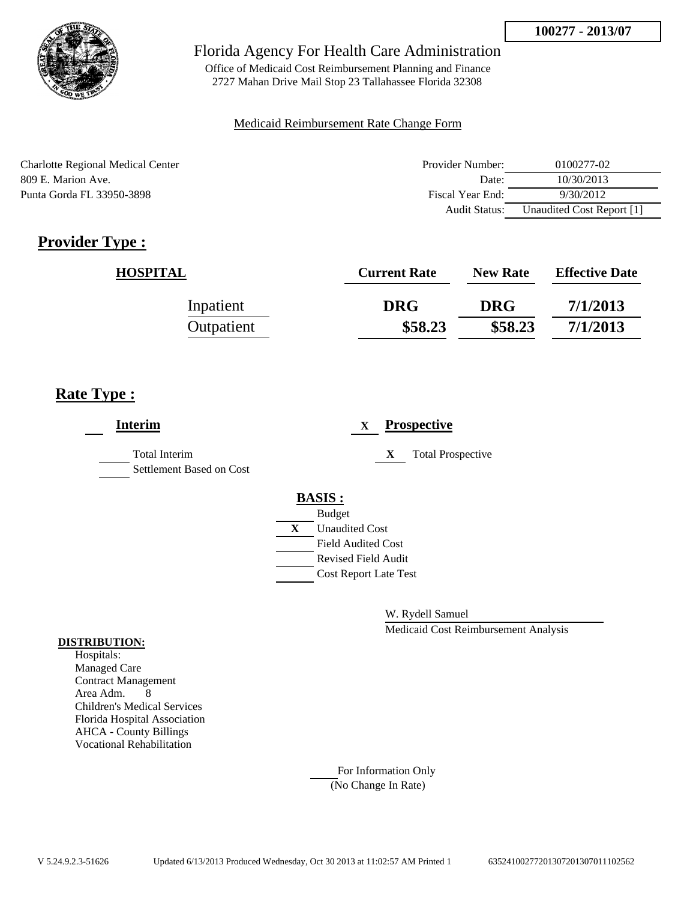

Office of Medicaid Cost Reimbursement Planning and Finance 2727 Mahan Drive Mail Stop 23 Tallahassee Florida 32308

### Medicaid Reimbursement Rate Change Form

Charlotte Regional Medical Center 809 E. Marion Ave. Punta Gorda FL 33950-3898

| Provider Number: | 0100277-02                |
|------------------|---------------------------|
| Date:            | 10/30/2013                |
| Fiscal Year End: | 9/30/2012                 |
| Audit Status:    | Unaudited Cost Report [1] |

# **Provider Type :**

| <b>HOSPITAL</b> | <b>Current Rate</b> | <b>New Rate</b> | <b>Effective Date</b> |
|-----------------|---------------------|-----------------|-----------------------|
| Inpatient       | <b>DRG</b>          | <b>DRG</b>      | 7/1/2013              |
| Outpatient      | \$58.23             | \$58.23         | 7/1/2013              |

# **Rate Type :**

| <b>Interim</b>                                   |   | <b>Prospective</b><br>$\mathbf X$ |
|--------------------------------------------------|---|-----------------------------------|
| <b>Total Interim</b><br>Settlement Based on Cost |   | <b>Total Prospective</b><br>X     |
|                                                  |   | <b>BASIS:</b>                     |
|                                                  |   | <b>Budget</b>                     |
|                                                  | X | <b>Unaudited Cost</b>             |
|                                                  |   | <b>Field Audited Cost</b>         |
|                                                  |   | <b>Revised Field Audit</b>        |
|                                                  |   | <b>Cost Report Late Test</b>      |
|                                                  |   |                                   |

W. Rydell Samuel

Medicaid Cost Reimbursement Analysis

### **DISTRIBUTION:**

Hospitals: Managed Care Contract Management Area Adm. 8 Children's Medical Services Florida Hospital Association AHCA - County Billings Vocational Rehabilitation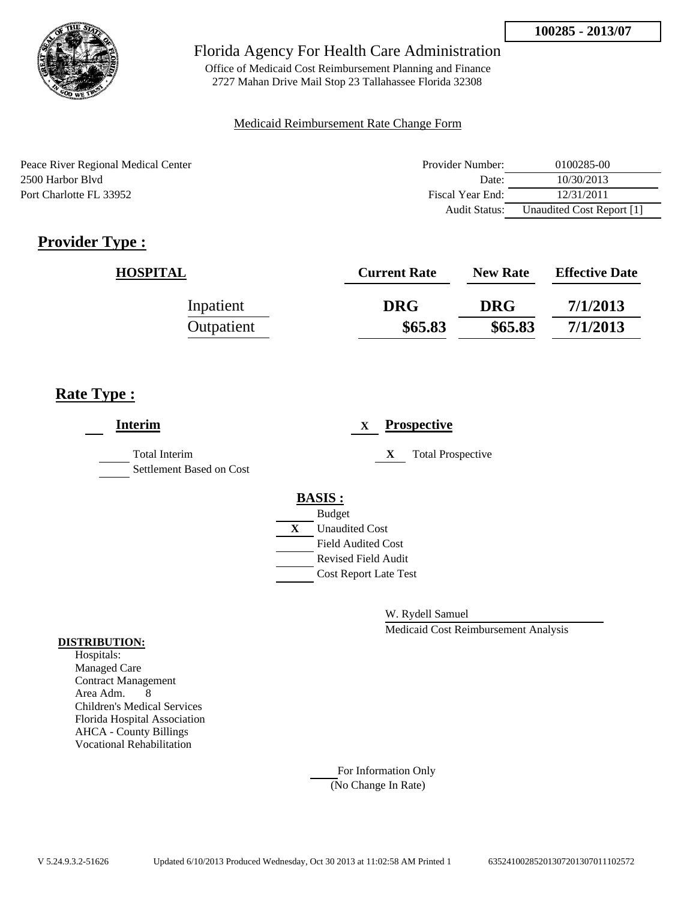

Office of Medicaid Cost Reimbursement Planning and Finance 2727 Mahan Drive Mail Stop 23 Tallahassee Florida 32308

#### Medicaid Reimbursement Rate Change Form

Peace River Regional Medical Center 2500 Harbor Blvd Port Charlotte FL 33952

| Provider Number: | 0100285-00                |
|------------------|---------------------------|
| Date:            | 10/30/2013                |
| Fiscal Year End: | 12/31/2011                |
| Audit Status:    | Unaudited Cost Report [1] |

# **Provider Type :**

| <b>HOSPITAL</b> | <b>Current Rate</b> | <b>New Rate</b> | <b>Effective Date</b> |
|-----------------|---------------------|-----------------|-----------------------|
| Inpatient       | <b>DRG</b>          | <b>DRG</b>      | 7/1/2013              |
| Outpatient      | \$65.83             | \$65.83         | 7/1/2013              |

# **Rate Type :**

| <b>Interim</b>                            | <b>Prospective</b><br>X                     |
|-------------------------------------------|---------------------------------------------|
| Total Interim<br>Settlement Based on Cost | <b>Total Prospective</b><br>X               |
|                                           | <b>BASIS:</b>                               |
|                                           | <b>Budget</b><br>X<br><b>Unaudited Cost</b> |
|                                           | <b>Field Audited Cost</b>                   |
|                                           | <b>Revised Field Audit</b>                  |
|                                           | <b>Cost Report Late Test</b>                |
|                                           |                                             |

W. Rydell Samuel

Medicaid Cost Reimbursement Analysis

#### **DISTRIBUTION:**

Hospitals: Managed Care Contract Management Area Adm. 8 Children's Medical Services Florida Hospital Association AHCA - County Billings Vocational Rehabilitation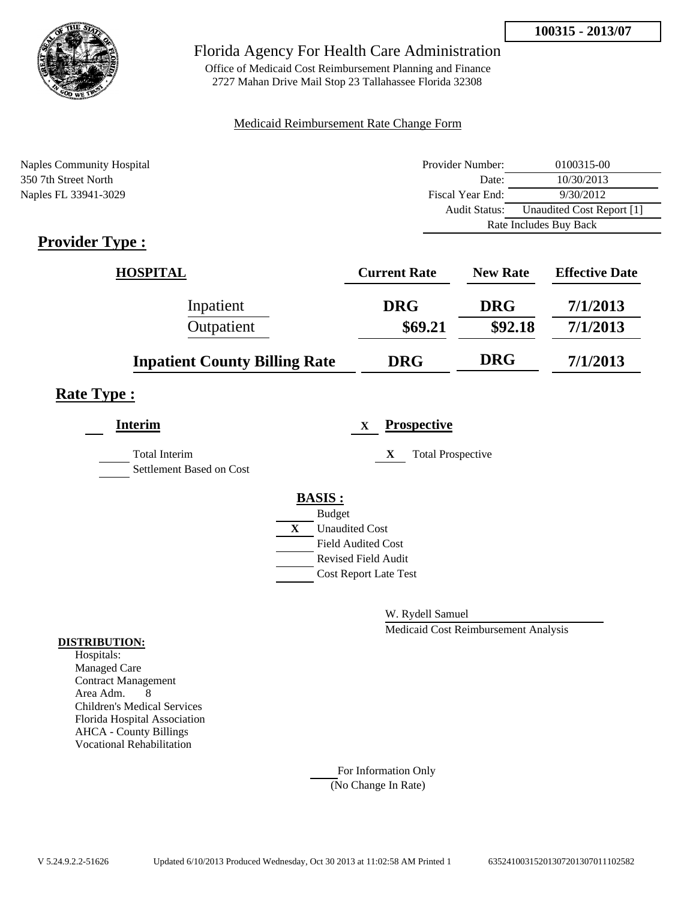

Office of Medicaid Cost Reimbursement Planning and Finance 2727 Mahan Drive Mail Stop 23 Tallahassee Florida 32308

#### Medicaid Reimbursement Rate Change Form

| <b>Naples Community Hospital</b> | Provider Number:       | 0100315-00                |
|----------------------------------|------------------------|---------------------------|
| 350 7th Street North             | Date:                  | 10/30/2013                |
| Naples FL 33941-3029             | Fiscal Year End:       | 9/30/2012                 |
|                                  | Audit Status:          | Unaudited Cost Report [1] |
|                                  | Rate Includes Buy Back |                           |

# **Provider Type :**

| <b>HOSPITAL</b>                      | <b>Current Rate</b> | <b>New Rate</b> | <b>Effective Date</b> |
|--------------------------------------|---------------------|-----------------|-----------------------|
| Inpatient                            | <b>DRG</b>          | <b>DRG</b>      | 7/1/2013              |
| Outpatient                           | \$69.21             | \$92.18         | 7/1/2013              |
| <b>Inpatient County Billing Rate</b> | <b>DRG</b>          | <b>DRG</b>      | 7/1/2013              |

# **Rate Type :**

| <b>Interim</b>                            | <b>Prospective</b><br>X               |  |
|-------------------------------------------|---------------------------------------|--|
| Total Interim<br>Settlement Based on Cost | <b>Total Prospective</b><br>X         |  |
|                                           | <b>BASIS:</b>                         |  |
|                                           | <b>Budget</b>                         |  |
|                                           | $\mathbf{X}$<br><b>Unaudited Cost</b> |  |
|                                           | <b>Field Audited Cost</b>             |  |
|                                           | <b>Revised Field Audit</b>            |  |
|                                           | <b>Cost Report Late Test</b>          |  |
|                                           |                                       |  |

W. Rydell Samuel

Medicaid Cost Reimbursement Analysis

#### **DISTRIBUTION:**

Hospitals: Managed Care Contract Management Area Adm. 8 Children's Medical Services Florida Hospital Association AHCA - County Billings Vocational Rehabilitation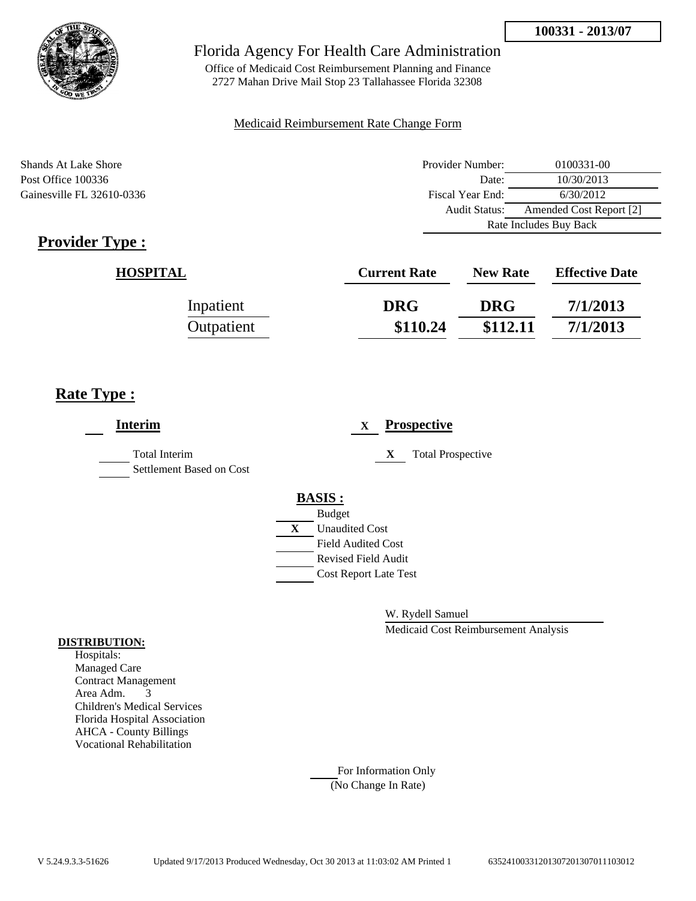

Office of Medicaid Cost Reimbursement Planning and Finance 2727 Mahan Drive Mail Stop 23 Tallahassee Florida 32308

#### Medicaid Reimbursement Rate Change Form

Shands At Lake Shore Post Office 100336 Gainesville FL 32610-0336

| Provider Number:                         | 0100331-00 |  |
|------------------------------------------|------------|--|
| Date:                                    | 10/30/2013 |  |
| Fiscal Year End:                         | 6/30/2012  |  |
| Amended Cost Report [2]<br>Audit Status: |            |  |
| Rate Includes Buy Back                   |            |  |

# **Provider Type :**

| <b>HOSPITAL</b> | <b>Current Rate</b> | <b>New Rate</b> | <b>Effective Date</b> |
|-----------------|---------------------|-----------------|-----------------------|
| Inpatient       | <b>DRG</b>          | <b>DRG</b>      | 7/1/2013              |
| Outpatient      | \$110.24            | \$112.11        | 7/1/2013              |

# **Rate Type :**

| <b>Interim</b>                                   |                    | <b>Prospective</b><br>X       |  |
|--------------------------------------------------|--------------------|-------------------------------|--|
| <b>Total Interim</b><br>Settlement Based on Cost |                    | <b>Total Prospective</b><br>X |  |
|                                                  | <b>BASIS:</b>      |                               |  |
|                                                  | <b>Budget</b><br>X | <b>Unaudited Cost</b>         |  |
|                                                  |                    | <b>Field Audited Cost</b>     |  |
|                                                  |                    | <b>Revised Field Audit</b>    |  |
|                                                  |                    | <b>Cost Report Late Test</b>  |  |
|                                                  |                    |                               |  |

W. Rydell Samuel

Medicaid Cost Reimbursement Analysis

#### **DISTRIBUTION:**

Hospitals: Managed Care Contract Management Area Adm. 3 Children's Medical Services Florida Hospital Association AHCA - County Billings Vocational Rehabilitation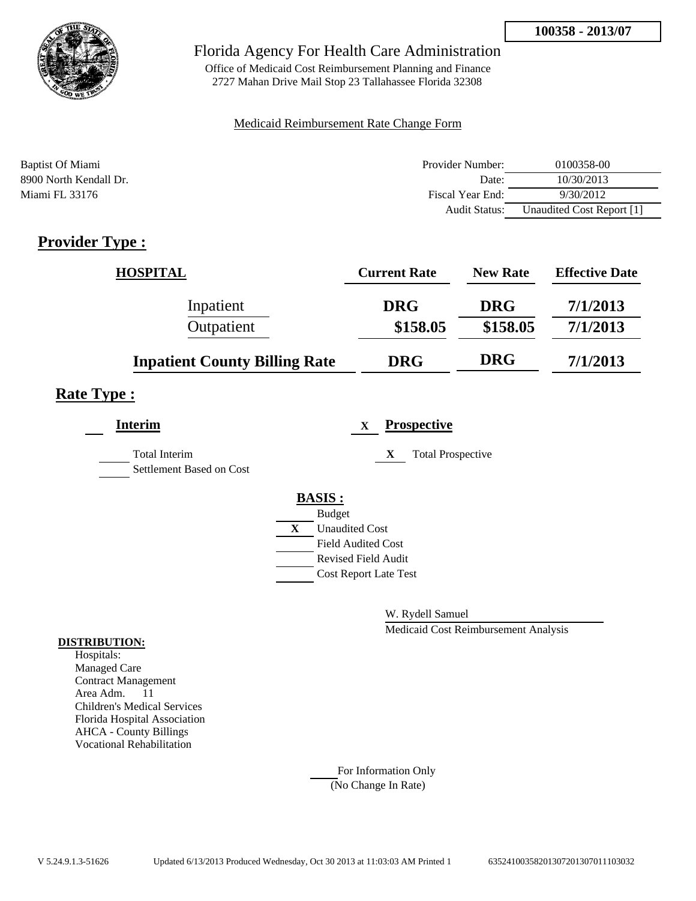

Office of Medicaid Cost Reimbursement Planning and Finance 2727 Mahan Drive Mail Stop 23 Tallahassee Florida 32308

#### Medicaid Reimbursement Rate Change Form

| Baptist Of Miami       | Provider Number:     | 0100358-00                |
|------------------------|----------------------|---------------------------|
| 8900 North Kendall Dr. | Date:                | 10/30/2013                |
| Miami FL 33176         | Fiscal Year End:     | 9/30/2012                 |
|                        | <b>Audit Status:</b> | Unaudited Cost Report [1] |

# **Provider Type :**

| <b>HOSPITAL</b>                      | <b>Current Rate</b> | <b>New Rate</b> | <b>Effective Date</b> |
|--------------------------------------|---------------------|-----------------|-----------------------|
| Inpatient                            | <b>DRG</b>          | <b>DRG</b>      | 7/1/2013              |
| Outpatient                           | \$158.05            | \$158.05        | 7/1/2013              |
| <b>Inpatient County Billing Rate</b> | <b>DRG</b>          | <b>DRG</b>      | 7/1/2013              |

# **Rate Type :**

| <b>Interim</b>                                   |   | <b>Prospective</b><br>$\mathbf{X}$ |
|--------------------------------------------------|---|------------------------------------|
| <b>Total Interim</b><br>Settlement Based on Cost |   | <b>Total Prospective</b><br>X      |
|                                                  |   | <b>BASIS:</b>                      |
|                                                  |   | <b>Budget</b>                      |
|                                                  | X | <b>Unaudited Cost</b>              |
|                                                  |   | <b>Field Audited Cost</b>          |
|                                                  |   | <b>Revised Field Audit</b>         |
|                                                  |   | <b>Cost Report Late Test</b>       |
|                                                  |   |                                    |

W. Rydell Samuel

Medicaid Cost Reimbursement Analysis

#### **DISTRIBUTION:**

Hospitals: Managed Care Contract Management Area Adm. 11 Children's Medical Services Florida Hospital Association AHCA - County Billings Vocational Rehabilitation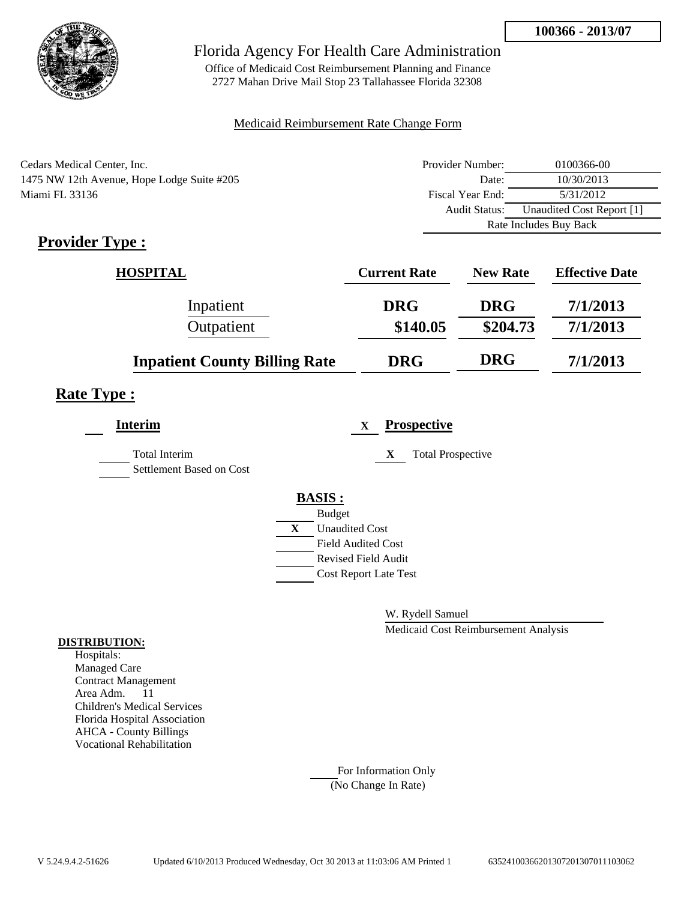

Office of Medicaid Cost Reimbursement Planning and Finance 2727 Mahan Drive Mail Stop 23 Tallahassee Florida 32308

#### Medicaid Reimbursement Rate Change Form

| Cedars Medical Center, Inc.                | Provider Number: | 0100366-00                |
|--------------------------------------------|------------------|---------------------------|
| 1475 NW 12th Avenue, Hope Lodge Suite #205 | Date:            | 10/30/2013                |
| Miami FL 33136                             | Fiscal Year End: | 5/31/2012                 |
|                                            | Audit Status:    | Unaudited Cost Report [1] |
|                                            |                  | Rate Includes Buy Back    |

# **Provider Type :**

| <b>HOSPITAL</b>                      | <b>Current Rate</b> | <b>New Rate</b> | <b>Effective Date</b> |
|--------------------------------------|---------------------|-----------------|-----------------------|
| Inpatient                            | <b>DRG</b>          | <b>DRG</b>      | 7/1/2013              |
| Outpatient                           | \$140.05            | \$204.73        | 7/1/2013              |
| <b>Inpatient County Billing Rate</b> | <b>DRG</b>          | <b>DRG</b>      | 7/1/2013              |

# **Rate Type :**

| <b>Interim</b>                            | <b>Prospective</b><br>$\mathbf x$ |  |
|-------------------------------------------|-----------------------------------|--|
| Total Interim<br>Settlement Based on Cost | <b>Total Prospective</b><br>X     |  |
|                                           | <b>BASIS:</b>                     |  |
|                                           | <b>Budget</b>                     |  |
|                                           | X<br><b>Unaudited Cost</b>        |  |
|                                           | <b>Field Audited Cost</b>         |  |
|                                           | <b>Revised Field Audit</b>        |  |
|                                           | <b>Cost Report Late Test</b>      |  |
|                                           |                                   |  |

W. Rydell Samuel

Medicaid Cost Reimbursement Analysis

#### **DISTRIBUTION:**

Hospitals: Managed Care Contract Management Area Adm. 11 Children's Medical Services Florida Hospital Association AHCA - County Billings Vocational Rehabilitation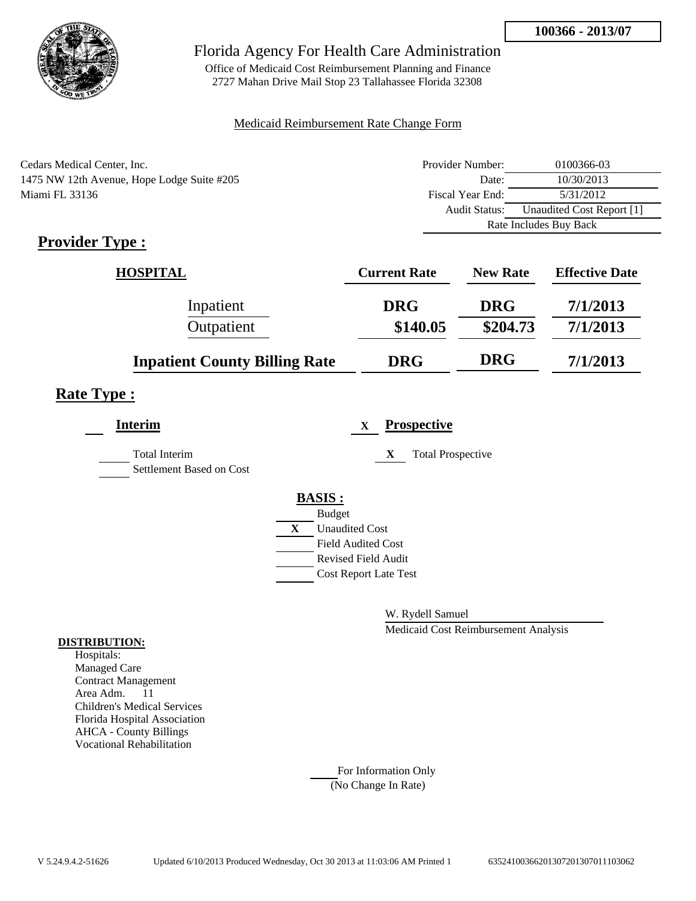

Office of Medicaid Cost Reimbursement Planning and Finance 2727 Mahan Drive Mail Stop 23 Tallahassee Florida 32308

#### Medicaid Reimbursement Rate Change Form

| Cedars Medical Center, Inc.                | Provider Number:     | 0100366-03                |
|--------------------------------------------|----------------------|---------------------------|
| 1475 NW 12th Avenue, Hope Lodge Suite #205 | Date:                | 10/30/2013                |
| Miami FL 33136                             | Fiscal Year End:     | 5/31/2012                 |
|                                            | <b>Audit Status:</b> | Unaudited Cost Report [1] |
|                                            |                      | Rate Includes Buy Back    |

# **Provider Type :**

| <b>HOSPITAL</b>                      | <b>Current Rate</b> | <b>New Rate</b> | <b>Effective Date</b> |
|--------------------------------------|---------------------|-----------------|-----------------------|
| Inpatient                            | <b>DRG</b>          | <b>DRG</b>      | 7/1/2013              |
| Outpatient                           | \$140.05            | \$204.73        | 7/1/2013              |
| <b>Inpatient County Billing Rate</b> | <b>DRG</b>          | <b>DRG</b>      | 7/1/2013              |

# **Rate Type :**

| <b>Interim</b>                                   | <b>Prospective</b><br>$\mathbf x$     |
|--------------------------------------------------|---------------------------------------|
| <b>Total Interim</b><br>Settlement Based on Cost | X<br><b>Total Prospective</b>         |
|                                                  | <b>BASIS:</b>                         |
|                                                  | <b>Budget</b>                         |
|                                                  | $\mathbf{X}$<br><b>Unaudited Cost</b> |
|                                                  | <b>Field Audited Cost</b>             |
|                                                  | <b>Revised Field Audit</b>            |
|                                                  | <b>Cost Report Late Test</b>          |
|                                                  |                                       |

W. Rydell Samuel

Medicaid Cost Reimbursement Analysis

#### **DISTRIBUTION:**

Hospitals: Managed Care Contract Management Area Adm. 11 Children's Medical Services Florida Hospital Association AHCA - County Billings Vocational Rehabilitation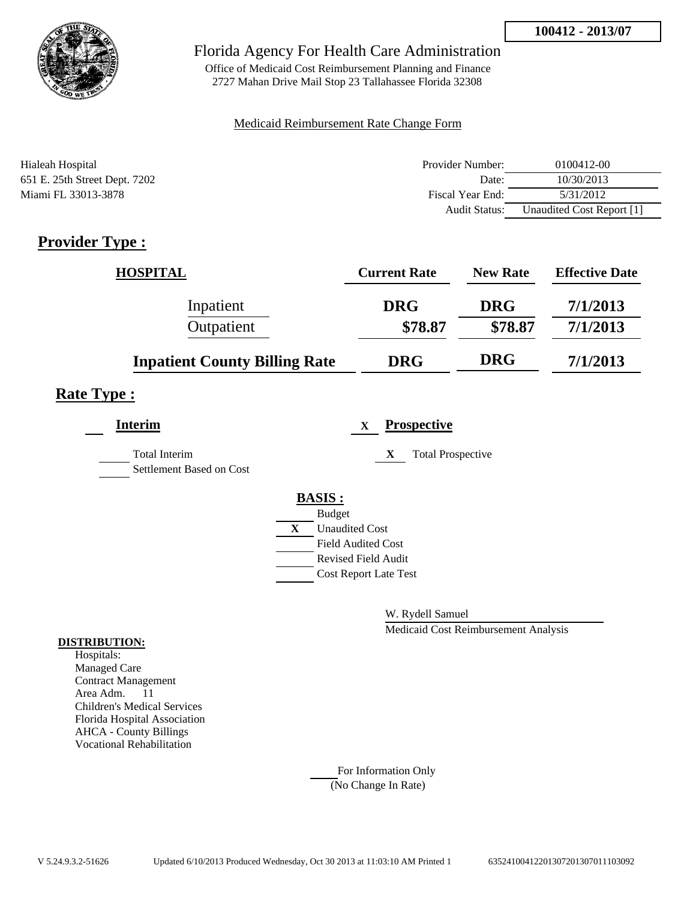

Office of Medicaid Cost Reimbursement Planning and Finance 2727 Mahan Drive Mail Stop 23 Tallahassee Florida 32308

#### Medicaid Reimbursement Rate Change Form

| Hialeah Hospital              | Provider Number: | 0100412-00                |
|-------------------------------|------------------|---------------------------|
| 651 E. 25th Street Dept. 7202 | Date:            | 10/30/2013                |
| Miami FL 33013-3878           | Fiscal Year End: | 5/31/2012                 |
|                               | Audit Status:    | Unaudited Cost Report [1] |

# **Provider Type :**

| <b>HOSPITAL</b>                      | <b>Current Rate</b> | <b>New Rate</b> | <b>Effective Date</b> |
|--------------------------------------|---------------------|-----------------|-----------------------|
| Inpatient                            | <b>DRG</b>          | <b>DRG</b>      | 7/1/2013              |
| Outpatient                           | \$78.87             | \$78.87         | 7/1/2013              |
| <b>Inpatient County Billing Rate</b> | <b>DRG</b>          | <b>DRG</b>      | 7/1/2013              |

# **Rate Type :**

| <b>Interim</b>                                   |   |                              | X | <b>Prospective</b>            |
|--------------------------------------------------|---|------------------------------|---|-------------------------------|
| <b>Total Interim</b><br>Settlement Based on Cost |   |                              |   | X<br><b>Total Prospective</b> |
|                                                  |   | <b>BASIS:</b>                |   |                               |
|                                                  |   | <b>Budget</b>                |   |                               |
|                                                  | X | <b>Unaudited Cost</b>        |   |                               |
|                                                  |   | <b>Field Audited Cost</b>    |   |                               |
|                                                  |   | <b>Revised Field Audit</b>   |   |                               |
|                                                  |   | <b>Cost Report Late Test</b> |   |                               |
|                                                  |   |                              |   |                               |

W. Rydell Samuel

Medicaid Cost Reimbursement Analysis

#### **DISTRIBUTION:**

Hospitals: Managed Care Contract Management Area Adm. 11 Children's Medical Services Florida Hospital Association AHCA - County Billings Vocational Rehabilitation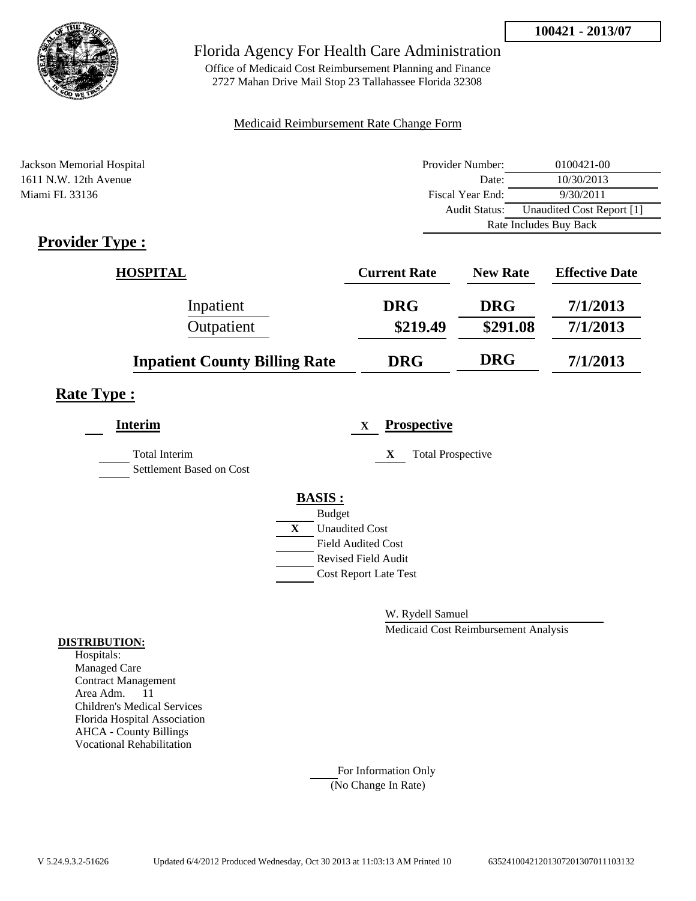

Office of Medicaid Cost Reimbursement Planning and Finance 2727 Mahan Drive Mail Stop 23 Tallahassee Florida 32308

#### Medicaid Reimbursement Rate Change Form

| Jackson Memorial Hospital | Provider Number:     | 0100421-00                |
|---------------------------|----------------------|---------------------------|
| 1611 N.W. 12th Avenue     | Date:                | 10/30/2013                |
| Miami FL 33136            | Fiscal Year End:     | 9/30/2011                 |
|                           | <b>Audit Status:</b> | Unaudited Cost Report [1] |
|                           |                      | Rate Includes Buy Back    |

# **Provider Type :**

| <b>HOSPITAL</b>                      | <b>Current Rate</b> | <b>New Rate</b> | <b>Effective Date</b> |
|--------------------------------------|---------------------|-----------------|-----------------------|
| Inpatient                            | <b>DRG</b>          | <b>DRG</b>      | 7/1/2013              |
| Outpatient                           | \$219.49            | \$291.08        | 7/1/2013              |
| <b>Inpatient County Billing Rate</b> | <b>DRG</b>          | <b>DRG</b>      | 7/1/2013              |

## **Rate Type :**

| <b>Interim</b>                                   | <b>Prospective</b><br>$\mathbf x$     |
|--------------------------------------------------|---------------------------------------|
| <b>Total Interim</b><br>Settlement Based on Cost | X<br><b>Total Prospective</b>         |
|                                                  | <b>BASIS:</b>                         |
|                                                  | <b>Budget</b>                         |
|                                                  | $\mathbf{X}$<br><b>Unaudited Cost</b> |
|                                                  | <b>Field Audited Cost</b>             |
|                                                  | <b>Revised Field Audit</b>            |
|                                                  | <b>Cost Report Late Test</b>          |
|                                                  |                                       |

W. Rydell Samuel

Medicaid Cost Reimbursement Analysis

#### **DISTRIBUTION:**

Hospitals: Managed Care Contract Management Area Adm. 11 Children's Medical Services Florida Hospital Association AHCA - County Billings Vocational Rehabilitation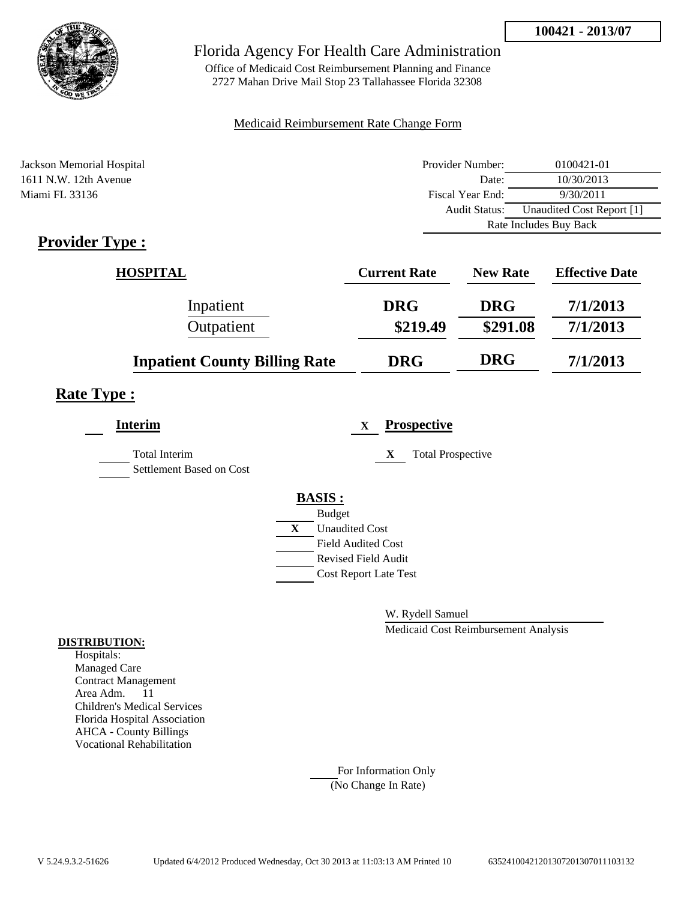

Office of Medicaid Cost Reimbursement Planning and Finance 2727 Mahan Drive Mail Stop 23 Tallahassee Florida 32308

#### Medicaid Reimbursement Rate Change Form

| Jackson Memorial Hospital | Provider Number:     | 0100421-01                |
|---------------------------|----------------------|---------------------------|
| 1611 N.W. 12th Avenue     | Date:                | 10/30/2013                |
| Miami FL 33136            | Fiscal Year End:     | 9/30/2011                 |
|                           | <b>Audit Status:</b> | Unaudited Cost Report [1] |
|                           |                      | Rate Includes Buy Back    |
|                           |                      |                           |

# **Provider Type :**

| <b>HOSPITAL</b>                      | <b>Current Rate</b> | <b>New Rate</b> | <b>Effective Date</b> |
|--------------------------------------|---------------------|-----------------|-----------------------|
| Inpatient                            | <b>DRG</b>          | <b>DRG</b>      | 7/1/2013              |
| Outpatient                           | \$219.49            | \$291.08        | 7/1/2013              |
| <b>Inpatient County Billing Rate</b> | <b>DRG</b>          | <b>DRG</b>      | 7/1/2013              |

## **Rate Type :**

| <b>Interim</b>                                   | <b>Prospective</b><br>$\mathbf x$ |
|--------------------------------------------------|-----------------------------------|
| <b>Total Interim</b><br>Settlement Based on Cost | X<br><b>Total Prospective</b>     |
|                                                  | <b>BASIS:</b>                     |
|                                                  | <b>Budget</b>                     |
|                                                  | X<br><b>Unaudited Cost</b>        |
|                                                  | <b>Field Audited Cost</b>         |
|                                                  | <b>Revised Field Audit</b>        |
|                                                  | <b>Cost Report Late Test</b>      |
|                                                  |                                   |

W. Rydell Samuel

Medicaid Cost Reimbursement Analysis

#### **DISTRIBUTION:**

Hospitals: Managed Care Contract Management Area Adm. 11 Children's Medical Services Florida Hospital Association AHCA - County Billings Vocational Rehabilitation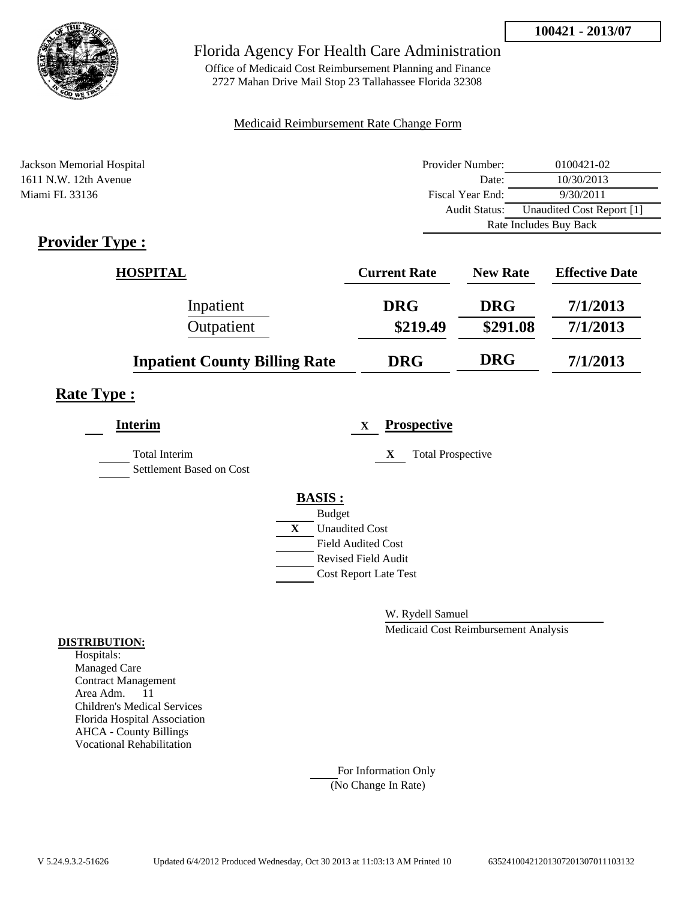

Office of Medicaid Cost Reimbursement Planning and Finance 2727 Mahan Drive Mail Stop 23 Tallahassee Florida 32308

#### Medicaid Reimbursement Rate Change Form

| Jackson Memorial Hospital | Provider Number:     | 0100421-02                |
|---------------------------|----------------------|---------------------------|
| 1611 N.W. 12th Avenue     | Date:                | 10/30/2013                |
| Miami FL 33136            | Fiscal Year End:     | 9/30/2011                 |
|                           | <b>Audit Status:</b> | Unaudited Cost Report [1] |
|                           |                      | Rate Includes Buy Back    |
|                           |                      |                           |

# **Provider Type :**

| <b>HOSPITAL</b>                      | <b>Current Rate</b> | <b>New Rate</b> | <b>Effective Date</b> |
|--------------------------------------|---------------------|-----------------|-----------------------|
| Inpatient                            | <b>DRG</b>          | <b>DRG</b>      | 7/1/2013              |
| Outpatient                           | \$219.49            | \$291.08        | 7/1/2013              |
| <b>Inpatient County Billing Rate</b> | <b>DRG</b>          | <b>DRG</b>      | 7/1/2013              |

## **Rate Type :**

| <b>Interim</b>                                   | <b>Prospective</b><br>X                     |
|--------------------------------------------------|---------------------------------------------|
| <b>Total Interim</b><br>Settlement Based on Cost | <b>Total Prospective</b><br>X               |
|                                                  | <b>BASIS:</b>                               |
|                                                  | <b>Budget</b><br>X<br><b>Unaudited Cost</b> |
|                                                  | <b>Field Audited Cost</b>                   |
|                                                  | <b>Revised Field Audit</b>                  |
|                                                  | <b>Cost Report Late Test</b>                |
|                                                  |                                             |

W. Rydell Samuel

Medicaid Cost Reimbursement Analysis

#### **DISTRIBUTION:**

Hospitals: Managed Care Contract Management Area Adm. 11 Children's Medical Services Florida Hospital Association AHCA - County Billings Vocational Rehabilitation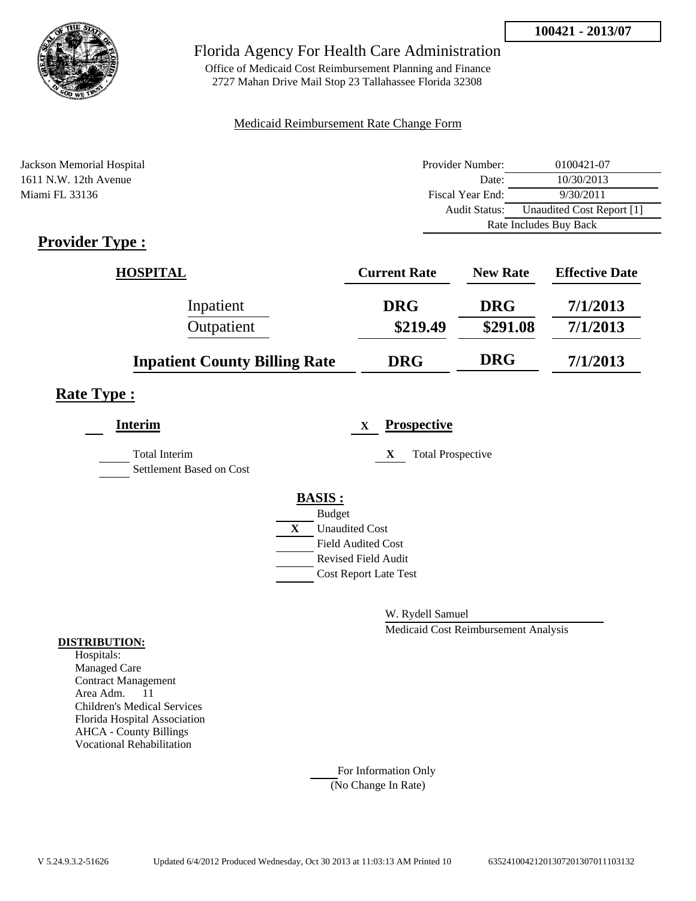

Office of Medicaid Cost Reimbursement Planning and Finance 2727 Mahan Drive Mail Stop 23 Tallahassee Florida 32308

#### Medicaid Reimbursement Rate Change Form

| Jackson Memorial Hospital | Provider Number:     | 0100421-07                |
|---------------------------|----------------------|---------------------------|
| 1611 N.W. 12th Avenue     | Date:                | 10/30/2013                |
| Miami FL 33136            | Fiscal Year End:     | 9/30/2011                 |
|                           | <b>Audit Status:</b> | Unaudited Cost Report [1] |
|                           |                      | Rate Includes Buy Back    |

# **Provider Type :**

| <b>HOSPITAL</b>                      | <b>Current Rate</b> | <b>New Rate</b> | <b>Effective Date</b> |
|--------------------------------------|---------------------|-----------------|-----------------------|
| Inpatient                            | <b>DRG</b>          | <b>DRG</b>      | 7/1/2013              |
| Outpatient                           | \$219.49            | \$291.08        | 7/1/2013              |
| <b>Inpatient County Billing Rate</b> | <b>DRG</b>          | <b>DRG</b>      | 7/1/2013              |

## **Rate Type :**

| <b>Interim</b>                                   | <b>Prospective</b><br>$\mathbf x$     |
|--------------------------------------------------|---------------------------------------|
| <b>Total Interim</b><br>Settlement Based on Cost | X<br><b>Total Prospective</b>         |
|                                                  | <b>BASIS:</b>                         |
|                                                  | <b>Budget</b>                         |
|                                                  | $\mathbf{X}$<br><b>Unaudited Cost</b> |
|                                                  | <b>Field Audited Cost</b>             |
|                                                  | <b>Revised Field Audit</b>            |
|                                                  | <b>Cost Report Late Test</b>          |
|                                                  |                                       |

W. Rydell Samuel

Medicaid Cost Reimbursement Analysis

#### **DISTRIBUTION:**

Hospitals: Managed Care Contract Management Area Adm. 11 Children's Medical Services Florida Hospital Association AHCA - County Billings Vocational Rehabilitation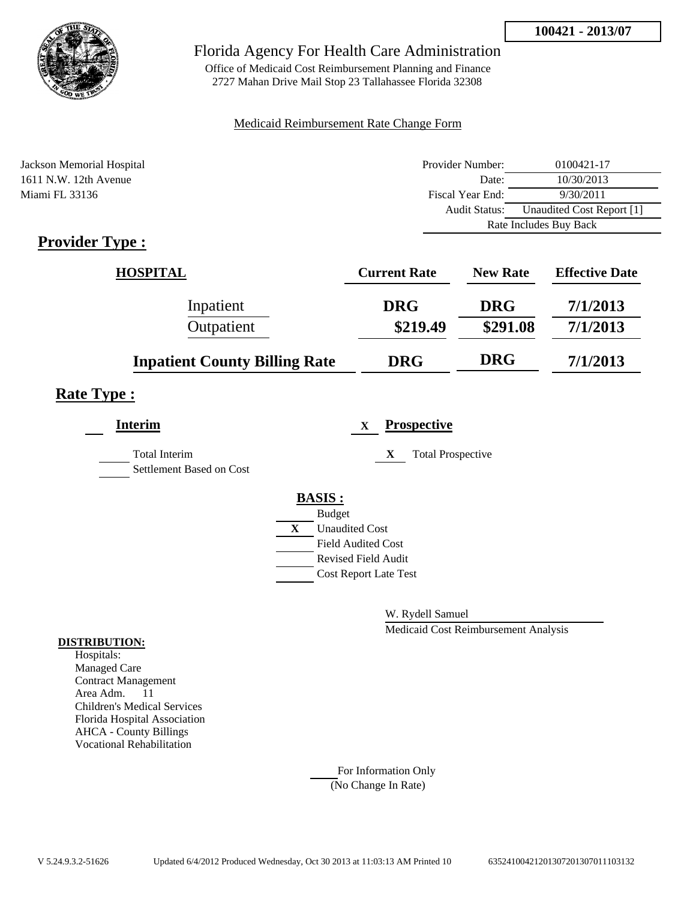

Office of Medicaid Cost Reimbursement Planning and Finance 2727 Mahan Drive Mail Stop 23 Tallahassee Florida 32308

#### Medicaid Reimbursement Rate Change Form

| Jackson Memorial Hospital | Provider Number: | 0100421-17                |
|---------------------------|------------------|---------------------------|
| 1611 N.W. 12th Avenue     | Date:            | 10/30/2013                |
| Miami FL 33136            | Fiscal Year End: | 9/30/2011                 |
|                           | Audit Status:    | Unaudited Cost Report [1] |
|                           |                  | Rate Includes Buy Back    |

# **Provider Type :**

| <b>HOSPITAL</b>                      | <b>Current Rate</b> | <b>New Rate</b> | <b>Effective Date</b> |
|--------------------------------------|---------------------|-----------------|-----------------------|
| Inpatient                            | <b>DRG</b>          | <b>DRG</b>      | 7/1/2013              |
| Outpatient                           | \$219.49            | \$291.08        | 7/1/2013              |
| <b>Inpatient County Billing Rate</b> | <b>DRG</b>          | <b>DRG</b>      | 7/1/2013              |

# **Rate Type :**

| <b>Interim</b>                            | <b>Prospective</b><br>$\mathbf X$ |
|-------------------------------------------|-----------------------------------|
| Total Interim<br>Settlement Based on Cost | X<br><b>Total Prospective</b>     |
|                                           | <b>BASIS:</b>                     |
|                                           | <b>Budget</b>                     |
|                                           | X<br><b>Unaudited Cost</b>        |
|                                           | <b>Field Audited Cost</b>         |
|                                           | <b>Revised Field Audit</b>        |
|                                           | <b>Cost Report Late Test</b>      |
|                                           |                                   |

W. Rydell Samuel

Medicaid Cost Reimbursement Analysis

#### **DISTRIBUTION:**

Hospitals: Managed Care Contract Management Area Adm. 11 Children's Medical Services Florida Hospital Association AHCA - County Billings Vocational Rehabilitation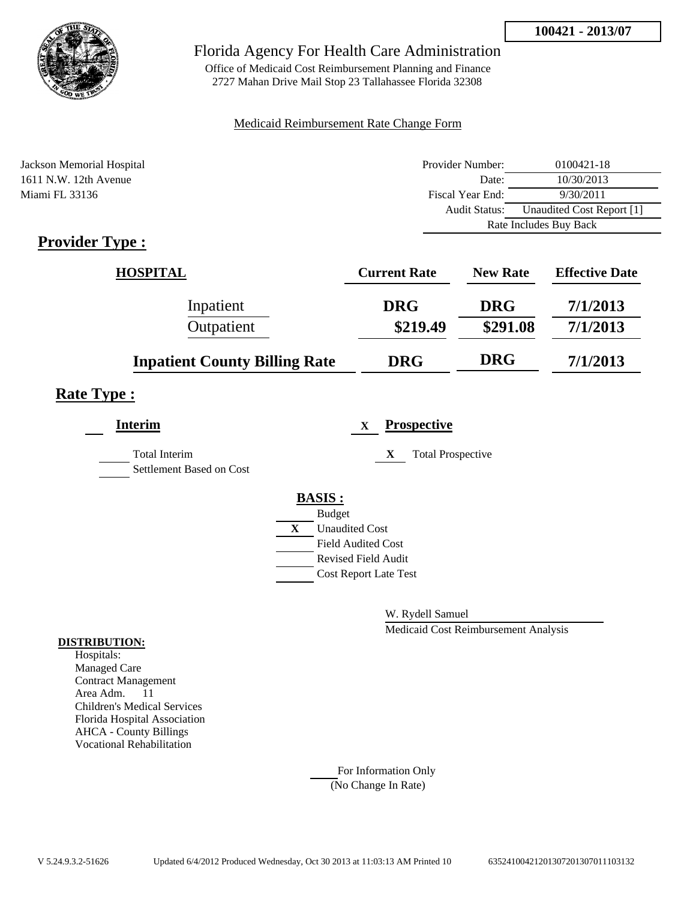

Office of Medicaid Cost Reimbursement Planning and Finance 2727 Mahan Drive Mail Stop 23 Tallahassee Florida 32308

#### Medicaid Reimbursement Rate Change Form

| Jackson Memorial Hospital | Provider Number:     | 0100421-18                |
|---------------------------|----------------------|---------------------------|
| 1611 N.W. 12th Avenue     | Date:                | 10/30/2013                |
| Miami FL 33136            | Fiscal Year End:     | 9/30/2011                 |
|                           | <b>Audit Status:</b> | Unaudited Cost Report [1] |
|                           |                      | Rate Includes Buy Back    |

# **Provider Type :**

| <b>HOSPITAL</b>                      | <b>Current Rate</b> | <b>New Rate</b> | <b>Effective Date</b> |
|--------------------------------------|---------------------|-----------------|-----------------------|
| Inpatient                            | <b>DRG</b>          | <b>DRG</b>      | 7/1/2013              |
| Outpatient                           | \$219.49            | \$291.08        | 7/1/2013              |
| <b>Inpatient County Billing Rate</b> | <b>DRG</b>          | <b>DRG</b>      | 7/1/2013              |

## **Rate Type :**

| <b>Interim</b>                                   | <b>Prospective</b><br>$\mathbf x$ |
|--------------------------------------------------|-----------------------------------|
| <b>Total Interim</b><br>Settlement Based on Cost | <b>Total Prospective</b><br>X     |
|                                                  | <b>BASIS:</b>                     |
|                                                  | <b>Budget</b>                     |
|                                                  | X<br><b>Unaudited Cost</b>        |
|                                                  | <b>Field Audited Cost</b>         |
|                                                  | <b>Revised Field Audit</b>        |
|                                                  | <b>Cost Report Late Test</b>      |
|                                                  |                                   |

W. Rydell Samuel

Medicaid Cost Reimbursement Analysis

#### **DISTRIBUTION:**

Hospitals: Managed Care Contract Management Area Adm. 11 Children's Medical Services Florida Hospital Association AHCA - County Billings Vocational Rehabilitation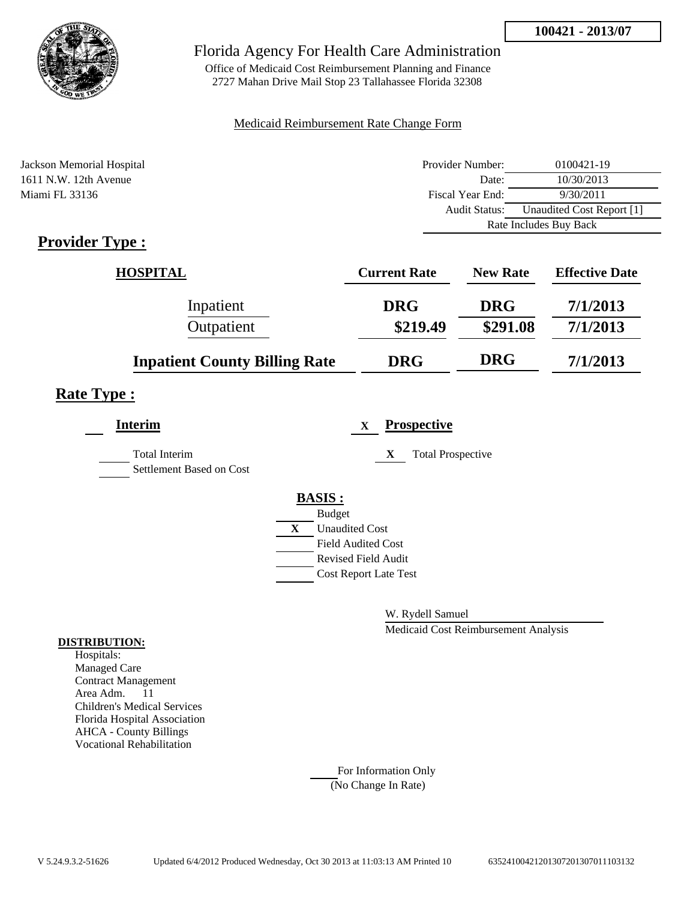

Office of Medicaid Cost Reimbursement Planning and Finance 2727 Mahan Drive Mail Stop 23 Tallahassee Florida 32308

#### Medicaid Reimbursement Rate Change Form

| Jackson Memorial Hospital | Provider Number: | 0100421-19                |
|---------------------------|------------------|---------------------------|
| 1611 N.W. 12th Avenue     | Date:            | 10/30/2013                |
| Miami FL 33136            | Fiscal Year End: | 9/30/2011                 |
|                           | Audit Status:    | Unaudited Cost Report [1] |
|                           |                  | Rate Includes Buy Back    |

# **Provider Type :**

| <b>HOSPITAL</b>                      | <b>Current Rate</b> | <b>New Rate</b> | <b>Effective Date</b> |
|--------------------------------------|---------------------|-----------------|-----------------------|
| Inpatient                            | <b>DRG</b>          | <b>DRG</b>      | 7/1/2013              |
| Outpatient                           | \$219.49            | \$291.08        | 7/1/2013              |
| <b>Inpatient County Billing Rate</b> | <b>DRG</b>          | <b>DRG</b>      | 7/1/2013              |

# **Rate Type :**

| <b>Interim</b>                                   | <b>Prospective</b><br>$\mathbf x$ |  |
|--------------------------------------------------|-----------------------------------|--|
| <b>Total Interim</b><br>Settlement Based on Cost | <b>Total Prospective</b><br>X     |  |
|                                                  | <b>BASIS:</b>                     |  |
|                                                  | <b>Budget</b>                     |  |
|                                                  | X<br><b>Unaudited Cost</b>        |  |
|                                                  | <b>Field Audited Cost</b>         |  |
|                                                  | <b>Revised Field Audit</b>        |  |
|                                                  | <b>Cost Report Late Test</b>      |  |
|                                                  |                                   |  |

W. Rydell Samuel

Medicaid Cost Reimbursement Analysis

#### **DISTRIBUTION:**

Hospitals: Managed Care Contract Management Area Adm. 11 Children's Medical Services Florida Hospital Association AHCA - County Billings Vocational Rehabilitation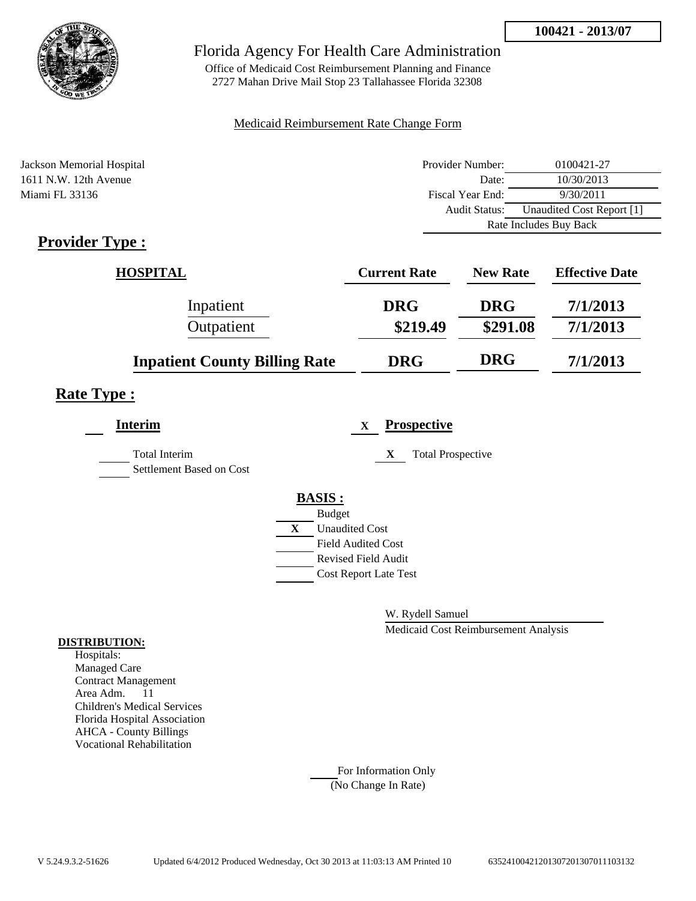

Office of Medicaid Cost Reimbursement Planning and Finance 2727 Mahan Drive Mail Stop 23 Tallahassee Florida 32308

#### Medicaid Reimbursement Rate Change Form

| Jackson Memorial Hospital | Provider Number:     | 0100421-27                |  |
|---------------------------|----------------------|---------------------------|--|
| 1611 N.W. 12th Avenue     | Date:                | 10/30/2013                |  |
| Miami FL 33136            | Fiscal Year End:     | 9/30/2011                 |  |
|                           | <b>Audit Status:</b> | Unaudited Cost Report [1] |  |
|                           |                      | Rate Includes Buy Back    |  |

# **Provider Type :**

| <b>HOSPITAL</b>                      | <b>Current Rate</b> | <b>New Rate</b> | <b>Effective Date</b> |
|--------------------------------------|---------------------|-----------------|-----------------------|
| Inpatient                            | <b>DRG</b>          | <b>DRG</b>      | 7/1/2013              |
| Outpatient                           | \$219.49            | \$291.08        | 7/1/2013              |
| <b>Inpatient County Billing Rate</b> | <b>DRG</b>          | <b>DRG</b>      | 7/1/2013              |

# **Rate Type :**

| <b>Interim</b>                            | <b>Prospective</b><br>$\mathbf X$ |
|-------------------------------------------|-----------------------------------|
| Total Interim<br>Settlement Based on Cost | X<br><b>Total Prospective</b>     |
|                                           | <b>BASIS:</b>                     |
|                                           | <b>Budget</b>                     |
|                                           | X<br><b>Unaudited Cost</b>        |
|                                           | <b>Field Audited Cost</b>         |
|                                           | <b>Revised Field Audit</b>        |
|                                           | <b>Cost Report Late Test</b>      |
|                                           |                                   |

W. Rydell Samuel

Medicaid Cost Reimbursement Analysis

#### **DISTRIBUTION:**

Hospitals: Managed Care Contract Management Area Adm. 11 Children's Medical Services Florida Hospital Association AHCA - County Billings Vocational Rehabilitation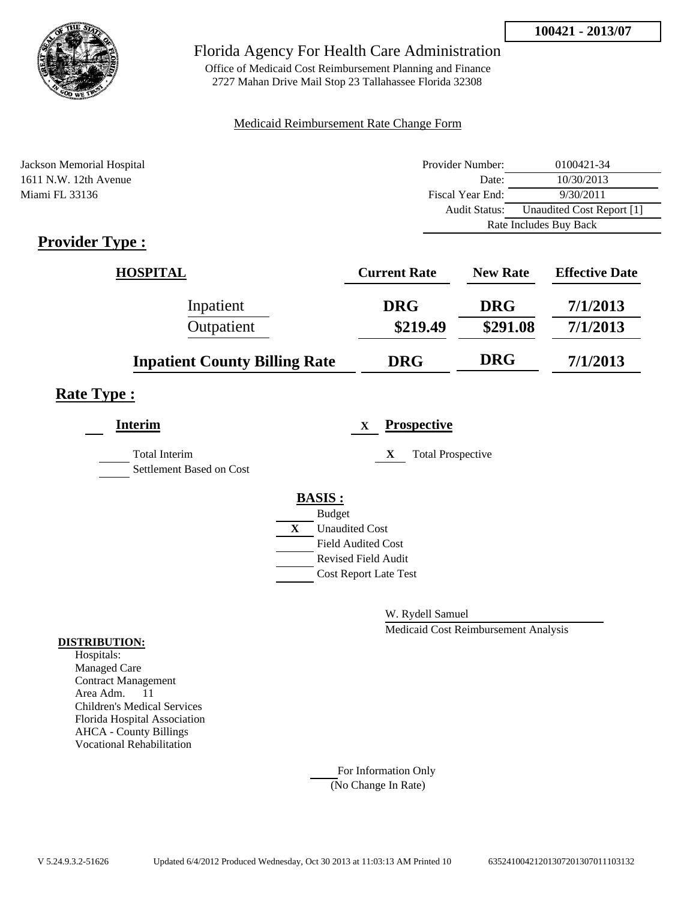

Office of Medicaid Cost Reimbursement Planning and Finance 2727 Mahan Drive Mail Stop 23 Tallahassee Florida 32308

#### Medicaid Reimbursement Rate Change Form

| Jackson Memorial Hospital | Provider Number:     | 0100421-34                |  |
|---------------------------|----------------------|---------------------------|--|
| 1611 N.W. 12th Avenue     | Date:                | 10/30/2013                |  |
| Miami FL 33136            | Fiscal Year End:     | 9/30/2011                 |  |
|                           | <b>Audit Status:</b> | Unaudited Cost Report [1] |  |
|                           |                      | Rate Includes Buy Back    |  |

# **Provider Type :**

| <b>HOSPITAL</b>                      | <b>Current Rate</b> | <b>New Rate</b> | <b>Effective Date</b> |
|--------------------------------------|---------------------|-----------------|-----------------------|
| Inpatient                            | <b>DRG</b>          | <b>DRG</b>      | 7/1/2013              |
| Outpatient                           | \$219.49            | \$291.08        | 7/1/2013              |
| <b>Inpatient County Billing Rate</b> | <b>DRG</b>          | <b>DRG</b>      | 7/1/2013              |

# **Rate Type :**

| <b>Interim</b>                            | <b>Prospective</b><br>$\mathbf x$ |
|-------------------------------------------|-----------------------------------|
| Total Interim<br>Settlement Based on Cost | <b>Total Prospective</b><br>X     |
|                                           | <b>BASIS:</b>                     |
|                                           | <b>Budget</b>                     |
|                                           | X<br><b>Unaudited Cost</b>        |
|                                           | <b>Field Audited Cost</b>         |
|                                           | <b>Revised Field Audit</b>        |
|                                           | <b>Cost Report Late Test</b>      |
|                                           |                                   |

W. Rydell Samuel

Medicaid Cost Reimbursement Analysis

#### **DISTRIBUTION:**

Hospitals: Managed Care Contract Management Area Adm. 11 Children's Medical Services Florida Hospital Association AHCA - County Billings Vocational Rehabilitation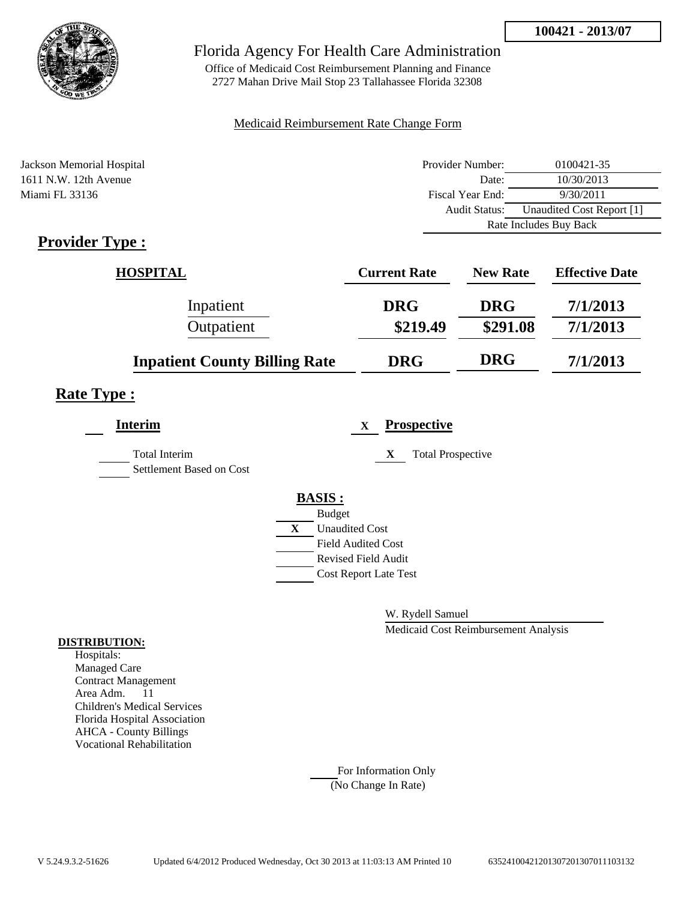

Office of Medicaid Cost Reimbursement Planning and Finance 2727 Mahan Drive Mail Stop 23 Tallahassee Florida 32308

#### Medicaid Reimbursement Rate Change Form

| Jackson Memorial Hospital | Provider Number:     | 0100421-35                |
|---------------------------|----------------------|---------------------------|
| 1611 N.W. 12th Avenue     | Date:                | 10/30/2013                |
| Miami FL 33136            | Fiscal Year End:     | 9/30/2011                 |
|                           | <b>Audit Status:</b> | Unaudited Cost Report [1] |
|                           |                      | Rate Includes Buy Back    |
|                           |                      |                           |

# **Provider Type :**

| <b>HOSPITAL</b>                      | <b>Current Rate</b> | <b>New Rate</b> | <b>Effective Date</b> |
|--------------------------------------|---------------------|-----------------|-----------------------|
| Inpatient                            | <b>DRG</b>          | <b>DRG</b>      | 7/1/2013              |
| Outpatient                           | \$219.49            | \$291.08        | 7/1/2013              |
| <b>Inpatient County Billing Rate</b> | <b>DRG</b>          | <b>DRG</b>      | 7/1/2013              |

## **Rate Type :**

| <b>Interim</b>                                   | <b>Prospective</b><br>$\mathbf x$ |
|--------------------------------------------------|-----------------------------------|
| <b>Total Interim</b><br>Settlement Based on Cost | X<br><b>Total Prospective</b>     |
|                                                  | <b>BASIS:</b>                     |
|                                                  | <b>Budget</b>                     |
|                                                  | X<br><b>Unaudited Cost</b>        |
|                                                  | <b>Field Audited Cost</b>         |
|                                                  | <b>Revised Field Audit</b>        |
|                                                  | <b>Cost Report Late Test</b>      |
|                                                  |                                   |

W. Rydell Samuel

Medicaid Cost Reimbursement Analysis

#### **DISTRIBUTION:**

Hospitals: Managed Care Contract Management Area Adm. 11 Children's Medical Services Florida Hospital Association AHCA - County Billings Vocational Rehabilitation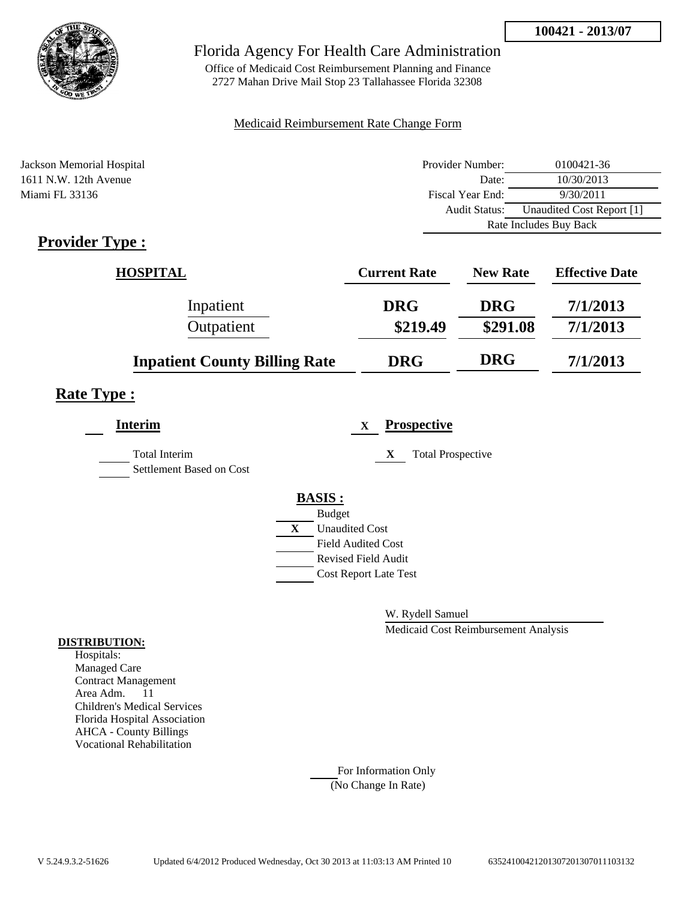

Office of Medicaid Cost Reimbursement Planning and Finance 2727 Mahan Drive Mail Stop 23 Tallahassee Florida 32308

#### Medicaid Reimbursement Rate Change Form

| Jackson Memorial Hospital | Provider Number: | 0100421-36                |
|---------------------------|------------------|---------------------------|
| 1611 N.W. 12th Avenue     | Date:            | 10/30/2013                |
| Miami FL 33136            | Fiscal Year End: | 9/30/2011                 |
|                           | Audit Status:    | Unaudited Cost Report [1] |
|                           |                  | Rate Includes Buy Back    |

# **Provider Type :**

| <b>HOSPITAL</b>                      | <b>Current Rate</b> | <b>New Rate</b> | <b>Effective Date</b> |
|--------------------------------------|---------------------|-----------------|-----------------------|
| Inpatient                            | <b>DRG</b>          | <b>DRG</b>      | 7/1/2013              |
| Outpatient                           | \$219.49            | \$291.08        | 7/1/2013              |
| <b>Inpatient County Billing Rate</b> | <b>DRG</b>          | <b>DRG</b>      | 7/1/2013              |

## **Rate Type :**

| <b>Interim</b>                                   | <b>Prospective</b><br>$\mathbf x$ |
|--------------------------------------------------|-----------------------------------|
| <b>Total Interim</b><br>Settlement Based on Cost | <b>Total Prospective</b><br>X     |
|                                                  | <b>BASIS:</b>                     |
|                                                  | <b>Budget</b>                     |
|                                                  | X<br><b>Unaudited Cost</b>        |
|                                                  | <b>Field Audited Cost</b>         |
|                                                  | <b>Revised Field Audit</b>        |
|                                                  | <b>Cost Report Late Test</b>      |
|                                                  |                                   |

W. Rydell Samuel

Medicaid Cost Reimbursement Analysis

#### **DISTRIBUTION:**

Hospitals: Managed Care Contract Management Area Adm. 11 Children's Medical Services Florida Hospital Association AHCA - County Billings Vocational Rehabilitation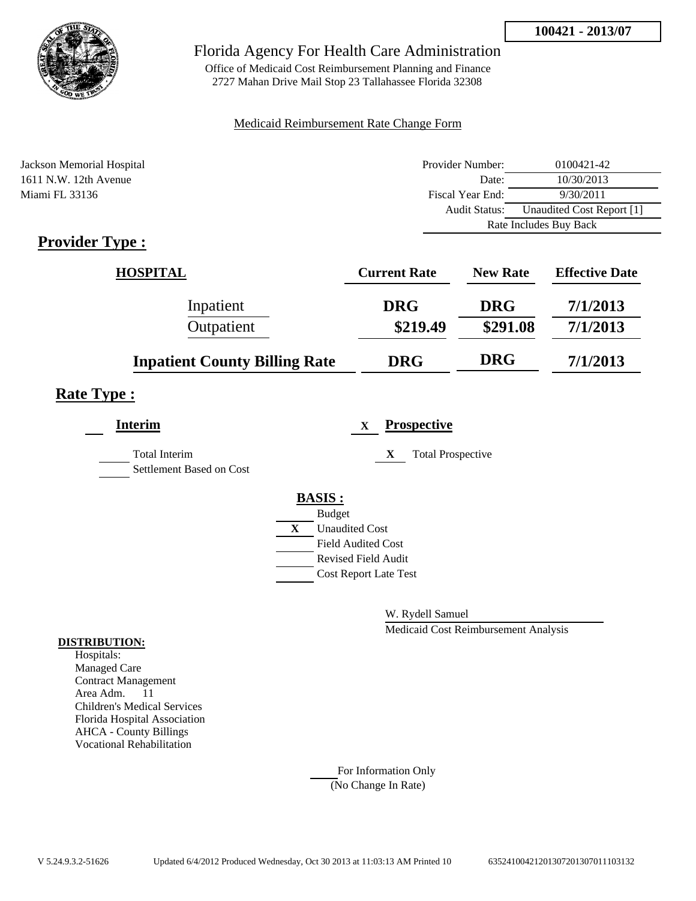

Office of Medicaid Cost Reimbursement Planning and Finance 2727 Mahan Drive Mail Stop 23 Tallahassee Florida 32308

#### Medicaid Reimbursement Rate Change Form

| Jackson Memorial Hospital | Provider Number:     | 0100421-42                |
|---------------------------|----------------------|---------------------------|
| 1611 N.W. 12th Avenue     | Date:                | 10/30/2013                |
| Miami FL 33136            | Fiscal Year End:     | 9/30/2011                 |
|                           | <b>Audit Status:</b> | Unaudited Cost Report [1] |
|                           |                      | Rate Includes Buy Back    |

# **Provider Type :**

| <b>HOSPITAL</b>                      | <b>Current Rate</b> | <b>New Rate</b> | <b>Effective Date</b> |
|--------------------------------------|---------------------|-----------------|-----------------------|
| Inpatient                            | <b>DRG</b>          | <b>DRG</b>      | 7/1/2013              |
| Outpatient                           | \$219.49            | \$291.08        | 7/1/2013              |
| <b>Inpatient County Billing Rate</b> | <b>DRG</b>          | <b>DRG</b>      | 7/1/2013              |

## **Rate Type :**

| <b>Interim</b>                                   | <b>Prospective</b><br>$\mathbf x$ |
|--------------------------------------------------|-----------------------------------|
| <b>Total Interim</b><br>Settlement Based on Cost | X<br><b>Total Prospective</b>     |
|                                                  | <b>BASIS:</b>                     |
|                                                  | <b>Budget</b>                     |
|                                                  | X<br><b>Unaudited Cost</b>        |
|                                                  | <b>Field Audited Cost</b>         |
|                                                  | <b>Revised Field Audit</b>        |
|                                                  | <b>Cost Report Late Test</b>      |
|                                                  |                                   |

W. Rydell Samuel

Medicaid Cost Reimbursement Analysis

#### **DISTRIBUTION:**

Hospitals: Managed Care Contract Management Area Adm. 11 Children's Medical Services Florida Hospital Association AHCA - County Billings Vocational Rehabilitation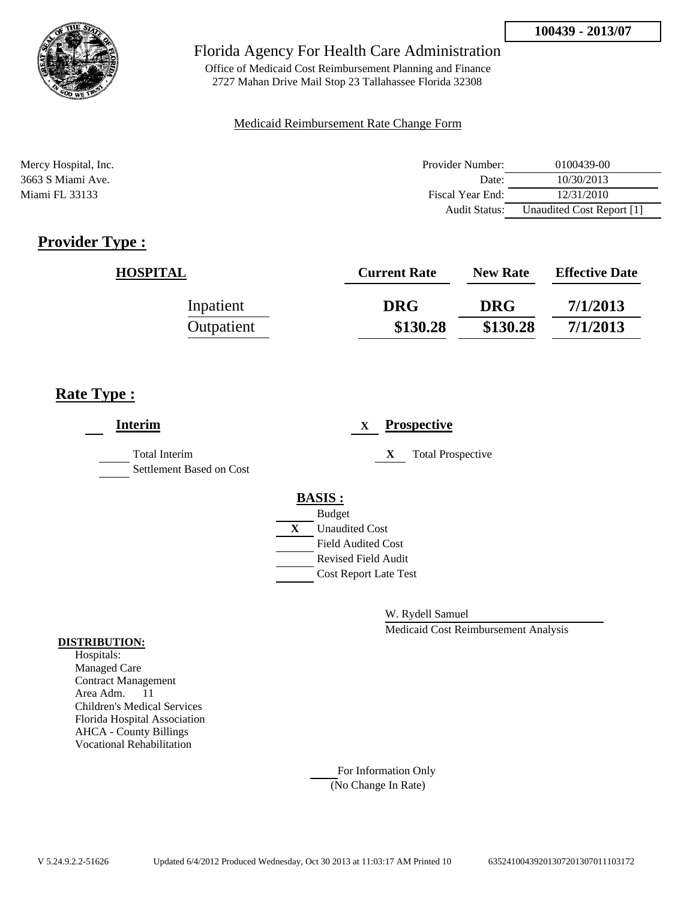

Office of Medicaid Cost Reimbursement Planning and Finance 2727 Mahan Drive Mail Stop 23 Tallahassee Florida 32308

#### Medicaid Reimbursement Rate Change Form

| Mercy Hospital, Inc. | Provider Number:     | 0100439-00                |
|----------------------|----------------------|---------------------------|
| 3663 S Miami Ave.    | Date:                | 10/30/2013                |
| Miami FL 33133       | Fiscal Year End:     | 12/31/2010                |
|                      | <b>Audit Status:</b> | Unaudited Cost Report [1] |

# **Provider Type :**

| <b>HOSPITAL</b> | <b>Current Rate</b> | <b>New Rate</b> | <b>Effective Date</b> |
|-----------------|---------------------|-----------------|-----------------------|
| Inpatient       | <b>DRG</b>          | <b>DRG</b>      | 7/1/2013              |
| Outpatient      | \$130.28            | \$130.28        | 7/1/2013              |

# **Rate Type :**

| <b>Interim</b>                                   |   | <b>Prospective</b><br>$\mathbf X$ |
|--------------------------------------------------|---|-----------------------------------|
| <b>Total Interim</b><br>Settlement Based on Cost |   | X<br><b>Total Prospective</b>     |
|                                                  |   | <b>BASIS:</b>                     |
|                                                  |   | <b>Budget</b>                     |
|                                                  | X | <b>Unaudited Cost</b>             |
|                                                  |   | <b>Field Audited Cost</b>         |
|                                                  |   | Revised Field Audit               |
|                                                  |   | <b>Cost Report Late Test</b>      |
|                                                  |   |                                   |

W. Rydell Samuel

Medicaid Cost Reimbursement Analysis

#### **DISTRIBUTION:**

Hospitals: Managed Care Contract Management Area Adm. 11 Children's Medical Services Florida Hospital Association AHCA - County Billings Vocational Rehabilitation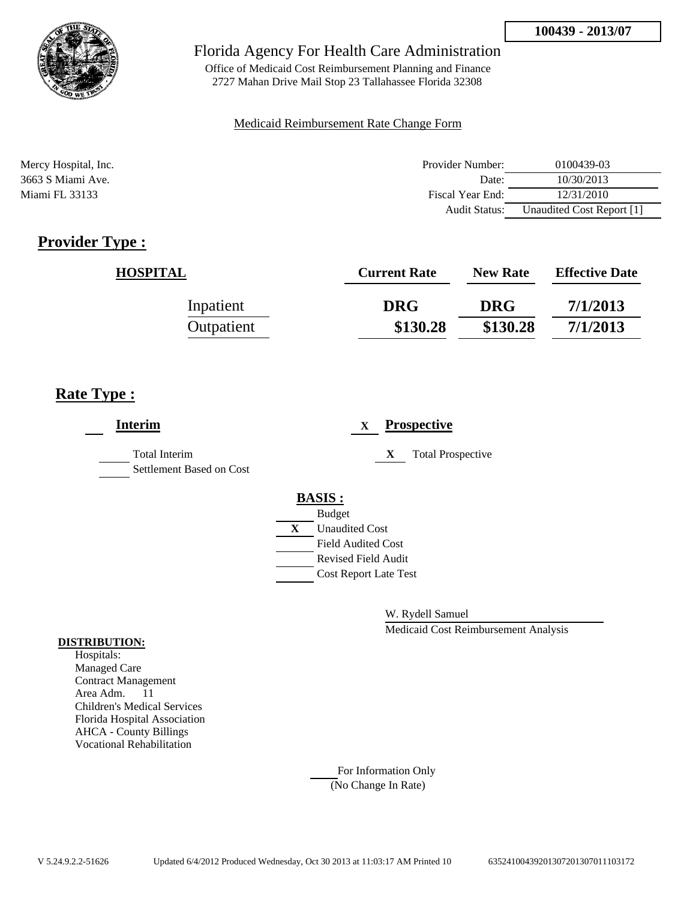

Office of Medicaid Cost Reimbursement Planning and Finance 2727 Mahan Drive Mail Stop 23 Tallahassee Florida 32308

#### Medicaid Reimbursement Rate Change Form

| Mercy Hospital, Inc. | Provider Number:     | 0100439-03                |
|----------------------|----------------------|---------------------------|
| 3663 S Miami Ave.    | Date:                | 10/30/2013                |
| Miami FL 33133       | Fiscal Year End:     | 12/31/2010                |
|                      | <b>Audit Status:</b> | Unaudited Cost Report [1] |

# **Provider Type :**

| <b>HOSPITAL</b> | <b>Current Rate</b> | <b>New Rate</b> | <b>Effective Date</b> |
|-----------------|---------------------|-----------------|-----------------------|
| Inpatient       | <b>DRG</b>          | <b>DRG</b>      | 7/1/2013              |
| Outpatient      | \$130.28            | \$130.28        | 7/1/2013              |

# **Rate Type :**

| <b>Interim</b>                                   |   | <b>Prospective</b><br>$\mathbf X$ |
|--------------------------------------------------|---|-----------------------------------|
| <b>Total Interim</b><br>Settlement Based on Cost |   | X<br><b>Total Prospective</b>     |
|                                                  |   | <b>BASIS:</b>                     |
|                                                  |   | <b>Budget</b>                     |
|                                                  | X | <b>Unaudited Cost</b>             |
|                                                  |   | <b>Field Audited Cost</b>         |
|                                                  |   | Revised Field Audit               |
|                                                  |   | <b>Cost Report Late Test</b>      |
|                                                  |   |                                   |

W. Rydell Samuel

Medicaid Cost Reimbursement Analysis

#### **DISTRIBUTION:**

Hospitals: Managed Care Contract Management Area Adm. 11 Children's Medical Services Florida Hospital Association AHCA - County Billings Vocational Rehabilitation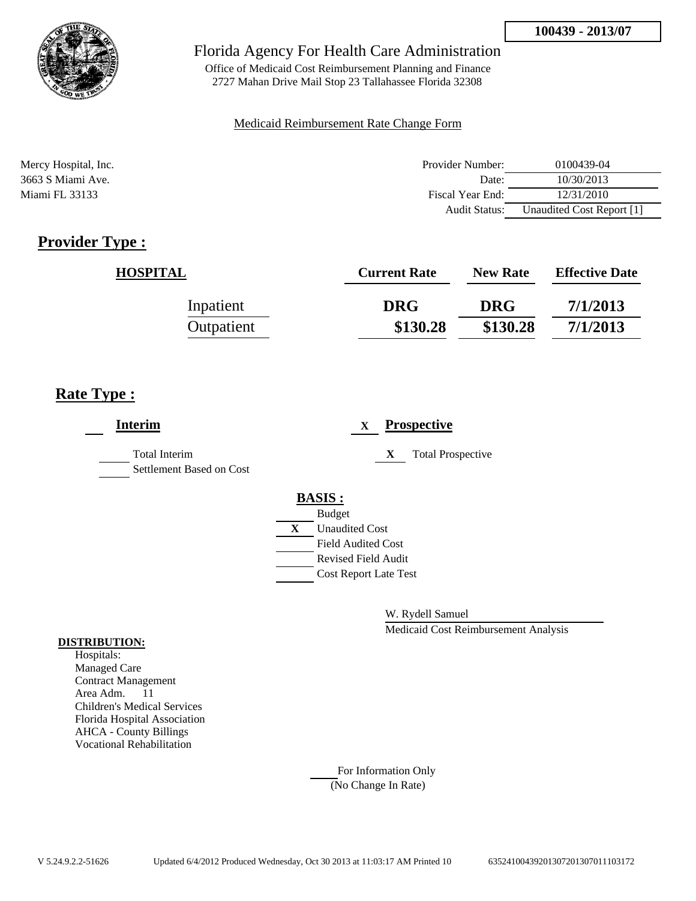

Office of Medicaid Cost Reimbursement Planning and Finance 2727 Mahan Drive Mail Stop 23 Tallahassee Florida 32308

#### Medicaid Reimbursement Rate Change Form

| Mercy Hospital, Inc. | Provider Number:     | 0100439-04                |
|----------------------|----------------------|---------------------------|
| 3663 S Miami Ave.    | Date:                | 10/30/2013                |
| Miami FL 33133       | Fiscal Year End:     | 12/31/2010                |
|                      | <b>Audit Status:</b> | Unaudited Cost Report [1] |

# **Provider Type :**

| <b>HOSPITAL</b> | <b>Current Rate</b> | <b>New Rate</b> | <b>Effective Date</b> |
|-----------------|---------------------|-----------------|-----------------------|
| Inpatient       | <b>DRG</b>          | <b>DRG</b>      | 7/1/2013              |
| Outpatient      | \$130.28            | \$130.28        | 7/1/2013              |

# **Rate Type :**

| <b>Interim</b>                                   |   | <b>Prospective</b><br>$\mathbf X$ |
|--------------------------------------------------|---|-----------------------------------|
| <b>Total Interim</b><br>Settlement Based on Cost |   | X<br><b>Total Prospective</b>     |
|                                                  |   | <b>BASIS:</b>                     |
|                                                  |   | <b>Budget</b>                     |
|                                                  | X | <b>Unaudited Cost</b>             |
|                                                  |   | <b>Field Audited Cost</b>         |
|                                                  |   | Revised Field Audit               |
|                                                  |   | <b>Cost Report Late Test</b>      |
|                                                  |   |                                   |

W. Rydell Samuel

Medicaid Cost Reimbursement Analysis

#### **DISTRIBUTION:**

Hospitals: Managed Care Contract Management Area Adm. 11 Children's Medical Services Florida Hospital Association AHCA - County Billings Vocational Rehabilitation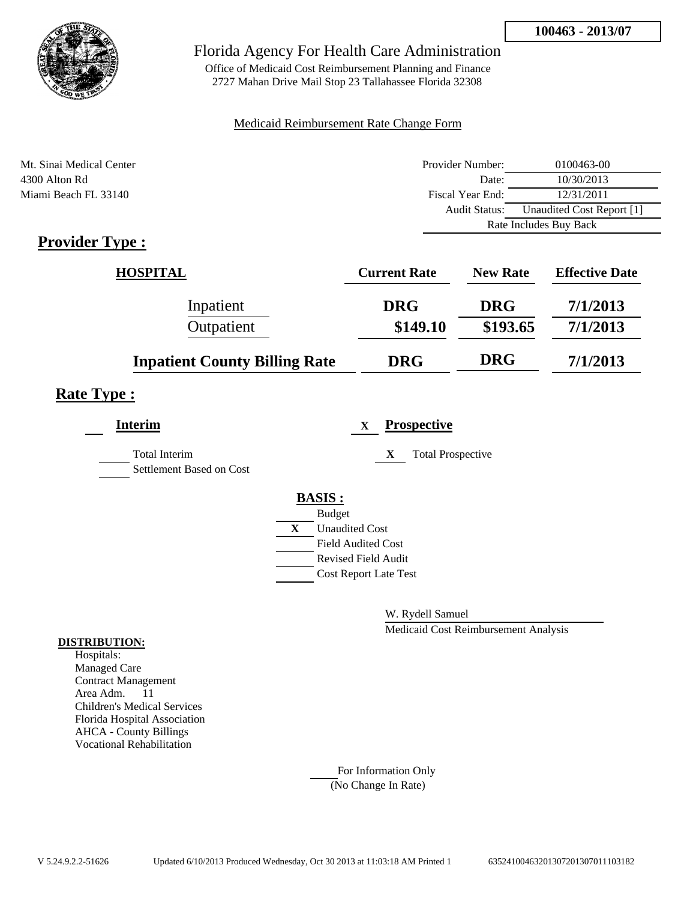

Office of Medicaid Cost Reimbursement Planning and Finance 2727 Mahan Drive Mail Stop 23 Tallahassee Florida 32308

#### Medicaid Reimbursement Rate Change Form

| Mt. Sinai Medical Center | Provider Number: | 0100463-00                |
|--------------------------|------------------|---------------------------|
| 4300 Alton Rd            | Date:            | 10/30/2013                |
| Miami Beach FL 33140     | Fiscal Year End: | 12/31/2011                |
|                          | Audit Status:    | Unaudited Cost Report [1] |
|                          |                  | Rate Includes Buy Back    |

# **Provider Type :**

| <b>HOSPITAL</b>                      | <b>Current Rate</b> | <b>New Rate</b> | <b>Effective Date</b> |
|--------------------------------------|---------------------|-----------------|-----------------------|
| Inpatient                            | <b>DRG</b>          | <b>DRG</b>      | 7/1/2013              |
| Outpatient                           | \$149.10            | \$193.65        | 7/1/2013              |
| <b>Inpatient County Billing Rate</b> | <b>DRG</b>          | <b>DRG</b>      | 7/1/2013              |

## **Rate Type :**

| <b>Interim</b>                                   |   | <b>Prospective</b><br>$\mathbf X$ |
|--------------------------------------------------|---|-----------------------------------|
| <b>Total Interim</b><br>Settlement Based on Cost |   | <b>Total Prospective</b><br>X     |
|                                                  |   | <b>BASIS:</b>                     |
|                                                  |   | <b>Budget</b>                     |
|                                                  | X | <b>Unaudited Cost</b>             |
|                                                  |   | <b>Field Audited Cost</b>         |
|                                                  |   | <b>Revised Field Audit</b>        |
|                                                  |   | <b>Cost Report Late Test</b>      |
|                                                  |   |                                   |

W. Rydell Samuel

Medicaid Cost Reimbursement Analysis

#### **DISTRIBUTION:**

Hospitals: Managed Care Contract Management Area Adm. 11 Children's Medical Services Florida Hospital Association AHCA - County Billings Vocational Rehabilitation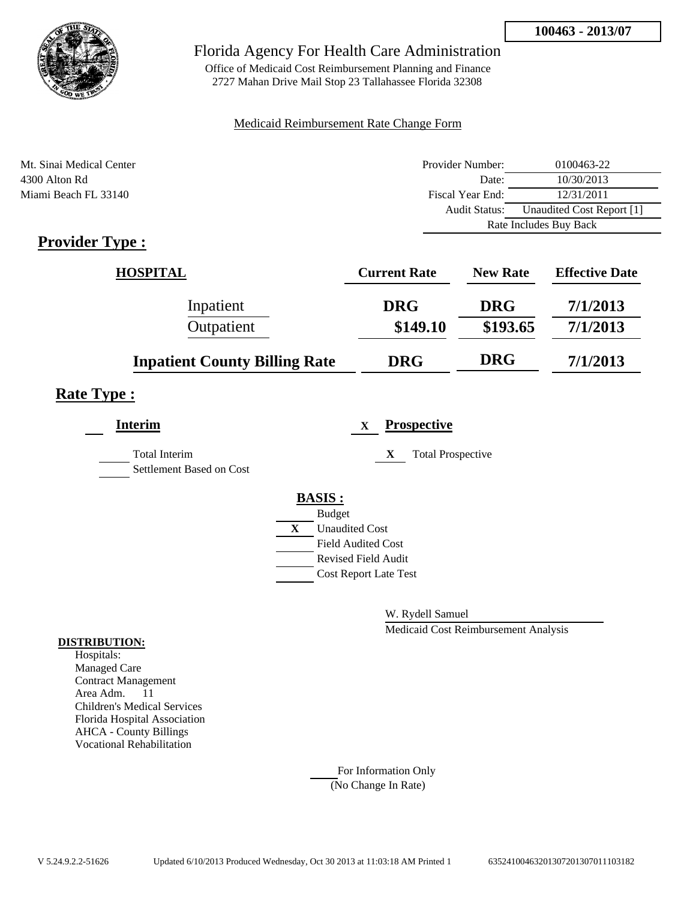

Office of Medicaid Cost Reimbursement Planning and Finance 2727 Mahan Drive Mail Stop 23 Tallahassee Florida 32308

#### Medicaid Reimbursement Rate Change Form

| Mt. Sinai Medical Center | Provider Number: | 0100463-22                |
|--------------------------|------------------|---------------------------|
| 4300 Alton Rd            | Date:            | 10/30/2013                |
| Miami Beach FL 33140     | Fiscal Year End: | 12/31/2011                |
|                          | Audit Status:    | Unaudited Cost Report [1] |
|                          |                  | Rate Includes Buy Back    |

# **Provider Type :**

| <b>HOSPITAL</b>                      | <b>Current Rate</b> | <b>New Rate</b> | <b>Effective Date</b> |
|--------------------------------------|---------------------|-----------------|-----------------------|
| Inpatient                            | <b>DRG</b>          | <b>DRG</b>      | 7/1/2013              |
| Outpatient                           | \$149.10            | \$193.65        | 7/1/2013              |
| <b>Inpatient County Billing Rate</b> | <b>DRG</b>          | <b>DRG</b>      | 7/1/2013              |

## **Rate Type :**

| <b>Interim</b>                            | <b>Prospective</b><br>$\mathbf X$ |
|-------------------------------------------|-----------------------------------|
| Total Interim<br>Settlement Based on Cost | X<br><b>Total Prospective</b>     |
|                                           | <b>BASIS:</b>                     |
|                                           | <b>Budget</b>                     |
|                                           | X<br><b>Unaudited Cost</b>        |
|                                           | <b>Field Audited Cost</b>         |
|                                           | <b>Revised Field Audit</b>        |
|                                           | <b>Cost Report Late Test</b>      |
|                                           |                                   |

W. Rydell Samuel

Medicaid Cost Reimbursement Analysis

#### **DISTRIBUTION:**

Hospitals: Managed Care Contract Management Area Adm. 11 Children's Medical Services Florida Hospital Association AHCA - County Billings Vocational Rehabilitation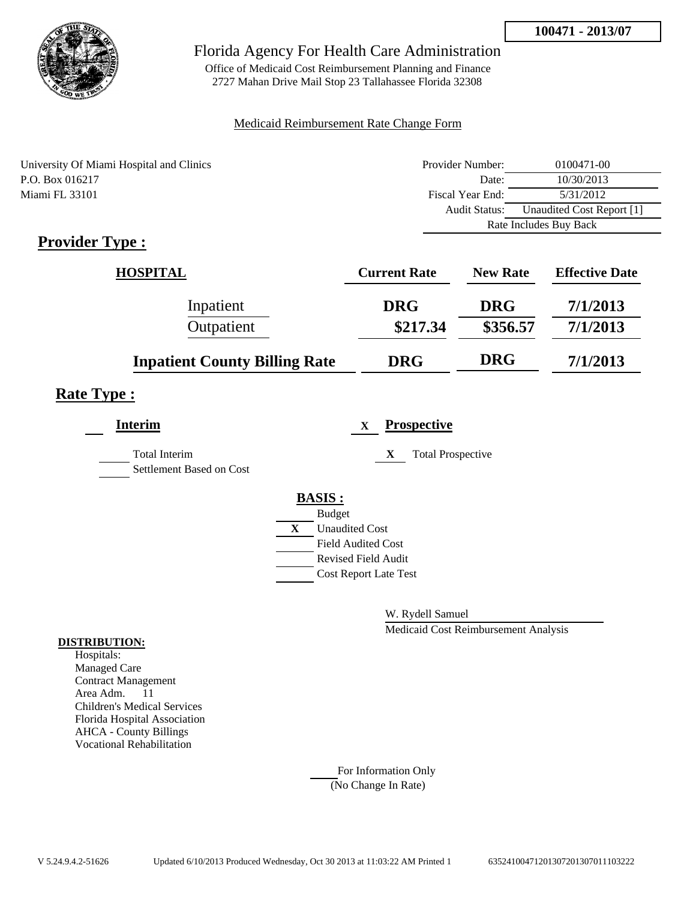

Office of Medicaid Cost Reimbursement Planning and Finance 2727 Mahan Drive Mail Stop 23 Tallahassee Florida 32308

#### Medicaid Reimbursement Rate Change Form

| University Of Miami Hospital and Clinics | Provider Number:     | 0100471-00                |  |
|------------------------------------------|----------------------|---------------------------|--|
| P.O. Box 016217                          | Date:                | 10/30/2013                |  |
| Miami FL 33101                           | Fiscal Year End:     | 5/31/2012                 |  |
|                                          | <b>Audit Status:</b> | Unaudited Cost Report [1] |  |
|                                          |                      | Rate Includes Buy Back    |  |

# **Provider Type :**

| <b>HOSPITAL</b>                      | <b>Current Rate</b> | <b>New Rate</b> | <b>Effective Date</b> |
|--------------------------------------|---------------------|-----------------|-----------------------|
| Inpatient                            | <b>DRG</b>          | <b>DRG</b>      | 7/1/2013              |
| Outpatient                           | \$217.34            | \$356.57        | 7/1/2013              |
| <b>Inpatient County Billing Rate</b> | <b>DRG</b>          | <b>DRG</b>      | 7/1/2013              |

# **Rate Type :**

| <b>Interim</b>                                   |   | <b>Prospective</b><br>$\mathbf X$ |
|--------------------------------------------------|---|-----------------------------------|
| <b>Total Interim</b><br>Settlement Based on Cost |   | <b>Total Prospective</b><br>X     |
|                                                  |   | <b>BASIS:</b>                     |
|                                                  |   | <b>Budget</b>                     |
|                                                  | X | <b>Unaudited Cost</b>             |
|                                                  |   | <b>Field Audited Cost</b>         |
|                                                  |   | <b>Revised Field Audit</b>        |
|                                                  |   | <b>Cost Report Late Test</b>      |
|                                                  |   |                                   |

W. Rydell Samuel

Medicaid Cost Reimbursement Analysis

#### **DISTRIBUTION:**

Hospitals: Managed Care Contract Management Area Adm. 11 Children's Medical Services Florida Hospital Association AHCA - County Billings Vocational Rehabilitation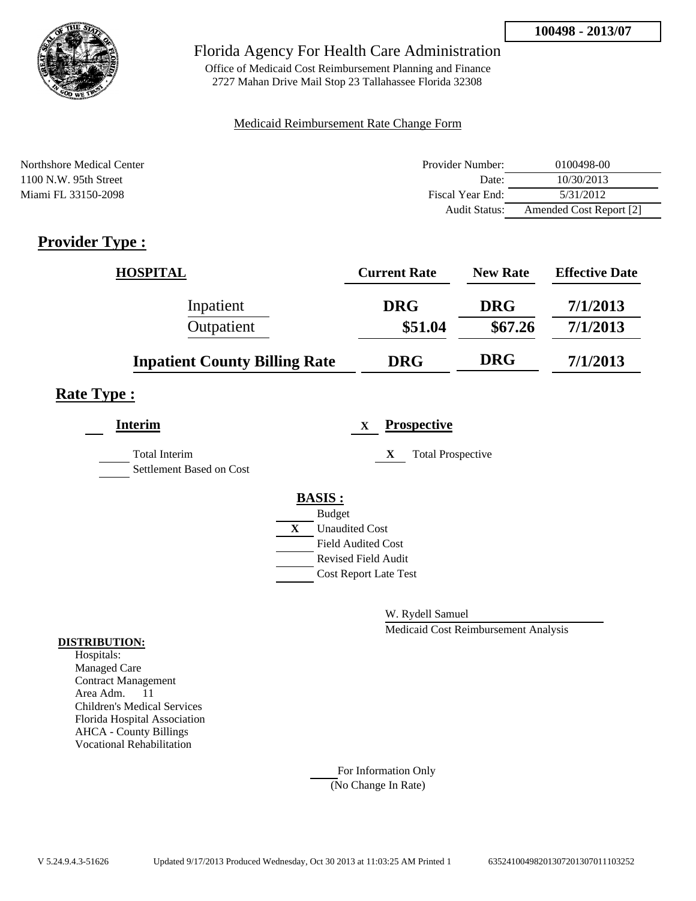

Office of Medicaid Cost Reimbursement Planning and Finance 2727 Mahan Drive Mail Stop 23 Tallahassee Florida 32308

#### Medicaid Reimbursement Rate Change Form

| Northshore Medical Center | Provider Number: | 0100498-00              |
|---------------------------|------------------|-------------------------|
| $1100$ N.W. 95th Street   | Date:            | 10/30/2013              |
| Miami FL 33150-2098       | Fiscal Year End: | 5/31/2012               |
|                           | Audit Status:    | Amended Cost Report [2] |

# **Provider Type :**

| <b>HOSPITAL</b>                      | <b>Current Rate</b> | <b>New Rate</b> | <b>Effective Date</b> |
|--------------------------------------|---------------------|-----------------|-----------------------|
| Inpatient                            | <b>DRG</b>          | <b>DRG</b>      | 7/1/2013              |
| Outpatient                           | \$51.04             | \$67.26         | 7/1/2013              |
| <b>Inpatient County Billing Rate</b> | <b>DRG</b>          | <b>DRG</b>      | 7/1/2013              |

# **Rate Type :**

| <b>Interim</b>                                   | <b>Prospective</b><br>X       |  |
|--------------------------------------------------|-------------------------------|--|
| <b>Total Interim</b><br>Settlement Based on Cost | X<br><b>Total Prospective</b> |  |
|                                                  | <b>BASIS:</b>                 |  |
|                                                  | <b>Budget</b>                 |  |
|                                                  | X<br><b>Unaudited Cost</b>    |  |
|                                                  | <b>Field Audited Cost</b>     |  |
|                                                  | Revised Field Audit           |  |
|                                                  | <b>Cost Report Late Test</b>  |  |
|                                                  |                               |  |

W. Rydell Samuel

Medicaid Cost Reimbursement Analysis

#### **DISTRIBUTION:**

Hospitals: Managed Care Contract Management Area Adm. 11 Children's Medical Services Florida Hospital Association AHCA - County Billings Vocational Rehabilitation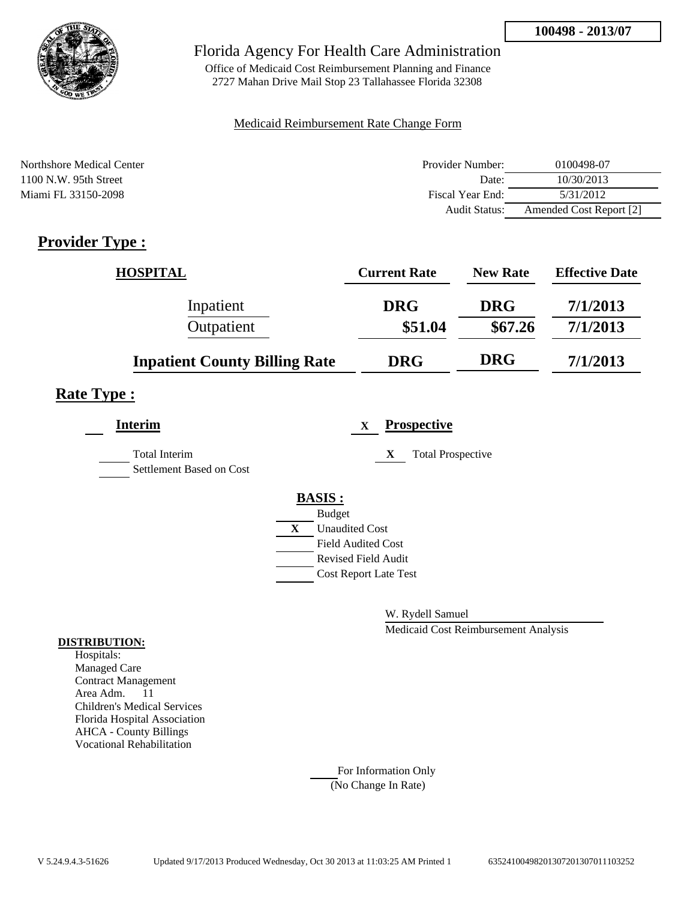

Office of Medicaid Cost Reimbursement Planning and Finance 2727 Mahan Drive Mail Stop 23 Tallahassee Florida 32308

#### Medicaid Reimbursement Rate Change Form

| Northshore Medical Center | Provider Number: | 0100498-07              |
|---------------------------|------------------|-------------------------|
| $1100$ N.W. 95th Street   | Date:            | 10/30/2013              |
| Miami FL 33150-2098       | Fiscal Year End: | 5/31/2012               |
|                           | Audit Status:    | Amended Cost Report [2] |

# **Provider Type :**

| <b>HOSPITAL</b>                      | <b>Current Rate</b> | <b>New Rate</b> | <b>Effective Date</b> |
|--------------------------------------|---------------------|-----------------|-----------------------|
| Inpatient                            | <b>DRG</b>          | <b>DRG</b>      | 7/1/2013              |
| Outpatient                           | \$51.04             | \$67.26         | 7/1/2013              |
| <b>Inpatient County Billing Rate</b> | <b>DRG</b>          | <b>DRG</b>      | 7/1/2013              |

# **Rate Type :**

| <b>Interim</b>                            |   | <b>Prospective</b><br>X       |
|-------------------------------------------|---|-------------------------------|
| Total Interim<br>Settlement Based on Cost |   | <b>Total Prospective</b><br>X |
|                                           |   | <b>BASIS:</b>                 |
|                                           |   | <b>Budget</b>                 |
|                                           | X | <b>Unaudited Cost</b>         |
|                                           |   | <b>Field Audited Cost</b>     |
|                                           |   | <b>Revised Field Audit</b>    |
|                                           |   | <b>Cost Report Late Test</b>  |
|                                           |   |                               |

W. Rydell Samuel

Medicaid Cost Reimbursement Analysis

#### **DISTRIBUTION:**

Hospitals: Managed Care Contract Management Area Adm. 11 Children's Medical Services Florida Hospital Association AHCA - County Billings Vocational Rehabilitation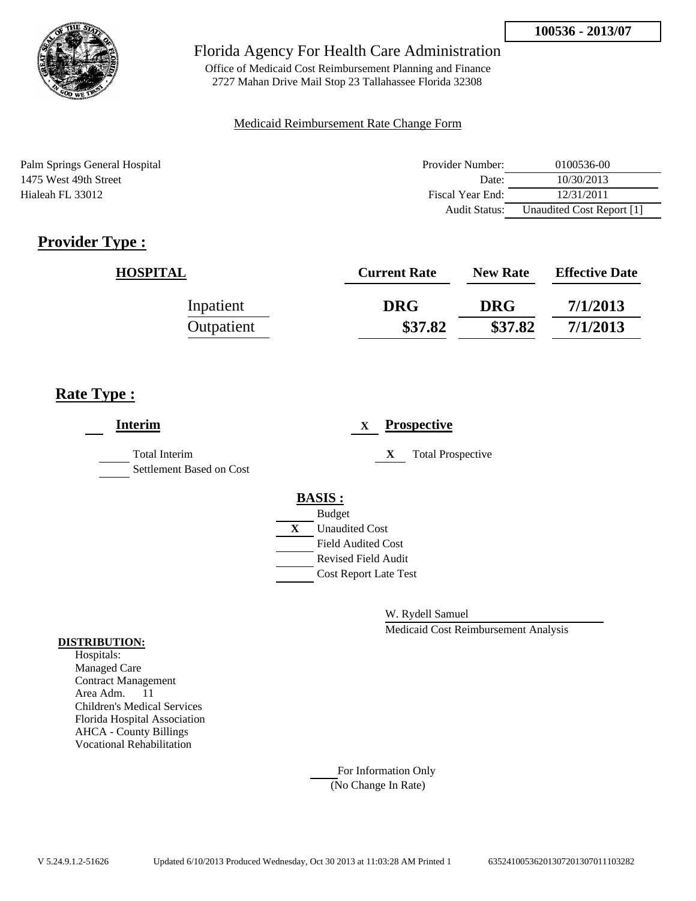

Office of Medicaid Cost Reimbursement Planning and Finance 2727 Mahan Drive Mail Stop 23 Tallahassee Florida 32308

#### Medicaid Reimbursement Rate Change Form

Palm Springs General Hospital 1475 West 49th Street Hialeah FL 33012

| Provider Number: | 0100536-00                |
|------------------|---------------------------|
| Date:            | 10/30/2013                |
| Fiscal Year End: | 12/31/2011                |
| Audit Status:    | Unaudited Cost Report [1] |

# **Provider Type :**

| <b>HOSPITAL</b> | <b>Current Rate</b> | <b>New Rate</b> | <b>Effective Date</b> |
|-----------------|---------------------|-----------------|-----------------------|
| Inpatient       | <b>DRG</b>          | <b>DRG</b>      | 7/1/2013              |
| Outpatient      | \$37.82             | \$37.82         | 7/1/2013              |

# **Rate Type :**

| <b>Interim</b>                                   |   | <b>Prospective</b><br>$\mathbf X$ |
|--------------------------------------------------|---|-----------------------------------|
| <b>Total Interim</b><br>Settlement Based on Cost |   | <b>Total Prospective</b><br>X     |
|                                                  |   | <b>BASIS:</b>                     |
|                                                  |   | <b>Budget</b>                     |
|                                                  | X | <b>Unaudited Cost</b>             |
|                                                  |   | <b>Field Audited Cost</b>         |
|                                                  |   | <b>Revised Field Audit</b>        |
|                                                  |   | <b>Cost Report Late Test</b>      |
|                                                  |   |                                   |

W. Rydell Samuel

Medicaid Cost Reimbursement Analysis

#### **DISTRIBUTION:**

Hospitals: Managed Care Contract Management Area Adm. 11 Children's Medical Services Florida Hospital Association AHCA - County Billings Vocational Rehabilitation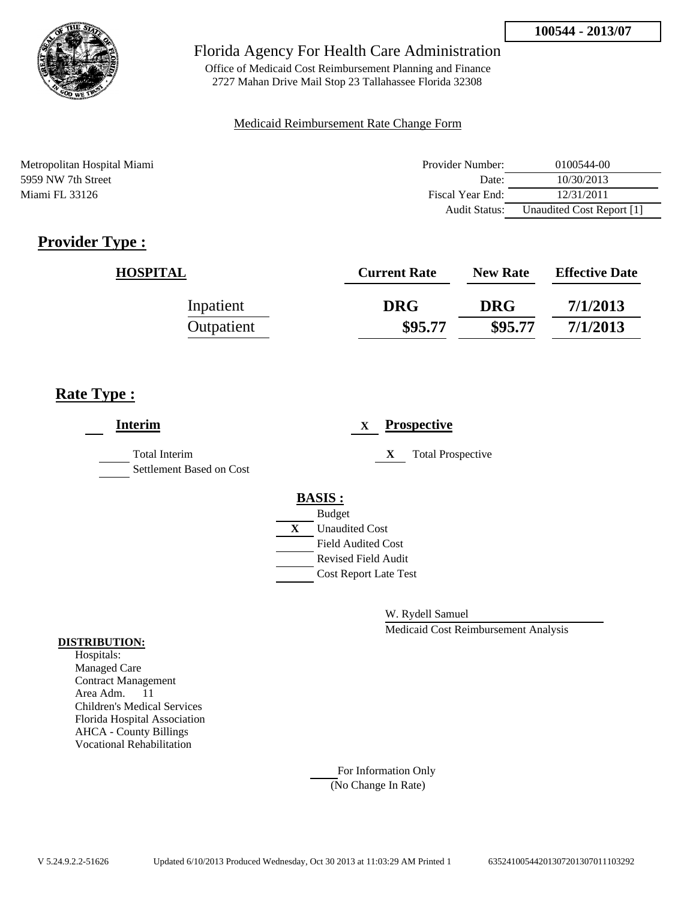

Office of Medicaid Cost Reimbursement Planning and Finance 2727 Mahan Drive Mail Stop 23 Tallahassee Florida 32308

#### Medicaid Reimbursement Rate Change Form

Metropolitan Hospital Miami 5959 NW 7th Street Miami FL 33126

| Provider Number: | 0100544-00                |
|------------------|---------------------------|
| Date:            | 10/30/2013                |
| Fiscal Year End: | 12/31/2011                |
| Audit Status:    | Unaudited Cost Report [1] |

# **Provider Type :**

| <b>HOSPITAL</b> | <b>Current Rate</b> | <b>New Rate</b> | <b>Effective Date</b> |
|-----------------|---------------------|-----------------|-----------------------|
| Inpatient       | <b>DRG</b>          | <b>DRG</b>      | 7/1/2013              |
| Outpatient      | \$95.77             | \$95.77         | 7/1/2013              |

# **Rate Type :**

| <b>Total Interim</b><br>X<br><b>Total Prospective</b><br>Settlement Based on Cost |  |
|-----------------------------------------------------------------------------------|--|
| <b>BASIS:</b>                                                                     |  |
| <b>Budget</b>                                                                     |  |
| <b>Unaudited Cost</b><br>X                                                        |  |
| <b>Field Audited Cost</b>                                                         |  |
| <b>Revised Field Audit</b>                                                        |  |
| <b>Cost Report Late Test</b>                                                      |  |
|                                                                                   |  |

W. Rydell Samuel

Medicaid Cost Reimbursement Analysis

#### **DISTRIBUTION:**

Hospitals: Managed Care Contract Management Area Adm. 11 Children's Medical Services Florida Hospital Association AHCA - County Billings Vocational Rehabilitation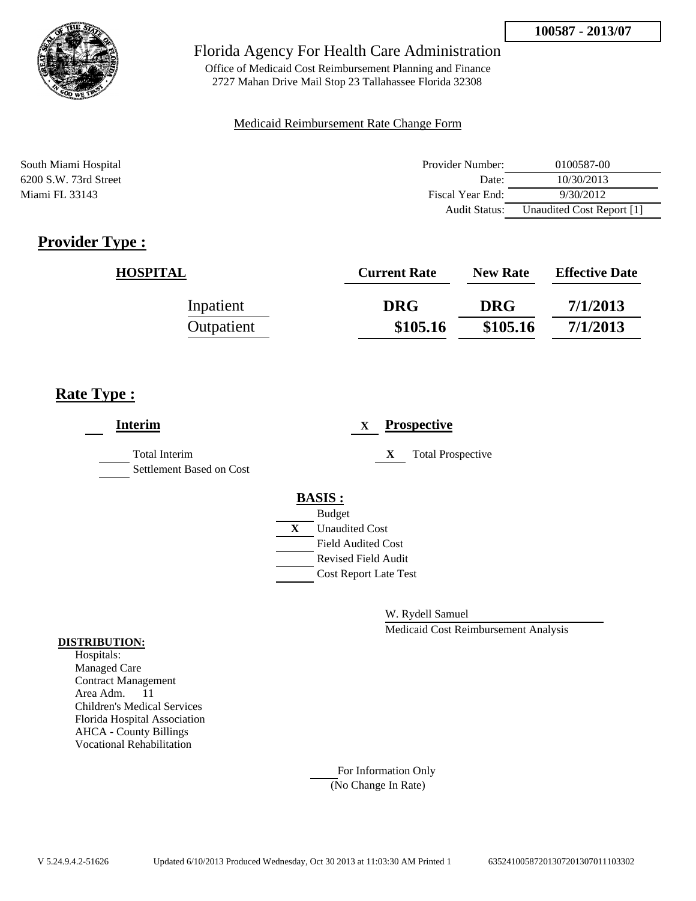

Office of Medicaid Cost Reimbursement Planning and Finance 2727 Mahan Drive Mail Stop 23 Tallahassee Florida 32308

#### Medicaid Reimbursement Rate Change Form

South Miami Hospital **Provider Number:** 0100587-00 6200 S.W. 73rd Street Date: 10/30/2013 Miami FL 33143 9/30/2012 Audit Status: Unaudited Cost Report [1]

# **Provider Type :**

| <b>HOSPITAL</b> | <b>Current Rate</b> | <b>New Rate</b> | <b>Effective Date</b> |
|-----------------|---------------------|-----------------|-----------------------|
| Inpatient       | <b>DRG</b>          | <b>DRG</b>      | 7/1/2013              |
| Outpatient      | \$105.16            | \$105.16        | 7/1/2013              |

# **Rate Type :**

| <b>Interim</b>                                   | <b>Prospective</b><br>X       |
|--------------------------------------------------|-------------------------------|
| <b>Total Interim</b><br>Settlement Based on Cost | X<br><b>Total Prospective</b> |
|                                                  | <b>BASIS:</b>                 |
|                                                  | <b>Budget</b>                 |
|                                                  | <b>Unaudited Cost</b><br>X    |
|                                                  | <b>Field Audited Cost</b>     |
|                                                  | <b>Revised Field Audit</b>    |
|                                                  | <b>Cost Report Late Test</b>  |
|                                                  |                               |

W. Rydell Samuel

Medicaid Cost Reimbursement Analysis

#### **DISTRIBUTION:**

Hospitals: Managed Care Contract Management Area Adm. 11 Children's Medical Services Florida Hospital Association AHCA - County Billings Vocational Rehabilitation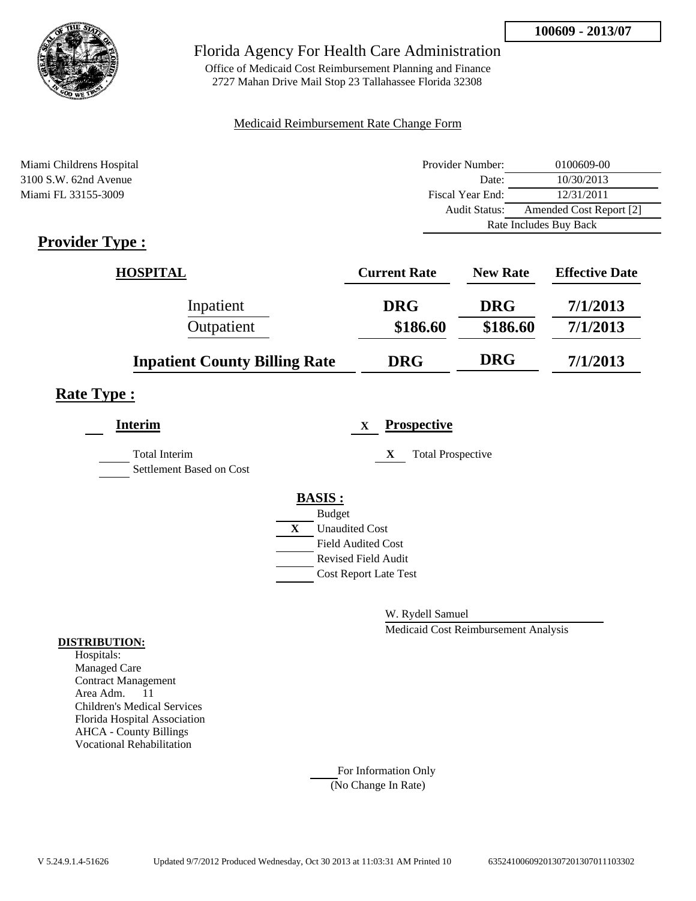

Office of Medicaid Cost Reimbursement Planning and Finance 2727 Mahan Drive Mail Stop 23 Tallahassee Florida 32308

#### Medicaid Reimbursement Rate Change Form

| Miami Childrens Hospital                                          | Provider Number:     | 0100609-00              |
|-------------------------------------------------------------------|----------------------|-------------------------|
| $3100$ S.W. 62nd Avenue                                           | Date:                | 10/30/2013              |
| Miami FL 33155-3009                                               | Fiscal Year End:     | 12/31/2011              |
|                                                                   | <b>Audit Status:</b> | Amended Cost Report [2] |
|                                                                   |                      | Rate Includes Buy Back  |
| $\bullet$ $\bullet$<br>$\blacksquare$<br>$\overline{\phantom{a}}$ |                      |                         |

## **Provider Type :**

| <b>HOSPITAL</b>                      | <b>Current Rate</b> | <b>New Rate</b> | <b>Effective Date</b> |
|--------------------------------------|---------------------|-----------------|-----------------------|
| Inpatient                            | <b>DRG</b>          | <b>DRG</b>      | 7/1/2013              |
| Outpatient                           | \$186.60            | \$186.60        | 7/1/2013              |
| <b>Inpatient County Billing Rate</b> | <b>DRG</b>          | <b>DRG</b>      | 7/1/2013              |

## **Rate Type :**

| <b>Interim</b>                                   |   | <b>Prospective</b><br>X       |
|--------------------------------------------------|---|-------------------------------|
| <b>Total Interim</b><br>Settlement Based on Cost |   | <b>Total Prospective</b><br>X |
|                                                  |   | <b>BASIS:</b>                 |
|                                                  |   | <b>Budget</b>                 |
|                                                  | X | <b>Unaudited Cost</b>         |
|                                                  |   | <b>Field Audited Cost</b>     |
|                                                  |   | <b>Revised Field Audit</b>    |
|                                                  |   | <b>Cost Report Late Test</b>  |
|                                                  |   |                               |

W. Rydell Samuel

Medicaid Cost Reimbursement Analysis

#### **DISTRIBUTION:**

Hospitals: Managed Care Contract Management Area Adm. 11 Children's Medical Services Florida Hospital Association AHCA - County Billings Vocational Rehabilitation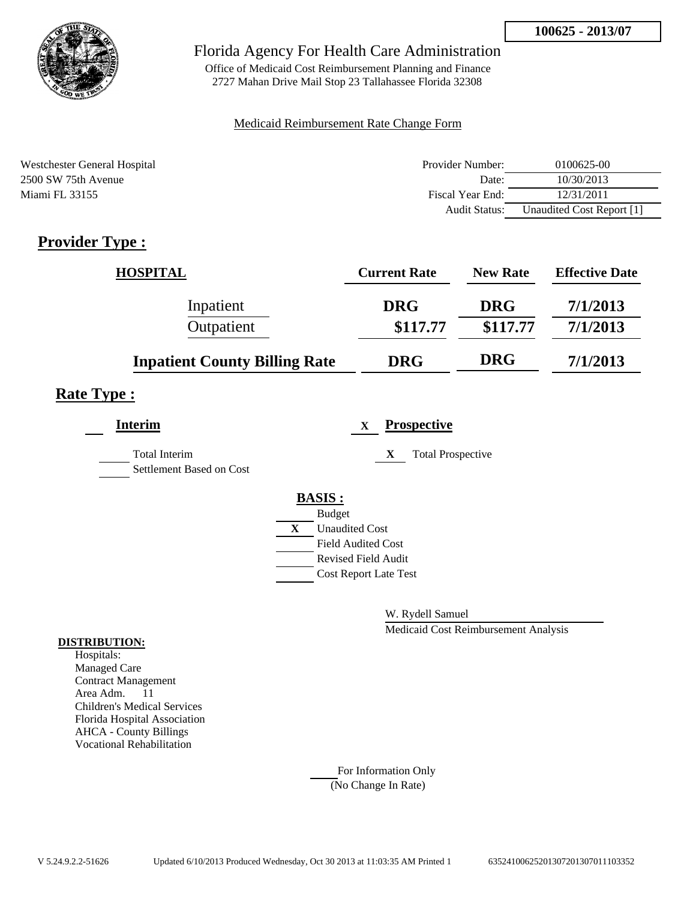

Office of Medicaid Cost Reimbursement Planning and Finance 2727 Mahan Drive Mail Stop 23 Tallahassee Florida 32308

#### Medicaid Reimbursement Rate Change Form

| Westchester General Hospital | Provider Number:     | 0100625-00                |
|------------------------------|----------------------|---------------------------|
| 2500 SW 75th Avenue          | Date:                | 10/30/2013                |
| Miami FL 33155               | Fiscal Year End:     | 12/31/2011                |
|                              | <b>Audit Status:</b> | Unaudited Cost Report [1] |

# **Provider Type :**

| <b>HOSPITAL</b>                      | <b>Current Rate</b> | <b>New Rate</b> | <b>Effective Date</b> |
|--------------------------------------|---------------------|-----------------|-----------------------|
| Inpatient                            | <b>DRG</b>          | <b>DRG</b>      | 7/1/2013              |
| Outpatient                           | \$117.77            | \$117.77        | 7/1/2013              |
| <b>Inpatient County Billing Rate</b> | <b>DRG</b>          | <b>DRG</b>      | 7/1/2013              |

# **Rate Type :**

| <b>Interim</b>                                   | <b>Prospective</b><br>$\mathbf{x}$ |
|--------------------------------------------------|------------------------------------|
| <b>Total Interim</b><br>Settlement Based on Cost | <b>Total Prospective</b><br>X      |
|                                                  | <b>BASIS:</b>                      |
|                                                  | <b>Budget</b>                      |
|                                                  | X<br><b>Unaudited Cost</b>         |
|                                                  | <b>Field Audited Cost</b>          |
|                                                  | <b>Revised Field Audit</b>         |
|                                                  | <b>Cost Report Late Test</b>       |
|                                                  |                                    |

W. Rydell Samuel

Medicaid Cost Reimbursement Analysis

#### **DISTRIBUTION:**

Hospitals: Managed Care Contract Management Area Adm. 11 Children's Medical Services Florida Hospital Association AHCA - County Billings Vocational Rehabilitation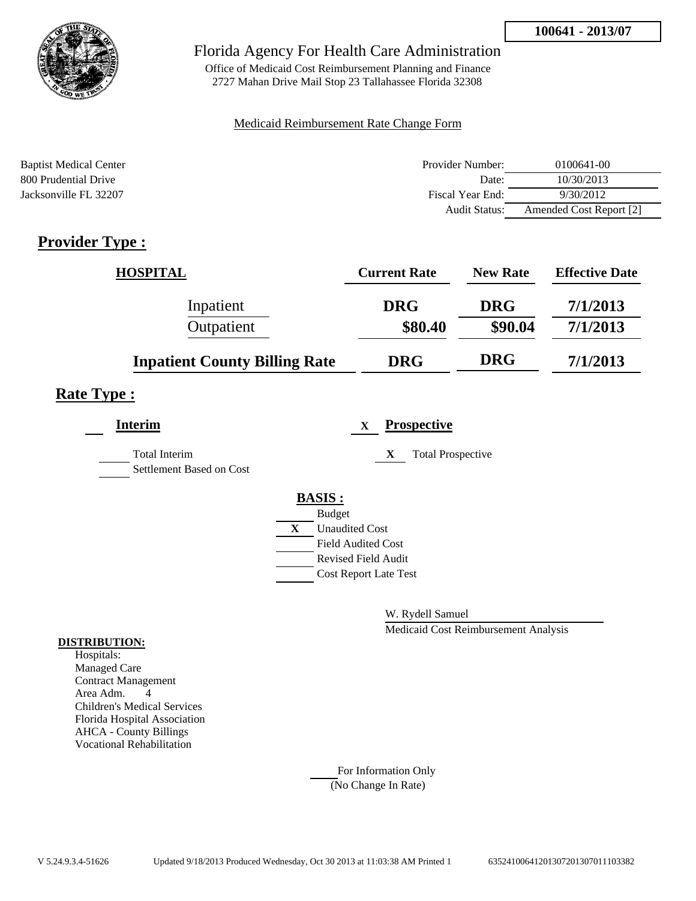

Office of Medicaid Cost Reimbursement Planning and Finance 2727 Mahan Drive Mail Stop 23 Tallahassee Florida 32308

#### Medicaid Reimbursement Rate Change Form

| <b>Baptist Medical Center</b> | Provider Number: | 0100641-00              |
|-------------------------------|------------------|-------------------------|
| 800 Prudential Drive          | Date:            | 10/30/2013              |
| Jacksonville FL 32207         | Fiscal Year End: | 9/30/2012               |
|                               | Audit Status:    | Amended Cost Report [2] |

# **Provider Type :**

| <b>HOSPITAL</b>                      | <b>Current Rate</b> | <b>New Rate</b> | <b>Effective Date</b> |
|--------------------------------------|---------------------|-----------------|-----------------------|
| Inpatient                            | <b>DRG</b>          | <b>DRG</b>      | 7/1/2013              |
| Outpatient                           | \$80.40             | \$90.04         | 7/1/2013              |
| <b>Inpatient County Billing Rate</b> | <b>DRG</b>          | <b>DRG</b>      | 7/1/2013              |

## **Rate Type :**

| <b>Interim</b>                                   | <b>Prospective</b><br>X       |  |
|--------------------------------------------------|-------------------------------|--|
| <b>Total Interim</b><br>Settlement Based on Cost | X<br><b>Total Prospective</b> |  |
|                                                  | <b>BASIS:</b>                 |  |
|                                                  | <b>Budget</b>                 |  |
|                                                  | <b>Unaudited Cost</b><br>X    |  |
|                                                  | <b>Field Audited Cost</b>     |  |
|                                                  | <b>Revised Field Audit</b>    |  |
|                                                  | <b>Cost Report Late Test</b>  |  |
|                                                  |                               |  |

W. Rydell Samuel

Medicaid Cost Reimbursement Analysis

#### **DISTRIBUTION:**

Hospitals: Managed Care Contract Management Area Adm. 4 Children's Medical Services Florida Hospital Association AHCA - County Billings Vocational Rehabilitation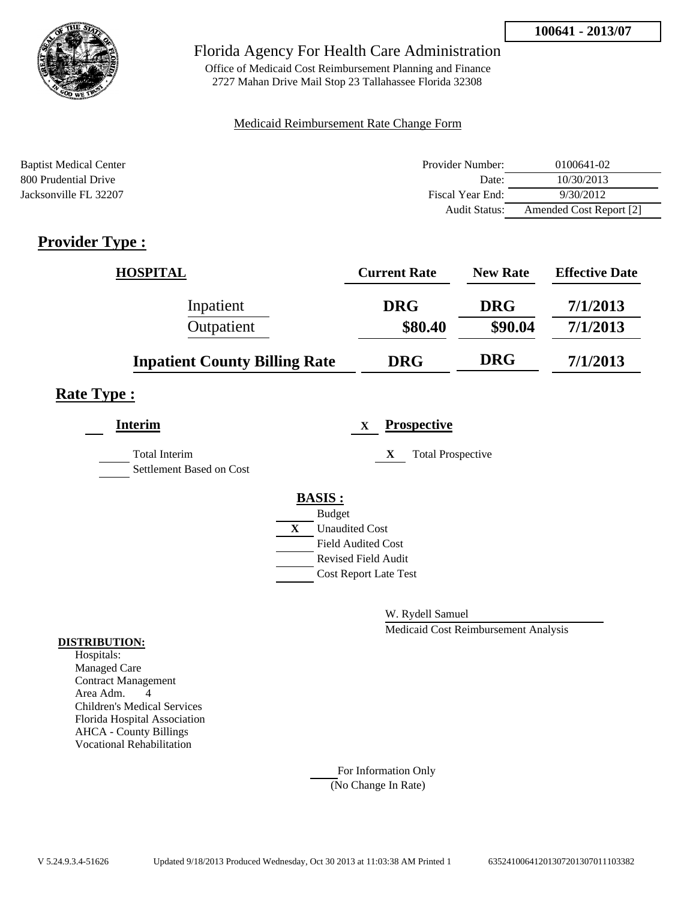

Office of Medicaid Cost Reimbursement Planning and Finance 2727 Mahan Drive Mail Stop 23 Tallahassee Florida 32308

#### Medicaid Reimbursement Rate Change Form

| <b>Baptist Medical Center</b> | Provider Number: | 0100641-02              |
|-------------------------------|------------------|-------------------------|
| 800 Prudential Drive          | Date:            | 10/30/2013              |
| Jacksonville FL 32207         | Fiscal Year End: | 9/30/2012               |
|                               | Audit Status:    | Amended Cost Report [2] |

# **Provider Type :**

| <b>HOSPITAL</b>                      | <b>Current Rate</b> | <b>New Rate</b> | <b>Effective Date</b> |
|--------------------------------------|---------------------|-----------------|-----------------------|
| Inpatient                            | <b>DRG</b>          | <b>DRG</b>      | 7/1/2013              |
| Outpatient                           | \$80.40             | \$90.04         | 7/1/2013              |
| <b>Inpatient County Billing Rate</b> | <b>DRG</b>          | <b>DRG</b>      | 7/1/2013              |

## **Rate Type :**

| <b>Interim</b>                                   | <b>Prospective</b><br>X       |  |
|--------------------------------------------------|-------------------------------|--|
| <b>Total Interim</b><br>Settlement Based on Cost | <b>Total Prospective</b><br>X |  |
|                                                  | <b>BASIS:</b>                 |  |
|                                                  | <b>Budget</b>                 |  |
|                                                  | <b>Unaudited Cost</b><br>X    |  |
|                                                  | <b>Field Audited Cost</b>     |  |
|                                                  | <b>Revised Field Audit</b>    |  |
|                                                  | <b>Cost Report Late Test</b>  |  |
|                                                  |                               |  |

W. Rydell Samuel

Medicaid Cost Reimbursement Analysis

#### **DISTRIBUTION:**

Hospitals: Managed Care Contract Management Area Adm. 4 Children's Medical Services Florida Hospital Association AHCA - County Billings Vocational Rehabilitation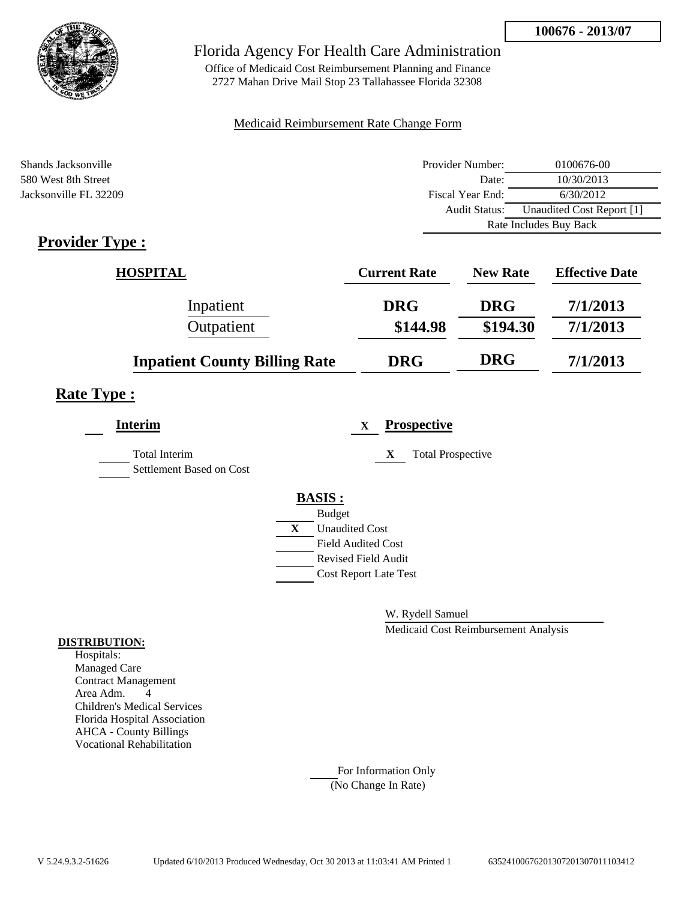

Office of Medicaid Cost Reimbursement Planning and Finance 2727 Mahan Drive Mail Stop 23 Tallahassee Florida 32308

#### Medicaid Reimbursement Rate Change Form

| Shands Jacksonville                | Provider Number:     | 0100676-00                |
|------------------------------------|----------------------|---------------------------|
| 580 West 8th Street                | Date:                | 10/30/2013                |
| Jacksonville FL 32209              | Fiscal Year End:     | 6/30/2012                 |
|                                    | <b>Audit Status:</b> | Unaudited Cost Report [1] |
|                                    |                      | Rate Includes Buy Back    |
| $\sim$<br>$\overline{\phantom{a}}$ |                      |                           |

# **Provider Type :**

| <b>HOSPITAL</b>                      | <b>Current Rate</b> | <b>New Rate</b> | <b>Effective Date</b> |
|--------------------------------------|---------------------|-----------------|-----------------------|
| Inpatient                            | <b>DRG</b>          | <b>DRG</b>      | 7/1/2013              |
| Outpatient                           | \$144.98            | \$194.30        | 7/1/2013              |
| <b>Inpatient County Billing Rate</b> | <b>DRG</b>          | <b>DRG</b>      | 7/1/2013              |

# **Rate Type :**

| <b>Interim</b>                            |   | $\mathbf X$                  | <b>Prospective</b>            |
|-------------------------------------------|---|------------------------------|-------------------------------|
| Total Interim<br>Settlement Based on Cost |   |                              | X<br><b>Total Prospective</b> |
|                                           |   | <b>BASIS:</b>                |                               |
|                                           |   | <b>Budget</b>                |                               |
|                                           | X | <b>Unaudited Cost</b>        |                               |
|                                           |   | <b>Field Audited Cost</b>    |                               |
|                                           |   | <b>Revised Field Audit</b>   |                               |
|                                           |   | <b>Cost Report Late Test</b> |                               |
|                                           |   |                              |                               |

W. Rydell Samuel

Medicaid Cost Reimbursement Analysis

#### **DISTRIBUTION:**

Hospitals: Managed Care Contract Management Area Adm. 4 Children's Medical Services Florida Hospital Association AHCA - County Billings Vocational Rehabilitation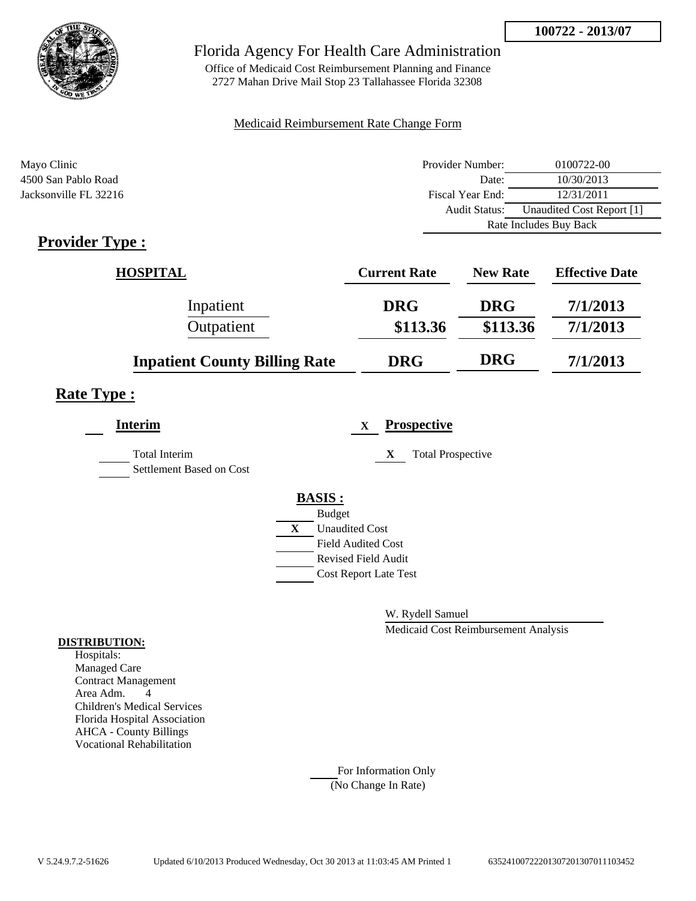

Office of Medicaid Cost Reimbursement Planning and Finance 2727 Mahan Drive Mail Stop 23 Tallahassee Florida 32308

#### Medicaid Reimbursement Rate Change Form

| Mayo Clinic           | Provider Number:     | 0100722-00                |
|-----------------------|----------------------|---------------------------|
| 4500 San Pablo Road   | Date:                | 10/30/2013                |
| Jacksonville FL 32216 | Fiscal Year End:     | 12/31/2011                |
|                       | <b>Audit Status:</b> | Unaudited Cost Report [1] |
|                       |                      | Rate Includes Buy Back    |

# **Provider Type :**

| <b>HOSPITAL</b>                      | <b>Current Rate</b> | <b>New Rate</b> | <b>Effective Date</b> |
|--------------------------------------|---------------------|-----------------|-----------------------|
| Inpatient                            | <b>DRG</b>          | <b>DRG</b>      | 7/1/2013              |
| Outpatient                           | \$113.36            | \$113.36        | 7/1/2013              |
| <b>Inpatient County Billing Rate</b> | <b>DRG</b>          | <b>DRG</b>      | 7/1/2013              |

# **Rate Type :**

| <b>Interim</b>                                   |   | <b>Prospective</b><br>$\mathbf X$ |
|--------------------------------------------------|---|-----------------------------------|
| <b>Total Interim</b><br>Settlement Based on Cost |   | <b>Total Prospective</b><br>X     |
|                                                  |   | <b>BASIS:</b>                     |
|                                                  |   | <b>Budget</b>                     |
|                                                  | X | <b>Unaudited Cost</b>             |
|                                                  |   | <b>Field Audited Cost</b>         |
|                                                  |   | Revised Field Audit               |
|                                                  |   | <b>Cost Report Late Test</b>      |
|                                                  |   |                                   |

W. Rydell Samuel

Medicaid Cost Reimbursement Analysis

#### **DISTRIBUTION:**

Hospitals: Managed Care Contract Management Area Adm. 4 Children's Medical Services Florida Hospital Association AHCA - County Billings Vocational Rehabilitation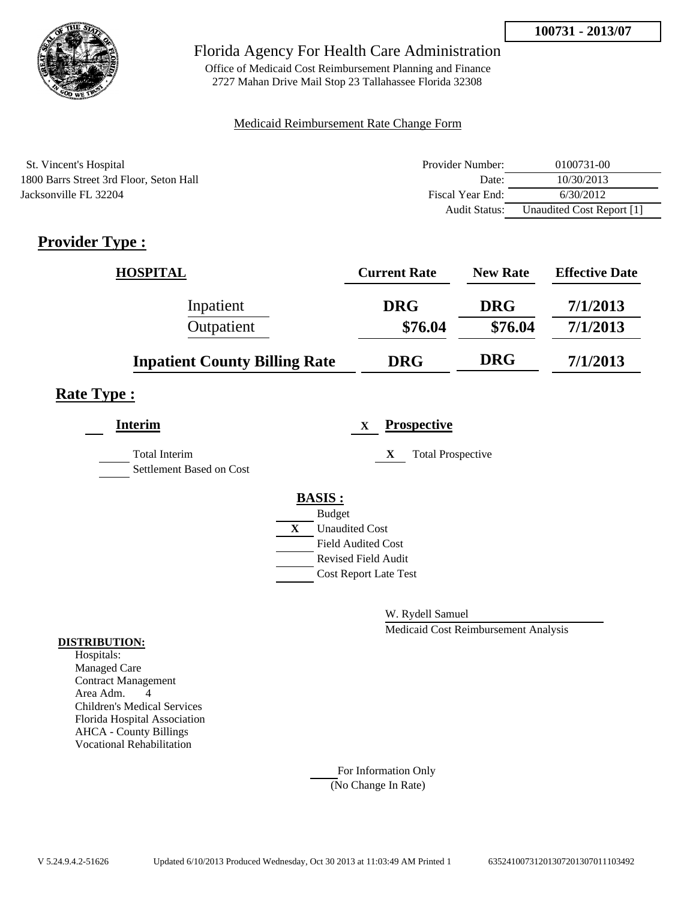

Office of Medicaid Cost Reimbursement Planning and Finance 2727 Mahan Drive Mail Stop 23 Tallahassee Florida 32308

### Medicaid Reimbursement Rate Change Form

| St. Vincent's Hospital                  | Provider Number:     | 0100731-00                |
|-----------------------------------------|----------------------|---------------------------|
| 1800 Barrs Street 3rd Floor, Seton Hall | Date:                | 10/30/2013                |
| Jacksonville FL 32204                   | Fiscal Year End:     | 6/30/2012                 |
|                                         | <b>Audit Status:</b> | Unaudited Cost Report [1] |

# **Provider Type :**

| <b>HOSPITAL</b>                      | <b>Current Rate</b> | <b>New Rate</b> | <b>Effective Date</b> |
|--------------------------------------|---------------------|-----------------|-----------------------|
| Inpatient                            | <b>DRG</b>          | <b>DRG</b>      | 7/1/2013              |
| Outpatient                           | \$76.04             | \$76.04         | 7/1/2013              |
| <b>Inpatient County Billing Rate</b> | <b>DRG</b>          | <b>DRG</b>      | 7/1/2013              |

## **Rate Type :**

| <b>Interim</b>                                   | <b>Prospective</b><br>$\mathbf x$ |                          |
|--------------------------------------------------|-----------------------------------|--------------------------|
| <b>Total Interim</b><br>Settlement Based on Cost | X                                 | <b>Total Prospective</b> |
|                                                  | <b>BASIS:</b>                     |                          |
|                                                  | <b>Budget</b>                     |                          |
|                                                  | <b>Unaudited Cost</b><br>X        |                          |
|                                                  | <b>Field Audited Cost</b>         |                          |
|                                                  | Revised Field Audit               |                          |
|                                                  | <b>Cost Report Late Test</b>      |                          |
|                                                  |                                   |                          |

W. Rydell Samuel

Medicaid Cost Reimbursement Analysis

### **DISTRIBUTION:**

Hospitals: Managed Care Contract Management Area Adm. 4 Children's Medical Services Florida Hospital Association AHCA - County Billings Vocational Rehabilitation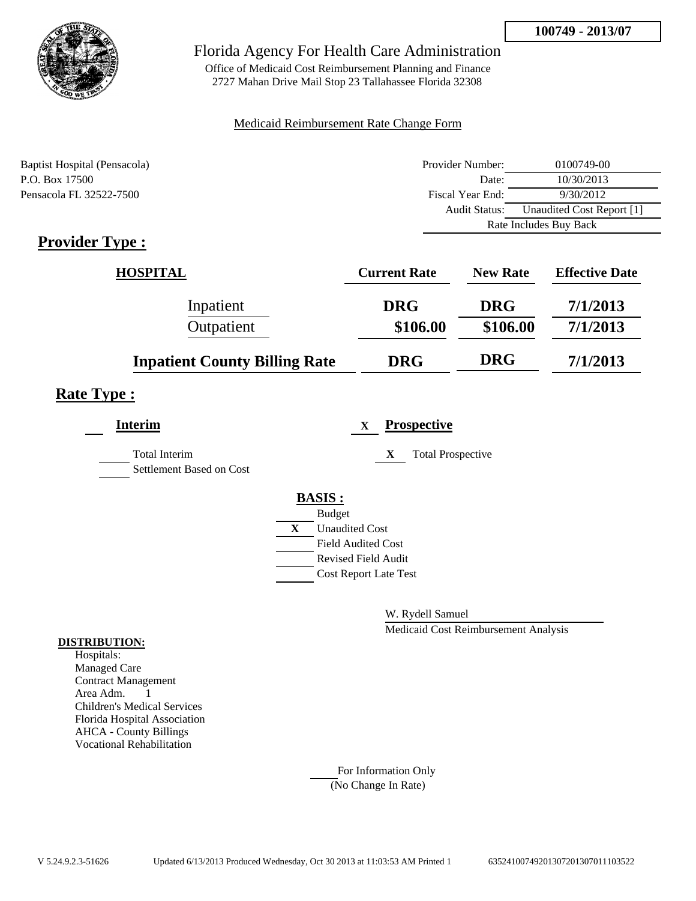

Office of Medicaid Cost Reimbursement Planning and Finance 2727 Mahan Drive Mail Stop 23 Tallahassee Florida 32308

### Medicaid Reimbursement Rate Change Form

| Baptist Hospital (Pensacola) | Provider Number:     | 0100749-00                |  |
|------------------------------|----------------------|---------------------------|--|
| P.O. Box 17500               | Date:                | 10/30/2013                |  |
| Pensacola FL 32522-7500      | Fiscal Year End:     | 9/30/2012                 |  |
|                              | <b>Audit Status:</b> | Unaudited Cost Report [1] |  |
|                              |                      | Rate Includes Buy Back    |  |

# **Provider Type :**

| <b>HOSPITAL</b>                      | <b>Current Rate</b> | <b>New Rate</b> | <b>Effective Date</b> |
|--------------------------------------|---------------------|-----------------|-----------------------|
| Inpatient                            | <b>DRG</b>          | <b>DRG</b>      | 7/1/2013              |
| Outpatient                           | \$106.00            | \$106.00        | 7/1/2013              |
| <b>Inpatient County Billing Rate</b> | <b>DRG</b>          | <b>DRG</b>      | 7/1/2013              |

## **Rate Type :**

| <b>Interim</b>                                   |   | <b>Prospective</b><br>X       |
|--------------------------------------------------|---|-------------------------------|
| <b>Total Interim</b><br>Settlement Based on Cost |   | <b>Total Prospective</b><br>X |
|                                                  |   | <b>BASIS:</b>                 |
|                                                  |   | <b>Budget</b>                 |
|                                                  | X | <b>Unaudited Cost</b>         |
|                                                  |   | <b>Field Audited Cost</b>     |
|                                                  |   | <b>Revised Field Audit</b>    |
|                                                  |   | <b>Cost Report Late Test</b>  |
|                                                  |   |                               |

W. Rydell Samuel

Medicaid Cost Reimbursement Analysis

#### **DISTRIBUTION:**

Hospitals: Managed Care Contract Management Area Adm. 1 Children's Medical Services Florida Hospital Association AHCA - County Billings Vocational Rehabilitation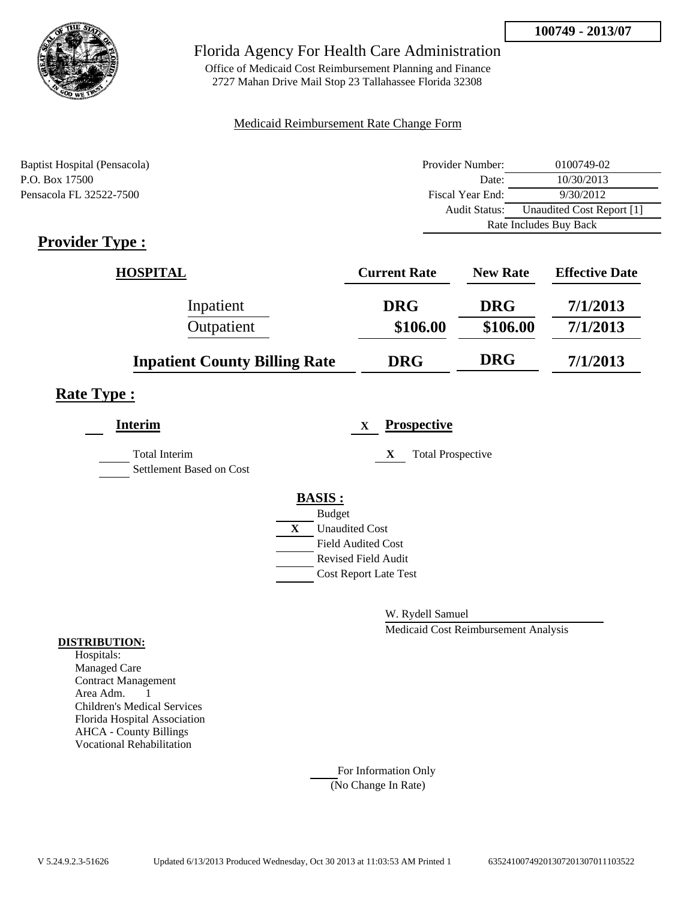

Office of Medicaid Cost Reimbursement Planning and Finance 2727 Mahan Drive Mail Stop 23 Tallahassee Florida 32308

### Medicaid Reimbursement Rate Change Form

| Baptist Hospital (Pensacola) | Provider Number:     | 0100749-02                |  |
|------------------------------|----------------------|---------------------------|--|
| P.O. Box 17500               | Date:                | 10/30/2013                |  |
| Pensacola FL 32522-7500      | Fiscal Year End:     | 9/30/2012                 |  |
|                              | <b>Audit Status:</b> | Unaudited Cost Report [1] |  |
|                              |                      | Rate Includes Buy Back    |  |

# **Provider Type :**

| <b>HOSPITAL</b>                      | <b>Current Rate</b> | <b>New Rate</b> | <b>Effective Date</b> |
|--------------------------------------|---------------------|-----------------|-----------------------|
| Inpatient                            | <b>DRG</b>          | <b>DRG</b>      | 7/1/2013              |
| Outpatient                           | \$106.00            | \$106.00        | 7/1/2013              |
| <b>Inpatient County Billing Rate</b> | <b>DRG</b>          | <b>DRG</b>      | 7/1/2013              |

## **Rate Type :**

| <b>Interim</b>                                   |   | $\mathbf{X}$                 | <b>Prospective</b>            |
|--------------------------------------------------|---|------------------------------|-------------------------------|
| <b>Total Interim</b><br>Settlement Based on Cost |   |                              | <b>Total Prospective</b><br>X |
|                                                  |   | <b>BASIS:</b>                |                               |
|                                                  |   | <b>Budget</b>                |                               |
|                                                  | X | <b>Unaudited Cost</b>        |                               |
|                                                  |   | <b>Field Audited Cost</b>    |                               |
|                                                  |   | <b>Revised Field Audit</b>   |                               |
|                                                  |   | <b>Cost Report Late Test</b> |                               |
|                                                  |   |                              |                               |

W. Rydell Samuel

Medicaid Cost Reimbursement Analysis

#### **DISTRIBUTION:**

Hospitals: Managed Care Contract Management Area Adm. 1 Children's Medical Services Florida Hospital Association AHCA - County Billings Vocational Rehabilitation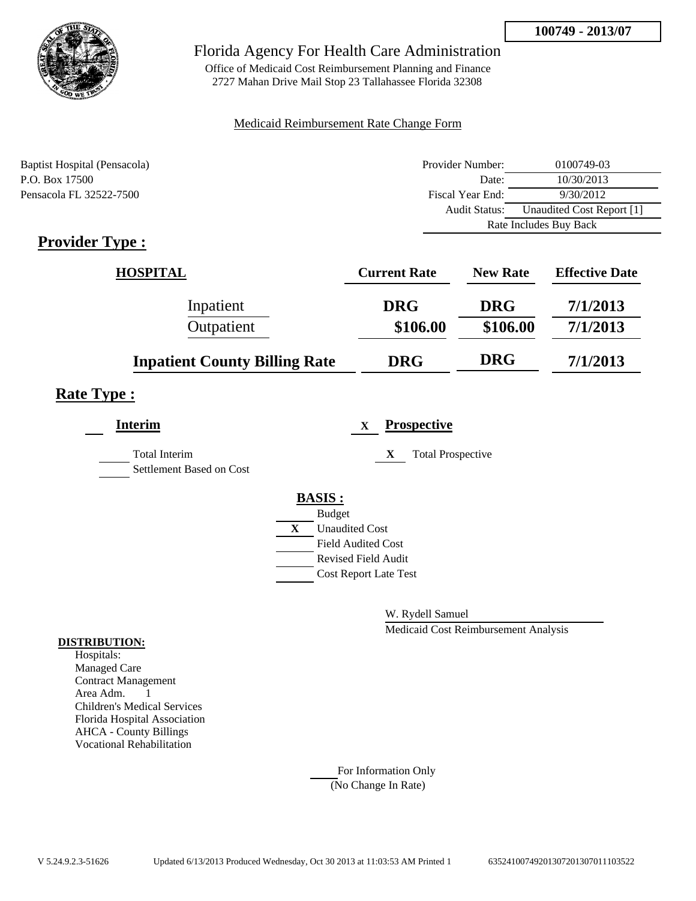

Office of Medicaid Cost Reimbursement Planning and Finance 2727 Mahan Drive Mail Stop 23 Tallahassee Florida 32308

### Medicaid Reimbursement Rate Change Form

| Baptist Hospital (Pensacola) | Provider Number:     | 0100749-03                |  |
|------------------------------|----------------------|---------------------------|--|
| P.O. Box 17500               | Date:                | 10/30/2013                |  |
| Pensacola FL 32522-7500      | Fiscal Year End:     | 9/30/2012                 |  |
|                              | <b>Audit Status:</b> | Unaudited Cost Report [1] |  |
|                              |                      | Rate Includes Buy Back    |  |

# **Provider Type :**

| <b>HOSPITAL</b>                      | <b>Current Rate</b> | <b>New Rate</b> | <b>Effective Date</b> |
|--------------------------------------|---------------------|-----------------|-----------------------|
| Inpatient                            | <b>DRG</b>          | <b>DRG</b>      | 7/1/2013              |
| Outpatient                           | \$106.00            | \$106.00        | 7/1/2013              |
| <b>Inpatient County Billing Rate</b> | <b>DRG</b>          | <b>DRG</b>      | 7/1/2013              |

## **Rate Type :**

| <b>Interim</b>                                   | <b>Prospective</b><br>X       |
|--------------------------------------------------|-------------------------------|
| <b>Total Interim</b><br>Settlement Based on Cost | <b>Total Prospective</b><br>X |
|                                                  | <b>BASIS:</b>                 |
|                                                  | <b>Budget</b>                 |
|                                                  | X<br><b>Unaudited Cost</b>    |
|                                                  | <b>Field Audited Cost</b>     |
|                                                  | <b>Revised Field Audit</b>    |
|                                                  | <b>Cost Report Late Test</b>  |
|                                                  |                               |

W. Rydell Samuel

Medicaid Cost Reimbursement Analysis

#### **DISTRIBUTION:**

Hospitals: Managed Care Contract Management Area Adm. 1 Children's Medical Services Florida Hospital Association AHCA - County Billings Vocational Rehabilitation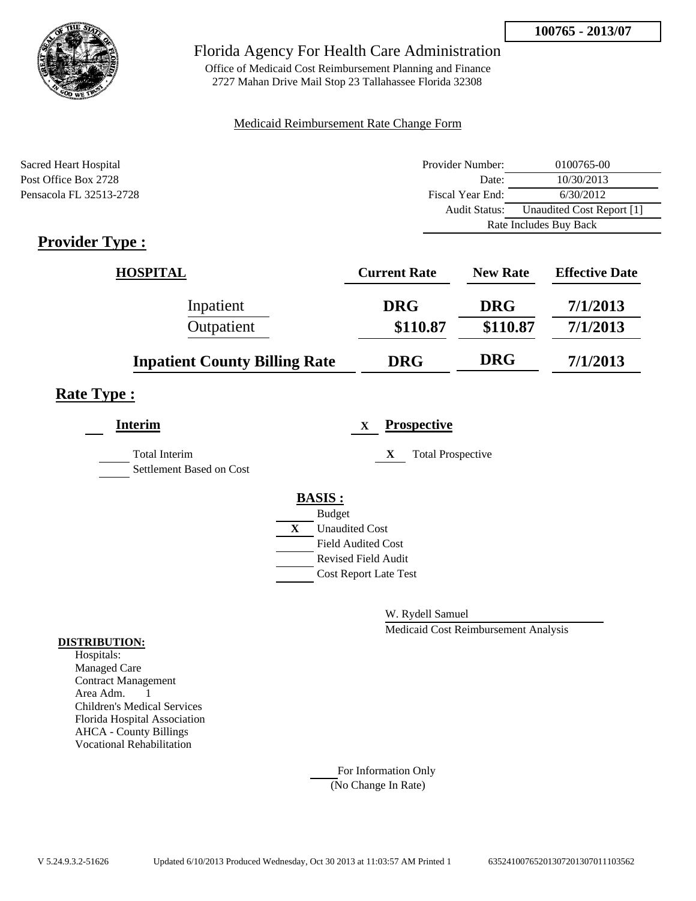

Office of Medicaid Cost Reimbursement Planning and Finance 2727 Mahan Drive Mail Stop 23 Tallahassee Florida 32308

### Medicaid Reimbursement Rate Change Form

| Sacred Heart Hospital   | Provider Number:     | 0100765-00                |  |
|-------------------------|----------------------|---------------------------|--|
| Post Office Box 2728    | Date:                | 10/30/2013                |  |
| Pensacola FL 32513-2728 | Fiscal Year End:     | 6/30/2012                 |  |
|                         | <b>Audit Status:</b> | Unaudited Cost Report [1] |  |
|                         |                      | Rate Includes Buy Back    |  |

# **Provider Type :**

| <b>HOSPITAL</b>                      | <b>Current Rate</b> | <b>New Rate</b> | <b>Effective Date</b> |
|--------------------------------------|---------------------|-----------------|-----------------------|
| Inpatient                            | <b>DRG</b>          | <b>DRG</b>      | 7/1/2013              |
| Outpatient                           | \$110.87            | \$110.87        | 7/1/2013              |
| <b>Inpatient County Billing Rate</b> | <b>DRG</b>          | <b>DRG</b>      | 7/1/2013              |

## **Rate Type :**

| <b>Interim</b>                            |              |                              | X | <b>Prospective</b>            |
|-------------------------------------------|--------------|------------------------------|---|-------------------------------|
| Total Interim<br>Settlement Based on Cost |              |                              |   | <b>Total Prospective</b><br>X |
|                                           |              | <b>BASIS:</b>                |   |                               |
|                                           |              | <b>Budget</b>                |   |                               |
|                                           | $\mathbf{X}$ | <b>Unaudited Cost</b>        |   |                               |
|                                           |              | <b>Field Audited Cost</b>    |   |                               |
|                                           |              | <b>Revised Field Audit</b>   |   |                               |
|                                           |              | <b>Cost Report Late Test</b> |   |                               |
|                                           |              |                              |   |                               |

W. Rydell Samuel

Medicaid Cost Reimbursement Analysis

#### **DISTRIBUTION:**

Hospitals: Managed Care Contract Management Area Adm. 1 Children's Medical Services Florida Hospital Association AHCA - County Billings Vocational Rehabilitation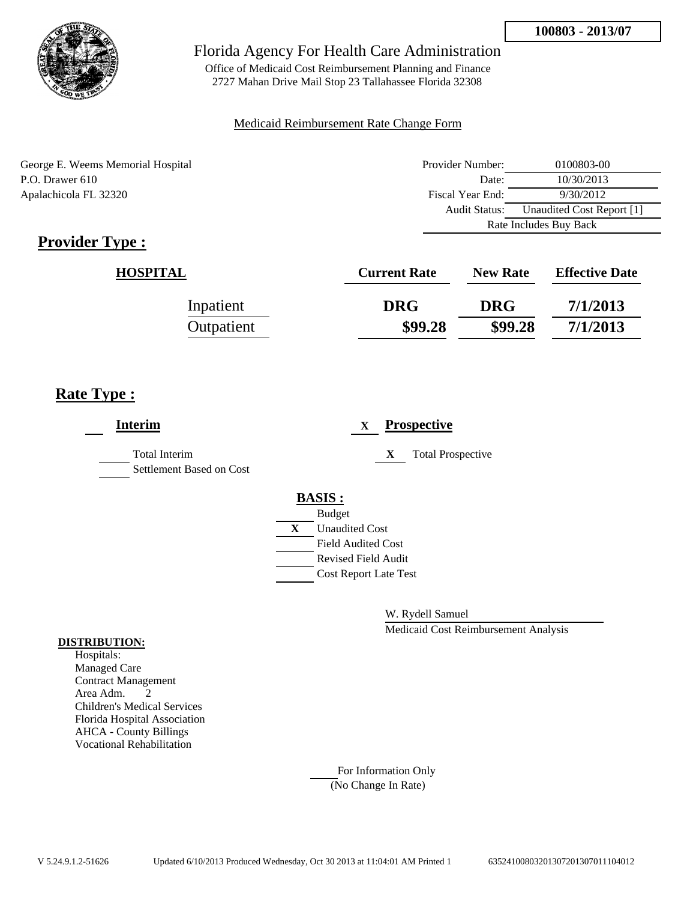

Office of Medicaid Cost Reimbursement Planning and Finance 2727 Mahan Drive Mail Stop 23 Tallahassee Florida 32308

### Medicaid Reimbursement Rate Change Form

George E. Weems Memorial Hospital P.O. Drawer 610 Apalachicola FL 32320

| Provider Number:                                  | 0100803-00 |  |
|---------------------------------------------------|------------|--|
| Date:                                             | 10/30/2013 |  |
| Fiscal Year End:                                  | 9/30/2012  |  |
| Unaudited Cost Report [1]<br><b>Audit Status:</b> |            |  |
| Rate Includes Buy Back                            |            |  |

# **Provider Type :**

| <b>HOSPITAL</b> | <b>Current Rate</b> | <b>New Rate</b> | <b>Effective Date</b> |
|-----------------|---------------------|-----------------|-----------------------|
| Inpatient       | <b>DRG</b>          | <b>DRG</b>      | 7/1/2013              |
| Outpatient      | \$99.28             | \$99.28         | 7/1/2013              |

# **Rate Type :**

| <b>Interim</b>                                   | <b>Prospective</b><br>$\mathbf{X}$ |
|--------------------------------------------------|------------------------------------|
| <b>Total Interim</b><br>Settlement Based on Cost | X<br><b>Total Prospective</b>      |
|                                                  | <b>BASIS:</b><br><b>Budget</b>     |
|                                                  | X<br><b>Unaudited Cost</b>         |
|                                                  | <b>Field Audited Cost</b>          |
|                                                  | <b>Revised Field Audit</b>         |
|                                                  | <b>Cost Report Late Test</b>       |
|                                                  |                                    |

W. Rydell Samuel

Medicaid Cost Reimbursement Analysis

#### **DISTRIBUTION:**

Hospitals: Managed Care Contract Management Area Adm. 2 Children's Medical Services Florida Hospital Association AHCA - County Billings Vocational Rehabilitation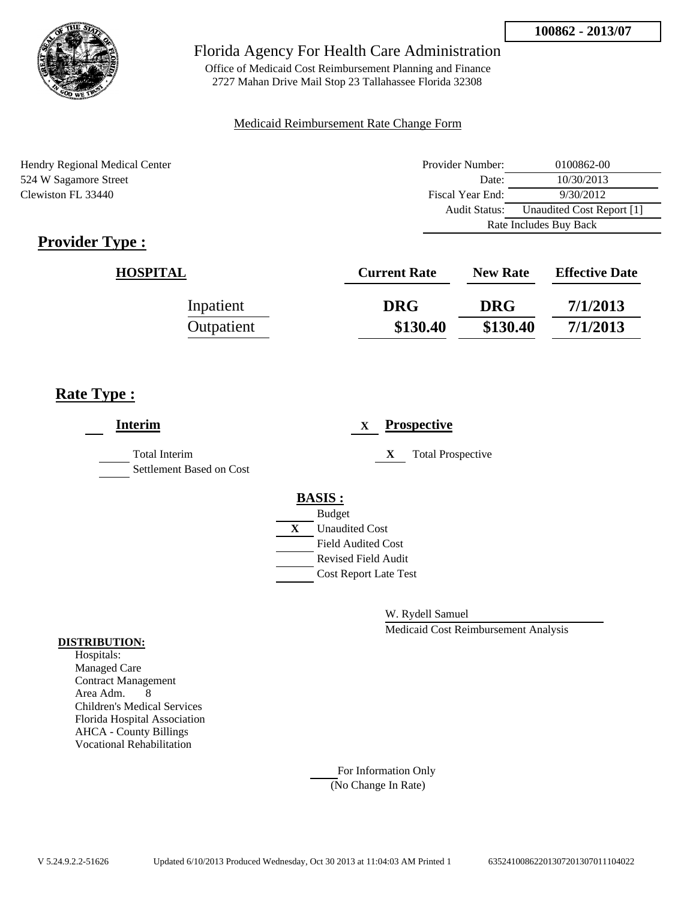

Office of Medicaid Cost Reimbursement Planning and Finance 2727 Mahan Drive Mail Stop 23 Tallahassee Florida 32308

### Medicaid Reimbursement Rate Change Form

Hendry Regional Medical Center 524 W Sagamore Street Clewiston FL 33440

| Provider Number:                           | 0100862-00 |  |
|--------------------------------------------|------------|--|
| Date:                                      | 10/30/2013 |  |
| Fiscal Year End:                           | 9/30/2012  |  |
| Unaudited Cost Report [1]<br>Audit Status: |            |  |
| Rate Includes Buy Back                     |            |  |

# **Provider Type :**

| <b>HOSPITAL</b> | <b>Current Rate</b> | <b>New Rate</b> | <b>Effective Date</b> |
|-----------------|---------------------|-----------------|-----------------------|
| Inpatient       | <b>DRG</b>          | <b>DRG</b>      | 7/1/2013              |
| Outpatient      | \$130.40            | \$130.40        | 7/1/2013              |

# **Rate Type :**

| <b>Interim</b>                                   | <b>Prospective</b><br>X        |
|--------------------------------------------------|--------------------------------|
| <b>Total Interim</b><br>Settlement Based on Cost | <b>Total Prospective</b><br>X  |
|                                                  | <b>BASIS:</b><br><b>Budget</b> |
|                                                  | <b>Unaudited Cost</b><br>X     |
|                                                  | <b>Field Audited Cost</b>      |
|                                                  | <b>Revised Field Audit</b>     |
|                                                  | <b>Cost Report Late Test</b>   |
|                                                  |                                |

W. Rydell Samuel

Medicaid Cost Reimbursement Analysis

### **DISTRIBUTION:**

Hospitals: Managed Care Contract Management Area Adm. 8 Children's Medical Services Florida Hospital Association AHCA - County Billings Vocational Rehabilitation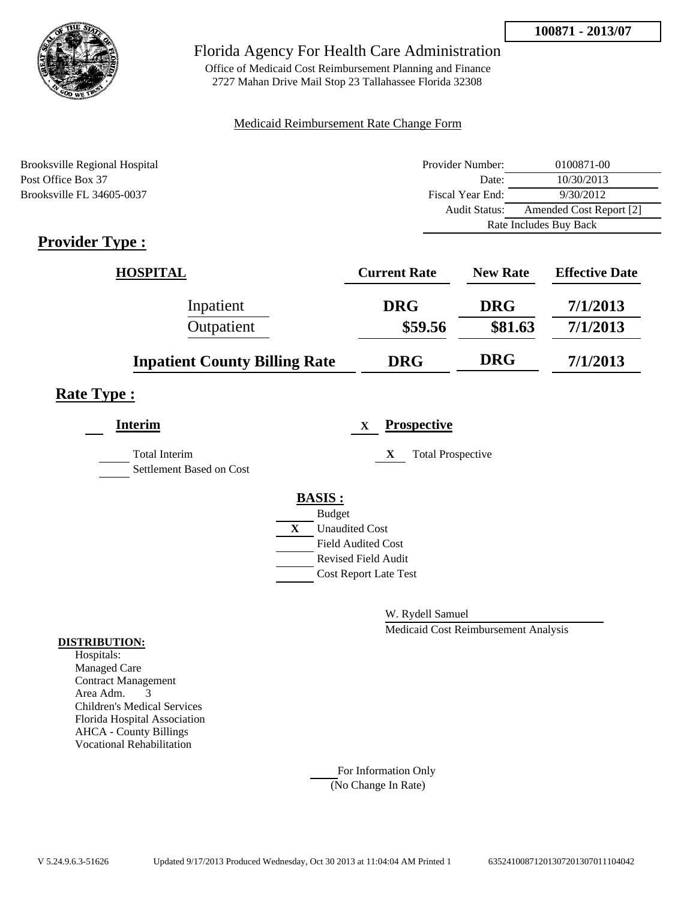

Office of Medicaid Cost Reimbursement Planning and Finance 2727 Mahan Drive Mail Stop 23 Tallahassee Florida 32308

### Medicaid Reimbursement Rate Change Form

| Brooksville Regional Hospital | Provider Number:     | 0100871-00              |  |
|-------------------------------|----------------------|-------------------------|--|
| Post Office Box 37            | Date:                | 10/30/2013              |  |
| Brooksville FL 34605-0037     | Fiscal Year End:     | 9/30/2012               |  |
|                               | <b>Audit Status:</b> | Amended Cost Report [2] |  |
|                               |                      | Rate Includes Buy Back  |  |

# **Provider Type :**

| <b>HOSPITAL</b>                      | <b>Current Rate</b> | <b>New Rate</b> | <b>Effective Date</b> |
|--------------------------------------|---------------------|-----------------|-----------------------|
| Inpatient                            | <b>DRG</b>          | <b>DRG</b>      | 7/1/2013              |
| Outpatient                           | \$59.56             | \$81.63         | 7/1/2013              |
| <b>Inpatient County Billing Rate</b> | <b>DRG</b>          | <b>DRG</b>      | 7/1/2013              |

# **Rate Type :**

| <b>Interim</b>                                   |              | X                            | <b>Prospective</b>            |
|--------------------------------------------------|--------------|------------------------------|-------------------------------|
| <b>Total Interim</b><br>Settlement Based on Cost |              |                              | <b>Total Prospective</b><br>X |
|                                                  |              | <b>BASIS:</b>                |                               |
|                                                  |              | <b>Budget</b>                |                               |
|                                                  | $\mathbf{X}$ | <b>Unaudited Cost</b>        |                               |
|                                                  |              | <b>Field Audited Cost</b>    |                               |
|                                                  |              | <b>Revised Field Audit</b>   |                               |
|                                                  |              | <b>Cost Report Late Test</b> |                               |
|                                                  |              |                              |                               |

W. Rydell Samuel

Medicaid Cost Reimbursement Analysis

#### **DISTRIBUTION:**

Hospitals: Managed Care Contract Management Area Adm. 3 Children's Medical Services Florida Hospital Association AHCA - County Billings Vocational Rehabilitation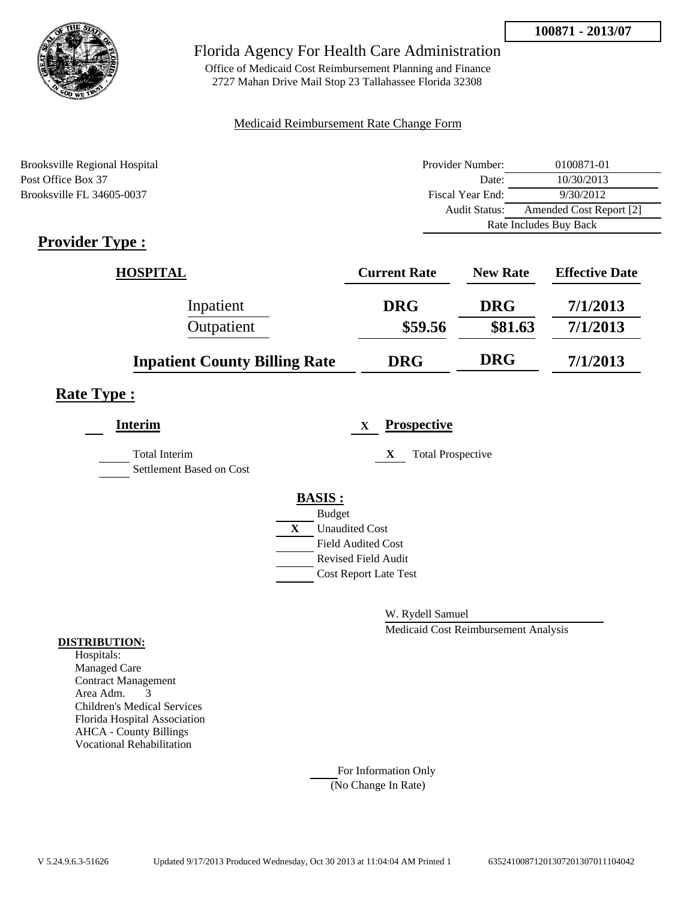

Office of Medicaid Cost Reimbursement Planning and Finance 2727 Mahan Drive Mail Stop 23 Tallahassee Florida 32308

### Medicaid Reimbursement Rate Change Form

| Brooksville Regional Hospital | Provider Number:       | 0100871-01              |  |
|-------------------------------|------------------------|-------------------------|--|
| Post Office Box 37            | Date:                  | 10/30/2013              |  |
| Brooksville FL 34605-0037     | Fiscal Year End:       | 9/30/2012               |  |
|                               | Audit Status:          | Amended Cost Report [2] |  |
|                               | Rate Includes Buy Back |                         |  |

# **Provider Type :**

| <b>HOSPITAL</b>                      | <b>Current Rate</b> | <b>New Rate</b> | <b>Effective Date</b> |
|--------------------------------------|---------------------|-----------------|-----------------------|
| Inpatient                            | <b>DRG</b>          | <b>DRG</b>      | 7/1/2013              |
| Outpatient                           | \$59.56             | \$81.63         | 7/1/2013              |
| <b>Inpatient County Billing Rate</b> | <b>DRG</b>          | <b>DRG</b>      | 7/1/2013              |

# **Rate Type :**

| <b>Interim</b>                                   |              | X                            | <b>Prospective</b>            |
|--------------------------------------------------|--------------|------------------------------|-------------------------------|
| <b>Total Interim</b><br>Settlement Based on Cost |              |                              | <b>Total Prospective</b><br>X |
|                                                  |              | <b>BASIS:</b>                |                               |
|                                                  |              | <b>Budget</b>                |                               |
|                                                  | $\mathbf{X}$ | <b>Unaudited Cost</b>        |                               |
|                                                  |              | <b>Field Audited Cost</b>    |                               |
|                                                  |              | <b>Revised Field Audit</b>   |                               |
|                                                  |              | <b>Cost Report Late Test</b> |                               |
|                                                  |              |                              |                               |

W. Rydell Samuel

Medicaid Cost Reimbursement Analysis

#### **DISTRIBUTION:**

Hospitals: Managed Care Contract Management Area Adm. 3 Children's Medical Services Florida Hospital Association AHCA - County Billings Vocational Rehabilitation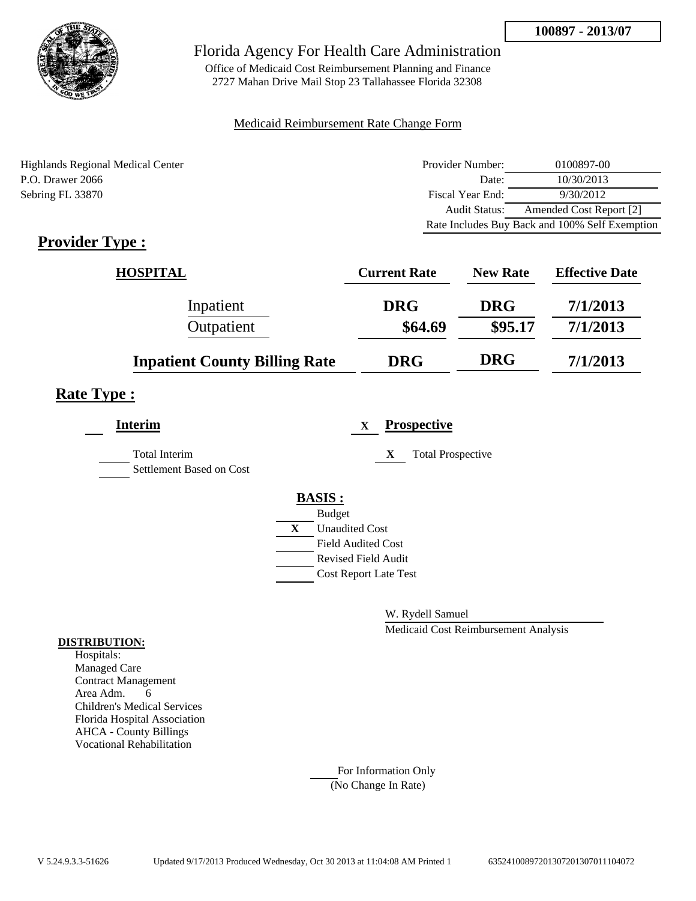

Office of Medicaid Cost Reimbursement Planning and Finance 2727 Mahan Drive Mail Stop 23 Tallahassee Florida 32308

### Medicaid Reimbursement Rate Change Form

Highlands Regional Medical Center P.O. Drawer 2066 Sebring FL 33870

| Provider Number:                               | 0100897-00              |  |  |
|------------------------------------------------|-------------------------|--|--|
| Date:                                          | 10/30/2013              |  |  |
| Fiscal Year End:                               | 9/30/2012               |  |  |
| Audit Status:                                  | Amended Cost Report [2] |  |  |
| Rate Includes Buy Back and 100% Self Exemption |                         |  |  |

# **Provider Type :**

| <b>HOSPITAL</b>                      | <b>Current Rate</b> | <b>New Rate</b> | <b>Effective Date</b> |
|--------------------------------------|---------------------|-----------------|-----------------------|
| Inpatient                            | <b>DRG</b>          | <b>DRG</b>      | 7/1/2013              |
| Outpatient                           | \$64.69             | \$95.17         | 7/1/2013              |
| <b>Inpatient County Billing Rate</b> | <b>DRG</b>          | <b>DRG</b>      | 7/1/2013              |

## **Rate Type :**

| <b>Interim</b>                                   | <b>Prospective</b><br>$\mathbf{X}$    |  |
|--------------------------------------------------|---------------------------------------|--|
| <b>Total Interim</b><br>Settlement Based on Cost | <b>Total Prospective</b><br>X         |  |
|                                                  | <b>BASIS:</b>                         |  |
|                                                  | <b>Budget</b>                         |  |
|                                                  | $\mathbf{X}$<br><b>Unaudited Cost</b> |  |
|                                                  | <b>Field Audited Cost</b>             |  |
|                                                  | <b>Revised Field Audit</b>            |  |
|                                                  | <b>Cost Report Late Test</b>          |  |
|                                                  |                                       |  |

W. Rydell Samuel

Medicaid Cost Reimbursement Analysis

### **DISTRIBUTION:**

Hospitals: Managed Care Contract Management Area Adm. 6 Children's Medical Services Florida Hospital Association AHCA - County Billings Vocational Rehabilitation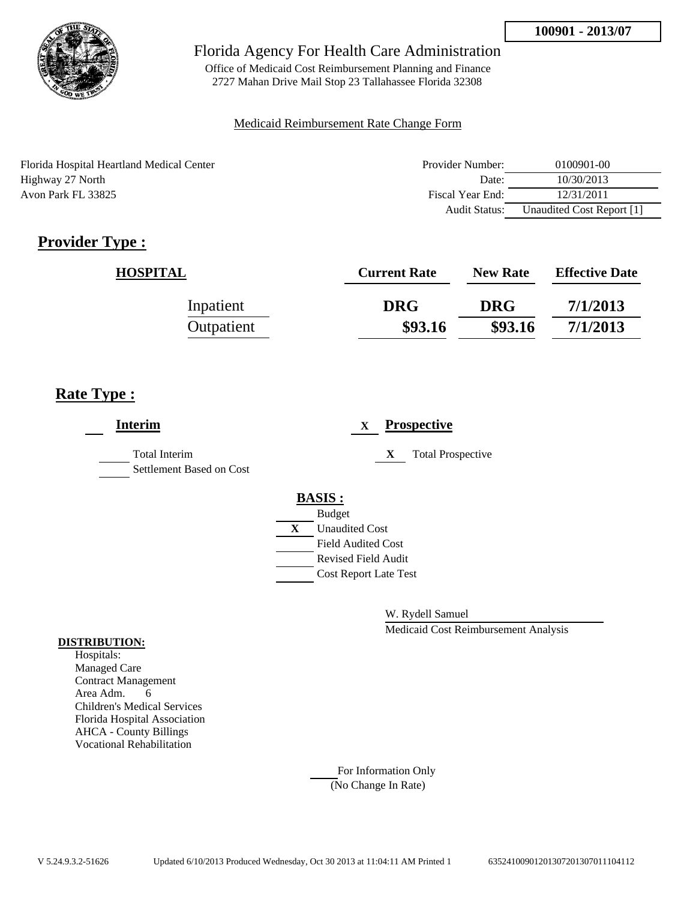

Office of Medicaid Cost Reimbursement Planning and Finance 2727 Mahan Drive Mail Stop 23 Tallahassee Florida 32308

### Medicaid Reimbursement Rate Change Form

Florida Hospital Heartland Medical Center Highway 27 North Avon Park FL 33825

| Provider Number: | 0100901-00                |  |  |
|------------------|---------------------------|--|--|
| Date:            | 10/30/2013                |  |  |
| Fiscal Year End: | 12/31/2011                |  |  |
| Audit Status:    | Unaudited Cost Report [1] |  |  |

# **Provider Type :**

| <b>HOSPITAL</b> | <b>Current Rate</b> | <b>New Rate</b> | <b>Effective Date</b> |
|-----------------|---------------------|-----------------|-----------------------|
| Inpatient       | <b>DRG</b>          | <b>DRG</b>      | 7/1/2013              |
| Outpatient      | \$93.16             | \$93.16         | 7/1/2013              |

# **Rate Type :**

| <b>Interim</b>                                   |   |                              | X |   | <b>Prospective</b>       |
|--------------------------------------------------|---|------------------------------|---|---|--------------------------|
| <b>Total Interim</b><br>Settlement Based on Cost |   |                              |   | X | <b>Total Prospective</b> |
|                                                  |   | <b>BASIS:</b>                |   |   |                          |
|                                                  |   | <b>Budget</b>                |   |   |                          |
|                                                  | X | <b>Unaudited Cost</b>        |   |   |                          |
|                                                  |   | <b>Field Audited Cost</b>    |   |   |                          |
|                                                  |   | <b>Revised Field Audit</b>   |   |   |                          |
|                                                  |   | <b>Cost Report Late Test</b> |   |   |                          |
|                                                  |   |                              |   |   |                          |

W. Rydell Samuel

Medicaid Cost Reimbursement Analysis

### **DISTRIBUTION:**

Hospitals: Managed Care Contract Management Area Adm. 6 Children's Medical Services Florida Hospital Association AHCA - County Billings Vocational Rehabilitation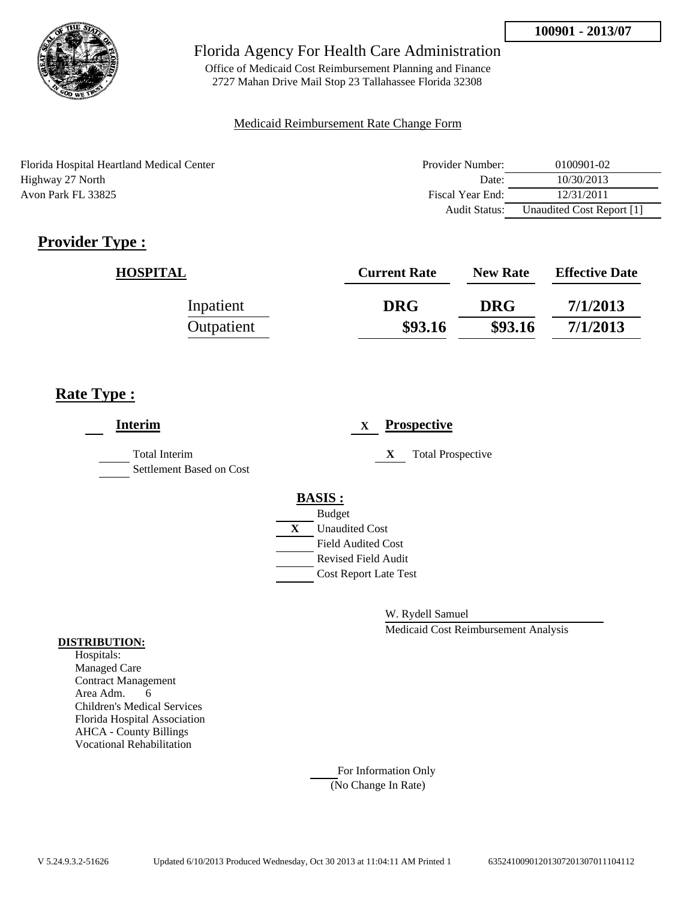

Office of Medicaid Cost Reimbursement Planning and Finance 2727 Mahan Drive Mail Stop 23 Tallahassee Florida 32308

### Medicaid Reimbursement Rate Change Form

Florida Hospital Heartland Medical Center Highway 27 North Avon Park FL 33825

| Provider Number: | 0100901-02                |  |  |  |
|------------------|---------------------------|--|--|--|
| Date:            | 10/30/2013                |  |  |  |
| Fiscal Year End: | 12/31/2011                |  |  |  |
| Audit Status:    | Unaudited Cost Report [1] |  |  |  |

# **Provider Type :**

| <b>HOSPITAL</b> | <b>Current Rate</b> | <b>New Rate</b> | <b>Effective Date</b> |
|-----------------|---------------------|-----------------|-----------------------|
| Inpatient       | <b>DRG</b>          | <b>DRG</b>      | 7/1/2013              |
| Outpatient      | \$93.16             | \$93.16         | 7/1/2013              |

# **Rate Type :**

| <b>Interim</b>                            |   |                              | X |   | <b>Prospective</b>       |
|-------------------------------------------|---|------------------------------|---|---|--------------------------|
| Total Interim<br>Settlement Based on Cost |   |                              |   | X | <b>Total Prospective</b> |
|                                           |   | <b>BASIS:</b>                |   |   |                          |
|                                           |   | <b>Budget</b>                |   |   |                          |
|                                           | X | <b>Unaudited Cost</b>        |   |   |                          |
|                                           |   | <b>Field Audited Cost</b>    |   |   |                          |
|                                           |   | <b>Revised Field Audit</b>   |   |   |                          |
|                                           |   | <b>Cost Report Late Test</b> |   |   |                          |
|                                           |   |                              |   |   |                          |

W. Rydell Samuel

Medicaid Cost Reimbursement Analysis

### **DISTRIBUTION:**

Hospitals: Managed Care Contract Management Area Adm. 6 Children's Medical Services Florida Hospital Association AHCA - County Billings Vocational Rehabilitation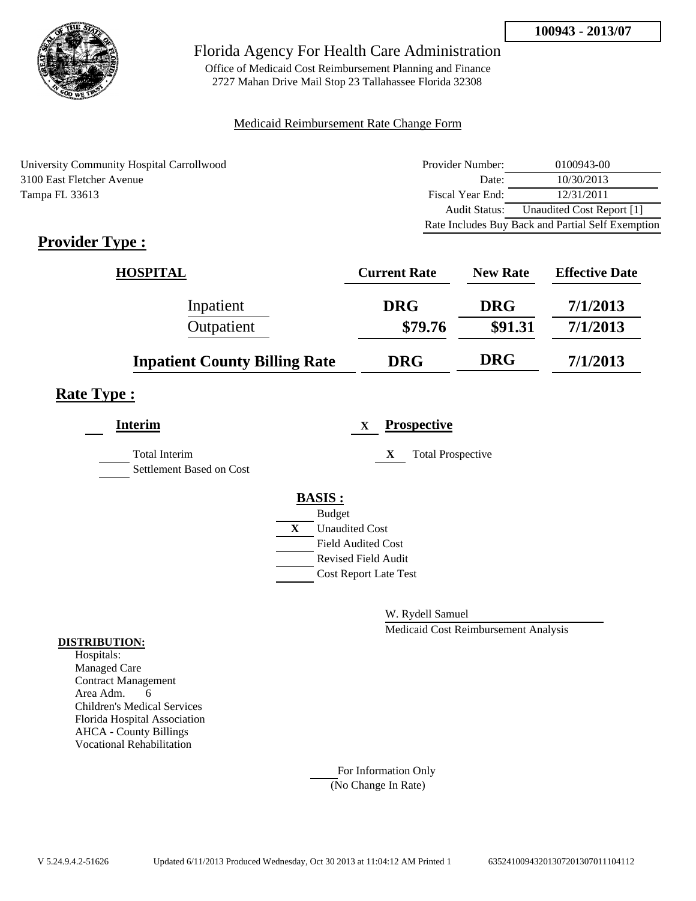

Office of Medicaid Cost Reimbursement Planning and Finance 2727 Mahan Drive Mail Stop 23 Tallahassee Florida 32308

### Medicaid Reimbursement Rate Change Form

University Community Hospital Carrollwood 3100 East Fletcher Avenue Tampa FL 33613

| Provider Number:     | 0100943-00                                        |
|----------------------|---------------------------------------------------|
| Date:                | 10/30/2013                                        |
| Fiscal Year End:     | 12/31/2011                                        |
| <b>Audit Status:</b> | Unaudited Cost Report [1]                         |
|                      | Rate Includes Buy Back and Partial Self Exemption |

# **Provider Type :**

| <b>HOSPITAL</b>                      | <b>Current Rate</b> | <b>New Rate</b> | <b>Effective Date</b> |
|--------------------------------------|---------------------|-----------------|-----------------------|
| Inpatient                            | <b>DRG</b>          | <b>DRG</b>      | 7/1/2013              |
| Outpatient                           | \$79.76             | \$91.31         | 7/1/2013              |
| <b>Inpatient County Billing Rate</b> | <b>DRG</b>          | <b>DRG</b>      | 7/1/2013              |

## **Rate Type :**

| <b>Interim</b>                            | <b>Prospective</b><br>X       |
|-------------------------------------------|-------------------------------|
| Total Interim<br>Settlement Based on Cost | X<br><b>Total Prospective</b> |
|                                           | <b>BASIS:</b>                 |
|                                           | <b>Budget</b>                 |
|                                           | <b>Unaudited Cost</b><br>X    |
|                                           | <b>Field Audited Cost</b>     |
|                                           | <b>Revised Field Audit</b>    |
|                                           | <b>Cost Report Late Test</b>  |
|                                           |                               |

W. Rydell Samuel

Medicaid Cost Reimbursement Analysis

### **DISTRIBUTION:**

Hospitals: Managed Care Contract Management Area Adm. 6 Children's Medical Services Florida Hospital Association AHCA - County Billings Vocational Rehabilitation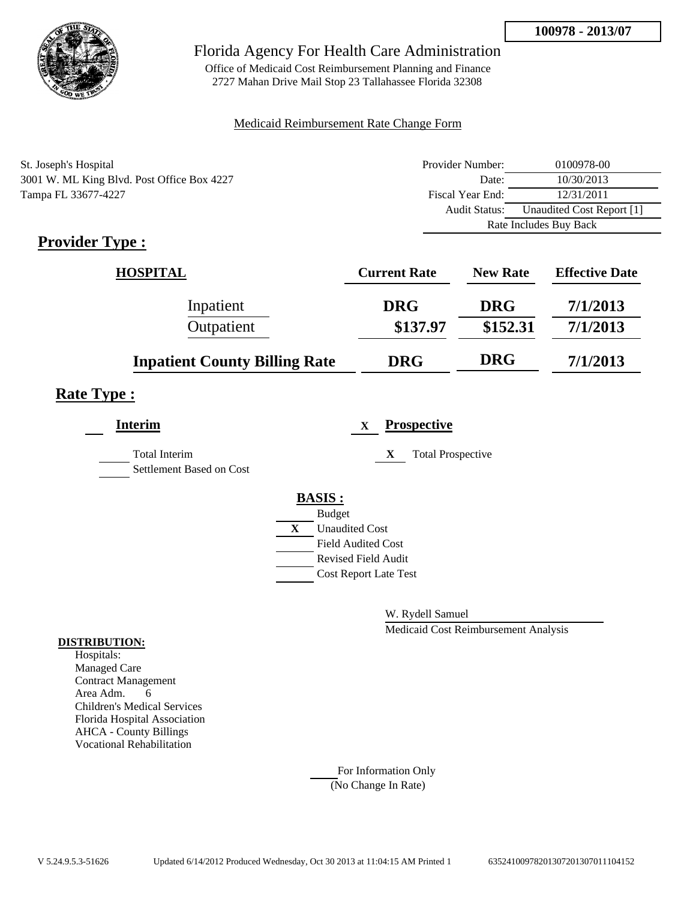

Office of Medicaid Cost Reimbursement Planning and Finance 2727 Mahan Drive Mail Stop 23 Tallahassee Florida 32308

### Medicaid Reimbursement Rate Change Form

| St. Joseph's Hospital                      | Provider Number:     | 0100978-00                |
|--------------------------------------------|----------------------|---------------------------|
| 3001 W. ML King Blvd. Post Office Box 4227 | Date:                | 10/30/2013                |
| Tampa FL 33677-4227                        | Fiscal Year End:     | 12/31/2011                |
|                                            | <b>Audit Status:</b> | Unaudited Cost Report [1] |
|                                            |                      | Rate Includes Buy Back    |

# **Provider Type :**

| <b>HOSPITAL</b>                      | <b>Current Rate</b> | <b>New Rate</b> | <b>Effective Date</b> |
|--------------------------------------|---------------------|-----------------|-----------------------|
| Inpatient                            | <b>DRG</b>          | <b>DRG</b>      | 7/1/2013              |
| Outpatient                           | \$137.97            | \$152.31        | 7/1/2013              |
| <b>Inpatient County Billing Rate</b> | <b>DRG</b>          | <b>DRG</b>      | 7/1/2013              |

## **Rate Type :**

| <b>Interim</b>                                   | <b>Prospective</b><br>$\mathbf x$ |
|--------------------------------------------------|-----------------------------------|
| <b>Total Interim</b><br>Settlement Based on Cost | <b>Total Prospective</b><br>X     |
|                                                  | <b>BASIS:</b>                     |
|                                                  | <b>Budget</b>                     |
|                                                  | X<br><b>Unaudited Cost</b>        |
|                                                  | <b>Field Audited Cost</b>         |
|                                                  | <b>Revised Field Audit</b>        |
|                                                  | <b>Cost Report Late Test</b>      |
|                                                  |                                   |

W. Rydell Samuel

Medicaid Cost Reimbursement Analysis

### **DISTRIBUTION:**

Hospitals: Managed Care Contract Management Area Adm. 6 Children's Medical Services Florida Hospital Association AHCA - County Billings Vocational Rehabilitation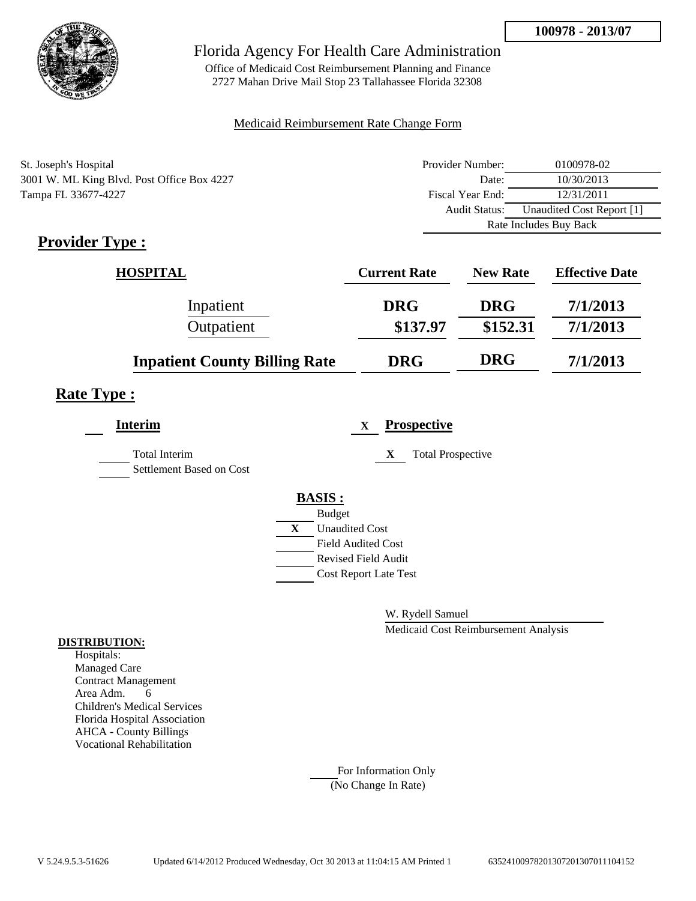

Office of Medicaid Cost Reimbursement Planning and Finance 2727 Mahan Drive Mail Stop 23 Tallahassee Florida 32308

### Medicaid Reimbursement Rate Change Form

| St. Joseph's Hospital                      | Provider Number:     | 0100978-02                |
|--------------------------------------------|----------------------|---------------------------|
| 3001 W. ML King Blvd. Post Office Box 4227 | Date:                | 10/30/2013                |
| Tampa FL 33677-4227                        | Fiscal Year End:     | 12/31/2011                |
|                                            | <b>Audit Status:</b> | Unaudited Cost Report [1] |
|                                            |                      | Rate Includes Buy Back    |

# **Provider Type :**

| <b>HOSPITAL</b>                      | <b>Current Rate</b> | <b>New Rate</b> | <b>Effective Date</b> |
|--------------------------------------|---------------------|-----------------|-----------------------|
| Inpatient                            | <b>DRG</b>          | <b>DRG</b>      | 7/1/2013              |
| Outpatient                           | \$137.97            | \$152.31        | 7/1/2013              |
| <b>Inpatient County Billing Rate</b> | <b>DRG</b>          | <b>DRG</b>      | 7/1/2013              |

## **Rate Type :**

| <b>Interim</b>                                   | <b>Prospective</b><br>$\mathbf x$     |  |
|--------------------------------------------------|---------------------------------------|--|
| <b>Total Interim</b><br>Settlement Based on Cost | <b>Total Prospective</b><br>X         |  |
|                                                  | <b>BASIS:</b>                         |  |
|                                                  | <b>Budget</b>                         |  |
|                                                  | $\mathbf{X}$<br><b>Unaudited Cost</b> |  |
|                                                  | <b>Field Audited Cost</b>             |  |
|                                                  | <b>Revised Field Audit</b>            |  |
|                                                  | <b>Cost Report Late Test</b>          |  |
|                                                  |                                       |  |

W. Rydell Samuel

Medicaid Cost Reimbursement Analysis

### **DISTRIBUTION:**

Hospitals: Managed Care Contract Management Area Adm. 6 Children's Medical Services Florida Hospital Association AHCA - County Billings Vocational Rehabilitation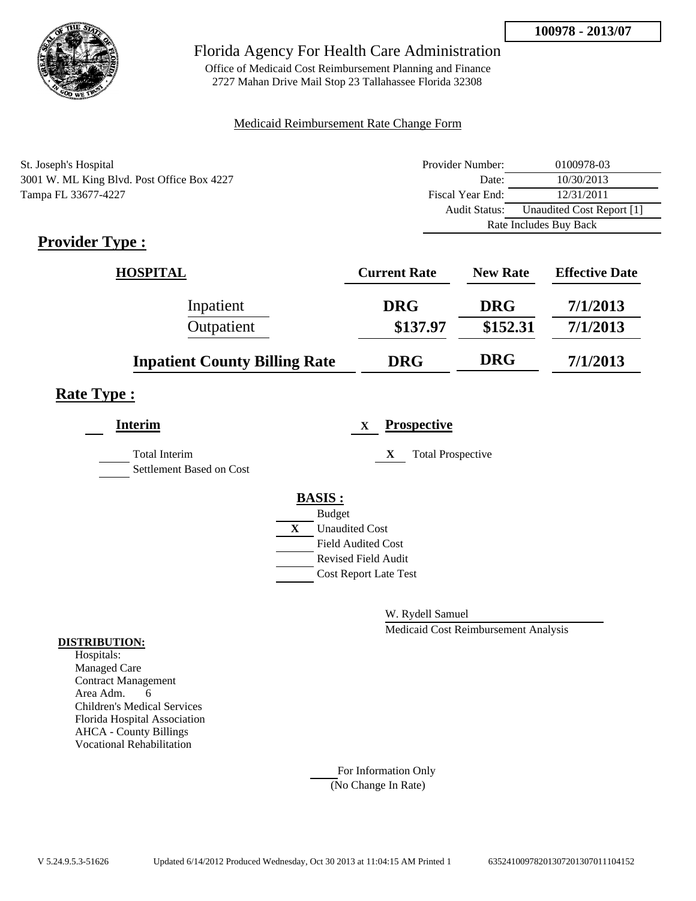

Office of Medicaid Cost Reimbursement Planning and Finance 2727 Mahan Drive Mail Stop 23 Tallahassee Florida 32308

### Medicaid Reimbursement Rate Change Form

| St. Joseph's Hospital                      | Provider Number:     | 0100978-03                |
|--------------------------------------------|----------------------|---------------------------|
| 3001 W. ML King Blvd. Post Office Box 4227 | Date:                | 10/30/2013                |
| Tampa FL 33677-4227                        | Fiscal Year End:     | 12/31/2011                |
|                                            | <b>Audit Status:</b> | Unaudited Cost Report [1] |
|                                            |                      | Rate Includes Buy Back    |

# **Provider Type :**

| <b>HOSPITAL</b>                      | <b>Current Rate</b> | <b>New Rate</b> | <b>Effective Date</b> |
|--------------------------------------|---------------------|-----------------|-----------------------|
| Inpatient                            | <b>DRG</b>          | <b>DRG</b>      | 7/1/2013              |
| Outpatient                           | \$137.97            | \$152.31        | 7/1/2013              |
| <b>Inpatient County Billing Rate</b> | <b>DRG</b>          | <b>DRG</b>      | 7/1/2013              |

## **Rate Type :**

| <b>Interim</b>                                   | <b>Prospective</b><br>$\mathbf x$     |
|--------------------------------------------------|---------------------------------------|
| <b>Total Interim</b><br>Settlement Based on Cost | X<br><b>Total Prospective</b>         |
|                                                  | <b>BASIS:</b>                         |
|                                                  | <b>Budget</b>                         |
|                                                  | $\mathbf{X}$<br><b>Unaudited Cost</b> |
|                                                  | <b>Field Audited Cost</b>             |
|                                                  | <b>Revised Field Audit</b>            |
|                                                  | <b>Cost Report Late Test</b>          |
|                                                  |                                       |

W. Rydell Samuel

Medicaid Cost Reimbursement Analysis

### **DISTRIBUTION:**

Hospitals: Managed Care Contract Management Area Adm. 6 Children's Medical Services Florida Hospital Association AHCA - County Billings Vocational Rehabilitation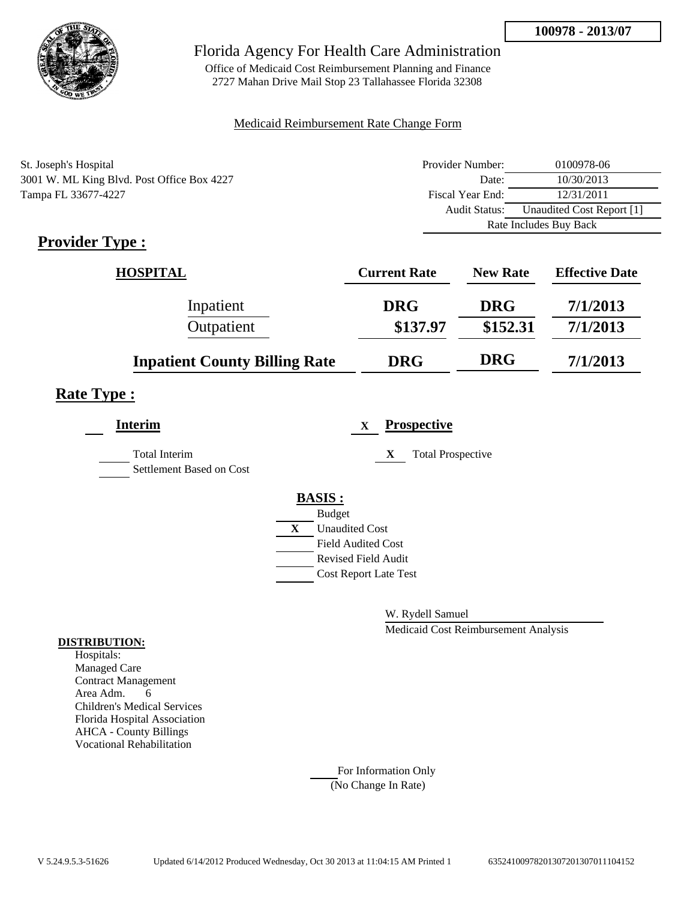

Office of Medicaid Cost Reimbursement Planning and Finance 2727 Mahan Drive Mail Stop 23 Tallahassee Florida 32308

### Medicaid Reimbursement Rate Change Form

| St. Joseph's Hospital                      | Provider Number:     | 0100978-06                |
|--------------------------------------------|----------------------|---------------------------|
| 3001 W. ML King Blvd. Post Office Box 4227 | Date:                | 10/30/2013                |
| Tampa FL 33677-4227                        | Fiscal Year End:     | 12/31/2011                |
|                                            | <b>Audit Status:</b> | Unaudited Cost Report [1] |
|                                            |                      | Rate Includes Buy Back    |

# **Provider Type :**

| <b>HOSPITAL</b>                      | <b>Current Rate</b> | <b>New Rate</b> | <b>Effective Date</b> |
|--------------------------------------|---------------------|-----------------|-----------------------|
| Inpatient                            | <b>DRG</b>          | <b>DRG</b>      | 7/1/2013              |
| Outpatient                           | \$137.97            | \$152.31        | 7/1/2013              |
| <b>Inpatient County Billing Rate</b> | <b>DRG</b>          | <b>DRG</b>      | 7/1/2013              |

## **Rate Type :**

| <b>Interim</b>                                   | <b>Prospective</b><br>$\mathbf x$     |  |
|--------------------------------------------------|---------------------------------------|--|
| <b>Total Interim</b><br>Settlement Based on Cost | <b>Total Prospective</b><br>X         |  |
|                                                  | <b>BASIS:</b>                         |  |
|                                                  | <b>Budget</b>                         |  |
|                                                  | $\mathbf{X}$<br><b>Unaudited Cost</b> |  |
|                                                  | <b>Field Audited Cost</b>             |  |
|                                                  | <b>Revised Field Audit</b>            |  |
|                                                  | <b>Cost Report Late Test</b>          |  |
|                                                  |                                       |  |

W. Rydell Samuel

Medicaid Cost Reimbursement Analysis

### **DISTRIBUTION:**

Hospitals: Managed Care Contract Management Area Adm. 6 Children's Medical Services Florida Hospital Association AHCA - County Billings Vocational Rehabilitation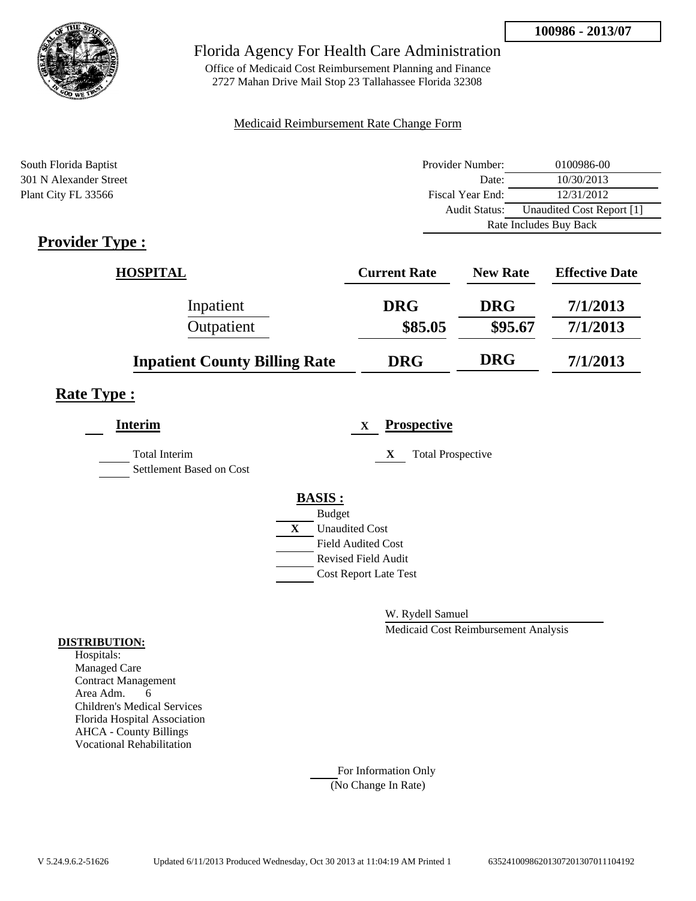

Office of Medicaid Cost Reimbursement Planning and Finance 2727 Mahan Drive Mail Stop 23 Tallahassee Florida 32308

### Medicaid Reimbursement Rate Change Form

| South Florida Baptist                 | Provider Number: | 0100986-00                |
|---------------------------------------|------------------|---------------------------|
| 301 N Alexander Street                | Date:            | 10/30/2013                |
| Plant City FL 33566                   | Fiscal Year End: | 12/31/2012                |
|                                       | Audit Status:    | Unaudited Cost Report [1] |
|                                       |                  | Rate Includes Buy Back    |
| . .<br>--<br>$\overline{\phantom{a}}$ |                  |                           |

## **Provider Type :**

| <b>HOSPITAL</b>                      | <b>Current Rate</b> | <b>New Rate</b> | <b>Effective Date</b> |
|--------------------------------------|---------------------|-----------------|-----------------------|
| Inpatient                            | <b>DRG</b>          | <b>DRG</b>      | 7/1/2013              |
| Outpatient                           | \$85.05             | \$95.67         | 7/1/2013              |
| <b>Inpatient County Billing Rate</b> | <b>DRG</b>          | <b>DRG</b>      | 7/1/2013              |

## **Rate Type :**

| <b>Interim</b>                                   |   | <b>Prospective</b><br>X       |
|--------------------------------------------------|---|-------------------------------|
| <b>Total Interim</b><br>Settlement Based on Cost |   | <b>Total Prospective</b><br>X |
|                                                  |   | <b>BASIS:</b>                 |
|                                                  |   | <b>Budget</b>                 |
|                                                  | X | <b>Unaudited Cost</b>         |
|                                                  |   | <b>Field Audited Cost</b>     |
|                                                  |   | <b>Revised Field Audit</b>    |
|                                                  |   | <b>Cost Report Late Test</b>  |
|                                                  |   |                               |

W. Rydell Samuel

Medicaid Cost Reimbursement Analysis

#### **DISTRIBUTION:**

Hospitals: Managed Care Contract Management Area Adm. 6 Children's Medical Services Florida Hospital Association AHCA - County Billings Vocational Rehabilitation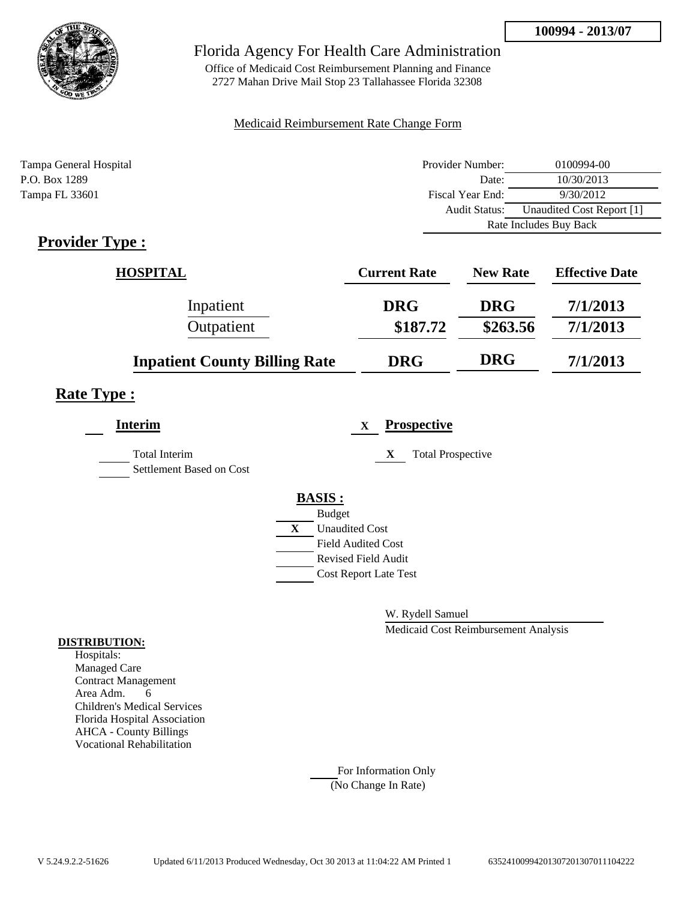

Office of Medicaid Cost Reimbursement Planning and Finance 2727 Mahan Drive Mail Stop 23 Tallahassee Florida 32308

### Medicaid Reimbursement Rate Change Form

| Tampa General Hospital | Provider Number: | 0100994-00                |  |
|------------------------|------------------|---------------------------|--|
| P.O. Box 1289          | Date:            | 10/30/2013                |  |
| Tampa FL 33601         | Fiscal Year End: | 9/30/2012                 |  |
|                        | Audit Status:    | Unaudited Cost Report [1] |  |
|                        |                  | Rate Includes Buy Back    |  |

# **Provider Type :**

| <b>HOSPITAL</b>                      | <b>Current Rate</b> | <b>New Rate</b> | <b>Effective Date</b> |
|--------------------------------------|---------------------|-----------------|-----------------------|
| Inpatient                            | <b>DRG</b>          | <b>DRG</b>      | 7/1/2013              |
| Outpatient                           | \$187.72            | \$263.56        | 7/1/2013              |
| <b>Inpatient County Billing Rate</b> | <b>DRG</b>          | <b>DRG</b>      | 7/1/2013              |

## **Rate Type :**

| <b>Interim</b>                                   | <b>Prospective</b><br>$\mathbf x$ |
|--------------------------------------------------|-----------------------------------|
| <b>Total Interim</b><br>Settlement Based on Cost | <b>Total Prospective</b><br>X     |
|                                                  | <b>BASIS:</b>                     |
|                                                  | <b>Budget</b>                     |
|                                                  | X<br><b>Unaudited Cost</b>        |
|                                                  | <b>Field Audited Cost</b>         |
|                                                  | <b>Revised Field Audit</b>        |
|                                                  | <b>Cost Report Late Test</b>      |
|                                                  |                                   |

W. Rydell Samuel

Medicaid Cost Reimbursement Analysis

### **DISTRIBUTION:**

Hospitals: Managed Care Contract Management Area Adm. 6 Children's Medical Services Florida Hospital Association AHCA - County Billings Vocational Rehabilitation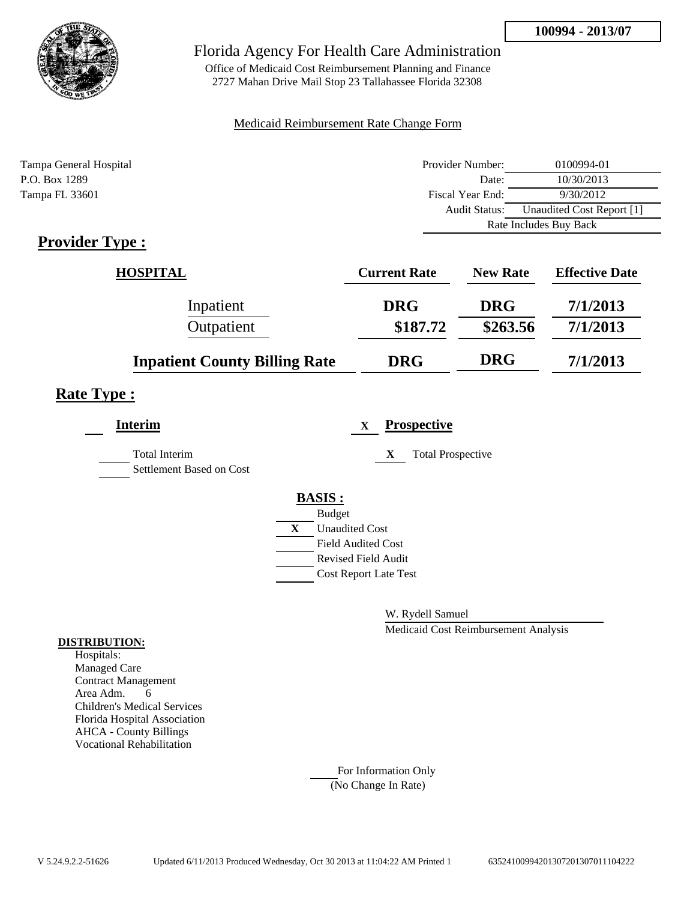

Office of Medicaid Cost Reimbursement Planning and Finance 2727 Mahan Drive Mail Stop 23 Tallahassee Florida 32308

### Medicaid Reimbursement Rate Change Form

| Tampa General Hospital | Provider Number: | 0100994-01                |
|------------------------|------------------|---------------------------|
| P.O. Box 1289          | Date:            | 10/30/2013                |
| Tampa FL 33601         | Fiscal Year End: | 9/30/2012                 |
|                        | Audit Status:    | Unaudited Cost Report [1] |
|                        |                  | Rate Includes Buy Back    |

## **Provider Type :**

| <b>HOSPITAL</b>                      | <b>Current Rate</b> | <b>New Rate</b> | <b>Effective Date</b> |
|--------------------------------------|---------------------|-----------------|-----------------------|
| Inpatient                            | <b>DRG</b>          | <b>DRG</b>      | 7/1/2013              |
| Outpatient                           | \$187.72            | \$263.56        | 7/1/2013              |
| <b>Inpatient County Billing Rate</b> | <b>DRG</b>          | <b>DRG</b>      | 7/1/2013              |

## **Rate Type :**

| <b>Interim</b>                                   |   | <b>Prospective</b><br>X       |
|--------------------------------------------------|---|-------------------------------|
| <b>Total Interim</b><br>Settlement Based on Cost |   | <b>Total Prospective</b><br>X |
|                                                  |   | <b>BASIS:</b>                 |
|                                                  |   | <b>Budget</b>                 |
|                                                  | X | <b>Unaudited Cost</b>         |
|                                                  |   | <b>Field Audited Cost</b>     |
|                                                  |   | <b>Revised Field Audit</b>    |
|                                                  |   | <b>Cost Report Late Test</b>  |
|                                                  |   |                               |

W. Rydell Samuel

Medicaid Cost Reimbursement Analysis

#### **DISTRIBUTION:**

Hospitals: Managed Care Contract Management Area Adm. 6 Children's Medical Services Florida Hospital Association AHCA - County Billings Vocational Rehabilitation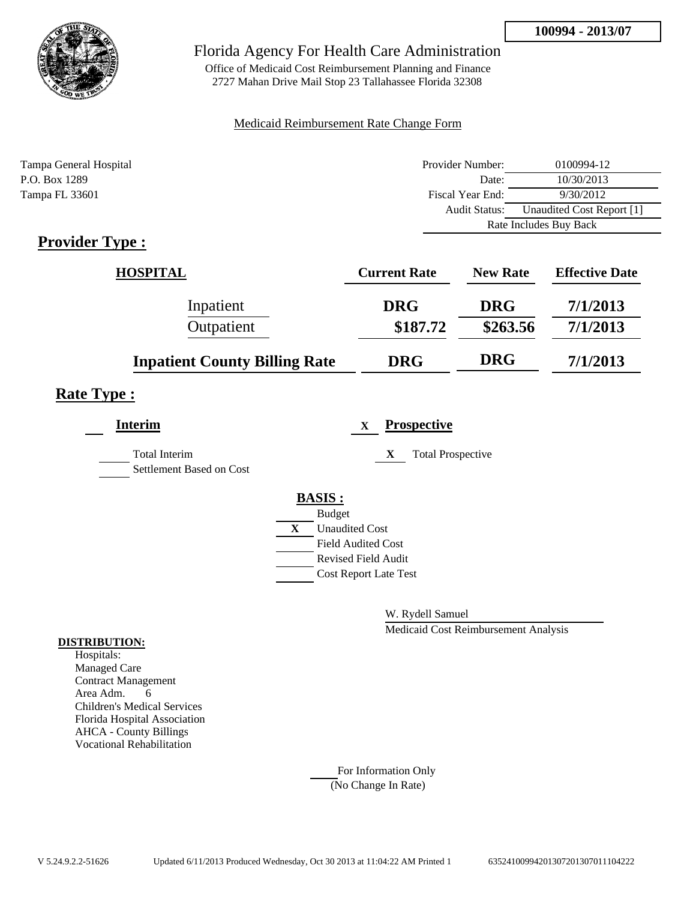

Office of Medicaid Cost Reimbursement Planning and Finance 2727 Mahan Drive Mail Stop 23 Tallahassee Florida 32308

### Medicaid Reimbursement Rate Change Form

| Tampa General Hospital | Provider Number: | 0100994-12                |
|------------------------|------------------|---------------------------|
| P.O. Box 1289          | Date:            | 10/30/2013                |
| Tampa FL 33601         | Fiscal Year End: | 9/30/2012                 |
|                        | Audit Status:    | Unaudited Cost Report [1] |
|                        |                  | Rate Includes Buy Back    |

# **Provider Type :**

| <b>HOSPITAL</b>                      | <b>Current Rate</b> | <b>New Rate</b> | <b>Effective Date</b> |
|--------------------------------------|---------------------|-----------------|-----------------------|
| Inpatient                            | <b>DRG</b>          | <b>DRG</b>      | 7/1/2013              |
| Outpatient                           | \$187.72            | \$263.56        | 7/1/2013              |
| <b>Inpatient County Billing Rate</b> | <b>DRG</b>          | <b>DRG</b>      | 7/1/2013              |

## **Rate Type :**

| <b>Interim</b>                                   | <b>Prospective</b><br>X               |
|--------------------------------------------------|---------------------------------------|
| <b>Total Interim</b><br>Settlement Based on Cost | <b>Total Prospective</b><br>X         |
|                                                  | <b>BASIS:</b>                         |
|                                                  | <b>Budget</b>                         |
|                                                  | $\mathbf{X}$<br><b>Unaudited Cost</b> |
|                                                  | <b>Field Audited Cost</b>             |
|                                                  | <b>Revised Field Audit</b>            |
|                                                  | <b>Cost Report Late Test</b>          |
|                                                  |                                       |

W. Rydell Samuel

Medicaid Cost Reimbursement Analysis

#### **DISTRIBUTION:**

Hospitals: Managed Care Contract Management Area Adm. 6 Children's Medical Services Florida Hospital Association AHCA - County Billings Vocational Rehabilitation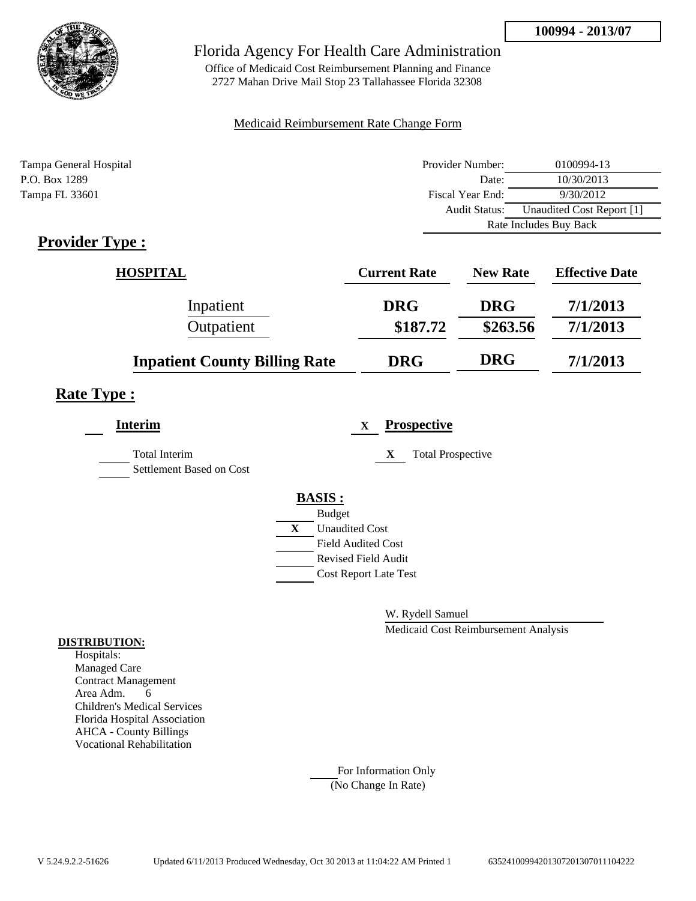

Office of Medicaid Cost Reimbursement Planning and Finance 2727 Mahan Drive Mail Stop 23 Tallahassee Florida 32308

### Medicaid Reimbursement Rate Change Form

| Tampa General Hospital | Provider Number: | 0100994-13                |
|------------------------|------------------|---------------------------|
| P.O. Box 1289          | Date:            | 10/30/2013                |
| Tampa FL 33601         | Fiscal Year End: | 9/30/2012                 |
|                        | Audit Status:    | Unaudited Cost Report [1] |
|                        |                  | Rate Includes Buy Back    |

# **Provider Type :**

| <b>HOSPITAL</b>                      | <b>Current Rate</b> | <b>New Rate</b> | <b>Effective Date</b> |
|--------------------------------------|---------------------|-----------------|-----------------------|
| Inpatient                            | <b>DRG</b>          | <b>DRG</b>      | 7/1/2013              |
| Outpatient                           | \$187.72            | \$263.56        | 7/1/2013              |
| <b>Inpatient County Billing Rate</b> | <b>DRG</b>          | <b>DRG</b>      | 7/1/2013              |

## **Rate Type :**

| <b>Interim</b>                                   | <b>Prospective</b><br>X       |
|--------------------------------------------------|-------------------------------|
| <b>Total Interim</b><br>Settlement Based on Cost | <b>Total Prospective</b><br>X |
|                                                  | <b>BASIS:</b>                 |
|                                                  | <b>Budget</b>                 |
|                                                  | X<br><b>Unaudited Cost</b>    |
|                                                  | <b>Field Audited Cost</b>     |
|                                                  | <b>Revised Field Audit</b>    |
|                                                  | <b>Cost Report Late Test</b>  |
|                                                  |                               |

W. Rydell Samuel

Medicaid Cost Reimbursement Analysis

### **DISTRIBUTION:**

Hospitals: Managed Care Contract Management Area Adm. 6 Children's Medical Services Florida Hospital Association AHCA - County Billings Vocational Rehabilitation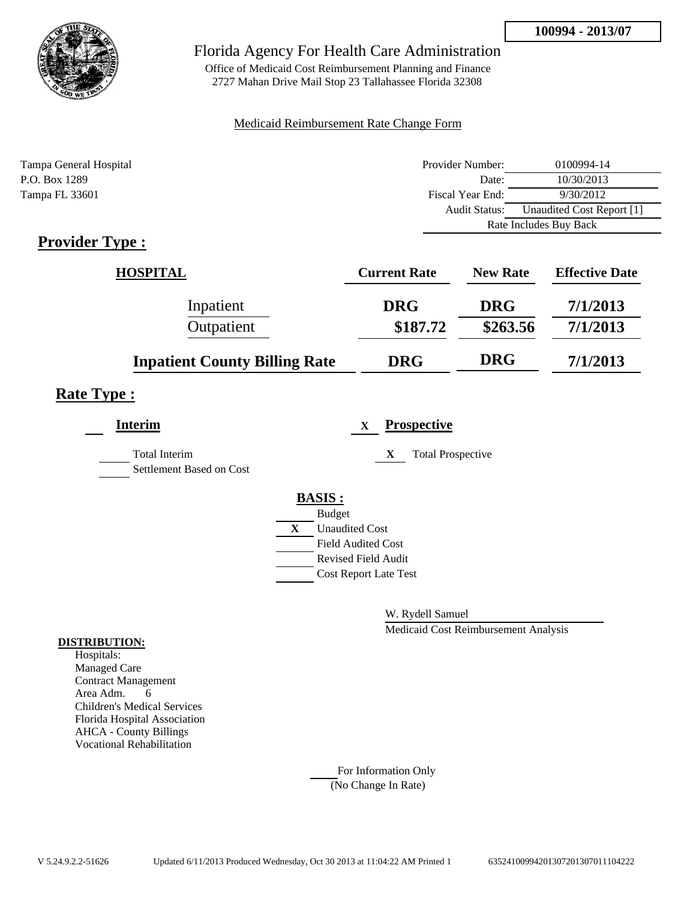

Office of Medicaid Cost Reimbursement Planning and Finance 2727 Mahan Drive Mail Stop 23 Tallahassee Florida 32308

### Medicaid Reimbursement Rate Change Form

| Tampa General Hospital | Provider Number: | 0100994-14                |
|------------------------|------------------|---------------------------|
| P.O. Box 1289          | Date:            | 10/30/2013                |
| Tampa FL 33601         | Fiscal Year End: | 9/30/2012                 |
|                        | Audit Status:    | Unaudited Cost Report [1] |
|                        |                  | Rate Includes Buy Back    |

# **Provider Type :**

| <b>HOSPITAL</b>                      | <b>Current Rate</b> | <b>New Rate</b> | <b>Effective Date</b> |
|--------------------------------------|---------------------|-----------------|-----------------------|
| Inpatient                            | <b>DRG</b>          | <b>DRG</b>      | 7/1/2013              |
| Outpatient                           | \$187.72            | \$263.56        | 7/1/2013              |
| <b>Inpatient County Billing Rate</b> | <b>DRG</b>          | <b>DRG</b>      | 7/1/2013              |

## **Rate Type :**

| <b>Interim</b>                                   | <b>Prospective</b><br>X               |
|--------------------------------------------------|---------------------------------------|
| <b>Total Interim</b><br>Settlement Based on Cost | <b>Total Prospective</b><br>X         |
|                                                  | <b>BASIS:</b>                         |
|                                                  | <b>Budget</b>                         |
|                                                  | $\mathbf{X}$<br><b>Unaudited Cost</b> |
|                                                  | <b>Field Audited Cost</b>             |
|                                                  | <b>Revised Field Audit</b>            |
|                                                  | <b>Cost Report Late Test</b>          |
|                                                  |                                       |

W. Rydell Samuel

Medicaid Cost Reimbursement Analysis

#### **DISTRIBUTION:**

Hospitals: Managed Care Contract Management Area Adm. 6 Children's Medical Services Florida Hospital Association AHCA - County Billings Vocational Rehabilitation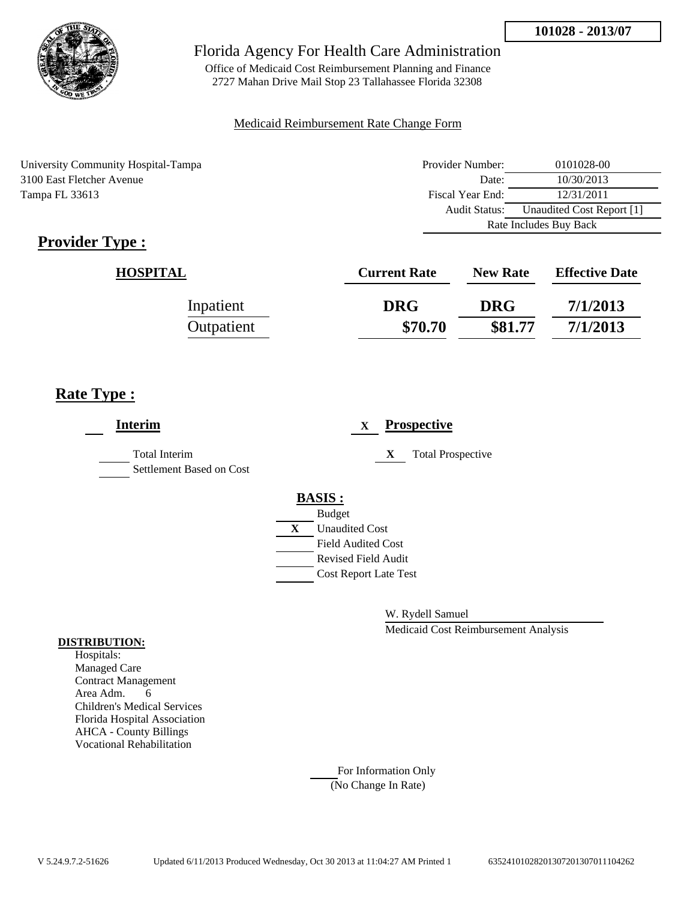

Office of Medicaid Cost Reimbursement Planning and Finance 2727 Mahan Drive Mail Stop 23 Tallahassee Florida 32308

### Medicaid Reimbursement Rate Change Form

University Community Hospital-Tampa 3100 East Fletcher Avenue Tampa FL 33613

| Provider Number:       | 0101028-00                |
|------------------------|---------------------------|
| Date:                  | 10/30/2013                |
| Fiscal Year End:       | 12/31/2011                |
| <b>Audit Status:</b>   | Unaudited Cost Report [1] |
| Rate Includes Buy Back |                           |

# **Provider Type :**

| <b>HOSPITAL</b> | <b>Current Rate</b> | <b>New Rate</b> | <b>Effective Date</b> |
|-----------------|---------------------|-----------------|-----------------------|
| Inpatient       | <b>DRG</b>          | <b>DRG</b>      | 7/1/2013              |
| Outpatient      | \$70.70             | \$81.77         | 7/1/2013              |

# **Rate Type :**

| <b>Interim</b>                                   | <b>Prospective</b><br>X        |
|--------------------------------------------------|--------------------------------|
| <b>Total Interim</b><br>Settlement Based on Cost | <b>Total Prospective</b><br>X  |
|                                                  | <b>BASIS:</b><br><b>Budget</b> |
|                                                  | X<br><b>Unaudited Cost</b>     |
|                                                  | <b>Field Audited Cost</b>      |
|                                                  | Revised Field Audit            |
|                                                  | <b>Cost Report Late Test</b>   |
|                                                  |                                |

W. Rydell Samuel

Medicaid Cost Reimbursement Analysis

### **DISTRIBUTION:**

Hospitals: Managed Care Contract Management Area Adm. 6 Children's Medical Services Florida Hospital Association AHCA - County Billings Vocational Rehabilitation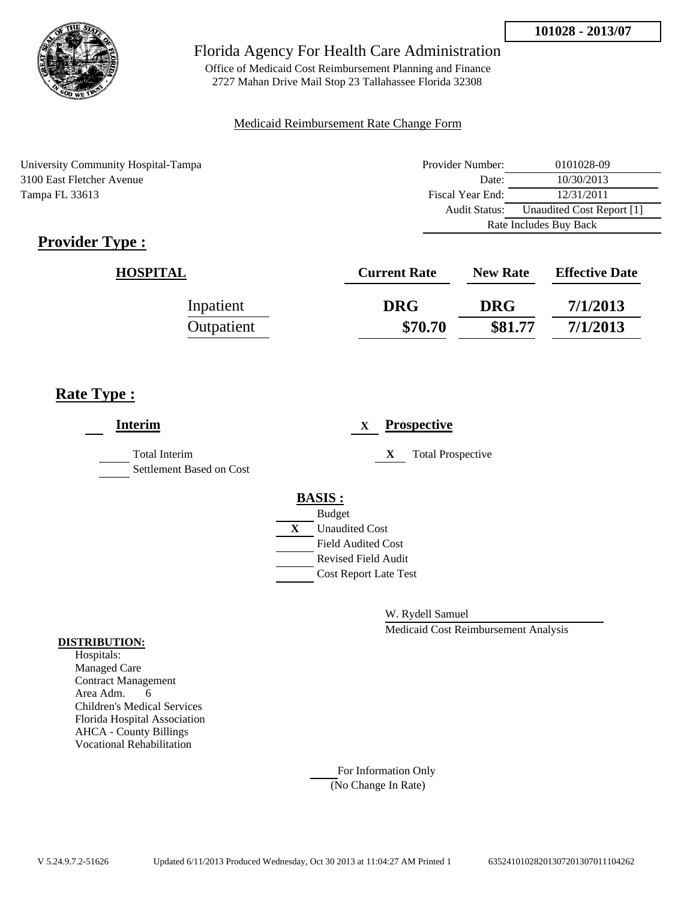

Office of Medicaid Cost Reimbursement Planning and Finance 2727 Mahan Drive Mail Stop 23 Tallahassee Florida 32308

### Medicaid Reimbursement Rate Change Form

University Community Hospital-Tampa 3100 East Fletcher Avenue Tampa FL 33613

| Provider Number:                                  | 0101028-09 |  |
|---------------------------------------------------|------------|--|
| Date:                                             | 10/30/2013 |  |
| Fiscal Year End:                                  | 12/31/2011 |  |
| Unaudited Cost Report [1]<br><b>Audit Status:</b> |            |  |
| Rate Includes Buy Back                            |            |  |

# **Provider Type :**

| <b>HOSPITAL</b> | <b>Current Rate</b> | <b>New Rate</b> | <b>Effective Date</b> |
|-----------------|---------------------|-----------------|-----------------------|
| Inpatient       | <b>DRG</b>          | <b>DRG</b>      | 7/1/2013              |
| Outpatient      | \$70.70             | \$81.77         | 7/1/2013              |

# **Rate Type :**

| <b>Interim</b>                                   |                    | X                                                |   | <b>Prospective</b>       |
|--------------------------------------------------|--------------------|--------------------------------------------------|---|--------------------------|
| <b>Total Interim</b><br>Settlement Based on Cost |                    |                                                  | X | <b>Total Prospective</b> |
|                                                  | <b>BASIS:</b>      |                                                  |   |                          |
|                                                  | <b>Budget</b><br>X | <b>Unaudited Cost</b>                            |   |                          |
|                                                  |                    | <b>Field Audited Cost</b><br>Revised Field Audit |   |                          |
|                                                  |                    | <b>Cost Report Late Test</b>                     |   |                          |
|                                                  |                    |                                                  |   |                          |

W. Rydell Samuel

Medicaid Cost Reimbursement Analysis

#### **DISTRIBUTION:**

Hospitals: Managed Care Contract Management Area Adm. 6 Children's Medical Services Florida Hospital Association AHCA - County Billings Vocational Rehabilitation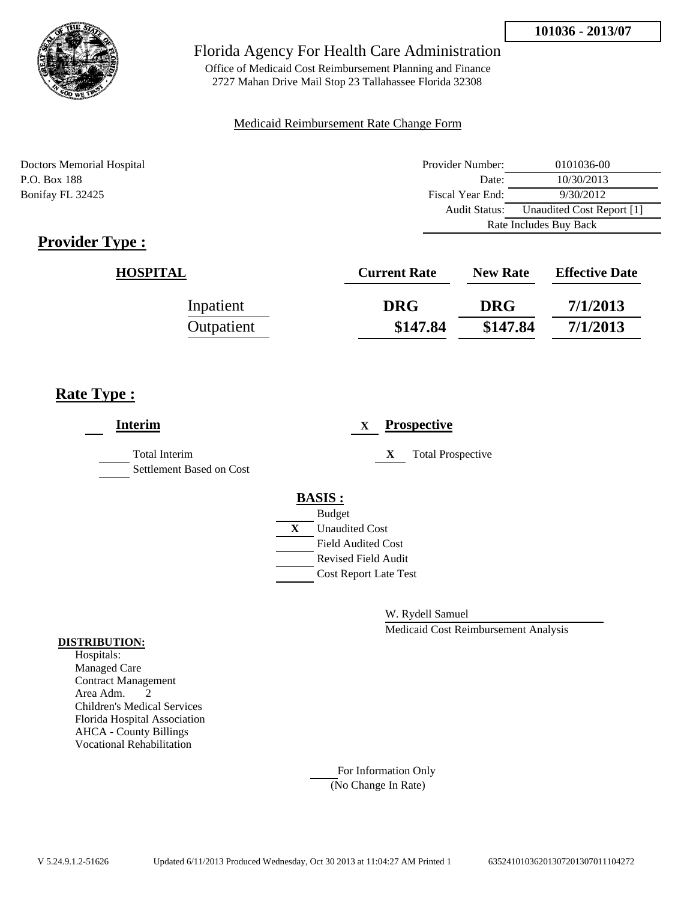

Office of Medicaid Cost Reimbursement Planning and Finance 2727 Mahan Drive Mail Stop 23 Tallahassee Florida 32308

### Medicaid Reimbursement Rate Change Form

| Doctors Memorial Hospital | Provider Number: | 0101036-00                |
|---------------------------|------------------|---------------------------|
| P.O. Box 188              | Date:            | 10/30/2013                |
| Bonifay FL 32425          | Fiscal Year End: | 9/30/2012                 |
|                           | Audit Status:    | Unaudited Cost Report [1] |
|                           |                  | Rate Includes Buy Back    |

# **Provider Type :**

| <b>HOSPITAL</b> | <b>Current Rate</b> | <b>New Rate</b> | <b>Effective Date</b> |
|-----------------|---------------------|-----------------|-----------------------|
| Inpatient       | <b>DRG</b>          | <b>DRG</b>      | 7/1/2013              |
| Outpatient      | \$147.84            | \$147.84        | 7/1/2013              |

## **Rate Type :**

| <b>Interim</b>                                   |   |                              | X |   | <b>Prospective</b>       |
|--------------------------------------------------|---|------------------------------|---|---|--------------------------|
| <b>Total Interim</b><br>Settlement Based on Cost |   |                              |   | X | <b>Total Prospective</b> |
|                                                  |   | <b>BASIS:</b>                |   |   |                          |
|                                                  |   | <b>Budget</b>                |   |   |                          |
|                                                  | X | <b>Unaudited Cost</b>        |   |   |                          |
|                                                  |   | Field Audited Cost           |   |   |                          |
|                                                  |   | <b>Revised Field Audit</b>   |   |   |                          |
|                                                  |   | <b>Cost Report Late Test</b> |   |   |                          |
|                                                  |   |                              |   |   |                          |
|                                                  |   |                              |   |   |                          |

W. Rydell Samuel

Medicaid Cost Reimbursement Analysis

#### **DISTRIBUTION:**

Hospitals: Managed Care Contract Management Area Adm. 2 Children's Medical Services Florida Hospital Association AHCA - County Billings Vocational Rehabilitation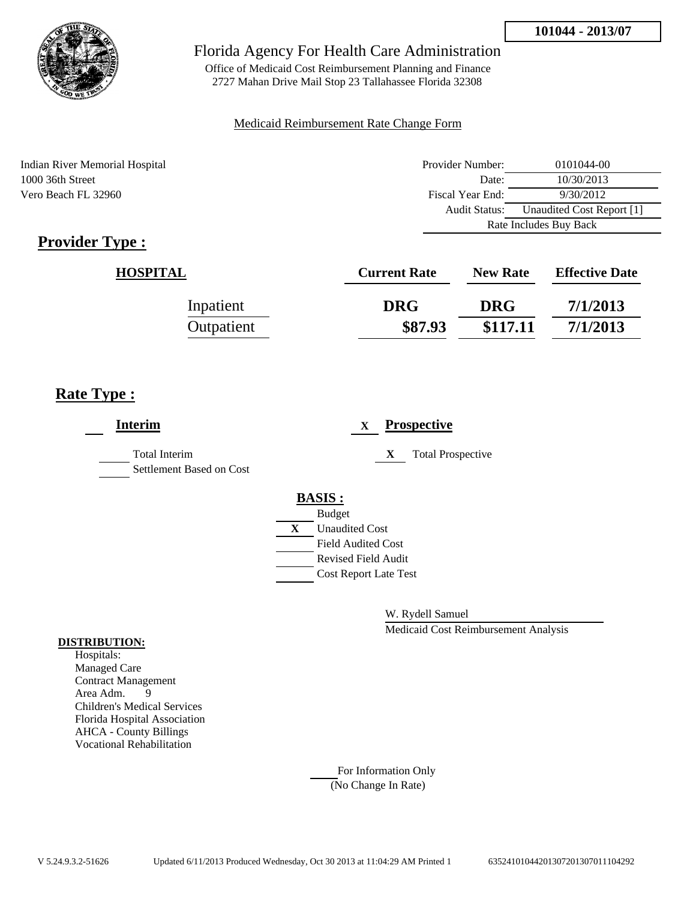

Office of Medicaid Cost Reimbursement Planning and Finance 2727 Mahan Drive Mail Stop 23 Tallahassee Florida 32308

### Medicaid Reimbursement Rate Change Form

Indian River Memorial Hospital 1000 36th Street Vero Beach FL 32960

| Provider Number:                           | 0101044-00 |  |
|--------------------------------------------|------------|--|
| Date:                                      | 10/30/2013 |  |
| Fiscal Year End:                           | 9/30/2012  |  |
| Unaudited Cost Report [1]<br>Audit Status: |            |  |
| Rate Includes Buy Back                     |            |  |

# **Provider Type :**

| <b>HOSPITAL</b> | <b>Current Rate</b> | <b>New Rate</b> | <b>Effective Date</b> |
|-----------------|---------------------|-----------------|-----------------------|
| Inpatient       | <b>DRG</b>          | <b>DRG</b>      | 7/1/2013              |
| Outpatient      | \$87.93             | \$117.11        | 7/1/2013              |

# **Rate Type :**

| <b>Interim</b>                                   | <b>Prospective</b><br>$\mathbf X$ |
|--------------------------------------------------|-----------------------------------|
| <b>Total Interim</b><br>Settlement Based on Cost | X<br><b>Total Prospective</b>     |
|                                                  | <b>BASIS:</b>                     |
|                                                  | <b>Budget</b>                     |
|                                                  | X<br><b>Unaudited Cost</b>        |
|                                                  | <b>Field Audited Cost</b>         |
|                                                  | <b>Revised Field Audit</b>        |
|                                                  | <b>Cost Report Late Test</b>      |
|                                                  |                                   |

W. Rydell Samuel

Medicaid Cost Reimbursement Analysis

### **DISTRIBUTION:**

Hospitals: Managed Care Contract Management Area Adm. 9 Children's Medical Services Florida Hospital Association AHCA - County Billings Vocational Rehabilitation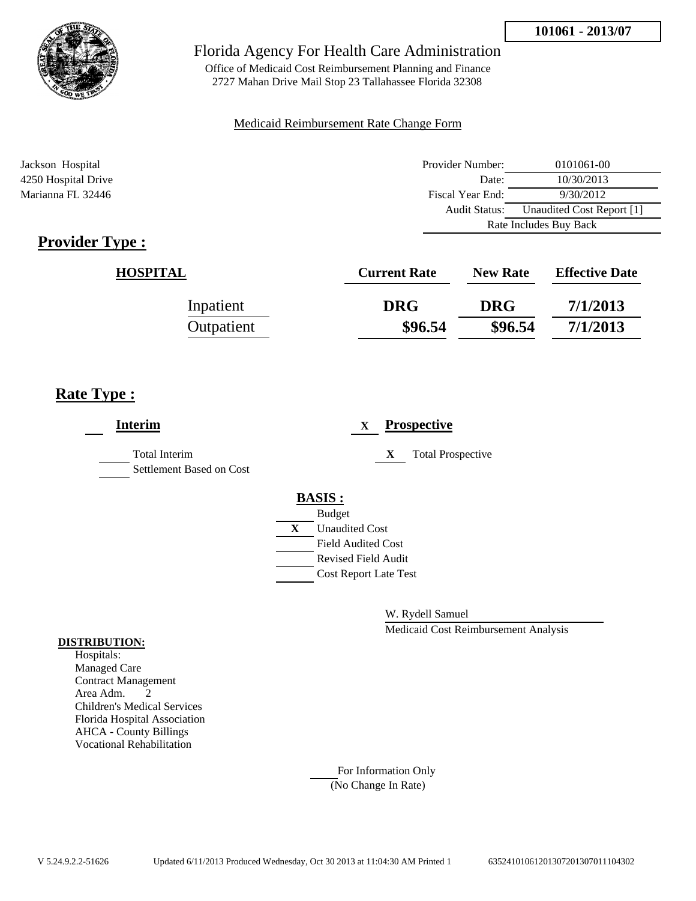

Office of Medicaid Cost Reimbursement Planning and Finance 2727 Mahan Drive Mail Stop 23 Tallahassee Florida 32308

### Medicaid Reimbursement Rate Change Form

| Jackson Hospital    | Provider Number:     | 0101061-00                |  |
|---------------------|----------------------|---------------------------|--|
| 4250 Hospital Drive | Date:                | 10/30/2013                |  |
| Marianna FL 32446   | Fiscal Year End:     | 9/30/2012                 |  |
|                     | <b>Audit Status:</b> | Unaudited Cost Report [1] |  |
|                     |                      | Rate Includes Buy Back    |  |

# **Provider Type :**

| <b>HOSPITAL</b> | <b>Current Rate</b> | <b>New Rate</b> | <b>Effective Date</b> |
|-----------------|---------------------|-----------------|-----------------------|
| Inpatient       | <b>DRG</b>          | <b>DRG</b>      | 7/1/2013              |
| Outpatient      | \$96.54             | \$96.54         | 7/1/2013              |

# **Rate Type :**

| <b>Interim</b>                                   | <b>Prospective</b><br>$\mathbf{X}$ |
|--------------------------------------------------|------------------------------------|
| <b>Total Interim</b><br>Settlement Based on Cost | <b>Total Prospective</b><br>X      |
|                                                  | <b>BASIS:</b>                      |
|                                                  | <b>Budget</b>                      |
|                                                  | X<br><b>Unaudited Cost</b>         |
|                                                  | <b>Field Audited Cost</b>          |
|                                                  | <b>Revised Field Audit</b>         |
|                                                  | <b>Cost Report Late Test</b>       |
|                                                  |                                    |
|                                                  |                                    |

W. Rydell Samuel

Medicaid Cost Reimbursement Analysis

#### **DISTRIBUTION:**

Hospitals: Managed Care Contract Management Area Adm. 2 Children's Medical Services Florida Hospital Association AHCA - County Billings Vocational Rehabilitation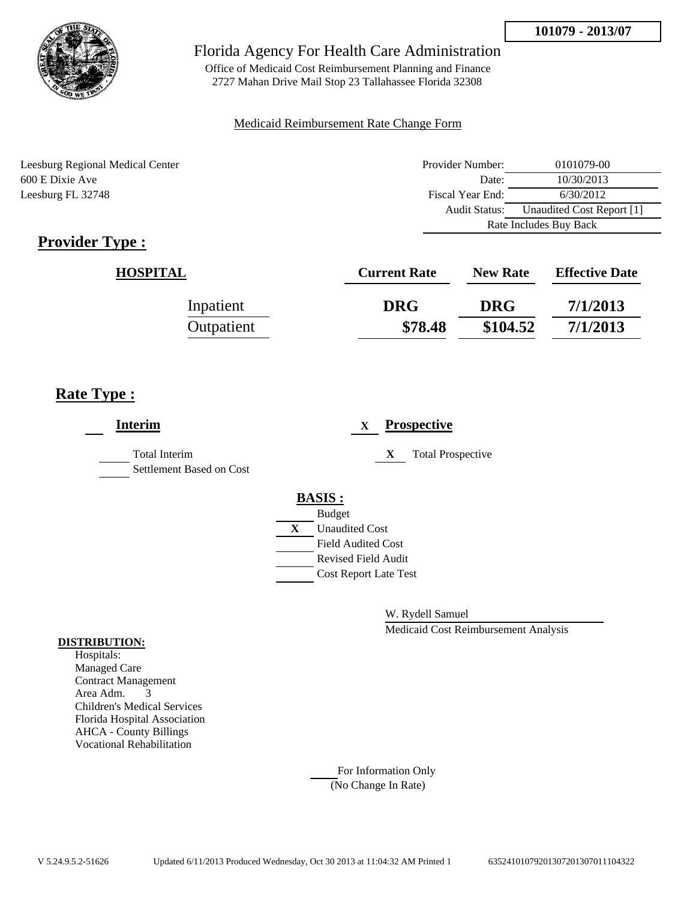

Office of Medicaid Cost Reimbursement Planning and Finance 2727 Mahan Drive Mail Stop 23 Tallahassee Florida 32308

### Medicaid Reimbursement Rate Change Form

Leesburg Regional Medical Center 600 E Dixie Ave Leesburg FL 32748

| Provider Number:                           | 0101079-00 |
|--------------------------------------------|------------|
| Date:                                      | 10/30/2013 |
| Fiscal Year End:                           | 6/30/2012  |
| Unaudited Cost Report [1]<br>Audit Status: |            |
| Rate Includes Buy Back                     |            |

# **Provider Type :**

| <b>HOSPITAL</b> | <b>Current Rate</b> | <b>New Rate</b> | <b>Effective Date</b> |
|-----------------|---------------------|-----------------|-----------------------|
| Inpatient       | <b>DRG</b>          | <b>DRG</b>      | 7/1/2013              |
| Outpatient      | \$78.48             | \$104.52        | 7/1/2013              |

# **Rate Type :**

| <b>Interim</b>                                   |               | X                            |   | <b>Prospective</b>       |
|--------------------------------------------------|---------------|------------------------------|---|--------------------------|
| <b>Total Interim</b><br>Settlement Based on Cost |               |                              | X | <b>Total Prospective</b> |
|                                                  | <b>BASIS:</b> | <b>Budget</b>                |   |                          |
|                                                  | X             | <b>Unaudited Cost</b>        |   |                          |
|                                                  |               | Field Audited Cost           |   |                          |
|                                                  |               | <b>Revised Field Audit</b>   |   |                          |
|                                                  |               | <b>Cost Report Late Test</b> |   |                          |
|                                                  |               |                              |   |                          |

W. Rydell Samuel

Medicaid Cost Reimbursement Analysis

#### **DISTRIBUTION:**

Hospitals: Managed Care Contract Management Area Adm. 3 Children's Medical Services Florida Hospital Association AHCA - County Billings Vocational Rehabilitation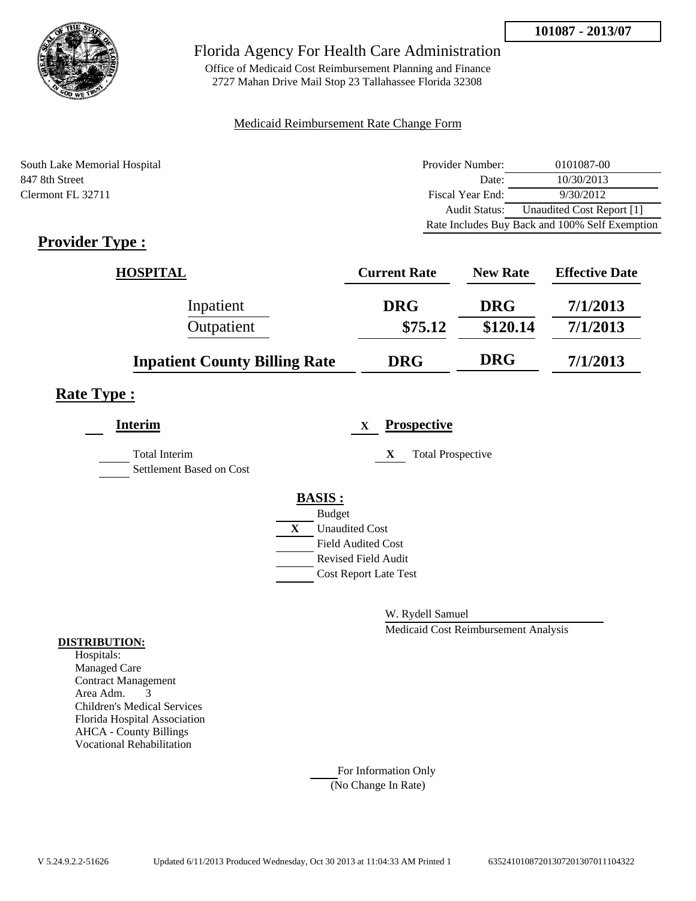

Office of Medicaid Cost Reimbursement Planning and Finance 2727 Mahan Drive Mail Stop 23 Tallahassee Florida 32308

### Medicaid Reimbursement Rate Change Form

| South Lake Memorial Hospital | Provider Number: | 0101087-00                                     |
|------------------------------|------------------|------------------------------------------------|
| 847 8th Street               | Date:            | 10/30/2013                                     |
| Clermont FL 32711            | Fiscal Year End: | 9/30/2012                                      |
|                              | Audit Status:    | Unaudited Cost Report [1]                      |
|                              |                  | Rate Includes Buy Back and 100% Self Exemption |

# **Provider Type :**

| <b>HOSPITAL</b>                      | <b>Current Rate</b> | <b>New Rate</b> | <b>Effective Date</b> |
|--------------------------------------|---------------------|-----------------|-----------------------|
| Inpatient                            | <b>DRG</b>          | <b>DRG</b>      | 7/1/2013              |
| Outpatient                           | \$75.12             | \$120.14        | 7/1/2013              |
| <b>Inpatient County Billing Rate</b> | <b>DRG</b>          | <b>DRG</b>      | 7/1/2013              |

## **Rate Type :**

| <b>Interim</b>                            | <b>Prospective</b><br>X               |
|-------------------------------------------|---------------------------------------|
| Total Interim<br>Settlement Based on Cost | <b>Total Prospective</b><br>X         |
|                                           | <b>BASIS:</b>                         |
|                                           | <b>Budget</b>                         |
|                                           | $\mathbf{X}$<br><b>Unaudited Cost</b> |
|                                           | <b>Field Audited Cost</b>             |
|                                           | <b>Revised Field Audit</b>            |
|                                           | <b>Cost Report Late Test</b>          |
|                                           |                                       |

W. Rydell Samuel

Medicaid Cost Reimbursement Analysis

### **DISTRIBUTION:**

Hospitals: Managed Care Contract Management Area Adm. 3 Children's Medical Services Florida Hospital Association AHCA - County Billings Vocational Rehabilitation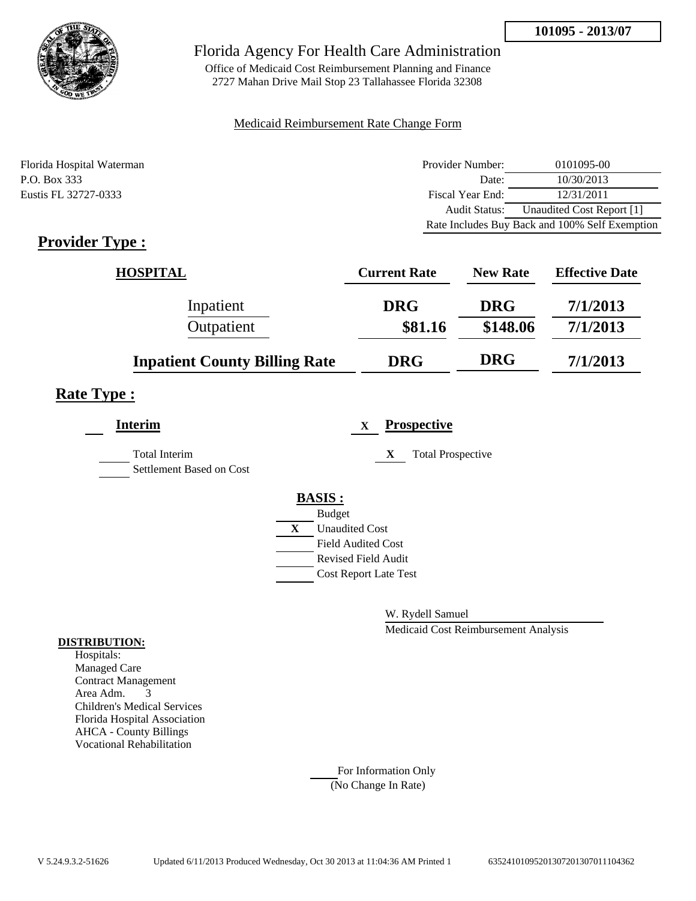

Office of Medicaid Cost Reimbursement Planning and Finance 2727 Mahan Drive Mail Stop 23 Tallahassee Florida 32308

### Medicaid Reimbursement Rate Change Form

| Florida Hospital Waterman | Provider Number:     | 0101095-00                                     |
|---------------------------|----------------------|------------------------------------------------|
| P.O. Box 333              | Date:                | 10/30/2013                                     |
| Eustis FL 32727-0333      | Fiscal Year End:     | 12/31/2011                                     |
|                           | <b>Audit Status:</b> | Unaudited Cost Report [1]                      |
|                           |                      | Rate Includes Buy Back and 100% Self Exemption |

# **Provider Type :**

| <b>HOSPITAL</b>                      | <b>Current Rate</b> | <b>New Rate</b> | <b>Effective Date</b> |
|--------------------------------------|---------------------|-----------------|-----------------------|
| Inpatient                            | <b>DRG</b>          | <b>DRG</b>      | 7/1/2013              |
| Outpatient                           | \$81.16             | \$148.06        | 7/1/2013              |
| <b>Inpatient County Billing Rate</b> | <b>DRG</b>          | <b>DRG</b>      | 7/1/2013              |

## **Rate Type :**

| <b>Interim</b>                                   | <b>Prospective</b><br>$\mathbf x$ |
|--------------------------------------------------|-----------------------------------|
| <b>Total Interim</b><br>Settlement Based on Cost | <b>Total Prospective</b><br>X     |
|                                                  | <b>BASIS:</b>                     |
|                                                  | <b>Budget</b>                     |
|                                                  | X<br><b>Unaudited Cost</b>        |
|                                                  | <b>Field Audited Cost</b>         |
|                                                  | <b>Revised Field Audit</b>        |
|                                                  | <b>Cost Report Late Test</b>      |
|                                                  |                                   |

W. Rydell Samuel

Medicaid Cost Reimbursement Analysis

#### **DISTRIBUTION:**

Hospitals: Managed Care Contract Management Area Adm. 3 Children's Medical Services Florida Hospital Association AHCA - County Billings Vocational Rehabilitation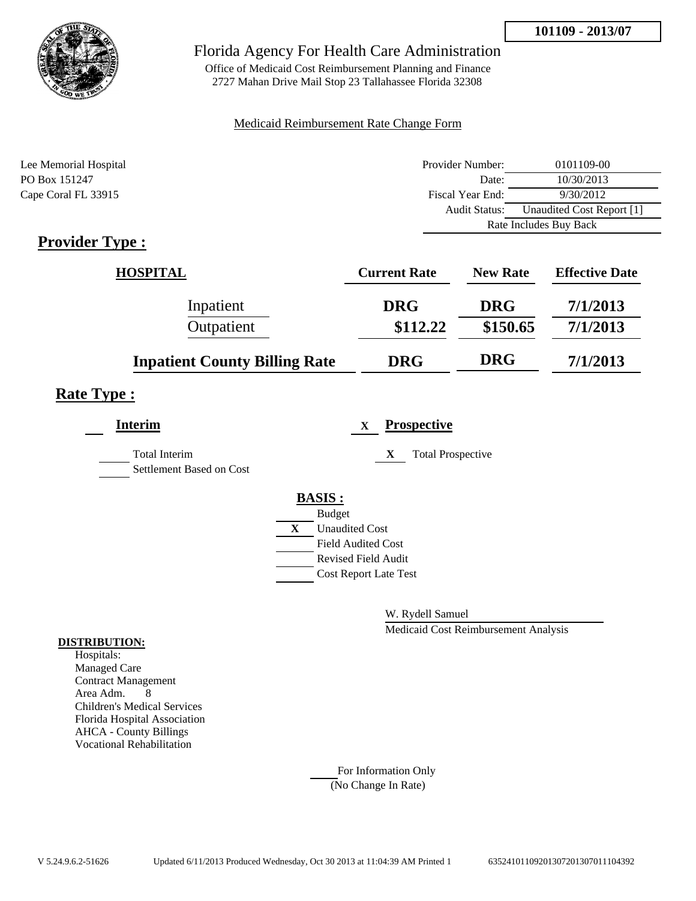

Office of Medicaid Cost Reimbursement Planning and Finance 2727 Mahan Drive Mail Stop 23 Tallahassee Florida 32308

### Medicaid Reimbursement Rate Change Form

| Lee Memorial Hospital | Provider Number:     | 0101109-00                |
|-----------------------|----------------------|---------------------------|
| PO Box 151247         | Date:                | 10/30/2013                |
| Cape Coral FL 33915   | Fiscal Year End:     | 9/30/2012                 |
|                       | <b>Audit Status:</b> | Unaudited Cost Report [1] |
|                       |                      | Rate Includes Buy Back    |

# **Provider Type :**

| <b>HOSPITAL</b>                      | <b>Current Rate</b> | <b>New Rate</b> | <b>Effective Date</b> |
|--------------------------------------|---------------------|-----------------|-----------------------|
| Inpatient                            | <b>DRG</b>          | <b>DRG</b>      | 7/1/2013              |
| Outpatient                           | \$112.22            | \$150.65        | 7/1/2013              |
| <b>Inpatient County Billing Rate</b> | <b>DRG</b>          | <b>DRG</b>      | 7/1/2013              |

## **Rate Type :**

| <b>Interim</b>                                   | <b>Prospective</b><br>X               |
|--------------------------------------------------|---------------------------------------|
| <b>Total Interim</b><br>Settlement Based on Cost | X<br><b>Total Prospective</b>         |
|                                                  | <b>BASIS:</b>                         |
|                                                  | <b>Budget</b>                         |
|                                                  | $\mathbf{X}$<br><b>Unaudited Cost</b> |
|                                                  | <b>Field Audited Cost</b>             |
|                                                  | <b>Revised Field Audit</b>            |
|                                                  | <b>Cost Report Late Test</b>          |
|                                                  |                                       |

W. Rydell Samuel

Medicaid Cost Reimbursement Analysis

### **DISTRIBUTION:**

Hospitals: Managed Care Contract Management Area Adm. 8 Children's Medical Services Florida Hospital Association AHCA - County Billings Vocational Rehabilitation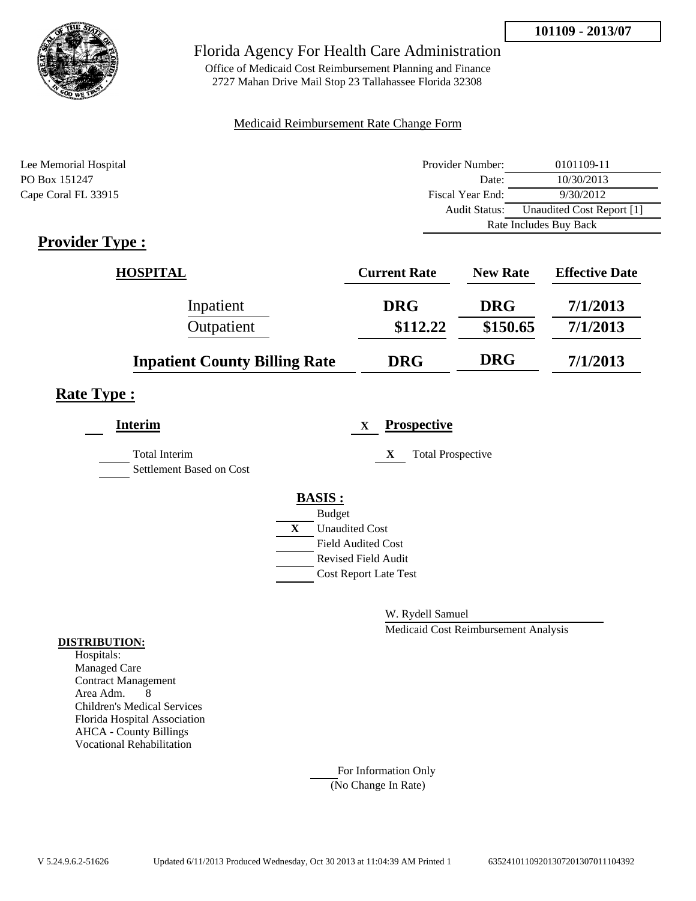

Office of Medicaid Cost Reimbursement Planning and Finance 2727 Mahan Drive Mail Stop 23 Tallahassee Florida 32308

### Medicaid Reimbursement Rate Change Form

| Lee Memorial Hospital | Provider Number:     | 0101109-11                |  |
|-----------------------|----------------------|---------------------------|--|
| PO Box 151247         | Date:                | 10/30/2013                |  |
| Cape Coral FL 33915   | Fiscal Year End:     | 9/30/2012                 |  |
|                       | <b>Audit Status:</b> | Unaudited Cost Report [1] |  |
|                       |                      | Rate Includes Buy Back    |  |

# **Provider Type :**

| <b>HOSPITAL</b>                      | <b>Current Rate</b> | <b>New Rate</b> | <b>Effective Date</b> |
|--------------------------------------|---------------------|-----------------|-----------------------|
| Inpatient                            | <b>DRG</b>          | <b>DRG</b>      | 7/1/2013              |
| Outpatient                           | \$112.22            | \$150.65        | 7/1/2013              |
| <b>Inpatient County Billing Rate</b> | <b>DRG</b>          | <b>DRG</b>      | 7/1/2013              |

## **Rate Type :**

| <b>Interim</b>                                   | <b>Prospective</b><br>X       |
|--------------------------------------------------|-------------------------------|
| <b>Total Interim</b><br>Settlement Based on Cost | <b>Total Prospective</b><br>X |
|                                                  | <b>BASIS:</b>                 |
|                                                  | <b>Budget</b>                 |
|                                                  | X<br><b>Unaudited Cost</b>    |
|                                                  | <b>Field Audited Cost</b>     |
|                                                  | <b>Revised Field Audit</b>    |
|                                                  | <b>Cost Report Late Test</b>  |
|                                                  |                               |

W. Rydell Samuel

Medicaid Cost Reimbursement Analysis

### **DISTRIBUTION:**

Hospitals: Managed Care Contract Management Area Adm. 8 Children's Medical Services Florida Hospital Association AHCA - County Billings Vocational Rehabilitation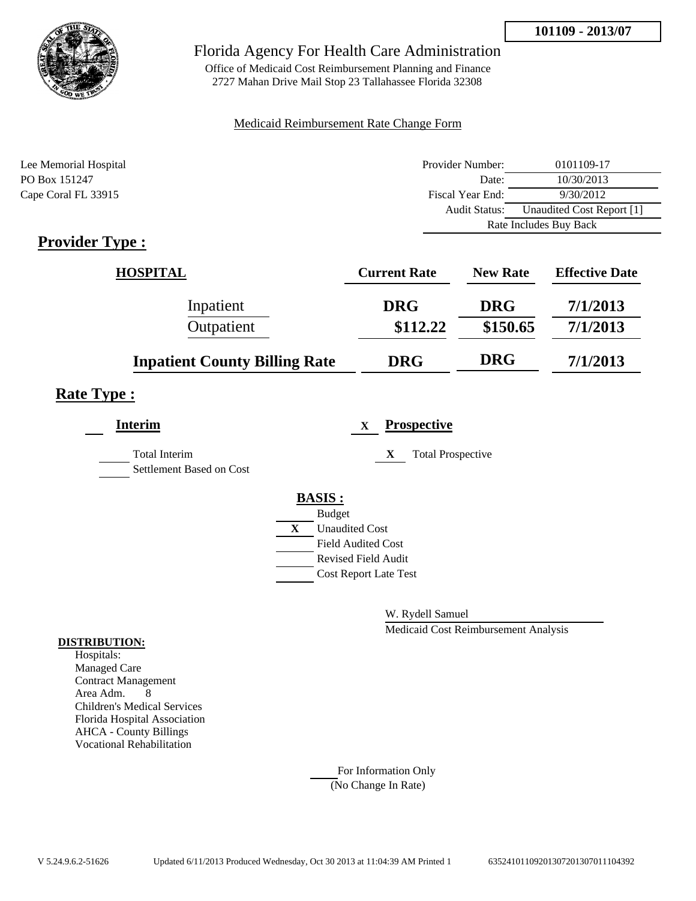

Office of Medicaid Cost Reimbursement Planning and Finance 2727 Mahan Drive Mail Stop 23 Tallahassee Florida 32308

### Medicaid Reimbursement Rate Change Form

| Lee Memorial Hospital | Provider Number:     | 0101109-17                |  |
|-----------------------|----------------------|---------------------------|--|
| PO Box 151247         | Date:                | 10/30/2013                |  |
| Cape Coral FL 33915   | Fiscal Year End:     | 9/30/2012                 |  |
|                       | <b>Audit Status:</b> | Unaudited Cost Report [1] |  |
|                       |                      | Rate Includes Buy Back    |  |

# **Provider Type :**

| <b>HOSPITAL</b>                      | <b>Current Rate</b> | <b>New Rate</b> | <b>Effective Date</b> |
|--------------------------------------|---------------------|-----------------|-----------------------|
| Inpatient                            | <b>DRG</b>          | <b>DRG</b>      | 7/1/2013              |
| Outpatient                           | \$112.22            | \$150.65        | 7/1/2013              |
| <b>Inpatient County Billing Rate</b> | <b>DRG</b>          | <b>DRG</b>      | 7/1/2013              |

## **Rate Type :**

| <b>Interim</b>                                   |              | <b>Prospective</b><br>$\mathbf X$ |
|--------------------------------------------------|--------------|-----------------------------------|
| <b>Total Interim</b><br>Settlement Based on Cost |              | <b>Total Prospective</b><br>X     |
|                                                  |              | <b>BASIS:</b>                     |
|                                                  |              | <b>Budget</b>                     |
|                                                  | $\mathbf{X}$ | <b>Unaudited Cost</b>             |
|                                                  |              | <b>Field Audited Cost</b>         |
|                                                  |              | <b>Revised Field Audit</b>        |
|                                                  |              | <b>Cost Report Late Test</b>      |
|                                                  |              |                                   |

W. Rydell Samuel

Medicaid Cost Reimbursement Analysis

### **DISTRIBUTION:**

Hospitals: Managed Care Contract Management Area Adm. 8 Children's Medical Services Florida Hospital Association AHCA - County Billings Vocational Rehabilitation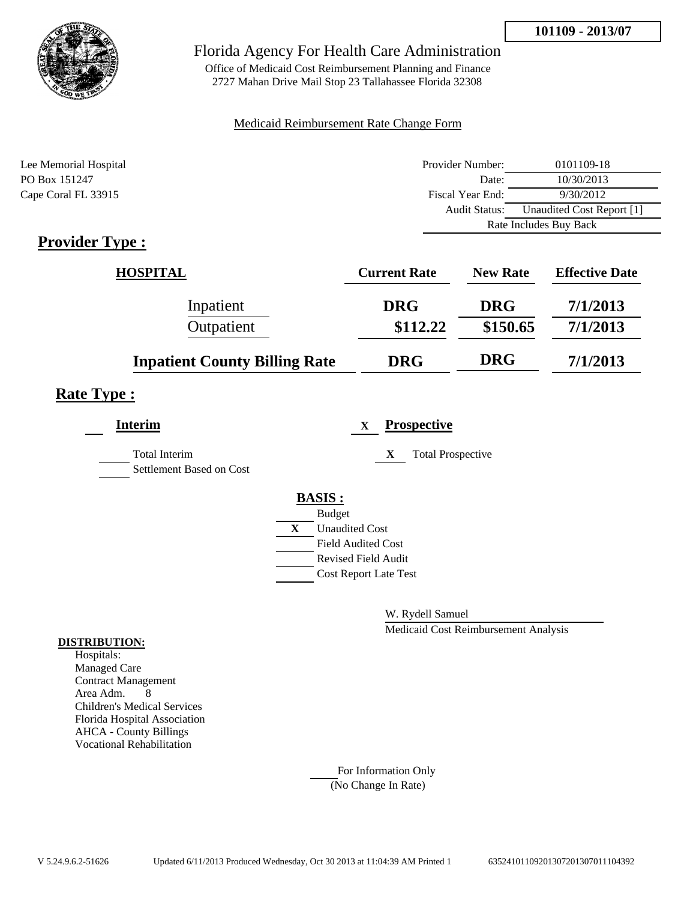

Office of Medicaid Cost Reimbursement Planning and Finance 2727 Mahan Drive Mail Stop 23 Tallahassee Florida 32308

### Medicaid Reimbursement Rate Change Form

| Lee Memorial Hospital | Provider Number:     | 0101109-18                |  |
|-----------------------|----------------------|---------------------------|--|
| PO Box 151247         | Date:                | 10/30/2013                |  |
| Cape Coral FL 33915   | Fiscal Year End:     | 9/30/2012                 |  |
|                       | <b>Audit Status:</b> | Unaudited Cost Report [1] |  |
|                       |                      | Rate Includes Buy Back    |  |

# **Provider Type :**

| <b>HOSPITAL</b>                      | <b>Current Rate</b> | <b>New Rate</b> | <b>Effective Date</b> |
|--------------------------------------|---------------------|-----------------|-----------------------|
| Inpatient                            | <b>DRG</b>          | <b>DRG</b>      | 7/1/2013              |
| Outpatient                           | \$112.22            | \$150.65        | 7/1/2013              |
| <b>Inpatient County Billing Rate</b> | <b>DRG</b>          | <b>DRG</b>      | 7/1/2013              |

## **Rate Type :**

| <b>Interim</b>                                   | <b>Prospective</b><br>X               |
|--------------------------------------------------|---------------------------------------|
| <b>Total Interim</b><br>Settlement Based on Cost | X<br><b>Total Prospective</b>         |
|                                                  | <b>BASIS:</b>                         |
|                                                  | <b>Budget</b>                         |
|                                                  | $\mathbf{X}$<br><b>Unaudited Cost</b> |
|                                                  | <b>Field Audited Cost</b>             |
|                                                  | <b>Revised Field Audit</b>            |
|                                                  | <b>Cost Report Late Test</b>          |
|                                                  |                                       |

W. Rydell Samuel

Medicaid Cost Reimbursement Analysis

### **DISTRIBUTION:**

Hospitals: Managed Care Contract Management Area Adm. 8 Children's Medical Services Florida Hospital Association AHCA - County Billings Vocational Rehabilitation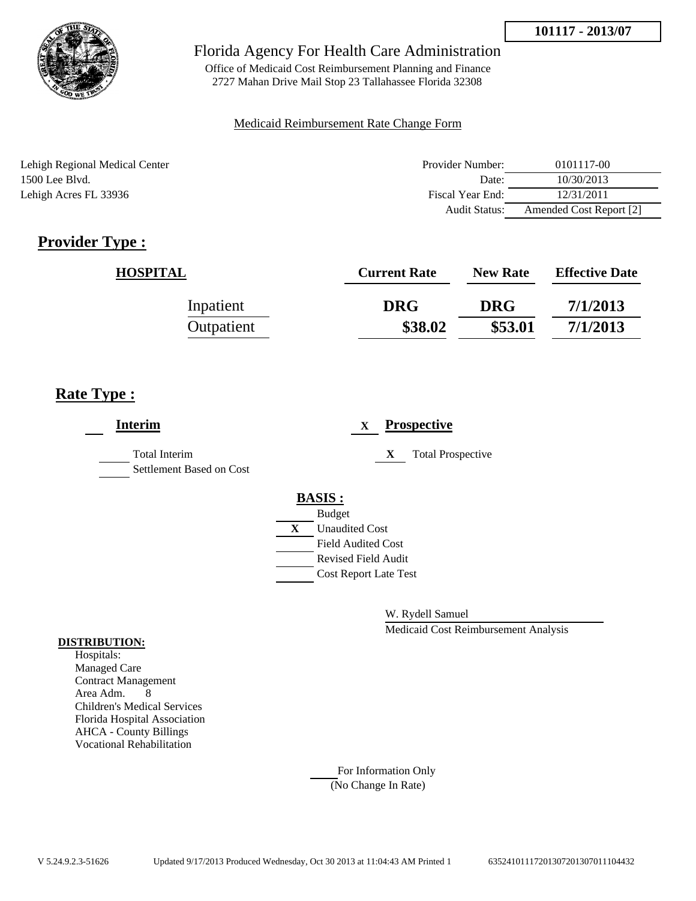

Office of Medicaid Cost Reimbursement Planning and Finance 2727 Mahan Drive Mail Stop 23 Tallahassee Florida 32308

### Medicaid Reimbursement Rate Change Form

Lehigh Regional Medical Center 1500 Lee Blvd. Lehigh Acres FL 33936

| Provider Number: | 0101117-00              |
|------------------|-------------------------|
| Date:            | 10/30/2013              |
| Fiscal Year End: | 12/31/2011              |
| Audit Status:    | Amended Cost Report [2] |

# **Provider Type :**

| <b>HOSPITAL</b> | <b>Current Rate</b> | <b>New Rate</b> | <b>Effective Date</b> |
|-----------------|---------------------|-----------------|-----------------------|
| Inpatient       | <b>DRG</b>          | <b>DRG</b>      | 7/1/2013              |
| Outpatient      | \$38.02             | \$53.01         | 7/1/2013              |

# **Rate Type :**

| <b>Interim</b>                                   | X                                                                                                                       | <b>Prospective</b>       |
|--------------------------------------------------|-------------------------------------------------------------------------------------------------------------------------|--------------------------|
| <b>Total Interim</b><br>Settlement Based on Cost | X                                                                                                                       | <b>Total Prospective</b> |
|                                                  | <b>BASIS:</b><br><b>Budget</b><br><b>Unaudited Cost</b><br>X<br><b>Field Audited Cost</b><br><b>Revised Field Audit</b> |                          |
|                                                  | <b>Cost Report Late Test</b>                                                                                            |                          |

W. Rydell Samuel

Medicaid Cost Reimbursement Analysis

#### **DISTRIBUTION:**

Hospitals: Managed Care Contract Management Area Adm. 8 Children's Medical Services Florida Hospital Association AHCA - County Billings Vocational Rehabilitation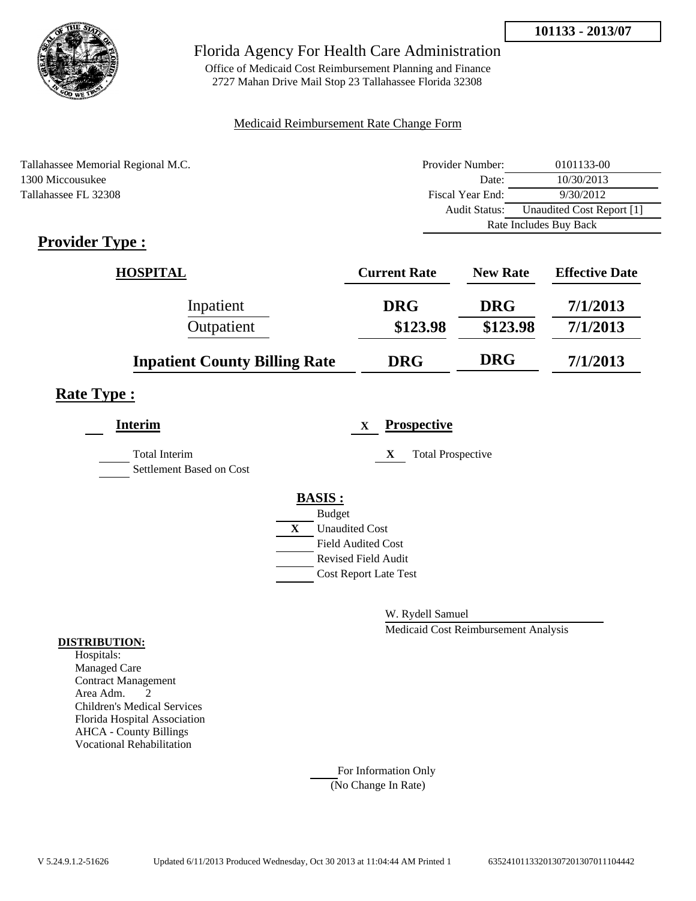

Office of Medicaid Cost Reimbursement Planning and Finance 2727 Mahan Drive Mail Stop 23 Tallahassee Florida 32308

### Medicaid Reimbursement Rate Change Form

| Tallahassee Memorial Regional M.C. | Provider Number:     | 0101133-00                |  |
|------------------------------------|----------------------|---------------------------|--|
| 1300 Miccousukee                   | Date:                | 10/30/2013                |  |
| Tallahassee FL 32308               | Fiscal Year End:     | 9/30/2012                 |  |
|                                    | <b>Audit Status:</b> | Unaudited Cost Report [1] |  |
|                                    |                      | Rate Includes Buy Back    |  |

# **Provider Type :**

| <b>HOSPITAL</b>                      | <b>Current Rate</b> | <b>New Rate</b> | <b>Effective Date</b> |
|--------------------------------------|---------------------|-----------------|-----------------------|
| Inpatient                            | <b>DRG</b>          | <b>DRG</b>      | 7/1/2013              |
| Outpatient                           | \$123.98            | \$123.98        | 7/1/2013              |
| <b>Inpatient County Billing Rate</b> | <b>DRG</b>          | <b>DRG</b>      | 7/1/2013              |

## **Rate Type :**

| <b>Interim</b>                                   |   | <b>Prospective</b><br>$\mathbf X$ |
|--------------------------------------------------|---|-----------------------------------|
| <b>Total Interim</b><br>Settlement Based on Cost |   | <b>Total Prospective</b><br>X     |
|                                                  |   | <b>BASIS:</b>                     |
|                                                  |   | <b>Budget</b>                     |
|                                                  | X | <b>Unaudited Cost</b>             |
|                                                  |   | <b>Field Audited Cost</b>         |
|                                                  |   | <b>Revised Field Audit</b>        |
|                                                  |   | <b>Cost Report Late Test</b>      |
|                                                  |   |                                   |

W. Rydell Samuel

Medicaid Cost Reimbursement Analysis

#### **DISTRIBUTION:**

Hospitals: Managed Care Contract Management Area Adm. 2 Children's Medical Services Florida Hospital Association AHCA - County Billings Vocational Rehabilitation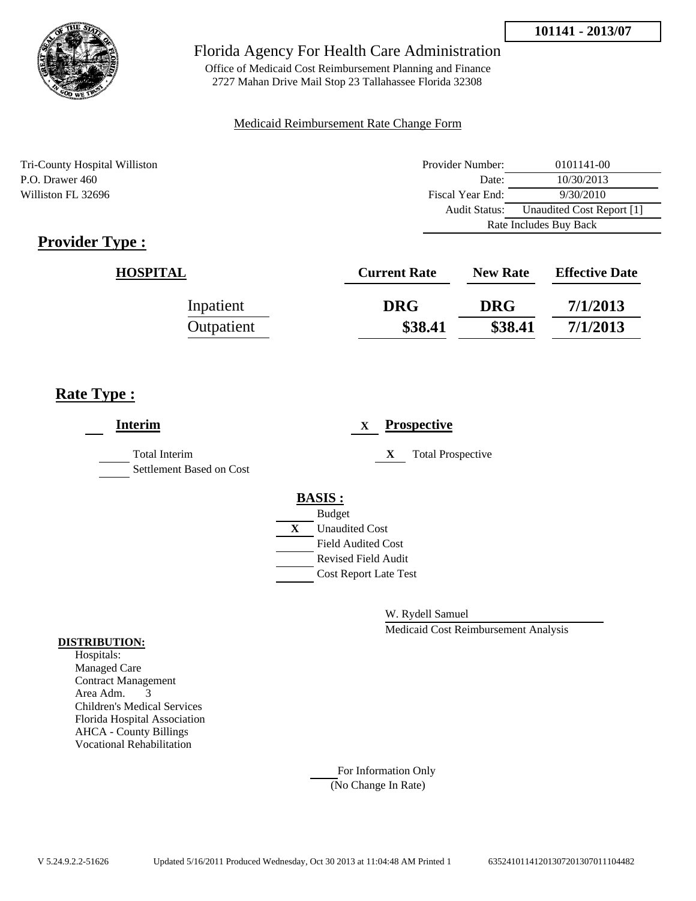

Office of Medicaid Cost Reimbursement Planning and Finance 2727 Mahan Drive Mail Stop 23 Tallahassee Florida 32308

### Medicaid Reimbursement Rate Change Form

Tri-County Hospital Williston P.O. Drawer 460 Williston FL 32696

| Provider Number:       | 0101141-00                |  |
|------------------------|---------------------------|--|
| Date:                  | 10/30/2013                |  |
| Fiscal Year End:       | 9/30/2010                 |  |
| Audit Status:          | Unaudited Cost Report [1] |  |
| Rate Includes Buy Back |                           |  |

# **Provider Type :**

| <b>HOSPITAL</b> | <b>Current Rate</b> | <b>New Rate</b> | <b>Effective Date</b> |
|-----------------|---------------------|-----------------|-----------------------|
| Inpatient       | <b>DRG</b>          | <b>DRG</b>      | 7/1/2013              |
| Outpatient      | \$38.41             | \$38.41         | 7/1/2013              |

## **Rate Type :**

| <b>Interim</b>                                   | <b>Prospective</b><br>$\mathbf{X}$                                                        |
|--------------------------------------------------|-------------------------------------------------------------------------------------------|
| <b>Total Interim</b><br>Settlement Based on Cost | <b>Total Prospective</b><br>X                                                             |
|                                                  | <b>BASIS:</b><br><b>Budget</b><br><b>Unaudited Cost</b><br>X<br><b>Field Audited Cost</b> |
|                                                  | Revised Field Audit<br><b>Cost Report Late Test</b>                                       |

W. Rydell Samuel

Medicaid Cost Reimbursement Analysis

#### **DISTRIBUTION:**

Hospitals: Managed Care Contract Management Area Adm. 3 Children's Medical Services Florida Hospital Association AHCA - County Billings Vocational Rehabilitation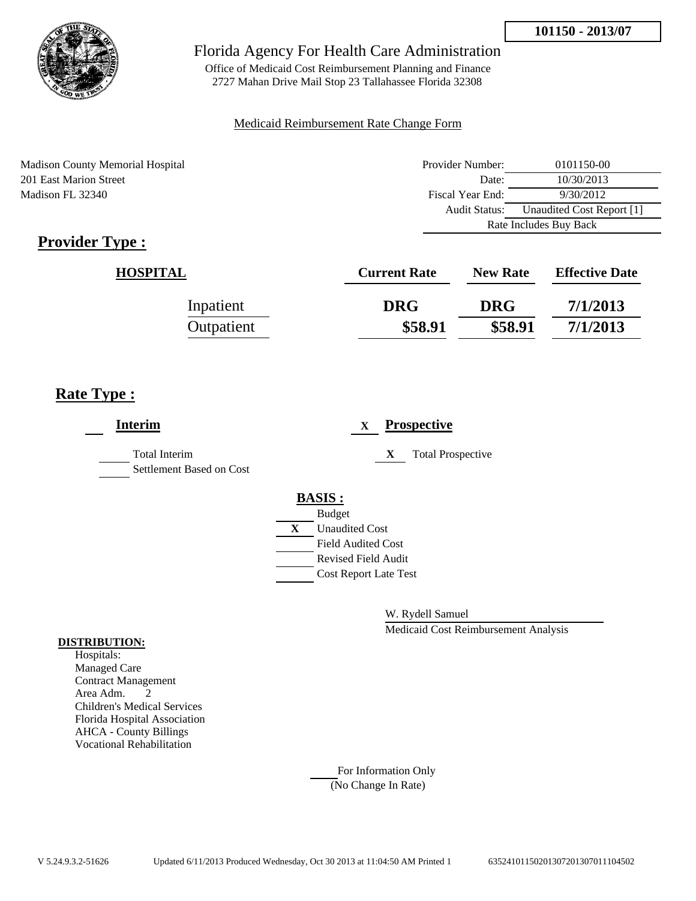

Office of Medicaid Cost Reimbursement Planning and Finance 2727 Mahan Drive Mail Stop 23 Tallahassee Florida 32308

### Medicaid Reimbursement Rate Change Form

Madison County Memorial Hospital 201 East Marion Street Madison FL 32340

| Provider Number:       | 0101150-00                |  |
|------------------------|---------------------------|--|
| Date:                  | 10/30/2013                |  |
| Fiscal Year End:       | 9/30/2012                 |  |
| Audit Status:          | Unaudited Cost Report [1] |  |
| Rate Includes Buy Back |                           |  |

# **Provider Type :**

| <b>HOSPITAL</b> | <b>Current Rate</b> | <b>New Rate</b> | <b>Effective Date</b> |
|-----------------|---------------------|-----------------|-----------------------|
| Inpatient       | <b>DRG</b>          | <b>DRG</b>      | 7/1/2013              |
| Outpatient      | \$58.91             | \$58.91         | 7/1/2013              |

# **Rate Type :**

| <b>Prospective</b><br>$\mathbf{X}$                                                                                                                      |
|---------------------------------------------------------------------------------------------------------------------------------------------------------|
| <b>Total Prospective</b><br>X                                                                                                                           |
| <b>BASIS:</b><br><b>Budget</b><br>X<br><b>Unaudited Cost</b><br><b>Field Audited Cost</b><br><b>Revised Field Audit</b><br><b>Cost Report Late Test</b> |
|                                                                                                                                                         |

W. Rydell Samuel

Medicaid Cost Reimbursement Analysis

#### **DISTRIBUTION:**

Hospitals: Managed Care Contract Management Area Adm. 2 Children's Medical Services Florida Hospital Association AHCA - County Billings Vocational Rehabilitation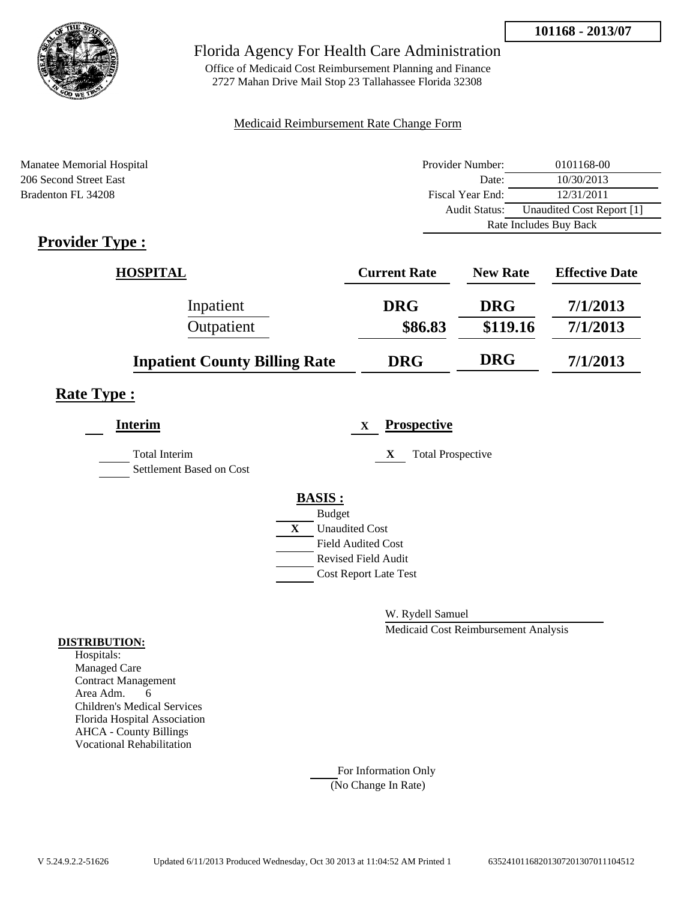

Office of Medicaid Cost Reimbursement Planning and Finance 2727 Mahan Drive Mail Stop 23 Tallahassee Florida 32308

### Medicaid Reimbursement Rate Change Form

| Manatee Memorial Hospital | Provider Number:     | 0101168-00                |  |
|---------------------------|----------------------|---------------------------|--|
| 206 Second Street East    | Date:                | 10/30/2013                |  |
| Bradenton FL 34208        | Fiscal Year End:     | 12/31/2011                |  |
|                           | <b>Audit Status:</b> | Unaudited Cost Report [1] |  |
|                           |                      | Rate Includes Buy Back    |  |
|                           |                      |                           |  |

# **Provider Type :**

| <b>HOSPITAL</b>                      | <b>Current Rate</b> | <b>New Rate</b> | <b>Effective Date</b> |
|--------------------------------------|---------------------|-----------------|-----------------------|
| Inpatient                            | <b>DRG</b>          | <b>DRG</b>      | 7/1/2013              |
| Outpatient                           | \$86.83             | \$119.16        | 7/1/2013              |
| <b>Inpatient County Billing Rate</b> | <b>DRG</b>          | <b>DRG</b>      | 7/1/2013              |

## **Rate Type :**

| <b>Interim</b>                                   |   | $\mathbf x$                  | <b>Prospective</b>            |
|--------------------------------------------------|---|------------------------------|-------------------------------|
| <b>Total Interim</b><br>Settlement Based on Cost |   |                              | <b>Total Prospective</b><br>X |
|                                                  |   | <b>BASIS:</b>                |                               |
|                                                  |   | <b>Budget</b>                |                               |
|                                                  | X | <b>Unaudited Cost</b>        |                               |
|                                                  |   | <b>Field Audited Cost</b>    |                               |
|                                                  |   | Revised Field Audit          |                               |
|                                                  |   | <b>Cost Report Late Test</b> |                               |
|                                                  |   |                              |                               |

W. Rydell Samuel

Medicaid Cost Reimbursement Analysis

#### **DISTRIBUTION:**

Hospitals: Managed Care Contract Management Area Adm. 6 Children's Medical Services Florida Hospital Association AHCA - County Billings Vocational Rehabilitation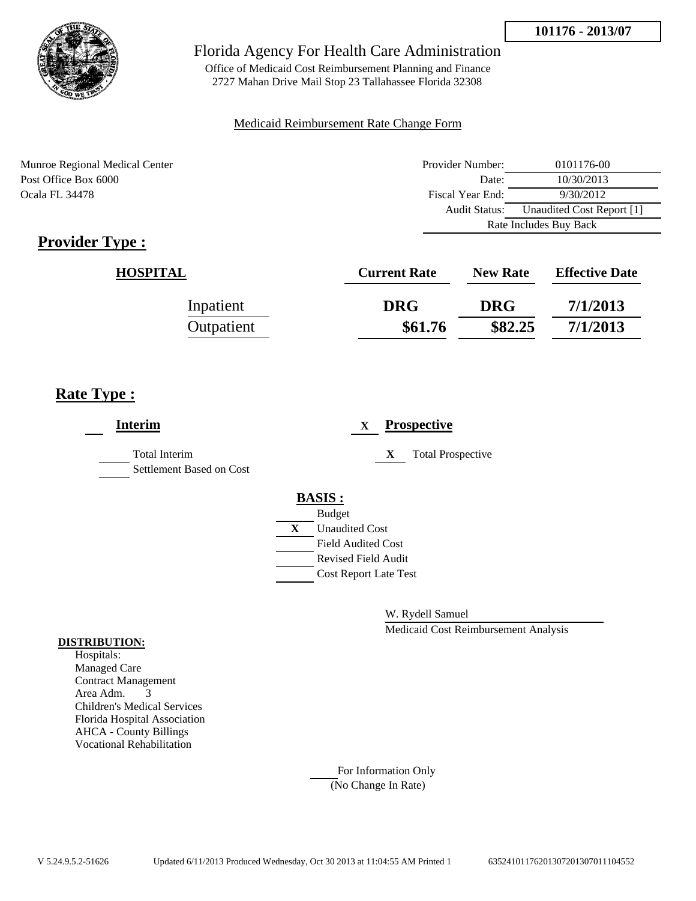

Office of Medicaid Cost Reimbursement Planning and Finance 2727 Mahan Drive Mail Stop 23 Tallahassee Florida 32308

### Medicaid Reimbursement Rate Change Form

Munroe Regional Medical Center Post Office Box 6000 Ocala FL 34478

| Provider Number:       | 0101176-00                |
|------------------------|---------------------------|
| Date:                  | 10/30/2013                |
| Fiscal Year End:       | 9/30/2012                 |
| <b>Audit Status:</b>   | Unaudited Cost Report [1] |
| Rate Includes Buy Back |                           |

# **Provider Type :**

| <b>HOSPITAL</b> | <b>Current Rate</b> | <b>New Rate</b> | <b>Effective Date</b> |
|-----------------|---------------------|-----------------|-----------------------|
| Inpatient       | <b>DRG</b>          | <b>DRG</b>      | 7/1/2013              |
| Outpatient      | \$61.76             | \$82.25         | 7/1/2013              |

# **Rate Type :**

| <b>Interim</b>                                   | <b>Prospective</b><br>$\mathbf{X}$          |
|--------------------------------------------------|---------------------------------------------|
| <b>Total Interim</b><br>Settlement Based on Cost | X<br><b>Total Prospective</b>               |
|                                                  | <b>BASIS:</b>                               |
|                                                  | <b>Budget</b><br>X<br><b>Unaudited Cost</b> |
|                                                  | <b>Field Audited Cost</b>                   |
|                                                  | <b>Revised Field Audit</b>                  |
|                                                  | <b>Cost Report Late Test</b>                |
|                                                  |                                             |

W. Rydell Samuel

Medicaid Cost Reimbursement Analysis

#### **DISTRIBUTION:**

Hospitals: Managed Care Contract Management Area Adm. 3 Children's Medical Services Florida Hospital Association AHCA - County Billings Vocational Rehabilitation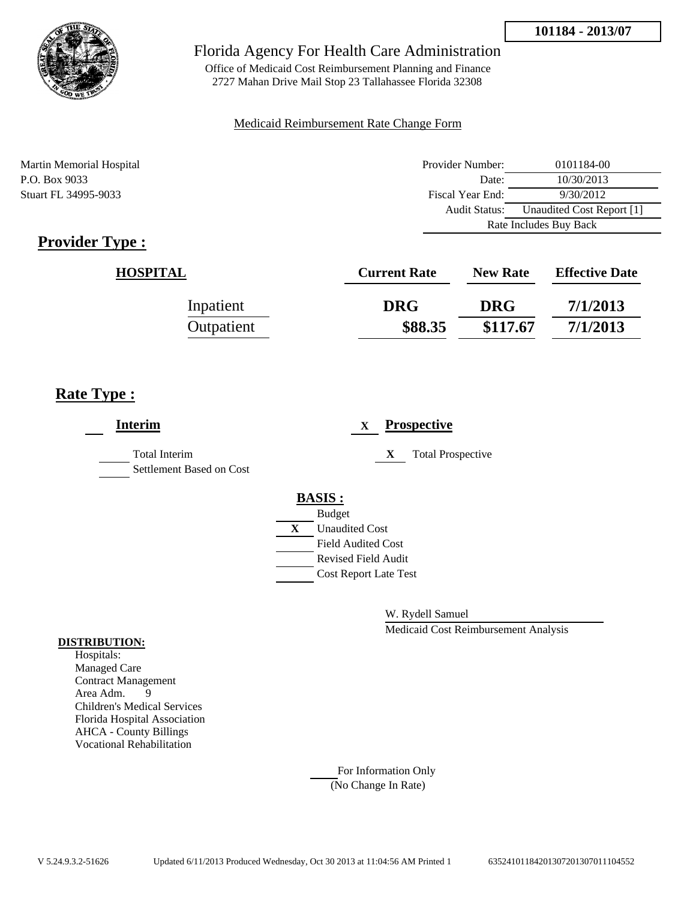

Office of Medicaid Cost Reimbursement Planning and Finance 2727 Mahan Drive Mail Stop 23 Tallahassee Florida 32308

### Medicaid Reimbursement Rate Change Form

Martin Memorial Hospital P.O. Box 9033 Stuart FL 34995-9033

| Provider Number:       | 0101184-00                |  |
|------------------------|---------------------------|--|
| Date:                  | 10/30/2013                |  |
| Fiscal Year End:       | 9/30/2012                 |  |
| <b>Audit Status:</b>   | Unaudited Cost Report [1] |  |
| Rate Includes Buy Back |                           |  |

# **Provider Type :**

| <b>HOSPITAL</b> | <b>Current Rate</b> | <b>New Rate</b> | <b>Effective Date</b> |
|-----------------|---------------------|-----------------|-----------------------|
| Inpatient       | <b>DRG</b>          | <b>DRG</b>      | 7/1/2013              |
| Outpatient      | \$88.35             | \$117.67        | 7/1/2013              |

## **Rate Type :**

| <b>Interim</b>                                   | <b>Prospective</b><br>X       |
|--------------------------------------------------|-------------------------------|
| <b>Total Interim</b><br>Settlement Based on Cost | <b>Total Prospective</b><br>X |
|                                                  | <b>BASIS:</b>                 |
|                                                  | <b>Budget</b>                 |
|                                                  | X<br><b>Unaudited Cost</b>    |
|                                                  | <b>Field Audited Cost</b>     |
|                                                  | <b>Revised Field Audit</b>    |
|                                                  | <b>Cost Report Late Test</b>  |
|                                                  |                               |
|                                                  |                               |

W. Rydell Samuel

Medicaid Cost Reimbursement Analysis

#### **DISTRIBUTION:**

Hospitals: Managed Care Contract Management Area Adm. 9 Children's Medical Services Florida Hospital Association AHCA - County Billings Vocational Rehabilitation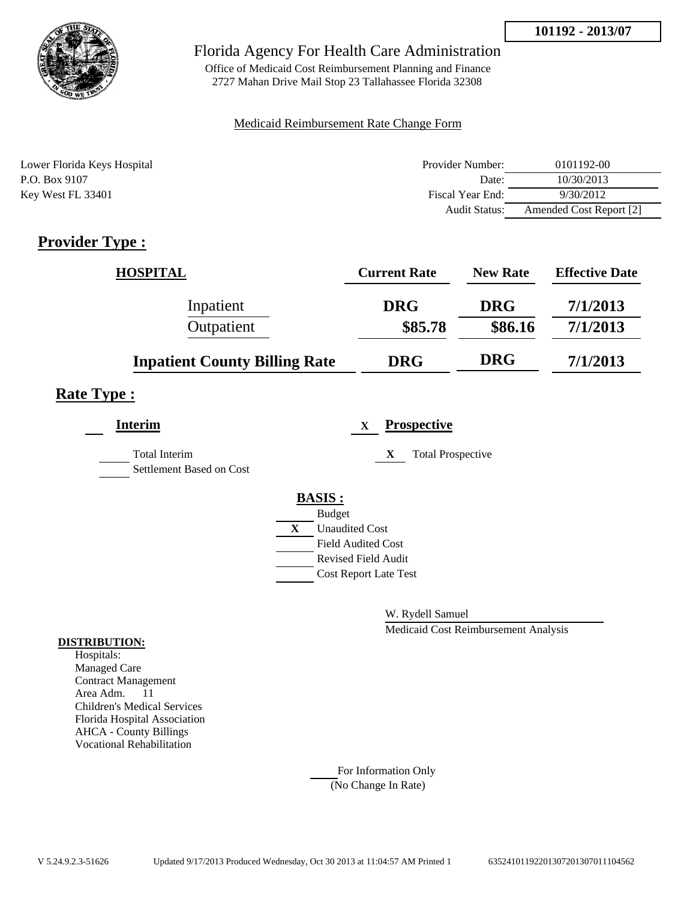

Office of Medicaid Cost Reimbursement Planning and Finance 2727 Mahan Drive Mail Stop 23 Tallahassee Florida 32308

### Medicaid Reimbursement Rate Change Form

| Lower Florida Keys Hospital | Provider Number: | 0101192-00              |
|-----------------------------|------------------|-------------------------|
| P.O. Box 9107               | Date:            | 10/30/2013              |
| Key West FL 33401           | Fiscal Year End: | 9/30/2012               |
|                             | Audit Status:    | Amended Cost Report [2] |

# **Provider Type :**

| <b>HOSPITAL</b>                      | <b>Current Rate</b> | <b>New Rate</b> | <b>Effective Date</b> |
|--------------------------------------|---------------------|-----------------|-----------------------|
| Inpatient                            | <b>DRG</b>          | <b>DRG</b>      | 7/1/2013              |
| Outpatient                           | \$85.78             | \$86.16         | 7/1/2013              |
| <b>Inpatient County Billing Rate</b> | <b>DRG</b>          | <b>DRG</b>      | 7/1/2013              |

## **Rate Type :**

| <b>Interim</b>                                   |              | <b>Prospective</b><br>X       |
|--------------------------------------------------|--------------|-------------------------------|
| <b>Total Interim</b><br>Settlement Based on Cost |              | <b>Total Prospective</b><br>X |
|                                                  |              | <b>BASIS:</b>                 |
|                                                  |              | <b>Budget</b>                 |
|                                                  | $\mathbf{X}$ | <b>Unaudited Cost</b>         |
|                                                  |              | <b>Field Audited Cost</b>     |
|                                                  |              | <b>Revised Field Audit</b>    |
|                                                  |              | <b>Cost Report Late Test</b>  |
|                                                  |              |                               |

W. Rydell Samuel

Medicaid Cost Reimbursement Analysis

### **DISTRIBUTION:**

Hospitals: Managed Care Contract Management Area Adm. 11 Children's Medical Services Florida Hospital Association AHCA - County Billings Vocational Rehabilitation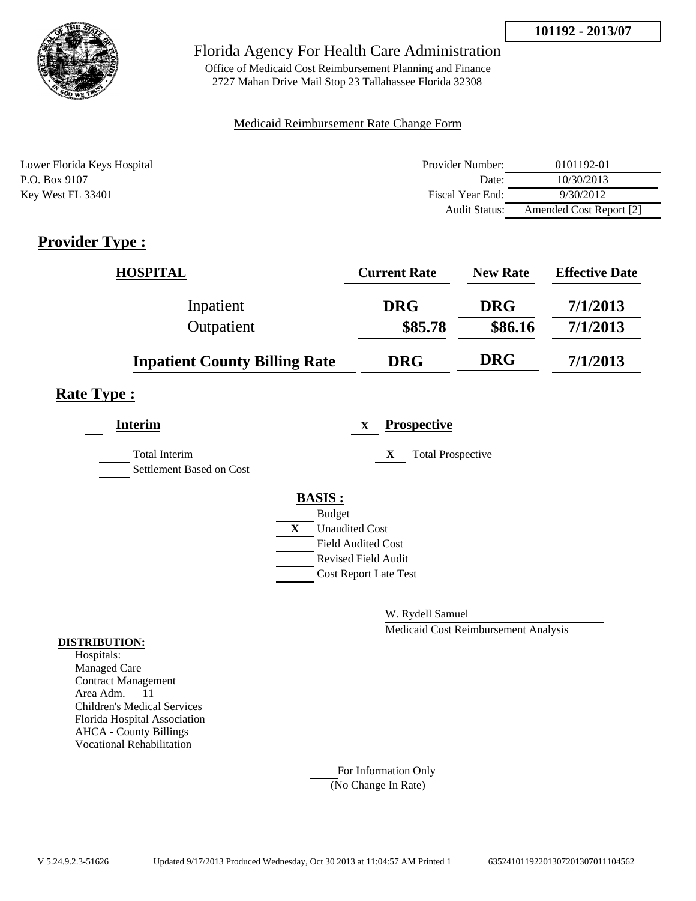

Office of Medicaid Cost Reimbursement Planning and Finance 2727 Mahan Drive Mail Stop 23 Tallahassee Florida 32308

### Medicaid Reimbursement Rate Change Form

| Lower Florida Keys Hospital | Provider Number:     | 0101192-01              |
|-----------------------------|----------------------|-------------------------|
| P.O. Box 9107               | Date:                | 10/30/2013              |
| Key West FL 33401           | Fiscal Year End:     | 9/30/2012               |
|                             | <b>Audit Status:</b> | Amended Cost Report [2] |

# **Provider Type :**

| <b>HOSPITAL</b>                      | <b>Current Rate</b> | <b>New Rate</b> | <b>Effective Date</b> |
|--------------------------------------|---------------------|-----------------|-----------------------|
| Inpatient                            | <b>DRG</b>          | <b>DRG</b>      | 7/1/2013              |
| Outpatient                           | \$85.78             | \$86.16         | 7/1/2013              |
| <b>Inpatient County Billing Rate</b> | <b>DRG</b>          | <b>DRG</b>      | 7/1/2013              |

## **Rate Type :**

| <b>Interim</b>                                   | <b>Prospective</b><br>X               |
|--------------------------------------------------|---------------------------------------|
| <b>Total Interim</b><br>Settlement Based on Cost | <b>Total Prospective</b><br>X         |
|                                                  | <b>BASIS:</b>                         |
|                                                  | <b>Budget</b>                         |
|                                                  | $\mathbf{X}$<br><b>Unaudited Cost</b> |
|                                                  | <b>Field Audited Cost</b>             |
|                                                  | <b>Revised Field Audit</b>            |
|                                                  | <b>Cost Report Late Test</b>          |
|                                                  |                                       |

W. Rydell Samuel

Medicaid Cost Reimbursement Analysis

### **DISTRIBUTION:**

Hospitals: Managed Care Contract Management Area Adm. 11 Children's Medical Services Florida Hospital Association AHCA - County Billings Vocational Rehabilitation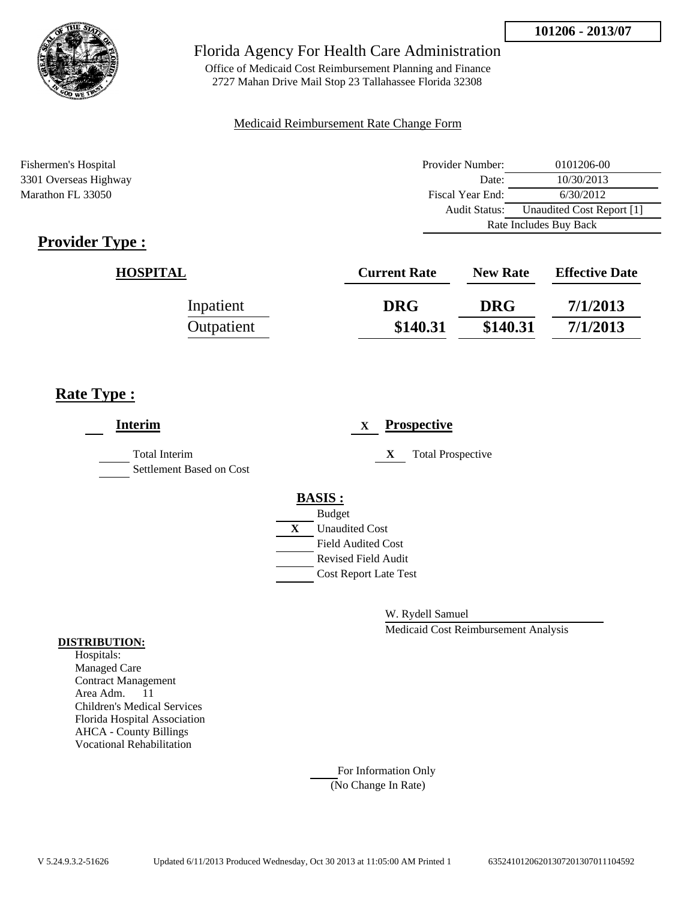

Office of Medicaid Cost Reimbursement Planning and Finance 2727 Mahan Drive Mail Stop 23 Tallahassee Florida 32308

### Medicaid Reimbursement Rate Change Form

Fishermen's Hospital Provider Number: 0101206-00 3301 Overseas Highway Marathon FL 33050

| <b>Provider Type</b> |  |
|----------------------|--|
|----------------------|--|

| Provider indifficient. | <u>0101200-00</u>         |  |
|------------------------|---------------------------|--|
| Date:                  | 10/30/2013                |  |
| Fiscal Year End:       | 6/30/2012                 |  |
| Audit Status:          | Unaudited Cost Report [1] |  |
| Rate Includes Buy Back |                           |  |
|                        |                           |  |

| <b>HOSPITAL</b> | <b>Current Rate</b> | <b>New Rate</b> | <b>Effective Date</b> |
|-----------------|---------------------|-----------------|-----------------------|
| Inpatient       | <b>DRG</b>          | <b>DRG</b>      | 7/1/2013              |
| Outpatient      | \$140.31            | \$140.31        | 7/1/2013              |

## **Rate Type :**

| <b>Interim</b>                                   |                                                  | X |   | <b>Prospective</b>       |
|--------------------------------------------------|--------------------------------------------------|---|---|--------------------------|
| <b>Total Interim</b><br>Settlement Based on Cost |                                                  |   | X | <b>Total Prospective</b> |
|                                                  | <b>BASIS:</b><br><b>Budget</b>                   |   |   |                          |
|                                                  | X<br><b>Unaudited Cost</b>                       |   |   |                          |
|                                                  | <b>Field Audited Cost</b><br>Revised Field Audit |   |   |                          |
|                                                  | <b>Cost Report Late Test</b>                     |   |   |                          |
|                                                  |                                                  |   |   |                          |

W. Rydell Samuel

Medicaid Cost Reimbursement Analysis

#### **DISTRIBUTION:**

Hospitals: Managed Care Contract Management Area Adm. 11 Children's Medical Services Florida Hospital Association AHCA - County Billings Vocational Rehabilitation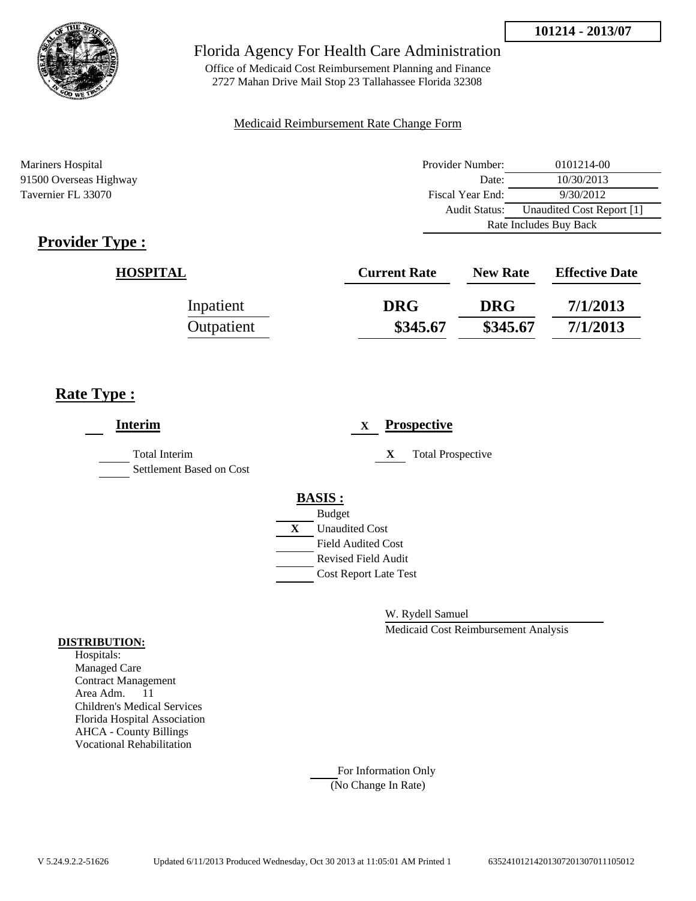

Office of Medicaid Cost Reimbursement Planning and Finance 2727 Mahan Drive Mail Stop 23 Tallahassee Florida 32308

### Medicaid Reimbursement Rate Change Form

Mariners Hospital 91500 Overseas Highway Tavernier FL 33070

| Provider Number:       | 0101214-00                |  |
|------------------------|---------------------------|--|
| Date:                  | 10/30/2013                |  |
| Fiscal Year End:       | 9/30/2012                 |  |
| Audit Status:          | Unaudited Cost Report [1] |  |
| Rate Includes Buy Back |                           |  |

# **Provider Type :**

| <b>HOSPITAL</b> | <b>Current Rate</b> | <b>New Rate</b> | <b>Effective Date</b> |
|-----------------|---------------------|-----------------|-----------------------|
| Inpatient       | <b>DRG</b>          | <b>DRG</b>      | 7/1/2013              |
| Outpatient      | \$345.67            | \$345.67        | 7/1/2013              |

# **Rate Type :**

| <b>Interim</b>                                   | <b>Prospective</b><br>X                                                                                                                                 |
|--------------------------------------------------|---------------------------------------------------------------------------------------------------------------------------------------------------------|
| <b>Total Interim</b><br>Settlement Based on Cost | <b>Total Prospective</b><br>X                                                                                                                           |
|                                                  | <b>BASIS:</b><br><b>Budget</b><br>X<br><b>Unaudited Cost</b><br><b>Field Audited Cost</b><br><b>Revised Field Audit</b><br><b>Cost Report Late Test</b> |

W. Rydell Samuel

Medicaid Cost Reimbursement Analysis

#### **DISTRIBUTION:**

Hospitals: Managed Care Contract Management Area Adm. 11 Children's Medical Services Florida Hospital Association AHCA - County Billings Vocational Rehabilitation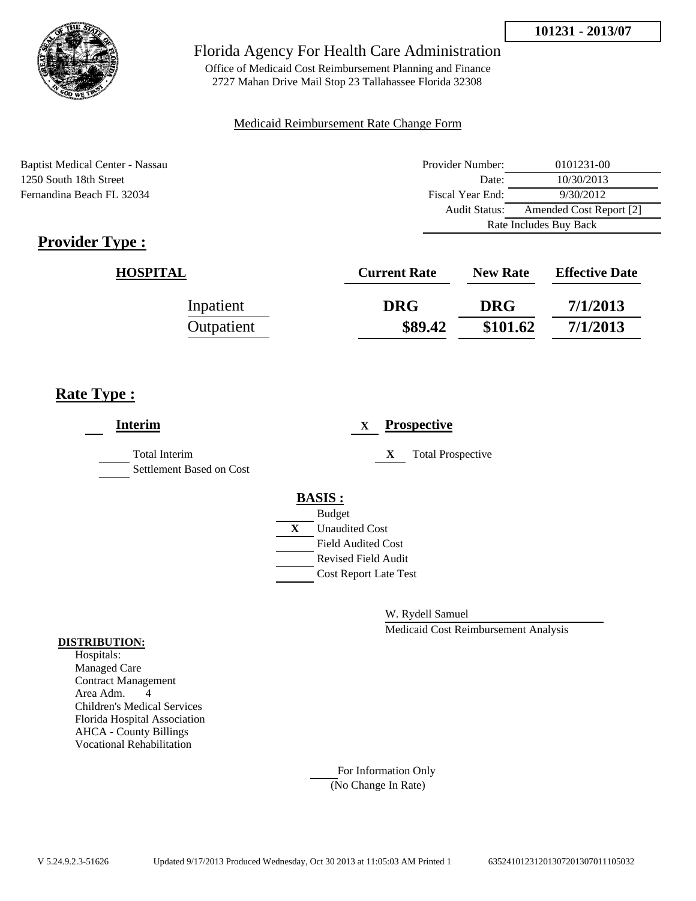

Office of Medicaid Cost Reimbursement Planning and Finance 2727 Mahan Drive Mail Stop 23 Tallahassee Florida 32308

### Medicaid Reimbursement Rate Change Form

Baptist Medical Center - Nassau 1250 South 18th Street Fernandina Beach FL 32034

| Provider Number:       | 0101231-00              |  |
|------------------------|-------------------------|--|
| Date:                  | 10/30/2013              |  |
| Fiscal Year End:       | 9/30/2012               |  |
| Audit Status:          | Amended Cost Report [2] |  |
| Rate Includes Buy Back |                         |  |

# **Provider Type :**

| <b>HOSPITAL</b> | <b>Current Rate</b> | <b>New Rate</b> | <b>Effective Date</b> |
|-----------------|---------------------|-----------------|-----------------------|
| Inpatient       | <b>DRG</b>          | <b>DRG</b>      | 7/1/2013              |
| Outpatient      | \$89.42             | \$101.62        | 7/1/2013              |

# **Rate Type :**

| <b>Interim</b>                            | <b>Prospective</b><br>X       |
|-------------------------------------------|-------------------------------|
| Total Interim<br>Settlement Based on Cost | X<br><b>Total Prospective</b> |
|                                           | <b>BASIS:</b>                 |
|                                           | <b>Budget</b>                 |
|                                           | <b>Unaudited Cost</b><br>X    |
|                                           | <b>Field Audited Cost</b>     |
|                                           | <b>Revised Field Audit</b>    |
|                                           | <b>Cost Report Late Test</b>  |
|                                           |                               |

W. Rydell Samuel

Medicaid Cost Reimbursement Analysis

#### **DISTRIBUTION:**

Hospitals: Managed Care Contract Management Area Adm. 4 Children's Medical Services Florida Hospital Association AHCA - County Billings Vocational Rehabilitation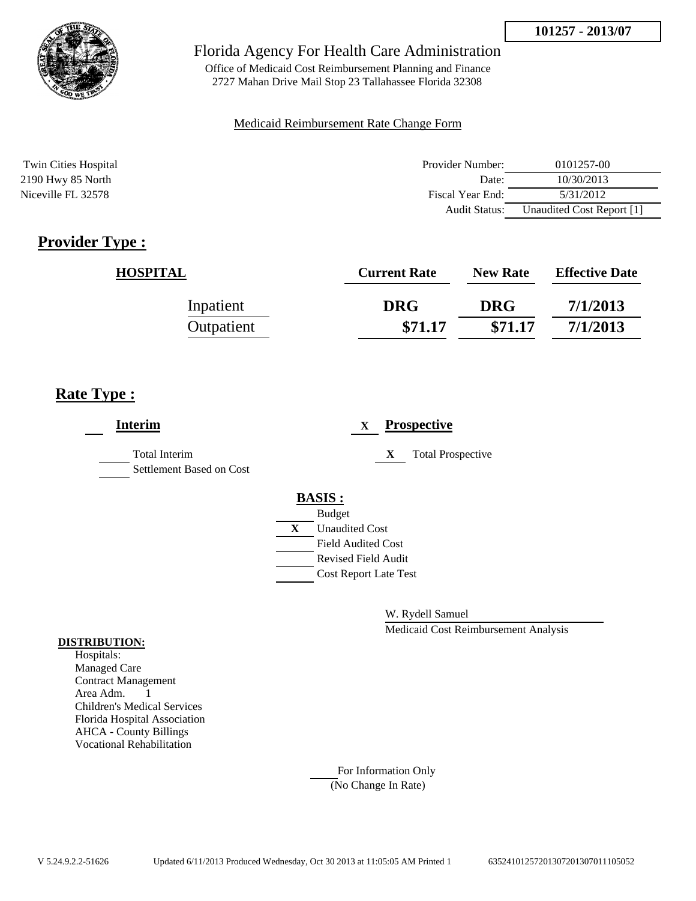

Office of Medicaid Cost Reimbursement Planning and Finance 2727 Mahan Drive Mail Stop 23 Tallahassee Florida 32308

#### Medicaid Reimbursement Rate Change Form

| <b>Twin Cities Hospital</b> | Provider Number: | 0101257-00                |
|-----------------------------|------------------|---------------------------|
| 2190 Hwy 85 North           | Date:            | 10/30/2013                |
| Niceville FL 32578          | Fiscal Year End: | 5/31/2012                 |
|                             | Audit Status:    | Unaudited Cost Report [1] |

# **Provider Type :**

| <b>HOSPITAL</b> | <b>Current Rate</b> | <b>New Rate</b> | <b>Effective Date</b> |
|-----------------|---------------------|-----------------|-----------------------|
| Inpatient       | <b>DRG</b>          | <b>DRG</b>      | 7/1/2013              |
| Outpatient      | \$71.17             | \$71.17         | 7/1/2013              |

## **Rate Type :**

| <b>Interim</b>                                   |   |                              | $\mathbf x$ |   | <b>Prospective</b>       |
|--------------------------------------------------|---|------------------------------|-------------|---|--------------------------|
| <b>Total Interim</b><br>Settlement Based on Cost |   |                              |             | X | <b>Total Prospective</b> |
|                                                  |   | <b>BASIS:</b>                |             |   |                          |
|                                                  |   | <b>Budget</b>                |             |   |                          |
|                                                  | X | <b>Unaudited Cost</b>        |             |   |                          |
|                                                  |   | <b>Field Audited Cost</b>    |             |   |                          |
|                                                  |   | <b>Revised Field Audit</b>   |             |   |                          |
|                                                  |   | <b>Cost Report Late Test</b> |             |   |                          |
|                                                  |   |                              |             |   |                          |

W. Rydell Samuel

Medicaid Cost Reimbursement Analysis

#### **DISTRIBUTION:**

Hospitals: Managed Care Contract Management Area Adm. 1 Children's Medical Services Florida Hospital Association AHCA - County Billings Vocational Rehabilitation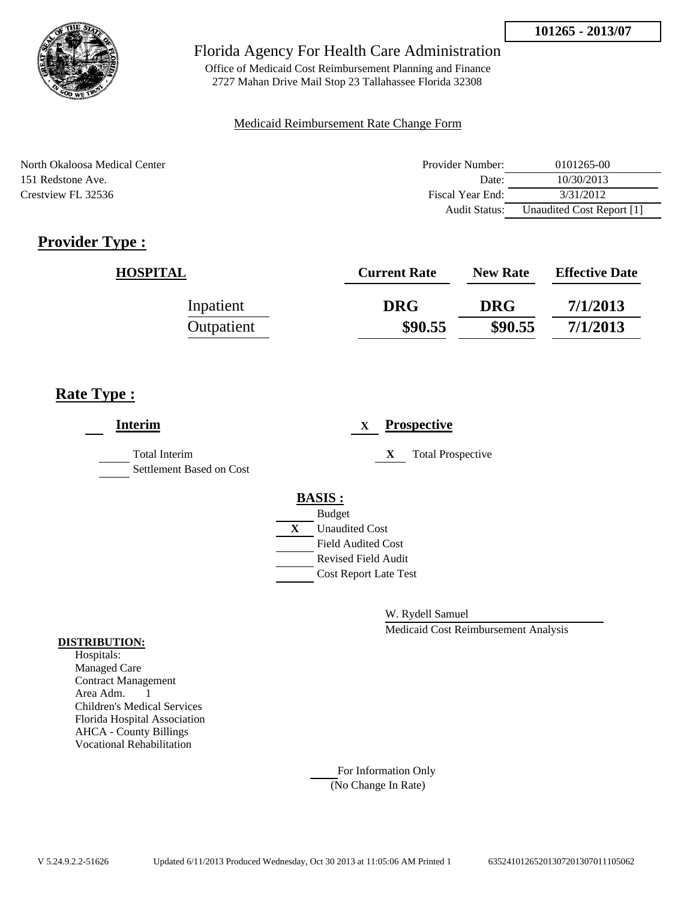

Office of Medicaid Cost Reimbursement Planning and Finance 2727 Mahan Drive Mail Stop 23 Tallahassee Florida 32308

### Medicaid Reimbursement Rate Change Form

North Okaloosa Medical Center 151 Redstone Ave. Crestview FL 32536

| Provider Number: | 0101265-00                |
|------------------|---------------------------|
| Date:            | 10/30/2013                |
| Fiscal Year End: | 3/31/2012                 |
| Audit Status:    | Unaudited Cost Report [1] |

# **Provider Type :**

| <b>HOSPITAL</b> | <b>Current Rate</b> | <b>New Rate</b> | <b>Effective Date</b> |
|-----------------|---------------------|-----------------|-----------------------|
| Inpatient       | <b>DRG</b>          | <b>DRG</b>      | 7/1/2013              |
| Outpatient      | \$90.55             | \$90.55         | 7/1/2013              |

# **Rate Type :**

| <b>Interim</b>                                   | <b>Prospective</b><br>X        |
|--------------------------------------------------|--------------------------------|
| <b>Total Interim</b><br>Settlement Based on Cost | <b>Total Prospective</b><br>X  |
|                                                  | <b>BASIS:</b><br><b>Budget</b> |
|                                                  | <b>Unaudited Cost</b><br>X     |
|                                                  | <b>Field Audited Cost</b>      |
|                                                  | <b>Revised Field Audit</b>     |
|                                                  | <b>Cost Report Late Test</b>   |
|                                                  |                                |

W. Rydell Samuel

Medicaid Cost Reimbursement Analysis

### **DISTRIBUTION:**

Hospitals: Managed Care Contract Management Area Adm. 1 Children's Medical Services Florida Hospital Association AHCA - County Billings Vocational Rehabilitation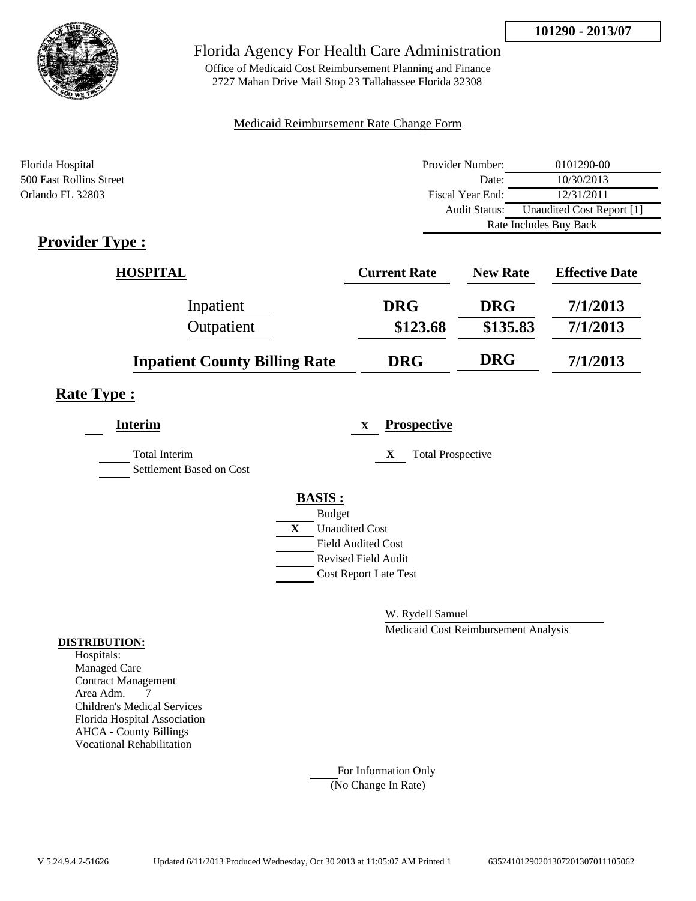

Office of Medicaid Cost Reimbursement Planning and Finance 2727 Mahan Drive Mail Stop 23 Tallahassee Florida 32308

### Medicaid Reimbursement Rate Change Form

| Florida Hospital                                      | Provider Number:     | 0101290-00                |  |
|-------------------------------------------------------|----------------------|---------------------------|--|
| 500 East Rollins Street                               | Date:                | 10/30/2013                |  |
| Orlando FL 32803                                      | Fiscal Year End:     | 12/31/2011                |  |
|                                                       | <b>Audit Status:</b> | Unaudited Cost Report [1] |  |
|                                                       |                      | Rate Includes Buy Back    |  |
| $\bullet$ $\bullet$<br>--<br>$\overline{\phantom{a}}$ |                      |                           |  |

## **Provider Type :**

| <b>HOSPITAL</b>                      | <b>Current Rate</b> | <b>New Rate</b> | <b>Effective Date</b> |
|--------------------------------------|---------------------|-----------------|-----------------------|
| Inpatient                            | <b>DRG</b>          | <b>DRG</b>      | 7/1/2013              |
| Outpatient                           | \$123.68            | \$135.83        | 7/1/2013              |
| <b>Inpatient County Billing Rate</b> | <b>DRG</b>          | <b>DRG</b>      | 7/1/2013              |

## **Rate Type :**

| <b>Interim</b>                                   | <b>Prospective</b><br>X       |
|--------------------------------------------------|-------------------------------|
| <b>Total Interim</b><br>Settlement Based on Cost | <b>Total Prospective</b><br>X |
|                                                  | <b>BASIS:</b>                 |
|                                                  | <b>Budget</b>                 |
|                                                  | X<br><b>Unaudited Cost</b>    |
|                                                  | <b>Field Audited Cost</b>     |
|                                                  | <b>Revised Field Audit</b>    |
|                                                  | <b>Cost Report Late Test</b>  |
|                                                  |                               |

W. Rydell Samuel

Medicaid Cost Reimbursement Analysis

#### **DISTRIBUTION:**

Hospitals: Managed Care Contract Management Area Adm. 7 Children's Medical Services Florida Hospital Association AHCA - County Billings Vocational Rehabilitation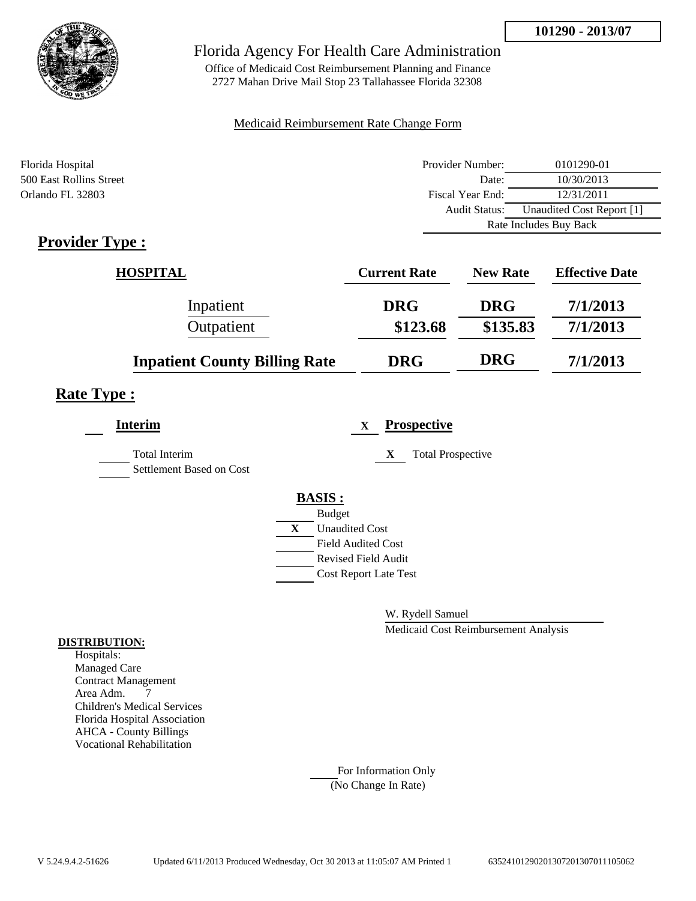

Office of Medicaid Cost Reimbursement Planning and Finance 2727 Mahan Drive Mail Stop 23 Tallahassee Florida 32308

### Medicaid Reimbursement Rate Change Form

| Florida Hospital                                      | Provider Number:     | 0101290-01                |  |
|-------------------------------------------------------|----------------------|---------------------------|--|
| 500 East Rollins Street                               | Date:                | 10/30/2013                |  |
| Orlando FL 32803                                      | Fiscal Year End:     | 12/31/2011                |  |
|                                                       | <b>Audit Status:</b> | Unaudited Cost Report [1] |  |
|                                                       |                      | Rate Includes Buy Back    |  |
| $\bullet$ $\bullet$<br>--<br>$\overline{\phantom{a}}$ |                      |                           |  |

## **Provider Type :**

| <b>HOSPITAL</b>                      | <b>Current Rate</b> | <b>New Rate</b> | <b>Effective Date</b> |
|--------------------------------------|---------------------|-----------------|-----------------------|
| Inpatient                            | <b>DRG</b>          | <b>DRG</b>      | 7/1/2013              |
| Outpatient                           | \$123.68            | \$135.83        | 7/1/2013              |
| <b>Inpatient County Billing Rate</b> | <b>DRG</b>          | <b>DRG</b>      | 7/1/2013              |

## **Rate Type :**

| <b>Interim</b>                                   | <b>Prospective</b><br>$\mathbf x$ |
|--------------------------------------------------|-----------------------------------|
| <b>Total Interim</b><br>Settlement Based on Cost | <b>Total Prospective</b><br>X     |
|                                                  | <b>BASIS:</b>                     |
|                                                  | <b>Budget</b>                     |
|                                                  | X<br><b>Unaudited Cost</b>        |
|                                                  | <b>Field Audited Cost</b>         |
|                                                  | <b>Revised Field Audit</b>        |
|                                                  | <b>Cost Report Late Test</b>      |
|                                                  |                                   |

W. Rydell Samuel

Medicaid Cost Reimbursement Analysis

#### **DISTRIBUTION:**

Hospitals: Managed Care Contract Management Area Adm. 7 Children's Medical Services Florida Hospital Association AHCA - County Billings Vocational Rehabilitation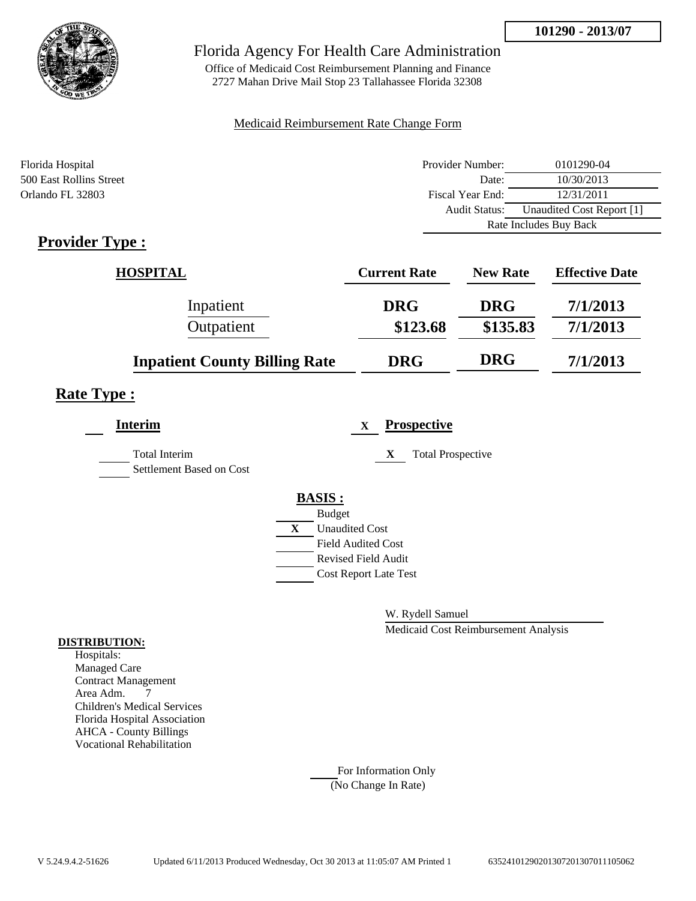

Office of Medicaid Cost Reimbursement Planning and Finance 2727 Mahan Drive Mail Stop 23 Tallahassee Florida 32308

### Medicaid Reimbursement Rate Change Form

| Florida Hospital                   | Provider Number:     | 0101290-04                |  |
|------------------------------------|----------------------|---------------------------|--|
| 500 East Rollins Street            | Date:                | 10/30/2013                |  |
| Orlando FL 32803                   | Fiscal Year End:     | 12/31/2011                |  |
|                                    | <b>Audit Status:</b> | Unaudited Cost Report [1] |  |
|                                    |                      | Rate Includes Buy Back    |  |
| $\sim$<br>$\overline{\phantom{a}}$ |                      |                           |  |

## **Provider Type :**

| <b>HOSPITAL</b>                      | <b>Current Rate</b> | <b>New Rate</b> | <b>Effective Date</b> |
|--------------------------------------|---------------------|-----------------|-----------------------|
| Inpatient                            | <b>DRG</b>          | <b>DRG</b>      | 7/1/2013              |
| Outpatient                           | \$123.68            | \$135.83        | 7/1/2013              |
| <b>Inpatient County Billing Rate</b> | <b>DRG</b>          | <b>DRG</b>      | 7/1/2013              |

## **Rate Type :**

| <b>Interim</b>                                   | <b>Prospective</b><br>X       |
|--------------------------------------------------|-------------------------------|
| <b>Total Interim</b><br>Settlement Based on Cost | <b>Total Prospective</b><br>X |
|                                                  | <b>BASIS:</b>                 |
|                                                  | <b>Budget</b>                 |
|                                                  | X<br><b>Unaudited Cost</b>    |
|                                                  | <b>Field Audited Cost</b>     |
|                                                  | <b>Revised Field Audit</b>    |
|                                                  | <b>Cost Report Late Test</b>  |
|                                                  |                               |

W. Rydell Samuel

Medicaid Cost Reimbursement Analysis

### **DISTRIBUTION:**

Hospitals: Managed Care Contract Management Area Adm. 7 Children's Medical Services Florida Hospital Association AHCA - County Billings Vocational Rehabilitation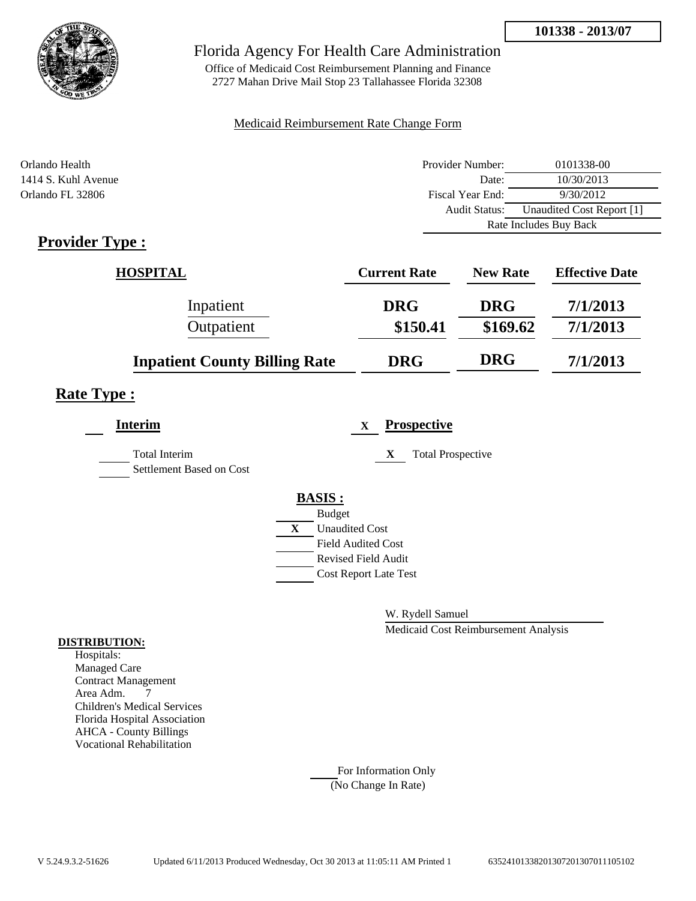

Office of Medicaid Cost Reimbursement Planning and Finance 2727 Mahan Drive Mail Stop 23 Tallahassee Florida 32308

### Medicaid Reimbursement Rate Change Form

| Orlando Health                                                        | Provider Number:     | 0101338-00                |  |
|-----------------------------------------------------------------------|----------------------|---------------------------|--|
| 1414 S. Kuhl Avenue                                                   | Date:                | 10/30/2013                |  |
| Orlando FL 32806                                                      | Fiscal Year End:     | 9/30/2012                 |  |
|                                                                       | <b>Audit Status:</b> | Unaudited Cost Report [1] |  |
|                                                                       |                      | Rate Includes Buy Back    |  |
| $\sim$ $\sim$<br>$\overline{\phantom{a}}$<br>$\overline{\phantom{a}}$ |                      |                           |  |

## **Provider Type :**

| <b>HOSPITAL</b>                      | <b>Current Rate</b> | <b>New Rate</b> | <b>Effective Date</b> |
|--------------------------------------|---------------------|-----------------|-----------------------|
| Inpatient                            | <b>DRG</b>          | <b>DRG</b>      | 7/1/2013              |
| Outpatient                           | \$150.41            | \$169.62        | 7/1/2013              |
| <b>Inpatient County Billing Rate</b> | <b>DRG</b>          | <b>DRG</b>      | 7/1/2013              |

## **Rate Type :**

| <b>Interim</b>                                   | <b>Prospective</b><br>$\mathbf x$ |
|--------------------------------------------------|-----------------------------------|
| <b>Total Interim</b><br>Settlement Based on Cost | <b>Total Prospective</b><br>X     |
|                                                  | <b>BASIS:</b>                     |
|                                                  | <b>Budget</b>                     |
|                                                  | X<br><b>Unaudited Cost</b>        |
|                                                  | <b>Field Audited Cost</b>         |
|                                                  | <b>Revised Field Audit</b>        |
|                                                  | <b>Cost Report Late Test</b>      |
|                                                  |                                   |

W. Rydell Samuel

Medicaid Cost Reimbursement Analysis

#### **DISTRIBUTION:**

Hospitals: Managed Care Contract Management Area Adm. 7 Children's Medical Services Florida Hospital Association AHCA - County Billings Vocational Rehabilitation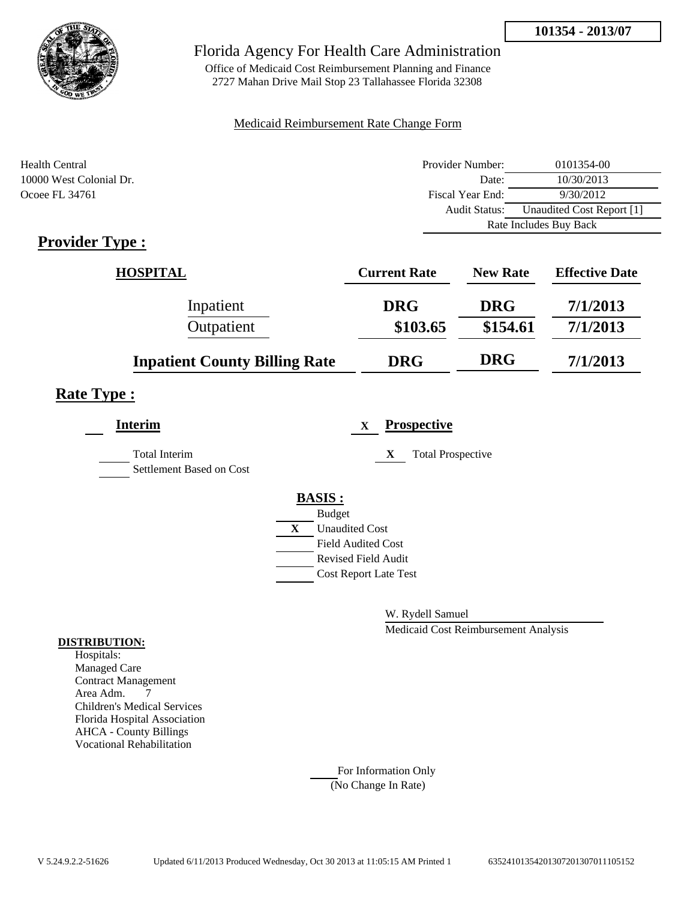

Office of Medicaid Cost Reimbursement Planning and Finance 2727 Mahan Drive Mail Stop 23 Tallahassee Florida 32308

### Medicaid Reimbursement Rate Change Form

| Health Central          | Provider Number: | 0101354-00                |  |
|-------------------------|------------------|---------------------------|--|
| 10000 West Colonial Dr. | Date:            | 10/30/2013                |  |
| Ocoee FL 34761          | Fiscal Year End: | 9/30/2012                 |  |
|                         | Audit Status:    | Unaudited Cost Report [1] |  |
|                         |                  | Rate Includes Buy Back    |  |

## **Provider Type :**

| <b>HOSPITAL</b>                      | <b>Current Rate</b> | <b>New Rate</b> | <b>Effective Date</b> |
|--------------------------------------|---------------------|-----------------|-----------------------|
| Inpatient                            | <b>DRG</b>          | <b>DRG</b>      | 7/1/2013              |
| Outpatient                           | \$103.65            | \$154.61        | 7/1/2013              |
| <b>Inpatient County Billing Rate</b> | <b>DRG</b>          | <b>DRG</b>      | 7/1/2013              |

# **Rate Type :**

| <b>Interim</b>                            | <b>Prospective</b><br>$\mathbf x$ |  |
|-------------------------------------------|-----------------------------------|--|
| Total Interim<br>Settlement Based on Cost | <b>Total Prospective</b><br>X     |  |
|                                           | <b>BASIS:</b>                     |  |
|                                           | <b>Budget</b>                     |  |
|                                           | X<br><b>Unaudited Cost</b>        |  |
|                                           | <b>Field Audited Cost</b>         |  |
|                                           | <b>Revised Field Audit</b>        |  |
|                                           | <b>Cost Report Late Test</b>      |  |
|                                           |                                   |  |

W. Rydell Samuel

Medicaid Cost Reimbursement Analysis

#### **DISTRIBUTION:**

Hospitals: Managed Care Contract Management Area Adm. 7 Children's Medical Services Florida Hospital Association AHCA - County Billings Vocational Rehabilitation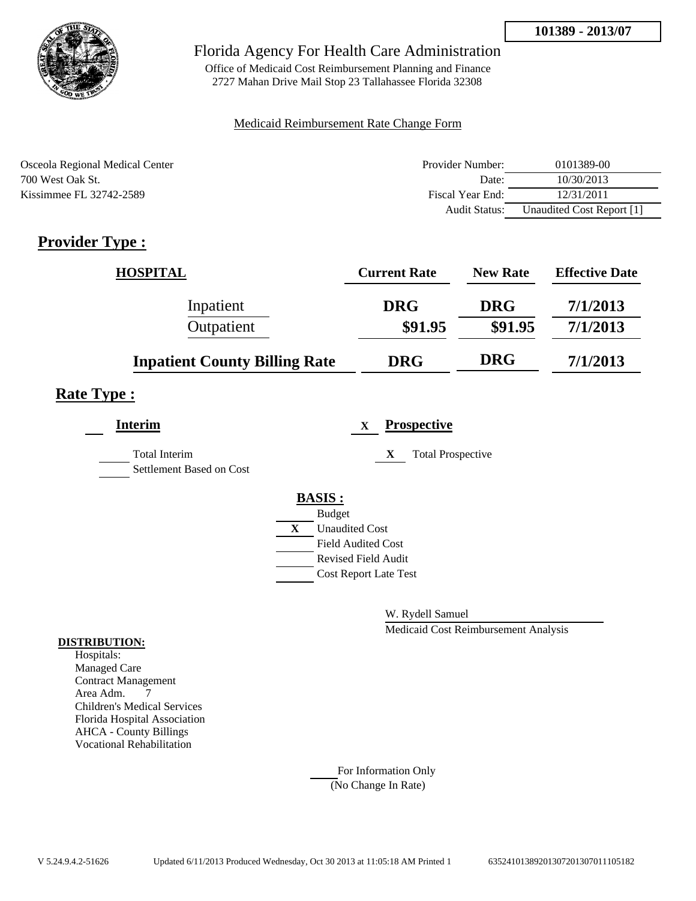

Office of Medicaid Cost Reimbursement Planning and Finance 2727 Mahan Drive Mail Stop 23 Tallahassee Florida 32308

### Medicaid Reimbursement Rate Change Form

| Osceola Regional Medical Center | Provider Number: | 0101389-00                |
|---------------------------------|------------------|---------------------------|
| 700 West Oak St.                | Date:            | 10/30/2013                |
| Kissimmee FL 32742-2589         | Fiscal Year End: | 12/31/2011                |
|                                 | Audit Status:    | Unaudited Cost Report [1] |

# **Provider Type :**

| <b>HOSPITAL</b>                      | <b>Current Rate</b> | <b>New Rate</b> | <b>Effective Date</b> |
|--------------------------------------|---------------------|-----------------|-----------------------|
| Inpatient                            | <b>DRG</b>          | <b>DRG</b>      | 7/1/2013              |
| Outpatient                           | \$91.95             | \$91.95         | 7/1/2013              |
| <b>Inpatient County Billing Rate</b> | <b>DRG</b>          | <b>DRG</b>      | 7/1/2013              |

# **Rate Type :**

| <b>Interim</b>                                   | <b>Prospective</b><br>$\mathbf{x}$    |
|--------------------------------------------------|---------------------------------------|
| <b>Total Interim</b><br>Settlement Based on Cost | <b>Total Prospective</b><br>X         |
|                                                  | <b>BASIS:</b>                         |
|                                                  | <b>Budget</b>                         |
|                                                  | $\mathbf{X}$<br><b>Unaudited Cost</b> |
|                                                  | Field Audited Cost                    |
|                                                  | <b>Revised Field Audit</b>            |
|                                                  | <b>Cost Report Late Test</b>          |
|                                                  |                                       |

W. Rydell Samuel

Medicaid Cost Reimbursement Analysis

### **DISTRIBUTION:**

Hospitals: Managed Care Contract Management Area Adm. 7 Children's Medical Services Florida Hospital Association AHCA - County Billings Vocational Rehabilitation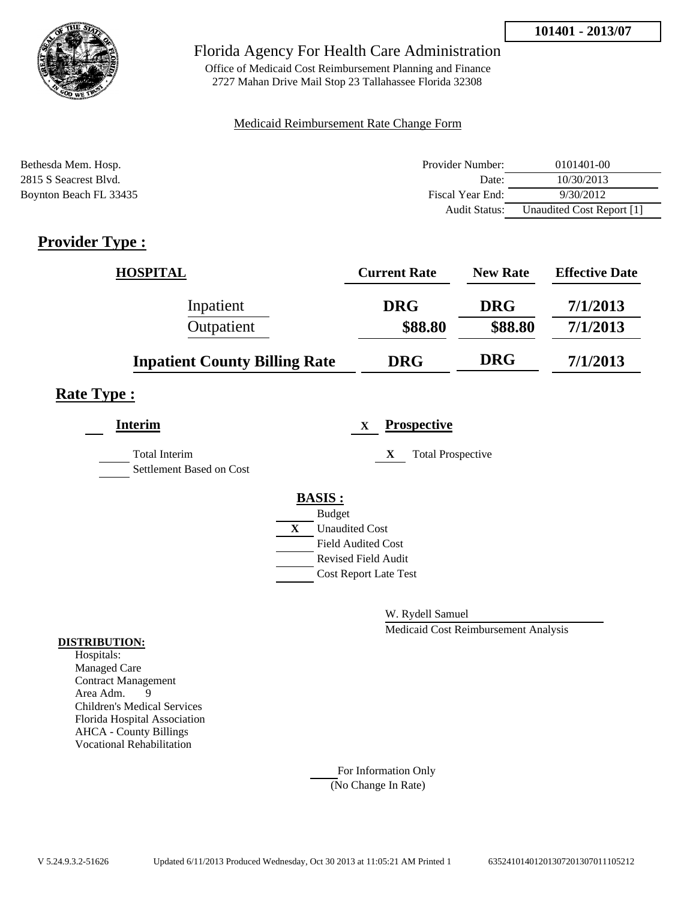

Office of Medicaid Cost Reimbursement Planning and Finance 2727 Mahan Drive Mail Stop 23 Tallahassee Florida 32308

### Medicaid Reimbursement Rate Change Form

| Bethesda Mem. Hosp.    | Provider Number:     | 0101401-00                |
|------------------------|----------------------|---------------------------|
| 2815 S Seacrest Blvd.  | Date:                | 10/30/2013                |
| Boynton Beach FL 33435 | Fiscal Year End:     | 9/30/2012                 |
|                        | <b>Audit Status:</b> | Unaudited Cost Report [1] |

# **Provider Type :**

| <b>HOSPITAL</b>                      | <b>Current Rate</b> | <b>New Rate</b> | <b>Effective Date</b> |
|--------------------------------------|---------------------|-----------------|-----------------------|
| Inpatient                            | <b>DRG</b>          | <b>DRG</b>      | 7/1/2013              |
| Outpatient                           | \$88.80             | \$88.80         | 7/1/2013              |
| <b>Inpatient County Billing Rate</b> | <b>DRG</b>          | <b>DRG</b>      | 7/1/2013              |

## **Rate Type :**

| <b>Interim</b>                            |   | <b>Prospective</b><br>$\mathbf x$ |
|-------------------------------------------|---|-----------------------------------|
| Total Interim<br>Settlement Based on Cost |   | <b>Total Prospective</b><br>X     |
|                                           |   | <b>BASIS:</b>                     |
|                                           |   | <b>Budget</b>                     |
|                                           | X | <b>Unaudited Cost</b>             |
|                                           |   | <b>Field Audited Cost</b>         |
|                                           |   | <b>Revised Field Audit</b>        |
|                                           |   | <b>Cost Report Late Test</b>      |
|                                           |   |                                   |

W. Rydell Samuel

Medicaid Cost Reimbursement Analysis

#### **DISTRIBUTION:**

Hospitals: Managed Care Contract Management Area Adm. 9 Children's Medical Services Florida Hospital Association AHCA - County Billings Vocational Rehabilitation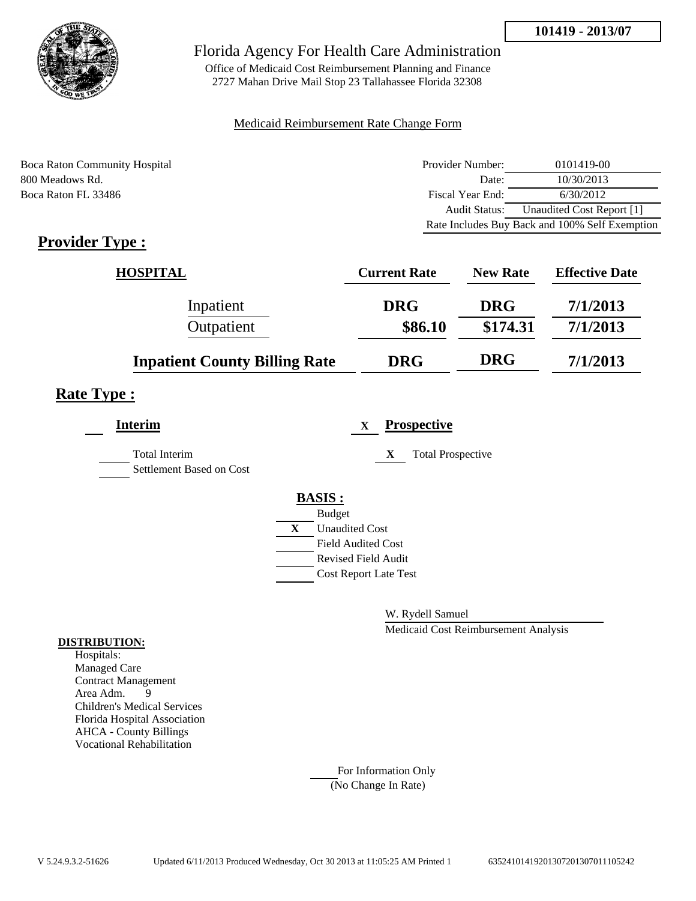

Office of Medicaid Cost Reimbursement Planning and Finance 2727 Mahan Drive Mail Stop 23 Tallahassee Florida 32308

### Medicaid Reimbursement Rate Change Form

Boca Raton Community Hospital 800 Meadows Rd. Boca Raton FL 33486

| Provider Number: | 0101419-00                                     |
|------------------|------------------------------------------------|
| Date:            | 10/30/2013                                     |
| Fiscal Year End: | 6/30/2012                                      |
| Audit Status:    | Unaudited Cost Report [1]                      |
|                  | Rate Includes Buy Back and 100% Self Exemption |

# **Provider Type :**

| <b>HOSPITAL</b>                      | <b>Current Rate</b> | <b>New Rate</b> | <b>Effective Date</b> |
|--------------------------------------|---------------------|-----------------|-----------------------|
| Inpatient                            | <b>DRG</b>          | <b>DRG</b>      | 7/1/2013              |
| Outpatient                           | \$86.10             | \$174.31        | 7/1/2013              |
| <b>Inpatient County Billing Rate</b> | <b>DRG</b>          | <b>DRG</b>      | 7/1/2013              |

## **Rate Type :**

| <b>Interim</b>                                   | <b>Prospective</b><br>$\mathbf x$     |  |
|--------------------------------------------------|---------------------------------------|--|
| <b>Total Interim</b><br>Settlement Based on Cost | <b>Total Prospective</b><br>X         |  |
|                                                  | <b>BASIS:</b>                         |  |
|                                                  | <b>Budget</b>                         |  |
|                                                  | $\mathbf{X}$<br><b>Unaudited Cost</b> |  |
|                                                  | <b>Field Audited Cost</b>             |  |
|                                                  | <b>Revised Field Audit</b>            |  |
|                                                  | <b>Cost Report Late Test</b>          |  |
|                                                  |                                       |  |

W. Rydell Samuel

Medicaid Cost Reimbursement Analysis

#### **DISTRIBUTION:**

Hospitals: Managed Care Contract Management Area Adm. 9 Children's Medical Services Florida Hospital Association AHCA - County Billings Vocational Rehabilitation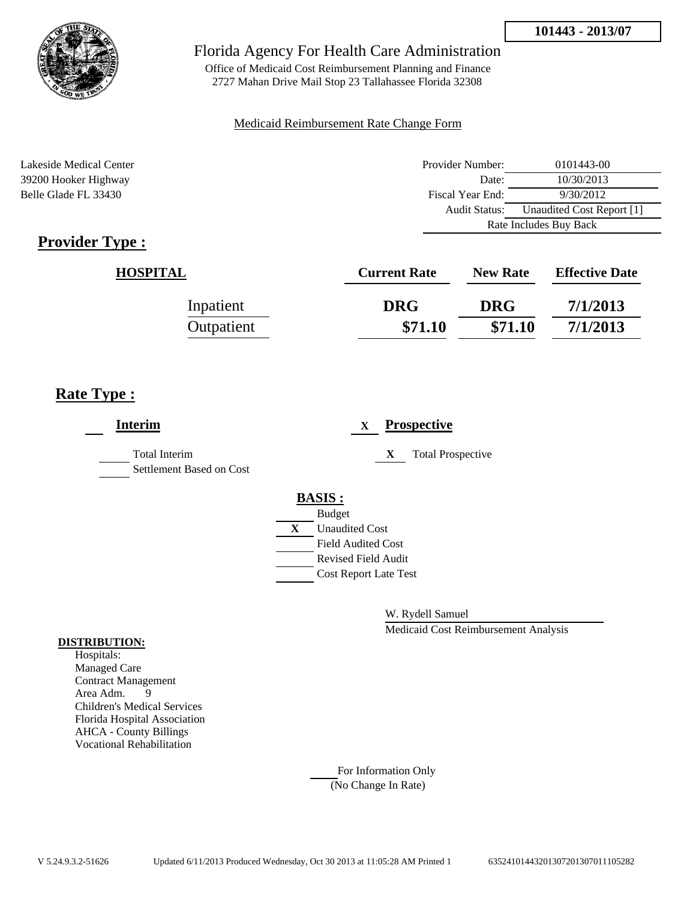

Office of Medicaid Cost Reimbursement Planning and Finance 2727 Mahan Drive Mail Stop 23 Tallahassee Florida 32308

### Medicaid Reimbursement Rate Change Form

Lakeside Medical Center **Provider Number:** 0101443-00 39200 Hooker Highway Belle Glade FL 33430

| Provider Number:       | 0101443-00                |  |  |
|------------------------|---------------------------|--|--|
| Date:                  | 10/30/2013                |  |  |
| Fiscal Year End:       | 9/30/2012                 |  |  |
| Audit Status:          | Unaudited Cost Report [1] |  |  |
| Rate Includes Buy Back |                           |  |  |
|                        |                           |  |  |

| <b>HOSPITAL</b> | <b>Current Rate</b> | <b>New Rate</b> | <b>Effective Date</b> |
|-----------------|---------------------|-----------------|-----------------------|
| Inpatient       | <b>DRG</b>          | <b>DRG</b>      | 7/1/2013              |
| Outpatient      | \$71.10             | \$71.10         | 7/1/2013              |

## **Rate Type :**

| <b>Interim</b>                                   |   |                              | X |   | <b>Prospective</b>       |
|--------------------------------------------------|---|------------------------------|---|---|--------------------------|
| <b>Total Interim</b><br>Settlement Based on Cost |   |                              |   | X | <b>Total Prospective</b> |
|                                                  |   | <b>BASIS:</b>                |   |   |                          |
|                                                  |   | <b>Budget</b>                |   |   |                          |
|                                                  | X | <b>Unaudited Cost</b>        |   |   |                          |
|                                                  |   | Field Audited Cost           |   |   |                          |
|                                                  |   | <b>Revised Field Audit</b>   |   |   |                          |
|                                                  |   | <b>Cost Report Late Test</b> |   |   |                          |
|                                                  |   |                              |   |   |                          |
|                                                  |   |                              |   |   |                          |

W. Rydell Samuel

Medicaid Cost Reimbursement Analysis

#### **DISTRIBUTION:**

Hospitals: Managed Care Contract Management Area Adm. 9 Children's Medical Services Florida Hospital Association AHCA - County Billings Vocational Rehabilitation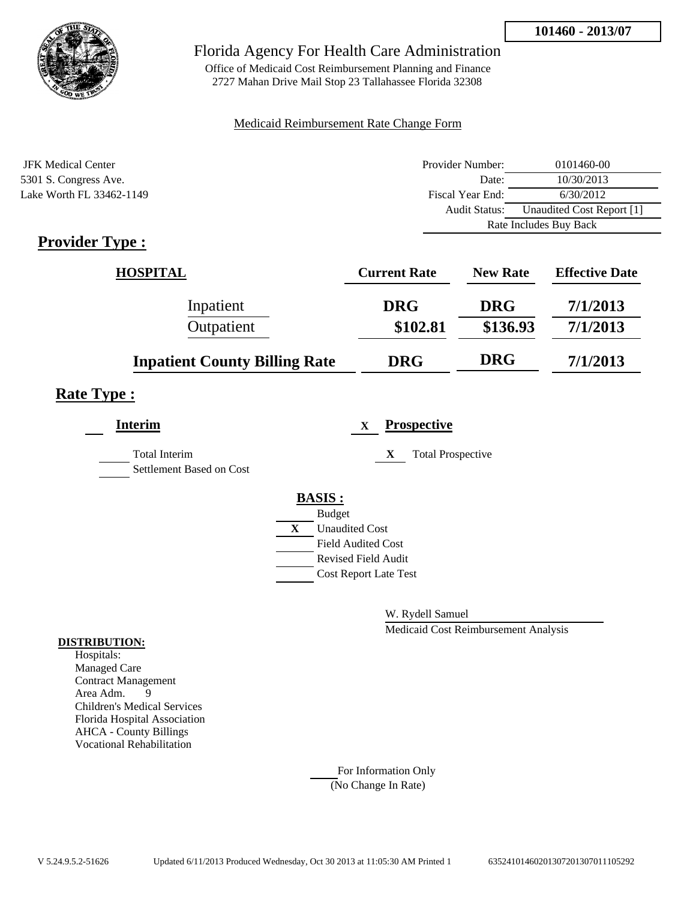

Office of Medicaid Cost Reimbursement Planning and Finance 2727 Mahan Drive Mail Stop 23 Tallahassee Florida 32308

### Medicaid Reimbursement Rate Change Form

| JFK Medical Center       | Provider Number:     | 0101460-00                |
|--------------------------|----------------------|---------------------------|
| 5301 S. Congress Ave.    | Date:                | 10/30/2013                |
| Lake Worth FL 33462-1149 | Fiscal Year End:     | 6/30/2012                 |
|                          | <b>Audit Status:</b> | Unaudited Cost Report [1] |
|                          |                      | Rate Includes Buy Back    |

# **Provider Type :**

| <b>HOSPITAL</b>                      | <b>Current Rate</b> | <b>New Rate</b> | <b>Effective Date</b> |
|--------------------------------------|---------------------|-----------------|-----------------------|
| Inpatient                            | <b>DRG</b>          | <b>DRG</b>      | 7/1/2013              |
| Outpatient                           | \$102.81            | \$136.93        | 7/1/2013              |
| <b>Inpatient County Billing Rate</b> | <b>DRG</b>          | <b>DRG</b>      | 7/1/2013              |

## **Rate Type :**

| <b>Interim</b>                                   |              | <b>Prospective</b><br>$\mathbf X$ |
|--------------------------------------------------|--------------|-----------------------------------|
| <b>Total Interim</b><br>Settlement Based on Cost |              | X<br><b>Total Prospective</b>     |
|                                                  |              | <b>BASIS:</b>                     |
|                                                  |              | <b>Budget</b>                     |
|                                                  | $\mathbf{X}$ | <b>Unaudited Cost</b>             |
|                                                  |              | <b>Field Audited Cost</b>         |
|                                                  |              | <b>Revised Field Audit</b>        |
|                                                  |              | <b>Cost Report Late Test</b>      |
|                                                  |              |                                   |

W. Rydell Samuel

Medicaid Cost Reimbursement Analysis

### **DISTRIBUTION:**

Hospitals: Managed Care Contract Management Area Adm. 9 Children's Medical Services Florida Hospital Association AHCA - County Billings Vocational Rehabilitation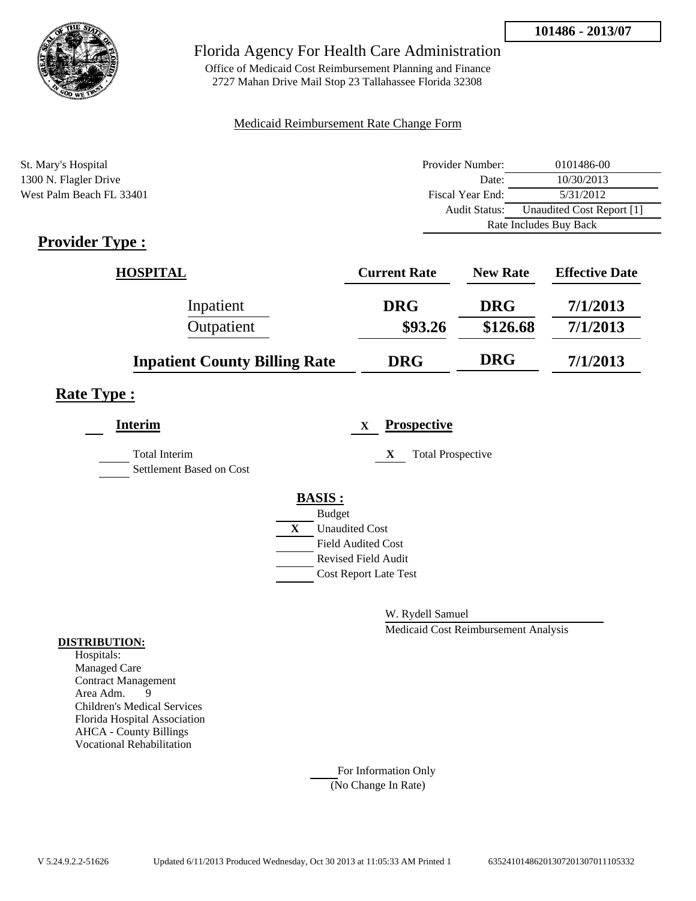

Office of Medicaid Cost Reimbursement Planning and Finance 2727 Mahan Drive Mail Stop 23 Tallahassee Florida 32308

### Medicaid Reimbursement Rate Change Form

| St. Mary's Hospital      | Provider Number:     | 0101486-00                |  |
|--------------------------|----------------------|---------------------------|--|
| 1300 N. Flagler Drive    | Date:                | 10/30/2013                |  |
| West Palm Beach FL 33401 | Fiscal Year End:     | 5/31/2012                 |  |
|                          | <b>Audit Status:</b> | Unaudited Cost Report [1] |  |
|                          |                      | Rate Includes Buy Back    |  |

# **Provider Type :**

| <b>HOSPITAL</b>                      | <b>Current Rate</b> | <b>New Rate</b> | <b>Effective Date</b> |
|--------------------------------------|---------------------|-----------------|-----------------------|
| Inpatient                            | <b>DRG</b>          | <b>DRG</b>      | 7/1/2013              |
| Outpatient                           | \$93.26             | \$126.68        | 7/1/2013              |
| <b>Inpatient County Billing Rate</b> | <b>DRG</b>          | <b>DRG</b>      | 7/1/2013              |

## **Rate Type :**

| <b>Interim</b>                                   |   | $\mathbf x$                  | <b>Prospective</b>            |
|--------------------------------------------------|---|------------------------------|-------------------------------|
| <b>Total Interim</b><br>Settlement Based on Cost |   |                              | <b>Total Prospective</b><br>X |
|                                                  |   | <b>BASIS:</b>                |                               |
|                                                  |   | <b>Budget</b>                |                               |
|                                                  | X | <b>Unaudited Cost</b>        |                               |
|                                                  |   | <b>Field Audited Cost</b>    |                               |
|                                                  |   | <b>Revised Field Audit</b>   |                               |
|                                                  |   | <b>Cost Report Late Test</b> |                               |
|                                                  |   |                              |                               |

W. Rydell Samuel

Medicaid Cost Reimbursement Analysis

### **DISTRIBUTION:**

Hospitals: Managed Care Contract Management<br>Area Adm. 9 Area Adm. 9 Children's Medical Services Florida Hospital Association AHCA - County Billings Vocational Rehabilitation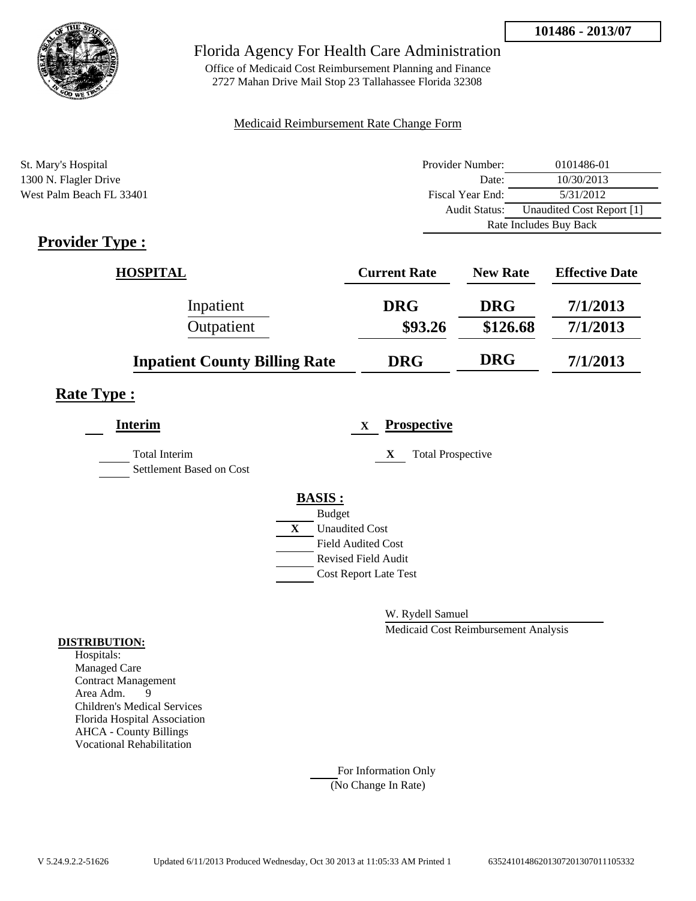

Office of Medicaid Cost Reimbursement Planning and Finance 2727 Mahan Drive Mail Stop 23 Tallahassee Florida 32308

### Medicaid Reimbursement Rate Change Form

| St. Mary's Hospital      | Provider Number:     | 0101486-01                |  |
|--------------------------|----------------------|---------------------------|--|
| 1300 N. Flagler Drive    | Date:                | 10/30/2013                |  |
| West Palm Beach FL 33401 | Fiscal Year End:     | 5/31/2012                 |  |
|                          | <b>Audit Status:</b> | Unaudited Cost Report [1] |  |
|                          |                      | Rate Includes Buy Back    |  |

# **Provider Type :**

| <b>HOSPITAL</b>                      | <b>Current Rate</b> | <b>New Rate</b> | <b>Effective Date</b> |
|--------------------------------------|---------------------|-----------------|-----------------------|
| Inpatient                            | <b>DRG</b>          | <b>DRG</b>      | 7/1/2013              |
| Outpatient                           | \$93.26             | \$126.68        | 7/1/2013              |
| <b>Inpatient County Billing Rate</b> | <b>DRG</b>          | <b>DRG</b>      | 7/1/2013              |

## **Rate Type :**

| <b>Interim</b>                                   |   | $\mathbf X$                  | <b>Prospective</b>            |
|--------------------------------------------------|---|------------------------------|-------------------------------|
| <b>Total Interim</b><br>Settlement Based on Cost |   |                              | <b>Total Prospective</b><br>X |
|                                                  |   | <b>BASIS:</b>                |                               |
|                                                  |   | <b>Budget</b>                |                               |
|                                                  | X | <b>Unaudited Cost</b>        |                               |
|                                                  |   | <b>Field Audited Cost</b>    |                               |
|                                                  |   | <b>Revised Field Audit</b>   |                               |
|                                                  |   | <b>Cost Report Late Test</b> |                               |
|                                                  |   |                              |                               |

W. Rydell Samuel

Medicaid Cost Reimbursement Analysis

#### **DISTRIBUTION:**

Hospitals: Managed Care Contract Management<br>Area Adm. 9 Area Adm. 9 Children's Medical Services Florida Hospital Association AHCA - County Billings Vocational Rehabilitation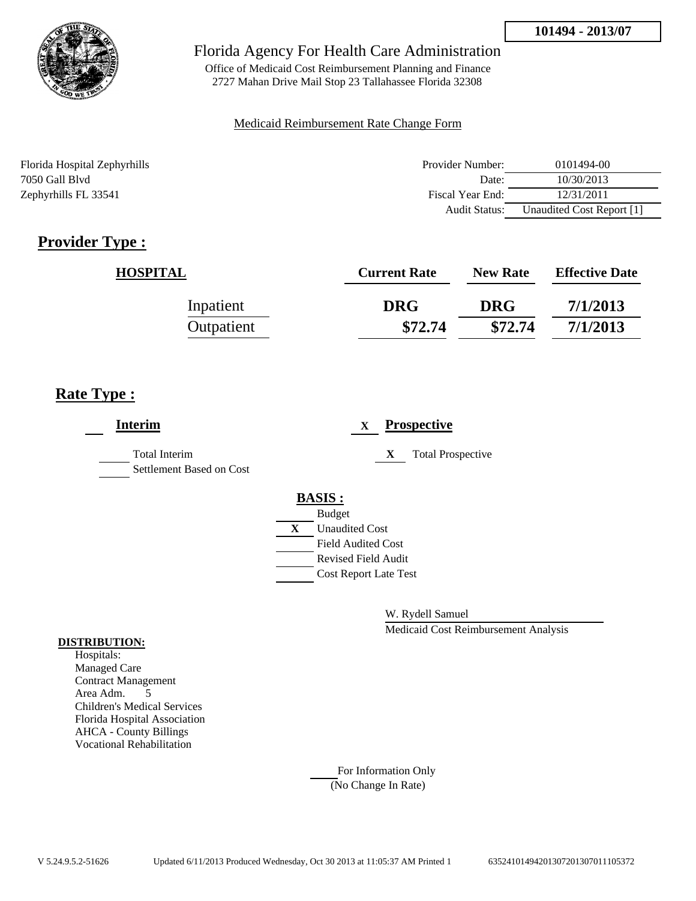

Office of Medicaid Cost Reimbursement Planning and Finance 2727 Mahan Drive Mail Stop 23 Tallahassee Florida 32308

### Medicaid Reimbursement Rate Change Form

Florida Hospital Zephyrhills Provider Number: 0101494-00 7050 Gall Blvd Date: 10/30/2013 Zephyrhills FL 33541 **Fiscal Year End:** 12/31/2011 **Fiscal Year End:** 12/31/2011 Audit Status: Unaudited Cost Report [1]

# **Provider Type :**

| <b>HOSPITAL</b> | <b>Current Rate</b> | <b>New Rate</b> | <b>Effective Date</b> |
|-----------------|---------------------|-----------------|-----------------------|
| Inpatient       | <b>DRG</b>          | <b>DRG</b>      | 7/1/2013              |
| Outpatient      | \$72.74             | \$72.74         | 7/1/2013              |

# **Rate Type :**

| <b>Interim</b>                            | <b>Prospective</b><br>$\mathbf x$ |
|-------------------------------------------|-----------------------------------|
| Total Interim<br>Settlement Based on Cost | X<br><b>Total Prospective</b>     |
|                                           | <b>BASIS:</b>                     |
|                                           | <b>Budget</b>                     |
|                                           | X<br><b>Unaudited Cost</b>        |
|                                           | <b>Field Audited Cost</b>         |
|                                           | <b>Revised Field Audit</b>        |
|                                           | <b>Cost Report Late Test</b>      |
|                                           |                                   |

W. Rydell Samuel

Medicaid Cost Reimbursement Analysis

### **DISTRIBUTION:**

Hospitals: Managed Care Contract Management Area Adm. 5 Children's Medical Services Florida Hospital Association AHCA - County Billings Vocational Rehabilitation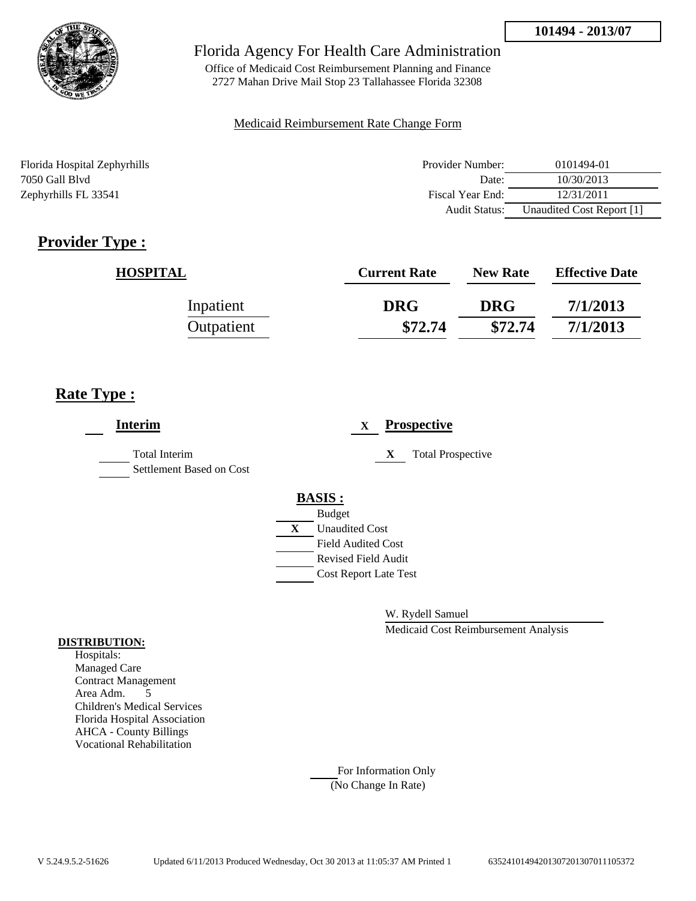

Office of Medicaid Cost Reimbursement Planning and Finance 2727 Mahan Drive Mail Stop 23 Tallahassee Florida 32308

### Medicaid Reimbursement Rate Change Form

Florida Hospital Zephyrhills Provider Number: 0101494-01 7050 Gall Blvd Date: 10/30/2013 Zephyrhills FL 33541 **Fiscal Year End:** 12/31/2011 **Fiscal Year End:** 12/31/2011 Audit Status: Unaudited Cost Report [1]

# **Provider Type :**

| <b>HOSPITAL</b> | <b>Current Rate</b> | <b>New Rate</b> | <b>Effective Date</b> |
|-----------------|---------------------|-----------------|-----------------------|
| Inpatient       | <b>DRG</b>          | <b>DRG</b>      | 7/1/2013              |
| Outpatient      | \$72.74             | \$72.74         | 7/1/2013              |

# **Rate Type :**

| <b>Interim</b>                                   | <b>Prospective</b><br>$\mathbf X$ |
|--------------------------------------------------|-----------------------------------|
| <b>Total Interim</b><br>Settlement Based on Cost | X<br><b>Total Prospective</b>     |
|                                                  | <b>BASIS:</b>                     |
|                                                  | <b>Budget</b>                     |
|                                                  | X<br><b>Unaudited Cost</b>        |
|                                                  | <b>Field Audited Cost</b>         |
|                                                  | <b>Revised Field Audit</b>        |
|                                                  | <b>Cost Report Late Test</b>      |
|                                                  |                                   |

W. Rydell Samuel

Medicaid Cost Reimbursement Analysis

### **DISTRIBUTION:**

Hospitals: Managed Care Contract Management Area Adm. 5 Children's Medical Services Florida Hospital Association AHCA - County Billings Vocational Rehabilitation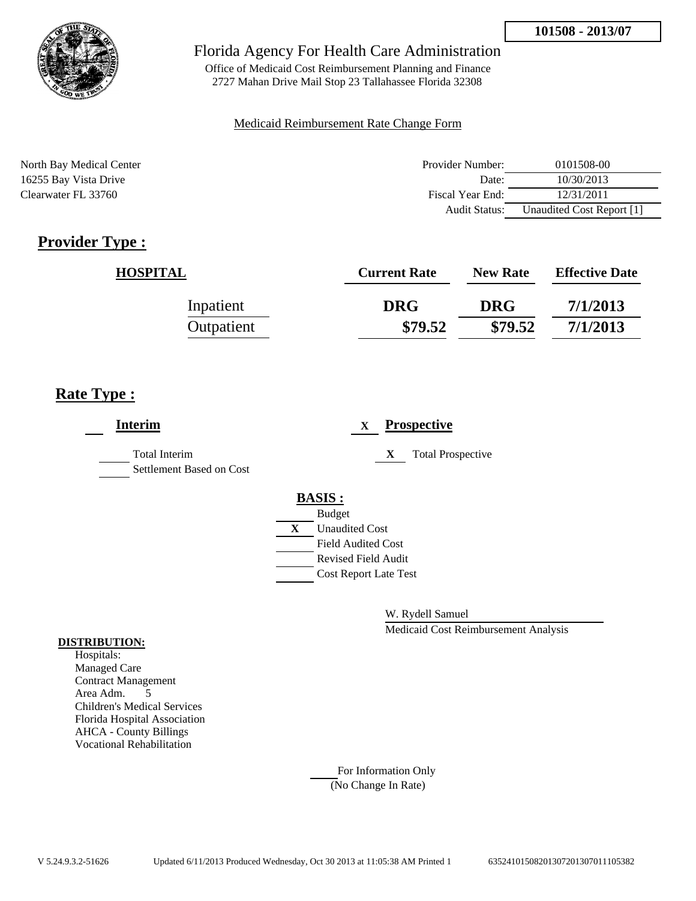

Office of Medicaid Cost Reimbursement Planning and Finance 2727 Mahan Drive Mail Stop 23 Tallahassee Florida 32308

### Medicaid Reimbursement Rate Change Form

North Bay Medical Center **Provider Number:** 0101508-00 16255 Bay Vista Drive 2012 16255 Bay Vista Drive 2013 Clearwater FL 33760 Fiscal Year End: 12/31/2011 Audit Status: Unaudited Cost Report [1]

# **Provider Type :**

| <b>HOSPITAL</b> | <b>Current Rate</b> | <b>New Rate</b> | <b>Effective Date</b> |
|-----------------|---------------------|-----------------|-----------------------|
| Inpatient       | <b>DRG</b>          | <b>DRG</b>      | 7/1/2013              |
| Outpatient      | \$79.52             | \$79.52         | 7/1/2013              |

# **Rate Type :**

| <b>Interim</b>                                   | <b>Prospective</b><br>X        |
|--------------------------------------------------|--------------------------------|
| <b>Total Interim</b><br>Settlement Based on Cost | X.<br><b>Total Prospective</b> |
|                                                  | <b>BASIS:</b><br><b>Budget</b> |
|                                                  | <b>Unaudited Cost</b><br>X     |
|                                                  | <b>Field Audited Cost</b>      |
|                                                  | <b>Revised Field Audit</b>     |
|                                                  | <b>Cost Report Late Test</b>   |
|                                                  |                                |

W. Rydell Samuel

Medicaid Cost Reimbursement Analysis

### **DISTRIBUTION:**

Hospitals: Managed Care Contract Management Area Adm. 5 Children's Medical Services Florida Hospital Association AHCA - County Billings Vocational Rehabilitation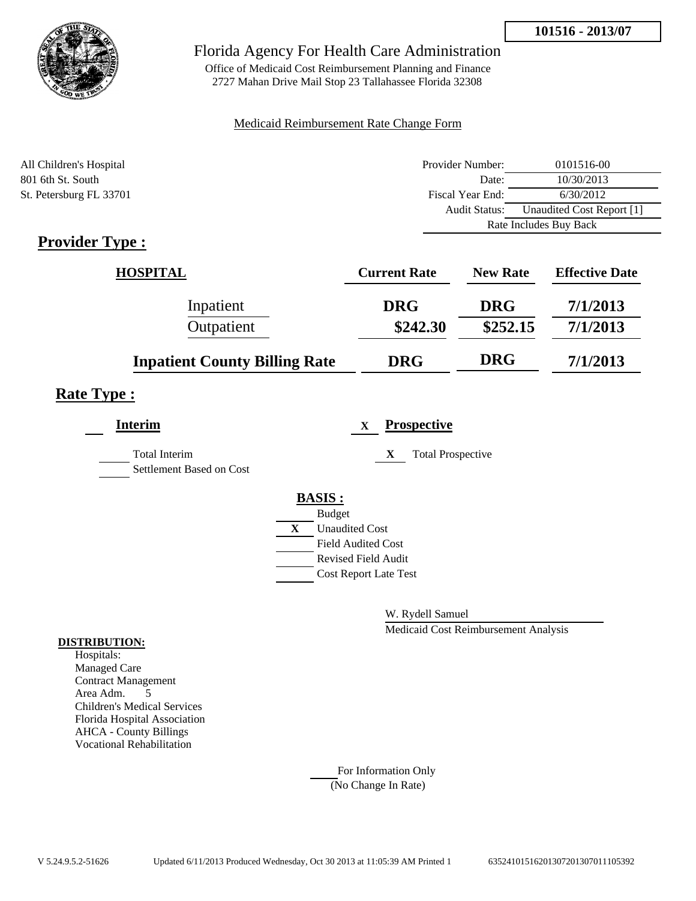



Office of Medicaid Cost Reimbursement Planning and Finance 2727 Mahan Drive Mail Stop 23 Tallahassee Florida 32308

### Medicaid Reimbursement Rate Change Form

| All Children's Hospital | Provider Number:     | 0101516-00                |  |
|-------------------------|----------------------|---------------------------|--|
| 801 6th St. South       | Date:                | 10/30/2013                |  |
| St. Petersburg FL 33701 | Fiscal Year End:     | 6/30/2012                 |  |
|                         | <b>Audit Status:</b> | Unaudited Cost Report [1] |  |
|                         |                      | Rate Includes Buy Back    |  |

# **Provider Type :**

| <b>HOSPITAL</b>                      | <b>Current Rate</b> | <b>New Rate</b> | <b>Effective Date</b> |
|--------------------------------------|---------------------|-----------------|-----------------------|
| Inpatient                            | <b>DRG</b>          | <b>DRG</b>      | 7/1/2013              |
| Outpatient                           | \$242.30            | \$252.15        | 7/1/2013              |
| <b>Inpatient County Billing Rate</b> | <b>DRG</b>          | <b>DRG</b>      | 7/1/2013              |

# **Rate Type :**

| <b>Interim</b>                                   | <b>Prospective</b><br>$\mathbf{x}$    |
|--------------------------------------------------|---------------------------------------|
| <b>Total Interim</b><br>Settlement Based on Cost | <b>Total Prospective</b><br>X         |
|                                                  | <b>BASIS:</b>                         |
|                                                  | <b>Budget</b>                         |
|                                                  | $\mathbf{X}$<br><b>Unaudited Cost</b> |
|                                                  | <b>Field Audited Cost</b>             |
|                                                  | <b>Revised Field Audit</b>            |
|                                                  | <b>Cost Report Late Test</b>          |
|                                                  |                                       |

W. Rydell Samuel

Medicaid Cost Reimbursement Analysis

#### **DISTRIBUTION:**

Hospitals: Managed Care Contract Management Area Adm. 5 Children's Medical Services Florida Hospital Association AHCA - County Billings Vocational Rehabilitation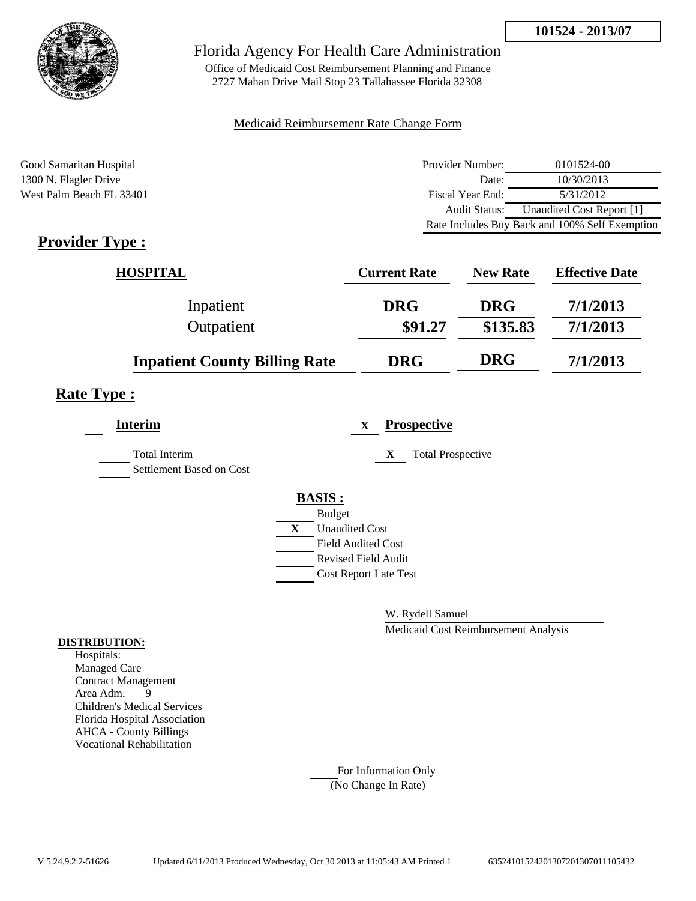

Office of Medicaid Cost Reimbursement Planning and Finance 2727 Mahan Drive Mail Stop 23 Tallahassee Florida 32308

### Medicaid Reimbursement Rate Change Form

| Good Samaritan Hospital  | Provider Number: | 0101524-00                                     |
|--------------------------|------------------|------------------------------------------------|
| 1300 N. Flagler Drive    | Date:            | 10/30/2013                                     |
| West Palm Beach FL 33401 | Fiscal Year End: | 5/31/2012                                      |
|                          | Audit Status:    | Unaudited Cost Report [1]                      |
|                          |                  | Rate Includes Buy Back and 100% Self Exemption |

# **Provider Type :**

| <b>HOSPITAL</b>                      | <b>Current Rate</b> | <b>New Rate</b> | <b>Effective Date</b> |
|--------------------------------------|---------------------|-----------------|-----------------------|
| Inpatient                            | <b>DRG</b>          | <b>DRG</b>      | 7/1/2013              |
| Outpatient                           | \$91.27             | \$135.83        | 7/1/2013              |
| <b>Inpatient County Billing Rate</b> | <b>DRG</b>          | <b>DRG</b>      | 7/1/2013              |

## **Rate Type :**

| <b>Interim</b>                                   |   | <b>Prospective</b><br>$\mathbf X$ |
|--------------------------------------------------|---|-----------------------------------|
| <b>Total Interim</b><br>Settlement Based on Cost |   | <b>Total Prospective</b><br>X     |
|                                                  |   | <b>BASIS:</b>                     |
|                                                  |   | <b>Budget</b>                     |
|                                                  | X | <b>Unaudited Cost</b>             |
|                                                  |   | <b>Field Audited Cost</b>         |
|                                                  |   | <b>Revised Field Audit</b>        |
|                                                  |   | <b>Cost Report Late Test</b>      |
|                                                  |   |                                   |

W. Rydell Samuel

Medicaid Cost Reimbursement Analysis

#### **DISTRIBUTION:**

Hospitals: Managed Care Contract Management Area Adm. 9 Children's Medical Services Florida Hospital Association AHCA - County Billings Vocational Rehabilitation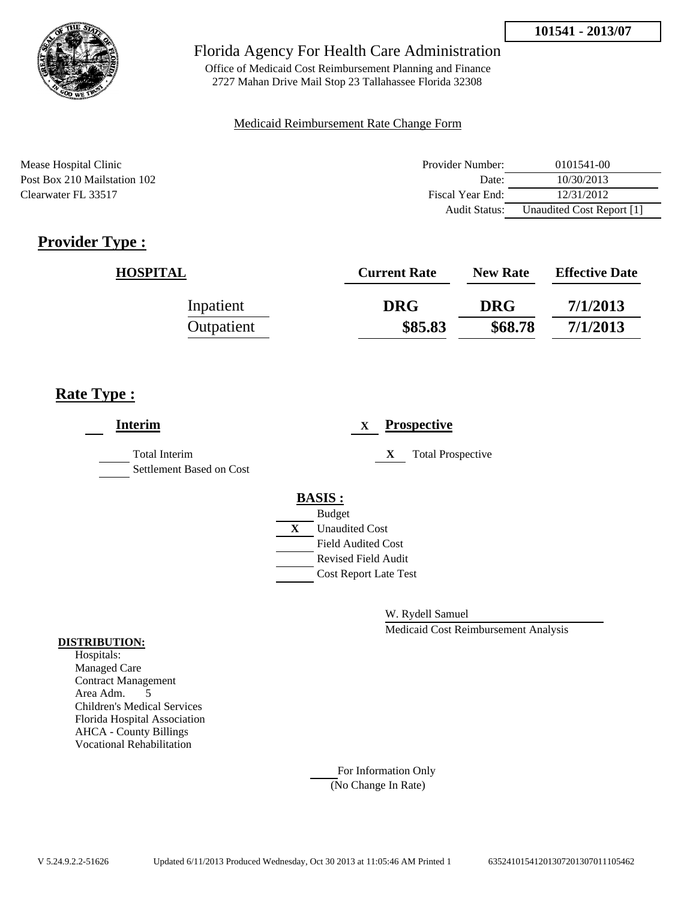

Office of Medicaid Cost Reimbursement Planning and Finance 2727 Mahan Drive Mail Stop 23 Tallahassee Florida 32308

### Medicaid Reimbursement Rate Change Form

Mease Hospital Clinic Post Box 210 Mailstation 102 Clearwater FL 33517

| Provider Number: | 0101541-00                |
|------------------|---------------------------|
| Date:            | 10/30/2013                |
| Fiscal Year End: | 12/31/2012                |
| Audit Status:    | Unaudited Cost Report [1] |

# **Provider Type :**

| <b>HOSPITAL</b> | <b>Current Rate</b> | <b>New Rate</b> | <b>Effective Date</b> |
|-----------------|---------------------|-----------------|-----------------------|
| Inpatient       | <b>DRG</b>          | <b>DRG</b>      | 7/1/2013              |
| Outpatient      | \$85.83             | \$68.78         | 7/1/2013              |

# **Rate Type :**

| <b>Interim</b>                                   | <b>Prospective</b><br>$\mathbf{X}$    |
|--------------------------------------------------|---------------------------------------|
| <b>Total Interim</b><br>Settlement Based on Cost | <b>Total Prospective</b><br>X         |
|                                                  | <b>BASIS:</b>                         |
|                                                  | <b>Budget</b>                         |
|                                                  | $\mathbf{X}$<br><b>Unaudited Cost</b> |
|                                                  | <b>Field Audited Cost</b>             |
|                                                  | <b>Revised Field Audit</b>            |
|                                                  | <b>Cost Report Late Test</b>          |
|                                                  |                                       |
|                                                  |                                       |

W. Rydell Samuel

Medicaid Cost Reimbursement Analysis

#### **DISTRIBUTION:**

Hospitals: Managed Care Contract Management Area Adm. 5 Children's Medical Services Florida Hospital Association AHCA - County Billings Vocational Rehabilitation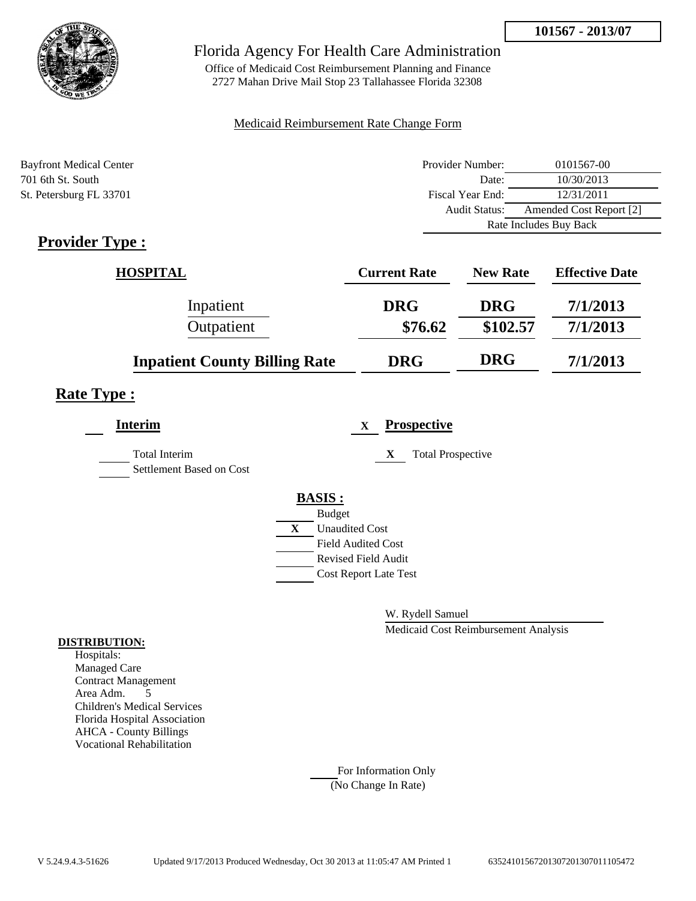

Office of Medicaid Cost Reimbursement Planning and Finance 2727 Mahan Drive Mail Stop 23 Tallahassee Florida 32308

### Medicaid Reimbursement Rate Change Form

| <b>Bayfront Medical Center</b> | Provider Number:     | 0101567-00              |  |
|--------------------------------|----------------------|-------------------------|--|
| 701 6th St. South              | Date:                | 10/30/2013              |  |
| St. Petersburg FL 33701        | Fiscal Year End:     | 12/31/2011              |  |
|                                | <b>Audit Status:</b> | Amended Cost Report [2] |  |
|                                |                      | Rate Includes Buy Back  |  |

# **Provider Type :**

| <b>HOSPITAL</b>                      | <b>Current Rate</b> | <b>New Rate</b> | <b>Effective Date</b> |
|--------------------------------------|---------------------|-----------------|-----------------------|
| Inpatient                            | <b>DRG</b>          | <b>DRG</b>      | 7/1/2013              |
| Outpatient                           | \$76.62             | \$102.57        | 7/1/2013              |
| <b>Inpatient County Billing Rate</b> | <b>DRG</b>          | <b>DRG</b>      | 7/1/2013              |

# **Rate Type :**

| <b>Interim</b>                                   |              | <b>Prospective</b><br>X       |
|--------------------------------------------------|--------------|-------------------------------|
| <b>Total Interim</b><br>Settlement Based on Cost |              | <b>Total Prospective</b><br>X |
|                                                  |              | <b>BASIS:</b>                 |
|                                                  |              | <b>Budget</b>                 |
|                                                  | $\mathbf{X}$ | <b>Unaudited Cost</b>         |
|                                                  |              | Field Audited Cost            |
|                                                  |              | <b>Revised Field Audit</b>    |
|                                                  |              | <b>Cost Report Late Test</b>  |
|                                                  |              |                               |

W. Rydell Samuel

Medicaid Cost Reimbursement Analysis

#### **DISTRIBUTION:**

Hospitals: Managed Care Contract Management Area Adm. 5 Children's Medical Services Florida Hospital Association AHCA - County Billings Vocational Rehabilitation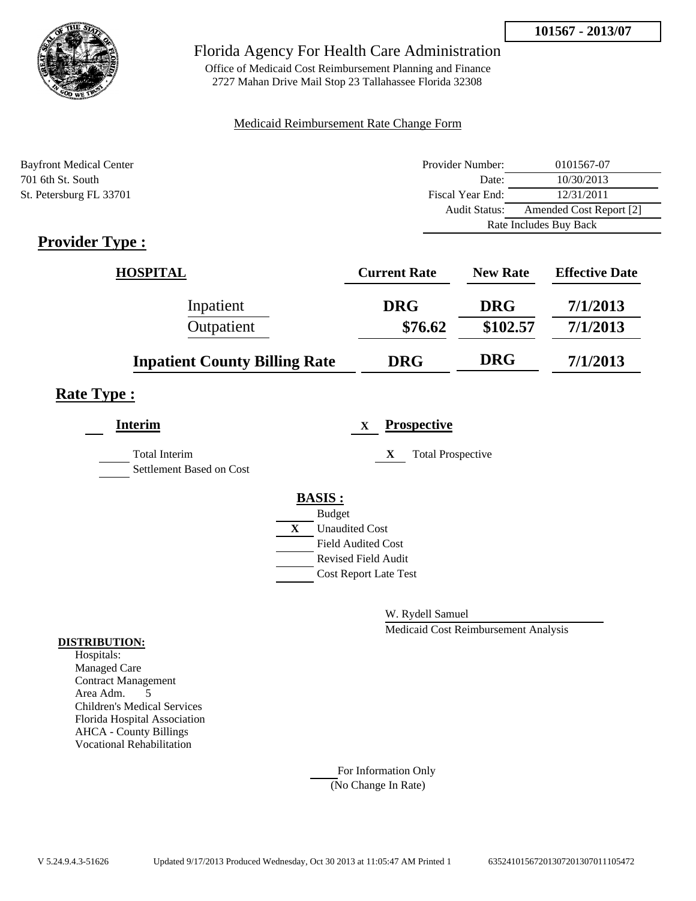

Office of Medicaid Cost Reimbursement Planning and Finance 2727 Mahan Drive Mail Stop 23 Tallahassee Florida 32308

### Medicaid Reimbursement Rate Change Form

| <b>Bayfront Medical Center</b> | Provider Number:     | 0101567-07              |  |
|--------------------------------|----------------------|-------------------------|--|
| 701 6th St. South              | Date:                | 10/30/2013              |  |
| St. Petersburg FL 33701        | Fiscal Year End:     | 12/31/2011              |  |
|                                | <b>Audit Status:</b> | Amended Cost Report [2] |  |
|                                |                      | Rate Includes Buy Back  |  |

# **Provider Type :**

| <b>HOSPITAL</b>                      | <b>Current Rate</b> | <b>New Rate</b> | <b>Effective Date</b> |
|--------------------------------------|---------------------|-----------------|-----------------------|
| Inpatient                            | <b>DRG</b>          | <b>DRG</b>      | 7/1/2013              |
| Outpatient                           | \$76.62             | \$102.57        | 7/1/2013              |
| <b>Inpatient County Billing Rate</b> | <b>DRG</b>          | <b>DRG</b>      | 7/1/2013              |

# **Rate Type :**

| <b>Interim</b>                                   |   | <b>Prospective</b><br>X       |
|--------------------------------------------------|---|-------------------------------|
| <b>Total Interim</b><br>Settlement Based on Cost |   | <b>Total Prospective</b><br>X |
|                                                  |   | <b>BASIS:</b>                 |
|                                                  |   | <b>Budget</b>                 |
|                                                  | X | <b>Unaudited Cost</b>         |
|                                                  |   | <b>Field Audited Cost</b>     |
|                                                  |   | <b>Revised Field Audit</b>    |
|                                                  |   | <b>Cost Report Late Test</b>  |
|                                                  |   |                               |

W. Rydell Samuel

Medicaid Cost Reimbursement Analysis

#### **DISTRIBUTION:**

Hospitals: Managed Care Contract Management Area Adm. 5 Children's Medical Services Florida Hospital Association AHCA - County Billings Vocational Rehabilitation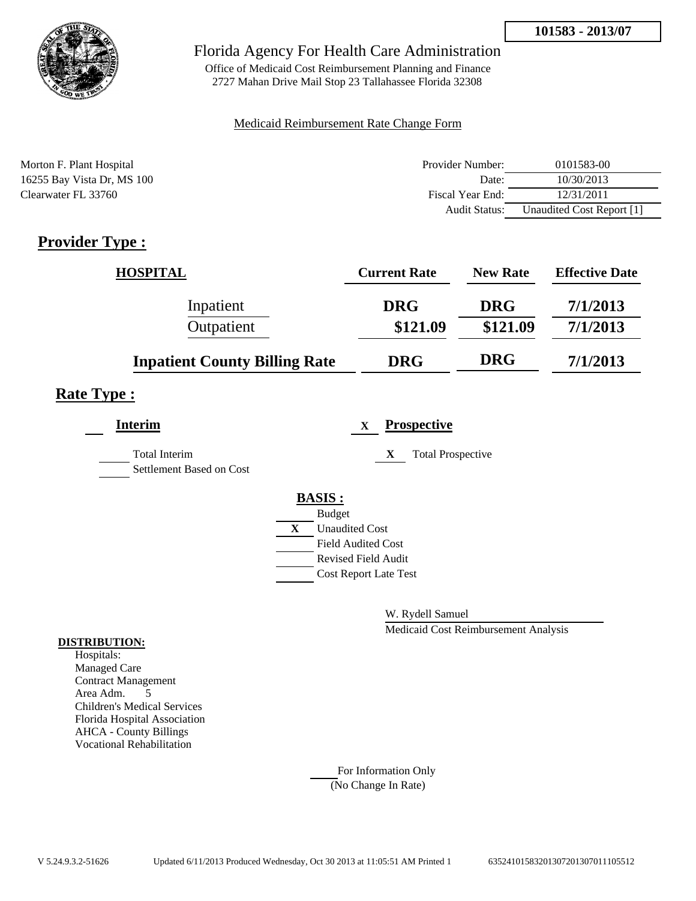

Office of Medicaid Cost Reimbursement Planning and Finance 2727 Mahan Drive Mail Stop 23 Tallahassee Florida 32308

### Medicaid Reimbursement Rate Change Form

| Morton F. Plant Hospital   | Provider Number: | 0101583-00                |
|----------------------------|------------------|---------------------------|
| 16255 Bay Vista Dr, MS 100 | Date:            | 10/30/2013                |
| Clearwater FL 33760        | Fiscal Year End: | 12/31/2011                |
|                            | Audit Status:    | Unaudited Cost Report [1] |

# **Provider Type :**

| <b>HOSPITAL</b>                      | <b>Current Rate</b> | <b>New Rate</b> | <b>Effective Date</b> |
|--------------------------------------|---------------------|-----------------|-----------------------|
| Inpatient                            | <b>DRG</b>          | <b>DRG</b>      | 7/1/2013              |
| Outpatient                           | \$121.09            | \$121.09        | 7/1/2013              |
| <b>Inpatient County Billing Rate</b> | <b>DRG</b>          | <b>DRG</b>      | 7/1/2013              |

## **Rate Type :**

| <b>Interim</b>                                   | <b>Prospective</b><br>$\mathbf{x}$    |
|--------------------------------------------------|---------------------------------------|
| <b>Total Interim</b><br>Settlement Based on Cost | <b>Total Prospective</b><br>X         |
|                                                  | <b>BASIS:</b>                         |
|                                                  | <b>Budget</b>                         |
|                                                  | $\mathbf{X}$<br><b>Unaudited Cost</b> |
|                                                  | <b>Field Audited Cost</b>             |
|                                                  | <b>Revised Field Audit</b>            |
|                                                  | <b>Cost Report Late Test</b>          |
|                                                  |                                       |

W. Rydell Samuel

Medicaid Cost Reimbursement Analysis

#### **DISTRIBUTION:**

Hospitals: Managed Care Contract Management Area Adm. 5 Children's Medical Services Florida Hospital Association AHCA - County Billings Vocational Rehabilitation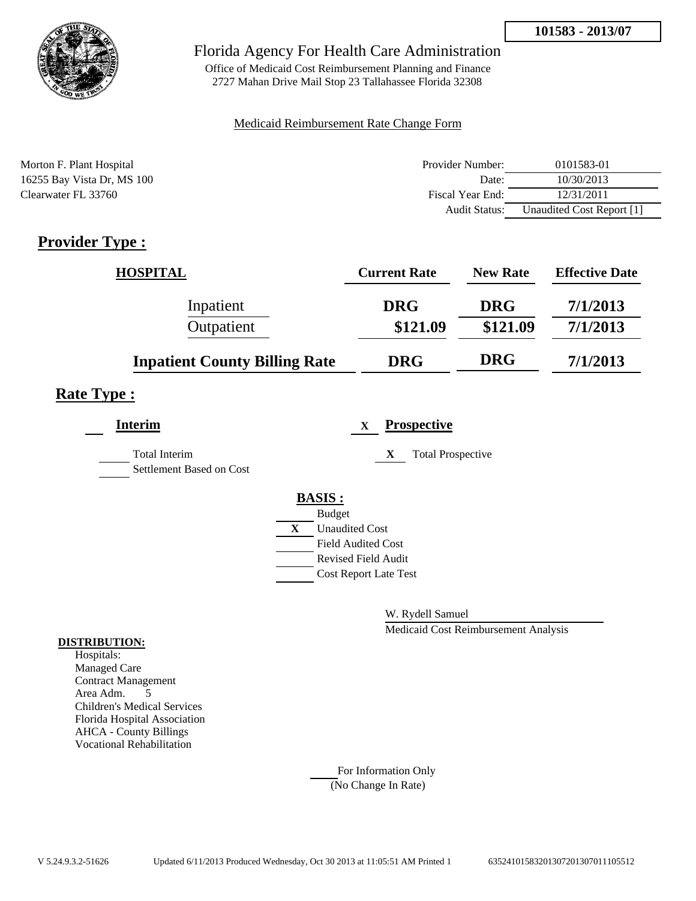

Office of Medicaid Cost Reimbursement Planning and Finance 2727 Mahan Drive Mail Stop 23 Tallahassee Florida 32308

### Medicaid Reimbursement Rate Change Form

| Morton F. Plant Hospital   | Provider Number: | 0101583-01                |
|----------------------------|------------------|---------------------------|
| 16255 Bay Vista Dr, MS 100 | Date:            | 10/30/2013                |
| Clearwater FL 33760        | Fiscal Year End: | 12/31/2011                |
|                            | Audit Status:    | Unaudited Cost Report [1] |

# **Provider Type :**

| <b>HOSPITAL</b>                      | <b>Current Rate</b> | <b>New Rate</b> | <b>Effective Date</b> |
|--------------------------------------|---------------------|-----------------|-----------------------|
| Inpatient                            | <b>DRG</b>          | <b>DRG</b>      | 7/1/2013              |
| Outpatient                           | \$121.09            | \$121.09        | 7/1/2013              |
| <b>Inpatient County Billing Rate</b> | <b>DRG</b>          | <b>DRG</b>      | 7/1/2013              |

## **Rate Type :**

| <b>Interim</b>                                   | <b>Prospective</b><br>$\mathbf{x}$    |
|--------------------------------------------------|---------------------------------------|
| <b>Total Interim</b><br>Settlement Based on Cost | <b>Total Prospective</b><br>X         |
|                                                  | <b>BASIS:</b>                         |
|                                                  | <b>Budget</b>                         |
|                                                  | $\mathbf{X}$<br><b>Unaudited Cost</b> |
|                                                  | <b>Field Audited Cost</b>             |
|                                                  | <b>Revised Field Audit</b>            |
|                                                  | <b>Cost Report Late Test</b>          |
|                                                  |                                       |

W. Rydell Samuel

Medicaid Cost Reimbursement Analysis

#### **DISTRIBUTION:**

Hospitals: Managed Care Contract Management Area Adm. 5 Children's Medical Services Florida Hospital Association AHCA - County Billings Vocational Rehabilitation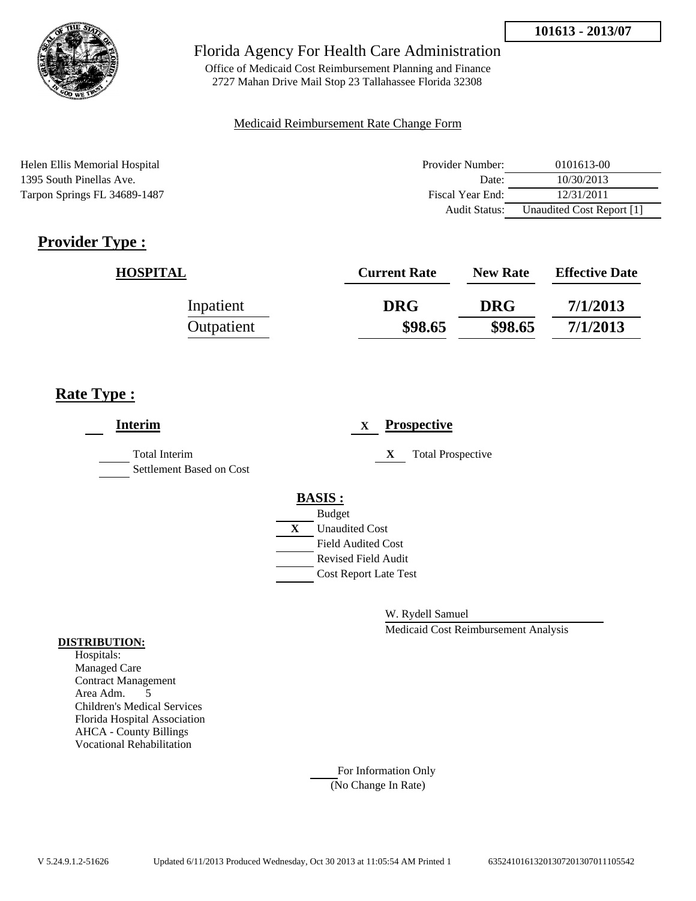

Office of Medicaid Cost Reimbursement Planning and Finance 2727 Mahan Drive Mail Stop 23 Tallahassee Florida 32308

### Medicaid Reimbursement Rate Change Form

Helen Ellis Memorial Hospital 1395 South Pinellas Ave. Tarpon Springs FL 34689-1487

| Provider Number: | 0101613-00                |
|------------------|---------------------------|
| Date:            | 10/30/2013                |
| Fiscal Year End: | 12/31/2011                |
| Audit Status:    | Unaudited Cost Report [1] |

# **Provider Type :**

| <b>HOSPITAL</b> | <b>Current Rate</b> | <b>New Rate</b> | <b>Effective Date</b> |
|-----------------|---------------------|-----------------|-----------------------|
| Inpatient       | <b>DRG</b>          | <b>DRG</b>      | 7/1/2013              |
| Outpatient      | \$98.65             | \$98.65         | 7/1/2013              |

# **Rate Type :**

| <b>Interim</b>                            | <b>Prospective</b><br>$\mathbf{X}$                                                                                                 |
|-------------------------------------------|------------------------------------------------------------------------------------------------------------------------------------|
| Total Interim<br>Settlement Based on Cost | <b>Total Prospective</b><br>X                                                                                                      |
|                                           | <b>BASIS:</b><br><b>Budget</b><br>$\mathbf{X}$<br><b>Unaudited Cost</b><br><b>Field Audited Cost</b><br><b>Revised Field Audit</b> |
|                                           | <b>Cost Report Late Test</b>                                                                                                       |

W. Rydell Samuel

Medicaid Cost Reimbursement Analysis

#### **DISTRIBUTION:**

Hospitals: Managed Care Contract Management Area Adm. 5 Children's Medical Services Florida Hospital Association AHCA - County Billings Vocational Rehabilitation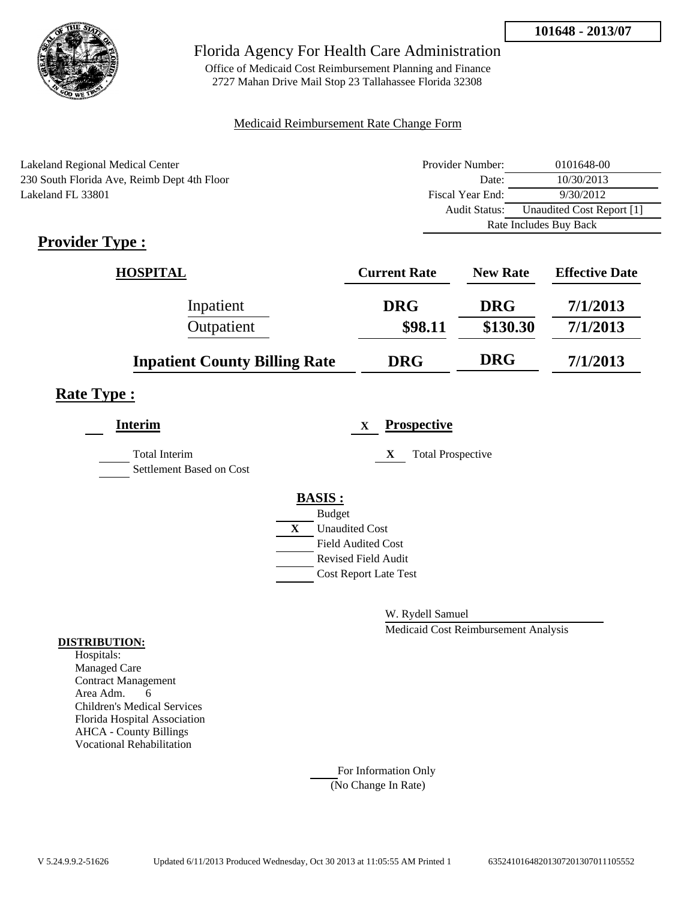

Office of Medicaid Cost Reimbursement Planning and Finance 2727 Mahan Drive Mail Stop 23 Tallahassee Florida 32308

#### Medicaid Reimbursement Rate Change Form

| Lakeland Regional Medical Center            | Provider Number:     | 0101648-00                |
|---------------------------------------------|----------------------|---------------------------|
| 230 South Florida Ave, Reimb Dept 4th Floor | Date:                | 10/30/2013                |
| Lakeland FL 33801                           | Fiscal Year End:     | 9/30/2012                 |
|                                             | <b>Audit Status:</b> | Unaudited Cost Report [1] |
|                                             |                      | Rate Includes Buy Back    |

# **Provider Type :**

| <b>HOSPITAL</b>                      | <b>Current Rate</b> | <b>New Rate</b> | <b>Effective Date</b> |
|--------------------------------------|---------------------|-----------------|-----------------------|
| Inpatient                            | <b>DRG</b>          | <b>DRG</b>      | 7/1/2013              |
| Outpatient                           | \$98.11             | \$130.30        | 7/1/2013              |
| <b>Inpatient County Billing Rate</b> | <b>DRG</b>          | <b>DRG</b>      | 7/1/2013              |

## **Rate Type :**

| <b>Interim</b>                                   |   | <b>Prospective</b><br>$\mathbf{X}$ |
|--------------------------------------------------|---|------------------------------------|
| <b>Total Interim</b><br>Settlement Based on Cost |   | <b>Total Prospective</b><br>X      |
|                                                  |   | <b>BASIS:</b>                      |
|                                                  |   | <b>Budget</b>                      |
|                                                  | X | <b>Unaudited Cost</b>              |
|                                                  |   | <b>Field Audited Cost</b>          |
|                                                  |   | <b>Revised Field Audit</b>         |
|                                                  |   | <b>Cost Report Late Test</b>       |
|                                                  |   |                                    |

W. Rydell Samuel

Medicaid Cost Reimbursement Analysis

#### **DISTRIBUTION:**

Hospitals: Managed Care Contract Management Area Adm. 6 Children's Medical Services Florida Hospital Association AHCA - County Billings Vocational Rehabilitation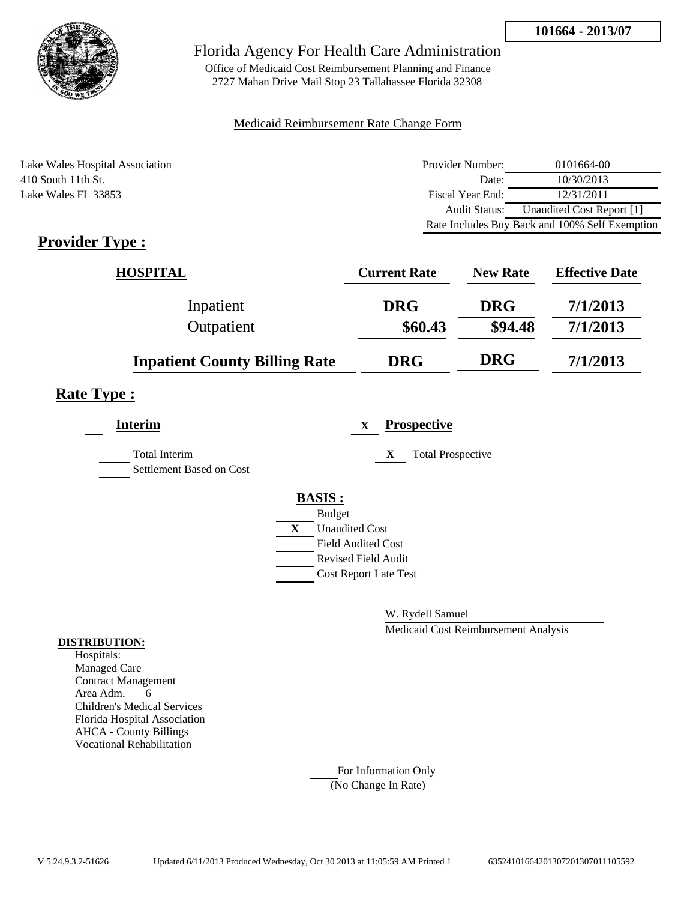

Office of Medicaid Cost Reimbursement Planning and Finance 2727 Mahan Drive Mail Stop 23 Tallahassee Florida 32308

#### Medicaid Reimbursement Rate Change Form

Lake Wales Hospital Association 410 South 11th St. Lake Wales FL 33853

| Provider Number: | 0101664-00                                     |
|------------------|------------------------------------------------|
| Date:            | 10/30/2013                                     |
| Fiscal Year End: | 12/31/2011                                     |
| Audit Status:    | Unaudited Cost Report [1]                      |
|                  | Rate Includes Buy Back and 100% Self Exemption |

# **Provider Type :**

| <b>HOSPITAL</b>                      | <b>Current Rate</b> | <b>New Rate</b> | <b>Effective Date</b> |
|--------------------------------------|---------------------|-----------------|-----------------------|
| Inpatient                            | <b>DRG</b>          | <b>DRG</b>      | 7/1/2013              |
| Outpatient                           | \$60.43             | \$94.48         | 7/1/2013              |
| <b>Inpatient County Billing Rate</b> | <b>DRG</b>          | <b>DRG</b>      | 7/1/2013              |

## **Rate Type :**

| <b>Interim</b>                                   | <b>Prospective</b><br>$\mathbf{X}$    |  |
|--------------------------------------------------|---------------------------------------|--|
| <b>Total Interim</b><br>Settlement Based on Cost | <b>Total Prospective</b><br>X         |  |
|                                                  | <b>BASIS:</b>                         |  |
|                                                  | <b>Budget</b>                         |  |
|                                                  | $\mathbf{X}$<br><b>Unaudited Cost</b> |  |
|                                                  | <b>Field Audited Cost</b>             |  |
|                                                  | <b>Revised Field Audit</b>            |  |
|                                                  | <b>Cost Report Late Test</b>          |  |
|                                                  |                                       |  |

W. Rydell Samuel

Medicaid Cost Reimbursement Analysis

#### **DISTRIBUTION:**

Hospitals: Managed Care Contract Management Area Adm. 6 Children's Medical Services Florida Hospital Association AHCA - County Billings Vocational Rehabilitation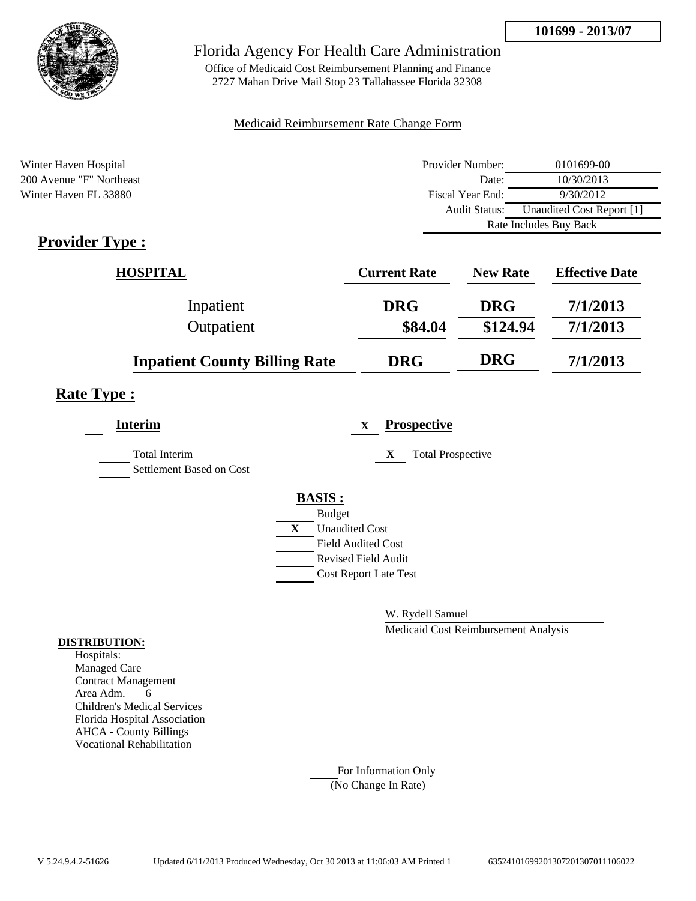

Office of Medicaid Cost Reimbursement Planning and Finance 2727 Mahan Drive Mail Stop 23 Tallahassee Florida 32308

#### Medicaid Reimbursement Rate Change Form

| Winter Haven Hospital    | Provider Number:     | 0101699-00                |
|--------------------------|----------------------|---------------------------|
| 200 Avenue "F" Northeast | Date:                | 10/30/2013                |
| Winter Haven FL 33880    | Fiscal Year End:     | 9/30/2012                 |
|                          | <b>Audit Status:</b> | Unaudited Cost Report [1] |
|                          |                      | Rate Includes Buy Back    |
| $Pravidar Tvna$          |                      |                           |

## **Provider Type :**

| <b>HOSPITAL</b>                      | <b>Current Rate</b> | <b>New Rate</b> | <b>Effective Date</b> |
|--------------------------------------|---------------------|-----------------|-----------------------|
| Inpatient                            | <b>DRG</b>          | <b>DRG</b>      | 7/1/2013              |
| Outpatient                           | \$84.04             | \$124.94        | 7/1/2013              |
| <b>Inpatient County Billing Rate</b> | <b>DRG</b>          | <b>DRG</b>      | 7/1/2013              |

### **Rate Type :**

| <b>Interim</b>                                   |   | <b>Prospective</b><br>X       |
|--------------------------------------------------|---|-------------------------------|
| <b>Total Interim</b><br>Settlement Based on Cost |   | <b>Total Prospective</b><br>X |
|                                                  |   | <b>BASIS:</b>                 |
|                                                  |   | <b>Budget</b>                 |
|                                                  | X | <b>Unaudited Cost</b>         |
|                                                  |   | <b>Field Audited Cost</b>     |
|                                                  |   | <b>Revised Field Audit</b>    |
|                                                  |   | <b>Cost Report Late Test</b>  |
|                                                  |   |                               |

W. Rydell Samuel

Medicaid Cost Reimbursement Analysis

#### **DISTRIBUTION:**

Hospitals: Managed Care Contract Management Area Adm. 6 Children's Medical Services Florida Hospital Association AHCA - County Billings Vocational Rehabilitation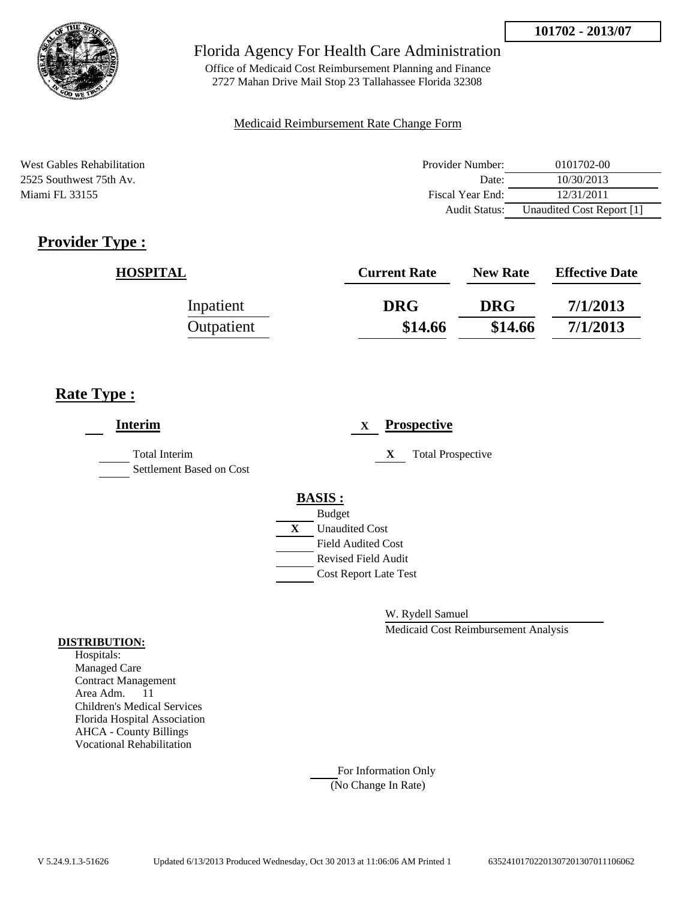

Office of Medicaid Cost Reimbursement Planning and Finance 2727 Mahan Drive Mail Stop 23 Tallahassee Florida 32308

#### Medicaid Reimbursement Rate Change Form

West Gables Rehabilitation 2525 Southwest 75th Av. Miami FL 33155

| Provider Number: | 0101702-00                |
|------------------|---------------------------|
| Date:            | 10/30/2013                |
| Fiscal Year End: | 12/31/2011                |
| Audit Status:    | Unaudited Cost Report [1] |

# **Provider Type :**

| <b>HOSPITAL</b> | <b>Current Rate</b> | <b>New Rate</b> | <b>Effective Date</b> |
|-----------------|---------------------|-----------------|-----------------------|
| Inpatient       | <b>DRG</b>          | <b>DRG</b>      | 7/1/2013              |
| Outpatient      | \$14.66             | \$14.66         | 7/1/2013              |

## **Rate Type :**

| <b>Interim</b>                                   | <b>Prospective</b><br>X       |
|--------------------------------------------------|-------------------------------|
| <b>Total Interim</b><br>Settlement Based on Cost | <b>Total Prospective</b><br>X |
|                                                  | <b>BASIS:</b>                 |
|                                                  | <b>Budget</b>                 |
|                                                  | X<br><b>Unaudited Cost</b>    |
|                                                  | <b>Field Audited Cost</b>     |
|                                                  | <b>Revised Field Audit</b>    |
|                                                  | <b>Cost Report Late Test</b>  |
|                                                  |                               |

W. Rydell Samuel

Medicaid Cost Reimbursement Analysis

#### **DISTRIBUTION:**

Hospitals: Managed Care Contract Management Area Adm. 11 Children's Medical Services Florida Hospital Association AHCA - County Billings Vocational Rehabilitation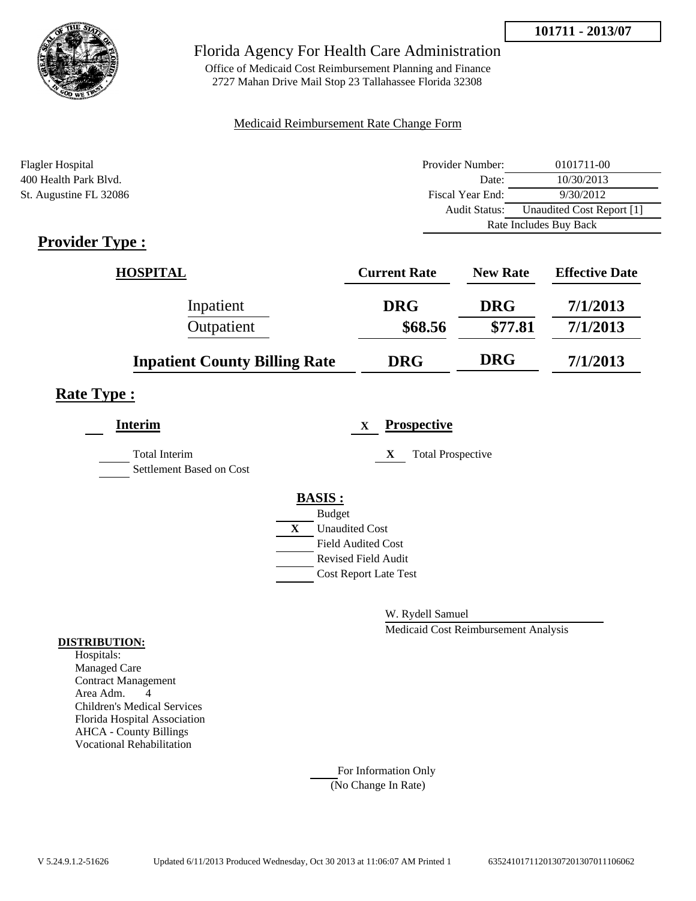



Office of Medicaid Cost Reimbursement Planning and Finance 2727 Mahan Drive Mail Stop 23 Tallahassee Florida 32308

#### Medicaid Reimbursement Rate Change Form

| <b>Flagler Hospital</b> | Provider Number:     | 0101711-00                |
|-------------------------|----------------------|---------------------------|
| 400 Health Park Blyd.   | Date:                | 10/30/2013                |
| St. Augustine FL 32086  | Fiscal Year End:     | 9/30/2012                 |
|                         | <b>Audit Status:</b> | Unaudited Cost Report [1] |
|                         |                      | Rate Includes Buy Back    |

## **Provider Type :**

| <b>HOSPITAL</b>                      | <b>Current Rate</b> | <b>New Rate</b> | <b>Effective Date</b> |
|--------------------------------------|---------------------|-----------------|-----------------------|
| Inpatient                            | <b>DRG</b>          | <b>DRG</b>      | 7/1/2013              |
| Outpatient                           | \$68.56             | \$77.81         | 7/1/2013              |
| <b>Inpatient County Billing Rate</b> | <b>DRG</b>          | <b>DRG</b>      | 7/1/2013              |

## **Rate Type :**

| <b>Interim</b>                                   |   | <b>Prospective</b><br>X       |
|--------------------------------------------------|---|-------------------------------|
| <b>Total Interim</b><br>Settlement Based on Cost |   | <b>Total Prospective</b><br>X |
|                                                  |   | <b>BASIS:</b>                 |
|                                                  |   | <b>Budget</b>                 |
|                                                  | X | <b>Unaudited Cost</b>         |
|                                                  |   | <b>Field Audited Cost</b>     |
|                                                  |   | <b>Revised Field Audit</b>    |
|                                                  |   | <b>Cost Report Late Test</b>  |
|                                                  |   |                               |

W. Rydell Samuel

Medicaid Cost Reimbursement Analysis

#### **DISTRIBUTION:**

Hospitals: Managed Care Contract Management Area Adm. 4 Children's Medical Services Florida Hospital Association AHCA - County Billings Vocational Rehabilitation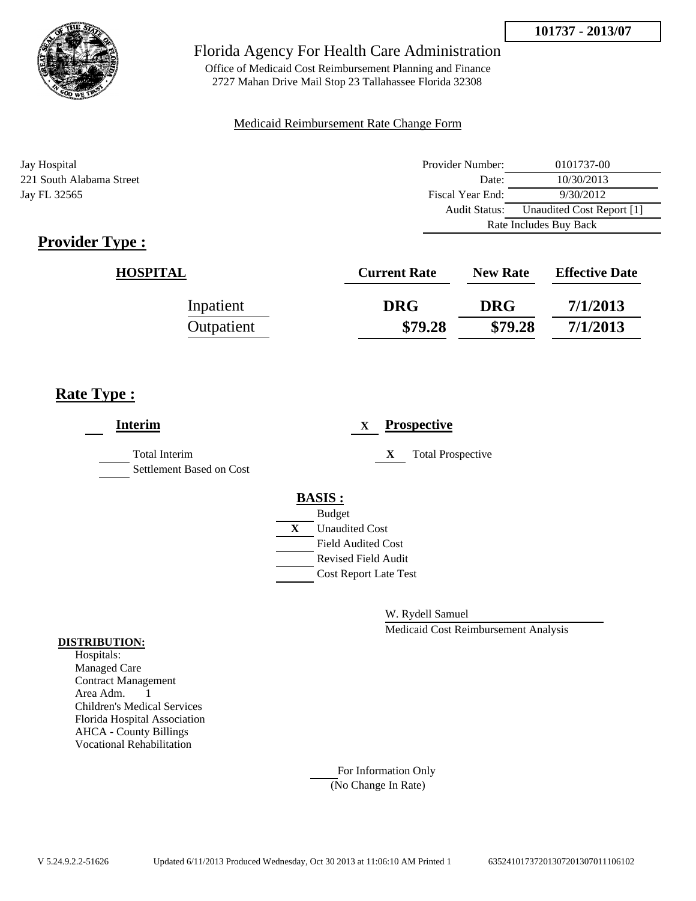Audit Status: Unaudited Cost Report [1]

Rate Includes Buy Back



### Florida Agency For Health Care Administration

Office of Medicaid Cost Reimbursement Planning and Finance 2727 Mahan Drive Mail Stop 23 Tallahassee Florida 32308

#### Medicaid Reimbursement Rate Change Form

Jay Hospital Provider Number: 0101737-00 221 South Alabama Street Date: 10/30/2013 Jay FL 32565 **Fiscal Year End:** 9/30/2012

| <b>Provider Type:</b> |  |
|-----------------------|--|
|                       |  |

| <u>ype :</u>    |                     |                 |                       |
|-----------------|---------------------|-----------------|-----------------------|
| <b>HOSPITAL</b> | <b>Current Rate</b> | <b>New Rate</b> | <b>Effective Date</b> |
| Inpatient       | <b>DRG</b>          | <b>DRG</b>      | 7/1/2013              |
| Outpatient      | \$79.28             | \$79.28         | 7/1/2013              |

## **Rate Type :**

| <b>Interim</b>                                   |   |                              | X |   | <b>Prospective</b>       |
|--------------------------------------------------|---|------------------------------|---|---|--------------------------|
| <b>Total Interim</b><br>Settlement Based on Cost |   |                              |   | X | <b>Total Prospective</b> |
|                                                  |   | <b>BASIS:</b>                |   |   |                          |
|                                                  |   | <b>Budget</b>                |   |   |                          |
|                                                  | X | <b>Unaudited Cost</b>        |   |   |                          |
|                                                  |   | Field Audited Cost           |   |   |                          |
|                                                  |   | Revised Field Audit          |   |   |                          |
|                                                  |   | <b>Cost Report Late Test</b> |   |   |                          |
|                                                  |   |                              |   |   |                          |
|                                                  |   |                              |   |   |                          |

W. Rydell Samuel

Medicaid Cost Reimbursement Analysis

#### **DISTRIBUTION:**

Hospitals: Managed Care Contract Management Area Adm. 1 Children's Medical Services Florida Hospital Association AHCA - County Billings Vocational Rehabilitation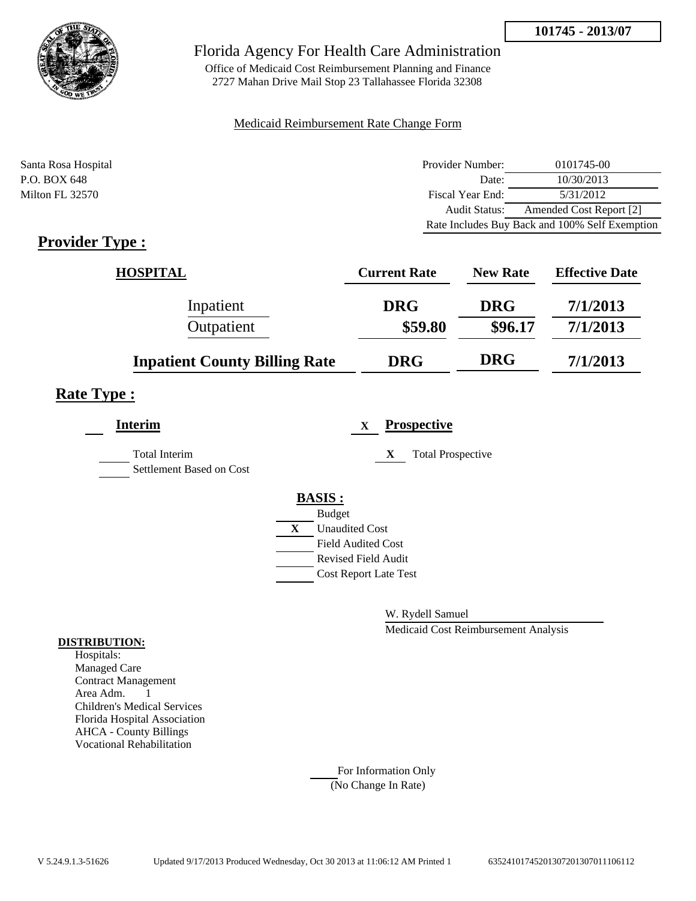

Office of Medicaid Cost Reimbursement Planning and Finance 2727 Mahan Drive Mail Stop 23 Tallahassee Florida 32308

#### Medicaid Reimbursement Rate Change Form

| Santa Rosa Hospital | Provider Number: | 0101745-00                                     |
|---------------------|------------------|------------------------------------------------|
| P.O. BOX 648        | Date:            | 10/30/2013                                     |
| Milton FL 32570     | Fiscal Year End: | 5/31/2012                                      |
|                     | Audit Status:    | Amended Cost Report [2]                        |
|                     |                  | Rate Includes Buy Back and 100% Self Exemption |

## **Provider Type :**

| <b>HOSPITAL</b>                      | <b>Current Rate</b> | <b>New Rate</b> | <b>Effective Date</b> |
|--------------------------------------|---------------------|-----------------|-----------------------|
| Inpatient                            | <b>DRG</b>          | <b>DRG</b>      | 7/1/2013              |
| Outpatient                           | \$59.80             | \$96.17         | 7/1/2013              |
| <b>Inpatient County Billing Rate</b> | <b>DRG</b>          | <b>DRG</b>      | 7/1/2013              |

### **Rate Type :**

| <b>Interim</b>                            |   | X                            | <b>Prospective</b>            |
|-------------------------------------------|---|------------------------------|-------------------------------|
| Total Interim<br>Settlement Based on Cost |   |                              | X<br><b>Total Prospective</b> |
|                                           |   | <b>BASIS:</b>                |                               |
|                                           |   | <b>Budget</b>                |                               |
|                                           | X | <b>Unaudited Cost</b>        |                               |
|                                           |   | <b>Field Audited Cost</b>    |                               |
|                                           |   | <b>Revised Field Audit</b>   |                               |
|                                           |   | <b>Cost Report Late Test</b> |                               |
|                                           |   |                              |                               |

W. Rydell Samuel

Medicaid Cost Reimbursement Analysis

#### **DISTRIBUTION:**

Hospitals: Managed Care Contract Management Area Adm. 1 Children's Medical Services Florida Hospital Association AHCA - County Billings Vocational Rehabilitation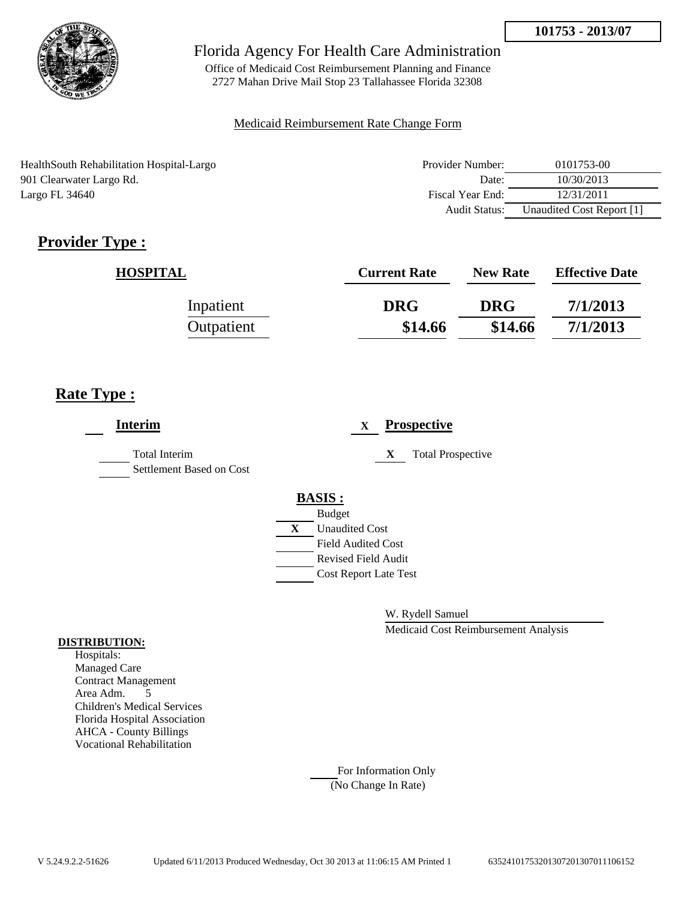

Office of Medicaid Cost Reimbursement Planning and Finance 2727 Mahan Drive Mail Stop 23 Tallahassee Florida 32308

#### Medicaid Reimbursement Rate Change Form

HealthSouth Rehabilitation Hospital-Largo 901 Clearwater Largo Rd. Largo FL 34640

| Provider Number: | 0101753-00                |
|------------------|---------------------------|
| Date:            | 10/30/2013                |
| Fiscal Year End: | 12/31/2011                |
| Audit Status:    | Unaudited Cost Report [1] |

# **Provider Type :**

| <b>HOSPITAL</b> | <b>Current Rate</b> | <b>New Rate</b> | <b>Effective Date</b> |
|-----------------|---------------------|-----------------|-----------------------|
| Inpatient       | <b>DRG</b>          | <b>DRG</b>      | 7/1/2013              |
| Outpatient      | \$14.66             | \$14.66         | 7/1/2013              |

## **Rate Type :**

| <b>Interim</b>                                   |                                                        | X |   | <b>Prospective</b>       |
|--------------------------------------------------|--------------------------------------------------------|---|---|--------------------------|
| <b>Total Interim</b><br>Settlement Based on Cost |                                                        |   | X | <b>Total Prospective</b> |
|                                                  | <b>BASIS:</b>                                          |   |   |                          |
|                                                  | <b>Budget</b><br>$\mathbf{X}$<br><b>Unaudited Cost</b> |   |   |                          |
|                                                  | <b>Field Audited Cost</b>                              |   |   |                          |
|                                                  | <b>Revised Field Audit</b>                             |   |   |                          |
|                                                  | <b>Cost Report Late Test</b>                           |   |   |                          |
|                                                  |                                                        |   |   |                          |

W. Rydell Samuel

Medicaid Cost Reimbursement Analysis

#### **DISTRIBUTION:**

Hospitals: Managed Care Contract Management Area Adm. 5 Children's Medical Services Florida Hospital Association AHCA - County Billings Vocational Rehabilitation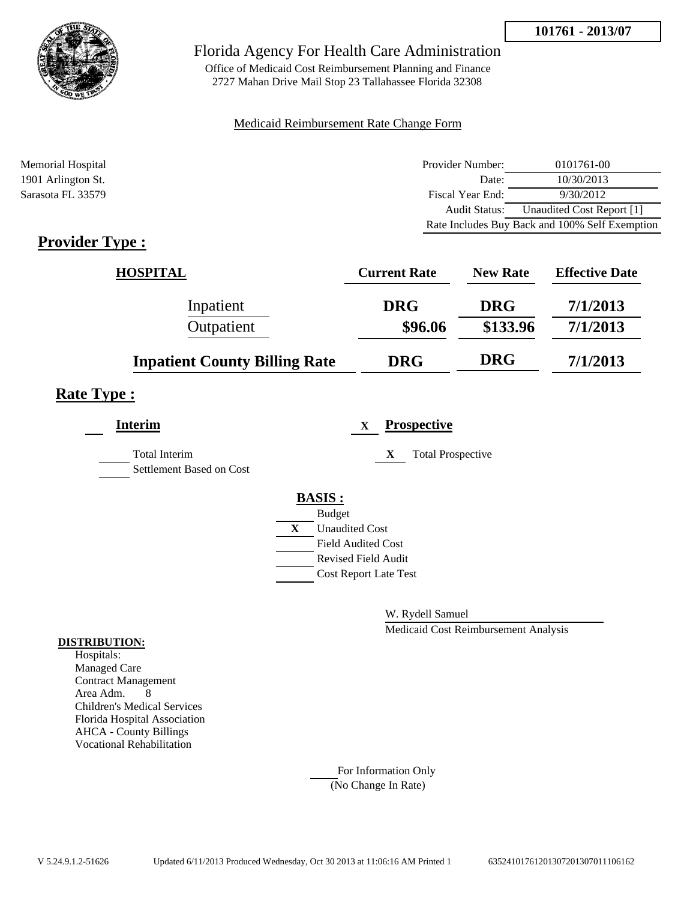

Office of Medicaid Cost Reimbursement Planning and Finance 2727 Mahan Drive Mail Stop 23 Tallahassee Florida 32308

#### Medicaid Reimbursement Rate Change Form

| Memorial Hospital  | Provider Number:     | 0101761-00                                     |
|--------------------|----------------------|------------------------------------------------|
| 1901 Arlington St. | Date:                | 10/30/2013                                     |
| Sarasota FL 33579  | Fiscal Year End:     | 9/30/2012                                      |
|                    | <b>Audit Status:</b> | Unaudited Cost Report [1]                      |
|                    |                      | Rate Includes Buy Back and 100% Self Exemption |

## **Provider Type :**

| <b>HOSPITAL</b>                      | <b>Current Rate</b> | <b>New Rate</b> | <b>Effective Date</b> |
|--------------------------------------|---------------------|-----------------|-----------------------|
| Inpatient                            | <b>DRG</b>          | <b>DRG</b>      | 7/1/2013              |
| Outpatient                           | \$96.06             | \$133.96        | 7/1/2013              |
| <b>Inpatient County Billing Rate</b> | <b>DRG</b>          | <b>DRG</b>      | 7/1/2013              |

### **Rate Type :**

| <b>Interim</b>                            |   | <b>Prospective</b><br>$\mathbf{X}$ |
|-------------------------------------------|---|------------------------------------|
| Total Interim<br>Settlement Based on Cost |   | <b>Total Prospective</b><br>X      |
|                                           |   | <b>BASIS:</b>                      |
|                                           |   | <b>Budget</b>                      |
|                                           | X | <b>Unaudited Cost</b>              |
|                                           |   | <b>Field Audited Cost</b>          |
|                                           |   | <b>Revised Field Audit</b>         |
|                                           |   | <b>Cost Report Late Test</b>       |
|                                           |   |                                    |

W. Rydell Samuel

Medicaid Cost Reimbursement Analysis

#### **DISTRIBUTION:**

Hospitals: Managed Care Contract Management Area Adm. 8 Children's Medical Services Florida Hospital Association AHCA - County Billings Vocational Rehabilitation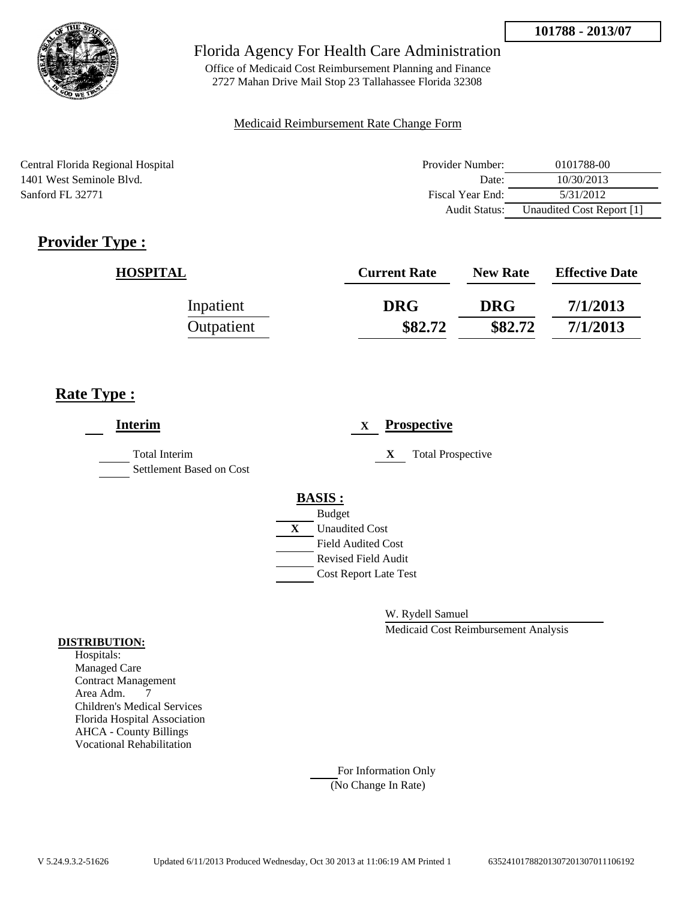

Office of Medicaid Cost Reimbursement Planning and Finance 2727 Mahan Drive Mail Stop 23 Tallahassee Florida 32308

#### Medicaid Reimbursement Rate Change Form

Central Florida Regional Hospital 1401 West Seminole Blvd. Sanford FL 32771

| Provider Number: | 0101788-00                |
|------------------|---------------------------|
| Date:            | 10/30/2013                |
| Fiscal Year End: | 5/31/2012                 |
| Audit Status:    | Unaudited Cost Report [1] |

# **Provider Type :**

| <b>HOSPITAL</b> | <b>Current Rate</b> | <b>New Rate</b> | <b>Effective Date</b> |
|-----------------|---------------------|-----------------|-----------------------|
| Inpatient       | <b>DRG</b>          | <b>DRG</b>      | 7/1/2013              |
| Outpatient      | \$82.72             | \$82.72         | 7/1/2013              |

## **Rate Type :**

| <b>Interim</b>                            |   | <b>Prospective</b><br>X       |
|-------------------------------------------|---|-------------------------------|
| Total Interim<br>Settlement Based on Cost |   | <b>Total Prospective</b><br>X |
|                                           |   | <b>BASIS:</b>                 |
|                                           |   | <b>Budget</b>                 |
|                                           | X | <b>Unaudited Cost</b>         |
|                                           |   | <b>Field Audited Cost</b>     |
|                                           |   | <b>Revised Field Audit</b>    |
|                                           |   | <b>Cost Report Late Test</b>  |
|                                           |   |                               |

W. Rydell Samuel

Medicaid Cost Reimbursement Analysis

#### **DISTRIBUTION:**

Hospitals: Managed Care Contract Management Area Adm. 7 Children's Medical Services Florida Hospital Association AHCA - County Billings Vocational Rehabilitation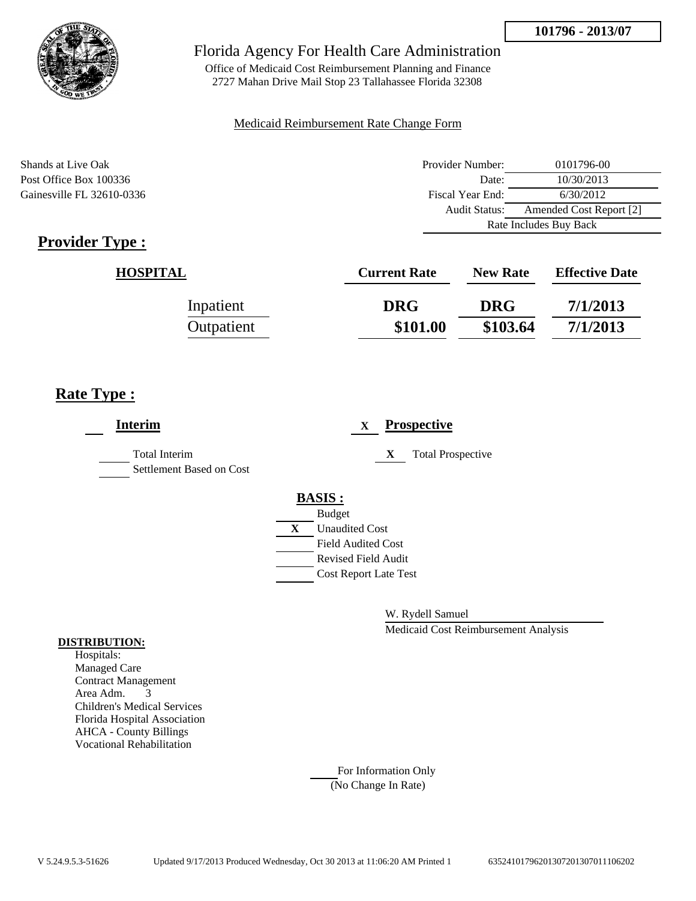

Office of Medicaid Cost Reimbursement Planning and Finance 2727 Mahan Drive Mail Stop 23 Tallahassee Florida 32308

#### Medicaid Reimbursement Rate Change Form

Shands at Live Oak Post Office Box 100336 Gainesville FL 32610-0336

| Provider Number:                         | 0101796-00 |  |
|------------------------------------------|------------|--|
| Date:                                    | 10/30/2013 |  |
| Fiscal Year End:                         | 6/30/2012  |  |
| Amended Cost Report [2]<br>Audit Status: |            |  |
| Rate Includes Buy Back                   |            |  |

# **Provider Type :**

| <b>HOSPITAL</b> | <b>Current Rate</b> | <b>New Rate</b> | <b>Effective Date</b> |
|-----------------|---------------------|-----------------|-----------------------|
| Inpatient       | <b>DRG</b>          | <b>DRG</b>      | 7/1/2013              |
| Outpatient      | \$101.00            | \$103.64        | 7/1/2013              |

## **Rate Type :**

| <b>Interim</b>                                   | <b>Prospective</b><br>$\mathbf{X}$    |
|--------------------------------------------------|---------------------------------------|
| <b>Total Interim</b><br>Settlement Based on Cost | <b>Total Prospective</b><br>X         |
|                                                  | <b>BASIS:</b>                         |
|                                                  | <b>Budget</b>                         |
|                                                  | $\mathbf{X}$<br><b>Unaudited Cost</b> |
|                                                  | <b>Field Audited Cost</b>             |
|                                                  | Revised Field Audit                   |
|                                                  | <b>Cost Report Late Test</b>          |
|                                                  |                                       |

W. Rydell Samuel

Medicaid Cost Reimbursement Analysis

#### **DISTRIBUTION:**

Hospitals: Managed Care Contract Management Area Adm. 3 Children's Medical Services Florida Hospital Association AHCA - County Billings Vocational Rehabilitation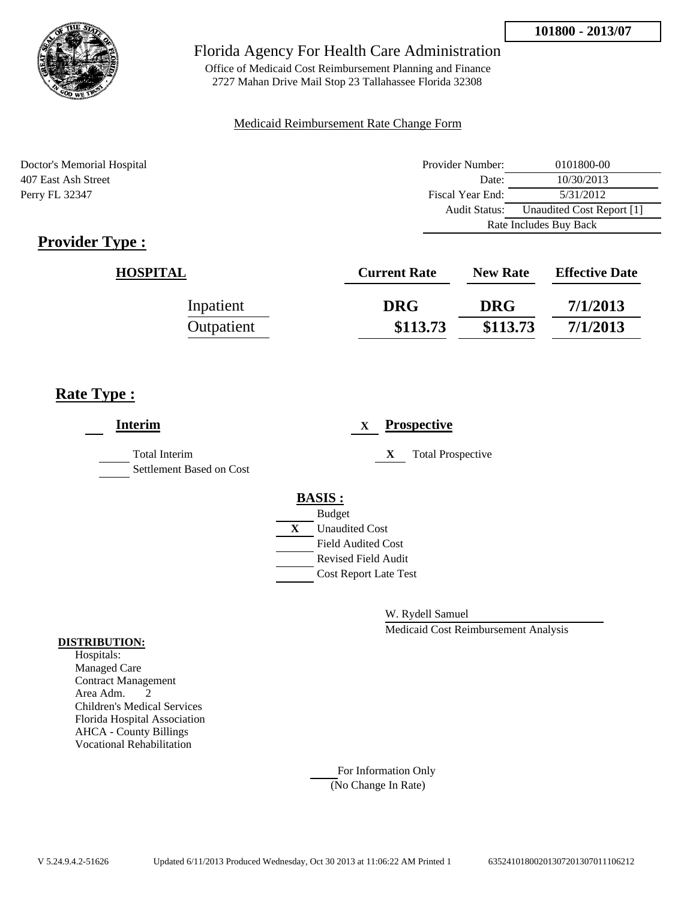

Office of Medicaid Cost Reimbursement Planning and Finance 2727 Mahan Drive Mail Stop 23 Tallahassee Florida 32308

#### Medicaid Reimbursement Rate Change Form

Doctor's Memorial Hospital 407 East Ash Street Perry FL 32347

| Provider Number:                                  | 0101800-00 |  |
|---------------------------------------------------|------------|--|
| Date:                                             | 10/30/2013 |  |
| Fiscal Year End:                                  | 5/31/2012  |  |
| Unaudited Cost Report [1]<br><b>Audit Status:</b> |            |  |
| Rate Includes Buy Back                            |            |  |

# **Provider Type :**

| <b>HOSPITAL</b> | <b>Current Rate</b> | <b>New Rate</b> | <b>Effective Date</b> |
|-----------------|---------------------|-----------------|-----------------------|
| Inpatient       | <b>DRG</b>          | <b>DRG</b>      | 7/1/2013              |
| Outpatient      | \$113.73            | \$113.73        | 7/1/2013              |

## **Rate Type :**

| <b>Interim</b>                                   |   |                              | $\mathbf X$ |   | <b>Prospective</b>       |
|--------------------------------------------------|---|------------------------------|-------------|---|--------------------------|
| <b>Total Interim</b><br>Settlement Based on Cost |   |                              |             | X | <b>Total Prospective</b> |
|                                                  |   | <b>BASIS:</b>                |             |   |                          |
|                                                  |   | <b>Budget</b>                |             |   |                          |
|                                                  | X | <b>Unaudited Cost</b>        |             |   |                          |
|                                                  |   | Field Audited Cost           |             |   |                          |
|                                                  |   | <b>Revised Field Audit</b>   |             |   |                          |
|                                                  |   | <b>Cost Report Late Test</b> |             |   |                          |
|                                                  |   |                              |             |   |                          |
|                                                  |   |                              |             |   |                          |

W. Rydell Samuel

Medicaid Cost Reimbursement Analysis

#### **DISTRIBUTION:**

Hospitals: Managed Care Contract Management Area Adm. 2 Children's Medical Services Florida Hospital Association AHCA - County Billings Vocational Rehabilitation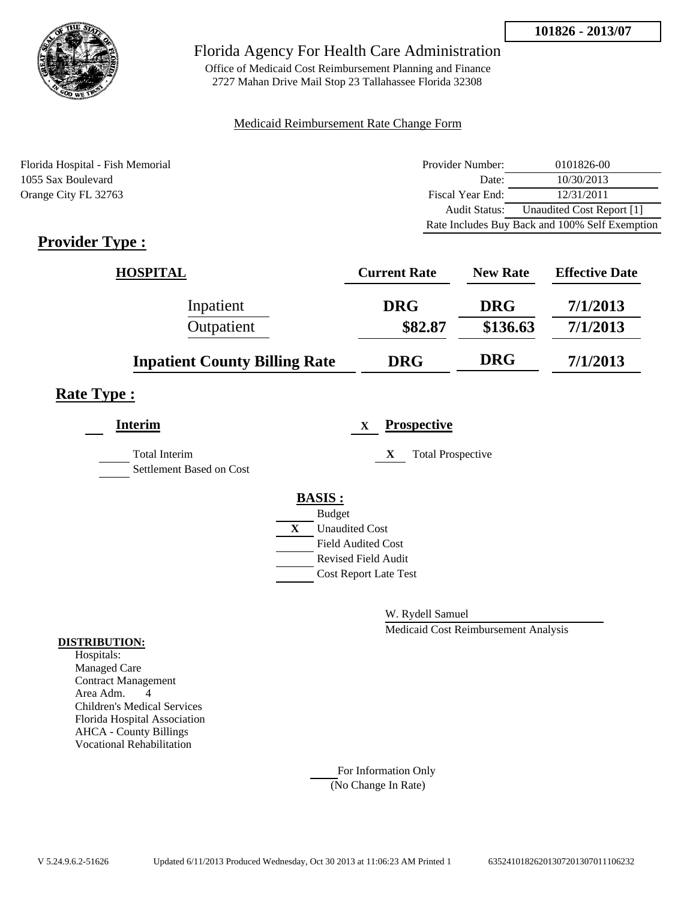

Office of Medicaid Cost Reimbursement Planning and Finance 2727 Mahan Drive Mail Stop 23 Tallahassee Florida 32308

#### Medicaid Reimbursement Rate Change Form

Florida Hospital - Fish Memorial 1055 Sax Boulevard Orange City FL 32763

| Provider Number:     | 0101826-00                                     |
|----------------------|------------------------------------------------|
| Date:                | 10/30/2013                                     |
| Fiscal Year End:     | 12/31/2011                                     |
| <b>Audit Status:</b> | Unaudited Cost Report [1]                      |
|                      | Rate Includes Buy Back and 100% Self Exemption |

# **Provider Type :**

| <b>HOSPITAL</b>                      | <b>Current Rate</b> | <b>New Rate</b> | <b>Effective Date</b> |
|--------------------------------------|---------------------|-----------------|-----------------------|
| Inpatient                            | <b>DRG</b>          | <b>DRG</b>      | 7/1/2013              |
| Outpatient                           | \$82.87             | \$136.63        | 7/1/2013              |
| <b>Inpatient County Billing Rate</b> | <b>DRG</b>          | <b>DRG</b>      | 7/1/2013              |

## **Rate Type :**

| <b>Interim</b>                                   | <b>Prospective</b><br>$\mathbf x$ |
|--------------------------------------------------|-----------------------------------|
| <b>Total Interim</b><br>Settlement Based on Cost | <b>Total Prospective</b><br>X     |
|                                                  | <b>BASIS:</b>                     |
|                                                  | <b>Budget</b>                     |
|                                                  | X<br><b>Unaudited Cost</b>        |
|                                                  | <b>Field Audited Cost</b>         |
|                                                  | <b>Revised Field Audit</b>        |
|                                                  | <b>Cost Report Late Test</b>      |
|                                                  |                                   |

W. Rydell Samuel

Medicaid Cost Reimbursement Analysis

#### **DISTRIBUTION:**

Hospitals: Managed Care Contract Management Area Adm. 4 Children's Medical Services Florida Hospital Association AHCA - County Billings Vocational Rehabilitation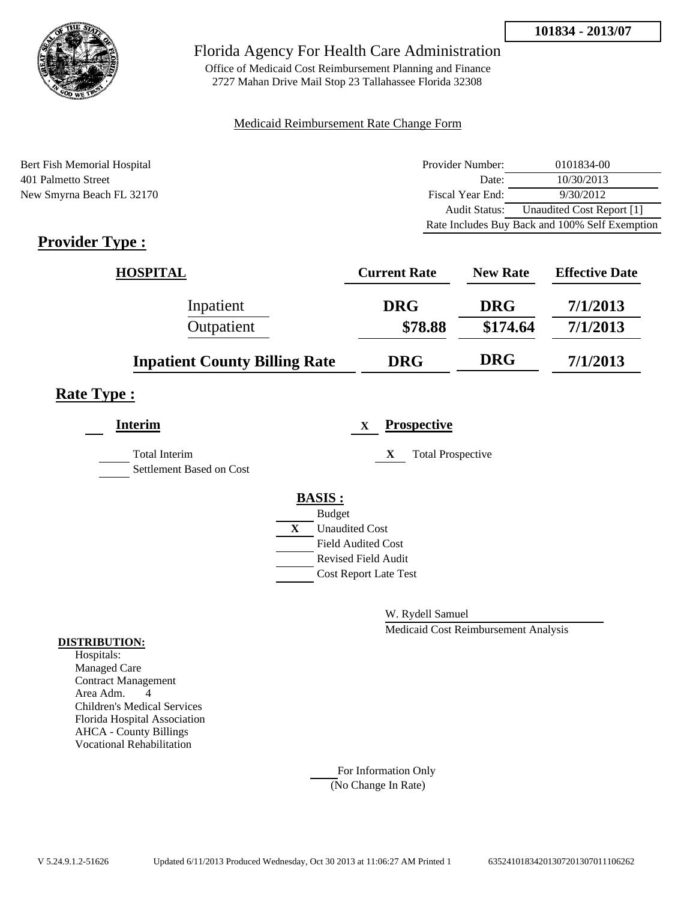

Office of Medicaid Cost Reimbursement Planning and Finance 2727 Mahan Drive Mail Stop 23 Tallahassee Florida 32308

#### Medicaid Reimbursement Rate Change Form

Bert Fish Memorial Hospital 401 Palmetto Street New Smyrna Beach FL 32170

| Provider Number:     | 0101834-00                                     |
|----------------------|------------------------------------------------|
| Date:                | 10/30/2013                                     |
| Fiscal Year End:     | 9/30/2012                                      |
| <b>Audit Status:</b> | Unaudited Cost Report [1]                      |
|                      | Rate Includes Buy Back and 100% Self Exemption |

# **Provider Type :**

| <b>HOSPITAL</b>                      | <b>Current Rate</b> | <b>New Rate</b> | <b>Effective Date</b> |
|--------------------------------------|---------------------|-----------------|-----------------------|
| Inpatient                            | <b>DRG</b>          | <b>DRG</b>      | 7/1/2013              |
| Outpatient                           | \$78.88             | \$174.64        | 7/1/2013              |
| <b>Inpatient County Billing Rate</b> | <b>DRG</b>          | <b>DRG</b>      | 7/1/2013              |

## **Rate Type :**

| <b>Interim</b>                            | <b>Prospective</b><br>$\mathbf{X}$ |
|-------------------------------------------|------------------------------------|
| Total Interim<br>Settlement Based on Cost | <b>Total Prospective</b><br>X      |
|                                           | <b>BASIS:</b>                      |
|                                           | <b>Budget</b>                      |
|                                           | X<br><b>Unaudited Cost</b>         |
|                                           | <b>Field Audited Cost</b>          |
|                                           | <b>Revised Field Audit</b>         |
|                                           | <b>Cost Report Late Test</b>       |
|                                           |                                    |

W. Rydell Samuel

Medicaid Cost Reimbursement Analysis

#### **DISTRIBUTION:**

Hospitals: Managed Care Contract Management Area Adm. 4 Children's Medical Services Florida Hospital Association AHCA - County Billings Vocational Rehabilitation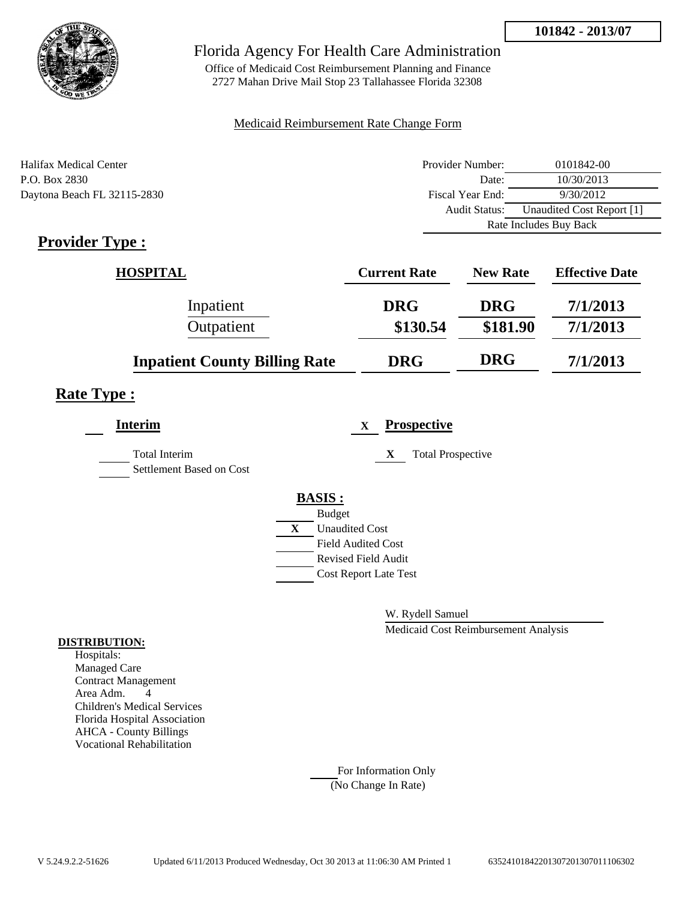

Office of Medicaid Cost Reimbursement Planning and Finance 2727 Mahan Drive Mail Stop 23 Tallahassee Florida 32308

#### Medicaid Reimbursement Rate Change Form

| Halifax Medical Center      | Provider Number: | 0101842-00                |  |
|-----------------------------|------------------|---------------------------|--|
| P.O. Box 2830               | Date:            | 10/30/2013                |  |
| Daytona Beach FL 32115-2830 | Fiscal Year End: | 9/30/2012                 |  |
|                             | Audit Status:    | Unaudited Cost Report [1] |  |
|                             |                  | Rate Includes Buy Back    |  |

## **Provider Type :**

| <b>HOSPITAL</b>                      | <b>Current Rate</b> | <b>New Rate</b> | <b>Effective Date</b> |  |
|--------------------------------------|---------------------|-----------------|-----------------------|--|
| Inpatient                            | <b>DRG</b>          | <b>DRG</b>      | 7/1/2013              |  |
| Outpatient                           | \$130.54            | \$181.90        | 7/1/2013              |  |
| <b>Inpatient County Billing Rate</b> | <b>DRG</b>          | <b>DRG</b>      | 7/1/2013              |  |

### **Rate Type :**

| <b>Interim</b>                            | <b>Prospective</b><br>$\mathbf X$ |
|-------------------------------------------|-----------------------------------|
| Total Interim<br>Settlement Based on Cost | X<br><b>Total Prospective</b>     |
|                                           | <b>BASIS:</b>                     |
|                                           | <b>Budget</b>                     |
|                                           | X<br><b>Unaudited Cost</b>        |
|                                           | <b>Field Audited Cost</b>         |
|                                           | <b>Revised Field Audit</b>        |
|                                           | <b>Cost Report Late Test</b>      |
|                                           |                                   |

W. Rydell Samuel

Medicaid Cost Reimbursement Analysis

#### **DISTRIBUTION:**

Hospitals: Managed Care Contract Management Area Adm. 4 Children's Medical Services Florida Hospital Association AHCA - County Billings Vocational Rehabilitation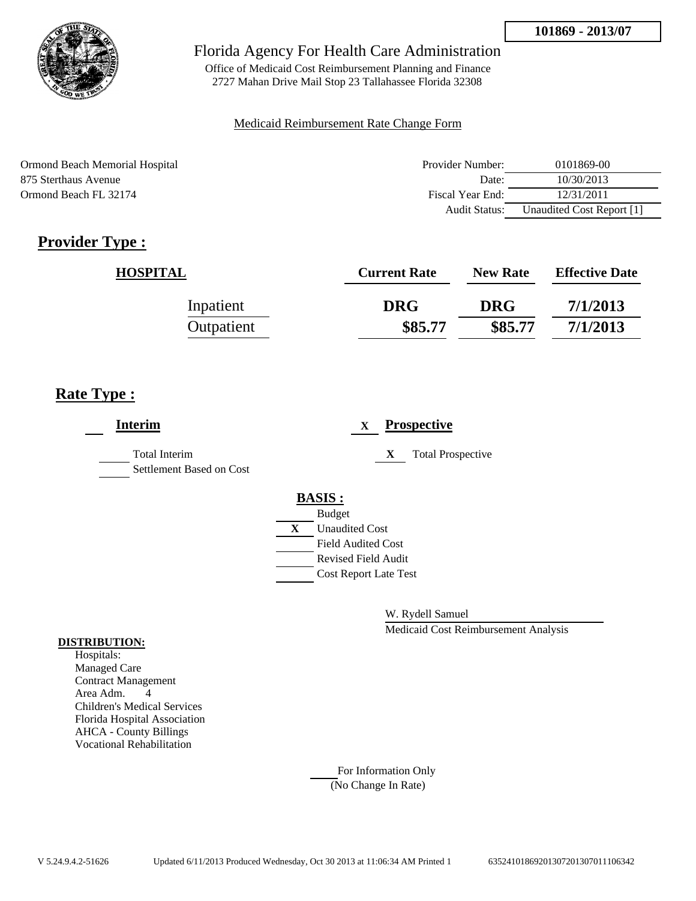

Office of Medicaid Cost Reimbursement Planning and Finance 2727 Mahan Drive Mail Stop 23 Tallahassee Florida 32308

#### Medicaid Reimbursement Rate Change Form

Ormond Beach Memorial Hospital 875 Sterthaus Avenue Ormond Beach FL 32174

| Provider Number: | 0101869-00                |  |  |
|------------------|---------------------------|--|--|
| Date:            | 10/30/2013                |  |  |
| Fiscal Year End: | 12/31/2011                |  |  |
| Audit Status:    | Unaudited Cost Report [1] |  |  |

# **Provider Type :**

| <b>HOSPITAL</b> | <b>Current Rate</b> | <b>New Rate</b> | <b>Effective Date</b> |
|-----------------|---------------------|-----------------|-----------------------|
| Inpatient       | <b>DRG</b>          | <b>DRG</b>      | 7/1/2013              |
| Outpatient      | \$85.77             | \$85.77         | 7/1/2013              |

## **Rate Type :**

| <b>Interim</b>                            |   |                              | X |   | <b>Prospective</b>       |
|-------------------------------------------|---|------------------------------|---|---|--------------------------|
| Total Interim<br>Settlement Based on Cost |   |                              |   | X | <b>Total Prospective</b> |
|                                           |   | <b>BASIS:</b>                |   |   |                          |
|                                           |   | <b>Budget</b>                |   |   |                          |
|                                           | X | <b>Unaudited Cost</b>        |   |   |                          |
|                                           |   | <b>Field Audited Cost</b>    |   |   |                          |
|                                           |   | <b>Revised Field Audit</b>   |   |   |                          |
|                                           |   | <b>Cost Report Late Test</b> |   |   |                          |
|                                           |   |                              |   |   |                          |
|                                           |   |                              |   |   |                          |

W. Rydell Samuel

Medicaid Cost Reimbursement Analysis

#### **DISTRIBUTION:**

Hospitals: Managed Care Contract Management Area Adm. 4 Children's Medical Services Florida Hospital Association AHCA - County Billings Vocational Rehabilitation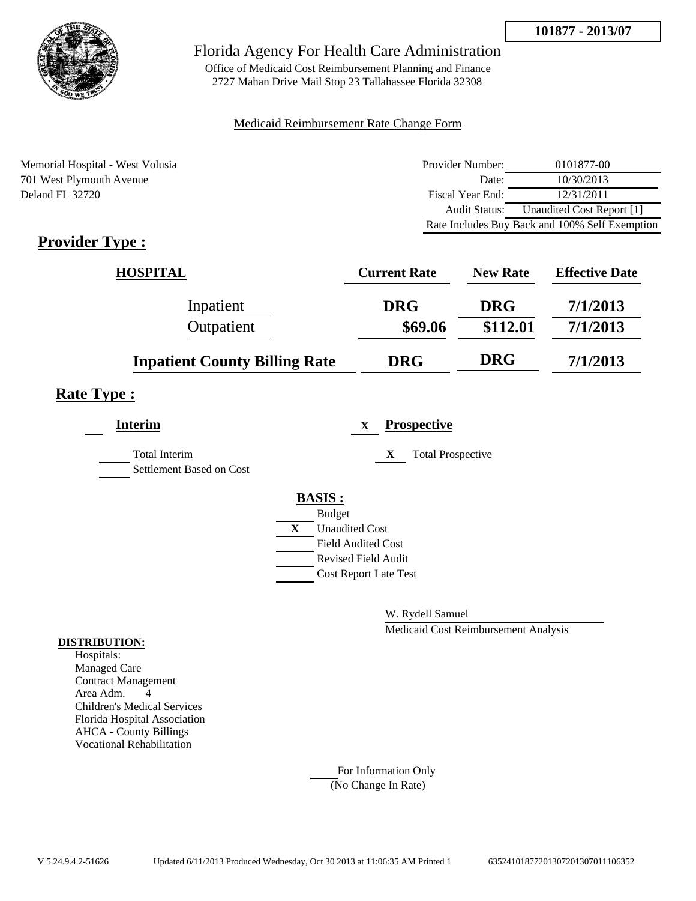

Office of Medicaid Cost Reimbursement Planning and Finance 2727 Mahan Drive Mail Stop 23 Tallahassee Florida 32308

#### Medicaid Reimbursement Rate Change Form

Memorial Hospital - West Volusia 701 West Plymouth Avenue Deland FL 32720

| Provider Number: | 0101877-00                                     |
|------------------|------------------------------------------------|
| Date:            | 10/30/2013                                     |
| Fiscal Year End: | 12/31/2011                                     |
| Audit Status:    | Unaudited Cost Report [1]                      |
|                  | Rate Includes Buy Back and 100% Self Exemption |

# **Provider Type :**

| <b>HOSPITAL</b>                      | <b>Current Rate</b> | <b>New Rate</b> | <b>Effective Date</b> |
|--------------------------------------|---------------------|-----------------|-----------------------|
| Inpatient                            | <b>DRG</b>          | <b>DRG</b>      | 7/1/2013              |
| Outpatient                           | \$69.06             | \$112.01        | 7/1/2013              |
| <b>Inpatient County Billing Rate</b> | <b>DRG</b>          | <b>DRG</b>      | 7/1/2013              |

## **Rate Type :**

| <b>Interim</b>                                   | <b>Prospective</b><br>$\mathbf{X}$ |
|--------------------------------------------------|------------------------------------|
| <b>Total Interim</b><br>Settlement Based on Cost | <b>Total Prospective</b><br>X      |
|                                                  | <b>BASIS:</b>                      |
|                                                  | <b>Budget</b>                      |
|                                                  | X<br><b>Unaudited Cost</b>         |
|                                                  | <b>Field Audited Cost</b>          |
|                                                  | <b>Revised Field Audit</b>         |
|                                                  | <b>Cost Report Late Test</b>       |
|                                                  |                                    |

W. Rydell Samuel

Medicaid Cost Reimbursement Analysis

#### **DISTRIBUTION:**

Hospitals: Managed Care Contract Management Area Adm. 4 Children's Medical Services Florida Hospital Association AHCA - County Billings Vocational Rehabilitation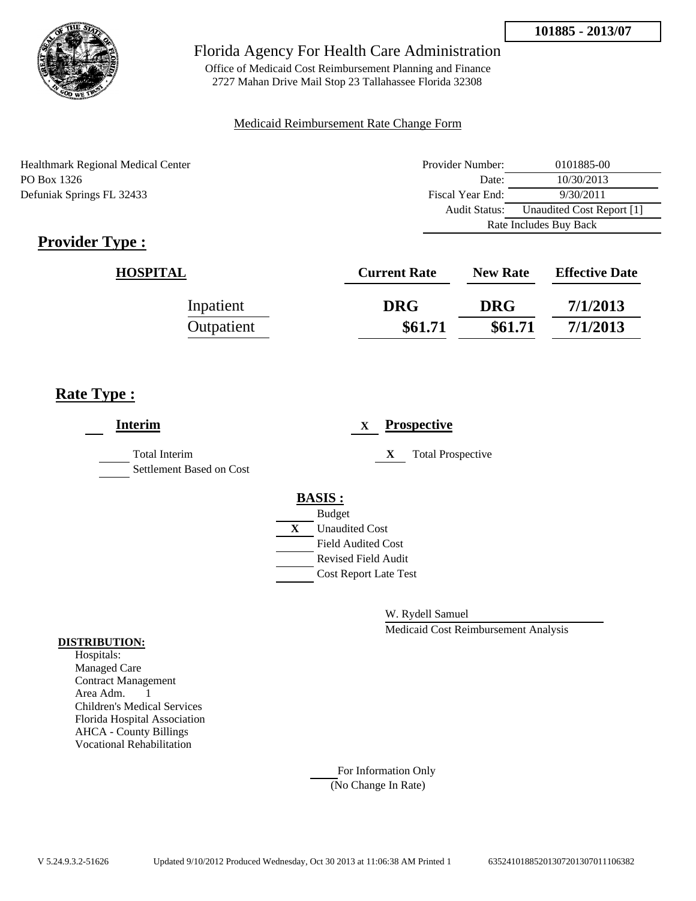

Office of Medicaid Cost Reimbursement Planning and Finance 2727 Mahan Drive Mail Stop 23 Tallahassee Florida 32308

#### Medicaid Reimbursement Rate Change Form

| <b>Healthmark Regional Medical Center</b> | Provider Number: | 0101885-00                |
|-------------------------------------------|------------------|---------------------------|
| PO Box 1326                               | Date:            | 10/30/2013                |
| Defuniak Springs FL 32433                 | Fiscal Year End: | 9/30/2011                 |
|                                           | Audit Status:    | Unaudited Cost Report [1] |
|                                           |                  | Rate Includes Buy Back    |

# **Provider Type :**

| <b>HOSPITAL</b> | <b>Current Rate</b> | <b>New Rate</b> | <b>Effective Date</b> |
|-----------------|---------------------|-----------------|-----------------------|
| Inpatient       | <b>DRG</b>          | <b>DRG</b>      | 7/1/2013              |
| Outpatient      | \$61.71             | \$61.71         | 7/1/2013              |

## **Rate Type :**

| <b>Interim</b>                                   |               | X                            |   | <b>Prospective</b>       |
|--------------------------------------------------|---------------|------------------------------|---|--------------------------|
| <b>Total Interim</b><br>Settlement Based on Cost |               |                              | X | <b>Total Prospective</b> |
|                                                  | <b>BASIS:</b> |                              |   |                          |
|                                                  | <b>Budget</b> |                              |   |                          |
|                                                  | X             | <b>Unaudited Cost</b>        |   |                          |
|                                                  |               | <b>Field Audited Cost</b>    |   |                          |
|                                                  |               | <b>Revised Field Audit</b>   |   |                          |
|                                                  |               |                              |   |                          |
|                                                  |               |                              |   |                          |
|                                                  |               | <b>Cost Report Late Test</b> |   |                          |

W. Rydell Samuel

Medicaid Cost Reimbursement Analysis

#### **DISTRIBUTION:**

Hospitals: Managed Care Contract Management Area Adm. 1 Children's Medical Services Florida Hospital Association AHCA - County Billings Vocational Rehabilitation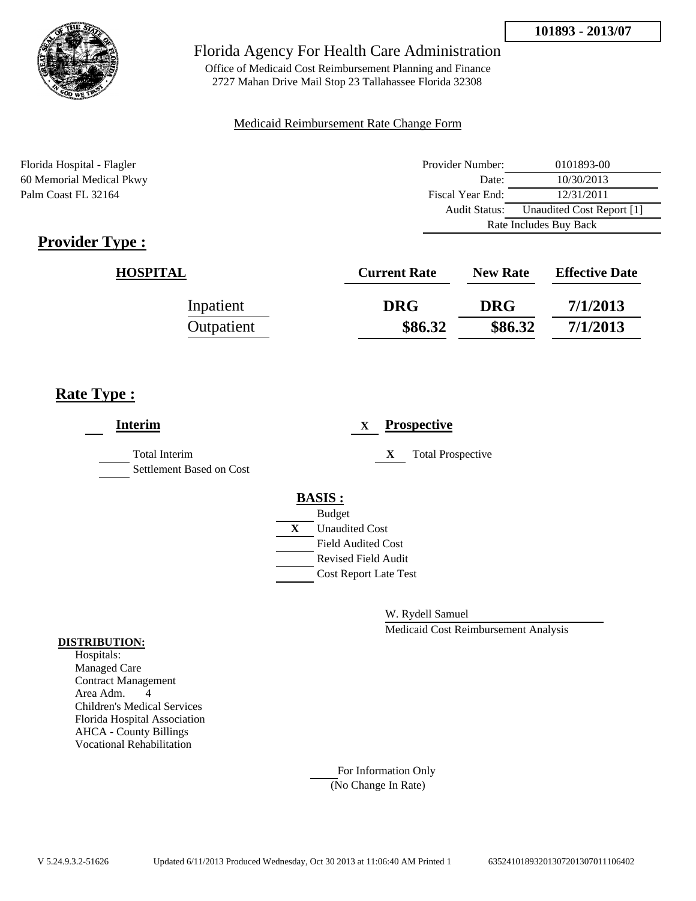

Office of Medicaid Cost Reimbursement Planning and Finance 2727 Mahan Drive Mail Stop 23 Tallahassee Florida 32308

#### Medicaid Reimbursement Rate Change Form

Florida Hospital - Flagler 60 Memorial Medical Pkwy Palm Coast FL 32164

| Provider Number:       | 0101893-00                |  |
|------------------------|---------------------------|--|
| Date:                  | 10/30/2013                |  |
| Fiscal Year End:       | 12/31/2011                |  |
| <b>Audit Status:</b>   | Unaudited Cost Report [1] |  |
| Rate Includes Buy Back |                           |  |

# **Provider Type :**

| <b>HOSPITAL</b> | <b>Current Rate</b> | <b>New Rate</b> | <b>Effective Date</b> |
|-----------------|---------------------|-----------------|-----------------------|
| Inpatient       | <b>DRG</b>          | <b>DRG</b>      | 7/1/2013              |
| Outpatient      | \$86.32             | \$86.32         | 7/1/2013              |

## **Rate Type :**

| <b>Interim</b>                                   | <b>Prospective</b><br>$\mathbf{X}$ |
|--------------------------------------------------|------------------------------------|
| <b>Total Interim</b><br>Settlement Based on Cost | <b>Total Prospective</b><br>X      |
|                                                  | <b>BASIS:</b>                      |
|                                                  | <b>Budget</b>                      |
|                                                  | X<br><b>Unaudited Cost</b>         |
|                                                  | <b>Field Audited Cost</b>          |
|                                                  | <b>Revised Field Audit</b>         |
|                                                  | <b>Cost Report Late Test</b>       |
|                                                  |                                    |
|                                                  |                                    |

W. Rydell Samuel

Medicaid Cost Reimbursement Analysis

#### **DISTRIBUTION:**

Hospitals: Managed Care Contract Management Area Adm. 4 Children's Medical Services Florida Hospital Association AHCA - County Billings Vocational Rehabilitation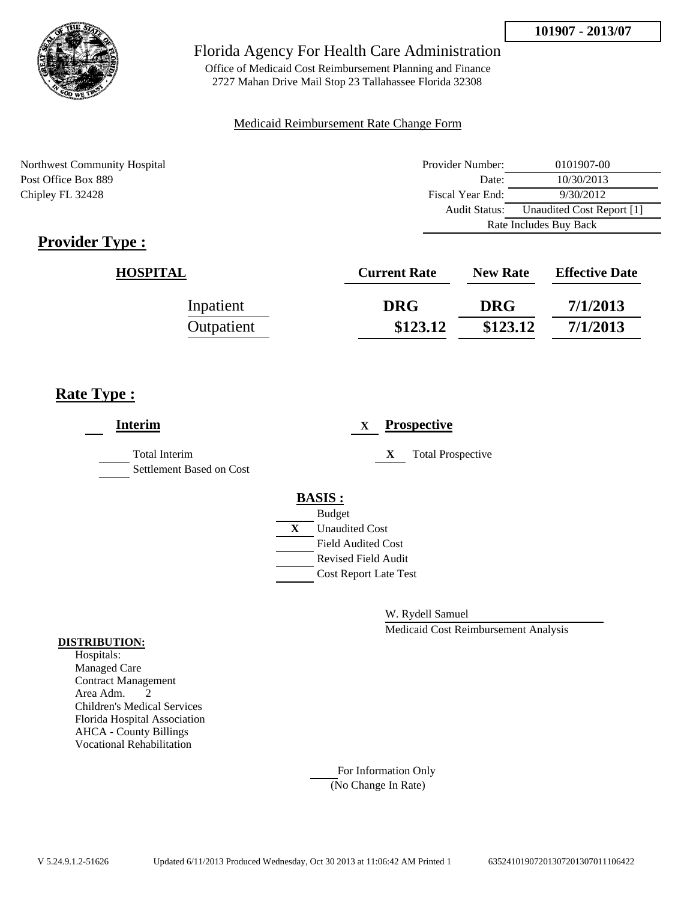

Office of Medicaid Cost Reimbursement Planning and Finance 2727 Mahan Drive Mail Stop 23 Tallahassee Florida 32308

#### Medicaid Reimbursement Rate Change Form

Northwest Community Hospital Post Office Box 889 Chipley FL 32428

| Provider Number:       | 0101907-00                |  |
|------------------------|---------------------------|--|
| Date:                  | 10/30/2013                |  |
| Fiscal Year End:       | 9/30/2012                 |  |
| <b>Audit Status:</b>   | Unaudited Cost Report [1] |  |
| Rate Includes Buy Back |                           |  |

# **Provider Type :**

| <b>HOSPITAL</b> | <b>Current Rate</b> | <b>New Rate</b> | <b>Effective Date</b> |
|-----------------|---------------------|-----------------|-----------------------|
| Inpatient       | <b>DRG</b>          | <b>DRG</b>      | 7/1/2013              |
| Outpatient      | \$123.12            | \$123.12        | 7/1/2013              |

## **Rate Type :**

| <b>Interim</b>                                   | <b>Prospective</b><br>X       |
|--------------------------------------------------|-------------------------------|
| <b>Total Interim</b><br>Settlement Based on Cost | <b>Total Prospective</b><br>X |
|                                                  | <b>BASIS:</b>                 |
|                                                  | <b>Budget</b>                 |
|                                                  | X<br><b>Unaudited Cost</b>    |
|                                                  | Field Audited Cost            |
|                                                  | Revised Field Audit           |
|                                                  | <b>Cost Report Late Test</b>  |
|                                                  |                               |

W. Rydell Samuel

Medicaid Cost Reimbursement Analysis

#### **DISTRIBUTION:**

Hospitals: Managed Care Contract Management Area Adm. 2 Children's Medical Services Florida Hospital Association AHCA - County Billings Vocational Rehabilitation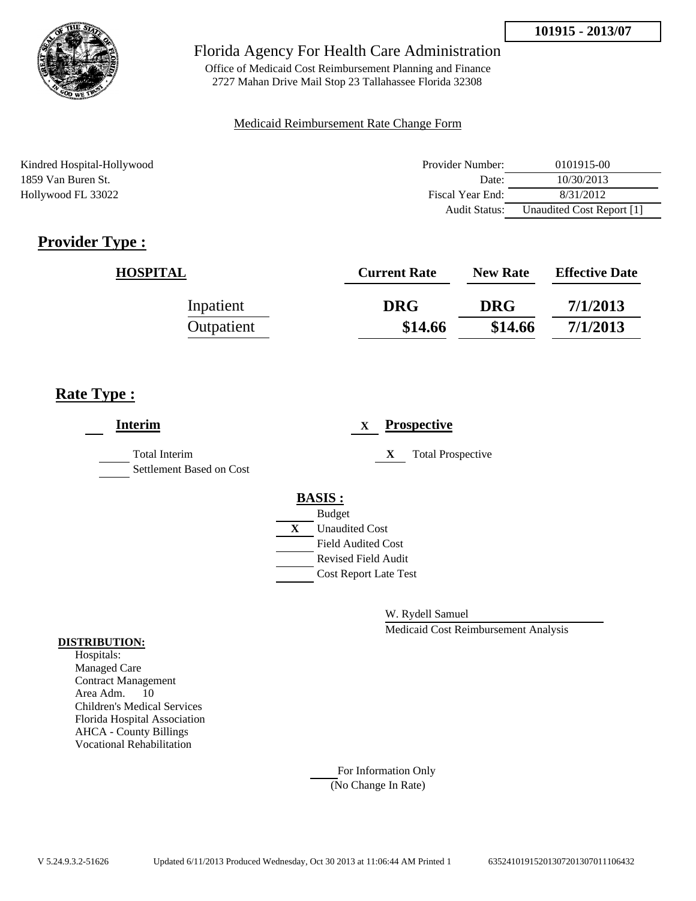

Office of Medicaid Cost Reimbursement Planning and Finance 2727 Mahan Drive Mail Stop 23 Tallahassee Florida 32308

#### Medicaid Reimbursement Rate Change Form

Kindred Hospital-Hollywood 1859 Van Buren St. Hollywood FL 33022

| Provider Number: | 0101915-00                |
|------------------|---------------------------|
| Date:            | 10/30/2013                |
| Fiscal Year End: | 8/31/2012                 |
| Audit Status:    | Unaudited Cost Report [1] |

# **Provider Type :**

| <b>HOSPITAL</b> | <b>Current Rate</b> | <b>New Rate</b> | <b>Effective Date</b> |
|-----------------|---------------------|-----------------|-----------------------|
| Inpatient       | <b>DRG</b>          | <b>DRG</b>      | 7/1/2013              |
| Outpatient      | \$14.66             | \$14.66         | 7/1/2013              |

## **Rate Type :**

| <b>Interim</b>                                   | <b>Prospective</b><br>X       |
|--------------------------------------------------|-------------------------------|
| <b>Total Interim</b><br>Settlement Based on Cost | X<br><b>Total Prospective</b> |
|                                                  | <b>BASIS:</b>                 |
|                                                  | <b>Budget</b>                 |
|                                                  | X<br><b>Unaudited Cost</b>    |
|                                                  | <b>Field Audited Cost</b>     |
|                                                  | <b>Revised Field Audit</b>    |
|                                                  | <b>Cost Report Late Test</b>  |
|                                                  |                               |

W. Rydell Samuel

Medicaid Cost Reimbursement Analysis

#### **DISTRIBUTION:**

Hospitals: Managed Care Contract Management Area Adm. 10 Children's Medical Services Florida Hospital Association AHCA - County Billings Vocational Rehabilitation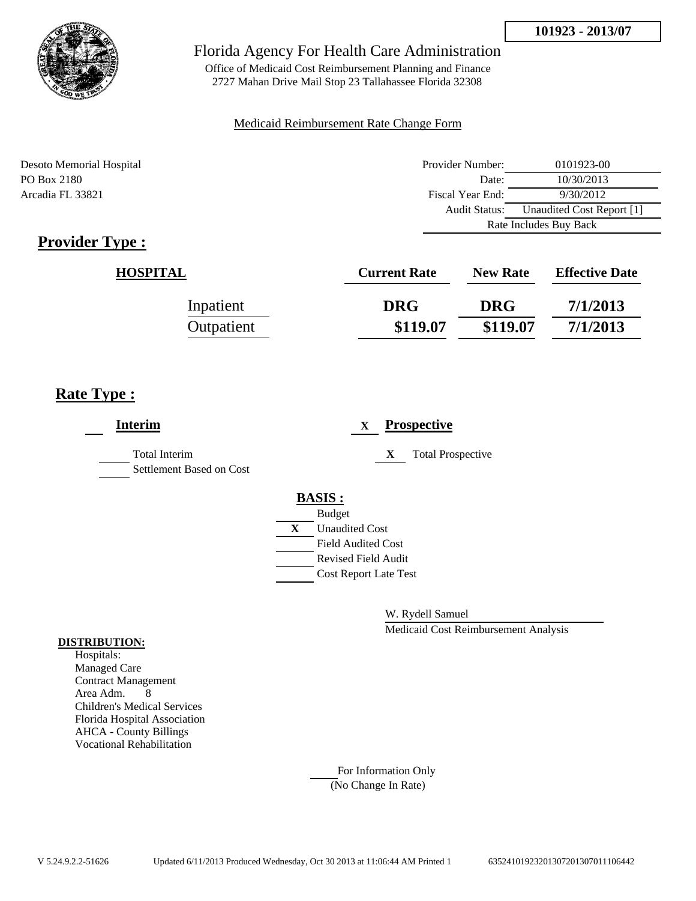

Office of Medicaid Cost Reimbursement Planning and Finance 2727 Mahan Drive Mail Stop 23 Tallahassee Florida 32308

#### Medicaid Reimbursement Rate Change Form

| Desoto Memorial Hospital | Provider Number: | 0101923-00                |
|--------------------------|------------------|---------------------------|
| PO Box 2180              | Date:            | 10/30/2013                |
| Arcadia FL 33821         | Fiscal Year End: | 9/30/2012                 |
|                          | Audit Status:    | Unaudited Cost Report [1] |
|                          |                  | Rate Includes Buy Back    |

## **Provider Type :**

| <b>HOSPITAL</b> | <b>Current Rate</b> | <b>New Rate</b> | <b>Effective Date</b> |
|-----------------|---------------------|-----------------|-----------------------|
| Inpatient       | <b>DRG</b>          | <b>DRG</b>      | 7/1/2013              |
| Outpatient      | \$119.07            | \$119.07        | 7/1/2013              |

## **Rate Type :**

| <b>Interim</b>                                   | <b>Prospective</b><br>$\mathbf{X}$                                                                                                                          |
|--------------------------------------------------|-------------------------------------------------------------------------------------------------------------------------------------------------------------|
| <b>Total Interim</b><br>Settlement Based on Cost | <b>Total Prospective</b><br>X                                                                                                                               |
|                                                  | <b>BASIS:</b><br><b>Budget</b><br>$\mathbf{X}$<br><b>Unaudited Cost</b><br><b>Field Audited Cost</b><br>Revised Field Audit<br><b>Cost Report Late Test</b> |

W. Rydell Samuel

Medicaid Cost Reimbursement Analysis

#### **DISTRIBUTION:**

Hospitals: Managed Care Contract Management Area Adm. 8 Children's Medical Services Florida Hospital Association AHCA - County Billings Vocational Rehabilitation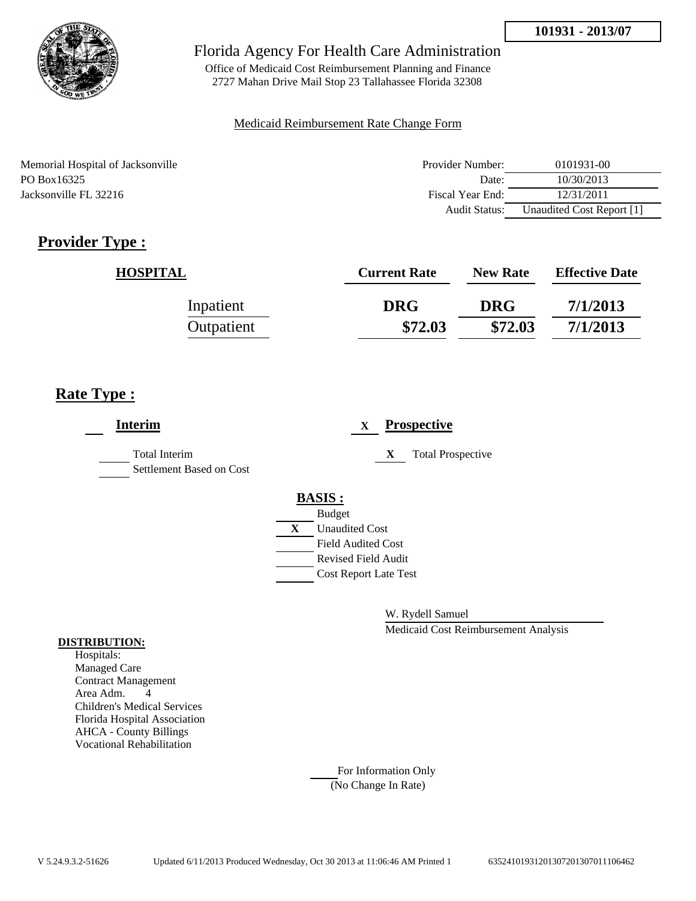

Office of Medicaid Cost Reimbursement Planning and Finance 2727 Mahan Drive Mail Stop 23 Tallahassee Florida 32308

#### Medicaid Reimbursement Rate Change Form

| Memorial Hospital of Jacksonville | Provider Number: | 0101931-00                |
|-----------------------------------|------------------|---------------------------|
| PO Box 16325                      | Date:            | 10/30/2013                |
| Jacksonville FL 32216             | Fiscal Year End: | 12/31/2011                |
|                                   | Audit Status:    | Unaudited Cost Report [1] |

# **Provider Type :**

| <b>HOSPITAL</b> | <b>Current Rate</b> | <b>New Rate</b> | <b>Effective Date</b> |
|-----------------|---------------------|-----------------|-----------------------|
| Inpatient       | <b>DRG</b>          | <b>DRG</b>      | 7/1/2013              |
| Outpatient      | \$72.03             | \$72.03         | 7/1/2013              |

## **Rate Type :**

| <b>Interim</b>                            |   |                              | X |   | <b>Prospective</b>       |
|-------------------------------------------|---|------------------------------|---|---|--------------------------|
| Total Interim<br>Settlement Based on Cost |   |                              |   | X | <b>Total Prospective</b> |
|                                           |   | <b>BASIS:</b>                |   |   |                          |
|                                           |   | <b>Budget</b>                |   |   |                          |
|                                           | X | <b>Unaudited Cost</b>        |   |   |                          |
|                                           |   | <b>Field Audited Cost</b>    |   |   |                          |
|                                           |   | <b>Revised Field Audit</b>   |   |   |                          |
|                                           |   | <b>Cost Report Late Test</b> |   |   |                          |
|                                           |   |                              |   |   |                          |

W. Rydell Samuel

Medicaid Cost Reimbursement Analysis

#### **DISTRIBUTION:**

Hospitals: Managed Care Contract Management Area Adm. 4 Children's Medical Services Florida Hospital Association AHCA - County Billings Vocational Rehabilitation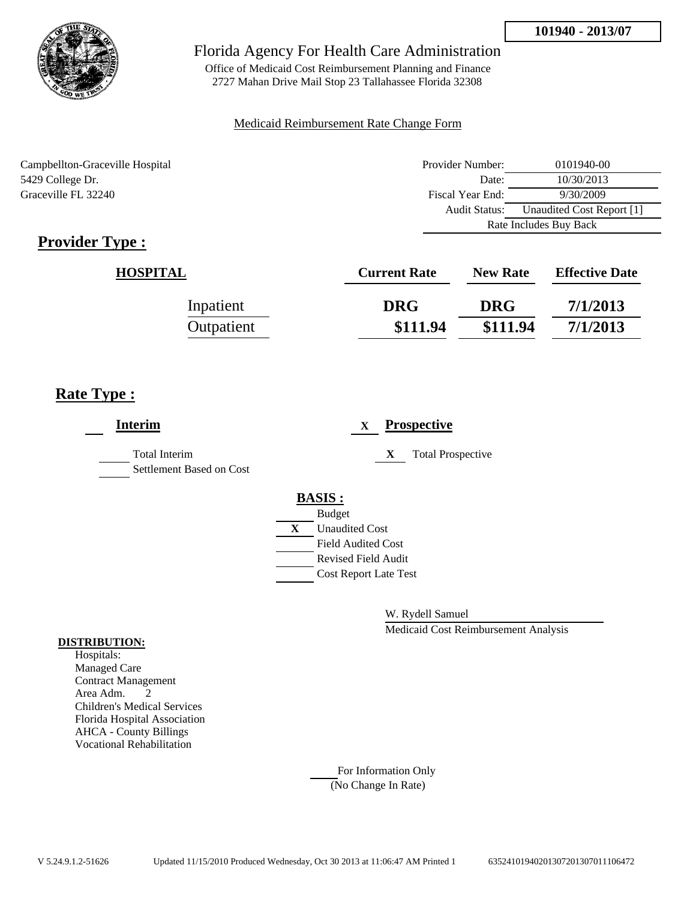

Office of Medicaid Cost Reimbursement Planning and Finance 2727 Mahan Drive Mail Stop 23 Tallahassee Florida 32308

#### Medicaid Reimbursement Rate Change Form

Campbellton-Graceville Hospital 5429 College Dr. Graceville FL 32240

| Provider Number:                                  | 0101940-00 |  |
|---------------------------------------------------|------------|--|
| Date:                                             | 10/30/2013 |  |
| Fiscal Year End:                                  | 9/30/2009  |  |
| Unaudited Cost Report [1]<br><b>Audit Status:</b> |            |  |
| Rate Includes Buy Back                            |            |  |

# **Provider Type :**

| <b>HOSPITAL</b> | <b>Current Rate</b> | <b>New Rate</b> | <b>Effective Date</b> |
|-----------------|---------------------|-----------------|-----------------------|
| Inpatient       | <b>DRG</b>          | <b>DRG</b>      | 7/1/2013              |
| Outpatient      | \$111.94            | \$111.94        | 7/1/2013              |

## **Rate Type :**

| <b>Interim</b>                                   | <b>Prospective</b><br>X                                            |
|--------------------------------------------------|--------------------------------------------------------------------|
| <b>Total Interim</b><br>Settlement Based on Cost | <b>Total Prospective</b><br>X                                      |
|                                                  | <b>BASIS:</b><br><b>Budget</b>                                     |
|                                                  | $\mathbf{X}$<br><b>Unaudited Cost</b><br><b>Field Audited Cost</b> |
|                                                  | <b>Revised Field Audit</b><br><b>Cost Report Late Test</b>         |
|                                                  |                                                                    |

W. Rydell Samuel

Medicaid Cost Reimbursement Analysis

#### **DISTRIBUTION:**

Hospitals: Managed Care Contract Management Area Adm. 2 Children's Medical Services Florida Hospital Association AHCA - County Billings Vocational Rehabilitation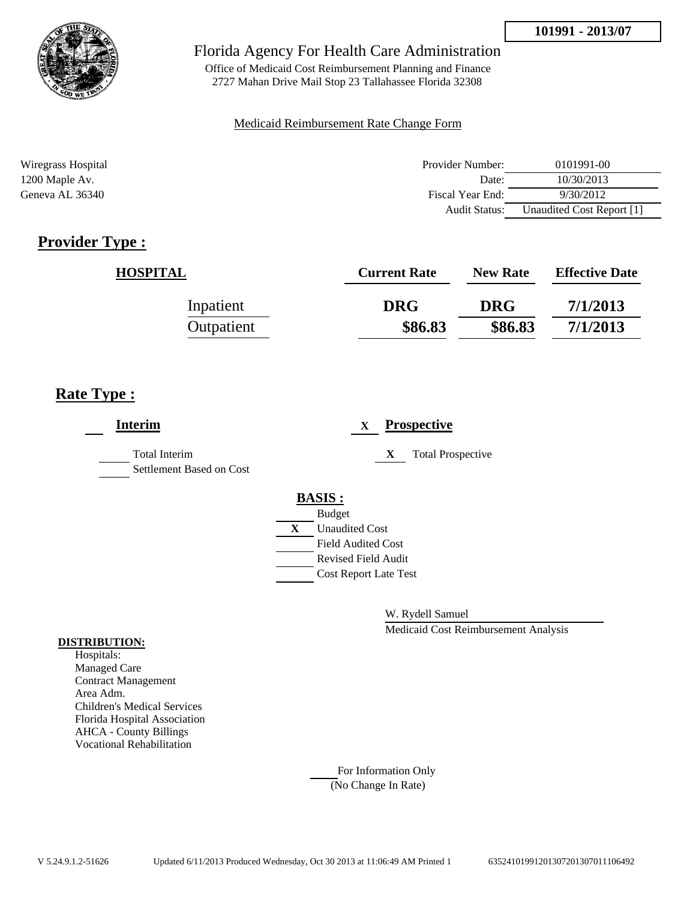

Office of Medicaid Cost Reimbursement Planning and Finance 2727 Mahan Drive Mail Stop 23 Tallahassee Florida 32308

#### Medicaid Reimbursement Rate Change Form

| Wiregrass Hospital | Provider Number:     | 0101991-00                |
|--------------------|----------------------|---------------------------|
| 1200 Maple Av.     | Date:                | 10/30/2013                |
| Geneva AL 36340    | Fiscal Year End:     | 9/30/2012                 |
|                    | <b>Audit Status:</b> | Unaudited Cost Report [1] |

# **Provider Type :**

| <b>HOSPITAL</b> | <b>Current Rate</b> | <b>New Rate</b> | <b>Effective Date</b> |
|-----------------|---------------------|-----------------|-----------------------|
| Inpatient       | <b>DRG</b>          | <b>DRG</b>      | 7/1/2013              |
| Outpatient      | \$86.83             | \$86.83         | 7/1/2013              |

## **Rate Type :**

| Interim                                          | <b>Prospective</b><br>$\mathbf{X}$                                                                                                                          |
|--------------------------------------------------|-------------------------------------------------------------------------------------------------------------------------------------------------------------|
| <b>Total Interim</b><br>Settlement Based on Cost | <b>Total Prospective</b><br>X                                                                                                                               |
|                                                  | <b>BASIS:</b><br><b>Budget</b><br>$\mathbf{X}$<br><b>Unaudited Cost</b><br>Field Audited Cost<br><b>Revised Field Audit</b><br><b>Cost Report Late Test</b> |

W. Rydell Samuel

Medicaid Cost Reimbursement Analysis

#### **DISTRIBUTION:**

Hospitals: Managed Care Contract Management Area Adm. Children's Medical Services Florida Hospital Association AHCA - County Billings Vocational Rehabilitation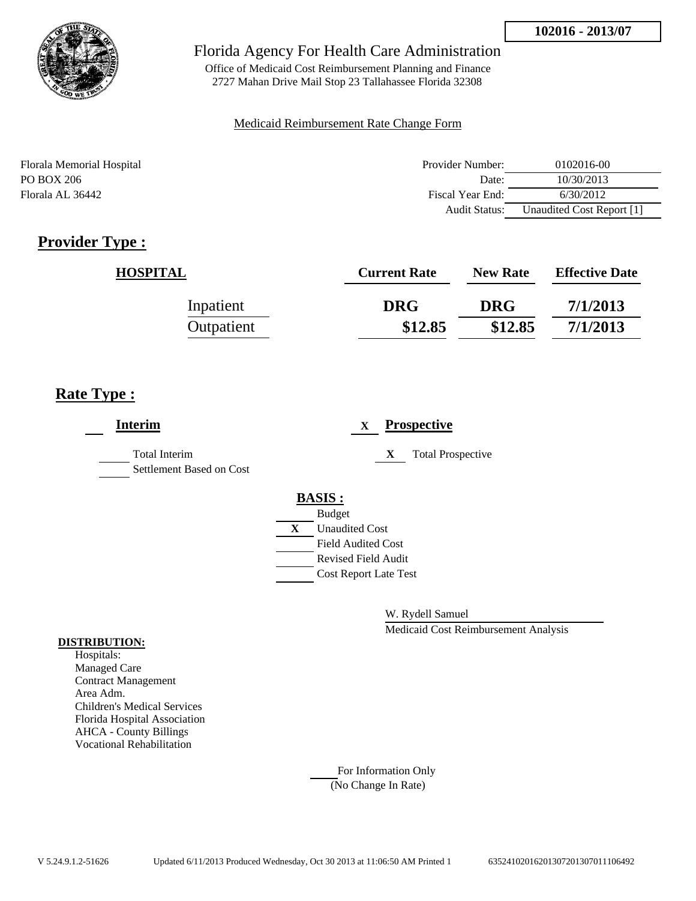

Office of Medicaid Cost Reimbursement Planning and Finance 2727 Mahan Drive Mail Stop 23 Tallahassee Florida 32308

#### Medicaid Reimbursement Rate Change Form

| Florala Memorial Hospital | Provider Number:     | 0102016-00                |
|---------------------------|----------------------|---------------------------|
| PO BOX 206                | Date:                | 10/30/2013                |
| Florala AL 36442          | Fiscal Year End:     | 6/30/2012                 |
|                           | <b>Audit Status:</b> | Unaudited Cost Report [1] |

## **Provider Type :**

| <b>HOSPITAL</b> | <b>Current Rate</b> | <b>New Rate</b> | <b>Effective Date</b> |
|-----------------|---------------------|-----------------|-----------------------|
| Inpatient       | <b>DRG</b>          | <b>DRG</b>      | 7/1/2013              |
| Outpatient      | \$12.85             | \$12.85         | 7/1/2013              |

## **Rate Type :**

| <b>Interim</b>                                   | <b>Prospective</b><br>X       |
|--------------------------------------------------|-------------------------------|
| <b>Total Interim</b><br>Settlement Based on Cost | X<br><b>Total Prospective</b> |
|                                                  | <b>BASIS:</b>                 |
|                                                  | <b>Budget</b>                 |
|                                                  | <b>Unaudited Cost</b><br>X    |
|                                                  | <b>Field Audited Cost</b>     |
|                                                  | <b>Revised Field Audit</b>    |
|                                                  | <b>Cost Report Late Test</b>  |
|                                                  |                               |
|                                                  |                               |

W. Rydell Samuel

Medicaid Cost Reimbursement Analysis

#### **DISTRIBUTION:**

Hospitals: Managed Care Contract Management Area Adm. Children's Medical Services Florida Hospital Association AHCA - County Billings Vocational Rehabilitation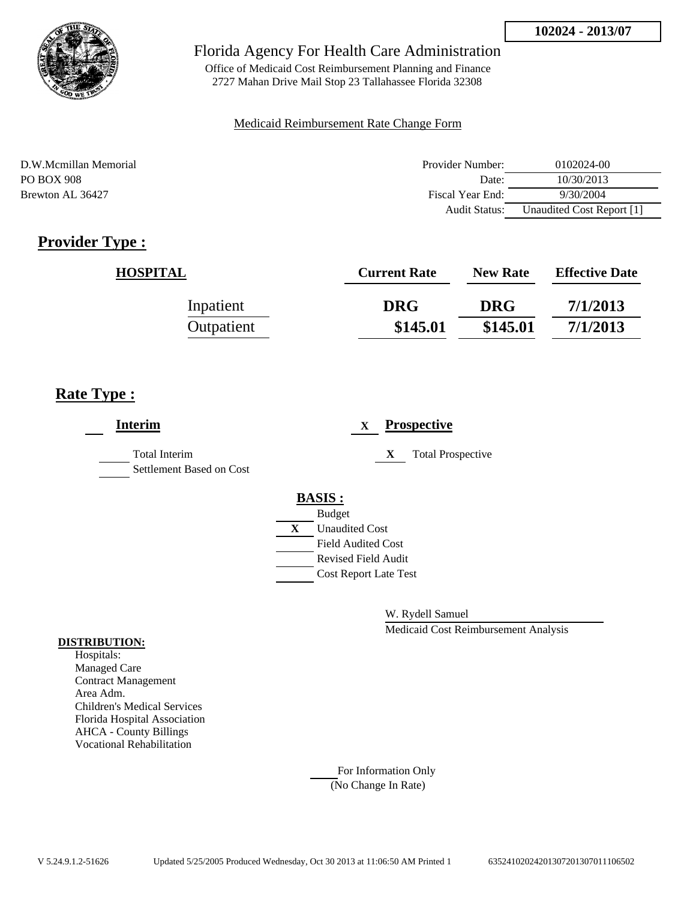

Office of Medicaid Cost Reimbursement Planning and Finance 2727 Mahan Drive Mail Stop 23 Tallahassee Florida 32308

#### Medicaid Reimbursement Rate Change Form

D.W.Mcmillan Memorial Provider Number: 0102024-00 PO BOX 908 Date: 10/30/2013 Brewton AL 36427 Fiscal Year End: 9/30/2004 Audit Status: Unaudited Cost Report [1]

## **Provider Type :**

| <b>HOSPITAL</b> | <b>Current Rate</b> | <b>New Rate</b> | <b>Effective Date</b> |
|-----------------|---------------------|-----------------|-----------------------|
| Inpatient       | <b>DRG</b>          | <b>DRG</b>      | 7/1/2013              |
| Outpatient      | \$145.01            | \$145.01        | 7/1/2013              |

## **Rate Type :**

| <b>Interim</b>                            | <b>Prospective</b><br>X                     |
|-------------------------------------------|---------------------------------------------|
| Total Interim<br>Settlement Based on Cost | <b>Total Prospective</b><br>X               |
|                                           | <b>BASIS:</b>                               |
|                                           | <b>Budget</b><br>X<br><b>Unaudited Cost</b> |
|                                           | <b>Field Audited Cost</b>                   |
|                                           | <b>Revised Field Audit</b>                  |
|                                           | <b>Cost Report Late Test</b>                |
|                                           |                                             |

W. Rydell Samuel

Medicaid Cost Reimbursement Analysis

#### **DISTRIBUTION:**

Hospitals: Managed Care Contract Management Area Adm. Children's Medical Services Florida Hospital Association AHCA - County Billings Vocational Rehabilitation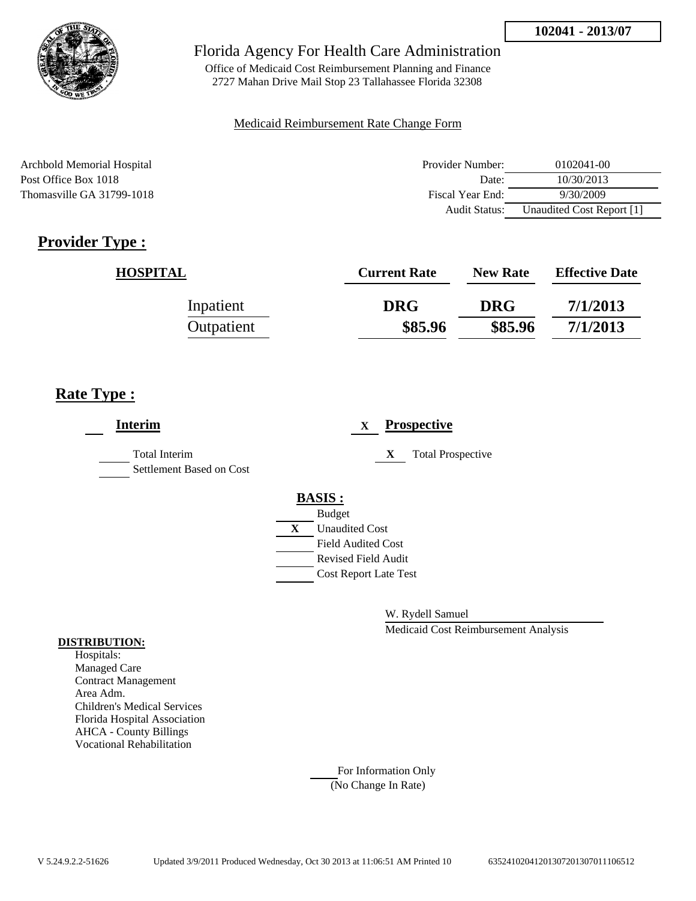

Office of Medicaid Cost Reimbursement Planning and Finance 2727 Mahan Drive Mail Stop 23 Tallahassee Florida 32308

#### Medicaid Reimbursement Rate Change Form

Archbold Memorial Hospital Post Office Box 1018 Thomasville GA 31799-1018

| Provider Number:     | 0102041-00                |
|----------------------|---------------------------|
| Date:                | 10/30/2013                |
| Fiscal Year End:     | 9/30/2009                 |
| <b>Audit Status:</b> | Unaudited Cost Report [1] |

# **Provider Type :**

| <b>HOSPITAL</b> | <b>Current Rate</b> | <b>New Rate</b> | <b>Effective Date</b> |
|-----------------|---------------------|-----------------|-----------------------|
| Inpatient       | <b>DRG</b>          | <b>DRG</b>      | 7/1/2013              |
| Outpatient      | \$85.96             | \$85.96         | 7/1/2013              |

## **Rate Type :**

| <b>Interim</b>                                   |   |                                        | X |   | <b>Prospective</b>       |
|--------------------------------------------------|---|----------------------------------------|---|---|--------------------------|
| <b>Total Interim</b><br>Settlement Based on Cost |   |                                        |   | X | <b>Total Prospective</b> |
|                                                  |   | <b>BASIS:</b>                          |   |   |                          |
|                                                  | X | <b>Budget</b><br><b>Unaudited Cost</b> |   |   |                          |
|                                                  |   | <b>Field Audited Cost</b>              |   |   |                          |
|                                                  |   | <b>Revised Field Audit</b>             |   |   |                          |
|                                                  |   | <b>Cost Report Late Test</b>           |   |   |                          |
|                                                  |   |                                        |   |   |                          |

W. Rydell Samuel

Medicaid Cost Reimbursement Analysis

#### **DISTRIBUTION:**

Hospitals: Managed Care Contract Management Area Adm. Children's Medical Services Florida Hospital Association AHCA - County Billings Vocational Rehabilitation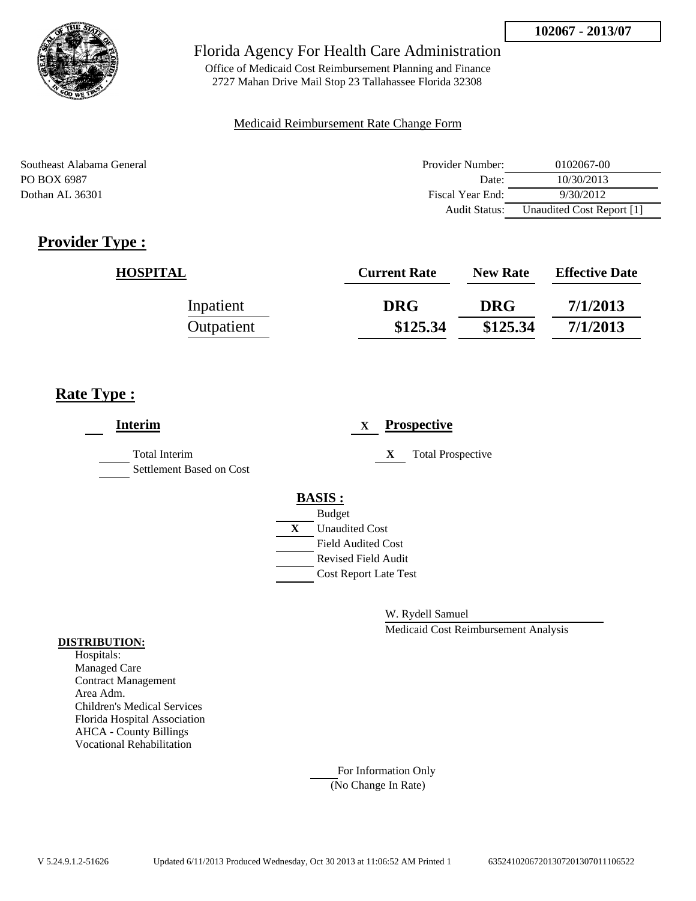

Office of Medicaid Cost Reimbursement Planning and Finance 2727 Mahan Drive Mail Stop 23 Tallahassee Florida 32308

#### Medicaid Reimbursement Rate Change Form

Southeast Alabama General **Provider Number:** 0102067-00 PO BOX 6987 Date: 10/30/2013 Dothan AL 36301 **Fiscal Year End:** 9/30/2012 Audit Status: Unaudited Cost Report [1]

## **Provider Type :**

| <b>HOSPITAL</b> | <b>Current Rate</b> | <b>New Rate</b> | <b>Effective Date</b> |
|-----------------|---------------------|-----------------|-----------------------|
| Inpatient       | <b>DRG</b>          | <b>DRG</b>      | 7/1/2013              |
| Outpatient      | \$125.34            | \$125.34        | 7/1/2013              |

## **Rate Type :**

| <b>Interim</b>                                   | <b>Prospective</b><br>X                                 |
|--------------------------------------------------|---------------------------------------------------------|
| <b>Total Interim</b><br>Settlement Based on Cost | X<br><b>Total Prospective</b>                           |
|                                                  | <b>BASIS:</b><br><b>Budget</b>                          |
|                                                  | <b>Unaudited Cost</b><br>X                              |
|                                                  | <b>Field Audited Cost</b><br><b>Revised Field Audit</b> |
|                                                  | <b>Cost Report Late Test</b>                            |
|                                                  |                                                         |

W. Rydell Samuel

Medicaid Cost Reimbursement Analysis

#### **DISTRIBUTION:**

Hospitals: Managed Care Contract Management Area Adm. Children's Medical Services Florida Hospital Association AHCA - County Billings Vocational Rehabilitation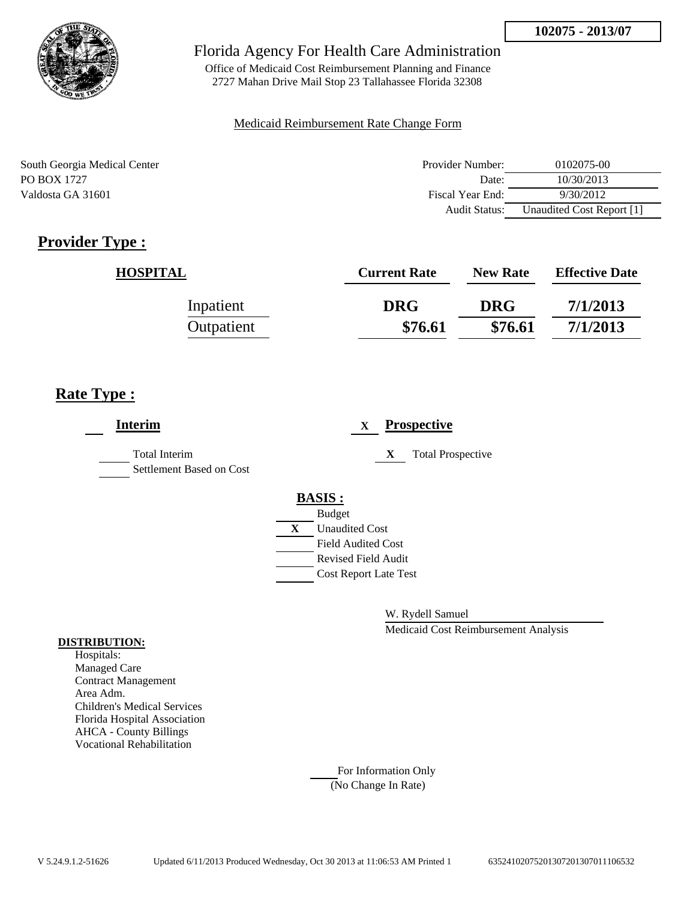

Office of Medicaid Cost Reimbursement Planning and Finance 2727 Mahan Drive Mail Stop 23 Tallahassee Florida 32308

#### Medicaid Reimbursement Rate Change Form

South Georgia Medical Center PO BOX 1727 Valdosta GA 31601

| Provider Number: | 0102075-00                |
|------------------|---------------------------|
| Date:            | 10/30/2013                |
| Fiscal Year End: | 9/30/2012                 |
| Audit Status:    | Unaudited Cost Report [1] |

# **Provider Type :**

| <b>HOSPITAL</b> | <b>Current Rate</b> | <b>New Rate</b> | <b>Effective Date</b> |
|-----------------|---------------------|-----------------|-----------------------|
| Inpatient       | <b>DRG</b>          | <b>DRG</b>      | 7/1/2013              |
| Outpatient      | \$76.61             | \$76.61         | 7/1/2013              |

## **Rate Type :**

| <b>Interim</b>                                   | <b>Prospective</b><br>$\mathbf X$                                                                                                                       |
|--------------------------------------------------|---------------------------------------------------------------------------------------------------------------------------------------------------------|
| <b>Total Interim</b><br>Settlement Based on Cost | X<br><b>Total Prospective</b>                                                                                                                           |
|                                                  | <b>BASIS:</b><br><b>Budget</b><br>X<br><b>Unaudited Cost</b><br><b>Field Audited Cost</b><br><b>Revised Field Audit</b><br><b>Cost Report Late Test</b> |

W. Rydell Samuel

Medicaid Cost Reimbursement Analysis

#### **DISTRIBUTION:**

Hospitals: Managed Care Contract Management Area Adm. Children's Medical Services Florida Hospital Association AHCA - County Billings Vocational Rehabilitation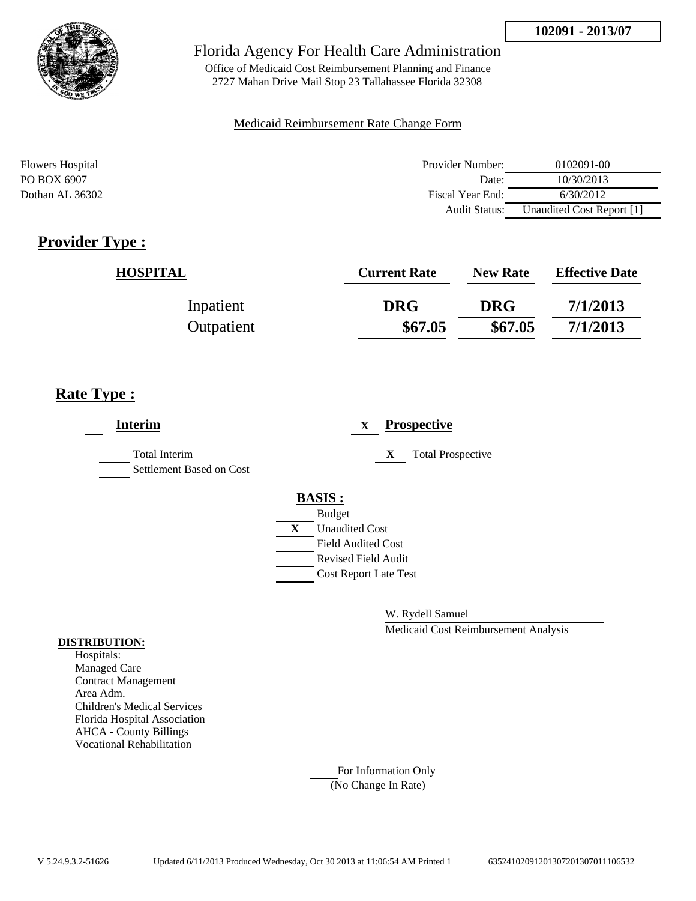

Office of Medicaid Cost Reimbursement Planning and Finance 2727 Mahan Drive Mail Stop 23 Tallahassee Florida 32308

#### Medicaid Reimbursement Rate Change Form

| <b>Flowers Hospital</b> | Provider Number:     | 0102091-00                |
|-------------------------|----------------------|---------------------------|
| PO BOX 6907             | Date:                | 10/30/2013                |
| Dothan AL 36302         | Fiscal Year End:     | 6/30/2012                 |
|                         | <b>Audit Status:</b> | Unaudited Cost Report [1] |

## **Provider Type :**

| <b>HOSPITAL</b> | <b>Current Rate</b> | <b>New Rate</b> | <b>Effective Date</b> |
|-----------------|---------------------|-----------------|-----------------------|
| Inpatient       | <b>DRG</b>          | <b>DRG</b>      | 7/1/2013              |
| Outpatient      | \$67.05             | \$67.05         | 7/1/2013              |

## **Rate Type :**

| <b>Interim</b>                                   |   |                              | X |   | <b>Prospective</b>       |
|--------------------------------------------------|---|------------------------------|---|---|--------------------------|
| <b>Total Interim</b><br>Settlement Based on Cost |   |                              |   | X | <b>Total Prospective</b> |
|                                                  |   | <b>BASIS:</b>                |   |   |                          |
|                                                  |   | <b>Budget</b>                |   |   |                          |
|                                                  | X | <b>Unaudited Cost</b>        |   |   |                          |
|                                                  |   | Field Audited Cost           |   |   |                          |
|                                                  |   | <b>Revised Field Audit</b>   |   |   |                          |
|                                                  |   | <b>Cost Report Late Test</b> |   |   |                          |
|                                                  |   |                              |   |   |                          |
|                                                  |   |                              |   |   |                          |

W. Rydell Samuel

Medicaid Cost Reimbursement Analysis

#### **DISTRIBUTION:**

Hospitals: Managed Care Contract Management Area Adm. Children's Medical Services Florida Hospital Association AHCA - County Billings Vocational Rehabilitation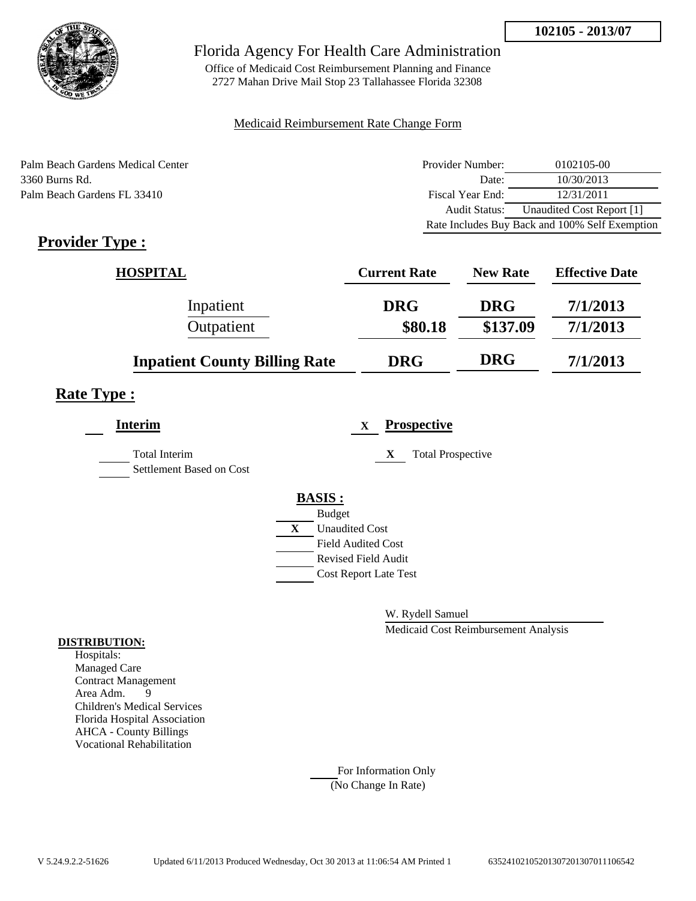

Office of Medicaid Cost Reimbursement Planning and Finance 2727 Mahan Drive Mail Stop 23 Tallahassee Florida 32308

#### Medicaid Reimbursement Rate Change Form

Palm Beach Gardens Medical Center 3360 Burns Rd. Palm Beach Gardens FL 33410

| Provider Number: | 0102105-00                                     |
|------------------|------------------------------------------------|
| Date:            | 10/30/2013                                     |
| Fiscal Year End: | 12/31/2011                                     |
| Audit Status:    | Unaudited Cost Report [1]                      |
|                  | Rate Includes Buy Back and 100% Self Exemption |

# **Provider Type :**

| <b>HOSPITAL</b>                      | <b>Current Rate</b> | <b>New Rate</b> | <b>Effective Date</b> |
|--------------------------------------|---------------------|-----------------|-----------------------|
| Inpatient                            | <b>DRG</b>          | <b>DRG</b>      | 7/1/2013              |
| Outpatient                           | \$80.18             | \$137.09        | 7/1/2013              |
| <b>Inpatient County Billing Rate</b> | <b>DRG</b>          | <b>DRG</b>      | 7/1/2013              |

## **Rate Type :**

| <b>Interim</b>                                   | <b>Prospective</b><br>$\mathbf{X}$ |  |
|--------------------------------------------------|------------------------------------|--|
| <b>Total Interim</b><br>Settlement Based on Cost | <b>Total Prospective</b><br>X      |  |
|                                                  | <b>BASIS:</b>                      |  |
|                                                  | <b>Budget</b>                      |  |
|                                                  | X<br><b>Unaudited Cost</b>         |  |
|                                                  | <b>Field Audited Cost</b>          |  |
|                                                  | <b>Revised Field Audit</b>         |  |
|                                                  | <b>Cost Report Late Test</b>       |  |
|                                                  |                                    |  |

W. Rydell Samuel

Medicaid Cost Reimbursement Analysis

#### **DISTRIBUTION:**

Hospitals: Managed Care Contract Management Area Adm. 9 Children's Medical Services Florida Hospital Association AHCA - County Billings Vocational Rehabilitation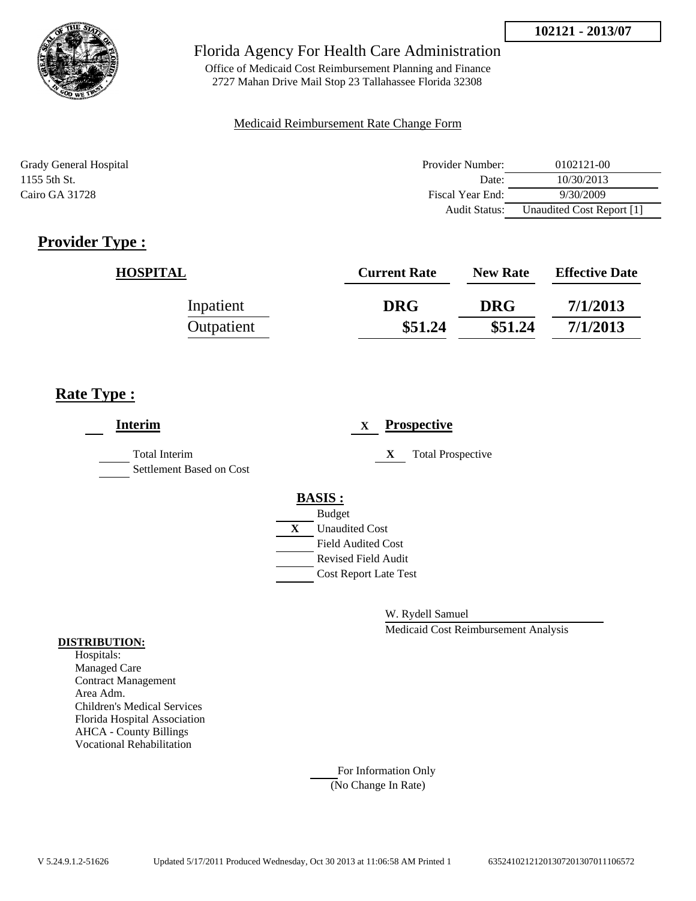

Office of Medicaid Cost Reimbursement Planning and Finance 2727 Mahan Drive Mail Stop 23 Tallahassee Florida 32308

#### Medicaid Reimbursement Rate Change Form

| Grady General Hospital | Provider Number:     | 0102121-00                |
|------------------------|----------------------|---------------------------|
| 1155 5th St.           | Date:                | 10/30/2013                |
| Cairo GA 31728         | Fiscal Year End:     | 9/30/2009                 |
|                        | <b>Audit Status:</b> | Unaudited Cost Report [1] |

## **Provider Type :**

| <b>HOSPITAL</b> | <b>Current Rate</b> | <b>New Rate</b> | <b>Effective Date</b> |
|-----------------|---------------------|-----------------|-----------------------|
| Inpatient       | <b>DRG</b>          | <b>DRG</b>      | 7/1/2013              |
| Outpatient      | \$51.24             | \$51.24         | 7/1/2013              |

## **Rate Type :**

| <b>Interim</b>                            | <b>Prospective</b><br>X       |
|-------------------------------------------|-------------------------------|
| Total Interim<br>Settlement Based on Cost | X<br><b>Total Prospective</b> |
|                                           | <b>BASIS:</b>                 |
|                                           | <b>Budget</b>                 |
|                                           | X<br><b>Unaudited Cost</b>    |
|                                           | <b>Field Audited Cost</b>     |
|                                           | <b>Revised Field Audit</b>    |
|                                           | <b>Cost Report Late Test</b>  |
|                                           |                               |

W. Rydell Samuel

Medicaid Cost Reimbursement Analysis

#### **DISTRIBUTION:**

Hospitals: Managed Care Contract Management Area Adm. Children's Medical Services Florida Hospital Association AHCA - County Billings Vocational Rehabilitation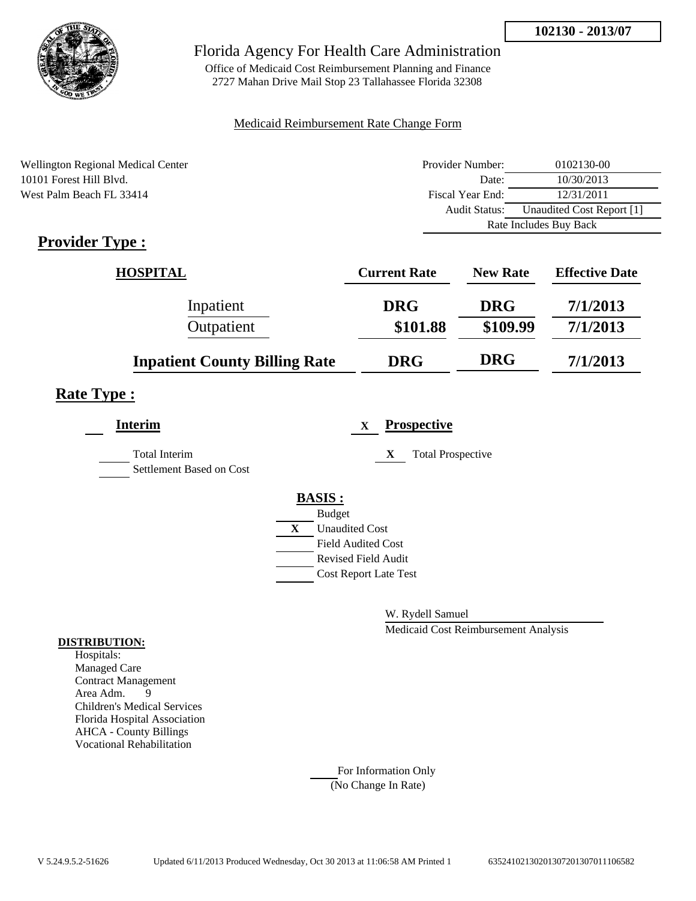

Office of Medicaid Cost Reimbursement Planning and Finance 2727 Mahan Drive Mail Stop 23 Tallahassee Florida 32308

#### Medicaid Reimbursement Rate Change Form

| <b>Wellington Regional Medical Center</b> | Provider Number: | 0102130-00                |  |
|-------------------------------------------|------------------|---------------------------|--|
| 10101 Forest Hill Blyd.                   | Date:            | 10/30/2013                |  |
| West Palm Beach FL 33414                  | Fiscal Year End: | 12/31/2011                |  |
|                                           | Audit Status:    | Unaudited Cost Report [1] |  |
|                                           |                  | Rate Includes Buy Back    |  |

## **Provider Type :**

| <b>HOSPITAL</b>                      | <b>Current Rate</b> | <b>New Rate</b> | <b>Effective Date</b> |
|--------------------------------------|---------------------|-----------------|-----------------------|
| Inpatient                            | <b>DRG</b>          | <b>DRG</b>      | 7/1/2013              |
| Outpatient                           | \$101.88            | \$109.99        | 7/1/2013              |
| <b>Inpatient County Billing Rate</b> | <b>DRG</b>          | <b>DRG</b>      | 7/1/2013              |

## **Rate Type :**

| <b>Interim</b>                            |               | X                            | <b>Prospective</b>            |
|-------------------------------------------|---------------|------------------------------|-------------------------------|
| Total Interim<br>Settlement Based on Cost |               |                              | <b>Total Prospective</b><br>X |
|                                           | <b>BASIS:</b> |                              |                               |
|                                           |               | <b>Budget</b>                |                               |
|                                           | X             | <b>Unaudited Cost</b>        |                               |
|                                           |               | <b>Field Audited Cost</b>    |                               |
|                                           |               | <b>Revised Field Audit</b>   |                               |
|                                           |               | <b>Cost Report Late Test</b> |                               |
|                                           |               |                              |                               |

W. Rydell Samuel

Medicaid Cost Reimbursement Analysis

#### **DISTRIBUTION:**

Hospitals: Managed Care Contract Management Area Adm. 9 Children's Medical Services Florida Hospital Association AHCA - County Billings Vocational Rehabilitation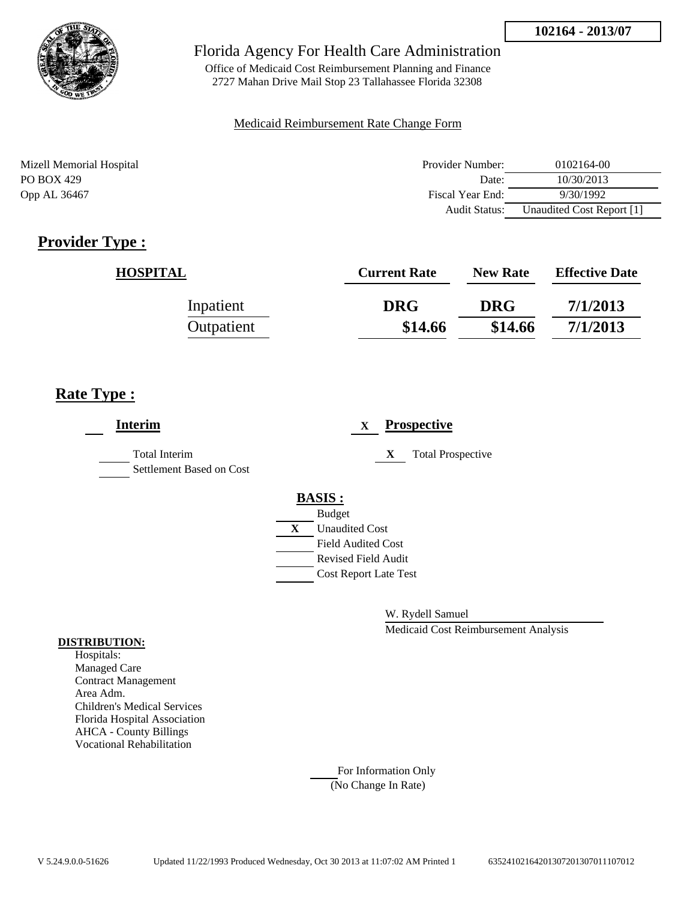

Office of Medicaid Cost Reimbursement Planning and Finance 2727 Mahan Drive Mail Stop 23 Tallahassee Florida 32308

#### Medicaid Reimbursement Rate Change Form

Mizell Memorial Hospital Provider Number: 0102164-00 PO BOX 429 Date: 10/30/2013 Opp AL 36467 **Fiscal Year End:** 9/30/1992 Audit Status: Unaudited Cost Report [1]

## **Provider Type :**

| <b>HOSPITAL</b> | <b>Current Rate</b> | <b>New Rate</b> | <b>Effective Date</b> |
|-----------------|---------------------|-----------------|-----------------------|
| Inpatient       | <b>DRG</b>          | <b>DRG</b>      | 7/1/2013              |
| Outpatient      | \$14.66             | \$14.66         | 7/1/2013              |

## **Rate Type :**

| <b>Interim</b>                            | <b>Prospective</b><br>X                                                                                                                                 |
|-------------------------------------------|---------------------------------------------------------------------------------------------------------------------------------------------------------|
| Total Interim<br>Settlement Based on Cost | <b>Total Prospective</b><br>X                                                                                                                           |
|                                           | <b>BASIS:</b><br><b>Budget</b><br>X<br><b>Unaudited Cost</b><br><b>Field Audited Cost</b><br><b>Revised Field Audit</b><br><b>Cost Report Late Test</b> |

W. Rydell Samuel

Medicaid Cost Reimbursement Analysis

#### **DISTRIBUTION:**

Hospitals: Managed Care Contract Management Area Adm. Children's Medical Services Florida Hospital Association AHCA - County Billings Vocational Rehabilitation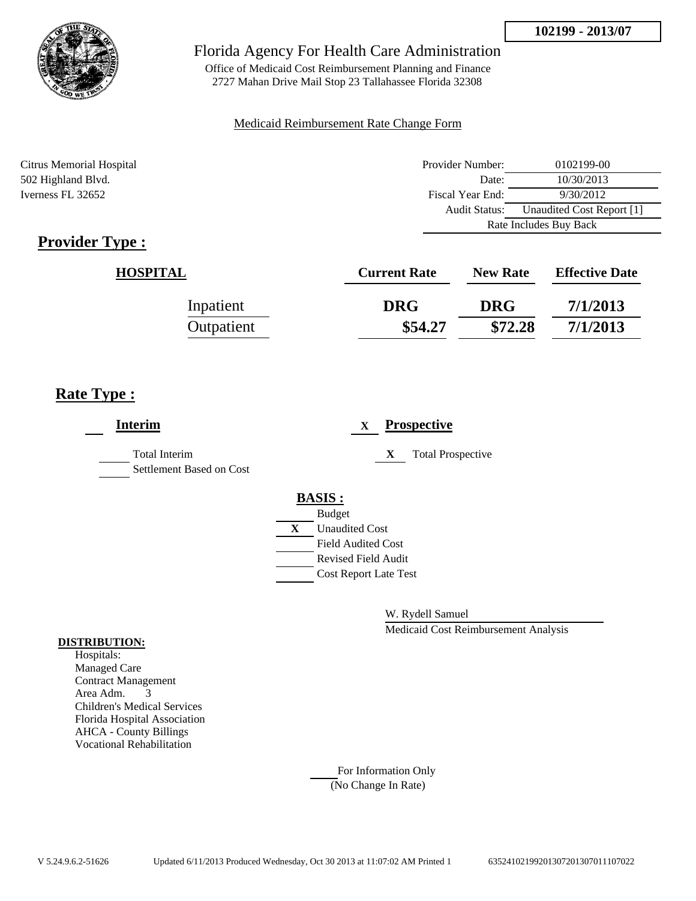

Office of Medicaid Cost Reimbursement Planning and Finance 2727 Mahan Drive Mail Stop 23 Tallahassee Florida 32308

#### Medicaid Reimbursement Rate Change Form

Citrus Memorial Hospital 502 Highland Blvd. Iverness FL 32652

| Provider Number:                                  | 0102199-00 |  |
|---------------------------------------------------|------------|--|
| Date:                                             | 10/30/2013 |  |
| Fiscal Year End:                                  | 9/30/2012  |  |
| Unaudited Cost Report [1]<br><b>Audit Status:</b> |            |  |
| Rate Includes Buy Back                            |            |  |

# **Provider Type :**

| <b>HOSPITAL</b> | <b>Current Rate</b> | <b>New Rate</b> | <b>Effective Date</b> |
|-----------------|---------------------|-----------------|-----------------------|
| Inpatient       | <b>DRG</b>          | <b>DRG</b>      | 7/1/2013              |
| Outpatient      | \$54.27             | \$72.28         | 7/1/2013              |

## **Rate Type :**

| <b>Interim</b>                                   | <b>Prospective</b><br>$\mathbf{X}$ |
|--------------------------------------------------|------------------------------------|
| <b>Total Interim</b><br>Settlement Based on Cost | X<br><b>Total Prospective</b>      |
|                                                  | <b>BASIS:</b>                      |
|                                                  | <b>Budget</b>                      |
|                                                  | <b>Unaudited Cost</b><br>X         |
|                                                  | <b>Field Audited Cost</b>          |
|                                                  | <b>Revised Field Audit</b>         |
|                                                  | <b>Cost Report Late Test</b>       |
|                                                  |                                    |
|                                                  |                                    |

W. Rydell Samuel

Medicaid Cost Reimbursement Analysis

#### **DISTRIBUTION:**

Hospitals: Managed Care Contract Management Area Adm. 3 Children's Medical Services Florida Hospital Association AHCA - County Billings Vocational Rehabilitation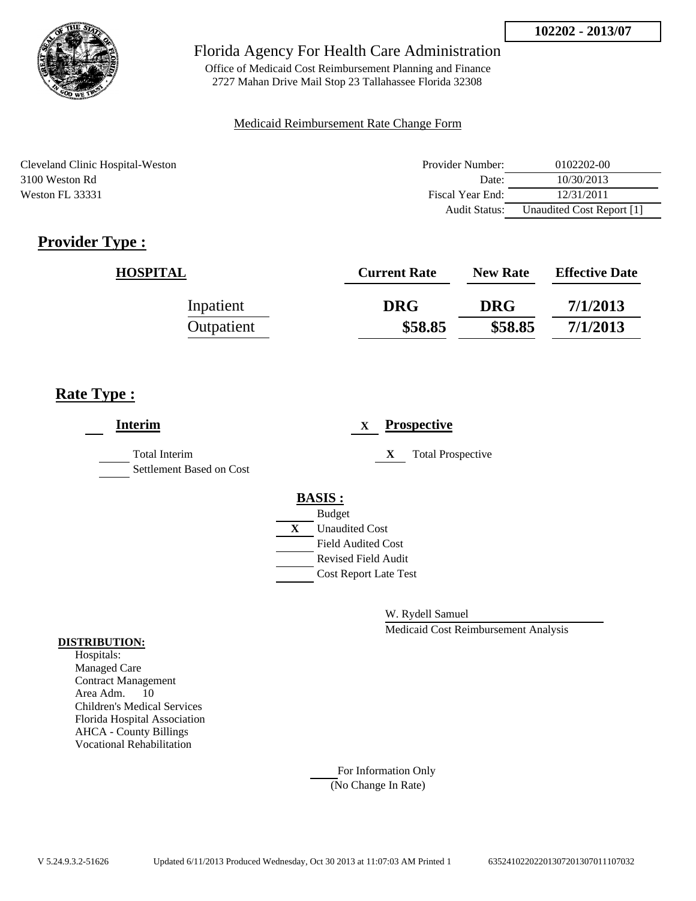

Office of Medicaid Cost Reimbursement Planning and Finance 2727 Mahan Drive Mail Stop 23 Tallahassee Florida 32308

### Medicaid Reimbursement Rate Change Form

Cleveland Clinic Hospital-Weston 3100 Weston Rd Weston FL 33331

| Provider Number: | 0102202-00                |
|------------------|---------------------------|
| Date:            | 10/30/2013                |
| Fiscal Year End: | 12/31/2011                |
| Audit Status:    | Unaudited Cost Report [1] |

# **Provider Type :**

| <b>HOSPITAL</b> | <b>Current Rate</b> | <b>New Rate</b> | <b>Effective Date</b> |
|-----------------|---------------------|-----------------|-----------------------|
| Inpatient       | <b>DRG</b>          | <b>DRG</b>      | 7/1/2013              |
| Outpatient      | \$58.85             | \$58.85         | 7/1/2013              |

## **Rate Type :**

| <b>Interim</b>                            | <b>Prospective</b><br>X       |
|-------------------------------------------|-------------------------------|
| Total Interim<br>Settlement Based on Cost | <b>Total Prospective</b><br>X |
|                                           | <b>BASIS:</b>                 |
|                                           | <b>Budget</b>                 |
|                                           | X<br><b>Unaudited Cost</b>    |
|                                           | <b>Field Audited Cost</b>     |
|                                           | <b>Revised Field Audit</b>    |
|                                           | <b>Cost Report Late Test</b>  |
|                                           |                               |
|                                           |                               |

W. Rydell Samuel

Medicaid Cost Reimbursement Analysis

#### **DISTRIBUTION:**

Hospitals: Managed Care Contract Management Area Adm. 10 Children's Medical Services Florida Hospital Association AHCA - County Billings Vocational Rehabilitation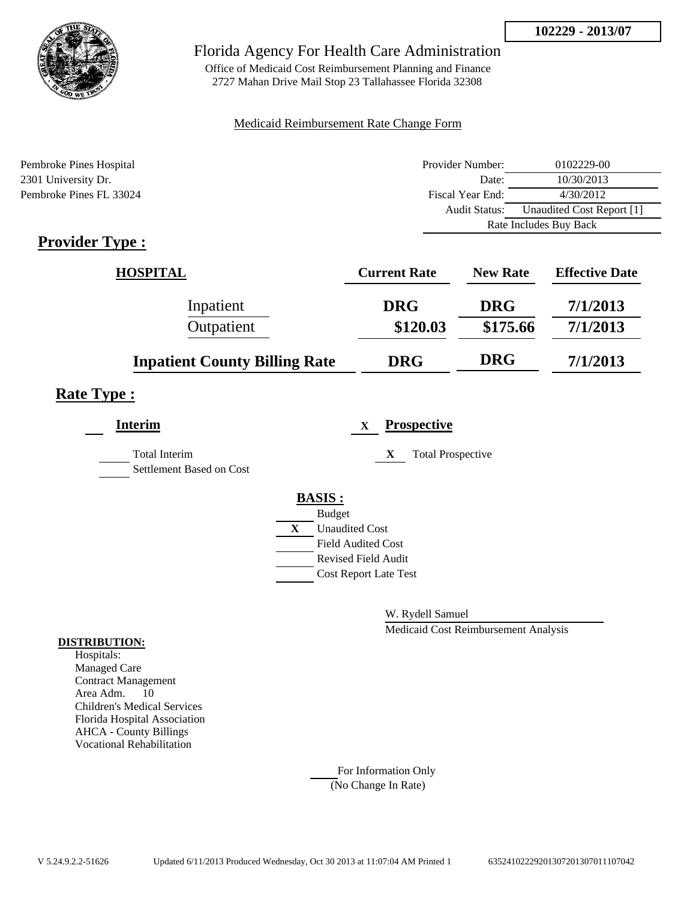

Office of Medicaid Cost Reimbursement Planning and Finance 2727 Mahan Drive Mail Stop 23 Tallahassee Florida 32308

### Medicaid Reimbursement Rate Change Form

| Pembroke Pines Hospital | Provider Number:     | 0102229-00                |
|-------------------------|----------------------|---------------------------|
| 2301 University Dr.     | Date:                | 10/30/2013                |
| Pembroke Pines FL 33024 | Fiscal Year End:     | 4/30/2012                 |
|                         | <b>Audit Status:</b> | Unaudited Cost Report [1] |
|                         |                      | Rate Includes Buy Back    |

## **Provider Type :**

| <b>HOSPITAL</b>                      | <b>Current Rate</b> | <b>New Rate</b> | <b>Effective Date</b> |
|--------------------------------------|---------------------|-----------------|-----------------------|
| Inpatient                            | <b>DRG</b>          | <b>DRG</b>      | 7/1/2013              |
| Outpatient                           | \$120.03            | \$175.66        | 7/1/2013              |
| <b>Inpatient County Billing Rate</b> | <b>DRG</b>          | <b>DRG</b>      | 7/1/2013              |

## **Rate Type :**

| <b>Interim</b>                                   |              | $\mathbf X$                  | <b>Prospective</b>            |
|--------------------------------------------------|--------------|------------------------------|-------------------------------|
| <b>Total Interim</b><br>Settlement Based on Cost |              |                              | <b>Total Prospective</b><br>X |
|                                                  |              | <b>BASIS:</b>                |                               |
|                                                  |              | <b>Budget</b>                |                               |
|                                                  | $\mathbf{X}$ | <b>Unaudited Cost</b>        |                               |
|                                                  |              | <b>Field Audited Cost</b>    |                               |
|                                                  |              | <b>Revised Field Audit</b>   |                               |
|                                                  |              | <b>Cost Report Late Test</b> |                               |
|                                                  |              |                              |                               |

W. Rydell Samuel

Medicaid Cost Reimbursement Analysis

### **DISTRIBUTION:**

Hospitals: Managed Care Contract Management Area Adm. 10 Children's Medical Services Florida Hospital Association AHCA - County Billings Vocational Rehabilitation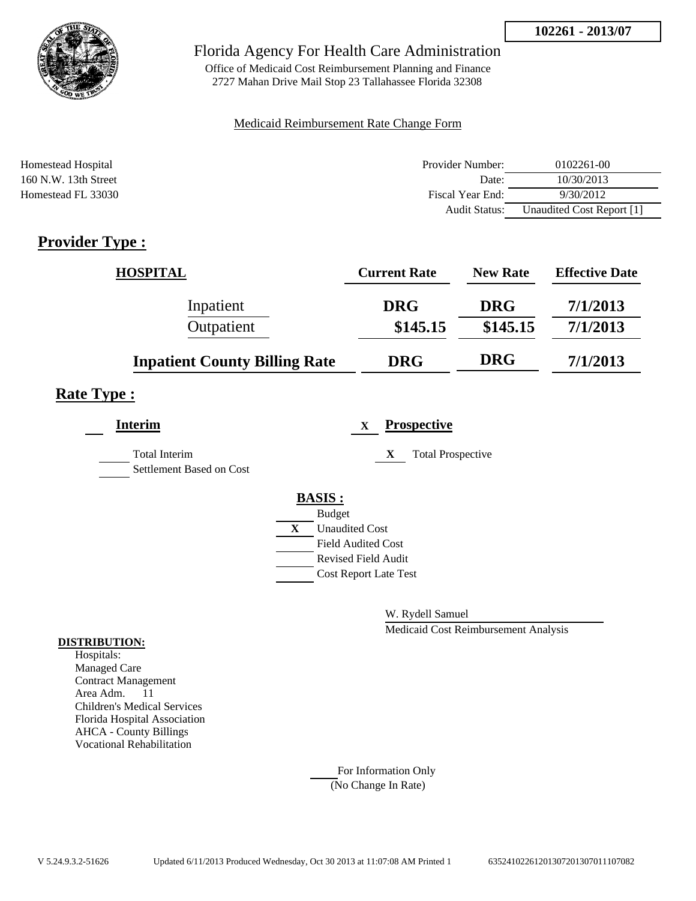

Office of Medicaid Cost Reimbursement Planning and Finance 2727 Mahan Drive Mail Stop 23 Tallahassee Florida 32308

### Medicaid Reimbursement Rate Change Form

| Homestead Hospital     | Provider Number: | 0102261-00                |
|------------------------|------------------|---------------------------|
| $160$ N.W. 13th Street | Date:            | 10/30/2013                |
| Homestead FL 33030     | Fiscal Year End: | 9/30/2012                 |
|                        | Audit Status:    | Unaudited Cost Report [1] |

## **Provider Type :**

| <b>HOSPITAL</b>                      | <b>Current Rate</b> | <b>New Rate</b> | <b>Effective Date</b> |
|--------------------------------------|---------------------|-----------------|-----------------------|
| Inpatient                            | <b>DRG</b>          | <b>DRG</b>      | 7/1/2013              |
| Outpatient                           | \$145.15            | \$145.15        | 7/1/2013              |
| <b>Inpatient County Billing Rate</b> | <b>DRG</b>          | <b>DRG</b>      | 7/1/2013              |

### **Rate Type :**

| <b>Interim</b>                                   |   | <b>Prospective</b><br>X       |
|--------------------------------------------------|---|-------------------------------|
| <b>Total Interim</b><br>Settlement Based on Cost |   | X<br><b>Total Prospective</b> |
|                                                  |   | <b>BASIS:</b>                 |
|                                                  |   | <b>Budget</b>                 |
|                                                  | X | <b>Unaudited Cost</b>         |
|                                                  |   | <b>Field Audited Cost</b>     |
|                                                  |   | <b>Revised Field Audit</b>    |
|                                                  |   | <b>Cost Report Late Test</b>  |
|                                                  |   |                               |

W. Rydell Samuel

Medicaid Cost Reimbursement Analysis

#### **DISTRIBUTION:**

Hospitals: Managed Care Contract Management Area Adm. 11 Children's Medical Services Florida Hospital Association AHCA - County Billings Vocational Rehabilitation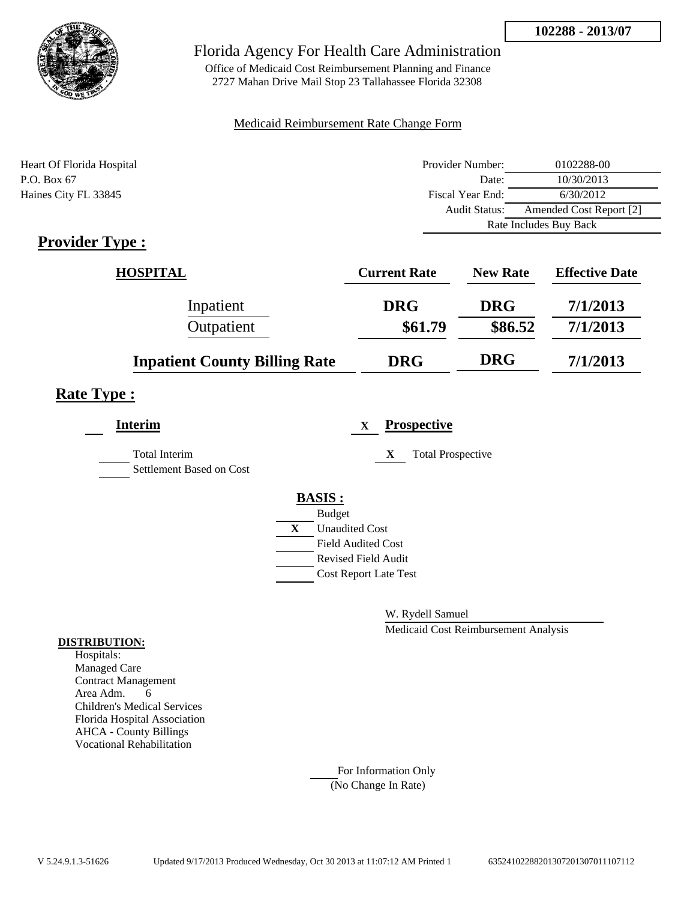

Office of Medicaid Cost Reimbursement Planning and Finance 2727 Mahan Drive Mail Stop 23 Tallahassee Florida 32308

### Medicaid Reimbursement Rate Change Form

| Heart Of Florida Hospital | Provider Number:       | 0102288-00              |
|---------------------------|------------------------|-------------------------|
| P.O. Box 67               | Date:                  | 10/30/2013              |
| Haines City FL 33845      | Fiscal Year End:       | 6/30/2012               |
|                           | <b>Audit Status:</b>   | Amended Cost Report [2] |
|                           | Rate Includes Buy Back |                         |

## **Provider Type :**

| <b>HOSPITAL</b>                      | <b>Current Rate</b> | <b>New Rate</b> | <b>Effective Date</b> |
|--------------------------------------|---------------------|-----------------|-----------------------|
| Inpatient                            | <b>DRG</b>          | <b>DRG</b>      | 7/1/2013              |
| Outpatient                           | \$61.79             | \$86.52         | 7/1/2013              |
| <b>Inpatient County Billing Rate</b> | <b>DRG</b>          | <b>DRG</b>      | 7/1/2013              |

### **Rate Type :**

| <b>Interim</b>                            |   | <b>Prospective</b><br>$\mathbf X$ |
|-------------------------------------------|---|-----------------------------------|
| Total Interim<br>Settlement Based on Cost |   | <b>Total Prospective</b><br>X     |
|                                           |   | <b>BASIS:</b>                     |
|                                           |   | <b>Budget</b>                     |
|                                           | X | <b>Unaudited Cost</b>             |
|                                           |   | <b>Field Audited Cost</b>         |
|                                           |   | <b>Revised Field Audit</b>        |
|                                           |   | <b>Cost Report Late Test</b>      |
|                                           |   |                                   |

W. Rydell Samuel

Medicaid Cost Reimbursement Analysis

#### **DISTRIBUTION:**

Hospitals: Managed Care Contract Management Area Adm. 6 Children's Medical Services Florida Hospital Association AHCA - County Billings Vocational Rehabilitation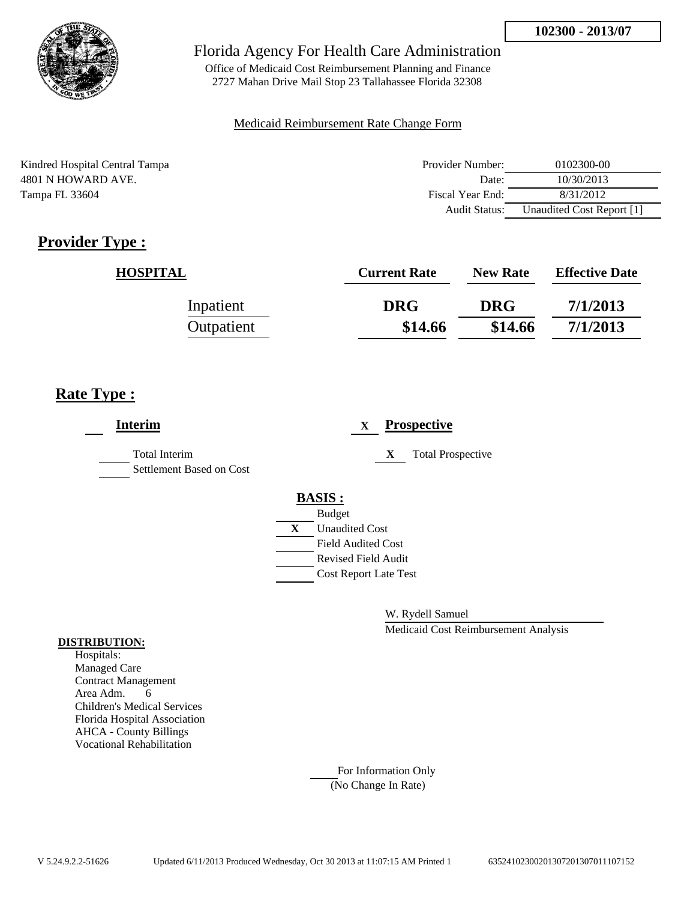

Office of Medicaid Cost Reimbursement Planning and Finance 2727 Mahan Drive Mail Stop 23 Tallahassee Florida 32308

### Medicaid Reimbursement Rate Change Form

Kindred Hospital Central Tampa 4801 N HOWARD AVE. Tampa FL 33604

| Provider Number: | 0102300-00                |
|------------------|---------------------------|
| Date:            | 10/30/2013                |
| Fiscal Year End: | 8/31/2012                 |
| Audit Status:    | Unaudited Cost Report [1] |

# **Provider Type :**

| <b>HOSPITAL</b> | <b>Current Rate</b> | <b>New Rate</b> | <b>Effective Date</b> |
|-----------------|---------------------|-----------------|-----------------------|
| Inpatient       | <b>DRG</b>          | <b>DRG</b>      | 7/1/2013              |
| Outpatient      | \$14.66             | \$14.66         | 7/1/2013              |

## **Rate Type :**

| <b>Interim</b>                                   | <b>Prospective</b><br>$\mathbf{X}$ |
|--------------------------------------------------|------------------------------------|
| <b>Total Interim</b><br>Settlement Based on Cost | <b>Total Prospective</b><br>X      |
|                                                  | <b>BASIS:</b>                      |
|                                                  | <b>Budget</b>                      |
|                                                  | X<br><b>Unaudited Cost</b>         |
|                                                  | <b>Field Audited Cost</b>          |
|                                                  | <b>Revised Field Audit</b>         |
|                                                  | <b>Cost Report Late Test</b>       |
|                                                  |                                    |

W. Rydell Samuel

Medicaid Cost Reimbursement Analysis

#### **DISTRIBUTION:**

Hospitals: Managed Care Contract Management Area Adm. 6 Children's Medical Services Florida Hospital Association AHCA - County Billings Vocational Rehabilitation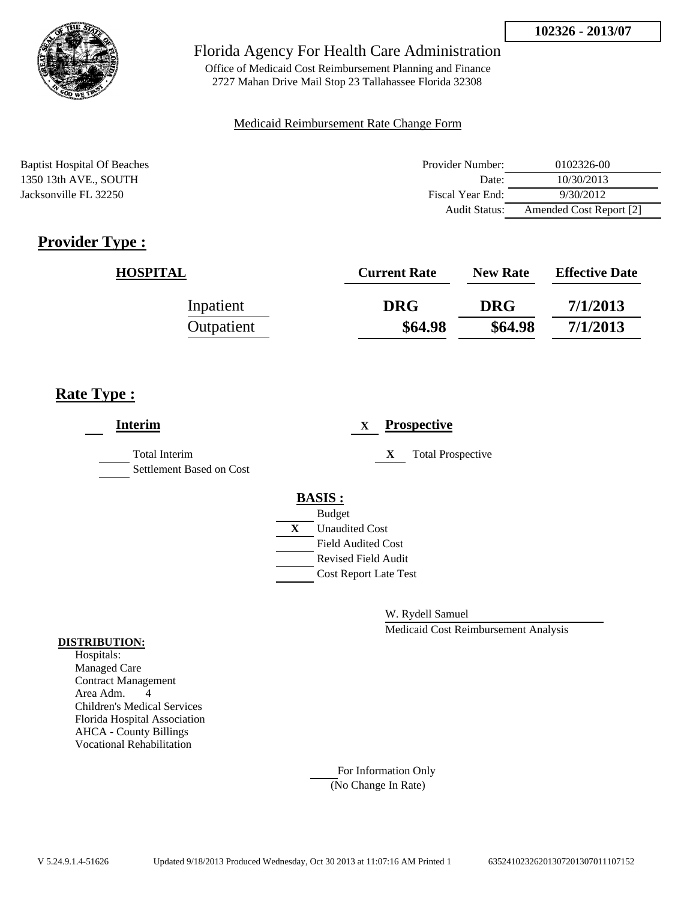

Office of Medicaid Cost Reimbursement Planning and Finance 2727 Mahan Drive Mail Stop 23 Tallahassee Florida 32308

### Medicaid Reimbursement Rate Change Form

Baptist Hospital Of Beaches 1350 13th AVE., SOUTH Jacksonville FL 32250

| Provider Number: | 0102326-00              |
|------------------|-------------------------|
| Date:            | 10/30/2013              |
| Fiscal Year End: | 9/30/2012               |
| Audit Status:    | Amended Cost Report [2] |

# **Provider Type :**

| <b>HOSPITAL</b> | <b>Current Rate</b> | <b>New Rate</b> | <b>Effective Date</b> |
|-----------------|---------------------|-----------------|-----------------------|
| Inpatient       | <b>DRG</b>          | <b>DRG</b>      | 7/1/2013              |
| Outpatient      | \$64.98             | \$64.98         | 7/1/2013              |

## **Rate Type :**

| <b>Interim</b>                                   |                                                         | $\mathbf{X}$ |   | <b>Prospective</b>       |
|--------------------------------------------------|---------------------------------------------------------|--------------|---|--------------------------|
| <b>Total Interim</b><br>Settlement Based on Cost |                                                         |              | X | <b>Total Prospective</b> |
|                                                  | <b>BASIS:</b>                                           |              |   |                          |
|                                                  | <b>Budget</b><br>X<br><b>Unaudited Cost</b>             |              |   |                          |
|                                                  | <b>Field Audited Cost</b><br><b>Revised Field Audit</b> |              |   |                          |
|                                                  | <b>Cost Report Late Test</b>                            |              |   |                          |

W. Rydell Samuel

Medicaid Cost Reimbursement Analysis

#### **DISTRIBUTION:**

Hospitals: Managed Care Contract Management Area Adm. 4 Children's Medical Services Florida Hospital Association AHCA - County Billings Vocational Rehabilitation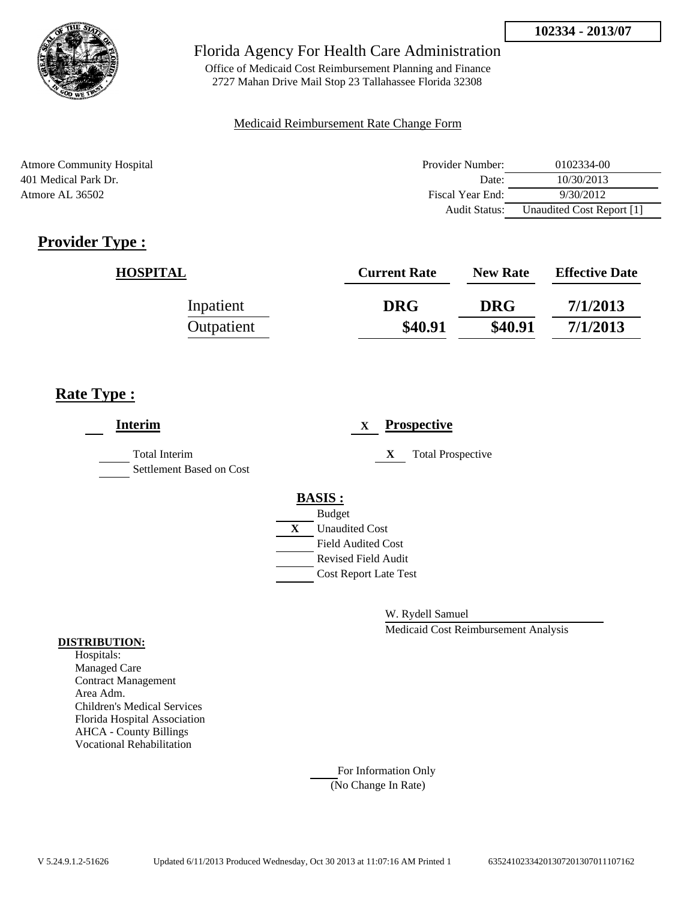

Office of Medicaid Cost Reimbursement Planning and Finance 2727 Mahan Drive Mail Stop 23 Tallahassee Florida 32308

### Medicaid Reimbursement Rate Change Form

Atmore Community Hospital 401 Medical Park Dr. Atmore AL 36502

| Provider Number: | 0102334-00                |
|------------------|---------------------------|
| Date:            | 10/30/2013                |
| Fiscal Year End: | 9/30/2012                 |
| Audit Status:    | Unaudited Cost Report [1] |

# **Provider Type :**

| <b>HOSPITAL</b> | <b>Current Rate</b> | <b>New Rate</b> | <b>Effective Date</b> |
|-----------------|---------------------|-----------------|-----------------------|
| Inpatient       | <b>DRG</b>          | <b>DRG</b>      | 7/1/2013              |
| Outpatient      | \$40.91             | \$40.91         | 7/1/2013              |

## **Rate Type :**

| <b>Interim</b>                                   | <b>Prospective</b><br>$\mathbf{X}$                     |
|--------------------------------------------------|--------------------------------------------------------|
| <b>Total Interim</b><br>Settlement Based on Cost | <b>Total Prospective</b><br>X                          |
|                                                  | <b>BASIS:</b>                                          |
|                                                  | <b>Budget</b><br>$\mathbf{X}$<br><b>Unaudited Cost</b> |
|                                                  | <b>Field Audited Cost</b>                              |
|                                                  | <b>Revised Field Audit</b>                             |
|                                                  | <b>Cost Report Late Test</b>                           |
|                                                  |                                                        |

W. Rydell Samuel

Medicaid Cost Reimbursement Analysis

### **DISTRIBUTION:**

Hospitals: Managed Care Contract Management Area Adm. Children's Medical Services Florida Hospital Association AHCA - County Billings Vocational Rehabilitation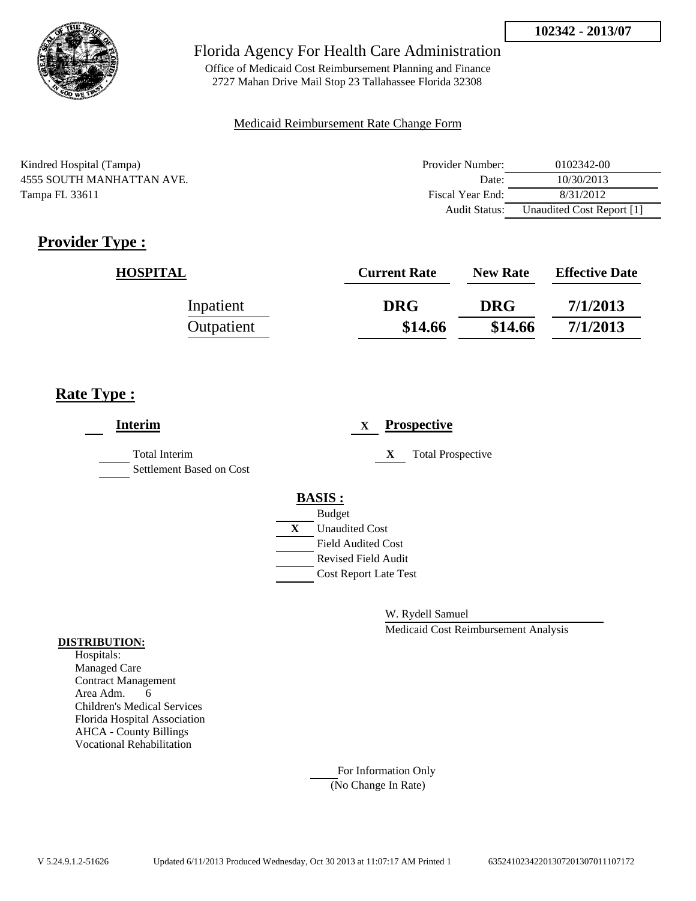

Office of Medicaid Cost Reimbursement Planning and Finance 2727 Mahan Drive Mail Stop 23 Tallahassee Florida 32308

### Medicaid Reimbursement Rate Change Form

Kindred Hospital (Tampa) 4555 SOUTH MANHATTAN AVE. Tampa FL 33611

| Provider Number: | 0102342-00                |
|------------------|---------------------------|
| Date:            | 10/30/2013                |
| Fiscal Year End: | 8/31/2012                 |
| Audit Status:    | Unaudited Cost Report [1] |

# **Provider Type :**

| <b>HOSPITAL</b> | <b>Current Rate</b> | <b>New Rate</b> | <b>Effective Date</b> |
|-----------------|---------------------|-----------------|-----------------------|
| Inpatient       | <b>DRG</b>          | <b>DRG</b>      | 7/1/2013              |
| Outpatient      | \$14.66             | \$14.66         | 7/1/2013              |

## **Rate Type :**

| <b>Interim</b>                            |   |                              | X |   | <b>Prospective</b>       |
|-------------------------------------------|---|------------------------------|---|---|--------------------------|
| Total Interim<br>Settlement Based on Cost |   |                              |   | X | <b>Total Prospective</b> |
|                                           |   | <b>BASIS:</b>                |   |   |                          |
|                                           |   | <b>Budget</b>                |   |   |                          |
|                                           | X | <b>Unaudited Cost</b>        |   |   |                          |
|                                           |   | <b>Field Audited Cost</b>    |   |   |                          |
|                                           |   | <b>Revised Field Audit</b>   |   |   |                          |
|                                           |   | <b>Cost Report Late Test</b> |   |   |                          |
|                                           |   |                              |   |   |                          |

W. Rydell Samuel

Medicaid Cost Reimbursement Analysis

### **DISTRIBUTION:**

Hospitals: Managed Care Contract Management Area Adm. 6 Children's Medical Services Florida Hospital Association AHCA - County Billings Vocational Rehabilitation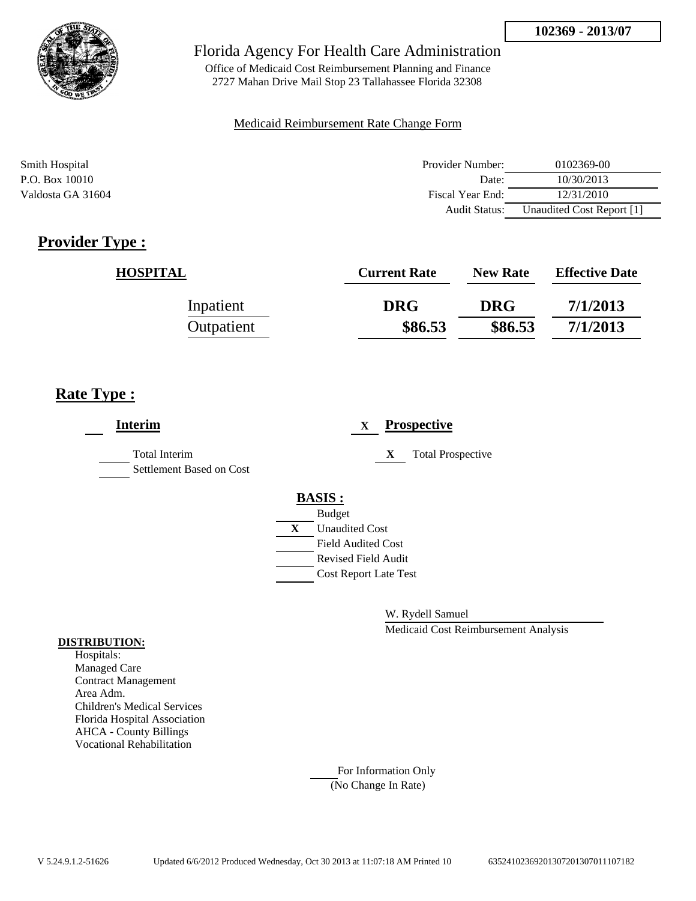

Office of Medicaid Cost Reimbursement Planning and Finance 2727 Mahan Drive Mail Stop 23 Tallahassee Florida 32308

### Medicaid Reimbursement Rate Change Form

| Smith Hospital    | Provider Number:     | 0102369-00                |
|-------------------|----------------------|---------------------------|
| P.O. Box 10010    | Date:                | 10/30/2013                |
| Valdosta GA 31604 | Fiscal Year End:     | 12/31/2010                |
|                   | <b>Audit Status:</b> | Unaudited Cost Report [1] |

## **Provider Type :**

| <b>HOSPITAL</b> | <b>Current Rate</b> | <b>New Rate</b> | <b>Effective Date</b> |
|-----------------|---------------------|-----------------|-----------------------|
| Inpatient       | <b>DRG</b>          | <b>DRG</b>      | 7/1/2013              |
| Outpatient      | \$86.53             | \$86.53         | 7/1/2013              |

## **Rate Type :**

| <b>Interim</b>                                   | <b>Prospective</b><br>X                                    |
|--------------------------------------------------|------------------------------------------------------------|
| <b>Total Interim</b><br>Settlement Based on Cost | <b>Total Prospective</b><br>X                              |
|                                                  | <b>BASIS:</b><br><b>Budget</b>                             |
|                                                  | <b>Unaudited Cost</b><br>X<br><b>Field Audited Cost</b>    |
|                                                  | <b>Revised Field Audit</b><br><b>Cost Report Late Test</b> |
|                                                  |                                                            |

W. Rydell Samuel

Medicaid Cost Reimbursement Analysis

### **DISTRIBUTION:**

Hospitals: Managed Care Contract Management Area Adm. Children's Medical Services Florida Hospital Association AHCA - County Billings Vocational Rehabilitation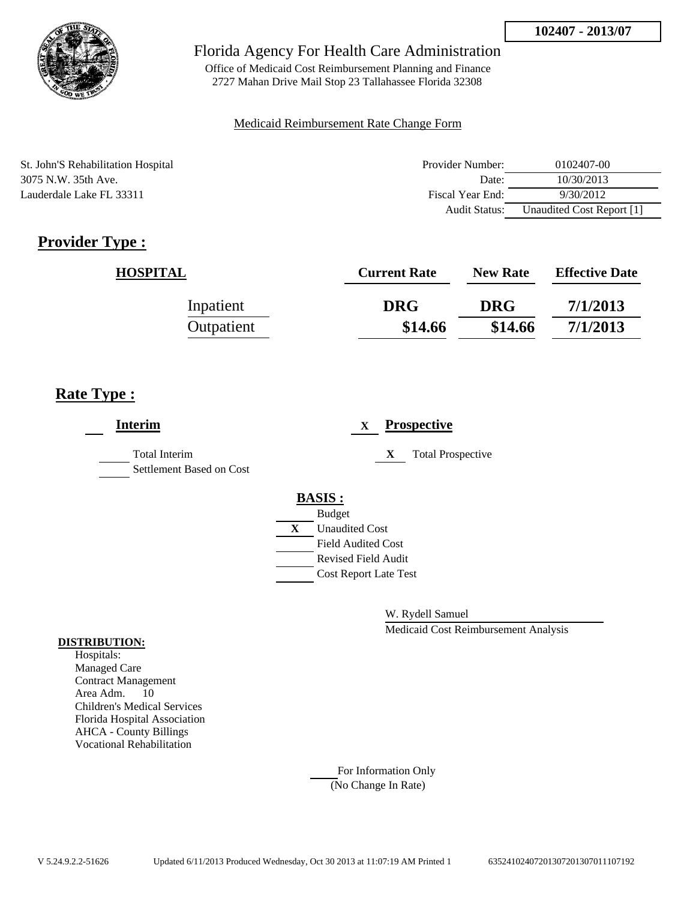

Office of Medicaid Cost Reimbursement Planning and Finance 2727 Mahan Drive Mail Stop 23 Tallahassee Florida 32308

### Medicaid Reimbursement Rate Change Form

St. John'S Rehabilitation Hospital 3075 N.W. 35th Ave. Lauderdale Lake FL 33311

| Provider Number: | 0102407-00                |
|------------------|---------------------------|
| Date:            | 10/30/2013                |
| Fiscal Year End: | 9/30/2012                 |
| Audit Status:    | Unaudited Cost Report [1] |

# **Provider Type :**

| <b>HOSPITAL</b> | <b>Current Rate</b> | <b>New Rate</b> | <b>Effective Date</b> |
|-----------------|---------------------|-----------------|-----------------------|
| Inpatient       | <b>DRG</b>          | <b>DRG</b>      | 7/1/2013              |
| Outpatient      | \$14.66             | \$14.66         | 7/1/2013              |

## **Rate Type :**

| <b>Interim</b>                                   | <b>Prospective</b><br>$\mathbf{X}$ |
|--------------------------------------------------|------------------------------------|
| <b>Total Interim</b><br>Settlement Based on Cost | <b>Total Prospective</b><br>X      |
|                                                  | <b>BASIS:</b>                      |
|                                                  | <b>Budget</b>                      |
|                                                  | X<br><b>Unaudited Cost</b>         |
|                                                  | <b>Field Audited Cost</b>          |
|                                                  | <b>Revised Field Audit</b>         |
|                                                  | <b>Cost Report Late Test</b>       |
|                                                  |                                    |

W. Rydell Samuel

Medicaid Cost Reimbursement Analysis

#### **DISTRIBUTION:**

Hospitals: Managed Care Contract Management Area Adm. 10 Children's Medical Services Florida Hospital Association AHCA - County Billings Vocational Rehabilitation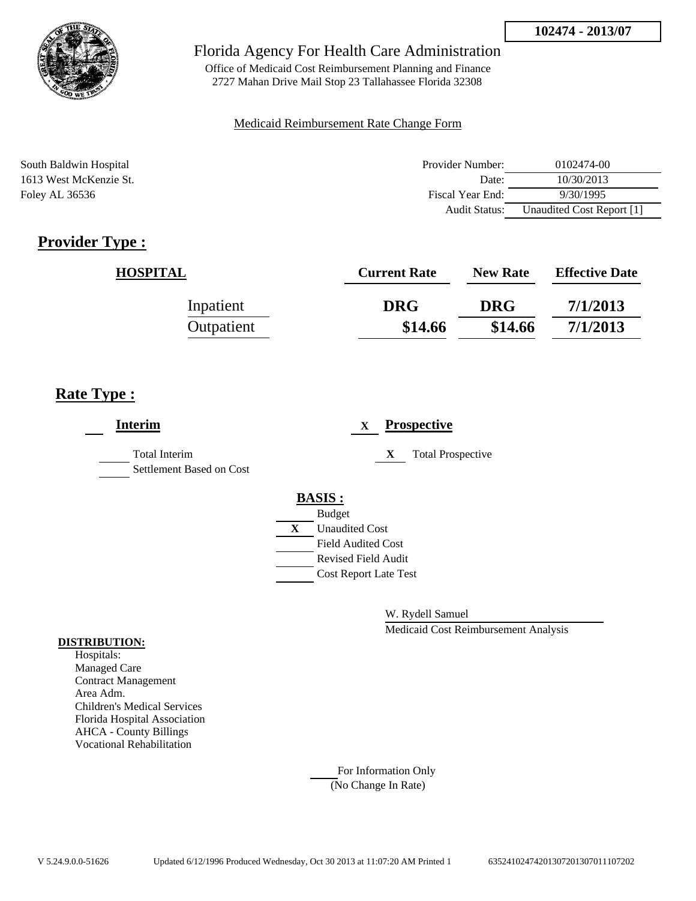

Office of Medicaid Cost Reimbursement Planning and Finance 2727 Mahan Drive Mail Stop 23 Tallahassee Florida 32308

### Medicaid Reimbursement Rate Change Form

South Baldwin Hospital **Provider Number:** 0102474-00 1613 West McKenzie St. Date: 10/30/2013 Fiscal Year End: 9/30/1995<br>
Fiscal Year End: 9/30/1995 Audit Status: Unaudited Cost Report [1]

## **Provider Type :**

| <b>HOSPITAL</b> | <b>Current Rate</b> | <b>New Rate</b> | <b>Effective Date</b> |
|-----------------|---------------------|-----------------|-----------------------|
| Inpatient       | <b>DRG</b>          | <b>DRG</b>      | 7/1/2013              |
| Outpatient      | \$14.66             | \$14.66         | 7/1/2013              |

## **Rate Type :**

| <b>Interim</b>                            | <b>Prospective</b><br>X                                                                                                                                 |
|-------------------------------------------|---------------------------------------------------------------------------------------------------------------------------------------------------------|
| Total Interim<br>Settlement Based on Cost | <b>Total Prospective</b><br>X                                                                                                                           |
|                                           | <b>BASIS:</b><br><b>Budget</b><br>X<br><b>Unaudited Cost</b><br><b>Field Audited Cost</b><br><b>Revised Field Audit</b><br><b>Cost Report Late Test</b> |

W. Rydell Samuel

Medicaid Cost Reimbursement Analysis

### **DISTRIBUTION:**

Hospitals: Managed Care Contract Management Area Adm. Children's Medical Services Florida Hospital Association AHCA - County Billings Vocational Rehabilitation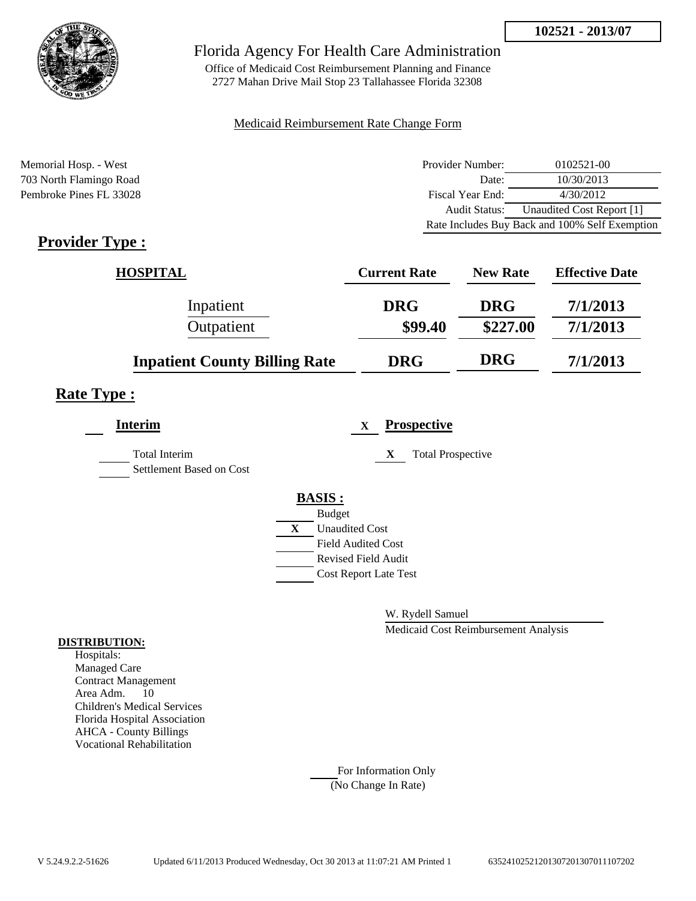

Office of Medicaid Cost Reimbursement Planning and Finance 2727 Mahan Drive Mail Stop 23 Tallahassee Florida 32308

### Medicaid Reimbursement Rate Change Form

Memorial Hosp. - West 703 North Flamingo Road Pembroke Pines FL 33028

| Provider Number: | 0102521-00                                     |
|------------------|------------------------------------------------|
| Date:            | 10/30/2013                                     |
| Fiscal Year End: | 4/30/2012                                      |
| Audit Status:    | Unaudited Cost Report [1]                      |
|                  | Rate Includes Buy Back and 100% Self Exemption |

## **Provider Type :**

| <b>HOSPITAL</b>                      | <b>Current Rate</b> | <b>New Rate</b> | <b>Effective Date</b> |
|--------------------------------------|---------------------|-----------------|-----------------------|
| Inpatient                            | <b>DRG</b>          | <b>DRG</b>      | 7/1/2013              |
| Outpatient                           | \$99.40             | \$227.00        | 7/1/2013              |
| <b>Inpatient County Billing Rate</b> | <b>DRG</b>          | <b>DRG</b>      | 7/1/2013              |

### **Rate Type :**

| <b>Interim</b>                                   | <b>Prospective</b><br>X       |
|--------------------------------------------------|-------------------------------|
| <b>Total Interim</b><br>Settlement Based on Cost | <b>Total Prospective</b><br>X |
|                                                  | <b>BASIS:</b>                 |
|                                                  | <b>Budget</b>                 |
|                                                  | X<br><b>Unaudited Cost</b>    |
|                                                  | <b>Field Audited Cost</b>     |
|                                                  | <b>Revised Field Audit</b>    |
|                                                  | <b>Cost Report Late Test</b>  |
|                                                  |                               |

W. Rydell Samuel

Medicaid Cost Reimbursement Analysis

#### **DISTRIBUTION:**

Hospitals: Managed Care Contract Management Area Adm. 10 Children's Medical Services Florida Hospital Association AHCA - County Billings Vocational Rehabilitation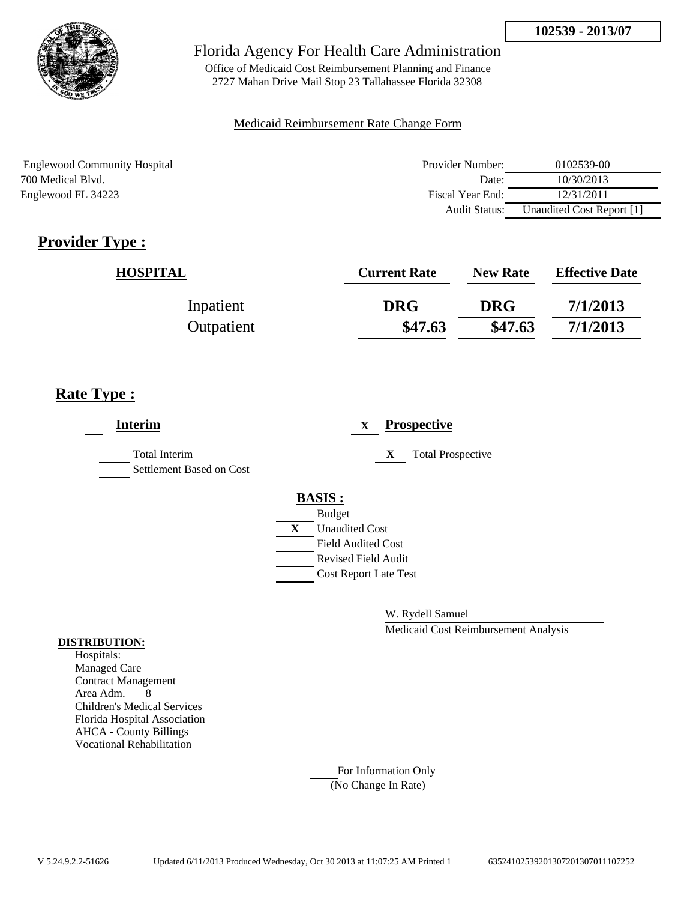

Office of Medicaid Cost Reimbursement Planning and Finance 2727 Mahan Drive Mail Stop 23 Tallahassee Florida 32308

### Medicaid Reimbursement Rate Change Form

Englewood Community Hospital 700 Medical Blvd. Englewood FL 34223

| Provider Number: | 0102539-00                |
|------------------|---------------------------|
| Date:            | 10/30/2013                |
| Fiscal Year End: | 12/31/2011                |
| Audit Status:    | Unaudited Cost Report [1] |

# **Provider Type :**

| <b>HOSPITAL</b> | <b>Current Rate</b> | <b>New Rate</b> | <b>Effective Date</b> |
|-----------------|---------------------|-----------------|-----------------------|
| Inpatient       | <b>DRG</b>          | <b>DRG</b>      | 7/1/2013              |
| Outpatient      | \$47.63             | \$47.63         | 7/1/2013              |

## **Rate Type :**

| <b>Interim</b>                            |   | <b>Prospective</b><br>$\mathbf X$ |
|-------------------------------------------|---|-----------------------------------|
| Total Interim<br>Settlement Based on Cost |   | X<br><b>Total Prospective</b>     |
|                                           |   | <b>BASIS:</b>                     |
|                                           |   | <b>Budget</b>                     |
|                                           | X | <b>Unaudited Cost</b>             |
|                                           |   | <b>Field Audited Cost</b>         |
|                                           |   | Revised Field Audit               |
|                                           |   | <b>Cost Report Late Test</b>      |
|                                           |   |                                   |

W. Rydell Samuel

Medicaid Cost Reimbursement Analysis

#### **DISTRIBUTION:**

Hospitals: Managed Care Contract Management Area Adm. 8 Children's Medical Services Florida Hospital Association AHCA - County Billings Vocational Rehabilitation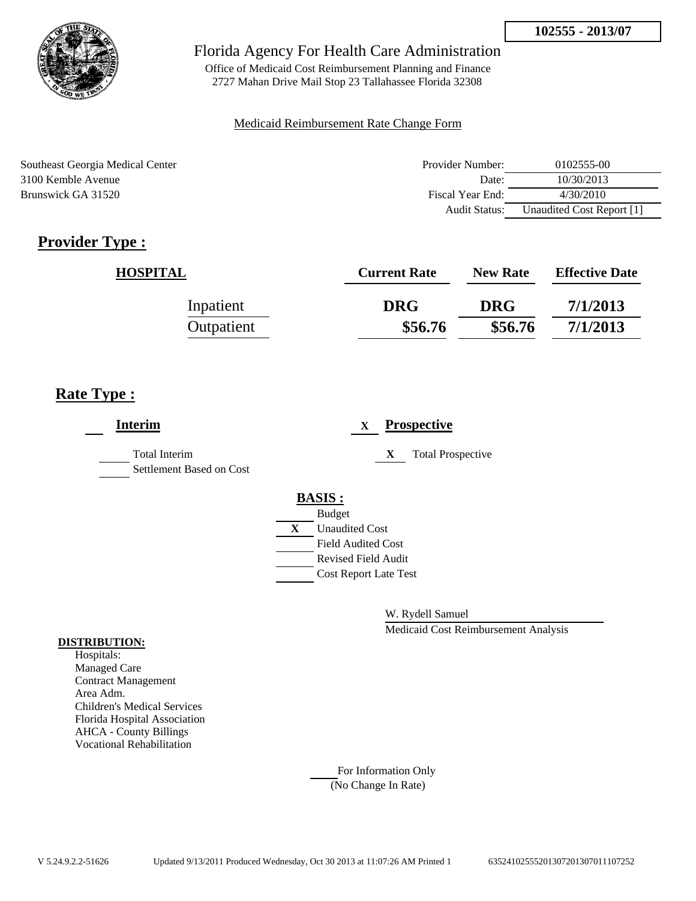

Office of Medicaid Cost Reimbursement Planning and Finance 2727 Mahan Drive Mail Stop 23 Tallahassee Florida 32308

### Medicaid Reimbursement Rate Change Form

Southeast Georgia Medical Center 3100 Kemble Avenue Brunswick GA 31520

| Provider Number: | 0102555-00                |
|------------------|---------------------------|
| Date:            | 10/30/2013                |
| Fiscal Year End: | 4/30/2010                 |
| Audit Status:    | Unaudited Cost Report [1] |

# **Provider Type :**

| <b>HOSPITAL</b> | <b>Current Rate</b> | <b>New Rate</b> | <b>Effective Date</b> |
|-----------------|---------------------|-----------------|-----------------------|
| Inpatient       | <b>DRG</b>          | <b>DRG</b>      | 7/1/2013              |
| Outpatient      | \$56.76             | \$56.76         | 7/1/2013              |

## **Rate Type :**

| <b>Interim</b>                            | <b>Prospective</b><br>X                                                                                                                                 |
|-------------------------------------------|---------------------------------------------------------------------------------------------------------------------------------------------------------|
| Total Interim<br>Settlement Based on Cost | <b>Total Prospective</b><br>X                                                                                                                           |
|                                           | <b>BASIS:</b><br><b>Budget</b><br>X<br><b>Unaudited Cost</b><br><b>Field Audited Cost</b><br><b>Revised Field Audit</b><br><b>Cost Report Late Test</b> |

W. Rydell Samuel

Medicaid Cost Reimbursement Analysis

#### **DISTRIBUTION:**

Hospitals: Managed Care Contract Management Area Adm. Children's Medical Services Florida Hospital Association AHCA - County Billings Vocational Rehabilitation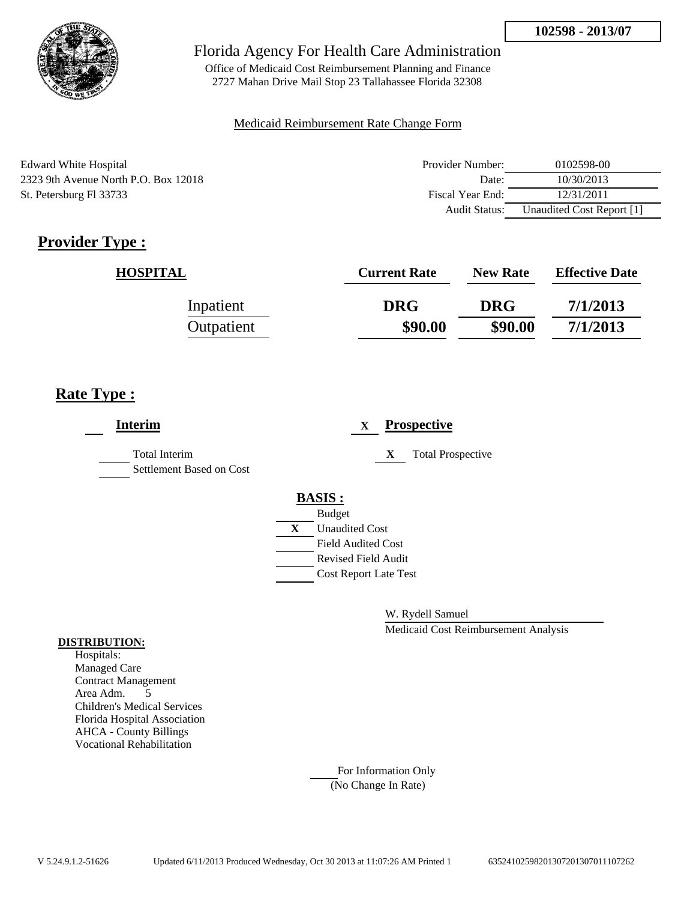

Office of Medicaid Cost Reimbursement Planning and Finance 2727 Mahan Drive Mail Stop 23 Tallahassee Florida 32308

### Medicaid Reimbursement Rate Change Form

Edward White Hospital 2323 9th Avenue North P.O. Box 12018 St. Petersburg Fl 33733

| Provider Number: | 0102598-00                |
|------------------|---------------------------|
| Date:            | 10/30/2013                |
| Fiscal Year End: | 12/31/2011                |
| Audit Status:    | Unaudited Cost Report [1] |

# **Provider Type :**

| <b>HOSPITAL</b> | <b>Current Rate</b> | <b>New Rate</b> | <b>Effective Date</b> |
|-----------------|---------------------|-----------------|-----------------------|
| Inpatient       | <b>DRG</b>          | <b>DRG</b>      | 7/1/2013              |
| Outpatient      | \$90.00             | \$90.00         | 7/1/2013              |

## **Rate Type :**

| <b>Interim</b>                                   | <b>Prospective</b><br>$\mathbf{X}$                                                                                                                      |
|--------------------------------------------------|---------------------------------------------------------------------------------------------------------------------------------------------------------|
| <b>Total Interim</b><br>Settlement Based on Cost | <b>Total Prospective</b><br>X                                                                                                                           |
|                                                  | <b>BASIS:</b><br><b>Budget</b><br>X<br><b>Unaudited Cost</b><br><b>Field Audited Cost</b><br><b>Revised Field Audit</b><br><b>Cost Report Late Test</b> |

W. Rydell Samuel

Medicaid Cost Reimbursement Analysis

### **DISTRIBUTION:**

Hospitals: Managed Care Contract Management Area Adm. 5 Children's Medical Services Florida Hospital Association AHCA - County Billings Vocational Rehabilitation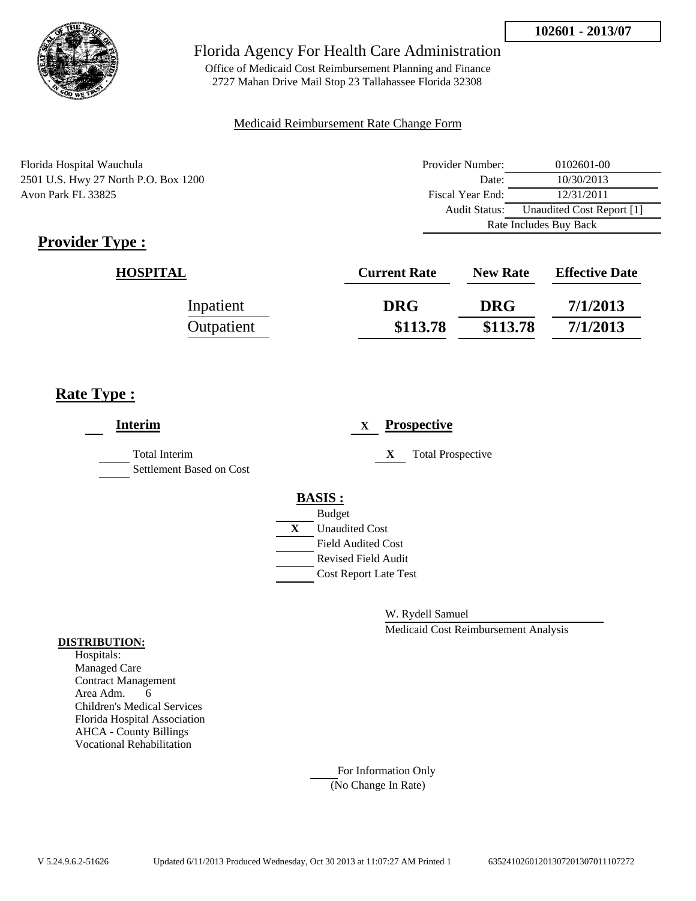

Office of Medicaid Cost Reimbursement Planning and Finance 2727 Mahan Drive Mail Stop 23 Tallahassee Florida 32308

### Medicaid Reimbursement Rate Change Form

Florida Hospital Wauchula 2501 U.S. Hwy 27 North P.O. Box 1200 Avon Park FL 33825

| Provider Number:       | 0102601-00                |  |
|------------------------|---------------------------|--|
| Date:                  | 10/30/2013                |  |
| Fiscal Year End:       | 12/31/2011                |  |
| Audit Status:          | Unaudited Cost Report [1] |  |
| Rate Includes Buy Back |                           |  |

# **Provider Type :**

| <b>HOSPITAL</b> | <b>Current Rate</b> | <b>New Rate</b> | <b>Effective Date</b> |
|-----------------|---------------------|-----------------|-----------------------|
| Inpatient       | <b>DRG</b>          | <b>DRG</b>      | 7/1/2013              |
| Outpatient      | \$113.78            | \$113.78        | 7/1/2013              |

## **Rate Type :**

| <b>Interim</b>                                   | <b>Prospective</b><br>X        |
|--------------------------------------------------|--------------------------------|
| <b>Total Interim</b><br>Settlement Based on Cost | X<br><b>Total Prospective</b>  |
|                                                  | <b>BASIS:</b><br><b>Budget</b> |
|                                                  | <b>Unaudited Cost</b><br>X     |
|                                                  | <b>Field Audited Cost</b>      |
|                                                  | <b>Revised Field Audit</b>     |
|                                                  | <b>Cost Report Late Test</b>   |
|                                                  |                                |

W. Rydell Samuel

Medicaid Cost Reimbursement Analysis

#### **DISTRIBUTION:**

Hospitals: Managed Care Contract Management Area Adm. 6 Children's Medical Services Florida Hospital Association AHCA - County Billings Vocational Rehabilitation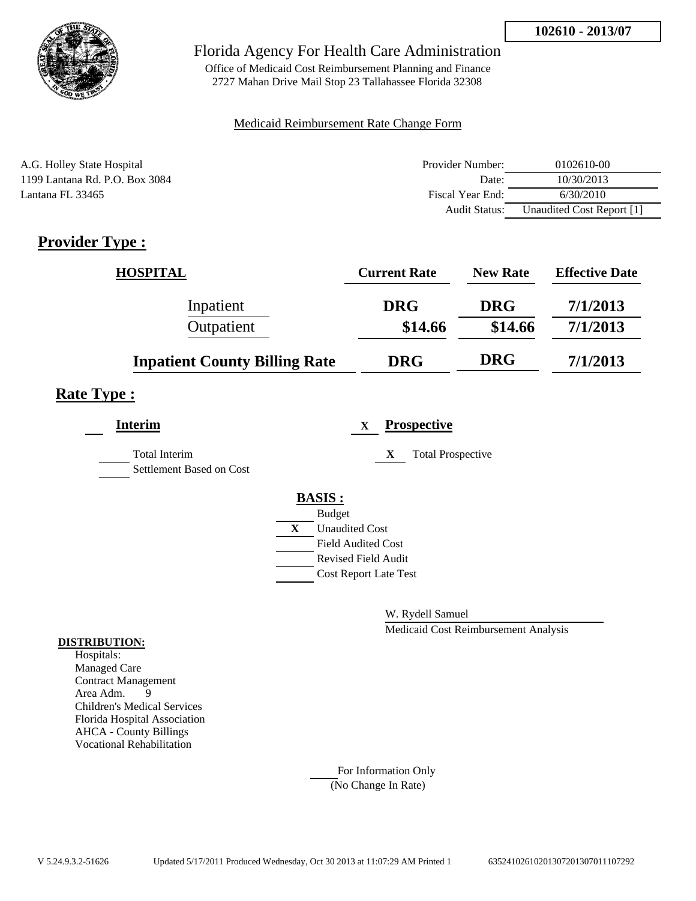

Office of Medicaid Cost Reimbursement Planning and Finance 2727 Mahan Drive Mail Stop 23 Tallahassee Florida 32308

### Medicaid Reimbursement Rate Change Form

| A.G. Holley State Hospital     | Provider Number: | 0102610-00                |
|--------------------------------|------------------|---------------------------|
| 1199 Lantana Rd. P.O. Box 3084 | Date:            | 10/30/2013                |
| Lantana FL 33465               | Fiscal Year End: | 6/30/2010                 |
|                                | Audit Status:    | Unaudited Cost Report [1] |

## **Provider Type :**

| <b>HOSPITAL</b>                      | <b>Current Rate</b> | <b>New Rate</b> | <b>Effective Date</b> |
|--------------------------------------|---------------------|-----------------|-----------------------|
| Inpatient                            | <b>DRG</b>          | <b>DRG</b>      | 7/1/2013              |
| Outpatient                           | \$14.66             | \$14.66         | 7/1/2013              |
| <b>Inpatient County Billing Rate</b> | <b>DRG</b>          | <b>DRG</b>      | 7/1/2013              |

## **Rate Type :**

| <b>Interim</b>                                   |   |                            | X | <b>Prospective</b>            |
|--------------------------------------------------|---|----------------------------|---|-------------------------------|
| <b>Total Interim</b><br>Settlement Based on Cost |   |                            |   | <b>Total Prospective</b><br>X |
|                                                  |   | <b>BASIS:</b>              |   |                               |
|                                                  |   | <b>Budget</b>              |   |                               |
|                                                  | X | <b>Unaudited Cost</b>      |   |                               |
|                                                  |   | <b>Field Audited Cost</b>  |   |                               |
|                                                  |   | <b>Revised Field Audit</b> |   |                               |
|                                                  |   |                            |   | <b>Cost Report Late Test</b>  |
|                                                  |   |                            |   |                               |

W. Rydell Samuel

Medicaid Cost Reimbursement Analysis

### **DISTRIBUTION:**

Hospitals: Managed Care Contract Management Area Adm. 9 Children's Medical Services Florida Hospital Association AHCA - County Billings Vocational Rehabilitation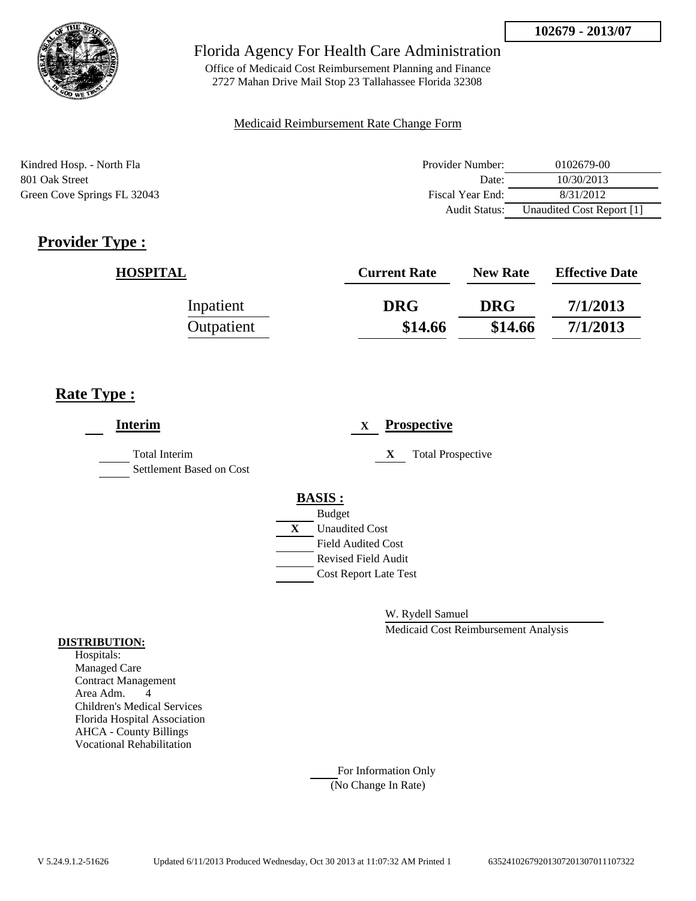

Office of Medicaid Cost Reimbursement Planning and Finance 2727 Mahan Drive Mail Stop 23 Tallahassee Florida 32308

### Medicaid Reimbursement Rate Change Form

Kindred Hosp. - North Fla 801 Oak Street Green Cove Springs FL 32043

| Provider Number:     | 0102679-00                |
|----------------------|---------------------------|
| Date:                | 10/30/2013                |
| Fiscal Year End:     | 8/31/2012                 |
| <b>Audit Status:</b> | Unaudited Cost Report [1] |

# **Provider Type :**

| <b>HOSPITAL</b> | <b>Current Rate</b> | <b>New Rate</b> | <b>Effective Date</b> |
|-----------------|---------------------|-----------------|-----------------------|
| Inpatient       | <b>DRG</b>          | <b>DRG</b>      | 7/1/2013              |
| Outpatient      | \$14.66             | \$14.66         | 7/1/2013              |

## **Rate Type :**

| <b>Interim</b>                            |   |                              | X |   | <b>Prospective</b>       |
|-------------------------------------------|---|------------------------------|---|---|--------------------------|
| Total Interim<br>Settlement Based on Cost |   |                              |   | X | <b>Total Prospective</b> |
|                                           |   | <b>BASIS:</b>                |   |   |                          |
|                                           |   | <b>Budget</b>                |   |   |                          |
|                                           | X | <b>Unaudited Cost</b>        |   |   |                          |
|                                           |   | <b>Field Audited Cost</b>    |   |   |                          |
|                                           |   | <b>Revised Field Audit</b>   |   |   |                          |
|                                           |   | <b>Cost Report Late Test</b> |   |   |                          |
|                                           |   |                              |   |   |                          |

W. Rydell Samuel

Medicaid Cost Reimbursement Analysis

### **DISTRIBUTION:**

Hospitals: Managed Care Contract Management Area Adm. 4 Children's Medical Services Florida Hospital Association AHCA - County Billings Vocational Rehabilitation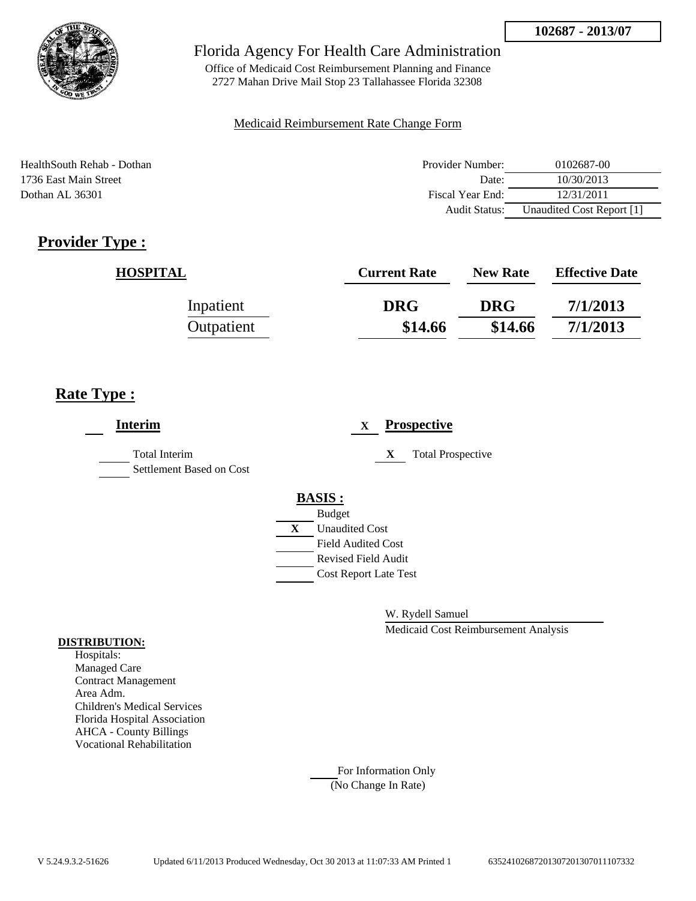

Office of Medicaid Cost Reimbursement Planning and Finance 2727 Mahan Drive Mail Stop 23 Tallahassee Florida 32308

### Medicaid Reimbursement Rate Change Form

HealthSouth Rehab - Dothan 1736 East Main Street Dothan AL 36301

| Provider Number: | 0102687-00                |
|------------------|---------------------------|
| Date:            | 10/30/2013                |
| Fiscal Year End: | 12/31/2011                |
| Audit Status:    | Unaudited Cost Report [1] |

# **Provider Type :**

| <b>HOSPITAL</b> | <b>Current Rate</b> | <b>New Rate</b> | <b>Effective Date</b> |
|-----------------|---------------------|-----------------|-----------------------|
| Inpatient       | <b>DRG</b>          | <b>DRG</b>      | 7/1/2013              |
| Outpatient      | \$14.66             | \$14.66         | 7/1/2013              |

## **Rate Type :**

| <b>Interim</b>                                   | <b>Prospective</b><br>X        |
|--------------------------------------------------|--------------------------------|
| <b>Total Interim</b><br>Settlement Based on Cost | <b>Total Prospective</b><br>X  |
|                                                  | <b>BASIS:</b><br><b>Budget</b> |
|                                                  | <b>Unaudited Cost</b><br>X     |
|                                                  | <b>Field Audited Cost</b>      |
|                                                  | <b>Revised Field Audit</b>     |
|                                                  | <b>Cost Report Late Test</b>   |
|                                                  |                                |

W. Rydell Samuel

Medicaid Cost Reimbursement Analysis

### **DISTRIBUTION:**

Hospitals: Managed Care Contract Management Area Adm. Children's Medical Services Florida Hospital Association AHCA - County Billings Vocational Rehabilitation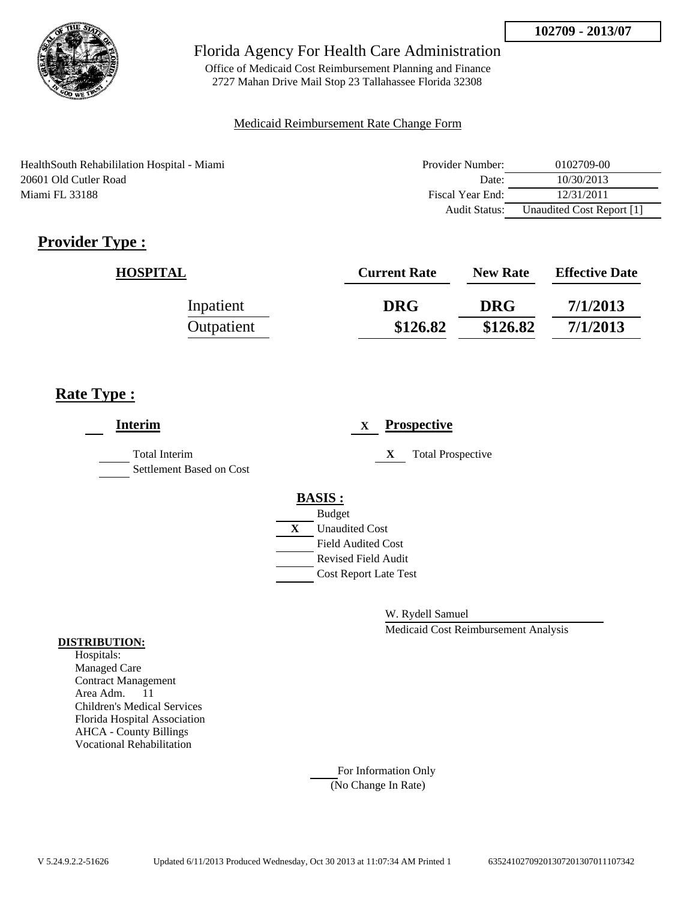

Office of Medicaid Cost Reimbursement Planning and Finance 2727 Mahan Drive Mail Stop 23 Tallahassee Florida 32308

### Medicaid Reimbursement Rate Change Form

HealthSouth Rehabililation Hospital - Miami 20601 Old Cutler Road Miami FL 33188

| Provider Number: | 0102709-00                |
|------------------|---------------------------|
| Date:            | 10/30/2013                |
| Fiscal Year End: | 12/31/2011                |
| Audit Status:    | Unaudited Cost Report [1] |

# **Provider Type :**

| <b>HOSPITAL</b> | <b>Current Rate</b> | <b>New Rate</b> | <b>Effective Date</b> |
|-----------------|---------------------|-----------------|-----------------------|
| Inpatient       | <b>DRG</b>          | <b>DRG</b>      | 7/1/2013              |
| Outpatient      | \$126.82            | \$126.82        | 7/1/2013              |

## **Rate Type :**

| <b>Interim</b>                            | <b>Prospective</b><br>$\mathbf x$ |
|-------------------------------------------|-----------------------------------|
| Total Interim<br>Settlement Based on Cost | X<br><b>Total Prospective</b>     |
|                                           | <b>BASIS:</b>                     |
|                                           | <b>Budget</b>                     |
|                                           | X<br><b>Unaudited Cost</b>        |
|                                           | <b>Field Audited Cost</b>         |
|                                           | <b>Revised Field Audit</b>        |
|                                           | <b>Cost Report Late Test</b>      |
|                                           |                                   |

W. Rydell Samuel

Medicaid Cost Reimbursement Analysis

#### **DISTRIBUTION:**

Hospitals: Managed Care Contract Management Area Adm. 11 Children's Medical Services Florida Hospital Association AHCA - County Billings Vocational Rehabilitation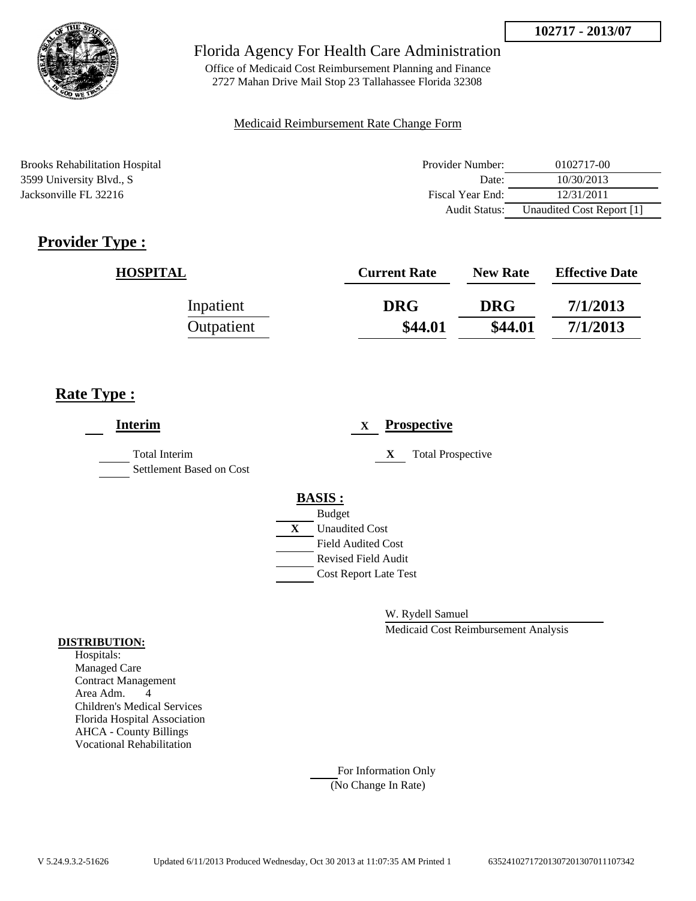

Office of Medicaid Cost Reimbursement Planning and Finance 2727 Mahan Drive Mail Stop 23 Tallahassee Florida 32308

### Medicaid Reimbursement Rate Change Form

Brooks Rehabilitation Hospital 3599 University Blvd., S Jacksonville FL 32216

| Provider Number: | 0102717-00                |
|------------------|---------------------------|
| Date:            | 10/30/2013                |
| Fiscal Year End: | 12/31/2011                |
| Audit Status:    | Unaudited Cost Report [1] |

# **Provider Type :**

| <b>HOSPITAL</b> | <b>Current Rate</b> | <b>New Rate</b> | <b>Effective Date</b> |
|-----------------|---------------------|-----------------|-----------------------|
| Inpatient       | <b>DRG</b>          | <b>DRG</b>      | 7/1/2013              |
| Outpatient      | \$44.01             | \$44.01         | 7/1/2013              |

## **Rate Type :**

| Interim                                   | <b>Prospective</b><br>X                                                                                                                                            |
|-------------------------------------------|--------------------------------------------------------------------------------------------------------------------------------------------------------------------|
| Total Interim<br>Settlement Based on Cost | <b>Total Prospective</b><br>X                                                                                                                                      |
|                                           | <b>BASIS:</b><br><b>Budget</b><br>$\mathbf{X}$<br><b>Unaudited Cost</b><br><b>Field Audited Cost</b><br><b>Revised Field Audit</b><br><b>Cost Report Late Test</b> |

W. Rydell Samuel

Medicaid Cost Reimbursement Analysis

#### **DISTRIBUTION:**

Hospitals: Managed Care Contract Management Area Adm. 4 Children's Medical Services Florida Hospital Association AHCA - County Billings Vocational Rehabilitation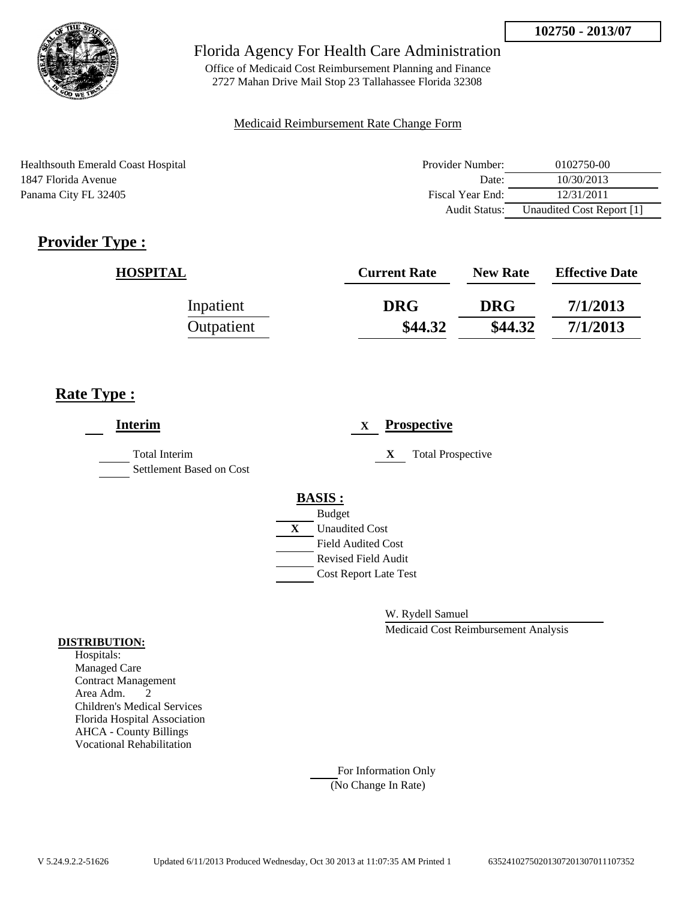

Office of Medicaid Cost Reimbursement Planning and Finance 2727 Mahan Drive Mail Stop 23 Tallahassee Florida 32308

### Medicaid Reimbursement Rate Change Form

Healthsouth Emerald Coast Hospital 1847 Florida Avenue Panama City FL 32405

| Provider Number: | 0102750-00                |
|------------------|---------------------------|
| Date:            | 10/30/2013                |
| Fiscal Year End: | 12/31/2011                |
| Audit Status:    | Unaudited Cost Report [1] |

# **Provider Type :**

| <b>HOSPITAL</b> | <b>Current Rate</b> | <b>New Rate</b> | <b>Effective Date</b> |
|-----------------|---------------------|-----------------|-----------------------|
| Inpatient       | <b>DRG</b>          | <b>DRG</b>      | 7/1/2013              |
| Outpatient      | \$44.32             | \$44.32         | 7/1/2013              |

## **Rate Type :**

| <b>Interim</b>                            |   | <b>Prospective</b><br>$\mathbf X$ |
|-------------------------------------------|---|-----------------------------------|
| Total Interim<br>Settlement Based on Cost |   | X<br><b>Total Prospective</b>     |
|                                           |   | <b>BASIS:</b>                     |
|                                           |   | <b>Budget</b>                     |
|                                           | X | <b>Unaudited Cost</b>             |
|                                           |   | <b>Field Audited Cost</b>         |
|                                           |   | Revised Field Audit               |
|                                           |   | <b>Cost Report Late Test</b>      |
|                                           |   |                                   |

W. Rydell Samuel

Medicaid Cost Reimbursement Analysis

#### **DISTRIBUTION:**

Hospitals: Managed Care Contract Management Area Adm. 2 Children's Medical Services Florida Hospital Association AHCA - County Billings Vocational Rehabilitation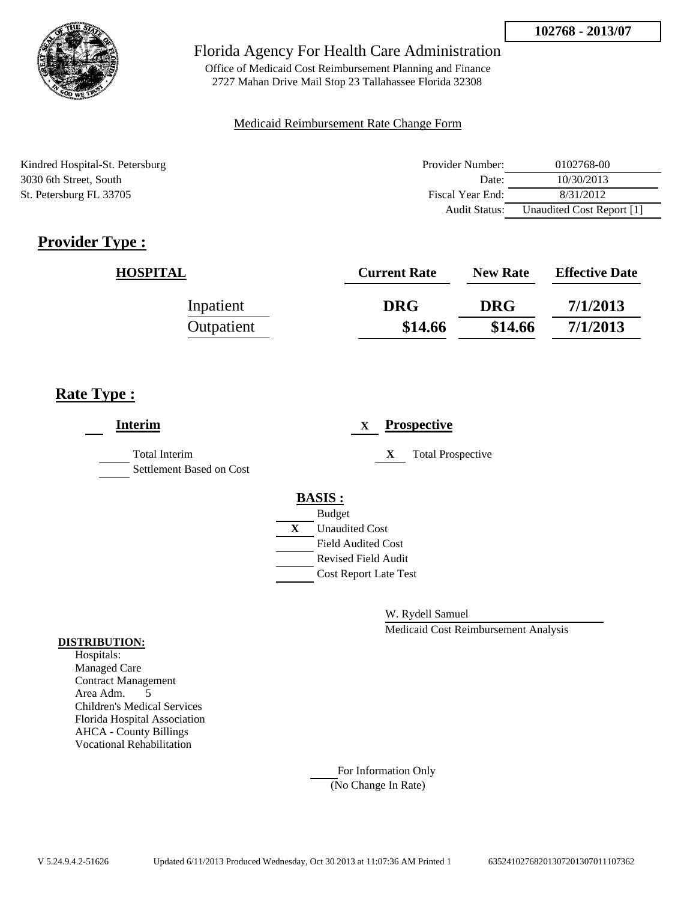

Office of Medicaid Cost Reimbursement Planning and Finance 2727 Mahan Drive Mail Stop 23 Tallahassee Florida 32308

### Medicaid Reimbursement Rate Change Form

Kindred Hospital-St. Petersburg 3030 6th Street, South St. Petersburg FL 33705

| Provider Number: | 0102768-00                |
|------------------|---------------------------|
| Date:            | 10/30/2013                |
| Fiscal Year End: | 8/31/2012                 |
| Audit Status:    | Unaudited Cost Report [1] |

# **Provider Type :**

| <b>HOSPITAL</b> | <b>Current Rate</b> | <b>New Rate</b> | <b>Effective Date</b> |
|-----------------|---------------------|-----------------|-----------------------|
| Inpatient       | <b>DRG</b>          | <b>DRG</b>      | 7/1/2013              |
| Outpatient      | \$14.66             | \$14.66         | 7/1/2013              |

## **Rate Type :**

| <b>Interim</b>                                   |               | X                         | <b>Prospective</b>            |
|--------------------------------------------------|---------------|---------------------------|-------------------------------|
| <b>Total Interim</b><br>Settlement Based on Cost |               |                           | <b>Total Prospective</b><br>X |
|                                                  | <b>BASIS:</b> |                           |                               |
|                                                  | <b>Budget</b> |                           |                               |
|                                                  | X             | <b>Unaudited Cost</b>     |                               |
|                                                  |               | <b>Field Audited Cost</b> |                               |
|                                                  |               |                           | <b>Revised Field Audit</b>    |
|                                                  |               |                           | <b>Cost Report Late Test</b>  |
|                                                  |               |                           |                               |

W. Rydell Samuel

Medicaid Cost Reimbursement Analysis

#### **DISTRIBUTION:**

Hospitals: Managed Care Contract Management Area Adm. 5 Children's Medical Services Florida Hospital Association AHCA - County Billings Vocational Rehabilitation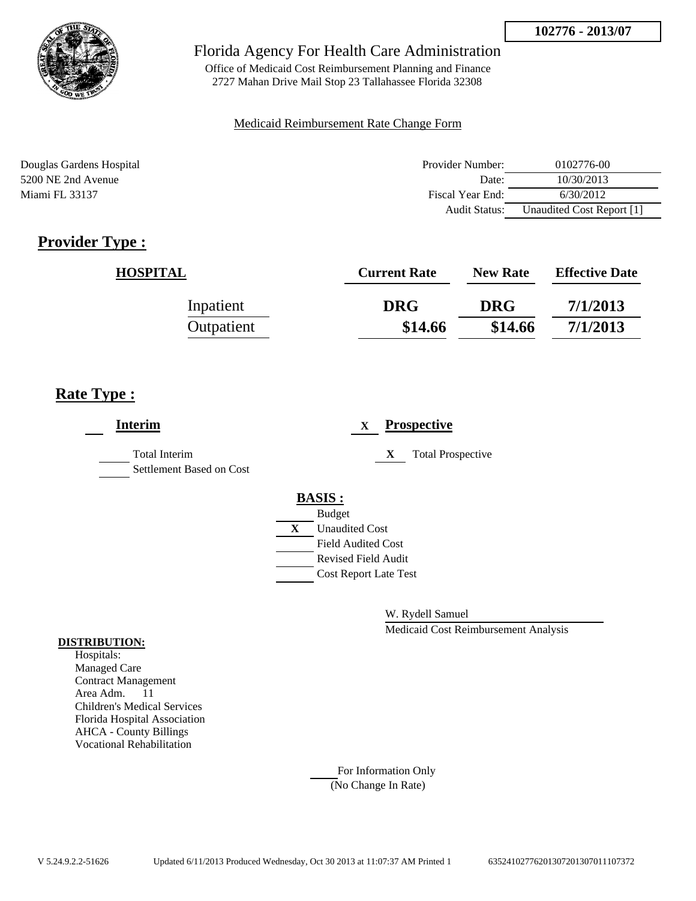

Office of Medicaid Cost Reimbursement Planning and Finance 2727 Mahan Drive Mail Stop 23 Tallahassee Florida 32308

### Medicaid Reimbursement Rate Change Form

Douglas Gardens Hospital Provider Number: 0102776-00 5200 NE 2nd Avenue Date: 10/30/2013 Miami FL 33137 6/30/2012 Audit Status: Unaudited Cost Report [1]

## **Provider Type :**

| <b>HOSPITAL</b> | <b>Current Rate</b> | <b>New Rate</b> | <b>Effective Date</b> |
|-----------------|---------------------|-----------------|-----------------------|
| Inpatient       | <b>DRG</b>          | <b>DRG</b>      | 7/1/2013              |
| Outpatient      | \$14.66             | \$14.66         | 7/1/2013              |

## **Rate Type :**

| <b>Interim</b>                                   |               | X                         | <b>Prospective</b>            |
|--------------------------------------------------|---------------|---------------------------|-------------------------------|
| <b>Total Interim</b><br>Settlement Based on Cost |               |                           | <b>Total Prospective</b><br>X |
|                                                  | <b>BASIS:</b> |                           |                               |
|                                                  | <b>Budget</b> |                           |                               |
|                                                  | X             | <b>Unaudited Cost</b>     |                               |
|                                                  |               | <b>Field Audited Cost</b> |                               |
|                                                  |               |                           | <b>Revised Field Audit</b>    |
|                                                  |               |                           | <b>Cost Report Late Test</b>  |
|                                                  |               |                           |                               |

W. Rydell Samuel

Medicaid Cost Reimbursement Analysis

#### **DISTRIBUTION:**

Hospitals: Managed Care Contract Management Area Adm. 11 Children's Medical Services Florida Hospital Association AHCA - County Billings Vocational Rehabilitation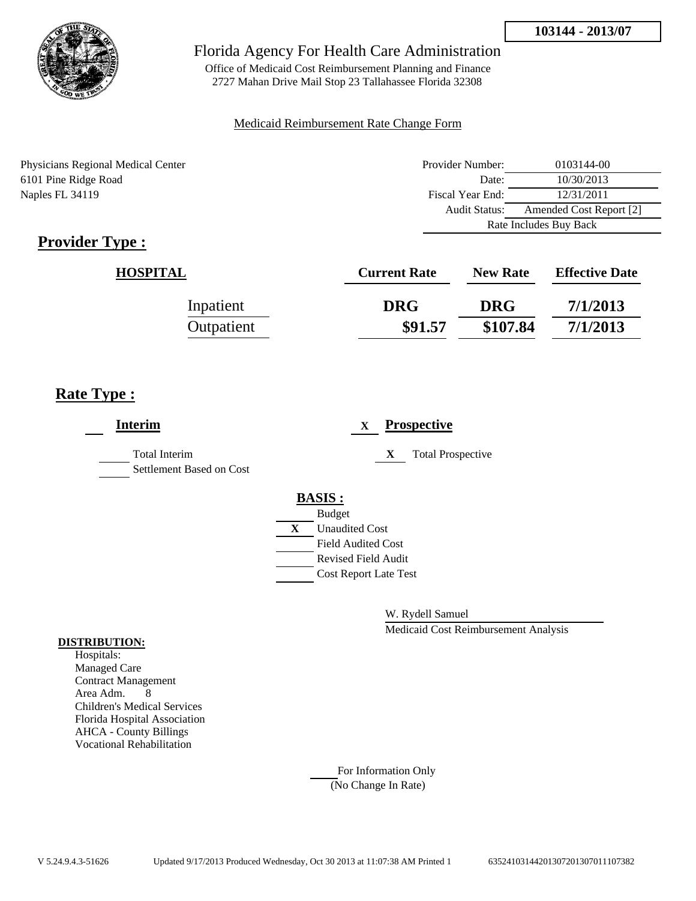

Office of Medicaid Cost Reimbursement Planning and Finance 2727 Mahan Drive Mail Stop 23 Tallahassee Florida 32308

### Medicaid Reimbursement Rate Change Form

Physicians Regional Medical Center 6101 Pine Ridge Road Naples FL 34119

| Provider Number:       | 0103144-00              |  |
|------------------------|-------------------------|--|
| Date:                  | 10/30/2013              |  |
| Fiscal Year End:       | 12/31/2011              |  |
| Audit Status:          | Amended Cost Report [2] |  |
| Rate Includes Buy Back |                         |  |

# **Provider Type :**

| <b>HOSPITAL</b> | <b>Current Rate</b> | <b>New Rate</b> | <b>Effective Date</b> |
|-----------------|---------------------|-----------------|-----------------------|
| Inpatient       | <b>DRG</b>          | <b>DRG</b>      | 7/1/2013              |
| Outpatient      | \$91.57             | \$107.84        | 7/1/2013              |

## **Rate Type :**

| <b>Interim</b>                                   | <b>Prospective</b><br>X       |
|--------------------------------------------------|-------------------------------|
| <b>Total Interim</b><br>Settlement Based on Cost | <b>Total Prospective</b><br>X |
|                                                  | <b>BASIS:</b>                 |
|                                                  | <b>Budget</b>                 |
|                                                  | X<br><b>Unaudited Cost</b>    |
|                                                  | Field Audited Cost            |
|                                                  | Revised Field Audit           |
|                                                  | <b>Cost Report Late Test</b>  |
|                                                  |                               |
|                                                  |                               |

W. Rydell Samuel

Medicaid Cost Reimbursement Analysis

#### **DISTRIBUTION:**

Hospitals: Managed Care Contract Management Area Adm. 8 Children's Medical Services Florida Hospital Association AHCA - County Billings Vocational Rehabilitation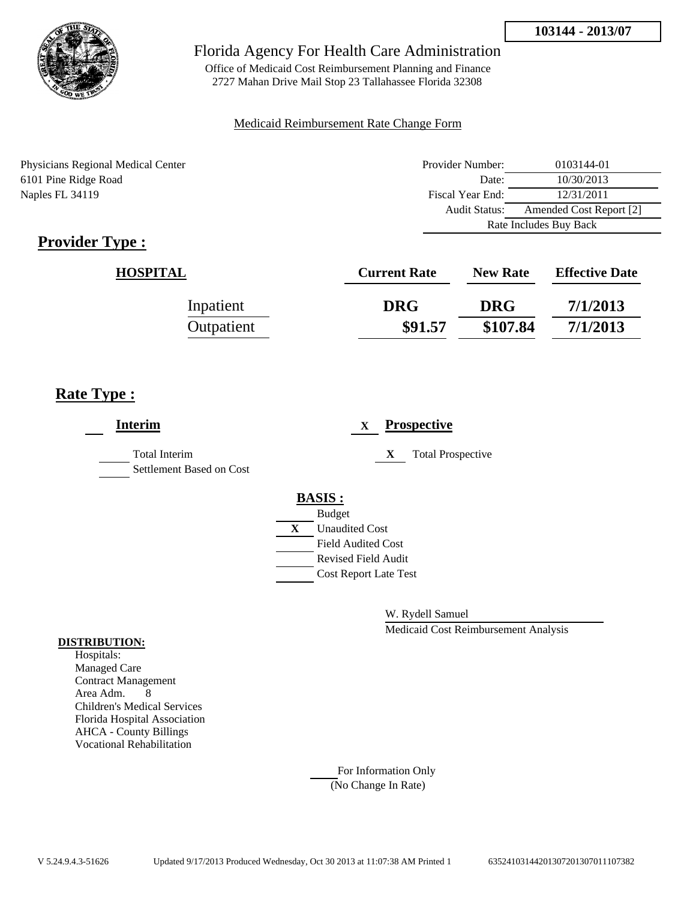

Office of Medicaid Cost Reimbursement Planning and Finance 2727 Mahan Drive Mail Stop 23 Tallahassee Florida 32308

### Medicaid Reimbursement Rate Change Form

Physicians Regional Medical Center 6101 Pine Ridge Road Naples FL 34119

| Provider Number:                         | 0103144-01 |  |
|------------------------------------------|------------|--|
| Date:                                    | 10/30/2013 |  |
| Fiscal Year End:                         | 12/31/2011 |  |
| Amended Cost Report [2]<br>Audit Status: |            |  |
| Rate Includes Buy Back                   |            |  |

# **Provider Type :**

| <b>HOSPITAL</b> | <b>Current Rate</b> | <b>New Rate</b> | <b>Effective Date</b> |
|-----------------|---------------------|-----------------|-----------------------|
| Inpatient       | <b>DRG</b>          | <b>DRG</b>      | 7/1/2013              |
| Outpatient      | \$91.57             | \$107.84        | 7/1/2013              |

## **Rate Type :**

| <b>Interim</b>                                   | <b>Prospective</b><br>X        |
|--------------------------------------------------|--------------------------------|
| <b>Total Interim</b><br>Settlement Based on Cost | X<br><b>Total Prospective</b>  |
|                                                  | <b>BASIS:</b><br><b>Budget</b> |
|                                                  | X<br><b>Unaudited Cost</b>     |
|                                                  | <b>Field Audited Cost</b>      |
|                                                  | <b>Revised Field Audit</b>     |
|                                                  | <b>Cost Report Late Test</b>   |
|                                                  |                                |

W. Rydell Samuel

Medicaid Cost Reimbursement Analysis

#### **DISTRIBUTION:**

Hospitals: Managed Care Contract Management Area Adm. 8 Children's Medical Services Florida Hospital Association AHCA - County Billings Vocational Rehabilitation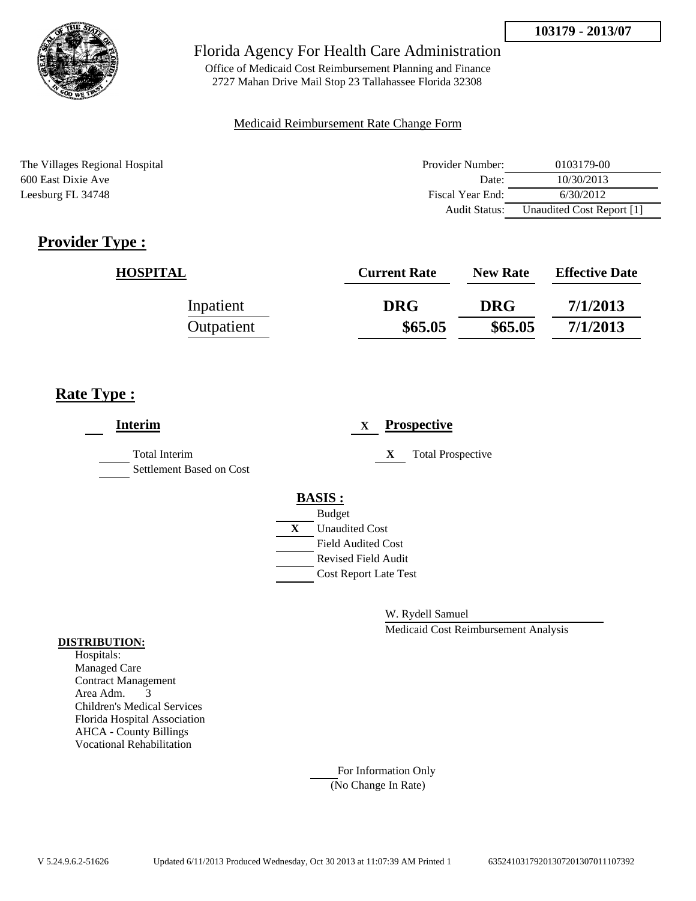

Office of Medicaid Cost Reimbursement Planning and Finance 2727 Mahan Drive Mail Stop 23 Tallahassee Florida 32308

### Medicaid Reimbursement Rate Change Form

The Villages Regional Hospital 600 East Dixie Ave Leesburg FL 34748

| Provider Number: | 0103179-00                |  |  |
|------------------|---------------------------|--|--|
| Date:            | 10/30/2013                |  |  |
| Fiscal Year End: | 6/30/2012                 |  |  |
| Audit Status:    | Unaudited Cost Report [1] |  |  |

# **Provider Type :**

| <b>HOSPITAL</b> | <b>Current Rate</b> | <b>New Rate</b> | <b>Effective Date</b> |
|-----------------|---------------------|-----------------|-----------------------|
| Inpatient       | <b>DRG</b>          | <b>DRG</b>      | 7/1/2013              |
| Outpatient      | \$65.05             | \$65.05         | 7/1/2013              |

## **Rate Type :**

| <b>Interim</b>                            | <b>Prospective</b><br>X                                                                                                                                 |
|-------------------------------------------|---------------------------------------------------------------------------------------------------------------------------------------------------------|
| Total Interim<br>Settlement Based on Cost | <b>Total Prospective</b><br>X                                                                                                                           |
|                                           | <b>BASIS:</b><br><b>Budget</b><br>X<br><b>Unaudited Cost</b><br><b>Field Audited Cost</b><br><b>Revised Field Audit</b><br><b>Cost Report Late Test</b> |

W. Rydell Samuel

Medicaid Cost Reimbursement Analysis

#### **DISTRIBUTION:**

Hospitals: Managed Care Contract Management Area Adm. 3 Children's Medical Services Florida Hospital Association AHCA - County Billings Vocational Rehabilitation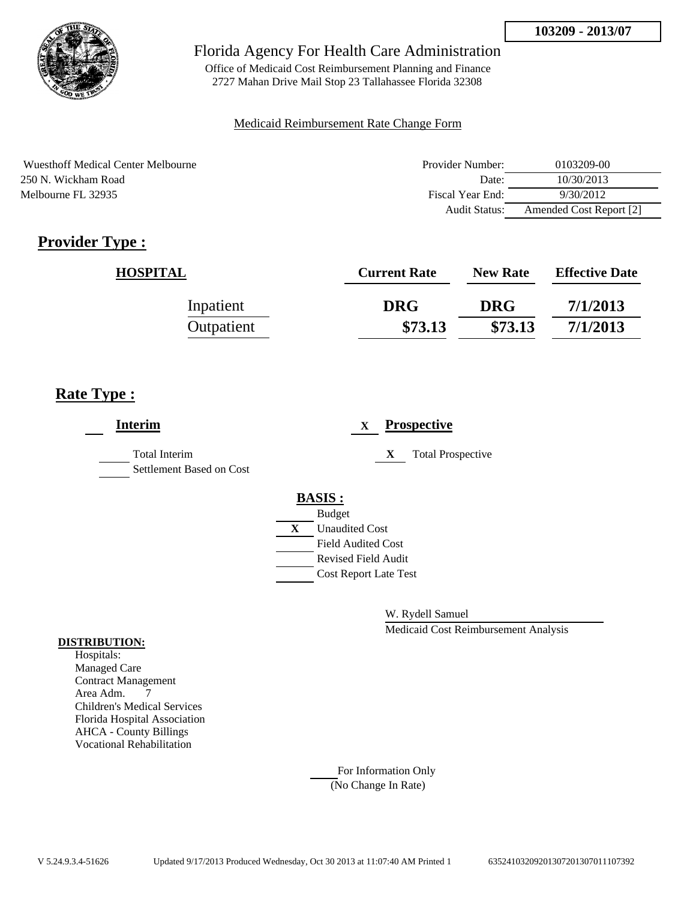

Office of Medicaid Cost Reimbursement Planning and Finance 2727 Mahan Drive Mail Stop 23 Tallahassee Florida 32308

### Medicaid Reimbursement Rate Change Form

Wuesthoff Medical Center Melbourne 250 N. Wickham Road Melbourne FL 32935

| Provider Number: | 0103209-00              |  |  |
|------------------|-------------------------|--|--|
| Date:            | 10/30/2013              |  |  |
| Fiscal Year End: | 9/30/2012               |  |  |
| Audit Status:    | Amended Cost Report [2] |  |  |

# **Provider Type :**

| <b>HOSPITAL</b> | <b>Current Rate</b> | <b>New Rate</b> | <b>Effective Date</b> |
|-----------------|---------------------|-----------------|-----------------------|
| Inpatient       | <b>DRG</b>          | <b>DRG</b>      | 7/1/2013              |
| Outpatient      | \$73.13             | \$73.13         | 7/1/2013              |

## **Rate Type :**

| <b>Interim</b>                            |   | <b>Prospective</b><br>$\mathbf x$ |
|-------------------------------------------|---|-----------------------------------|
| Total Interim<br>Settlement Based on Cost |   | X<br><b>Total Prospective</b>     |
|                                           |   | <b>BASIS:</b>                     |
|                                           |   | <b>Budget</b>                     |
|                                           | X | <b>Unaudited Cost</b>             |
|                                           |   | <b>Field Audited Cost</b>         |
|                                           |   | <b>Revised Field Audit</b>        |
|                                           |   | <b>Cost Report Late Test</b>      |
|                                           |   |                                   |

W. Rydell Samuel

Medicaid Cost Reimbursement Analysis

### **DISTRIBUTION:**

Hospitals: Managed Care Contract Management Area Adm. 7 Children's Medical Services Florida Hospital Association AHCA - County Billings Vocational Rehabilitation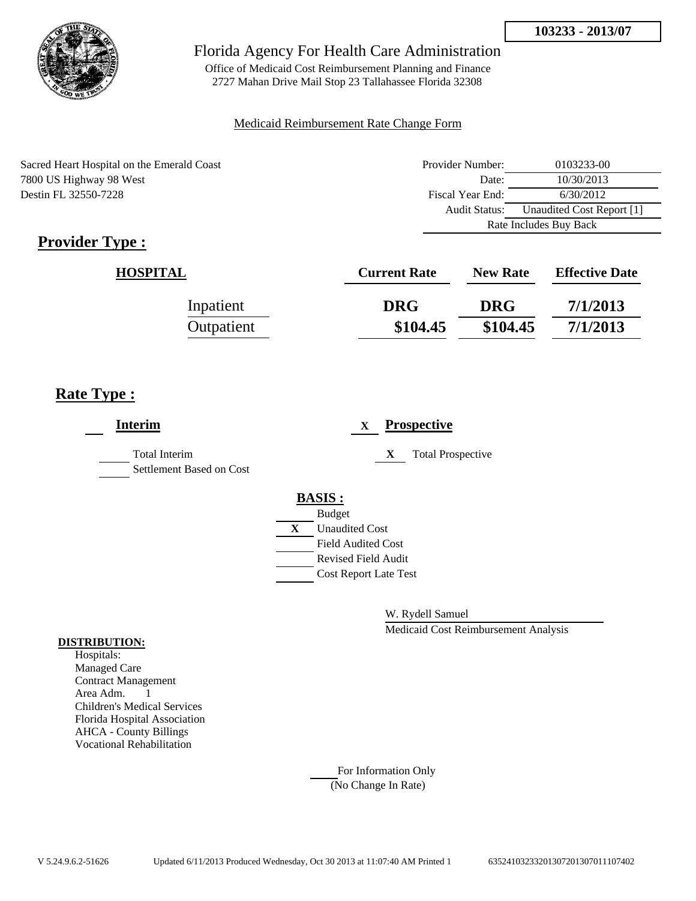

Office of Medicaid Cost Reimbursement Planning and Finance 2727 Mahan Drive Mail Stop 23 Tallahassee Florida 32308

### Medicaid Reimbursement Rate Change Form

Sacred Heart Hospital on the Emerald Coast 7800 US Highway 98 West Destin FL 32550-7228

| Provider Number:                           | 0103233-00 |  |
|--------------------------------------------|------------|--|
| Date:                                      | 10/30/2013 |  |
| Fiscal Year End:                           | 6/30/2012  |  |
| Unaudited Cost Report [1]<br>Audit Status: |            |  |
| Rate Includes Buy Back                     |            |  |

# **Provider Type :**

| <b>HOSPITAL</b> | <b>Current Rate</b> | <b>New Rate</b> | <b>Effective Date</b> |
|-----------------|---------------------|-----------------|-----------------------|
| Inpatient       | <b>DRG</b>          | <b>DRG</b>      | 7/1/2013              |
| Outpatient      | \$104.45            | \$104.45        | 7/1/2013              |

## **Rate Type :**

| <b>Interim</b>                            | <b>Prospective</b><br>X       |
|-------------------------------------------|-------------------------------|
| Total Interim<br>Settlement Based on Cost | <b>Total Prospective</b><br>X |
|                                           | <b>BASIS:</b>                 |
|                                           | <b>Budget</b>                 |
|                                           | <b>Unaudited Cost</b><br>X    |
|                                           | <b>Field Audited Cost</b>     |
|                                           | <b>Revised Field Audit</b>    |
|                                           | <b>Cost Report Late Test</b>  |
|                                           |                               |
|                                           |                               |

W. Rydell Samuel

Medicaid Cost Reimbursement Analysis

#### **DISTRIBUTION:**

Hospitals: Managed Care Contract Management Area Adm. 1 Children's Medical Services Florida Hospital Association AHCA - County Billings Vocational Rehabilitation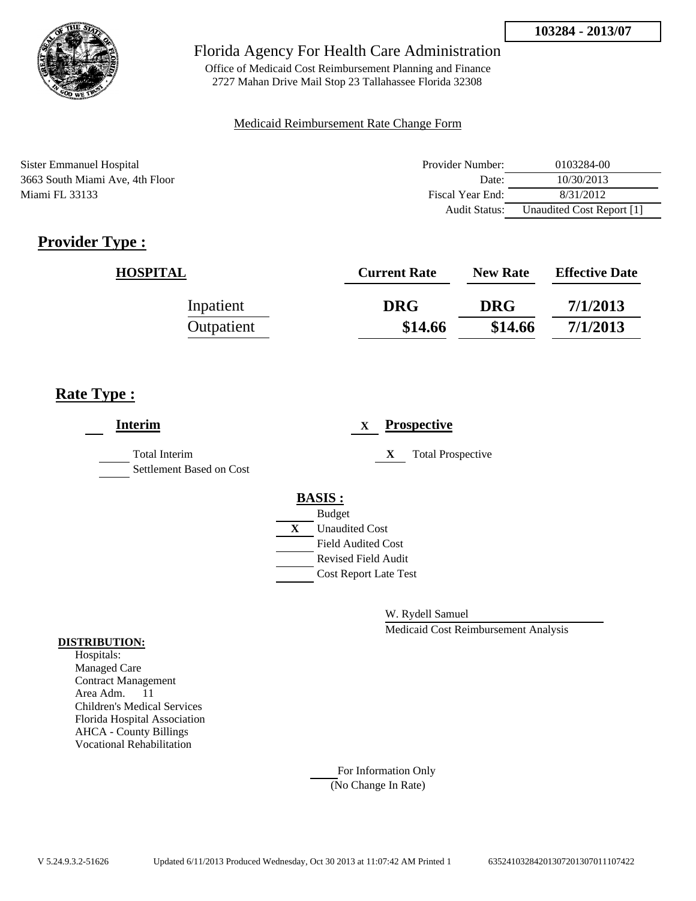

Office of Medicaid Cost Reimbursement Planning and Finance 2727 Mahan Drive Mail Stop 23 Tallahassee Florida 32308

### Medicaid Reimbursement Rate Change Form

Sister Emmanuel Hospital 3663 South Miami Ave, 4th Floor Miami FL 33133

| Provider Number: | 0103284-00                |  |
|------------------|---------------------------|--|
| Date:            | 10/30/2013                |  |
| Fiscal Year End: | 8/31/2012                 |  |
| Audit Status:    | Unaudited Cost Report [1] |  |

# **Provider Type :**

| <b>HOSPITAL</b> | <b>Current Rate</b> | <b>New Rate</b> | <b>Effective Date</b> |
|-----------------|---------------------|-----------------|-----------------------|
| Inpatient       | <b>DRG</b>          | <b>DRG</b>      | 7/1/2013              |
| Outpatient      | \$14.66             | \$14.66         | 7/1/2013              |

## **Rate Type :**

| <b>Interim</b>                                   | <b>Prospective</b><br>X       |
|--------------------------------------------------|-------------------------------|
| <b>Total Interim</b><br>Settlement Based on Cost | X<br><b>Total Prospective</b> |
|                                                  | <b>BASIS:</b>                 |
|                                                  | <b>Budget</b>                 |
|                                                  | X<br><b>Unaudited Cost</b>    |
|                                                  | <b>Field Audited Cost</b>     |
|                                                  | <b>Revised Field Audit</b>    |
|                                                  | <b>Cost Report Late Test</b>  |
|                                                  |                               |

W. Rydell Samuel

Medicaid Cost Reimbursement Analysis

#### **DISTRIBUTION:**

Hospitals: Managed Care Contract Management Area Adm. 11 Children's Medical Services Florida Hospital Association AHCA - County Billings Vocational Rehabilitation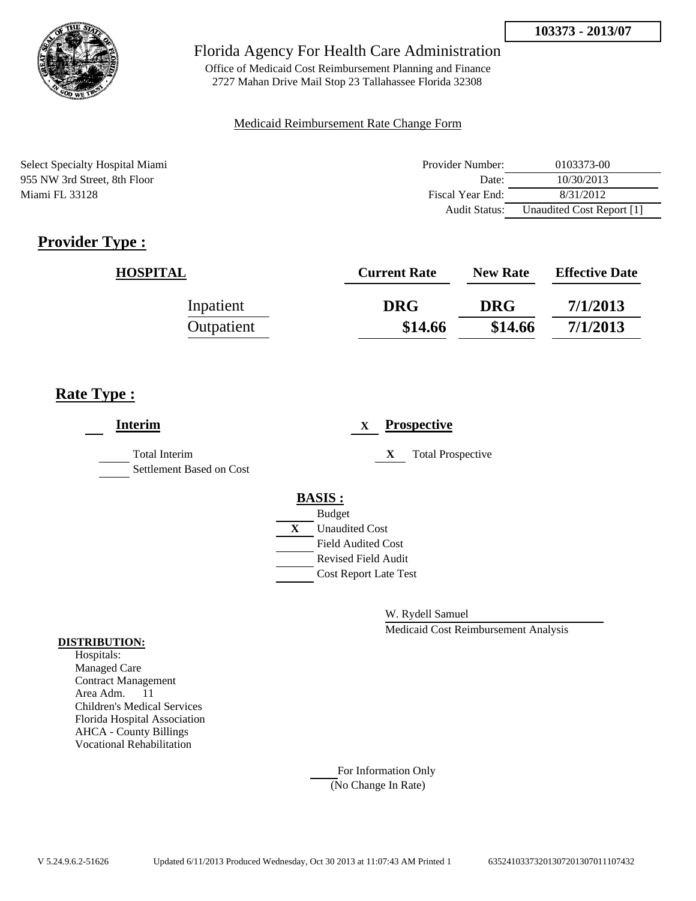

Office of Medicaid Cost Reimbursement Planning and Finance 2727 Mahan Drive Mail Stop 23 Tallahassee Florida 32308

### Medicaid Reimbursement Rate Change Form

Select Specialty Hospital Miami 955 NW 3rd Street, 8th Floor Miami FL 33128

| Provider Number: | 0103373-00                |  |  |
|------------------|---------------------------|--|--|
| Date:            | 10/30/2013                |  |  |
| Fiscal Year End: | 8/31/2012                 |  |  |
| Audit Status:    | Unaudited Cost Report [1] |  |  |

# **Provider Type :**

| <b>HOSPITAL</b> | <b>Current Rate</b> | <b>New Rate</b> | <b>Effective Date</b> |
|-----------------|---------------------|-----------------|-----------------------|
| Inpatient       | <b>DRG</b>          | <b>DRG</b>      | 7/1/2013              |
| Outpatient      | \$14.66             | \$14.66         | 7/1/2013              |

## **Rate Type :**

| <b>Interim</b>                                   | <b>Prospective</b><br>$\mathbf{X}$ |
|--------------------------------------------------|------------------------------------|
| <b>Total Interim</b><br>Settlement Based on Cost | X<br><b>Total Prospective</b>      |
|                                                  | <b>BASIS:</b>                      |
|                                                  | <b>Budget</b>                      |
|                                                  | X<br><b>Unaudited Cost</b>         |
|                                                  | <b>Field Audited Cost</b>          |
|                                                  | <b>Revised Field Audit</b>         |
|                                                  | <b>Cost Report Late Test</b>       |
|                                                  |                                    |

W. Rydell Samuel

Medicaid Cost Reimbursement Analysis

#### **DISTRIBUTION:**

Hospitals: Managed Care Contract Management Area Adm. 11 Children's Medical Services Florida Hospital Association AHCA - County Billings Vocational Rehabilitation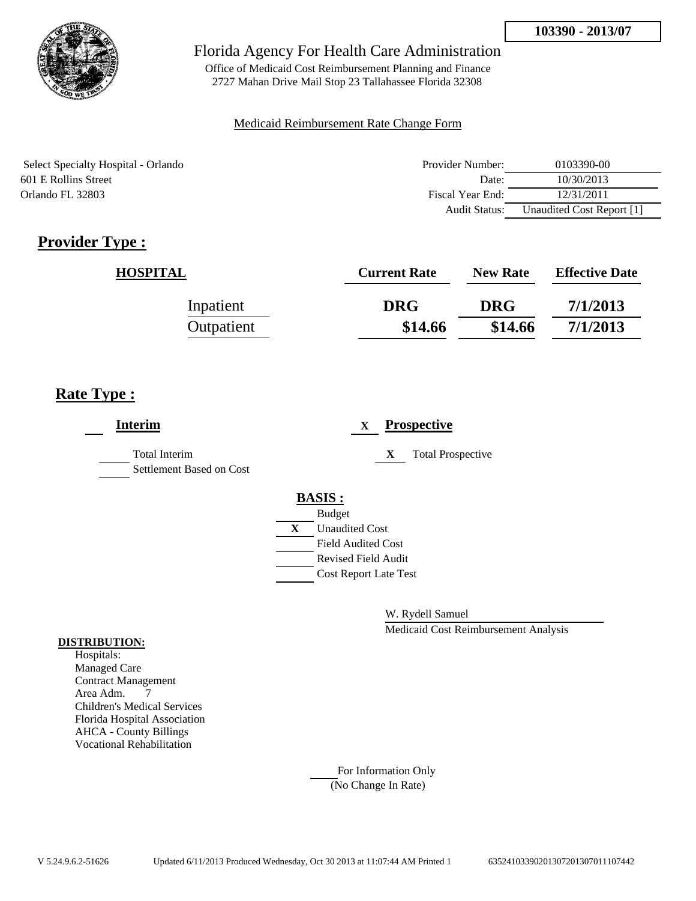

Office of Medicaid Cost Reimbursement Planning and Finance 2727 Mahan Drive Mail Stop 23 Tallahassee Florida 32308

### Medicaid Reimbursement Rate Change Form

Select Specialty Hospital - Orlando 601 E Rollins Street Orlando FL 32803

| Provider Number: | 0103390-00                |  |
|------------------|---------------------------|--|
| Date:            | 10/30/2013                |  |
| Fiscal Year End: | 12/31/2011                |  |
| Audit Status:    | Unaudited Cost Report [1] |  |

# **Provider Type :**

| <b>HOSPITAL</b> | <b>Current Rate</b> | <b>New Rate</b> | <b>Effective Date</b> |
|-----------------|---------------------|-----------------|-----------------------|
| Inpatient       | <b>DRG</b>          | <b>DRG</b>      | 7/1/2013              |
| Outpatient      | \$14.66             | \$14.66         | 7/1/2013              |

## **Rate Type :**

| <b>Interim</b>                                   | <b>Prospective</b><br>X       |
|--------------------------------------------------|-------------------------------|
| <b>Total Interim</b><br>Settlement Based on Cost | <b>Total Prospective</b><br>X |
|                                                  | <b>BASIS:</b>                 |
|                                                  | <b>Budget</b>                 |
|                                                  | X<br><b>Unaudited Cost</b>    |
|                                                  | <b>Field Audited Cost</b>     |
|                                                  | <b>Revised Field Audit</b>    |
|                                                  | <b>Cost Report Late Test</b>  |
|                                                  |                               |

W. Rydell Samuel

Medicaid Cost Reimbursement Analysis

### **DISTRIBUTION:**

Hospitals: Managed Care Contract Management Area Adm. 7 Children's Medical Services Florida Hospital Association AHCA - County Billings Vocational Rehabilitation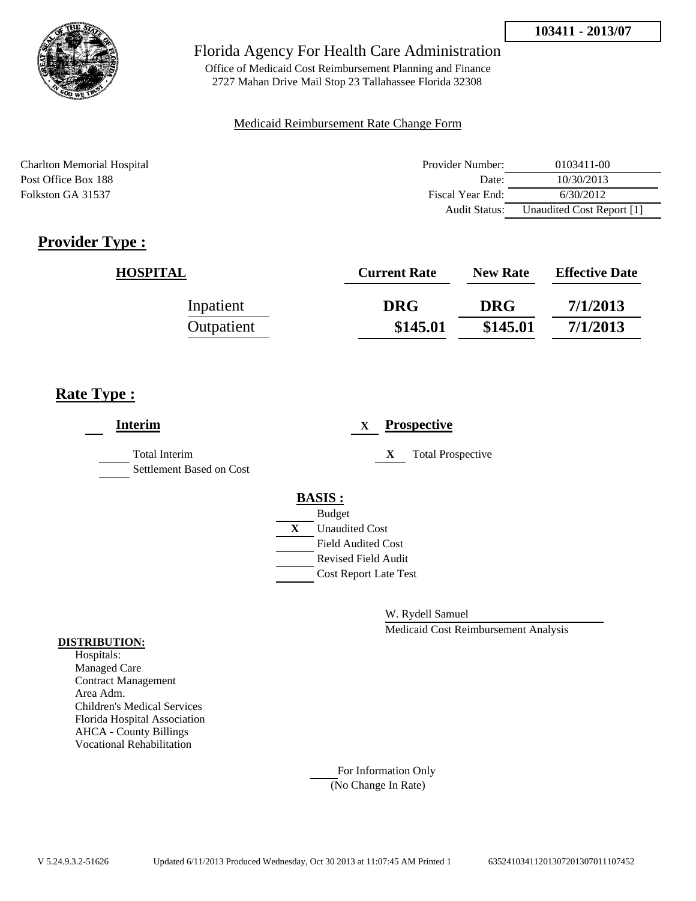

Office of Medicaid Cost Reimbursement Planning and Finance 2727 Mahan Drive Mail Stop 23 Tallahassee Florida 32308

### Medicaid Reimbursement Rate Change Form

Charlton Memorial Hospital Post Office Box 188 Folkston GA 31537

| Provider Number: | 0103411-00                |  |
|------------------|---------------------------|--|
| Date:            | 10/30/2013                |  |
| Fiscal Year End: | 6/30/2012                 |  |
| Audit Status:    | Unaudited Cost Report [1] |  |

# **Provider Type :**

| <b>HOSPITAL</b> | <b>Current Rate</b> | <b>New Rate</b> | <b>Effective Date</b> |
|-----------------|---------------------|-----------------|-----------------------|
| Inpatient       | <b>DRG</b>          | <b>DRG</b>      | 7/1/2013              |
| Outpatient      | \$145.01            | \$145.01        | 7/1/2013              |

## **Rate Type :**

| <b>Interim</b>                                   | <b>Prospective</b><br>X        |
|--------------------------------------------------|--------------------------------|
| <b>Total Interim</b><br>Settlement Based on Cost | X<br><b>Total Prospective</b>  |
|                                                  | <b>BASIS:</b><br><b>Budget</b> |
|                                                  | <b>Unaudited Cost</b><br>X     |
|                                                  | <b>Field Audited Cost</b>      |
|                                                  | <b>Revised Field Audit</b>     |
|                                                  | <b>Cost Report Late Test</b>   |
|                                                  |                                |

W. Rydell Samuel

Medicaid Cost Reimbursement Analysis

#### **DISTRIBUTION:**

Hospitals: Managed Care Contract Management Area Adm. Children's Medical Services Florida Hospital Association AHCA - County Billings Vocational Rehabilitation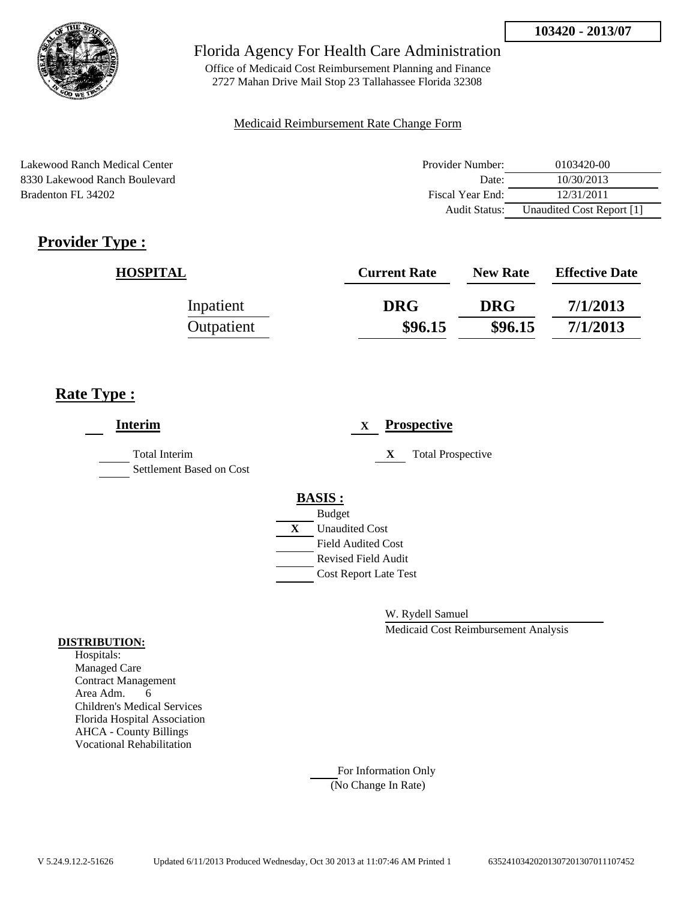

Office of Medicaid Cost Reimbursement Planning and Finance 2727 Mahan Drive Mail Stop 23 Tallahassee Florida 32308

### Medicaid Reimbursement Rate Change Form

Lakewood Ranch Medical Center 8330 Lakewood Ranch Boulevard Bradenton FL 34202

| Provider Number: | 0103420-00                |
|------------------|---------------------------|
| Date:            | 10/30/2013                |
| Fiscal Year End: | 12/31/2011                |
| Audit Status:    | Unaudited Cost Report [1] |

# **Provider Type :**

| <b>HOSPITAL</b> | <b>Current Rate</b> | <b>New Rate</b> | <b>Effective Date</b> |
|-----------------|---------------------|-----------------|-----------------------|
| Inpatient       | <b>DRG</b>          | <b>DRG</b>      | 7/1/2013              |
| Outpatient      | \$96.15             | \$96.15         | 7/1/2013              |

## **Rate Type :**

| <b>Interim</b>                            | <b>Prospective</b><br>X       |
|-------------------------------------------|-------------------------------|
| Total Interim<br>Settlement Based on Cost | <b>Total Prospective</b><br>X |
|                                           | <b>BASIS:</b>                 |
|                                           | <b>Budget</b>                 |
|                                           | X<br><b>Unaudited Cost</b>    |
|                                           | <b>Field Audited Cost</b>     |
|                                           | <b>Revised Field Audit</b>    |
|                                           | <b>Cost Report Late Test</b>  |
|                                           |                               |

W. Rydell Samuel

Medicaid Cost Reimbursement Analysis

### **DISTRIBUTION:**

Hospitals: Managed Care Contract Management Area Adm. 6 Children's Medical Services Florida Hospital Association AHCA - County Billings Vocational Rehabilitation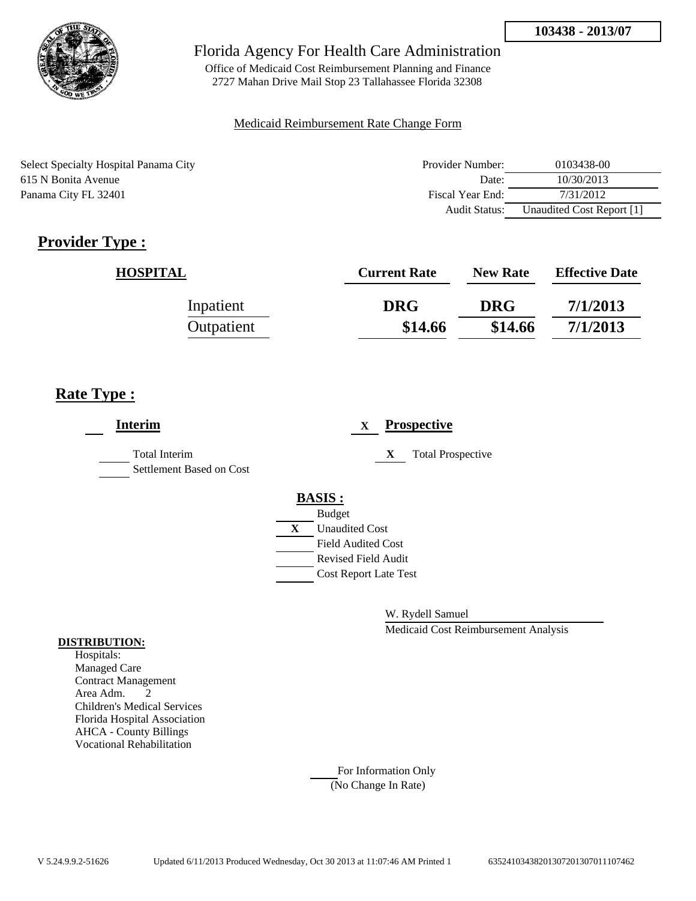

Office of Medicaid Cost Reimbursement Planning and Finance 2727 Mahan Drive Mail Stop 23 Tallahassee Florida 32308

### Medicaid Reimbursement Rate Change Form

Select Specialty Hospital Panama City 615 N Bonita Avenue Panama City FL 32401

| Provider Number: | 0103438-00                |
|------------------|---------------------------|
| Date:            | 10/30/2013                |
| Fiscal Year End: | 7/31/2012                 |
| Audit Status:    | Unaudited Cost Report [1] |

# **Provider Type :**

| <b>HOSPITAL</b> | <b>Current Rate</b> | <b>New Rate</b> | <b>Effective Date</b> |
|-----------------|---------------------|-----------------|-----------------------|
| Inpatient       | <b>DRG</b>          | <b>DRG</b>      | 7/1/2013              |
| Outpatient      | \$14.66             | \$14.66         | 7/1/2013              |

## **Rate Type :**

| <b>Interim</b>                                   | <b>Prospective</b><br>X        |
|--------------------------------------------------|--------------------------------|
| <b>Total Interim</b><br>Settlement Based on Cost | <b>Total Prospective</b><br>X  |
|                                                  | <b>BASIS:</b><br><b>Budget</b> |
|                                                  | X<br><b>Unaudited Cost</b>     |
|                                                  | <b>Field Audited Cost</b>      |
|                                                  | <b>Revised Field Audit</b>     |
|                                                  | <b>Cost Report Late Test</b>   |
|                                                  |                                |

W. Rydell Samuel

Medicaid Cost Reimbursement Analysis

#### **DISTRIBUTION:**

Hospitals: Managed Care Contract Management Area Adm. 2 Children's Medical Services Florida Hospital Association AHCA - County Billings Vocational Rehabilitation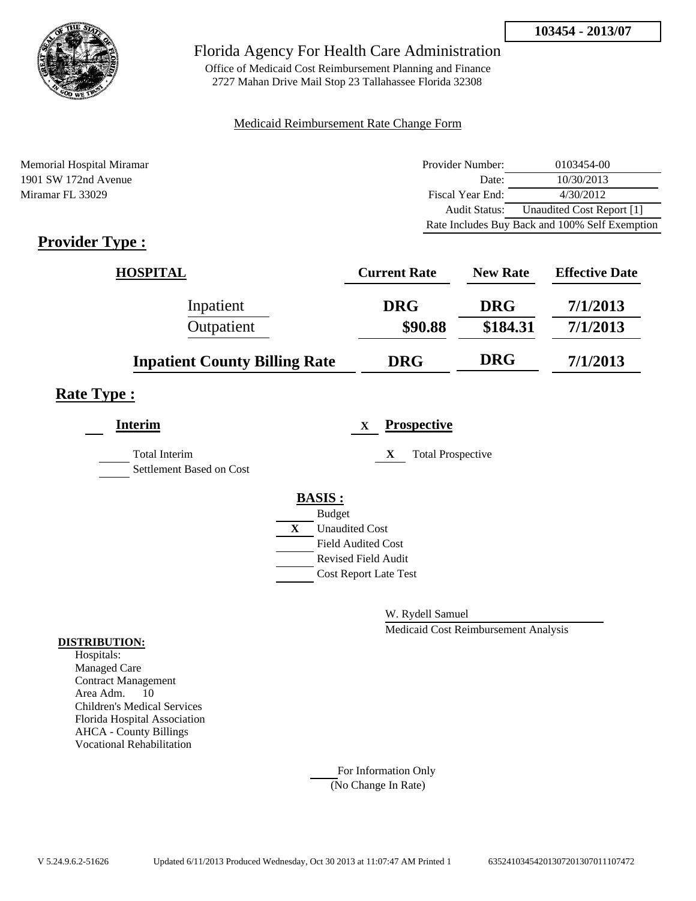

Office of Medicaid Cost Reimbursement Planning and Finance 2727 Mahan Drive Mail Stop 23 Tallahassee Florida 32308

### Medicaid Reimbursement Rate Change Form

| Memorial Hospital Miramar | Provider Number: | 0103454-00                                     |
|---------------------------|------------------|------------------------------------------------|
| 1901 SW 172nd Avenue      | Date:            | 10/30/2013                                     |
| Miramar FL 33029          | Fiscal Year End: | 4/30/2012                                      |
|                           | Audit Status:    | Unaudited Cost Report [1]                      |
|                           |                  | Rate Includes Buy Back and 100% Self Exemption |

## **Provider Type :**

| <b>HOSPITAL</b>                      | <b>Current Rate</b> | <b>New Rate</b> | <b>Effective Date</b> |
|--------------------------------------|---------------------|-----------------|-----------------------|
| Inpatient                            | <b>DRG</b>          | <b>DRG</b>      | 7/1/2013              |
| Outpatient                           | \$90.88             | \$184.31        | 7/1/2013              |
| <b>Inpatient County Billing Rate</b> | <b>DRG</b>          | <b>DRG</b>      | 7/1/2013              |

### **Rate Type :**

| <b>Interim</b>                                   | <b>Prospective</b><br>X       |
|--------------------------------------------------|-------------------------------|
| <b>Total Interim</b><br>Settlement Based on Cost | <b>Total Prospective</b><br>X |
|                                                  | <b>BASIS:</b>                 |
|                                                  | <b>Budget</b>                 |
|                                                  | X<br><b>Unaudited Cost</b>    |
|                                                  | <b>Field Audited Cost</b>     |
|                                                  | <b>Revised Field Audit</b>    |
|                                                  | <b>Cost Report Late Test</b>  |
|                                                  |                               |

W. Rydell Samuel

Medicaid Cost Reimbursement Analysis

#### **DISTRIBUTION:**

Hospitals: Managed Care Contract Management Area Adm. 10 Children's Medical Services Florida Hospital Association AHCA - County Billings Vocational Rehabilitation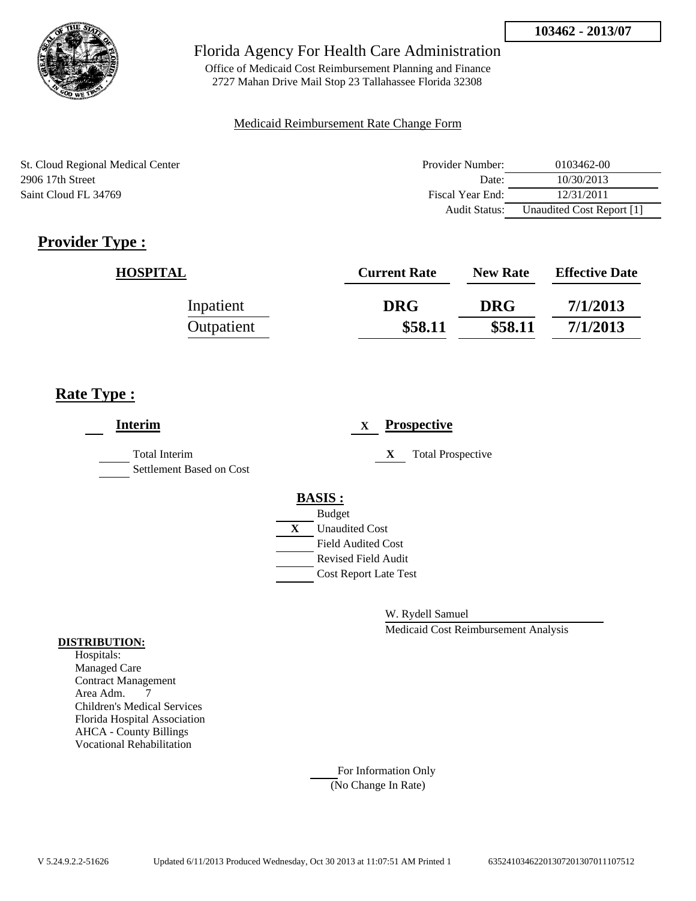

Office of Medicaid Cost Reimbursement Planning and Finance 2727 Mahan Drive Mail Stop 23 Tallahassee Florida 32308

### Medicaid Reimbursement Rate Change Form

St. Cloud Regional Medical Center 2906 17th Street Saint Cloud FL 34769

| Provider Number: | 0103462-00                |
|------------------|---------------------------|
| Date:            | 10/30/2013                |
| Fiscal Year End: | 12/31/2011                |
| Audit Status:    | Unaudited Cost Report [1] |

# **Provider Type :**

| <b>HOSPITAL</b> | <b>Current Rate</b> | <b>New Rate</b> | <b>Effective Date</b> |
|-----------------|---------------------|-----------------|-----------------------|
| Inpatient       | <b>DRG</b>          | <b>DRG</b>      | 7/1/2013              |
| Outpatient      | \$58.11             | \$58.11         | 7/1/2013              |

## **Rate Type :**

| <b>Interim</b>                                   |               | X                            |   | <b>Prospective</b>       |
|--------------------------------------------------|---------------|------------------------------|---|--------------------------|
| <b>Total Interim</b><br>Settlement Based on Cost |               |                              | X | <b>Total Prospective</b> |
|                                                  | <b>BASIS:</b> |                              |   |                          |
|                                                  | <b>Budget</b> |                              |   |                          |
|                                                  | X             | <b>Unaudited Cost</b>        |   |                          |
|                                                  |               | <b>Field Audited Cost</b>    |   |                          |
|                                                  |               | <b>Revised Field Audit</b>   |   |                          |
|                                                  |               | <b>Cost Report Late Test</b> |   |                          |
|                                                  |               |                              |   |                          |
|                                                  |               |                              |   |                          |

W. Rydell Samuel

Medicaid Cost Reimbursement Analysis

#### **DISTRIBUTION:**

Hospitals: Managed Care Contract Management Area Adm. 7 Children's Medical Services Florida Hospital Association AHCA - County Billings Vocational Rehabilitation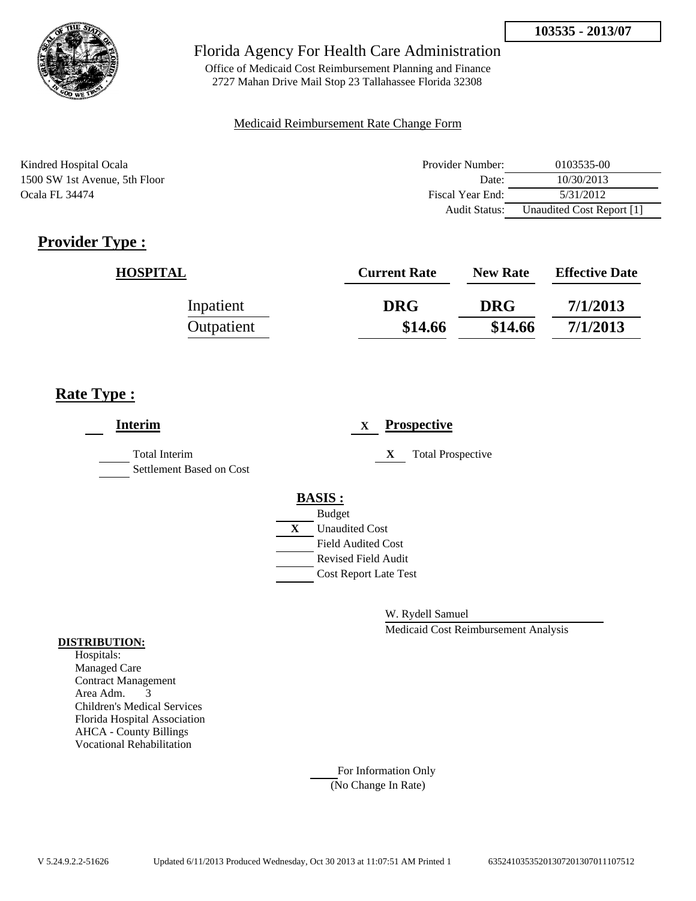

Office of Medicaid Cost Reimbursement Planning and Finance 2727 Mahan Drive Mail Stop 23 Tallahassee Florida 32308

#### Medicaid Reimbursement Rate Change Form

Kindred Hospital Ocala 1500 SW 1st Avenue, 5th Floor Ocala FL 34474

| Provider Number:     | 0103535-00                |
|----------------------|---------------------------|
| Date:                | 10/30/2013                |
| Fiscal Year End:     | 5/31/2012                 |
| <b>Audit Status:</b> | Unaudited Cost Report [1] |

# **Provider Type :**

| <b>HOSPITAL</b> | <b>Current Rate</b> | <b>New Rate</b> | <b>Effective Date</b> |
|-----------------|---------------------|-----------------|-----------------------|
| Inpatient       | <b>DRG</b>          | <b>DRG</b>      | 7/1/2013              |
| Outpatient      | \$14.66             | \$14.66         | 7/1/2013              |

## **Rate Type :**

| <b>Interim</b>                                   | <b>Prospective</b><br>X       |
|--------------------------------------------------|-------------------------------|
| <b>Total Interim</b><br>Settlement Based on Cost | <b>Total Prospective</b><br>X |
|                                                  | <b>BASIS:</b>                 |
|                                                  | <b>Budget</b>                 |
|                                                  | X<br><b>Unaudited Cost</b>    |
|                                                  | <b>Field Audited Cost</b>     |
|                                                  | <b>Revised Field Audit</b>    |
|                                                  | <b>Cost Report Late Test</b>  |
|                                                  |                               |

W. Rydell Samuel

Medicaid Cost Reimbursement Analysis

#### **DISTRIBUTION:**

Hospitals: Managed Care Contract Management Area Adm. 3 Children's Medical Services Florida Hospital Association AHCA - County Billings Vocational Rehabilitation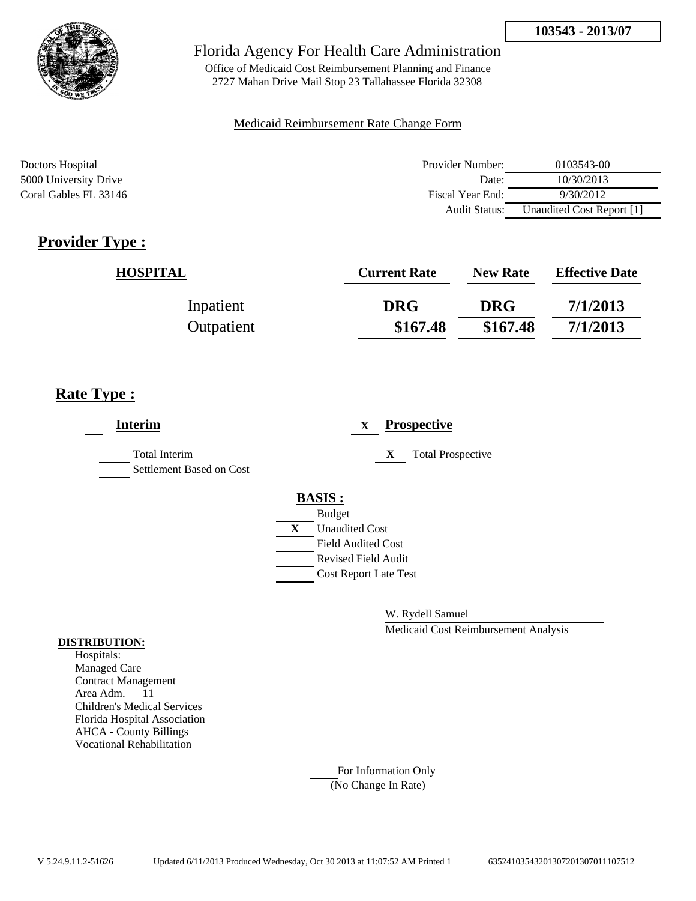

Office of Medicaid Cost Reimbursement Planning and Finance 2727 Mahan Drive Mail Stop 23 Tallahassee Florida 32308

#### Medicaid Reimbursement Rate Change Form

| Doctors Hospital      | Provider Number:     | 0103543-00                |
|-----------------------|----------------------|---------------------------|
| 5000 University Drive | Date:                | 10/30/2013                |
| Coral Gables FL 33146 | Fiscal Year End:     | 9/30/2012                 |
|                       | <b>Audit Status:</b> | Unaudited Cost Report [1] |

## **Provider Type :**

| <b>HOSPITAL</b> | <b>Current Rate</b> | <b>New Rate</b> | <b>Effective Date</b> |
|-----------------|---------------------|-----------------|-----------------------|
| Inpatient       | <b>DRG</b>          | <b>DRG</b>      | 7/1/2013              |
| Outpatient      | \$167.48            | \$167.48        | 7/1/2013              |

## **Rate Type :**

| <b>Interim</b>                                   | <b>Prospective</b><br>$\mathbf x$ |
|--------------------------------------------------|-----------------------------------|
| <b>Total Interim</b><br>Settlement Based on Cost | X<br><b>Total Prospective</b>     |
|                                                  | <b>BASIS:</b>                     |
|                                                  | <b>Budget</b>                     |
|                                                  | X<br><b>Unaudited Cost</b>        |
|                                                  | <b>Field Audited Cost</b>         |
|                                                  | <b>Revised Field Audit</b>        |
|                                                  | <b>Cost Report Late Test</b>      |
|                                                  |                                   |

W. Rydell Samuel

Medicaid Cost Reimbursement Analysis

#### **DISTRIBUTION:**

Hospitals: Managed Care Contract Management Area Adm. 11 Children's Medical Services Florida Hospital Association AHCA - County Billings Vocational Rehabilitation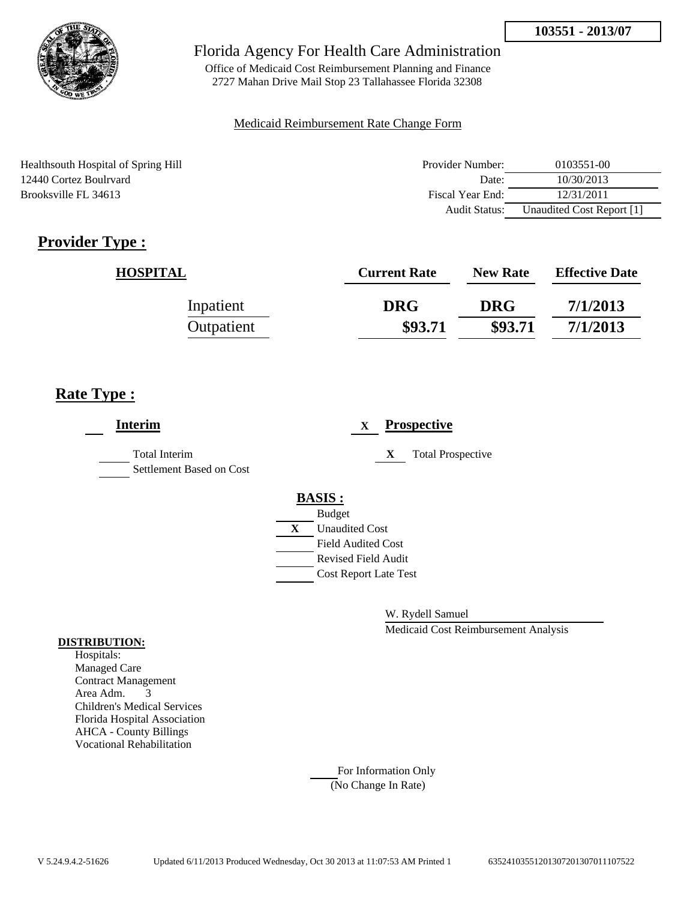

Office of Medicaid Cost Reimbursement Planning and Finance 2727 Mahan Drive Mail Stop 23 Tallahassee Florida 32308

### Medicaid Reimbursement Rate Change Form

Healthsouth Hospital of Spring Hill 12440 Cortez Boulrvard Brooksville FL 34613

| Provider Number: | 0103551-00                |
|------------------|---------------------------|
| Date:            | 10/30/2013                |
| Fiscal Year End: | 12/31/2011                |
| Audit Status:    | Unaudited Cost Report [1] |

# **Provider Type :**

| <b>HOSPITAL</b> | <b>Current Rate</b> | <b>New Rate</b> | <b>Effective Date</b> |
|-----------------|---------------------|-----------------|-----------------------|
| Inpatient       | <b>DRG</b>          | <b>DRG</b>      | 7/1/2013              |
| Outpatient      | \$93.71             | \$93.71         | 7/1/2013              |

## **Rate Type :**

| <b>Interim</b>                                   |   |                              | $\mathbf X$ |   | <b>Prospective</b>       |
|--------------------------------------------------|---|------------------------------|-------------|---|--------------------------|
| <b>Total Interim</b><br>Settlement Based on Cost |   |                              |             | X | <b>Total Prospective</b> |
|                                                  |   | <b>BASIS:</b>                |             |   |                          |
|                                                  |   | <b>Budget</b>                |             |   |                          |
|                                                  | X | <b>Unaudited Cost</b>        |             |   |                          |
|                                                  |   | <b>Field Audited Cost</b>    |             |   |                          |
|                                                  |   | <b>Revised Field Audit</b>   |             |   |                          |
|                                                  |   | <b>Cost Report Late Test</b> |             |   |                          |
|                                                  |   |                              |             |   |                          |
|                                                  |   |                              |             |   |                          |

W. Rydell Samuel

Medicaid Cost Reimbursement Analysis

#### **DISTRIBUTION:**

Hospitals: Managed Care Contract Management Area Adm. 3 Children's Medical Services Florida Hospital Association AHCA - County Billings Vocational Rehabilitation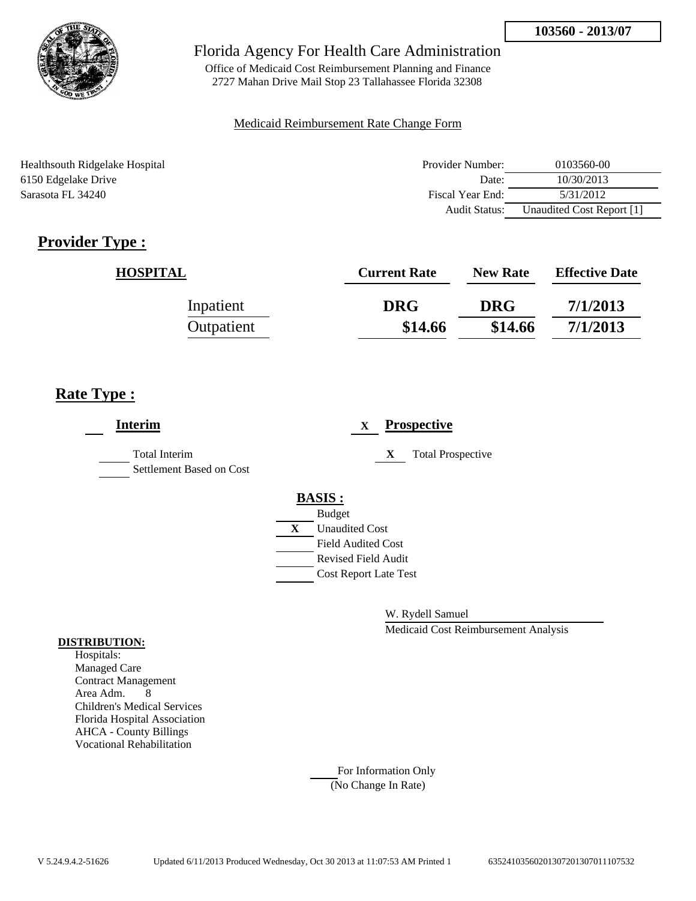

Office of Medicaid Cost Reimbursement Planning and Finance 2727 Mahan Drive Mail Stop 23 Tallahassee Florida 32308

#### Medicaid Reimbursement Rate Change Form

Healthsouth Ridgelake Hospital 6150 Edgelake Drive Sarasota FL 34240

| Provider Number:     | 0103560-00                |
|----------------------|---------------------------|
| Date:                | 10/30/2013                |
| Fiscal Year End:     | 5/31/2012                 |
| <b>Audit Status:</b> | Unaudited Cost Report [1] |

# **Provider Type :**

| <b>HOSPITAL</b> | <b>Current Rate</b> | <b>New Rate</b> | <b>Effective Date</b> |
|-----------------|---------------------|-----------------|-----------------------|
| Inpatient       | <b>DRG</b>          | <b>DRG</b>      | 7/1/2013              |
| Outpatient      | \$14.66             | \$14.66         | 7/1/2013              |

## **Rate Type :**

| <b>Interim</b>                            | <b>Prospective</b><br>$\mathbf X$ |
|-------------------------------------------|-----------------------------------|
| Total Interim<br>Settlement Based on Cost | X<br><b>Total Prospective</b>     |
|                                           | <b>BASIS:</b><br><b>Budget</b>    |
|                                           | X<br><b>Unaudited Cost</b>        |
|                                           | <b>Field Audited Cost</b>         |
|                                           | <b>Revised Field Audit</b>        |
|                                           | <b>Cost Report Late Test</b>      |
|                                           |                                   |

W. Rydell Samuel

Medicaid Cost Reimbursement Analysis

#### **DISTRIBUTION:**

Hospitals: Managed Care Contract Management Area Adm. 8 Children's Medical Services Florida Hospital Association AHCA - County Billings Vocational Rehabilitation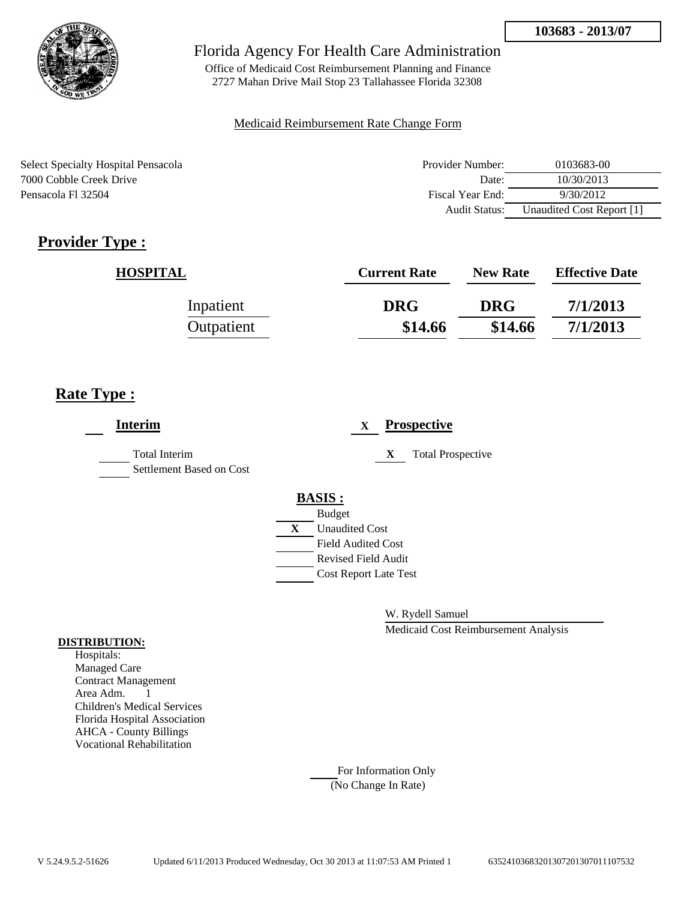

Office of Medicaid Cost Reimbursement Planning and Finance 2727 Mahan Drive Mail Stop 23 Tallahassee Florida 32308

### Medicaid Reimbursement Rate Change Form

Select Specialty Hospital Pensacola 7000 Cobble Creek Drive Pensacola Fl 32504

| Provider Number: | 0103683-00                |
|------------------|---------------------------|
| Date:            | 10/30/2013                |
| Fiscal Year End: | 9/30/2012                 |
| Audit Status:    | Unaudited Cost Report [1] |

# **Provider Type :**

| <b>HOSPITAL</b> | <b>Current Rate</b> | <b>New Rate</b> | <b>Effective Date</b> |
|-----------------|---------------------|-----------------|-----------------------|
| Inpatient       | <b>DRG</b>          | <b>DRG</b>      | 7/1/2013              |
| Outpatient      | \$14.66             | \$14.66         | 7/1/2013              |

## **Rate Type :**

| <b>Interim</b>                                   | <b>Prospective</b><br>$\mathbf X$ |
|--------------------------------------------------|-----------------------------------|
| <b>Total Interim</b><br>Settlement Based on Cost | X<br><b>Total Prospective</b>     |
|                                                  | <b>BASIS:</b>                     |
|                                                  | <b>Budget</b>                     |
|                                                  | X<br><b>Unaudited Cost</b>        |
|                                                  | <b>Field Audited Cost</b>         |
|                                                  | <b>Revised Field Audit</b>        |
|                                                  | <b>Cost Report Late Test</b>      |
|                                                  |                                   |

W. Rydell Samuel

Medicaid Cost Reimbursement Analysis

#### **DISTRIBUTION:**

Hospitals: Managed Care Contract Management Area Adm. 1 Children's Medical Services Florida Hospital Association AHCA - County Billings Vocational Rehabilitation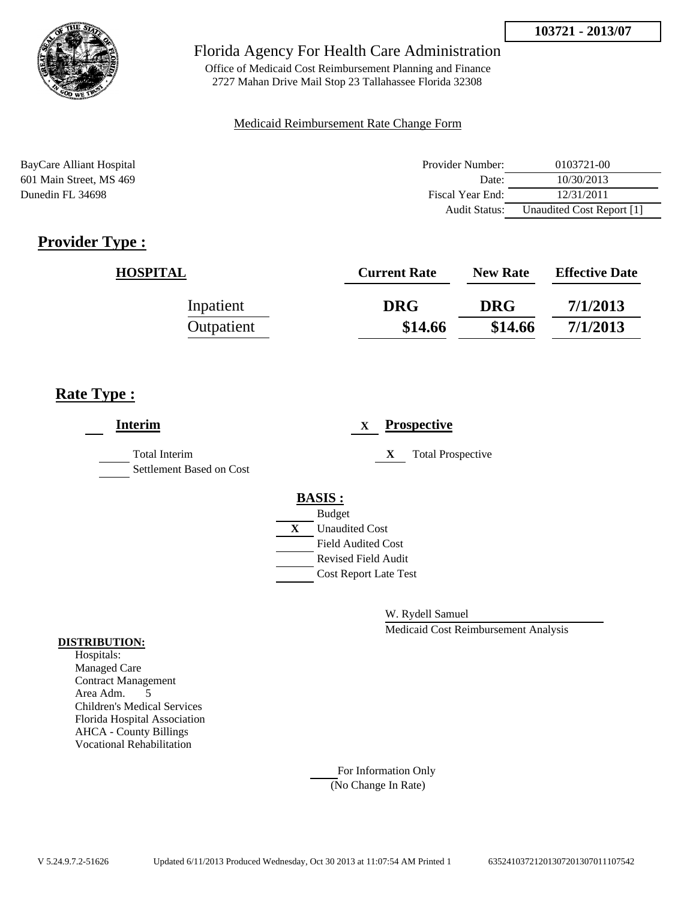

Office of Medicaid Cost Reimbursement Planning and Finance 2727 Mahan Drive Mail Stop 23 Tallahassee Florida 32308

### Medicaid Reimbursement Rate Change Form

BayCare Alliant Hospital 601 Main Street, MS 469 Dunedin FL 34698

| Provider Number: | 0103721-00                |
|------------------|---------------------------|
| Date:            | 10/30/2013                |
| Fiscal Year End: | 12/31/2011                |
| Audit Status:    | Unaudited Cost Report [1] |

# **Provider Type :**

| <b>HOSPITAL</b> | <b>Current Rate</b> | <b>New Rate</b> | <b>Effective Date</b> |
|-----------------|---------------------|-----------------|-----------------------|
| Inpatient       | <b>DRG</b>          | <b>DRG</b>      | 7/1/2013              |
| Outpatient      | \$14.66             | \$14.66         | 7/1/2013              |

## **Rate Type :**

| <b>Interim</b>                                   | <b>Prospective</b><br>$\mathbf{X}$                      |
|--------------------------------------------------|---------------------------------------------------------|
| <b>Total Interim</b><br>Settlement Based on Cost | <b>Total Prospective</b><br>X                           |
|                                                  | <b>BASIS:</b><br><b>Budget</b>                          |
|                                                  | X<br><b>Unaudited Cost</b>                              |
|                                                  | <b>Field Audited Cost</b><br><b>Revised Field Audit</b> |
|                                                  | <b>Cost Report Late Test</b>                            |

W. Rydell Samuel

Medicaid Cost Reimbursement Analysis

#### **DISTRIBUTION:**

Hospitals: Managed Care Contract Management Area Adm. 5 Children's Medical Services Florida Hospital Association AHCA - County Billings Vocational Rehabilitation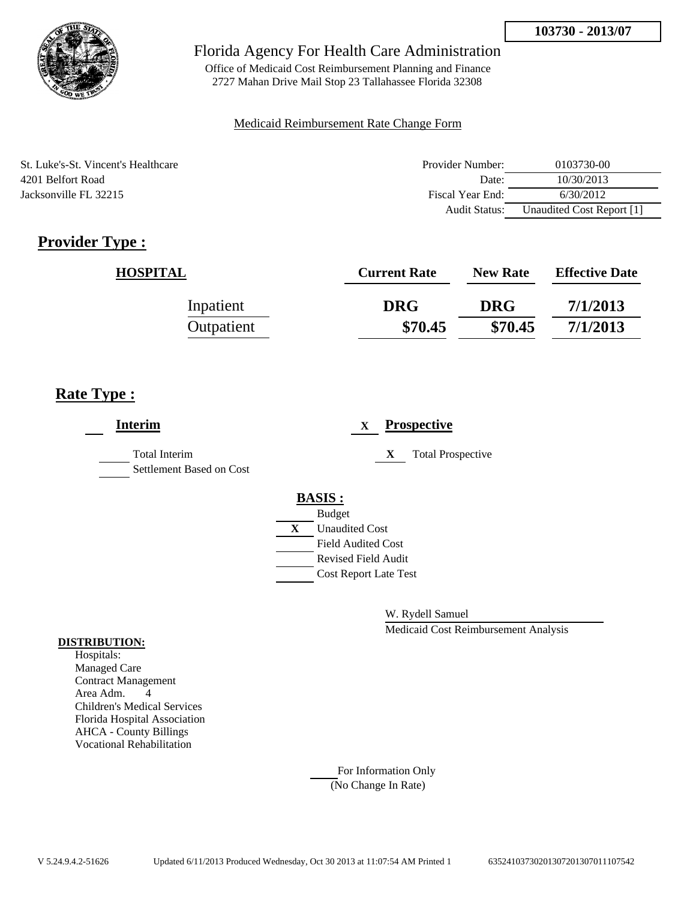

Office of Medicaid Cost Reimbursement Planning and Finance 2727 Mahan Drive Mail Stop 23 Tallahassee Florida 32308

#### Medicaid Reimbursement Rate Change Form

St. Luke's-St. Vincent's Healthcare 4201 Belfort Road Jacksonville FL 32215

| Provider Number: | 0103730-00                |
|------------------|---------------------------|
| Date:            | 10/30/2013                |
| Fiscal Year End: | 6/30/2012                 |
| Audit Status:    | Unaudited Cost Report [1] |

# **Provider Type :**

| <b>HOSPITAL</b> | <b>Current Rate</b> | <b>New Rate</b> | <b>Effective Date</b> |
|-----------------|---------------------|-----------------|-----------------------|
| Inpatient       | <b>DRG</b>          | <b>DRG</b>      | 7/1/2013              |
| Outpatient      | \$70.45             | \$70.45         | 7/1/2013              |

## **Rate Type :**

| <b>Interim</b>                            |   | <b>Prospective</b><br>X       |
|-------------------------------------------|---|-------------------------------|
| Total Interim<br>Settlement Based on Cost |   | <b>Total Prospective</b><br>X |
|                                           |   | <b>BASIS:</b>                 |
|                                           |   | <b>Budget</b>                 |
|                                           | X | <b>Unaudited Cost</b>         |
|                                           |   | <b>Field Audited Cost</b>     |
|                                           |   | <b>Revised Field Audit</b>    |
|                                           |   | <b>Cost Report Late Test</b>  |
|                                           |   |                               |

W. Rydell Samuel

Medicaid Cost Reimbursement Analysis

#### **DISTRIBUTION:**

Hospitals: Managed Care Contract Management Area Adm. 4 Children's Medical Services Florida Hospital Association AHCA - County Billings Vocational Rehabilitation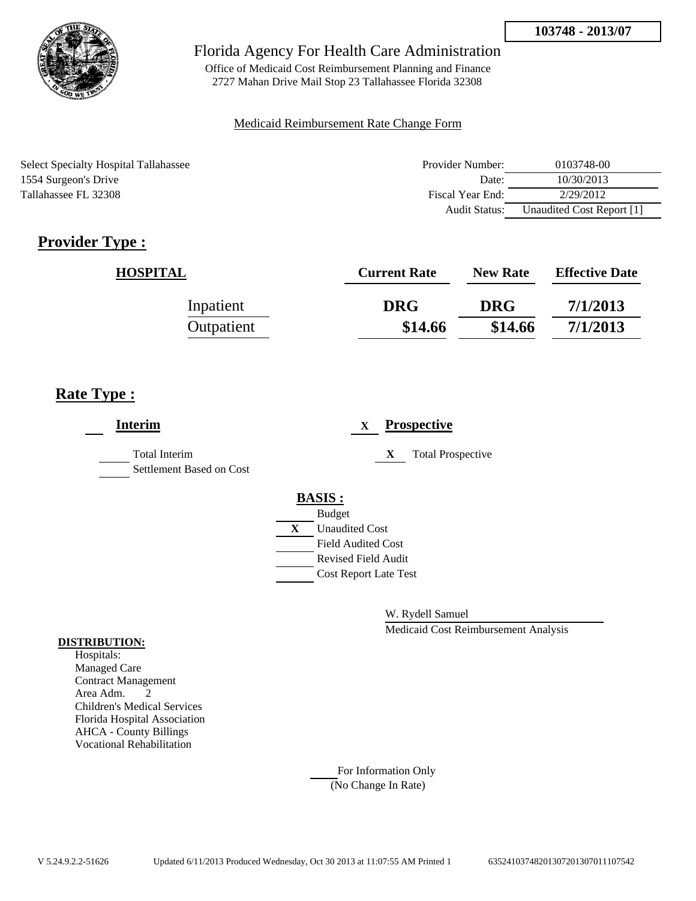

Office of Medicaid Cost Reimbursement Planning and Finance 2727 Mahan Drive Mail Stop 23 Tallahassee Florida 32308

#### Medicaid Reimbursement Rate Change Form

Select Specialty Hospital Tallahassee 1554 Surgeon's Drive Tallahassee FL 32308

| Provider Number:     | 0103748-00                |
|----------------------|---------------------------|
| Date:                | 10/30/2013                |
| Fiscal Year End:     | 2/29/2012                 |
| <b>Audit Status:</b> | Unaudited Cost Report [1] |

# **Provider Type :**

| <b>HOSPITAL</b> | <b>Current Rate</b> | <b>New Rate</b> | <b>Effective Date</b> |
|-----------------|---------------------|-----------------|-----------------------|
| Inpatient       | <b>DRG</b>          | <b>DRG</b>      | 7/1/2013              |
| Outpatient      | \$14.66             | \$14.66         | 7/1/2013              |

## **Rate Type :**

| <b>Interim</b>                                   |                                               | $\mathbf{X}$ | <b>Prospective</b>       |
|--------------------------------------------------|-----------------------------------------------|--------------|--------------------------|
| <b>Total Interim</b><br>Settlement Based on Cost |                                               | X            | <b>Total Prospective</b> |
|                                                  | <b>BASIS:</b>                                 |              |                          |
|                                                  |                                               |              |                          |
|                                                  | <b>Unaudited Cost</b><br>X                    |              |                          |
|                                                  | <b>Field Audited Cost</b>                     |              |                          |
|                                                  | <b>Revised Field Audit</b>                    |              |                          |
|                                                  |                                               |              |                          |
|                                                  |                                               |              |                          |
|                                                  | <b>Budget</b><br><b>Cost Report Late Test</b> |              |                          |

W. Rydell Samuel

Medicaid Cost Reimbursement Analysis

#### **DISTRIBUTION:**

Hospitals: Managed Care Contract Management Area Adm. 2 Children's Medical Services Florida Hospital Association AHCA - County Billings Vocational Rehabilitation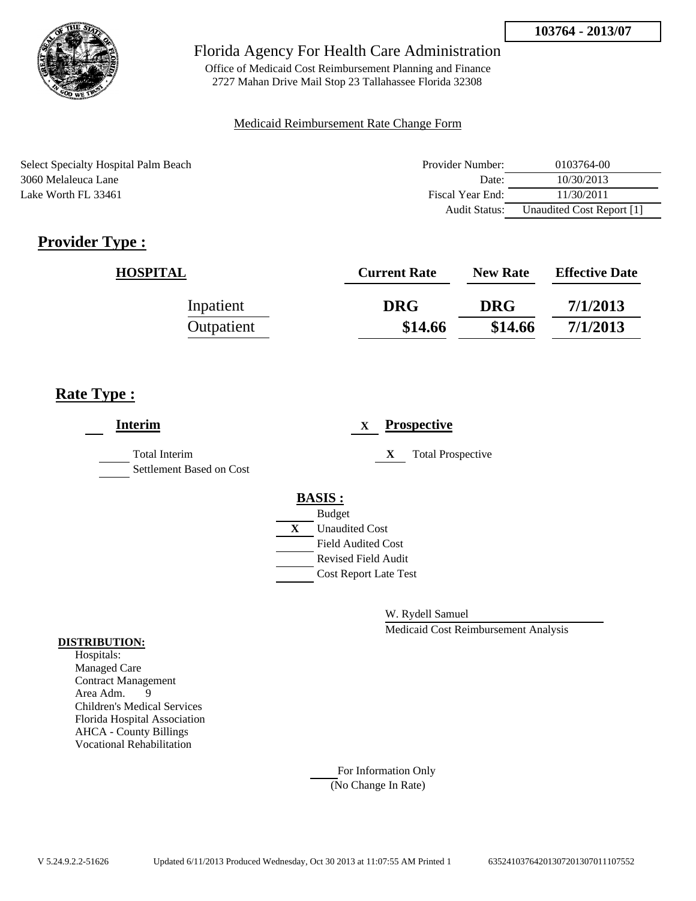

Office of Medicaid Cost Reimbursement Planning and Finance 2727 Mahan Drive Mail Stop 23 Tallahassee Florida 32308

#### Medicaid Reimbursement Rate Change Form

Select Specialty Hospital Palm Beach 3060 Melaleuca Lane Lake Worth FL 33461

| Provider Number:     | 0103764-00                |
|----------------------|---------------------------|
| Date:                | 10/30/2013                |
| Fiscal Year End:     | 11/30/2011                |
| <b>Audit Status:</b> | Unaudited Cost Report [1] |

# **Provider Type :**

| <b>HOSPITAL</b> | <b>Current Rate</b> | <b>New Rate</b> | <b>Effective Date</b> |
|-----------------|---------------------|-----------------|-----------------------|
| Inpatient       | <b>DRG</b>          | <b>DRG</b>      | 7/1/2013              |
| Outpatient      | \$14.66             | \$14.66         | 7/1/2013              |

## **Rate Type :**

| <b>Interim</b>                                   | <b>Prospective</b><br>X       |
|--------------------------------------------------|-------------------------------|
| <b>Total Interim</b><br>Settlement Based on Cost | <b>Total Prospective</b><br>X |
|                                                  | <b>BASIS:</b>                 |
|                                                  | <b>Budget</b>                 |
|                                                  | X<br><b>Unaudited Cost</b>    |
|                                                  | <b>Field Audited Cost</b>     |
|                                                  | <b>Revised Field Audit</b>    |
|                                                  | <b>Cost Report Late Test</b>  |
|                                                  |                               |

W. Rydell Samuel

Medicaid Cost Reimbursement Analysis

#### **DISTRIBUTION:**

Hospitals: Managed Care Contract Management Area Adm. 9 Children's Medical Services Florida Hospital Association AHCA - County Billings Vocational Rehabilitation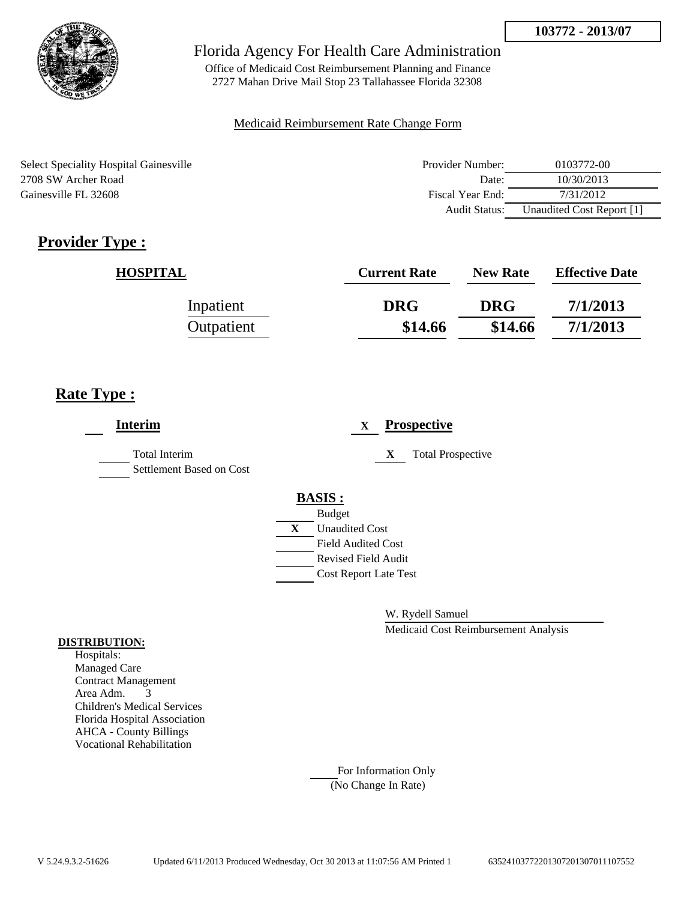

Office of Medicaid Cost Reimbursement Planning and Finance 2727 Mahan Drive Mail Stop 23 Tallahassee Florida 32308

#### Medicaid Reimbursement Rate Change Form

Select Speciality Hospital Gainesville 2708 SW Archer Road Gainesville FL 32608

| Provider Number: | 0103772-00                |
|------------------|---------------------------|
| Date:            | 10/30/2013                |
| Fiscal Year End: | 7/31/2012                 |
| Audit Status:    | Unaudited Cost Report [1] |

# **Provider Type :**

| <b>HOSPITAL</b> | <b>Current Rate</b> | <b>New Rate</b> | <b>Effective Date</b> |
|-----------------|---------------------|-----------------|-----------------------|
| Inpatient       | <b>DRG</b>          | <b>DRG</b>      | 7/1/2013              |
| Outpatient      | \$14.66             | \$14.66         | 7/1/2013              |

## **Rate Type :**

| <b>Interim</b>                                   | <b>Prospective</b><br>X       |
|--------------------------------------------------|-------------------------------|
| <b>Total Interim</b><br>Settlement Based on Cost | <b>Total Prospective</b><br>X |
|                                                  | <b>BASIS:</b>                 |
|                                                  | <b>Budget</b>                 |
|                                                  | X<br><b>Unaudited Cost</b>    |
|                                                  | <b>Field Audited Cost</b>     |
|                                                  | <b>Revised Field Audit</b>    |
|                                                  | <b>Cost Report Late Test</b>  |
|                                                  |                               |
|                                                  |                               |

W. Rydell Samuel

Medicaid Cost Reimbursement Analysis

#### **DISTRIBUTION:**

Hospitals: Managed Care Contract Management Area Adm. 3 Children's Medical Services Florida Hospital Association AHCA - County Billings Vocational Rehabilitation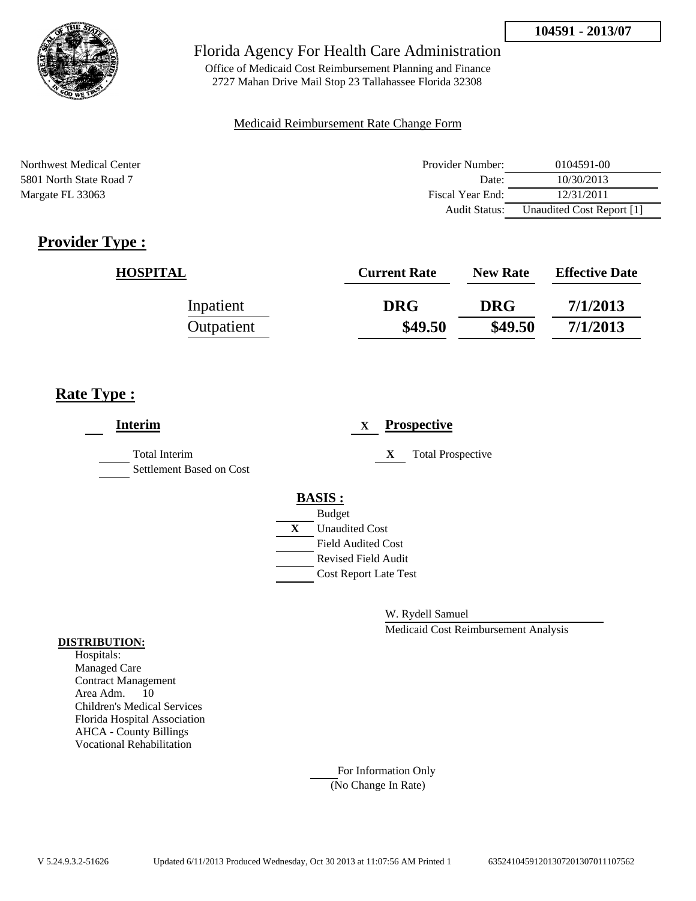

Office of Medicaid Cost Reimbursement Planning and Finance 2727 Mahan Drive Mail Stop 23 Tallahassee Florida 32308

#### Medicaid Reimbursement Rate Change Form

Northwest Medical Center 5801 North State Road 7 Margate FL 33063

| Provider Number: | 0104591-00                |
|------------------|---------------------------|
| Date:            | 10/30/2013                |
| Fiscal Year End: | 12/31/2011                |
| Audit Status:    | Unaudited Cost Report [1] |

# **Provider Type :**

| <b>HOSPITAL</b> | <b>Current Rate</b> | <b>New Rate</b> | <b>Effective Date</b> |
|-----------------|---------------------|-----------------|-----------------------|
| Inpatient       | <b>DRG</b>          | <b>DRG</b>      | 7/1/2013              |
| Outpatient      | \$49.50             | \$49.50         | 7/1/2013              |

## **Rate Type :**

| <b>Interim</b>                            | <b>Prospective</b><br>$\mathbf X$             |
|-------------------------------------------|-----------------------------------------------|
| Total Interim<br>Settlement Based on Cost | <b>Total Prospective</b><br>X                 |
|                                           | <b>BASIS:</b>                                 |
|                                           |                                               |
|                                           | <b>Unaudited Cost</b><br>X                    |
|                                           | <b>Field Audited Cost</b>                     |
|                                           | <b>Revised Field Audit</b>                    |
|                                           |                                               |
|                                           |                                               |
|                                           | <b>Budget</b><br><b>Cost Report Late Test</b> |

W. Rydell Samuel

Medicaid Cost Reimbursement Analysis

#### **DISTRIBUTION:**

Hospitals: Managed Care Contract Management Area Adm. 10 Children's Medical Services Florida Hospital Association AHCA - County Billings Vocational Rehabilitation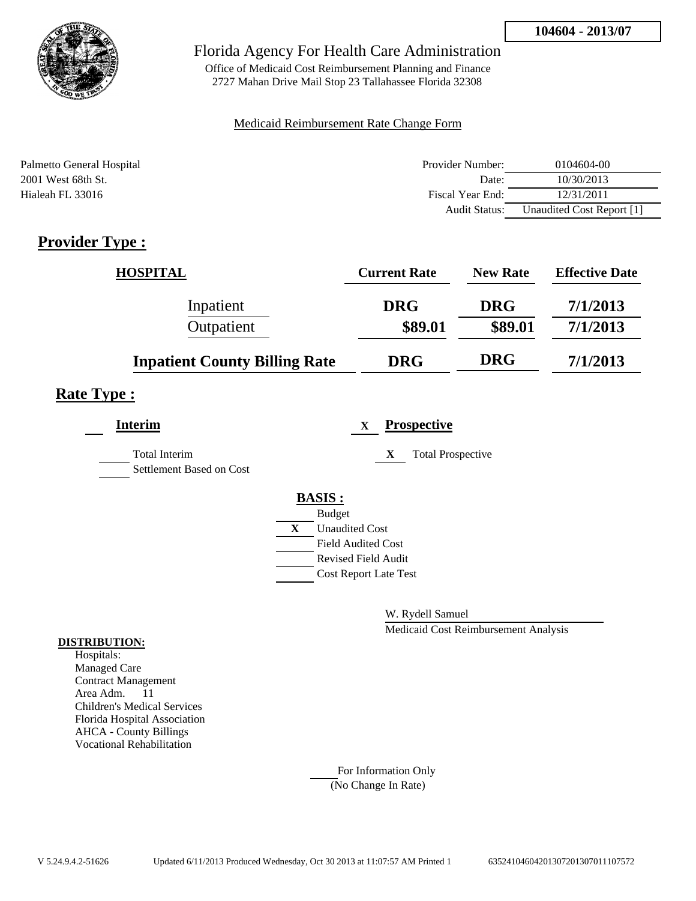

Office of Medicaid Cost Reimbursement Planning and Finance 2727 Mahan Drive Mail Stop 23 Tallahassee Florida 32308

### Medicaid Reimbursement Rate Change Form

| Palmetto General Hospital | Provider Number:     | 0104604-00                |
|---------------------------|----------------------|---------------------------|
| 2001 West 68th St.        | Date:                | 10/30/2013                |
| Hialeah FL 33016          | Fiscal Year End:     | 12/31/2011                |
|                           | <b>Audit Status:</b> | Unaudited Cost Report [1] |

## **Provider Type :**

| <b>HOSPITAL</b>                      | <b>Current Rate</b> | <b>New Rate</b> | <b>Effective Date</b> |
|--------------------------------------|---------------------|-----------------|-----------------------|
| Inpatient                            | <b>DRG</b>          | <b>DRG</b>      | 7/1/2013              |
| Outpatient                           | \$89.01             | \$89.01         | 7/1/2013              |
| <b>Inpatient County Billing Rate</b> | <b>DRG</b>          | <b>DRG</b>      | 7/1/2013              |

## **Rate Type :**

| <b>Interim</b>                                   | <b>Prospective</b><br>X       |  |
|--------------------------------------------------|-------------------------------|--|
| <b>Total Interim</b><br>Settlement Based on Cost | <b>Total Prospective</b><br>X |  |
|                                                  | <b>BASIS:</b>                 |  |
|                                                  | <b>Budget</b>                 |  |
|                                                  | <b>Unaudited Cost</b><br>X    |  |
|                                                  | <b>Field Audited Cost</b>     |  |
|                                                  | <b>Revised Field Audit</b>    |  |
|                                                  | <b>Cost Report Late Test</b>  |  |
|                                                  |                               |  |

W. Rydell Samuel

Medicaid Cost Reimbursement Analysis

#### **DISTRIBUTION:**

Hospitals: Managed Care Contract Management Area Adm. 11 Children's Medical Services Florida Hospital Association AHCA - County Billings Vocational Rehabilitation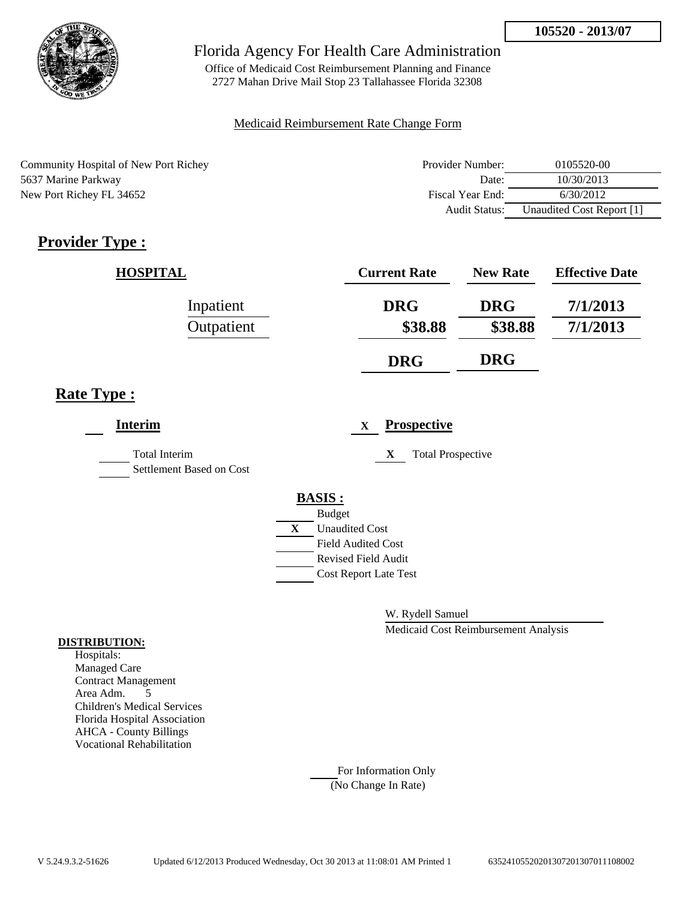

Office of Medicaid Cost Reimbursement Planning and Finance 2727 Mahan Drive Mail Stop 23 Tallahassee Florida 32308

### Medicaid Reimbursement Rate Change Form

Community Hospital of New Port Richey 5637 Marine Parkway New Port Richey FL 34652

| Provider Number: | 0105520-00                |
|------------------|---------------------------|
| Date:            | 10/30/2013                |
| Fiscal Year End: | 6/30/2012                 |
| Audit Status:    | Unaudited Cost Report [1] |

# **Provider Type :**

| <b>HOSPITAL</b> | <b>Current Rate</b> | <b>New Rate</b> | <b>Effective Date</b> |
|-----------------|---------------------|-----------------|-----------------------|
| Inpatient       | <b>DRG</b>          | <b>DRG</b>      | 7/1/2013              |
| Outpatient      | \$38.88             | \$38.88         | 7/1/2013              |
|                 | <b>DRG</b>          | <b>DRG</b>      |                       |

## **Rate Type :**

| <b>Interim</b>                                   | <b>Prospective</b><br>X       |
|--------------------------------------------------|-------------------------------|
| <b>Total Interim</b><br>Settlement Based on Cost | X<br><b>Total Prospective</b> |
|                                                  | <b>BASIS:</b>                 |
|                                                  | <b>Budget</b>                 |
|                                                  | <b>Unaudited Cost</b><br>X    |
|                                                  | <b>Field Audited Cost</b>     |
|                                                  | <b>Revised Field Audit</b>    |
|                                                  | <b>Cost Report Late Test</b>  |
|                                                  |                               |

W. Rydell Samuel

Medicaid Cost Reimbursement Analysis

#### **DISTRIBUTION:**

Hospitals: Managed Care Contract Management Area Adm. 5 Children's Medical Services Florida Hospital Association AHCA - County Billings Vocational Rehabilitation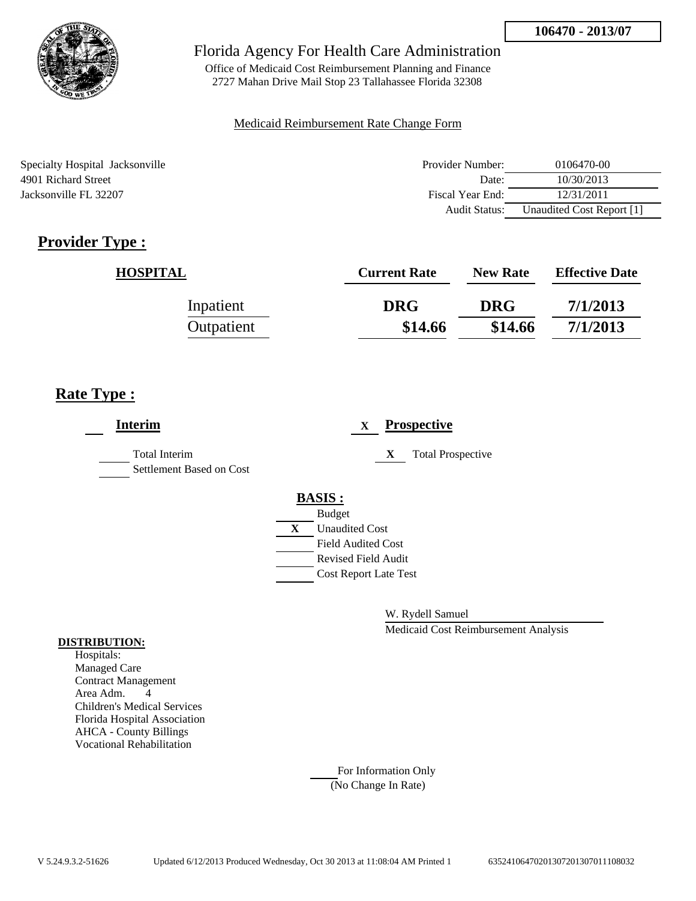

Office of Medicaid Cost Reimbursement Planning and Finance 2727 Mahan Drive Mail Stop 23 Tallahassee Florida 32308

### Medicaid Reimbursement Rate Change Form

Specialty Hospital Jacksonville 4901 Richard Street Jacksonville FL 32207

| Provider Number: | 0106470-00                |
|------------------|---------------------------|
| Date:            | 10/30/2013                |
| Fiscal Year End: | 12/31/2011                |
| Audit Status:    | Unaudited Cost Report [1] |

# **Provider Type :**

| <b>HOSPITAL</b> | <b>Current Rate</b> | <b>New Rate</b> | <b>Effective Date</b> |
|-----------------|---------------------|-----------------|-----------------------|
| Inpatient       | <b>DRG</b>          | <b>DRG</b>      | 7/1/2013              |
| Outpatient      | \$14.66             | \$14.66         | 7/1/2013              |

## **Rate Type :**

| <b>Interim</b>                                   | <b>Prospective</b><br>X       |
|--------------------------------------------------|-------------------------------|
| <b>Total Interim</b><br>Settlement Based on Cost | <b>Total Prospective</b><br>X |
|                                                  | <b>BASIS:</b>                 |
|                                                  | <b>Budget</b>                 |
|                                                  | X<br><b>Unaudited Cost</b>    |
|                                                  | <b>Field Audited Cost</b>     |
|                                                  | <b>Revised Field Audit</b>    |
|                                                  | <b>Cost Report Late Test</b>  |
|                                                  |                               |
|                                                  |                               |

W. Rydell Samuel

Medicaid Cost Reimbursement Analysis

#### **DISTRIBUTION:**

Hospitals: Managed Care Contract Management Area Adm. 4 Children's Medical Services Florida Hospital Association AHCA - County Billings Vocational Rehabilitation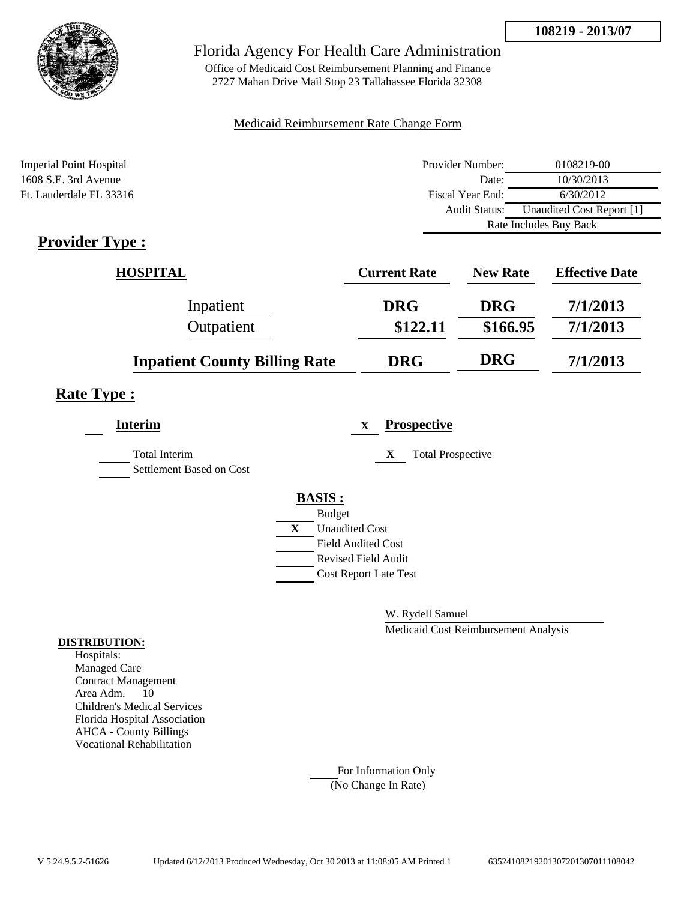

Office of Medicaid Cost Reimbursement Planning and Finance 2727 Mahan Drive Mail Stop 23 Tallahassee Florida 32308

#### Medicaid Reimbursement Rate Change Form

| <b>Imperial Point Hospital</b> | Provider Number:     | 0108219-00                |  |
|--------------------------------|----------------------|---------------------------|--|
| 1608 S.E. 3rd Avenue           | Date:                | 10/30/2013                |  |
| Ft. Lauderdale FL 33316        | Fiscal Year End:     | 6/30/2012                 |  |
|                                | <b>Audit Status:</b> | Unaudited Cost Report [1] |  |
|                                |                      | Rate Includes Buy Back    |  |

# **Provider Type :**

| <b>HOSPITAL</b>                      | <b>Current Rate</b> | <b>New Rate</b> | <b>Effective Date</b> |
|--------------------------------------|---------------------|-----------------|-----------------------|
| Inpatient                            | <b>DRG</b>          | <b>DRG</b>      | 7/1/2013              |
| Outpatient                           | \$122.11            | \$166.95        | 7/1/2013              |
| <b>Inpatient County Billing Rate</b> | <b>DRG</b>          | <b>DRG</b>      | 7/1/2013              |

## **Rate Type :**

| <b>Interim</b>                            | <b>Prospective</b><br>$\mathbf X$     |
|-------------------------------------------|---------------------------------------|
| Total Interim<br>Settlement Based on Cost | X<br><b>Total Prospective</b>         |
|                                           | <b>BASIS:</b>                         |
|                                           | <b>Budget</b>                         |
|                                           | $\mathbf{X}$<br><b>Unaudited Cost</b> |
|                                           | <b>Field Audited Cost</b>             |
|                                           | <b>Revised Field Audit</b>            |
|                                           | <b>Cost Report Late Test</b>          |
|                                           |                                       |

W. Rydell Samuel

Medicaid Cost Reimbursement Analysis

#### **DISTRIBUTION:**

Hospitals: Managed Care Contract Management Area Adm. 10 Children's Medical Services Florida Hospital Association AHCA - County Billings Vocational Rehabilitation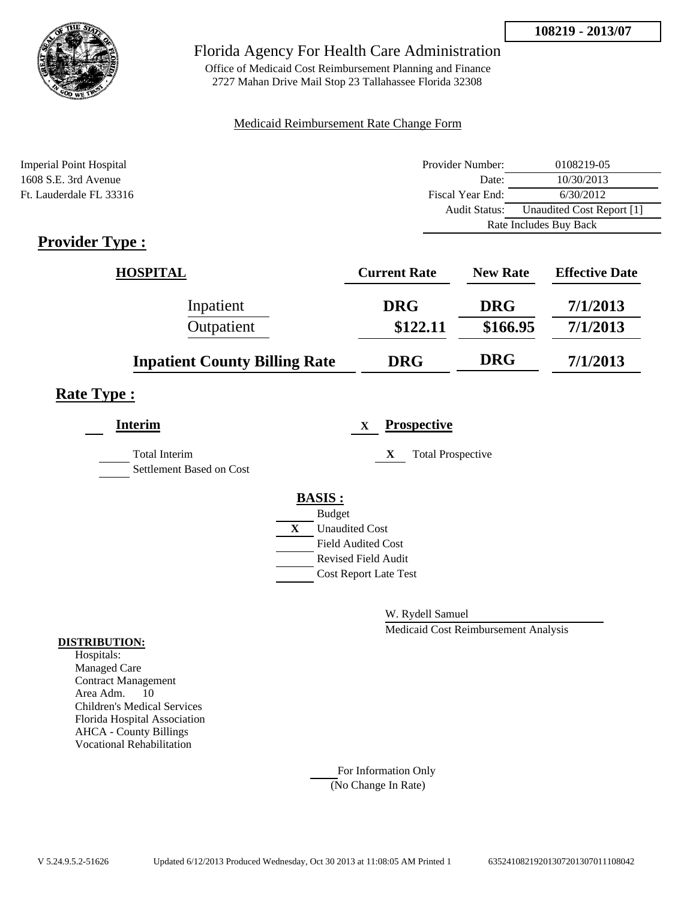

Office of Medicaid Cost Reimbursement Planning and Finance 2727 Mahan Drive Mail Stop 23 Tallahassee Florida 32308

#### Medicaid Reimbursement Rate Change Form

| <b>Imperial Point Hospital</b> | Provider Number:     | 0108219-05                |
|--------------------------------|----------------------|---------------------------|
| 1608 S.E. 3rd Avenue           | Date:                | 10/30/2013                |
| Ft. Lauderdale FL 33316        | Fiscal Year End:     | 6/30/2012                 |
|                                | <b>Audit Status:</b> | Unaudited Cost Report [1] |
|                                |                      | Rate Includes Buy Back    |

# **Provider Type :**

| <b>HOSPITAL</b>                      | <b>Current Rate</b> | <b>New Rate</b> | <b>Effective Date</b> |
|--------------------------------------|---------------------|-----------------|-----------------------|
| Inpatient                            | <b>DRG</b>          | <b>DRG</b>      | 7/1/2013              |
| Outpatient                           | \$122.11            | \$166.95        | 7/1/2013              |
| <b>Inpatient County Billing Rate</b> | <b>DRG</b>          | <b>DRG</b>      | 7/1/2013              |

## **Rate Type :**

| <b>Interim</b>                            | <b>Prospective</b><br>$\mathbf X$     |
|-------------------------------------------|---------------------------------------|
| Total Interim<br>Settlement Based on Cost | X<br><b>Total Prospective</b>         |
|                                           | <b>BASIS:</b>                         |
|                                           | <b>Budget</b>                         |
|                                           | $\mathbf{X}$<br><b>Unaudited Cost</b> |
|                                           | <b>Field Audited Cost</b>             |
|                                           | <b>Revised Field Audit</b>            |
|                                           | <b>Cost Report Late Test</b>          |
|                                           |                                       |

W. Rydell Samuel

Medicaid Cost Reimbursement Analysis

#### **DISTRIBUTION:**

Hospitals: Managed Care Contract Management Area Adm. 10 Children's Medical Services Florida Hospital Association AHCA - County Billings Vocational Rehabilitation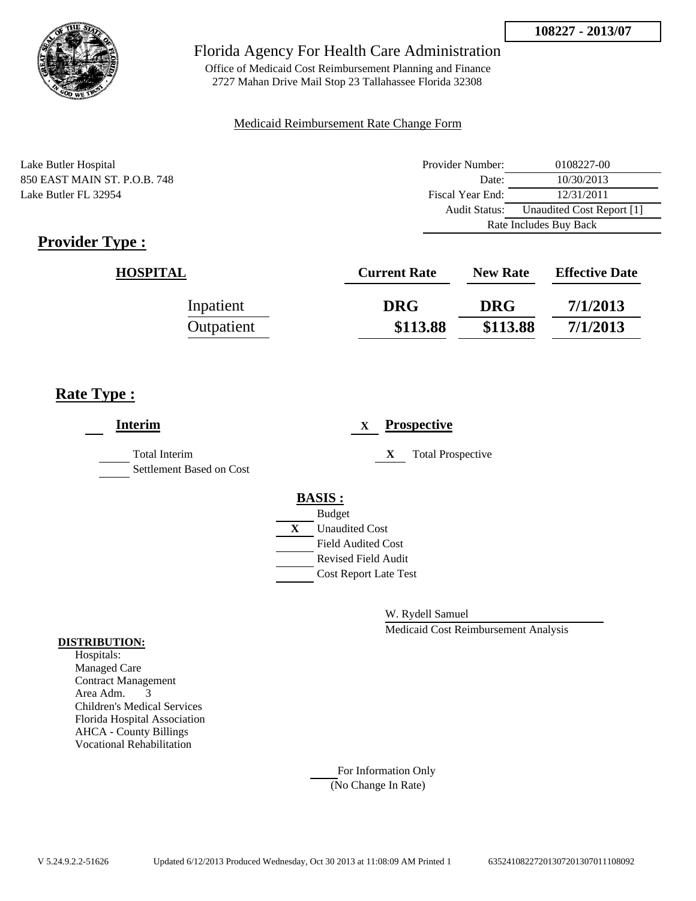

Office of Medicaid Cost Reimbursement Planning and Finance 2727 Mahan Drive Mail Stop 23 Tallahassee Florida 32308

### Medicaid Reimbursement Rate Change Form

Lake Butler Hospital 850 EAST MAIN ST. P.O.B. 748 Lake Butler FL 32954

| Provider Number:       | 0108227-00                |
|------------------------|---------------------------|
| Date:                  | 10/30/2013                |
| Fiscal Year End:       | 12/31/2011                |
| <b>Audit Status:</b>   | Unaudited Cost Report [1] |
| Rate Includes Buy Back |                           |

# **Provider Type :**

| <b>HOSPITAL</b> | <b>Current Rate</b> | <b>New Rate</b> | <b>Effective Date</b> |
|-----------------|---------------------|-----------------|-----------------------|
| Inpatient       | <b>DRG</b>          | <b>DRG</b>      | 7/1/2013              |
| Outpatient      | \$113.88            | \$113.88        | 7/1/2013              |

## **Rate Type :**

| <b>Interim</b>                                   | <b>Prospective</b><br>X                                 |
|--------------------------------------------------|---------------------------------------------------------|
| <b>Total Interim</b><br>Settlement Based on Cost | <b>Total Prospective</b><br>X                           |
|                                                  | <b>BASIS:</b><br><b>Budget</b>                          |
|                                                  | <b>Unaudited Cost</b><br>X<br><b>Field Audited Cost</b> |
|                                                  | <b>Revised Field Audit</b>                              |
|                                                  | <b>Cost Report Late Test</b>                            |
|                                                  |                                                         |

W. Rydell Samuel

Medicaid Cost Reimbursement Analysis

#### **DISTRIBUTION:**

Hospitals: Managed Care Contract Management Area Adm. 3 Children's Medical Services Florida Hospital Association AHCA - County Billings Vocational Rehabilitation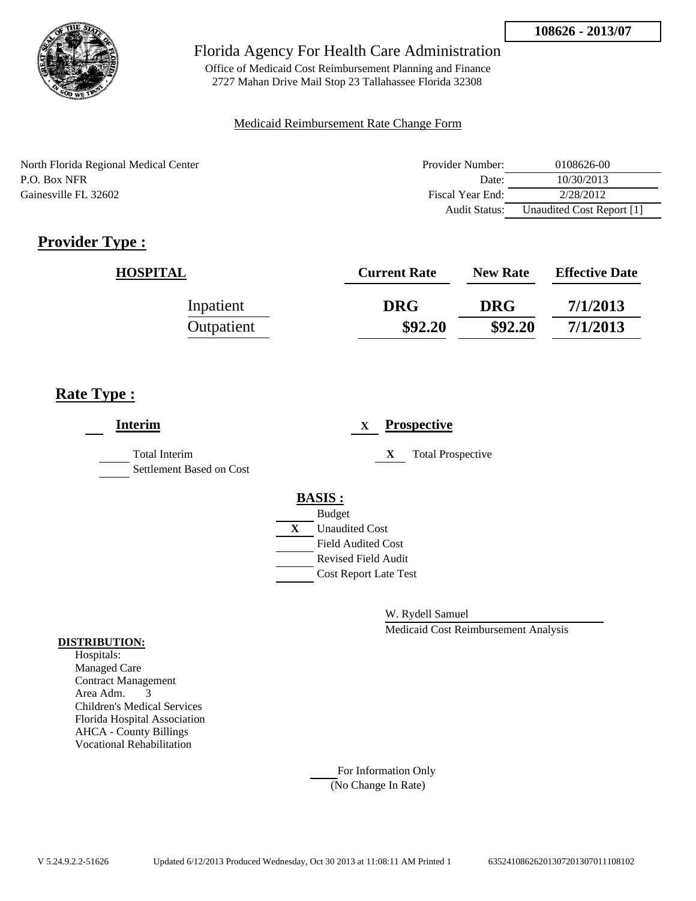

Office of Medicaid Cost Reimbursement Planning and Finance 2727 Mahan Drive Mail Stop 23 Tallahassee Florida 32308

#### Medicaid Reimbursement Rate Change Form

North Florida Regional Medical Center P.O. Box NFR Gainesville FL 32602

| Provider Number: | 0108626-00                |
|------------------|---------------------------|
| Date:            | 10/30/2013                |
| Fiscal Year End: | 2/28/2012                 |
| Audit Status:    | Unaudited Cost Report [1] |

# **Provider Type :**

| <b>HOSPITAL</b> | <b>Current Rate</b> | <b>New Rate</b> | <b>Effective Date</b> |
|-----------------|---------------------|-----------------|-----------------------|
| Inpatient       | <b>DRG</b>          | <b>DRG</b>      | 7/1/2013              |
| Outpatient      | \$92.20             | \$92.20         | 7/1/2013              |

## **Rate Type :**

| <b>Interim</b>                            | <b>Prospective</b><br>$\mathbf x$ |
|-------------------------------------------|-----------------------------------|
| Total Interim<br>Settlement Based on Cost | X<br><b>Total Prospective</b>     |
|                                           | <b>BASIS:</b>                     |
|                                           | <b>Budget</b>                     |
|                                           | X<br><b>Unaudited Cost</b>        |
|                                           | <b>Field Audited Cost</b>         |
|                                           | <b>Revised Field Audit</b>        |
|                                           | <b>Cost Report Late Test</b>      |
|                                           |                                   |

W. Rydell Samuel

Medicaid Cost Reimbursement Analysis

#### **DISTRIBUTION:**

Hospitals: Managed Care Contract Management Area Adm. 3 Children's Medical Services Florida Hospital Association AHCA - County Billings Vocational Rehabilitation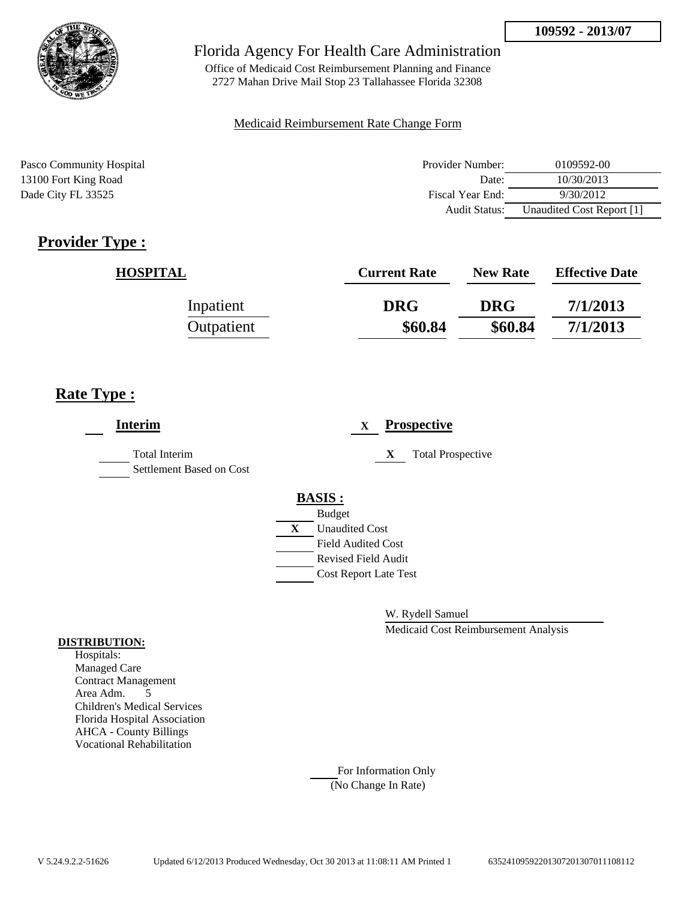

Office of Medicaid Cost Reimbursement Planning and Finance 2727 Mahan Drive Mail Stop 23 Tallahassee Florida 32308

### Medicaid Reimbursement Rate Change Form

Pasco Community Hospital 13100 Fort King Road Dade City FL 33525

| Provider Number: | 0109592-00                |
|------------------|---------------------------|
| Date:            | 10/30/2013                |
| Fiscal Year End: | 9/30/2012                 |
| Audit Status:    | Unaudited Cost Report [1] |

# **Provider Type :**

| <b>HOSPITAL</b> | <b>Current Rate</b> | <b>New Rate</b> | <b>Effective Date</b> |
|-----------------|---------------------|-----------------|-----------------------|
| Inpatient       | <b>DRG</b>          | <b>DRG</b>      | 7/1/2013              |
| Outpatient      | \$60.84             | \$60.84         | 7/1/2013              |

## **Rate Type :**

| <b>Interim</b>                                   | <b>Prospective</b><br>$\mathbf{X}$          |
|--------------------------------------------------|---------------------------------------------|
| <b>Total Interim</b><br>Settlement Based on Cost | <b>Total Prospective</b><br>X               |
|                                                  | <b>BASIS:</b>                               |
|                                                  | <b>Budget</b><br>X<br><b>Unaudited Cost</b> |
|                                                  | <b>Field Audited Cost</b>                   |
|                                                  | <b>Revised Field Audit</b>                  |
|                                                  | <b>Cost Report Late Test</b>                |
|                                                  |                                             |

W. Rydell Samuel

Medicaid Cost Reimbursement Analysis

#### **DISTRIBUTION:**

Hospitals: Managed Care Contract Management Area Adm. 5 Children's Medical Services Florida Hospital Association AHCA - County Billings Vocational Rehabilitation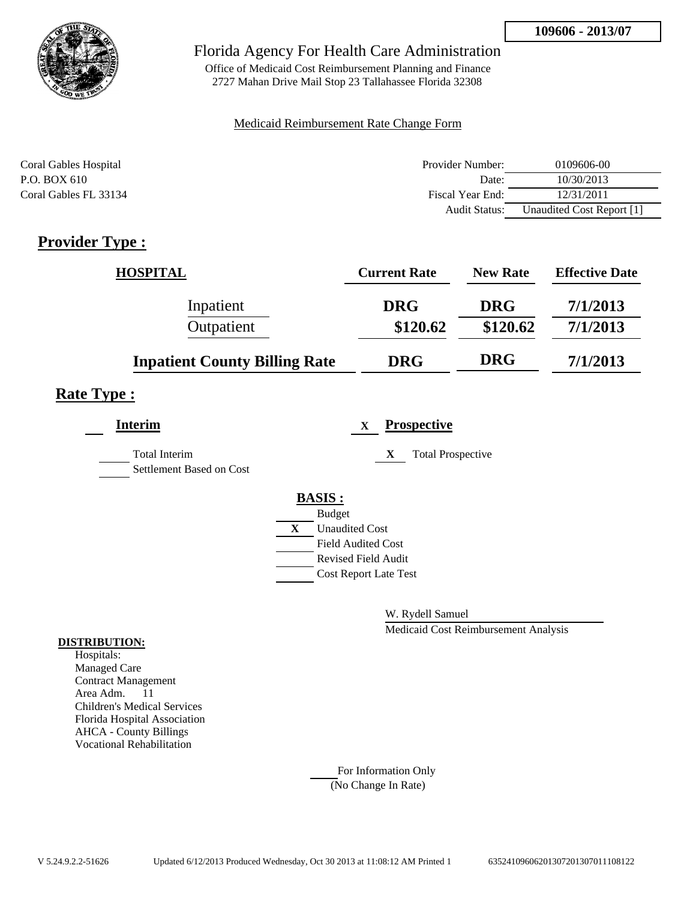

Office of Medicaid Cost Reimbursement Planning and Finance 2727 Mahan Drive Mail Stop 23 Tallahassee Florida 32308

#### Medicaid Reimbursement Rate Change Form

| Coral Gables Hospital | Provider Number:     | 0109606-00                |
|-----------------------|----------------------|---------------------------|
| P.O. BOX 610          | Date:                | 10/30/2013                |
| Coral Gables FL 33134 | Fiscal Year End:     | 12/31/2011                |
|                       | <b>Audit Status:</b> | Unaudited Cost Report [1] |

## **Provider Type :**

| <b>HOSPITAL</b>                      | <b>Current Rate</b> | <b>New Rate</b> | <b>Effective Date</b> |
|--------------------------------------|---------------------|-----------------|-----------------------|
| Inpatient                            | <b>DRG</b>          | <b>DRG</b>      | 7/1/2013              |
| Outpatient                           | \$120.62            | \$120.62        | 7/1/2013              |
| <b>Inpatient County Billing Rate</b> | <b>DRG</b>          | <b>DRG</b>      | 7/1/2013              |

## **Rate Type :**

| <b>Interim</b>                            | <b>Prospective</b><br>X       |
|-------------------------------------------|-------------------------------|
| Total Interim<br>Settlement Based on Cost | X<br><b>Total Prospective</b> |
|                                           | <b>BASIS:</b>                 |
|                                           | <b>Budget</b>                 |
|                                           | X<br><b>Unaudited Cost</b>    |
|                                           | <b>Field Audited Cost</b>     |
|                                           | <b>Revised Field Audit</b>    |
|                                           | <b>Cost Report Late Test</b>  |
|                                           |                               |

W. Rydell Samuel

Medicaid Cost Reimbursement Analysis

#### **DISTRIBUTION:**

Hospitals: Managed Care Contract Management Area Adm. 11 Children's Medical Services Florida Hospital Association AHCA - County Billings Vocational Rehabilitation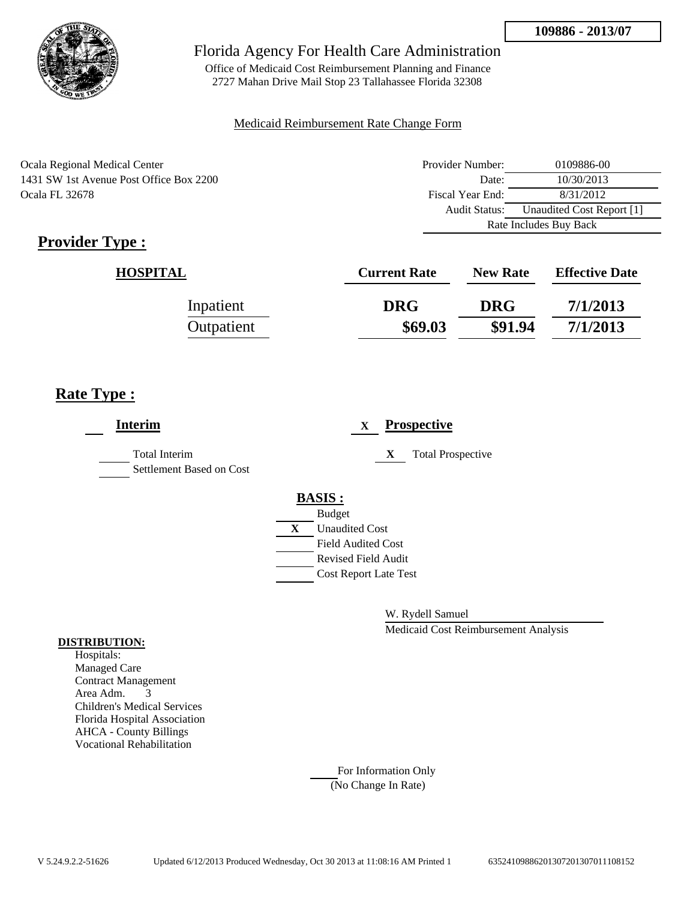

Office of Medicaid Cost Reimbursement Planning and Finance 2727 Mahan Drive Mail Stop 23 Tallahassee Florida 32308

### Medicaid Reimbursement Rate Change Form

Ocala Regional Medical Center 1431 SW 1st Avenue Post Office Box 2200 Ocala FL 32678

| Provider Number:       | 0109886-00                |  |
|------------------------|---------------------------|--|
| Date:                  | 10/30/2013                |  |
| Fiscal Year End:       | 8/31/2012                 |  |
| Audit Status:          | Unaudited Cost Report [1] |  |
| Rate Includes Buy Back |                           |  |

# **Provider Type :**

| <b>HOSPITAL</b> | <b>Current Rate</b> | <b>New Rate</b> | <b>Effective Date</b> |
|-----------------|---------------------|-----------------|-----------------------|
| Inpatient       | <b>DRG</b>          | <b>DRG</b>      | 7/1/2013              |
| Outpatient      | \$69.03             | \$91.94         | 7/1/2013              |

# **Rate Type :**

| <b>Interim</b>                                   | <b>Prospective</b><br>$\mathbf{X}$ |
|--------------------------------------------------|------------------------------------|
| <b>Total Interim</b><br>Settlement Based on Cost | X<br><b>Total Prospective</b>      |
|                                                  | <b>BASIS:</b>                      |
|                                                  | <b>Budget</b>                      |
|                                                  | X<br><b>Unaudited Cost</b>         |
|                                                  | <b>Field Audited Cost</b>          |
|                                                  | <b>Revised Field Audit</b>         |
|                                                  | <b>Cost Report Late Test</b>       |
|                                                  |                                    |
|                                                  |                                    |

W. Rydell Samuel

Medicaid Cost Reimbursement Analysis

#### **DISTRIBUTION:**

Hospitals: Managed Care Contract Management Area Adm. 3 Children's Medical Services Florida Hospital Association AHCA - County Billings Vocational Rehabilitation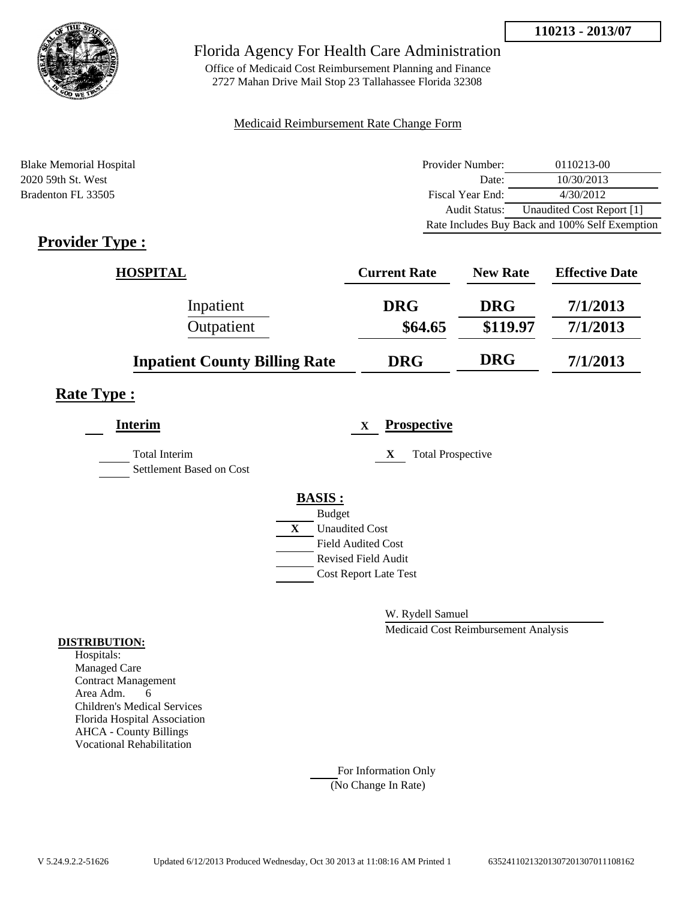

Office of Medicaid Cost Reimbursement Planning and Finance 2727 Mahan Drive Mail Stop 23 Tallahassee Florida 32308

#### Medicaid Reimbursement Rate Change Form

| <b>Blake Memorial Hospital</b> | Provider Number: | 0110213-00                                     |
|--------------------------------|------------------|------------------------------------------------|
| 2020 59th St. West             | Date:            | 10/30/2013                                     |
| Bradenton FL 33505             | Fiscal Year End: | 4/30/2012                                      |
|                                | Audit Status:    | Unaudited Cost Report [1]                      |
|                                |                  | Rate Includes Buy Back and 100% Self Exemption |

## **Provider Type :**

| <b>HOSPITAL</b>                      | <b>Current Rate</b> | <b>New Rate</b> | <b>Effective Date</b> |
|--------------------------------------|---------------------|-----------------|-----------------------|
| Inpatient                            | <b>DRG</b>          | <b>DRG</b>      | 7/1/2013              |
| Outpatient                           | \$64.65             | \$119.97        | 7/1/2013              |
| <b>Inpatient County Billing Rate</b> | <b>DRG</b>          | <b>DRG</b>      | 7/1/2013              |

### **Rate Type :**

| <b>Interim</b>                            |              |                              | X | <b>Prospective</b>            |
|-------------------------------------------|--------------|------------------------------|---|-------------------------------|
| Total Interim<br>Settlement Based on Cost |              |                              |   | <b>Total Prospective</b><br>X |
|                                           |              | <b>BASIS:</b>                |   |                               |
|                                           |              | <b>Budget</b>                |   |                               |
|                                           | $\mathbf{X}$ | <b>Unaudited Cost</b>        |   |                               |
|                                           |              | <b>Field Audited Cost</b>    |   |                               |
|                                           |              | <b>Revised Field Audit</b>   |   |                               |
|                                           |              | <b>Cost Report Late Test</b> |   |                               |
|                                           |              |                              |   |                               |

W. Rydell Samuel

Medicaid Cost Reimbursement Analysis

#### **DISTRIBUTION:**

Hospitals: Managed Care Contract Management Area Adm. 6 Children's Medical Services Florida Hospital Association AHCA - County Billings Vocational Rehabilitation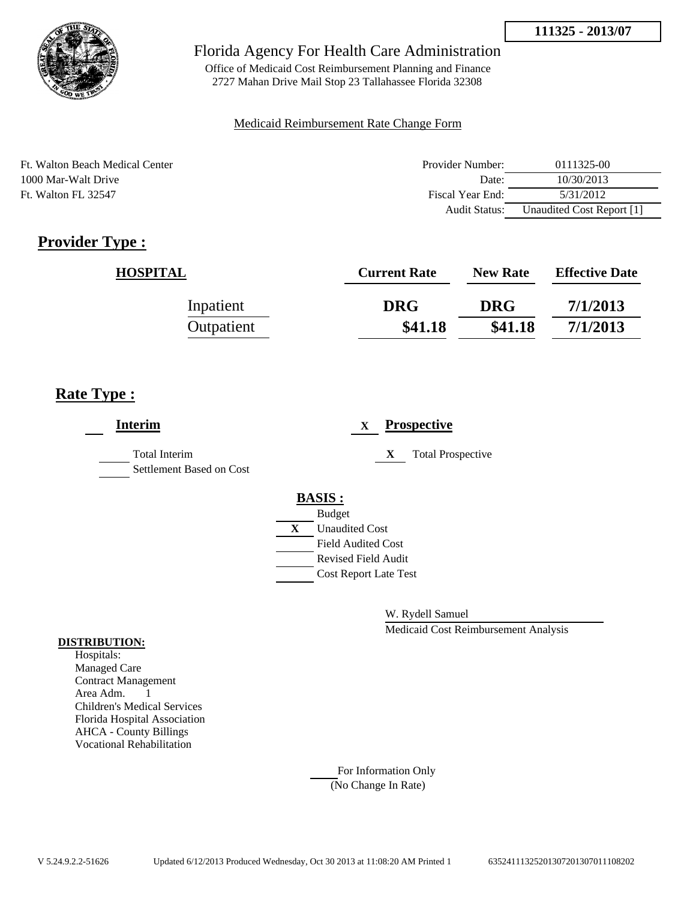

Office of Medicaid Cost Reimbursement Planning and Finance 2727 Mahan Drive Mail Stop 23 Tallahassee Florida 32308

### Medicaid Reimbursement Rate Change Form

Ft. Walton Beach Medical Center 1000 Mar-Walt Drive Ft. Walton FL 32547

| Provider Number: | 0111325-00                |
|------------------|---------------------------|
| Date:            | 10/30/2013                |
| Fiscal Year End: | 5/31/2012                 |
| Audit Status:    | Unaudited Cost Report [1] |

# **Provider Type :**

| <b>HOSPITAL</b> | <b>Current Rate</b> | <b>New Rate</b> | <b>Effective Date</b> |
|-----------------|---------------------|-----------------|-----------------------|
| Inpatient       | <b>DRG</b>          | <b>DRG</b>      | 7/1/2013              |
| Outpatient      | \$41.18             | \$41.18         | 7/1/2013              |

## **Rate Type :**

| <b>Interim</b>                                   |   |                              | $\mathbf{X}$ |   | <b>Prospective</b>       |
|--------------------------------------------------|---|------------------------------|--------------|---|--------------------------|
| <b>Total Interim</b><br>Settlement Based on Cost |   |                              |              | X | <b>Total Prospective</b> |
|                                                  |   | <b>BASIS:</b>                |              |   |                          |
|                                                  |   | <b>Budget</b>                |              |   |                          |
|                                                  | X | <b>Unaudited Cost</b>        |              |   |                          |
|                                                  |   | <b>Field Audited Cost</b>    |              |   |                          |
|                                                  |   | <b>Revised Field Audit</b>   |              |   |                          |
|                                                  |   | <b>Cost Report Late Test</b> |              |   |                          |
|                                                  |   |                              |              |   |                          |

W. Rydell Samuel

Medicaid Cost Reimbursement Analysis

#### **DISTRIBUTION:**

Hospitals: Managed Care Contract Management Area Adm. 1 Children's Medical Services Florida Hospital Association AHCA - County Billings Vocational Rehabilitation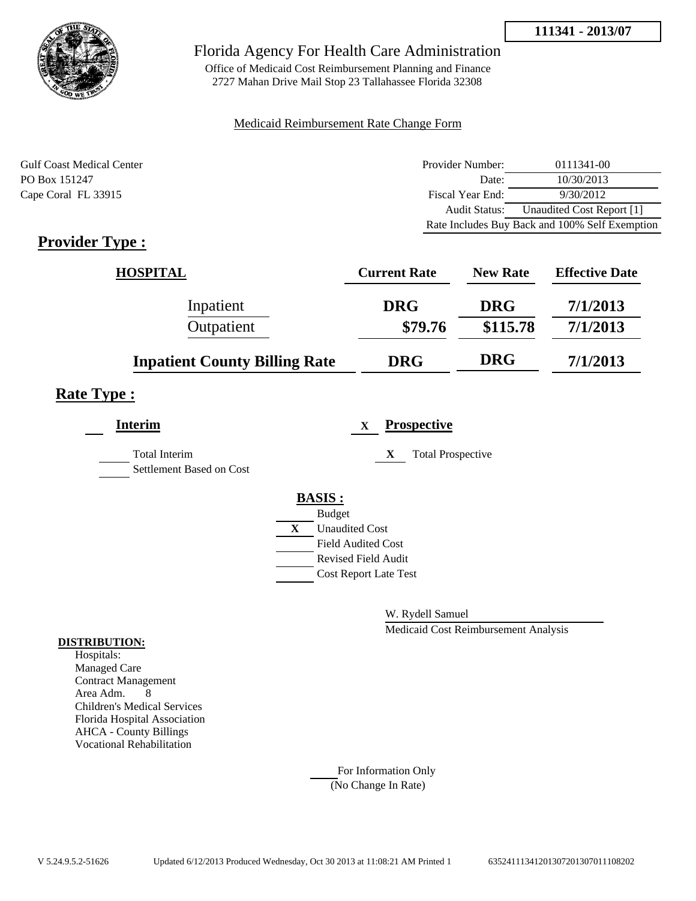



Office of Medicaid Cost Reimbursement Planning and Finance 2727 Mahan Drive Mail Stop 23 Tallahassee Florida 32308

#### Medicaid Reimbursement Rate Change Form

| <b>Gulf Coast Medical Center</b> | Provider Number:     | 0111341-00                                     |
|----------------------------------|----------------------|------------------------------------------------|
| PO Box 151247                    | Date:                | 10/30/2013                                     |
| Cape Coral FL 33915              | Fiscal Year End:     | 9/30/2012                                      |
|                                  | <b>Audit Status:</b> | Unaudited Cost Report [1]                      |
|                                  |                      | Rate Includes Buy Back and 100% Self Exemption |

## **Provider Type :**

| <b>HOSPITAL</b>                      | <b>Current Rate</b> | <b>New Rate</b> | <b>Effective Date</b> |
|--------------------------------------|---------------------|-----------------|-----------------------|
| Inpatient                            | <b>DRG</b>          | <b>DRG</b>      | 7/1/2013              |
| Outpatient                           | \$79.76             | \$115.78        | 7/1/2013              |
| <b>Inpatient County Billing Rate</b> | <b>DRG</b>          | <b>DRG</b>      | 7/1/2013              |

## **Rate Type :**

| <b>Interim</b>                                   |   | <b>Prospective</b><br>$\mathbf X$ |
|--------------------------------------------------|---|-----------------------------------|
| <b>Total Interim</b><br>Settlement Based on Cost |   | X<br><b>Total Prospective</b>     |
|                                                  |   | <b>BASIS:</b>                     |
|                                                  |   | <b>Budget</b>                     |
|                                                  | X | <b>Unaudited Cost</b>             |
|                                                  |   | <b>Field Audited Cost</b>         |
|                                                  |   | <b>Revised Field Audit</b>        |
|                                                  |   | <b>Cost Report Late Test</b>      |
|                                                  |   |                                   |

W. Rydell Samuel

Medicaid Cost Reimbursement Analysis

#### **DISTRIBUTION:**

Hospitals: Managed Care Contract Management Area Adm. 8 Children's Medical Services Florida Hospital Association AHCA - County Billings Vocational Rehabilitation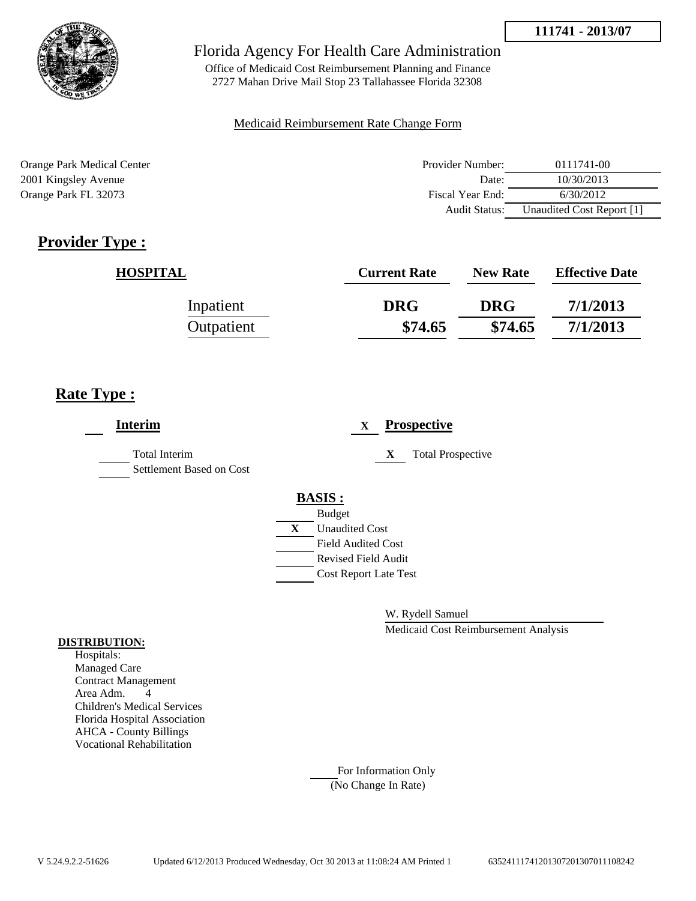



Office of Medicaid Cost Reimbursement Planning and Finance 2727 Mahan Drive Mail Stop 23 Tallahassee Florida 32308

#### Medicaid Reimbursement Rate Change Form

Orange Park Medical Center 2001 Kingsley Avenue Orange Park FL 32073

| Provider Number: | 0111741-00                |
|------------------|---------------------------|
| Date:            | 10/30/2013                |
| Fiscal Year End: | 6/30/2012                 |
| Audit Status:    | Unaudited Cost Report [1] |

# **Provider Type :**

| <b>HOSPITAL</b> | <b>Current Rate</b> | <b>New Rate</b> | <b>Effective Date</b> |
|-----------------|---------------------|-----------------|-----------------------|
| Inpatient       | <b>DRG</b>          | <b>DRG</b>      | 7/1/2013              |
| Outpatient      | \$74.65             | \$74.65         | 7/1/2013              |

## **Rate Type :**

| <b>Interim</b>                                   |   | <b>Prospective</b><br>$\mathbf x$ |
|--------------------------------------------------|---|-----------------------------------|
| <b>Total Interim</b><br>Settlement Based on Cost |   | X<br><b>Total Prospective</b>     |
|                                                  |   | <b>BASIS:</b>                     |
|                                                  |   | <b>Budget</b>                     |
|                                                  | X | <b>Unaudited Cost</b>             |
|                                                  |   | <b>Field Audited Cost</b>         |
|                                                  |   | <b>Revised Field Audit</b>        |
|                                                  |   | <b>Cost Report Late Test</b>      |
|                                                  |   |                                   |

W. Rydell Samuel

Medicaid Cost Reimbursement Analysis

#### **DISTRIBUTION:**

Hospitals: Managed Care Contract Management Area Adm. 4 Children's Medical Services Florida Hospital Association AHCA - County Billings Vocational Rehabilitation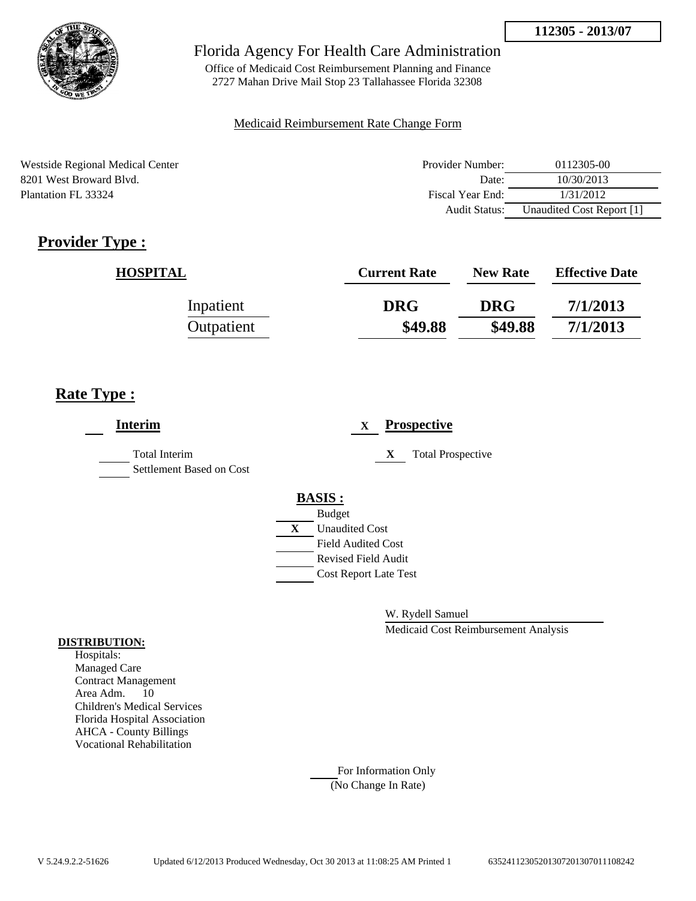

Office of Medicaid Cost Reimbursement Planning and Finance 2727 Mahan Drive Mail Stop 23 Tallahassee Florida 32308

### Medicaid Reimbursement Rate Change Form

Westside Regional Medical Center 8201 West Broward Blvd. Plantation FL 33324

| Provider Number: | 0112305-00                |
|------------------|---------------------------|
| Date:            | 10/30/2013                |
| Fiscal Year End: | 1/31/2012                 |
| Audit Status:    | Unaudited Cost Report [1] |

# **Provider Type :**

| <b>HOSPITAL</b> | <b>Current Rate</b> | <b>New Rate</b> | <b>Effective Date</b> |
|-----------------|---------------------|-----------------|-----------------------|
| Inpatient       | <b>DRG</b>          | <b>DRG</b>      | 7/1/2013              |
| Outpatient      | \$49.88             | \$49.88         | 7/1/2013              |

## **Rate Type :**

| <b>Interim</b>                                   | <b>Prospective</b><br>X        |
|--------------------------------------------------|--------------------------------|
| <b>Total Interim</b><br>Settlement Based on Cost | <b>Total Prospective</b><br>X  |
|                                                  | <b>BASIS:</b><br><b>Budget</b> |
|                                                  | X<br><b>Unaudited Cost</b>     |
|                                                  | <b>Field Audited Cost</b>      |
|                                                  | <b>Revised Field Audit</b>     |
|                                                  | <b>Cost Report Late Test</b>   |
|                                                  |                                |

W. Rydell Samuel

Medicaid Cost Reimbursement Analysis

#### **DISTRIBUTION:**

Hospitals: Managed Care Contract Management Area Adm. 10 Children's Medical Services Florida Hospital Association AHCA - County Billings Vocational Rehabilitation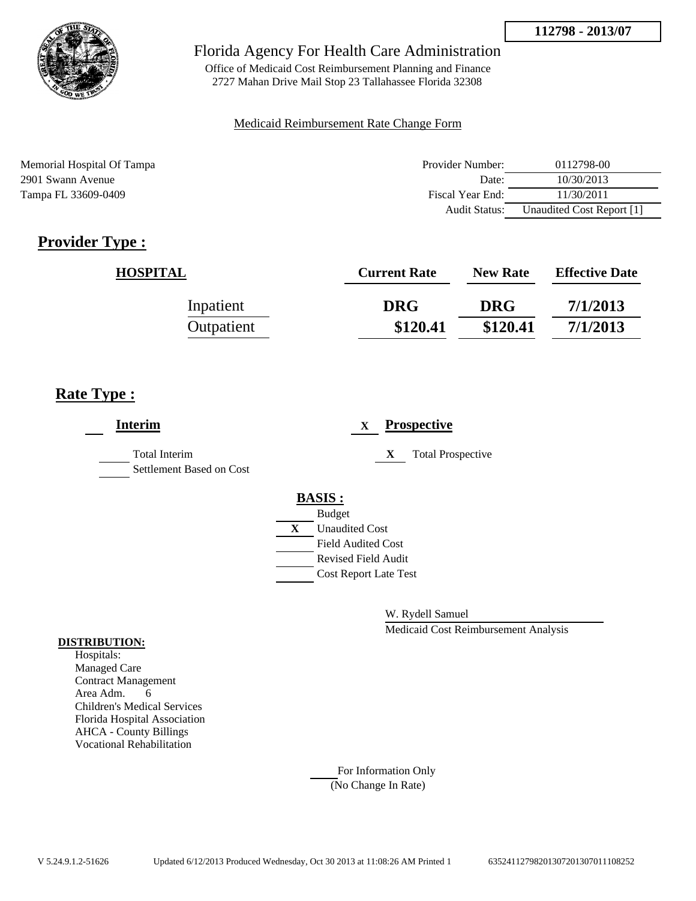

Office of Medicaid Cost Reimbursement Planning and Finance 2727 Mahan Drive Mail Stop 23 Tallahassee Florida 32308

#### Medicaid Reimbursement Rate Change Form

Memorial Hospital Of Tampa 2901 Swann Avenue Tampa FL 33609-0409

| Provider Number: | 0112798-00                |
|------------------|---------------------------|
| Date:            | 10/30/2013                |
| Fiscal Year End: | 11/30/2011                |
| Audit Status:    | Unaudited Cost Report [1] |

# **Provider Type :**

| <b>HOSPITAL</b> | <b>Current Rate</b> | <b>New Rate</b> | <b>Effective Date</b> |
|-----------------|---------------------|-----------------|-----------------------|
| Inpatient       | <b>DRG</b>          | <b>DRG</b>      | 7/1/2013              |
| Outpatient      | \$120.41            | \$120.41        | 7/1/2013              |

## **Rate Type :**

| <b>Interim</b>                                   |   | <b>Prospective</b><br>X       |
|--------------------------------------------------|---|-------------------------------|
| <b>Total Interim</b><br>Settlement Based on Cost |   | <b>Total Prospective</b><br>X |
|                                                  |   | <b>BASIS:</b>                 |
|                                                  |   | <b>Budget</b>                 |
|                                                  | X | <b>Unaudited Cost</b>         |
|                                                  |   | <b>Field Audited Cost</b>     |
|                                                  |   | <b>Revised Field Audit</b>    |
|                                                  |   | <b>Cost Report Late Test</b>  |
|                                                  |   |                               |

W. Rydell Samuel

Medicaid Cost Reimbursement Analysis

#### **DISTRIBUTION:**

Hospitals: Managed Care Contract Management Area Adm. 6 Children's Medical Services Florida Hospital Association AHCA - County Billings Vocational Rehabilitation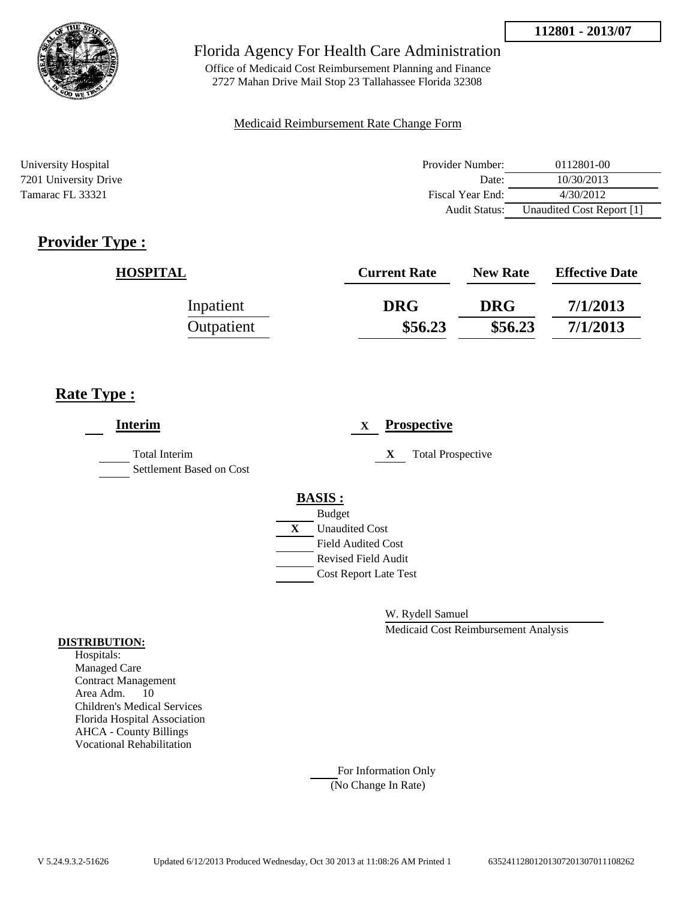

Office of Medicaid Cost Reimbursement Planning and Finance 2727 Mahan Drive Mail Stop 23 Tallahassee Florida 32308

#### Medicaid Reimbursement Rate Change Form

| University Hospital   | Provider Number:     | 0112801-00                |
|-----------------------|----------------------|---------------------------|
| 7201 University Drive | Date:                | 10/30/2013                |
| Tamarac FL 33321      | Fiscal Year End:     | 4/30/2012                 |
|                       | <b>Audit Status:</b> | Unaudited Cost Report [1] |

# **Provider Type :**

| <b>HOSPITAL</b> | <b>Current Rate</b> | <b>New Rate</b> | <b>Effective Date</b> |
|-----------------|---------------------|-----------------|-----------------------|
| Inpatient       | <b>DRG</b>          | <b>DRG</b>      | 7/1/2013              |
| Outpatient      | \$56.23             | \$56.23         | 7/1/2013              |

## **Rate Type :**

| <b>Interim</b>                                   | <b>Prospective</b><br>X       |
|--------------------------------------------------|-------------------------------|
| <b>Total Interim</b><br>Settlement Based on Cost | <b>Total Prospective</b><br>X |
|                                                  | <b>BASIS:</b>                 |
|                                                  | <b>Budget</b>                 |
|                                                  | X<br><b>Unaudited Cost</b>    |
|                                                  | <b>Field Audited Cost</b>     |
|                                                  | <b>Revised Field Audit</b>    |
|                                                  | <b>Cost Report Late Test</b>  |
|                                                  |                               |
|                                                  |                               |

W. Rydell Samuel

Medicaid Cost Reimbursement Analysis

#### **DISTRIBUTION:**

Hospitals: Managed Care Contract Management Area Adm. 10 Children's Medical Services Florida Hospital Association AHCA - County Billings Vocational Rehabilitation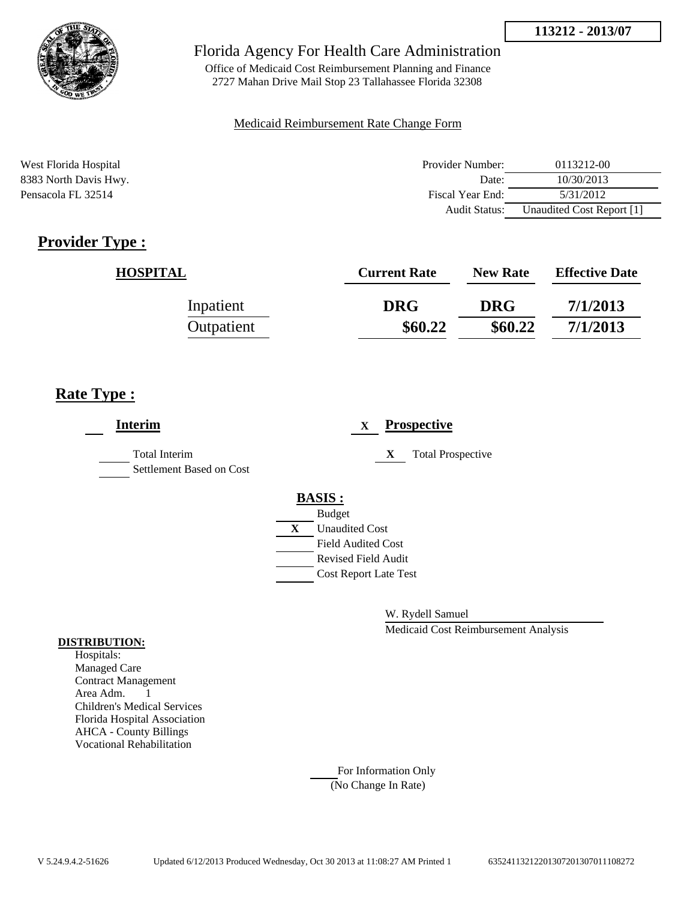



Office of Medicaid Cost Reimbursement Planning and Finance 2727 Mahan Drive Mail Stop 23 Tallahassee Florida 32308

#### Medicaid Reimbursement Rate Change Form

| West Florida Hospital | Provider Number: | 0113212-00                |
|-----------------------|------------------|---------------------------|
| 8383 North Davis Hwy. | Date:            | 10/30/2013                |
| Pensacola FL 32514    | Fiscal Year End: | 5/31/2012                 |
|                       | Audit Status:    | Unaudited Cost Report [1] |

## **Provider Type :**

| <b>HOSPITAL</b> | <b>Current Rate</b> | <b>New Rate</b> | <b>Effective Date</b> |
|-----------------|---------------------|-----------------|-----------------------|
| Inpatient       | <b>DRG</b>          | <b>DRG</b>      | 7/1/2013              |
| Outpatient      | \$60.22             | \$60.22         | 7/1/2013              |

## **Rate Type :**

| <b>Interim</b>                            | <b>Prospective</b><br>X       |
|-------------------------------------------|-------------------------------|
| Total Interim<br>Settlement Based on Cost | <b>Total Prospective</b><br>X |
|                                           | <b>BASIS:</b>                 |
|                                           | <b>Budget</b>                 |
|                                           | <b>Unaudited Cost</b><br>X    |
|                                           | <b>Field Audited Cost</b>     |
|                                           | <b>Revised Field Audit</b>    |
|                                           | <b>Cost Report Late Test</b>  |
|                                           |                               |
|                                           |                               |

W. Rydell Samuel

Medicaid Cost Reimbursement Analysis

#### **DISTRIBUTION:**

Hospitals: Managed Care Contract Management Area Adm. 1 Children's Medical Services Florida Hospital Association AHCA - County Billings Vocational Rehabilitation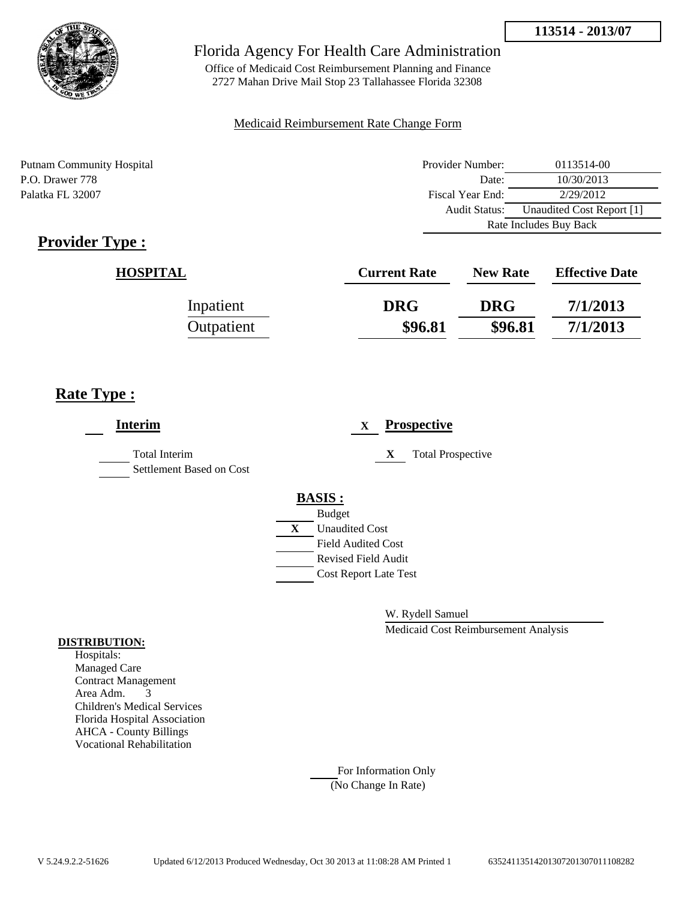

Office of Medicaid Cost Reimbursement Planning and Finance 2727 Mahan Drive Mail Stop 23 Tallahassee Florida 32308

### Medicaid Reimbursement Rate Change Form

Putnam Community Hospital P.O. Drawer 778 Palatka FL 32007

| Provider Number:       | 0113514-00                |  |
|------------------------|---------------------------|--|
| Date:                  | 10/30/2013                |  |
| Fiscal Year End:       | 2/29/2012                 |  |
| Audit Status:          | Unaudited Cost Report [1] |  |
| Rate Includes Buy Back |                           |  |

# **Provider Type :**

| <b>HOSPITAL</b> | <b>Current Rate</b> | <b>New Rate</b> | <b>Effective Date</b> |
|-----------------|---------------------|-----------------|-----------------------|
| Inpatient       | <b>DRG</b>          | <b>DRG</b>      | 7/1/2013              |
| Outpatient      | \$96.81             | \$96.81         | 7/1/2013              |

## **Rate Type :**

| <b>Interim</b>                                   | <b>Prospective</b><br>$\mathbf{X}$                                                                                                                          |
|--------------------------------------------------|-------------------------------------------------------------------------------------------------------------------------------------------------------------|
| <b>Total Interim</b><br>Settlement Based on Cost | <b>Total Prospective</b><br>X                                                                                                                               |
|                                                  | <b>BASIS:</b><br><b>Budget</b><br>$\mathbf{X}$<br><b>Unaudited Cost</b><br><b>Field Audited Cost</b><br>Revised Field Audit<br><b>Cost Report Late Test</b> |

W. Rydell Samuel

Medicaid Cost Reimbursement Analysis

#### **DISTRIBUTION:**

Hospitals: Managed Care Contract Management Area Adm. 3 Children's Medical Services Florida Hospital Association AHCA - County Billings Vocational Rehabilitation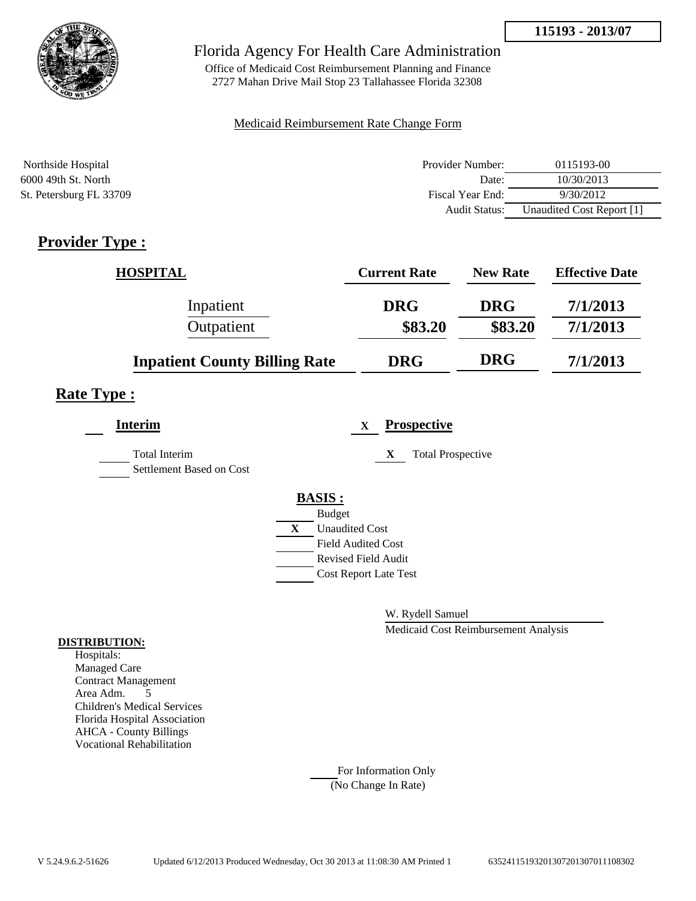



Office of Medicaid Cost Reimbursement Planning and Finance 2727 Mahan Drive Mail Stop 23 Tallahassee Florida 32308

#### Medicaid Reimbursement Rate Change Form

| Northside Hospital      | Provider Number: | 0115193-00                |
|-------------------------|------------------|---------------------------|
| 6000 49th St. North     | Date:            | 10/30/2013                |
| St. Petersburg FL 33709 | Fiscal Year End: | 9/30/2012                 |
|                         | Audit Status:    | Unaudited Cost Report [1] |

## **Provider Type :**

| <b>HOSPITAL</b>                      | <b>Current Rate</b>   | <b>New Rate</b>       | <b>Effective Date</b> |
|--------------------------------------|-----------------------|-----------------------|-----------------------|
| Inpatient<br>Outpatient              | <b>DRG</b><br>\$83.20 | <b>DRG</b><br>\$83.20 | 7/1/2013<br>7/1/2013  |
| <b>Inpatient County Billing Rate</b> | <b>DRG</b>            | <b>DRG</b>            | 7/1/2013              |

## **Rate Type :**

| <b>Interim</b>                                   |              | <b>Prospective</b><br>$\mathbf{X}$ |
|--------------------------------------------------|--------------|------------------------------------|
| <b>Total Interim</b><br>Settlement Based on Cost |              | <b>Total Prospective</b><br>X      |
|                                                  |              | <b>BASIS:</b>                      |
|                                                  |              | <b>Budget</b>                      |
|                                                  | $\mathbf{X}$ | <b>Unaudited Cost</b>              |
|                                                  |              | <b>Field Audited Cost</b>          |
|                                                  |              | <b>Revised Field Audit</b>         |
|                                                  |              | <b>Cost Report Late Test</b>       |
|                                                  |              |                                    |

W. Rydell Samuel

Medicaid Cost Reimbursement Analysis

#### **DISTRIBUTION:**

Hospitals: Managed Care Contract Management Area Adm. 5 Children's Medical Services Florida Hospital Association AHCA - County Billings Vocational Rehabilitation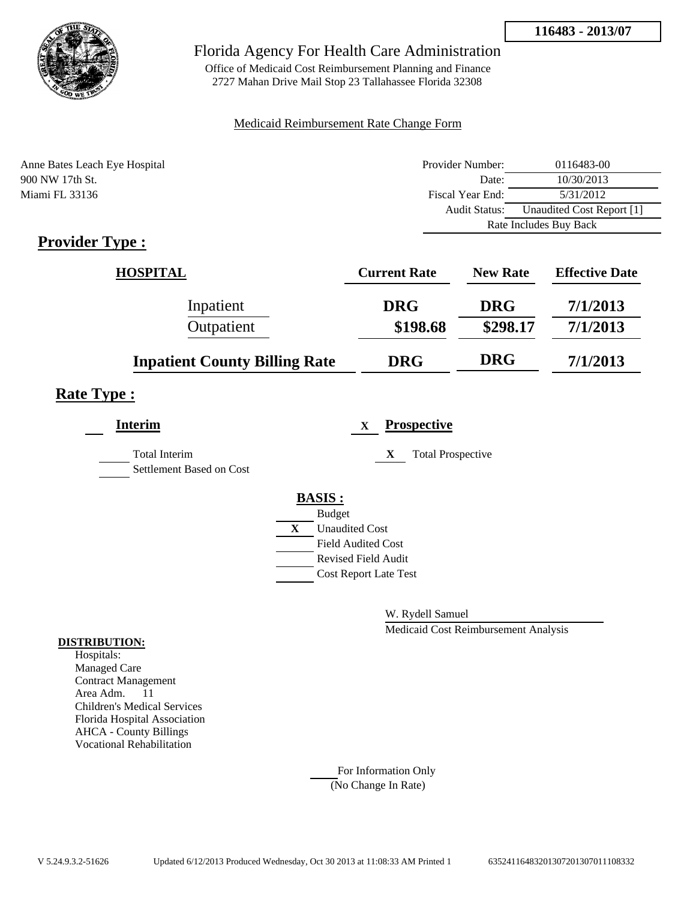

Office of Medicaid Cost Reimbursement Planning and Finance 2727 Mahan Drive Mail Stop 23 Tallahassee Florida 32308

### Medicaid Reimbursement Rate Change Form

| Anne Bates Leach Eye Hospital | Provider Number:       | 0116483-00                |
|-------------------------------|------------------------|---------------------------|
| 900 NW 17th St.               | Date:                  | 10/30/2013                |
| Miami FL 33136                | Fiscal Year End:       | 5/31/2012                 |
|                               | <b>Audit Status:</b>   | Unaudited Cost Report [1] |
|                               | Rate Includes Buy Back |                           |

## **Provider Type :**

| <b>HOSPITAL</b>                      | <b>Current Rate</b> | <b>New Rate</b> | <b>Effective Date</b> |
|--------------------------------------|---------------------|-----------------|-----------------------|
| Inpatient                            | <b>DRG</b>          | <b>DRG</b>      | 7/1/2013              |
| Outpatient                           | \$198.68            | \$298.17        | 7/1/2013              |
| <b>Inpatient County Billing Rate</b> | <b>DRG</b>          | <b>DRG</b>      | 7/1/2013              |

## **Rate Type :**

| <b>Interim</b>                                   |   | <b>Prospective</b><br>X       |
|--------------------------------------------------|---|-------------------------------|
| <b>Total Interim</b><br>Settlement Based on Cost |   | X<br><b>Total Prospective</b> |
|                                                  |   | <b>BASIS:</b>                 |
|                                                  |   | <b>Budget</b>                 |
|                                                  | X | <b>Unaudited Cost</b>         |
|                                                  |   | <b>Field Audited Cost</b>     |
|                                                  |   | <b>Revised Field Audit</b>    |
|                                                  |   | <b>Cost Report Late Test</b>  |
|                                                  |   |                               |

W. Rydell Samuel

Medicaid Cost Reimbursement Analysis

#### **DISTRIBUTION:**

Hospitals: Managed Care Contract Management Area Adm. 11 Children's Medical Services Florida Hospital Association AHCA - County Billings Vocational Rehabilitation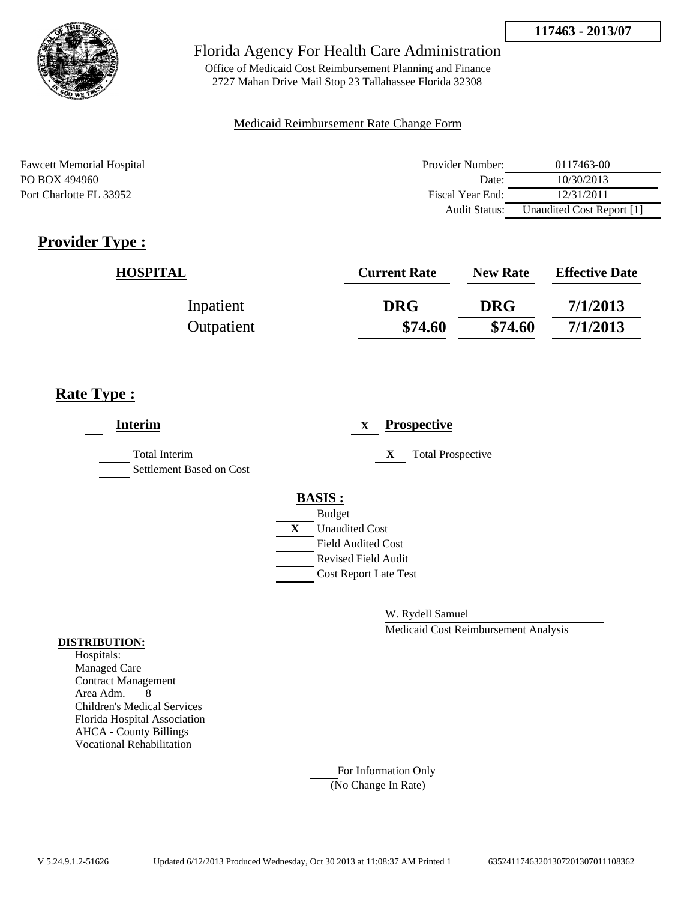

Office of Medicaid Cost Reimbursement Planning and Finance 2727 Mahan Drive Mail Stop 23 Tallahassee Florida 32308

### Medicaid Reimbursement Rate Change Form

| <b>Fawcett Memorial Hospital</b> | Provider Number: | 0117463-00                |
|----------------------------------|------------------|---------------------------|
| PO BOX 494960                    | Date:            | 10/30/2013                |
| Port Charlotte FL 33952          | Fiscal Year End: | 12/31/2011                |
|                                  | Audit Status:    | Unaudited Cost Report [1] |

## **Provider Type :**

| <b>HOSPITAL</b> | <b>Current Rate</b> | <b>New Rate</b> | <b>Effective Date</b> |
|-----------------|---------------------|-----------------|-----------------------|
| Inpatient       | <b>DRG</b>          | <b>DRG</b>      | 7/1/2013              |
| Outpatient      | \$74.60             | \$74.60         | 7/1/2013              |

## **Rate Type :**

| <b>Interim</b>                                   |   | <b>Prospective</b><br>$\mathbf X$ |
|--------------------------------------------------|---|-----------------------------------|
| <b>Total Interim</b><br>Settlement Based on Cost |   | X<br><b>Total Prospective</b>     |
|                                                  |   | <b>BASIS:</b>                     |
|                                                  |   | <b>Budget</b>                     |
|                                                  | X | <b>Unaudited Cost</b>             |
|                                                  |   | <b>Field Audited Cost</b>         |
|                                                  |   | <b>Revised Field Audit</b>        |
|                                                  |   | <b>Cost Report Late Test</b>      |
|                                                  |   |                                   |

W. Rydell Samuel

Medicaid Cost Reimbursement Analysis

#### **DISTRIBUTION:**

Hospitals: Managed Care Contract Management Area Adm. 8 Children's Medical Services Florida Hospital Association AHCA - County Billings Vocational Rehabilitation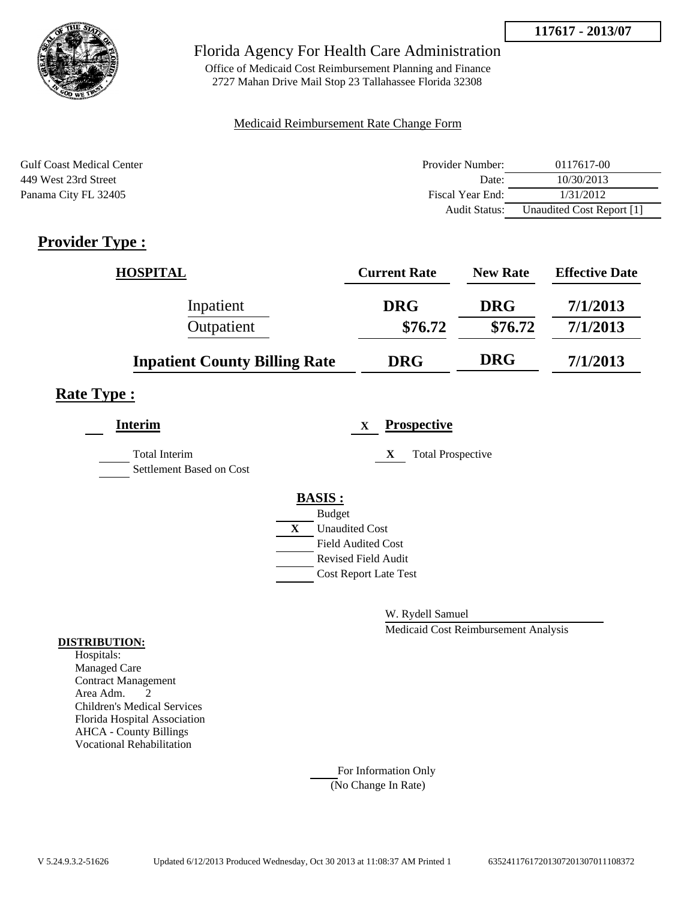**117617 - 2013/07**



### Florida Agency For Health Care Administration

Office of Medicaid Cost Reimbursement Planning and Finance 2727 Mahan Drive Mail Stop 23 Tallahassee Florida 32308

#### Medicaid Reimbursement Rate Change Form

| <b>Gulf Coast Medical Center</b> | Provider Number:     | 0117617-00                |
|----------------------------------|----------------------|---------------------------|
| 449 West 23rd Street             | Date:                | 10/30/2013                |
| Panama City FL 32405             | Fiscal Year End:     | 1/31/2012                 |
|                                  | <b>Audit Status:</b> | Unaudited Cost Report [1] |

## **Provider Type :**

| <b>HOSPITAL</b>                      | <b>Current Rate</b> | <b>New Rate</b> | <b>Effective Date</b> |
|--------------------------------------|---------------------|-----------------|-----------------------|
| Inpatient                            | <b>DRG</b>          | <b>DRG</b>      | 7/1/2013              |
| Outpatient                           | \$76.72             | \$76.72         | 7/1/2013              |
| <b>Inpatient County Billing Rate</b> | <b>DRG</b>          | <b>DRG</b>      | 7/1/2013              |

# **Rate Type :**

| <b>Interim</b>                            |              | <b>Prospective</b><br>$\mathbf{X}$ |
|-------------------------------------------|--------------|------------------------------------|
| Total Interim<br>Settlement Based on Cost |              | <b>Total Prospective</b><br>X      |
|                                           |              | <b>BASIS:</b>                      |
|                                           |              | <b>Budget</b>                      |
|                                           | $\mathbf{X}$ | <b>Unaudited Cost</b>              |
|                                           |              | <b>Field Audited Cost</b>          |
|                                           |              | <b>Revised Field Audit</b>         |
|                                           |              | <b>Cost Report Late Test</b>       |
|                                           |              |                                    |

W. Rydell Samuel

Medicaid Cost Reimbursement Analysis

#### **DISTRIBUTION:**

Hospitals: Managed Care Contract Management Area Adm. 2 Children's Medical Services Florida Hospital Association AHCA - County Billings Vocational Rehabilitation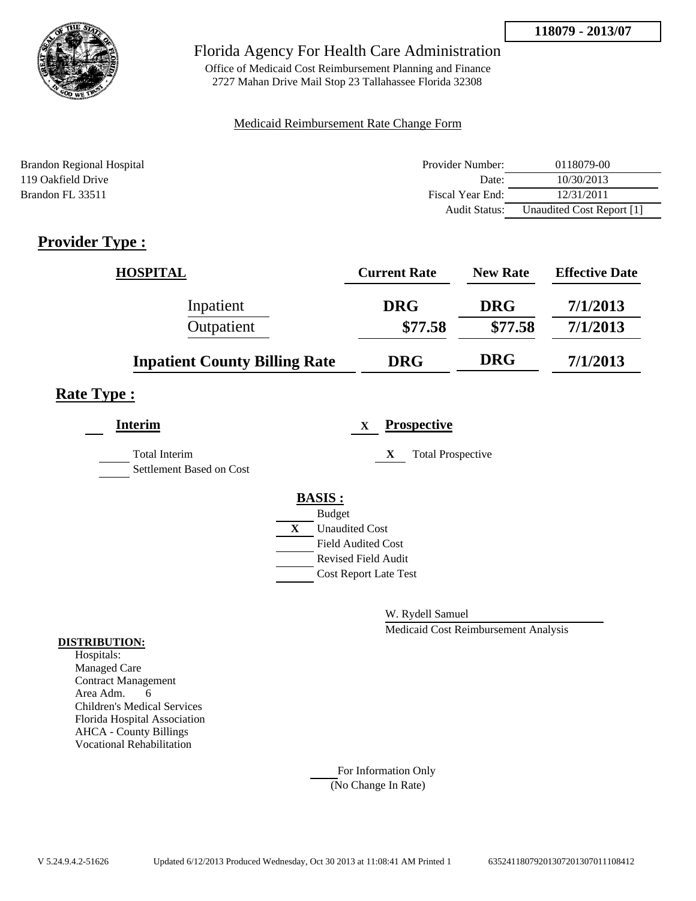

Office of Medicaid Cost Reimbursement Planning and Finance 2727 Mahan Drive Mail Stop 23 Tallahassee Florida 32308

#### Medicaid Reimbursement Rate Change Form

| Brandon Regional Hospital | Provider Number:     | 0118079-00                |
|---------------------------|----------------------|---------------------------|
| 119 Oakfield Drive        | Date:                | 10/30/2013                |
| Brandon FL 33511          | Fiscal Year End:     | 12/31/2011                |
|                           | <b>Audit Status:</b> | Unaudited Cost Report [1] |

## **Provider Type :**

| <b>HOSPITAL</b>                      | <b>Current Rate</b> | <b>New Rate</b> | <b>Effective Date</b> |
|--------------------------------------|---------------------|-----------------|-----------------------|
| Inpatient                            | <b>DRG</b>          | <b>DRG</b>      | 7/1/2013              |
| Outpatient                           | \$77.58             | \$77.58         | 7/1/2013              |
| <b>Inpatient County Billing Rate</b> | <b>DRG</b>          | <b>DRG</b>      | 7/1/2013              |

## **Rate Type :**

| <b>Interim</b>                                   |   |                            | X | <b>Prospective</b>            |
|--------------------------------------------------|---|----------------------------|---|-------------------------------|
| <b>Total Interim</b><br>Settlement Based on Cost |   |                            |   | <b>Total Prospective</b><br>X |
|                                                  |   | <b>BASIS:</b>              |   |                               |
|                                                  |   | <b>Budget</b>              |   |                               |
|                                                  | X | <b>Unaudited Cost</b>      |   |                               |
|                                                  |   | <b>Field Audited Cost</b>  |   |                               |
|                                                  |   | <b>Revised Field Audit</b> |   |                               |
|                                                  |   |                            |   | <b>Cost Report Late Test</b>  |
|                                                  |   |                            |   |                               |

W. Rydell Samuel

Medicaid Cost Reimbursement Analysis

#### **DISTRIBUTION:**

Hospitals: Managed Care Contract Management Area Adm. 6 Children's Medical Services Florida Hospital Association AHCA - County Billings Vocational Rehabilitation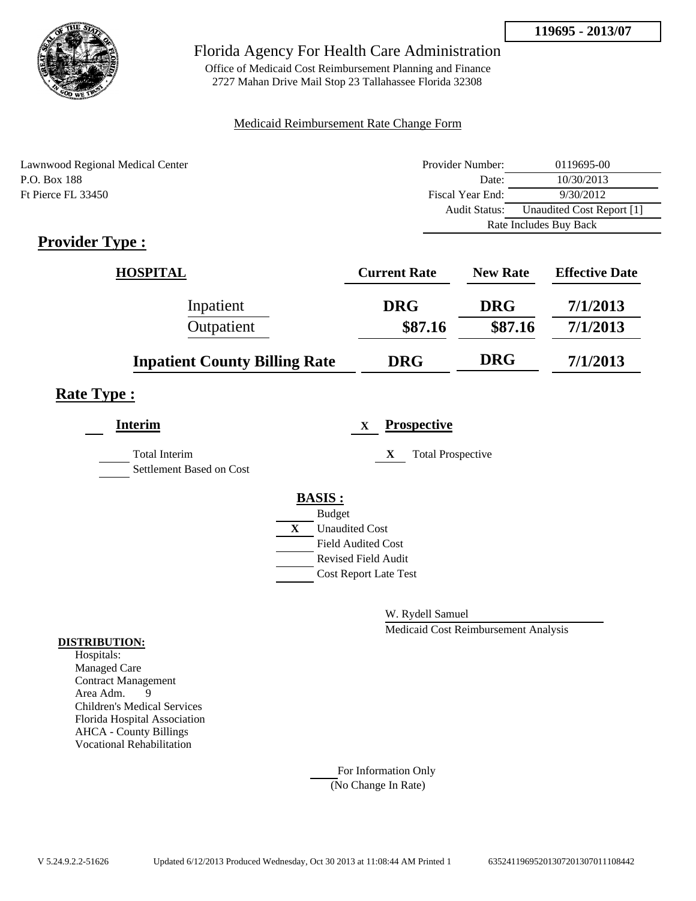**119695 - 2013/07**



### Florida Agency For Health Care Administration

Office of Medicaid Cost Reimbursement Planning and Finance 2727 Mahan Drive Mail Stop 23 Tallahassee Florida 32308

### Medicaid Reimbursement Rate Change Form

| Lawnwood Regional Medical Center | Provider Number: | 0119695-00                |  |
|----------------------------------|------------------|---------------------------|--|
| P.O. Box 188                     | Date:            | 10/30/2013                |  |
| Ft Pierce FL 33450               | Fiscal Year End: | 9/30/2012                 |  |
|                                  | Audit Status:    | Unaudited Cost Report [1] |  |
|                                  |                  | Rate Includes Buy Back    |  |

## **Provider Type :**

| <b>HOSPITAL</b>                      | <b>Current Rate</b> | <b>New Rate</b> | <b>Effective Date</b> |
|--------------------------------------|---------------------|-----------------|-----------------------|
| Inpatient                            | <b>DRG</b>          | <b>DRG</b>      | 7/1/2013              |
| Outpatient                           | \$87.16             | \$87.16         | 7/1/2013              |
| <b>Inpatient County Billing Rate</b> | <b>DRG</b>          | <b>DRG</b>      | 7/1/2013              |

### **Rate Type :**

| <b>Interim</b>                            | <b>Prospective</b><br>X               |  |
|-------------------------------------------|---------------------------------------|--|
| Total Interim<br>Settlement Based on Cost | <b>Total Prospective</b><br>X         |  |
|                                           | <b>BASIS:</b>                         |  |
|                                           | <b>Budget</b>                         |  |
|                                           | $\mathbf{X}$<br><b>Unaudited Cost</b> |  |
|                                           | <b>Field Audited Cost</b>             |  |
|                                           | <b>Revised Field Audit</b>            |  |
|                                           | <b>Cost Report Late Test</b>          |  |
|                                           |                                       |  |

W. Rydell Samuel

Medicaid Cost Reimbursement Analysis

### **DISTRIBUTION:**

Hospitals: Managed Care Contract Management Area Adm. 9 Children's Medical Services Florida Hospital Association AHCA - County Billings Vocational Rehabilitation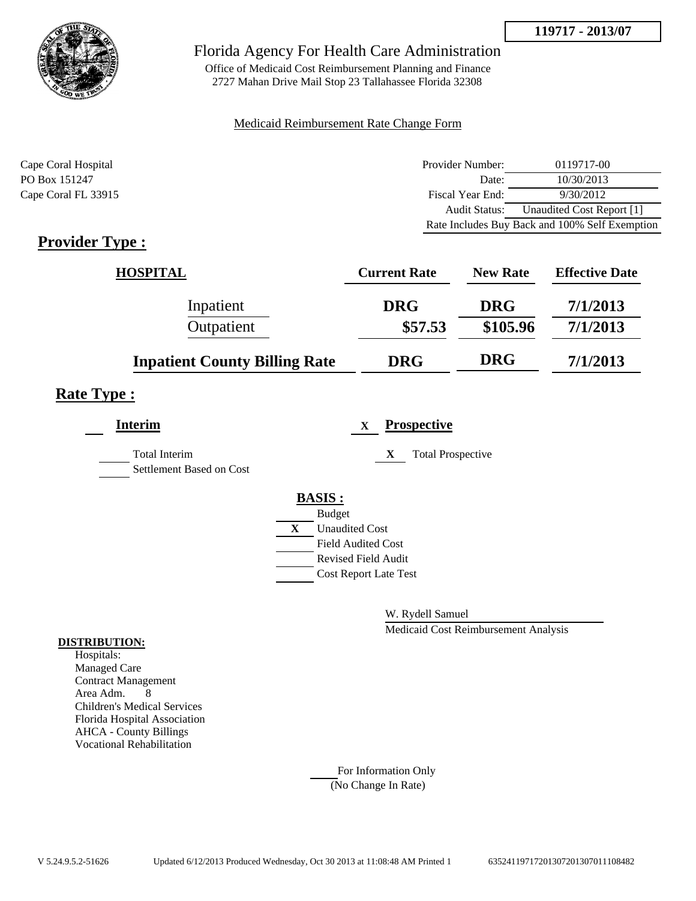**119717 - 2013/07**



### Florida Agency For Health Care Administration

Office of Medicaid Cost Reimbursement Planning and Finance 2727 Mahan Drive Mail Stop 23 Tallahassee Florida 32308

### Medicaid Reimbursement Rate Change Form

| Cape Coral Hospital | Provider Number: | 0119717-00                                     |
|---------------------|------------------|------------------------------------------------|
| PO Box 151247       | Date:            | 10/30/2013                                     |
| Cape Coral FL 33915 | Fiscal Year End: | 9/30/2012                                      |
|                     | Audit Status:    | Unaudited Cost Report [1]                      |
|                     |                  | Rate Includes Buy Back and 100% Self Exemption |

## **Provider Type :**

| <b>HOSPITAL</b>                      | <b>Current Rate</b> | <b>New Rate</b> | <b>Effective Date</b> |
|--------------------------------------|---------------------|-----------------|-----------------------|
| Inpatient                            | <b>DRG</b>          | <b>DRG</b>      | 7/1/2013              |
| Outpatient                           | \$57.53             | \$105.96        | 7/1/2013              |
| <b>Inpatient County Billing Rate</b> | <b>DRG</b>          | <b>DRG</b>      | 7/1/2013              |

## **Rate Type :**

| <b>Interim</b>                            | <b>Prospective</b><br>$\mathbf x$ |                          |
|-------------------------------------------|-----------------------------------|--------------------------|
| Total Interim<br>Settlement Based on Cost | X                                 | <b>Total Prospective</b> |
|                                           | <b>BASIS:</b>                     |                          |
|                                           | <b>Budget</b>                     |                          |
|                                           | X<br><b>Unaudited Cost</b>        |                          |
|                                           | <b>Field Audited Cost</b>         |                          |
|                                           | <b>Revised Field Audit</b>        |                          |
|                                           | <b>Cost Report Late Test</b>      |                          |
|                                           |                                   |                          |

W. Rydell Samuel

Medicaid Cost Reimbursement Analysis

#### **DISTRIBUTION:**

Hospitals: Managed Care Contract Management Area Adm. 8 Children's Medical Services Florida Hospital Association AHCA - County Billings Vocational Rehabilitation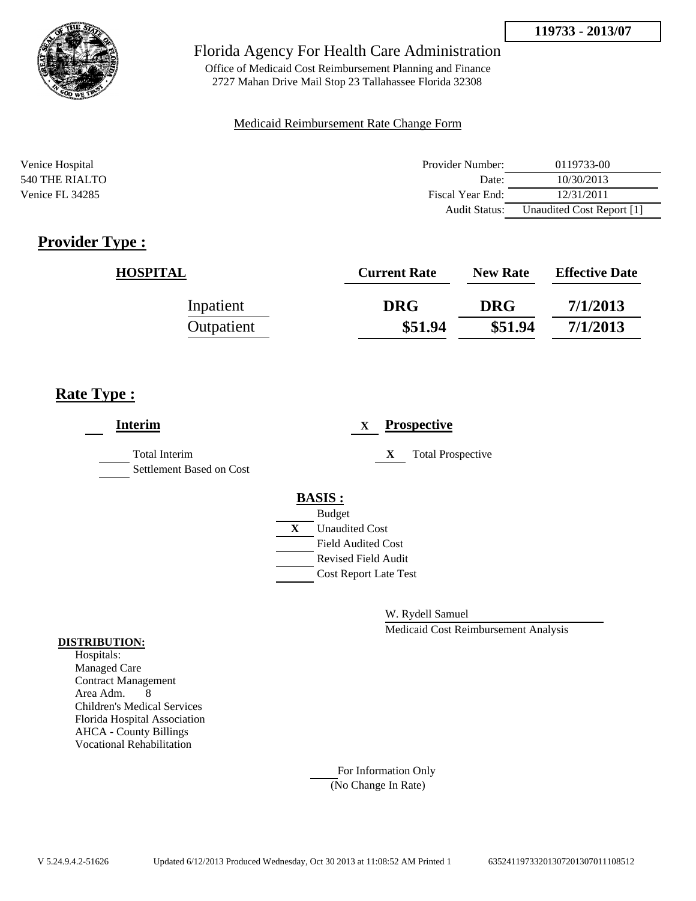



Office of Medicaid Cost Reimbursement Planning and Finance 2727 Mahan Drive Mail Stop 23 Tallahassee Florida 32308

### Medicaid Reimbursement Rate Change Form

| Venice Hospital | Provider Number:     | 0119733-00                |
|-----------------|----------------------|---------------------------|
| 540 THE RIALTO  | Date:                | 10/30/2013                |
| Venice FL 34285 | Fiscal Year End:     | 12/31/2011                |
|                 | <b>Audit Status:</b> | Unaudited Cost Report [1] |

## **Provider Type :**

| <b>HOSPITAL</b> | <b>Current Rate</b> | <b>New Rate</b> | <b>Effective Date</b> |
|-----------------|---------------------|-----------------|-----------------------|
| Inpatient       | <b>DRG</b>          | <b>DRG</b>      | 7/1/2013              |
| Outpatient      | \$51.94             | \$51.94         | 7/1/2013              |

## **Rate Type :**

| <b>Interim</b>                                   | <b>Prospective</b><br>$\mathbf X$ |
|--------------------------------------------------|-----------------------------------|
| <b>Total Interim</b><br>Settlement Based on Cost | <b>Total Prospective</b><br>X     |
|                                                  | <b>BASIS:</b>                     |
|                                                  | <b>Budget</b>                     |
|                                                  | <b>Unaudited Cost</b><br>X        |
|                                                  | <b>Field Audited Cost</b>         |
|                                                  | <b>Revised Field Audit</b>        |
|                                                  | <b>Cost Report Late Test</b>      |
|                                                  |                                   |

W. Rydell Samuel

Medicaid Cost Reimbursement Analysis

#### **DISTRIBUTION:**

Hospitals: Managed Care Contract Management Area Adm. 8 Children's Medical Services Florida Hospital Association AHCA - County Billings Vocational Rehabilitation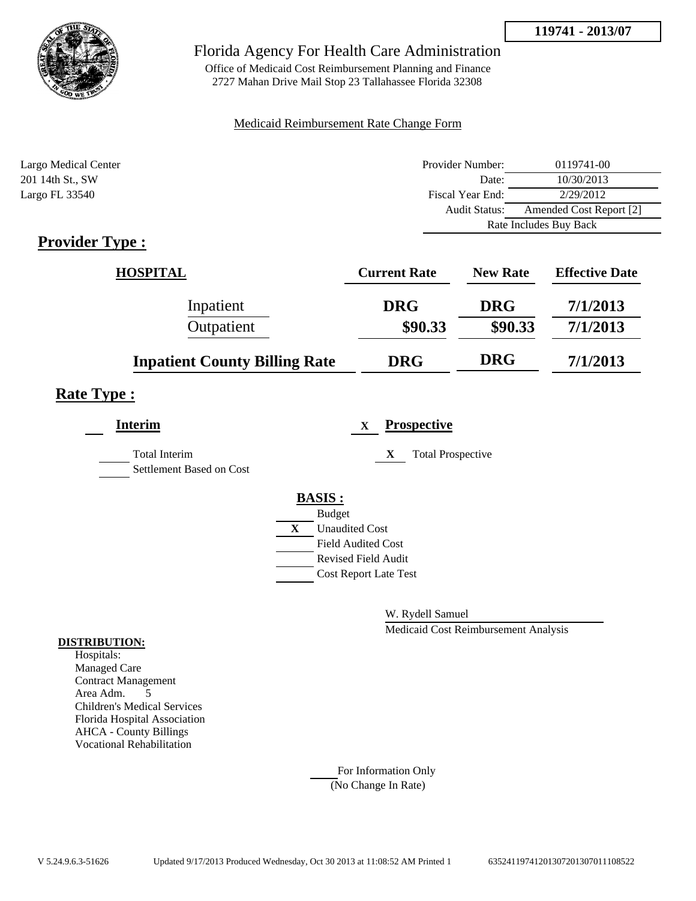**119741 - 2013/07**



### Florida Agency For Health Care Administration

Office of Medicaid Cost Reimbursement Planning and Finance 2727 Mahan Drive Mail Stop 23 Tallahassee Florida 32308

### Medicaid Reimbursement Rate Change Form

| Largo Medical Center | Provider Number:     | 0119741-00              |
|----------------------|----------------------|-------------------------|
| 201 14th St., SW     | Date:                | 10/30/2013              |
| Largo FL 33540       | Fiscal Year End:     | 2/29/2012               |
|                      | <b>Audit Status:</b> | Amended Cost Report [2] |
|                      |                      | Rate Includes Buy Back  |

## **Provider Type :**

| <b>HOSPITAL</b>                      | <b>Current Rate</b> | <b>New Rate</b> | <b>Effective Date</b> |
|--------------------------------------|---------------------|-----------------|-----------------------|
| Inpatient                            | <b>DRG</b>          | <b>DRG</b>      | 7/1/2013              |
| Outpatient                           | \$90.33             | \$90.33         | 7/1/2013              |
| <b>Inpatient County Billing Rate</b> | <b>DRG</b>          | <b>DRG</b>      | 7/1/2013              |

# **Rate Type :**

| <b>Interim</b>                                   |   | X                            | <b>Prospective</b>            |
|--------------------------------------------------|---|------------------------------|-------------------------------|
| <b>Total Interim</b><br>Settlement Based on Cost |   |                              | <b>Total Prospective</b><br>X |
|                                                  |   | <b>BASIS:</b>                |                               |
|                                                  |   | <b>Budget</b>                |                               |
|                                                  | X | <b>Unaudited Cost</b>        |                               |
|                                                  |   | <b>Field Audited Cost</b>    |                               |
|                                                  |   | Revised Field Audit          |                               |
|                                                  |   | <b>Cost Report Late Test</b> |                               |
|                                                  |   |                              |                               |

W. Rydell Samuel

Medicaid Cost Reimbursement Analysis

#### **DISTRIBUTION:**

Hospitals: Managed Care Contract Management Area Adm. 5 Children's Medical Services Florida Hospital Association AHCA - County Billings Vocational Rehabilitation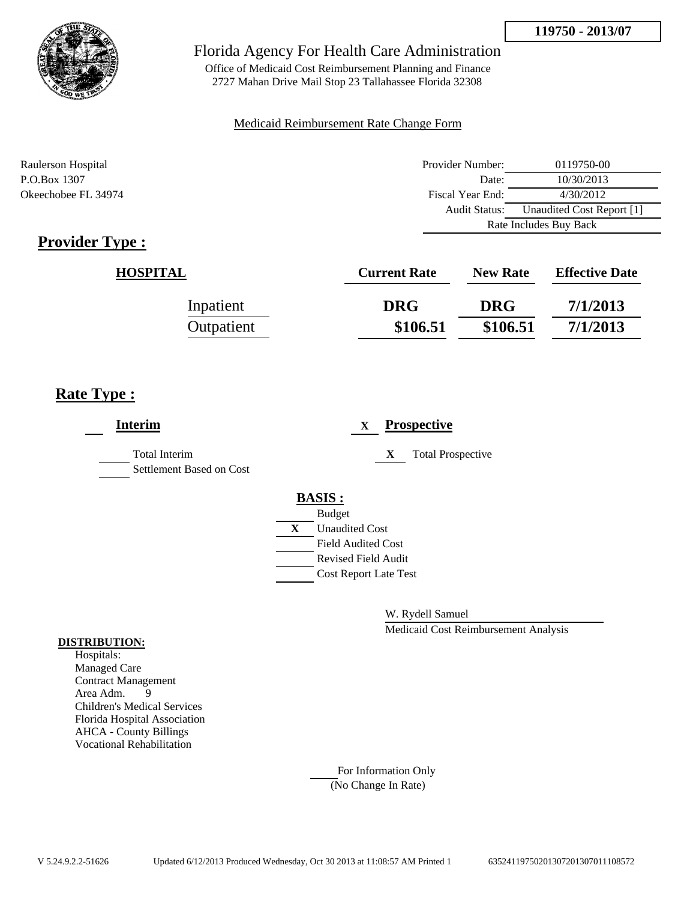



Office of Medicaid Cost Reimbursement Planning and Finance 2727 Mahan Drive Mail Stop 23 Tallahassee Florida 32308

#### Medicaid Reimbursement Rate Change Form

Raulerson Hospital Provider Number: 0119750-00 P.O.Box 1307 **Date:** 10/30/2013 Okeechobee FL 34974 Fiscal Year End: 4/30/2012 Audit Status: Unaudited Cost Report [1] Rate Includes Buy Back

# **Provider Type :**

| <b>HOSPITAL</b> | <b>Current Rate</b> | <b>New Rate</b> | <b>Effective Date</b> |
|-----------------|---------------------|-----------------|-----------------------|
| Inpatient       | <b>DRG</b>          | <b>DRG</b>      | 7/1/2013              |
| Outpatient      | \$106.51            | \$106.51        | 7/1/2013              |

## **Rate Type :**

| <b>Interim</b>                                   | <b>Prospective</b><br>$\mathbf{X}$ |
|--------------------------------------------------|------------------------------------|
| <b>Total Interim</b><br>Settlement Based on Cost | <b>Total Prospective</b><br>X      |
|                                                  | <b>BASIS:</b>                      |
|                                                  | <b>Budget</b>                      |
|                                                  | <b>Unaudited Cost</b><br>X         |
|                                                  | <b>Field Audited Cost</b>          |
|                                                  | <b>Revised Field Audit</b>         |
|                                                  | <b>Cost Report Late Test</b>       |
|                                                  |                                    |
|                                                  |                                    |

W. Rydell Samuel

Medicaid Cost Reimbursement Analysis

#### **DISTRIBUTION:**

Hospitals: Managed Care Contract Management Area Adm. 9 Children's Medical Services Florida Hospital Association AHCA - County Billings Vocational Rehabilitation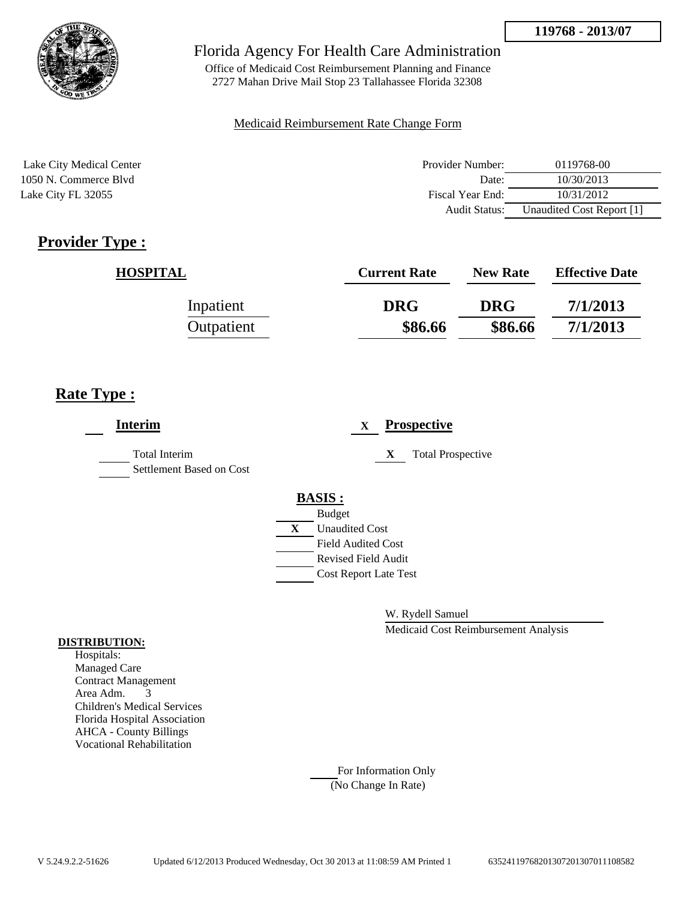

Office of Medicaid Cost Reimbursement Planning and Finance 2727 Mahan Drive Mail Stop 23 Tallahassee Florida 32308

### Medicaid Reimbursement Rate Change Form

Lake City Medical Center 1050 N. Commerce Blvd Lake City FL 32055

| Provider Number: | 0119768-00                |
|------------------|---------------------------|
| Date:            | 10/30/2013                |
| Fiscal Year End: | 10/31/2012                |
| Audit Status:    | Unaudited Cost Report [1] |

# **Provider Type :**

| <b>HOSPITAL</b> | <b>Current Rate</b> | <b>New Rate</b> | <b>Effective Date</b> |
|-----------------|---------------------|-----------------|-----------------------|
| Inpatient       | <b>DRG</b>          | <b>DRG</b>      | 7/1/2013              |
| Outpatient      | \$86.66             | \$86.66         | 7/1/2013              |

## **Rate Type :**

| <b>Interim</b>                                   | <b>Prospective</b><br>$\mathbf{X}$ |
|--------------------------------------------------|------------------------------------|
| <b>Total Interim</b><br>Settlement Based on Cost | <b>Total Prospective</b><br>X      |
|                                                  | <b>BASIS:</b>                      |
|                                                  | <b>Budget</b>                      |
|                                                  | X<br><b>Unaudited Cost</b>         |
|                                                  | <b>Field Audited Cost</b>          |
|                                                  | <b>Revised Field Audit</b>         |
|                                                  | <b>Cost Report Late Test</b>       |
|                                                  |                                    |
|                                                  |                                    |

W. Rydell Samuel

Medicaid Cost Reimbursement Analysis

### **DISTRIBUTION:**

Hospitals: Managed Care Contract Management Area Adm. 3 Children's Medical Services Florida Hospital Association AHCA - County Billings Vocational Rehabilitation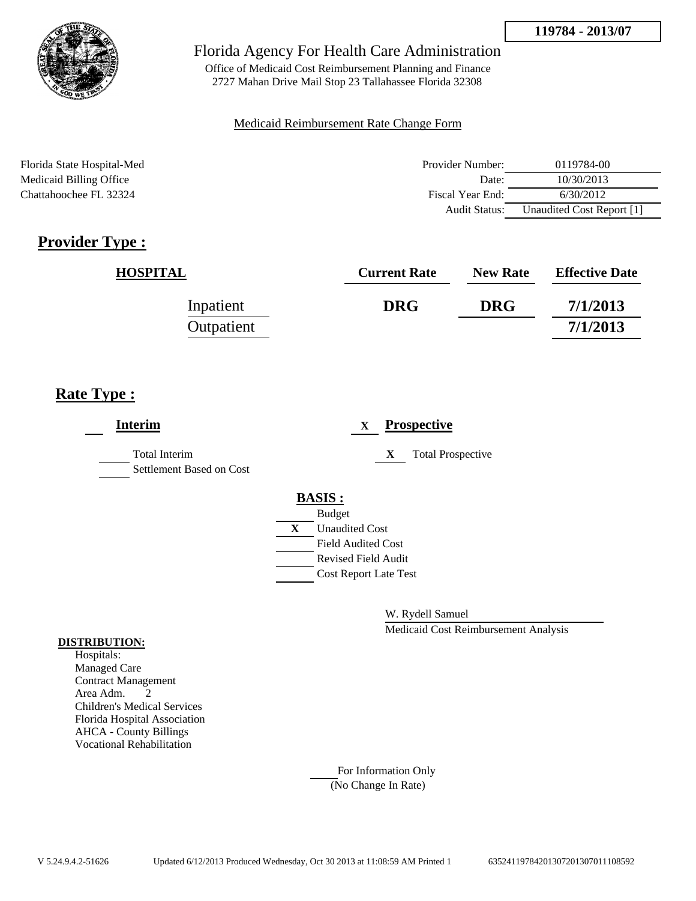

Office of Medicaid Cost Reimbursement Planning and Finance 2727 Mahan Drive Mail Stop 23 Tallahassee Florida 32308

### Medicaid Reimbursement Rate Change Form

Florida State Hospital-Med Medicaid Billing Office Chattahoochee FL 32324

| Provider Number:     | 0119784-00                |
|----------------------|---------------------------|
| Date:                | 10/30/2013                |
| Fiscal Year End:     | 6/30/2012                 |
| <b>Audit Status:</b> | Unaudited Cost Report [1] |

# **Provider Type :**

| <b>HOSPITAL</b> | <b>Current Rate</b> | <b>New Rate</b> | <b>Effective Date</b> |
|-----------------|---------------------|-----------------|-----------------------|
| Inpatient       | <b>DRG</b>          | <b>DRG</b>      | 7/1/2013              |
| Outpatient      |                     |                 | 7/1/2013              |

## **Rate Type :**

| <b>Interim</b>                                   | <b>Prospective</b><br>X               |
|--------------------------------------------------|---------------------------------------|
| <b>Total Interim</b><br>Settlement Based on Cost | <b>Total Prospective</b><br>X         |
|                                                  | <b>BASIS:</b>                         |
|                                                  | <b>Budget</b>                         |
|                                                  | $\mathbf{X}$<br><b>Unaudited Cost</b> |
|                                                  | <b>Field Audited Cost</b>             |
|                                                  | <b>Revised Field Audit</b>            |
|                                                  | <b>Cost Report Late Test</b>          |
|                                                  |                                       |
|                                                  |                                       |

W. Rydell Samuel

Medicaid Cost Reimbursement Analysis

### **DISTRIBUTION:**

Hospitals: Managed Care Contract Management Area Adm. 2 Children's Medical Services Florida Hospital Association AHCA - County Billings Vocational Rehabilitation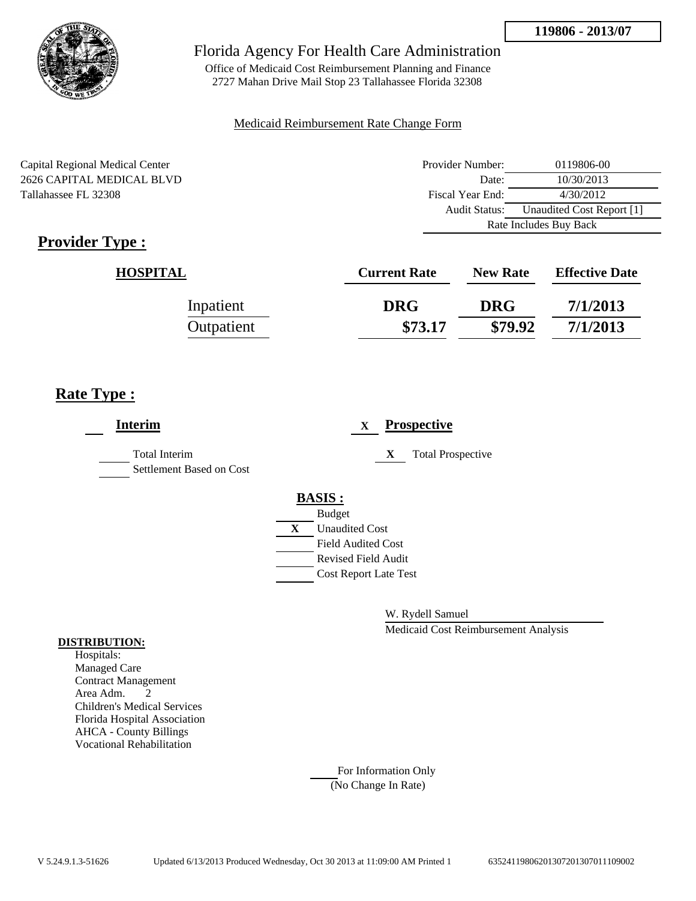

Office of Medicaid Cost Reimbursement Planning and Finance 2727 Mahan Drive Mail Stop 23 Tallahassee Florida 32308

### Medicaid Reimbursement Rate Change Form

Capital Regional Medical Center 2626 CAPITAL MEDICAL BLVD Tallahassee FL 32308

| Provider Number: | 0119806-00                |
|------------------|---------------------------|
| Date:            | 10/30/2013                |
| Fiscal Year End: | 4/30/2012                 |
| Audit Status:    | Unaudited Cost Report [1] |
|                  | Rate Includes Buy Back    |

# **Provider Type :**

| <b>HOSPITAL</b> | <b>Current Rate</b> | <b>New Rate</b> | <b>Effective Date</b> |
|-----------------|---------------------|-----------------|-----------------------|
| Inpatient       | <b>DRG</b>          | <b>DRG</b>      | 7/1/2013              |
| Outpatient      | \$73.17             | \$79.92         | 7/1/2013              |

## **Rate Type :**

| <b>Interim</b>                                   | <b>Prospective</b><br>$\mathbf{X}$                                                                                                                                 |
|--------------------------------------------------|--------------------------------------------------------------------------------------------------------------------------------------------------------------------|
| <b>Total Interim</b><br>Settlement Based on Cost | <b>Total Prospective</b><br>X                                                                                                                                      |
|                                                  | <b>BASIS:</b><br><b>Budget</b><br>$\mathbf{X}$<br><b>Unaudited Cost</b><br><b>Field Audited Cost</b><br><b>Revised Field Audit</b><br><b>Cost Report Late Test</b> |

W. Rydell Samuel

Medicaid Cost Reimbursement Analysis

### **DISTRIBUTION:**

Hospitals: Managed Care Contract Management Area Adm. 2 Children's Medical Services Florida Hospital Association AHCA - County Billings Vocational Rehabilitation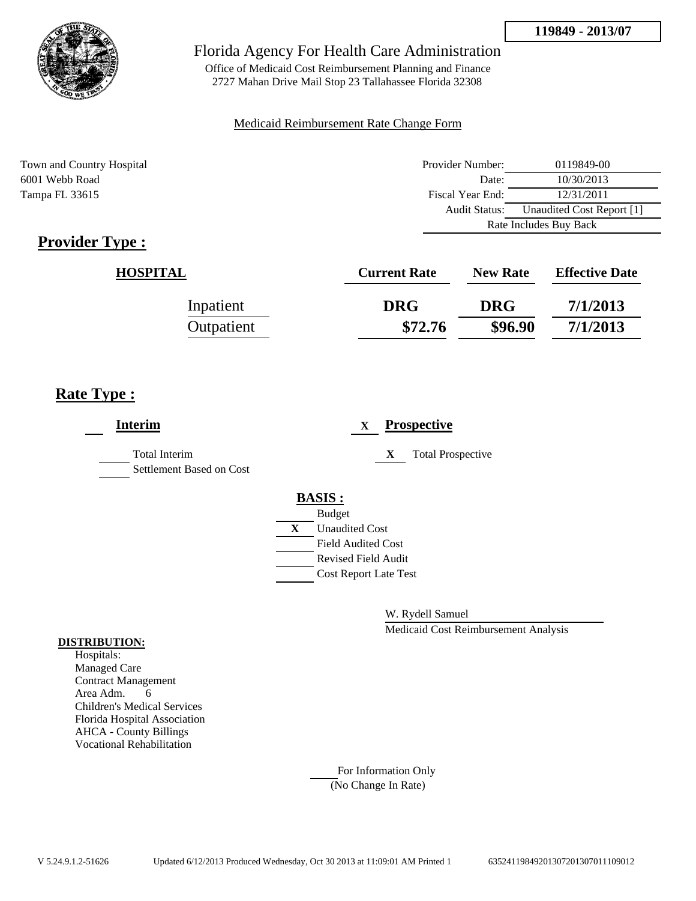

Office of Medicaid Cost Reimbursement Planning and Finance 2727 Mahan Drive Mail Stop 23 Tallahassee Florida 32308

#### Medicaid Reimbursement Rate Change Form

Town and Country Hospital 6001 Webb Road Tampa FL 33615

| Provider Number: | 0119849-00                |
|------------------|---------------------------|
| Date:            | 10/30/2013                |
| Fiscal Year End: | 12/31/2011                |
| Audit Status:    | Unaudited Cost Report [1] |
|                  | Rate Includes Buy Back    |

# **Provider Type :**

| <b>HOSPITAL</b> | <b>Current Rate</b> | <b>New Rate</b> | <b>Effective Date</b> |
|-----------------|---------------------|-----------------|-----------------------|
| Inpatient       | <b>DRG</b>          | <b>DRG</b>      | 7/1/2013              |
| Outpatient      | \$72.76             | \$96.90         | 7/1/2013              |

## **Rate Type :**

| <b>Interim</b>                                   | <b>Prospective</b><br>$\mathbf{X}$                      |
|--------------------------------------------------|---------------------------------------------------------|
| <b>Total Interim</b><br>Settlement Based on Cost | X<br><b>Total Prospective</b>                           |
|                                                  | <b>BASIS:</b><br><b>Budget</b>                          |
|                                                  | X<br><b>Unaudited Cost</b>                              |
|                                                  | <b>Field Audited Cost</b><br><b>Revised Field Audit</b> |
|                                                  | <b>Cost Report Late Test</b>                            |
|                                                  |                                                         |

W. Rydell Samuel

Medicaid Cost Reimbursement Analysis

#### **DISTRIBUTION:**

Hospitals: Managed Care Contract Management Area Adm. 6 Children's Medical Services Florida Hospital Association AHCA - County Billings Vocational Rehabilitation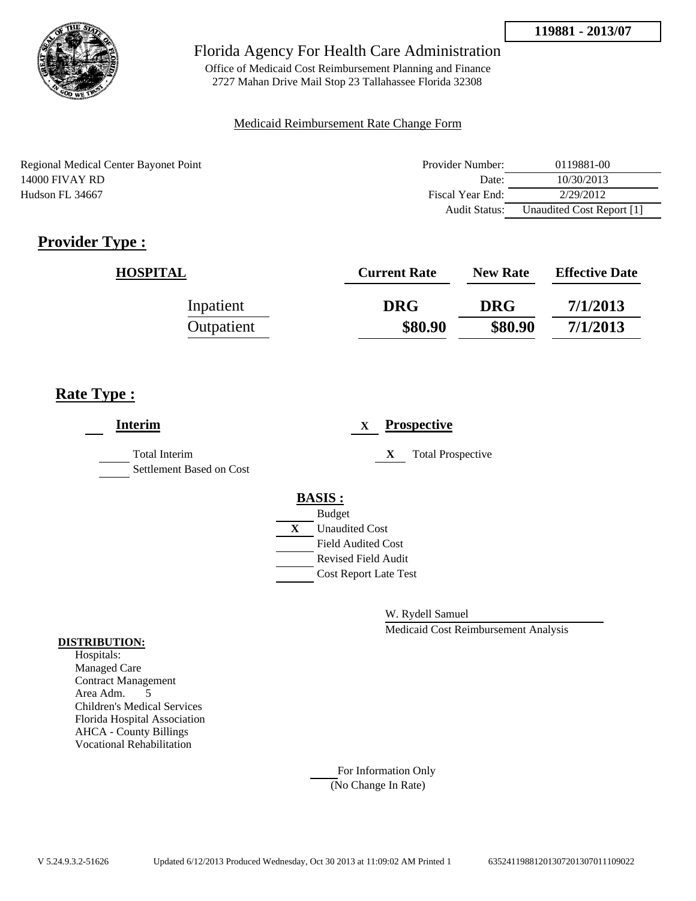

Office of Medicaid Cost Reimbursement Planning and Finance 2727 Mahan Drive Mail Stop 23 Tallahassee Florida 32308

### Medicaid Reimbursement Rate Change Form

Regional Medical Center Bayonet Point 14000 FIVAY RD Hudson FL 34667

| Provider Number: | 0119881-00                |
|------------------|---------------------------|
| Date:            | 10/30/2013                |
| Fiscal Year End: | 2/29/2012                 |
| Audit Status:    | Unaudited Cost Report [1] |

# **Provider Type :**

| <b>HOSPITAL</b> | <b>Current Rate</b> | <b>New Rate</b> | <b>Effective Date</b> |
|-----------------|---------------------|-----------------|-----------------------|
| Inpatient       | <b>DRG</b>          | <b>DRG</b>      | 7/1/2013              |
| Outpatient      | \$80.90             | \$80.90         | 7/1/2013              |

## **Rate Type :**

| <b>Interim</b>                            | <b>Prospective</b><br>X        |
|-------------------------------------------|--------------------------------|
| Total Interim<br>Settlement Based on Cost | <b>Total Prospective</b><br>X  |
|                                           | <b>BASIS:</b><br><b>Budget</b> |
|                                           | X<br><b>Unaudited Cost</b>     |
|                                           | <b>Field Audited Cost</b>      |
|                                           | <b>Revised Field Audit</b>     |
|                                           | <b>Cost Report Late Test</b>   |
|                                           |                                |

W. Rydell Samuel

Medicaid Cost Reimbursement Analysis

#### **DISTRIBUTION:**

Hospitals: Managed Care Contract Management Area Adm. 5 Children's Medical Services Florida Hospital Association AHCA - County Billings Vocational Rehabilitation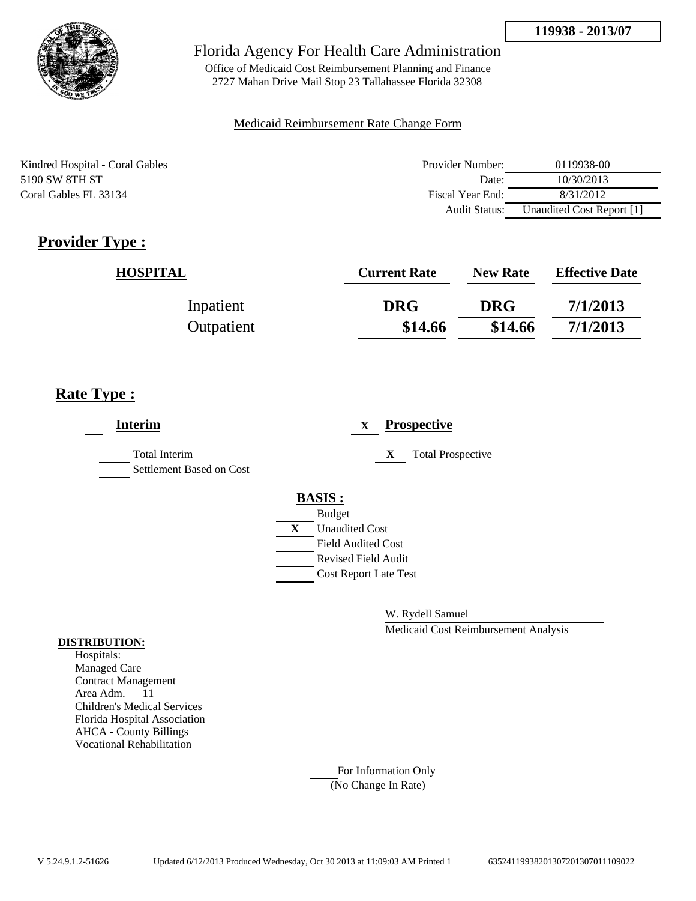

Office of Medicaid Cost Reimbursement Planning and Finance 2727 Mahan Drive Mail Stop 23 Tallahassee Florida 32308

### Medicaid Reimbursement Rate Change Form

Kindred Hospital - Coral Gables 5190 SW 8TH ST Coral Gables FL 33134

| Provider Number: | 0119938-00                |
|------------------|---------------------------|
| Date:            | 10/30/2013                |
| Fiscal Year End: | 8/31/2012                 |
| Audit Status:    | Unaudited Cost Report [1] |

# **Provider Type :**

| <b>HOSPITAL</b> | <b>Current Rate</b> | <b>New Rate</b> | <b>Effective Date</b> |
|-----------------|---------------------|-----------------|-----------------------|
| Inpatient       | <b>DRG</b>          | <b>DRG</b>      | 7/1/2013              |
| Outpatient      | \$14.66             | \$14.66         | 7/1/2013              |

## **Rate Type :**

| <b>Interim</b>                                   | <b>Prospective</b><br>$\mathbf X$ |
|--------------------------------------------------|-----------------------------------|
| <b>Total Interim</b><br>Settlement Based on Cost | <b>Total Prospective</b><br>X     |
|                                                  | <b>BASIS:</b>                     |
|                                                  | <b>Budget</b>                     |
|                                                  | X<br><b>Unaudited Cost</b>        |
|                                                  | <b>Field Audited Cost</b>         |
|                                                  | <b>Revised Field Audit</b>        |
|                                                  | <b>Cost Report Late Test</b>      |
|                                                  |                                   |

W. Rydell Samuel

Medicaid Cost Reimbursement Analysis

#### **DISTRIBUTION:**

Hospitals: Managed Care Contract Management Area Adm. 11 Children's Medical Services Florida Hospital Association AHCA - County Billings Vocational Rehabilitation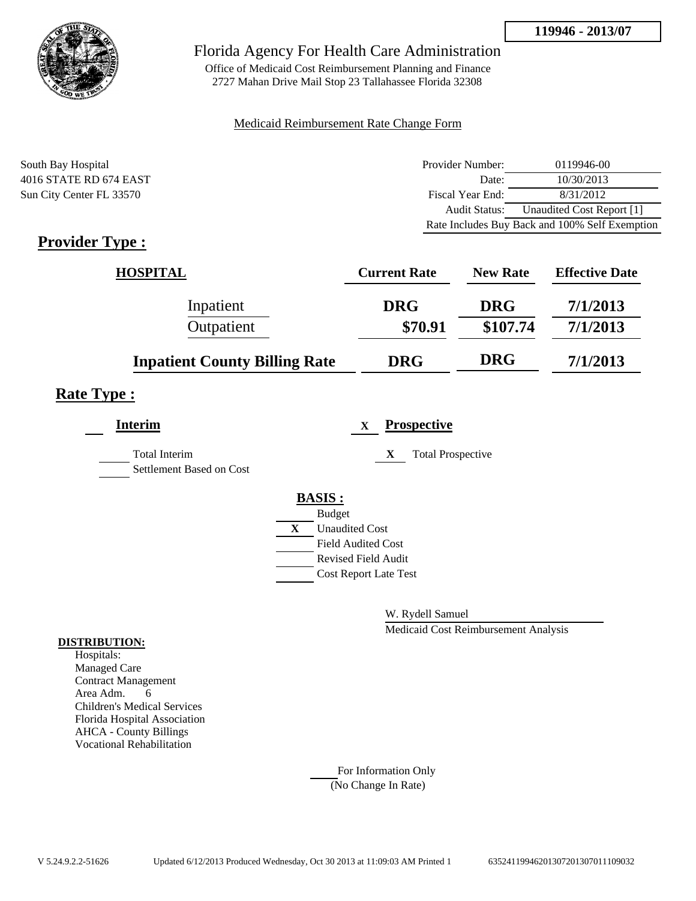

Office of Medicaid Cost Reimbursement Planning and Finance 2727 Mahan Drive Mail Stop 23 Tallahassee Florida 32308

#### Medicaid Reimbursement Rate Change Form

South Bay Hospital 4016 STATE RD 674 EAST Sun City Center FL 33570

| Provider Number: | 0119946-00                                     |
|------------------|------------------------------------------------|
| Date:            | 10/30/2013                                     |
| Fiscal Year End: | 8/31/2012                                      |
| Audit Status:    | Unaudited Cost Report [1]                      |
|                  | Rate Includes Buy Back and 100% Self Exemption |

# **Provider Type :**

| <b>HOSPITAL</b>                      | <b>Current Rate</b> | <b>New Rate</b> | <b>Effective Date</b> |
|--------------------------------------|---------------------|-----------------|-----------------------|
| Inpatient                            | <b>DRG</b>          | <b>DRG</b>      | 7/1/2013              |
| Outpatient                           | \$70.91             | \$107.74        | 7/1/2013              |
| <b>Inpatient County Billing Rate</b> | <b>DRG</b>          | <b>DRG</b>      | 7/1/2013              |

### **Rate Type :**

| <b>Interim</b>                                   |   | <b>Prospective</b><br>X       |
|--------------------------------------------------|---|-------------------------------|
| <b>Total Interim</b><br>Settlement Based on Cost |   | <b>Total Prospective</b><br>X |
|                                                  |   | <b>BASIS:</b>                 |
|                                                  |   | <b>Budget</b>                 |
|                                                  | X | <b>Unaudited Cost</b>         |
|                                                  |   | <b>Field Audited Cost</b>     |
|                                                  |   | <b>Revised Field Audit</b>    |
|                                                  |   | <b>Cost Report Late Test</b>  |
|                                                  |   |                               |

W. Rydell Samuel

Medicaid Cost Reimbursement Analysis

#### **DISTRIBUTION:**

Hospitals: Managed Care Contract Management Area Adm. 6 Children's Medical Services Florida Hospital Association AHCA - County Billings Vocational Rehabilitation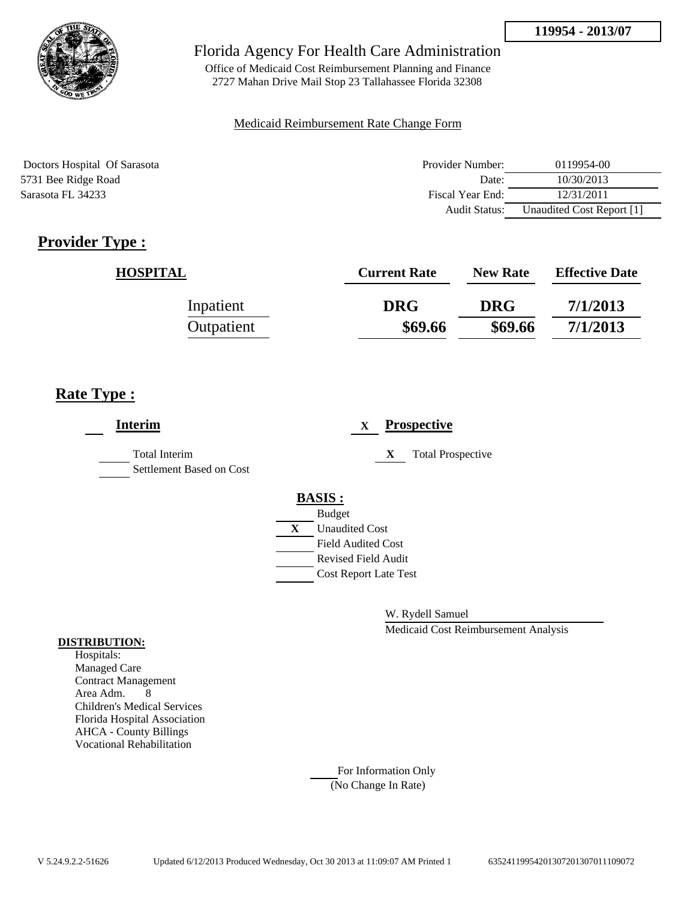

Office of Medicaid Cost Reimbursement Planning and Finance 2727 Mahan Drive Mail Stop 23 Tallahassee Florida 32308

### Medicaid Reimbursement Rate Change Form

Doctors Hospital Of Sarasota 5731 Bee Ridge Road Sarasota FL 34233

| Provider Number: | 0119954-00                |
|------------------|---------------------------|
| Date:            | 10/30/2013                |
| Fiscal Year End: | 12/31/2011                |
| Audit Status:    | Unaudited Cost Report [1] |

# **Provider Type :**

| <b>HOSPITAL</b> | <b>Current Rate</b> | <b>New Rate</b> | <b>Effective Date</b> |
|-----------------|---------------------|-----------------|-----------------------|
| Inpatient       | <b>DRG</b>          | <b>DRG</b>      | 7/1/2013              |
| Outpatient      | \$69.66             | \$69.66         | 7/1/2013              |

## **Rate Type :**

| <b>Interim</b>                                   | <b>Prospective</b><br>X        |
|--------------------------------------------------|--------------------------------|
| <b>Total Interim</b><br>Settlement Based on Cost | <b>Total Prospective</b><br>X  |
|                                                  | <b>BASIS:</b><br><b>Budget</b> |
|                                                  | <b>Unaudited Cost</b><br>X     |
|                                                  | <b>Field Audited Cost</b>      |
|                                                  | <b>Revised Field Audit</b>     |
|                                                  | <b>Cost Report Late Test</b>   |
|                                                  |                                |

W. Rydell Samuel

Medicaid Cost Reimbursement Analysis

### **DISTRIBUTION:**

Hospitals: Managed Care Contract Management Area Adm. 8 Children's Medical Services Florida Hospital Association AHCA - County Billings Vocational Rehabilitation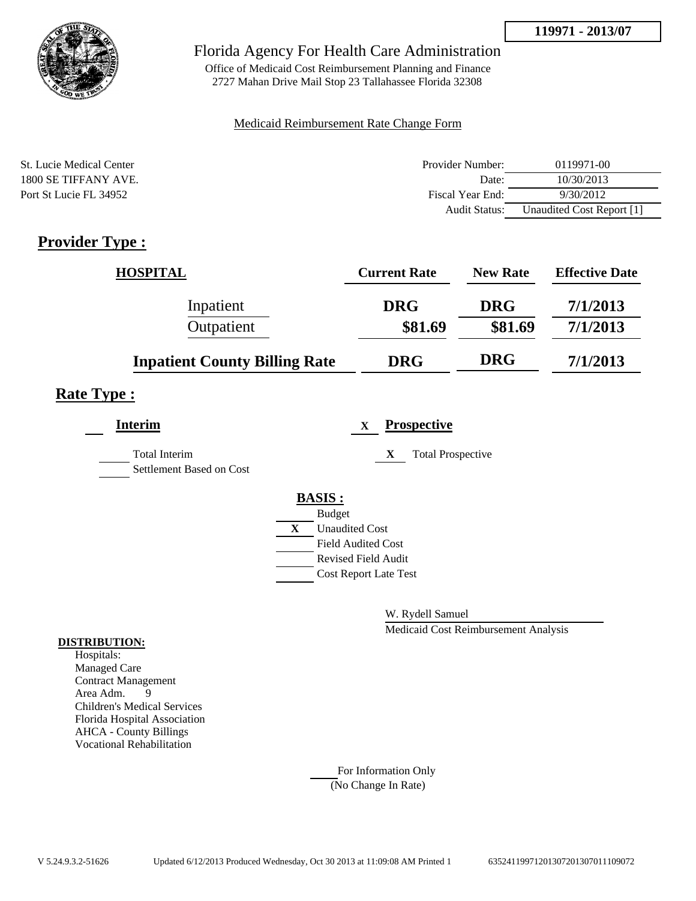**119971 - 2013/07**



### Florida Agency For Health Care Administration

Office of Medicaid Cost Reimbursement Planning and Finance 2727 Mahan Drive Mail Stop 23 Tallahassee Florida 32308

### Medicaid Reimbursement Rate Change Form

| St. Lucie Medical Center | Provider Number: | 0119971-00                |
|--------------------------|------------------|---------------------------|
| 1800 SE TIFFANY AVE.     | Date:            | 10/30/2013                |
| Port St Lucie FL 34952   | Fiscal Year End: | 9/30/2012                 |
|                          | Audit Status:    | Unaudited Cost Report [1] |

## **Provider Type :**

| HOSPITAL                             | <b>Current Rate</b> | <b>New Rate</b> | <b>Effective Date</b> |
|--------------------------------------|---------------------|-----------------|-----------------------|
| Inpatient                            | <b>DRG</b>          | <b>DRG</b>      | 7/1/2013              |
| Outpatient                           | \$81.69             | \$81.69         | 7/1/2013              |
| <b>Inpatient County Billing Rate</b> | <b>DRG</b>          | <b>DRG</b>      | 7/1/2013              |

### **Rate Type :**

| <b>Interim</b>                                   | <b>Prospective</b><br>$\mathbf{X}$    |
|--------------------------------------------------|---------------------------------------|
| <b>Total Interim</b><br>Settlement Based on Cost | <b>Total Prospective</b><br>X         |
|                                                  | <b>BASIS:</b>                         |
|                                                  | <b>Budget</b>                         |
|                                                  | $\mathbf{X}$<br><b>Unaudited Cost</b> |
|                                                  | <b>Field Audited Cost</b>             |
|                                                  | <b>Revised Field Audit</b>            |
|                                                  | <b>Cost Report Late Test</b>          |
|                                                  |                                       |

W. Rydell Samuel

Medicaid Cost Reimbursement Analysis

#### **DISTRIBUTION:**

Hospitals: Managed Care Contract Management Area Adm. 9 Children's Medical Services Florida Hospital Association AHCA - County Billings Vocational Rehabilitation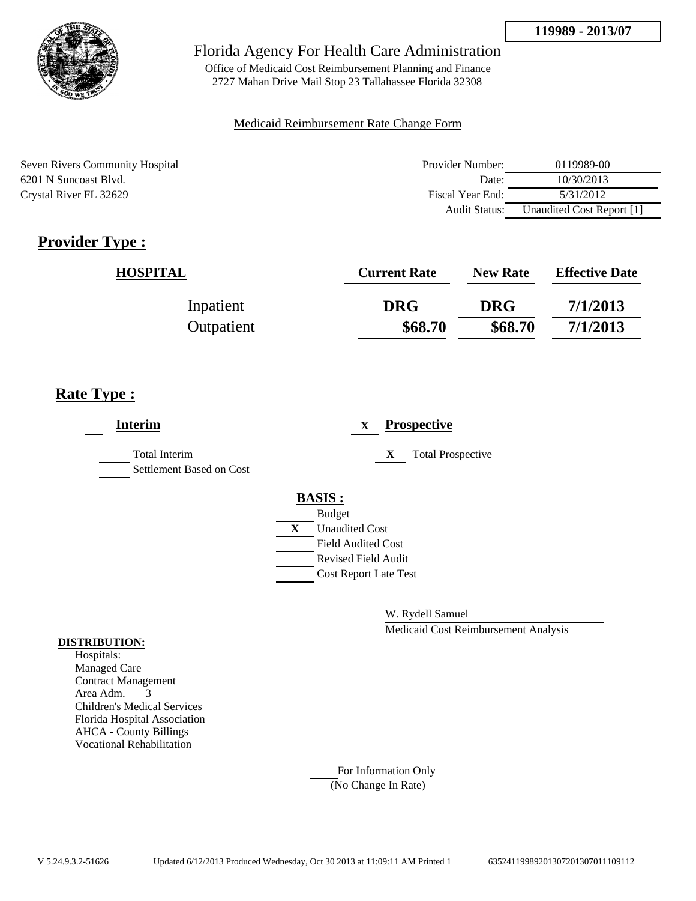

Office of Medicaid Cost Reimbursement Planning and Finance 2727 Mahan Drive Mail Stop 23 Tallahassee Florida 32308

### Medicaid Reimbursement Rate Change Form

Seven Rivers Community Hospital 6201 N Suncoast Blvd. Crystal River FL 32629

| Provider Number: | 0119989-00                |
|------------------|---------------------------|
| Date:            | 10/30/2013                |
| Fiscal Year End: | 5/31/2012                 |
| Audit Status:    | Unaudited Cost Report [1] |

# **Provider Type :**

| <b>HOSPITAL</b> | <b>Current Rate</b> | <b>New Rate</b> | <b>Effective Date</b> |
|-----------------|---------------------|-----------------|-----------------------|
| Inpatient       | <b>DRG</b>          | <b>DRG</b>      | 7/1/2013              |
| Outpatient      | \$68.70             | \$68.70         | 7/1/2013              |

## **Rate Type :**

| <b>Interim</b>                                   | <b>Prospective</b><br>$\mathbf{X}$ |
|--------------------------------------------------|------------------------------------|
| <b>Total Interim</b><br>Settlement Based on Cost | <b>Total Prospective</b><br>X      |
|                                                  | <b>BASIS:</b>                      |
|                                                  | <b>Budget</b>                      |
|                                                  | <b>Unaudited Cost</b><br>X         |
|                                                  | <b>Field Audited Cost</b>          |
|                                                  | <b>Revised Field Audit</b>         |
|                                                  | <b>Cost Report Late Test</b>       |
|                                                  |                                    |

W. Rydell Samuel

Medicaid Cost Reimbursement Analysis

### **DISTRIBUTION:**

Hospitals: Managed Care Contract Management Area Adm. 3 Children's Medical Services Florida Hospital Association AHCA - County Billings Vocational Rehabilitation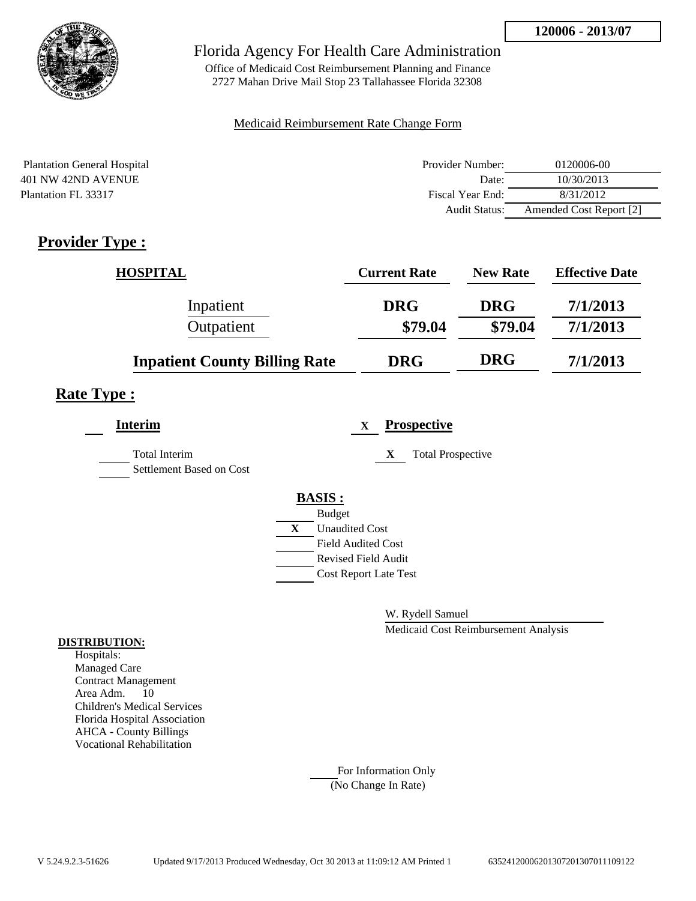

Office of Medicaid Cost Reimbursement Planning and Finance 2727 Mahan Drive Mail Stop 23 Tallahassee Florida 32308

### Medicaid Reimbursement Rate Change Form

| <b>Plantation General Hospital</b> | Provider Number: | 0120006-00              |
|------------------------------------|------------------|-------------------------|
| 401 NW 42ND AVENUE                 | Date:            | 10/30/2013              |
| Plantation FL 33317                | Fiscal Year End: | 8/31/2012               |
|                                    | Audit Status:    | Amended Cost Report [2] |

## **Provider Type :**

| <b>HOSPITAL</b>                      | <b>Current Rate</b> | <b>New Rate</b> | <b>Effective Date</b> |
|--------------------------------------|---------------------|-----------------|-----------------------|
| Inpatient                            | <b>DRG</b>          | <b>DRG</b>      | 7/1/2013              |
| Outpatient                           | \$79.04             | \$79.04         | 7/1/2013              |
| <b>Inpatient County Billing Rate</b> | <b>DRG</b>          | <b>DRG</b>      | 7/1/2013              |

## **Rate Type :**

| <b>Interim</b>                                   | <b>Prospective</b><br>X       |  |
|--------------------------------------------------|-------------------------------|--|
| <b>Total Interim</b><br>Settlement Based on Cost | X<br><b>Total Prospective</b> |  |
|                                                  | <b>BASIS:</b>                 |  |
|                                                  | <b>Budget</b>                 |  |
|                                                  | X<br><b>Unaudited Cost</b>    |  |
|                                                  | <b>Field Audited Cost</b>     |  |
|                                                  | <b>Revised Field Audit</b>    |  |
|                                                  | <b>Cost Report Late Test</b>  |  |
|                                                  |                               |  |

W. Rydell Samuel

Medicaid Cost Reimbursement Analysis

#### **DISTRIBUTION:**

Hospitals: Managed Care Contract Management Area Adm. 10 Children's Medical Services Florida Hospital Association AHCA - County Billings Vocational Rehabilitation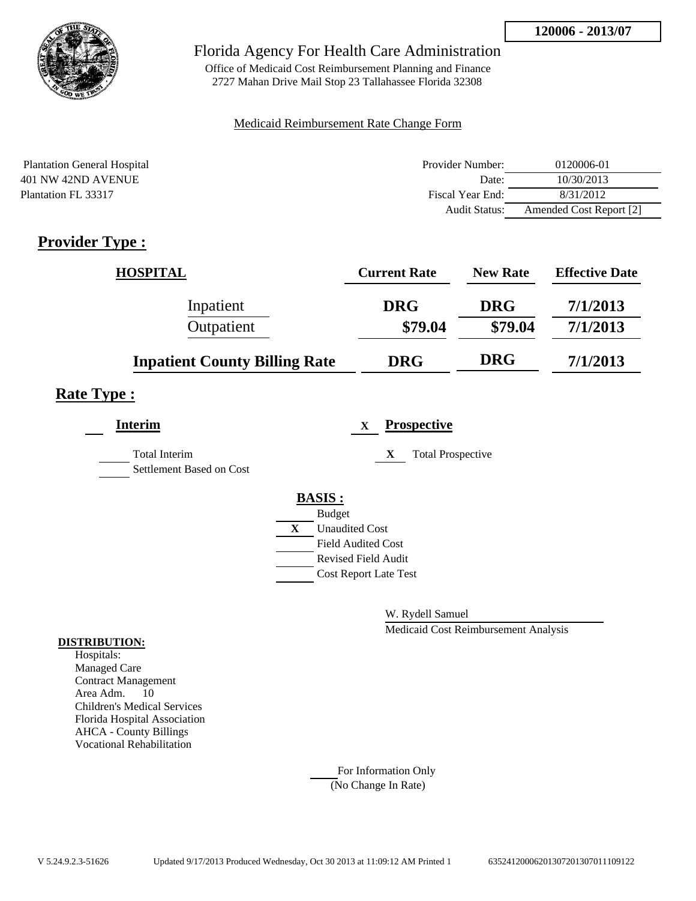

Office of Medicaid Cost Reimbursement Planning and Finance 2727 Mahan Drive Mail Stop 23 Tallahassee Florida 32308

### Medicaid Reimbursement Rate Change Form

| <b>Plantation General Hospital</b> | Provider Number: | 0120006-01              |
|------------------------------------|------------------|-------------------------|
| 401 NW 42ND AVENUE                 | Date:            | 10/30/2013              |
| Plantation FL 33317                | Fiscal Year End: | 8/31/2012               |
|                                    | Audit Status:    | Amended Cost Report [2] |

## **Provider Type :**

| <b>HOSPITAL</b>                      | <b>Current Rate</b> | <b>New Rate</b> | <b>Effective Date</b> |
|--------------------------------------|---------------------|-----------------|-----------------------|
| Inpatient                            | <b>DRG</b>          | <b>DRG</b>      | 7/1/2013              |
| Outpatient                           | \$79.04             | \$79.04         | 7/1/2013              |
| <b>Inpatient County Billing Rate</b> | <b>DRG</b>          | <b>DRG</b>      | 7/1/2013              |

## **Rate Type :**

| <b>Interim</b>                            |   |                            | X | <b>Prospective</b>            |
|-------------------------------------------|---|----------------------------|---|-------------------------------|
| Total Interim<br>Settlement Based on Cost |   |                            |   | X<br><b>Total Prospective</b> |
|                                           |   | <b>BASIS:</b>              |   |                               |
|                                           |   | <b>Budget</b>              |   |                               |
|                                           | X | <b>Unaudited Cost</b>      |   |                               |
|                                           |   | Field Audited Cost         |   |                               |
|                                           |   | <b>Revised Field Audit</b> |   |                               |
|                                           |   |                            |   | <b>Cost Report Late Test</b>  |
|                                           |   |                            |   |                               |

W. Rydell Samuel

Medicaid Cost Reimbursement Analysis

#### **DISTRIBUTION:**

Hospitals: Managed Care Contract Management Area Adm. 10 Children's Medical Services Florida Hospital Association AHCA - County Billings Vocational Rehabilitation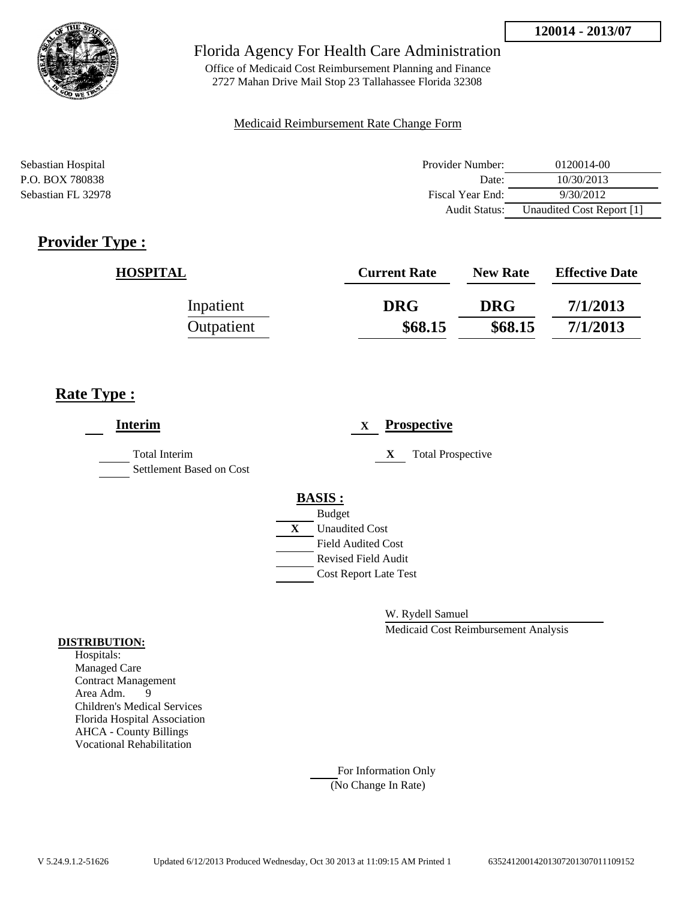

Office of Medicaid Cost Reimbursement Planning and Finance 2727 Mahan Drive Mail Stop 23 Tallahassee Florida 32308

### Medicaid Reimbursement Rate Change Form

| Sebastian Hospital | Provider Number:     | 0120014-00                |
|--------------------|----------------------|---------------------------|
| P.O. BOX 780838    | Date:                | 10/30/2013                |
| Sebastian FL 32978 | Fiscal Year End:     | 9/30/2012                 |
|                    | <b>Audit Status:</b> | Unaudited Cost Report [1] |

## **Provider Type :**

| <b>HOSPITAL</b> | <b>Current Rate</b> | <b>New Rate</b> | <b>Effective Date</b> |
|-----------------|---------------------|-----------------|-----------------------|
| Inpatient       | <b>DRG</b>          | <b>DRG</b>      | 7/1/2013              |
| Outpatient      | \$68.15             | \$68.15         | 7/1/2013              |

## **Rate Type :**

| <b>Interim</b>                                   | <b>Prospective</b><br>X        |
|--------------------------------------------------|--------------------------------|
| <b>Total Interim</b><br>Settlement Based on Cost | <b>Total Prospective</b><br>X  |
|                                                  | <b>BASIS:</b><br><b>Budget</b> |
|                                                  | X<br><b>Unaudited Cost</b>     |
|                                                  | <b>Field Audited Cost</b>      |
|                                                  | <b>Revised Field Audit</b>     |
|                                                  | <b>Cost Report Late Test</b>   |
|                                                  |                                |

W. Rydell Samuel

Medicaid Cost Reimbursement Analysis

#### **DISTRIBUTION:**

Hospitals: Managed Care Contract Management Area Adm. 9 Children's Medical Services Florida Hospital Association AHCA - County Billings Vocational Rehabilitation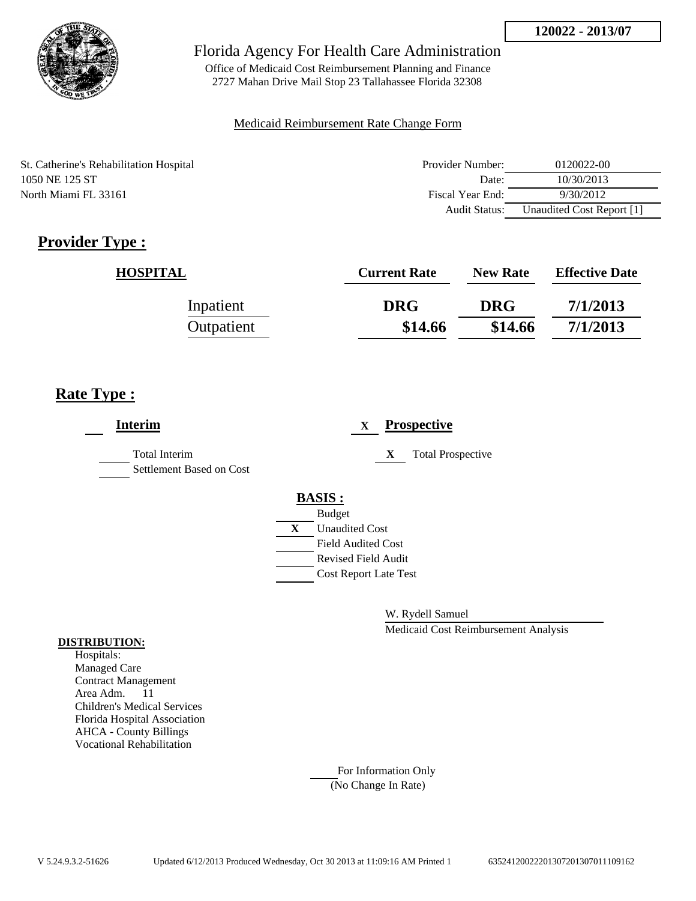

Office of Medicaid Cost Reimbursement Planning and Finance 2727 Mahan Drive Mail Stop 23 Tallahassee Florida 32308

### Medicaid Reimbursement Rate Change Form

St. Catherine's Rehabilitation Hospital 1050 NE 125 ST North Miami FL 33161

| Provider Number: | 0120022-00                |
|------------------|---------------------------|
| Date:            | 10/30/2013                |
| Fiscal Year End: | 9/30/2012                 |
| Audit Status:    | Unaudited Cost Report [1] |

# **Provider Type :**

| <b>HOSPITAL</b> | <b>Current Rate</b> | <b>New Rate</b> | <b>Effective Date</b> |
|-----------------|---------------------|-----------------|-----------------------|
| Inpatient       | <b>DRG</b>          | <b>DRG</b>      | 7/1/2013              |
| Outpatient      | \$14.66             | \$14.66         | 7/1/2013              |

## **Rate Type :**

| <b>Interim</b>                                   | <b>Prospective</b><br>X       |
|--------------------------------------------------|-------------------------------|
| <b>Total Interim</b><br>Settlement Based on Cost | <b>Total Prospective</b><br>X |
|                                                  | <b>BASIS:</b>                 |
|                                                  | <b>Budget</b>                 |
|                                                  | X<br><b>Unaudited Cost</b>    |
|                                                  | <b>Field Audited Cost</b>     |
|                                                  | <b>Revised Field Audit</b>    |
|                                                  | <b>Cost Report Late Test</b>  |
|                                                  |                               |

W. Rydell Samuel

Medicaid Cost Reimbursement Analysis

#### **DISTRIBUTION:**

Hospitals: Managed Care Contract Management Area Adm. 11 Children's Medical Services Florida Hospital Association AHCA - County Billings Vocational Rehabilitation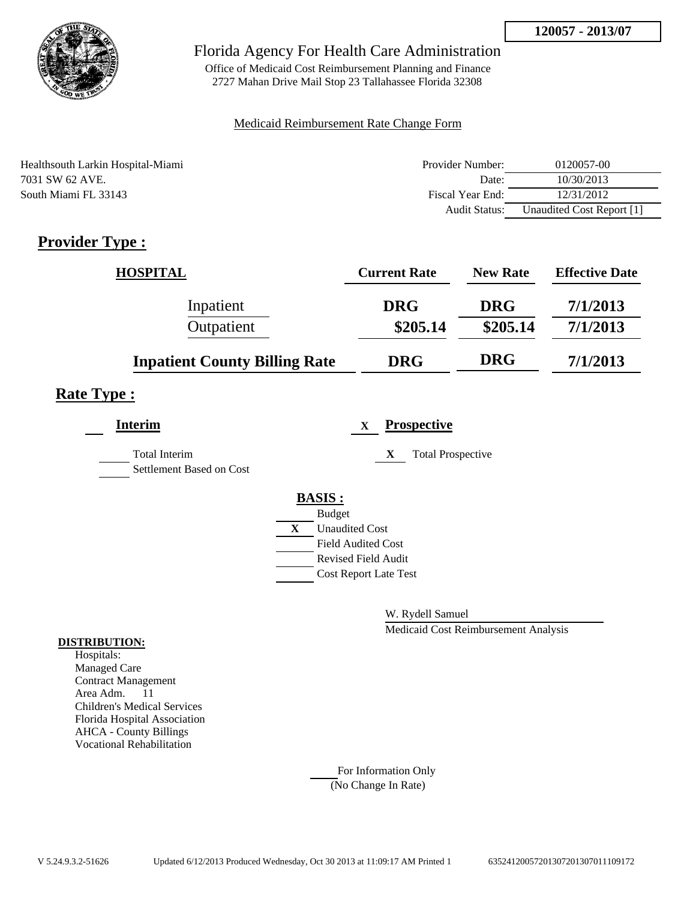

Office of Medicaid Cost Reimbursement Planning and Finance 2727 Mahan Drive Mail Stop 23 Tallahassee Florida 32308

### Medicaid Reimbursement Rate Change Form

| Healthsouth Larkin Hospital-Miami | Provider Number: | 0120057-00                |
|-----------------------------------|------------------|---------------------------|
| 7031 SW 62 AVE.                   | Date:            | 10/30/2013                |
| South Miami FL 33143              | Fiscal Year End: | 12/31/2012                |
|                                   | Audit Status:    | Unaudited Cost Report [1] |

# **Provider Type :**

| <b>HOSPITAL</b>                      | <b>Current Rate</b> | <b>New Rate</b> | <b>Effective Date</b> |
|--------------------------------------|---------------------|-----------------|-----------------------|
| Inpatient                            | <b>DRG</b>          | <b>DRG</b>      | 7/1/2013              |
| Outpatient                           | \$205.14            | \$205.14        | 7/1/2013              |
| <b>Inpatient County Billing Rate</b> | <b>DRG</b>          | <b>DRG</b>      | 7/1/2013              |

## **Rate Type :**

| <b>Interim</b>                                   | <b>Prospective</b><br>$\mathbf{x}$    |
|--------------------------------------------------|---------------------------------------|
| <b>Total Interim</b><br>Settlement Based on Cost | <b>Total Prospective</b><br>X         |
|                                                  | <b>BASIS:</b>                         |
|                                                  | <b>Budget</b>                         |
|                                                  | $\mathbf{X}$<br><b>Unaudited Cost</b> |
|                                                  | <b>Field Audited Cost</b>             |
|                                                  | <b>Revised Field Audit</b>            |
|                                                  | <b>Cost Report Late Test</b>          |
|                                                  |                                       |

W. Rydell Samuel

Medicaid Cost Reimbursement Analysis

### **DISTRIBUTION:**

Hospitals: Managed Care Contract Management Area Adm. 11 Children's Medical Services Florida Hospital Association AHCA - County Billings Vocational Rehabilitation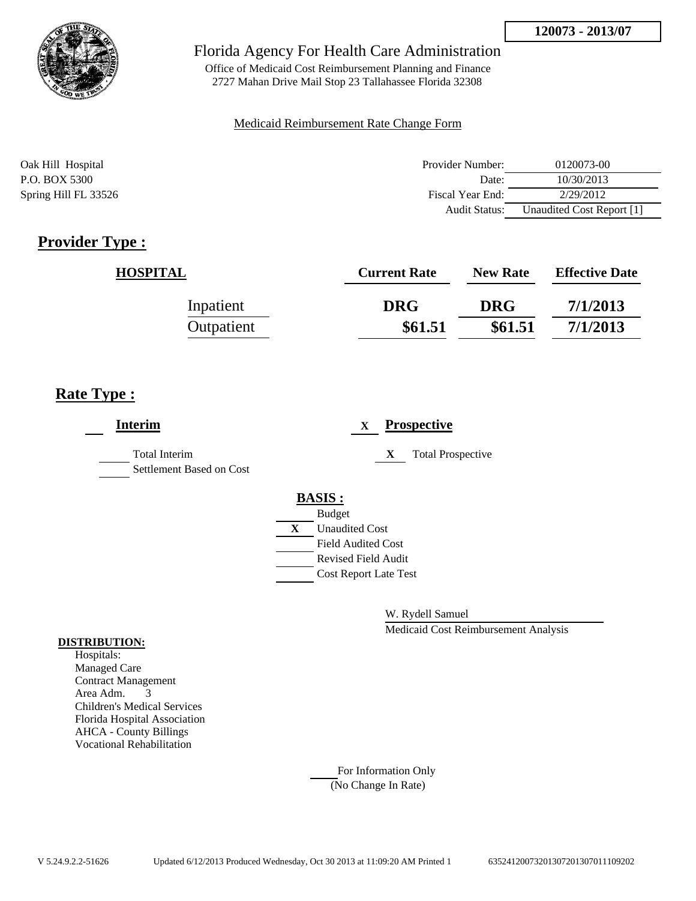

Office of Medicaid Cost Reimbursement Planning and Finance 2727 Mahan Drive Mail Stop 23 Tallahassee Florida 32308

### Medicaid Reimbursement Rate Change Form

| Oak Hill Hospital    | Provider Number: | 0120073-00                |
|----------------------|------------------|---------------------------|
| P.O. BOX 5300        | Date:            | 10/30/2013                |
| Spring Hill FL 33526 | Fiscal Year End: | 2/29/2012                 |
|                      | Audit Status:    | Unaudited Cost Report [1] |

## **Provider Type :**

| <b>HOSPITAL</b> | <b>Current Rate</b> | <b>New Rate</b> | <b>Effective Date</b> |
|-----------------|---------------------|-----------------|-----------------------|
| Inpatient       | <b>DRG</b>          | <b>DRG</b>      | 7/1/2013              |
| Outpatient      | \$61.51             | \$61.51         | 7/1/2013              |

## **Rate Type :**

| <b>Interim</b>                            | <b>Prospective</b><br>X       |
|-------------------------------------------|-------------------------------|
| Total Interim<br>Settlement Based on Cost | <b>Total Prospective</b><br>X |
|                                           | <b>BASIS:</b>                 |
|                                           | <b>Budget</b>                 |
|                                           | <b>Unaudited Cost</b><br>X    |
|                                           | <b>Field Audited Cost</b>     |
|                                           | <b>Revised Field Audit</b>    |
|                                           | <b>Cost Report Late Test</b>  |
|                                           |                               |
|                                           |                               |

W. Rydell Samuel

Medicaid Cost Reimbursement Analysis

#### **DISTRIBUTION:**

Hospitals: Managed Care Contract Management Area Adm. 3 Children's Medical Services Florida Hospital Association AHCA - County Billings Vocational Rehabilitation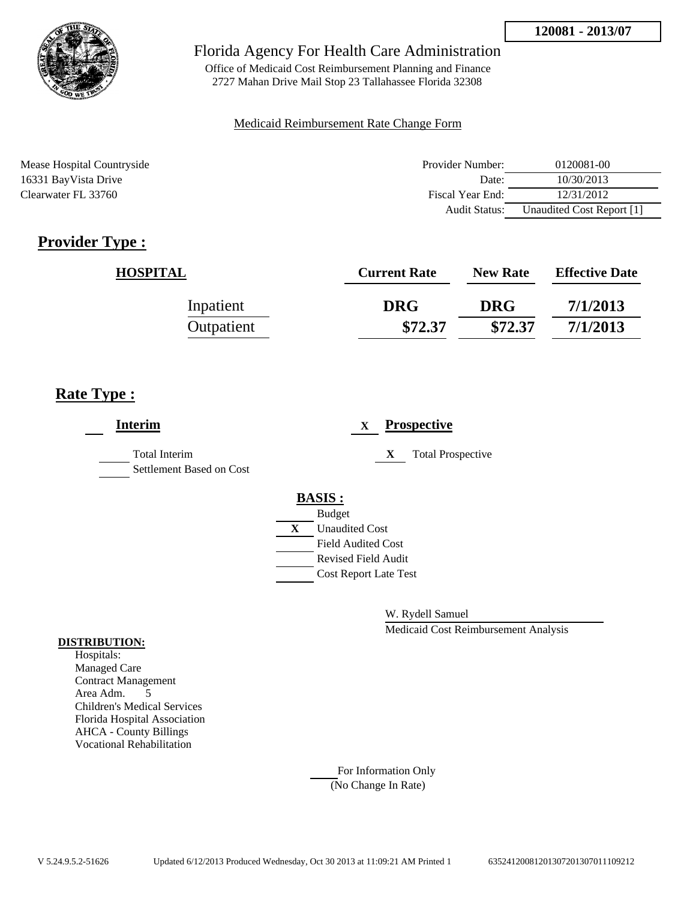

Office of Medicaid Cost Reimbursement Planning and Finance 2727 Mahan Drive Mail Stop 23 Tallahassee Florida 32308

### Medicaid Reimbursement Rate Change Form

Mease Hospital Countryside 16331 BayVista Drive Clearwater FL 33760

| Provider Number:     | 0120081-00                |
|----------------------|---------------------------|
| Date:                | 10/30/2013                |
| Fiscal Year End:     | 12/31/2012                |
| <b>Audit Status:</b> | Unaudited Cost Report [1] |

# **Provider Type :**

| <b>HOSPITAL</b> | <b>Current Rate</b> | <b>New Rate</b> | <b>Effective Date</b> |
|-----------------|---------------------|-----------------|-----------------------|
| Inpatient       | <b>DRG</b>          | <b>DRG</b>      | 7/1/2013              |
| Outpatient      | \$72.37             | \$72.37         | 7/1/2013              |

## **Rate Type :**

| <b>Interim</b>                            |               | $\mathbf X$                  |   | <b>Prospective</b>       |
|-------------------------------------------|---------------|------------------------------|---|--------------------------|
| Total Interim<br>Settlement Based on Cost |               |                              | X | <b>Total Prospective</b> |
|                                           | <b>BASIS:</b> |                              |   |                          |
|                                           |               | <b>Budget</b>                |   |                          |
|                                           | X             | <b>Unaudited Cost</b>        |   |                          |
|                                           |               | <b>Field Audited Cost</b>    |   |                          |
|                                           |               | <b>Revised Field Audit</b>   |   |                          |
|                                           |               | <b>Cost Report Late Test</b> |   |                          |
|                                           |               |                              |   |                          |

W. Rydell Samuel

Medicaid Cost Reimbursement Analysis

### **DISTRIBUTION:**

Hospitals: Managed Care Contract Management Area Adm. 5 Children's Medical Services Florida Hospital Association AHCA - County Billings Vocational Rehabilitation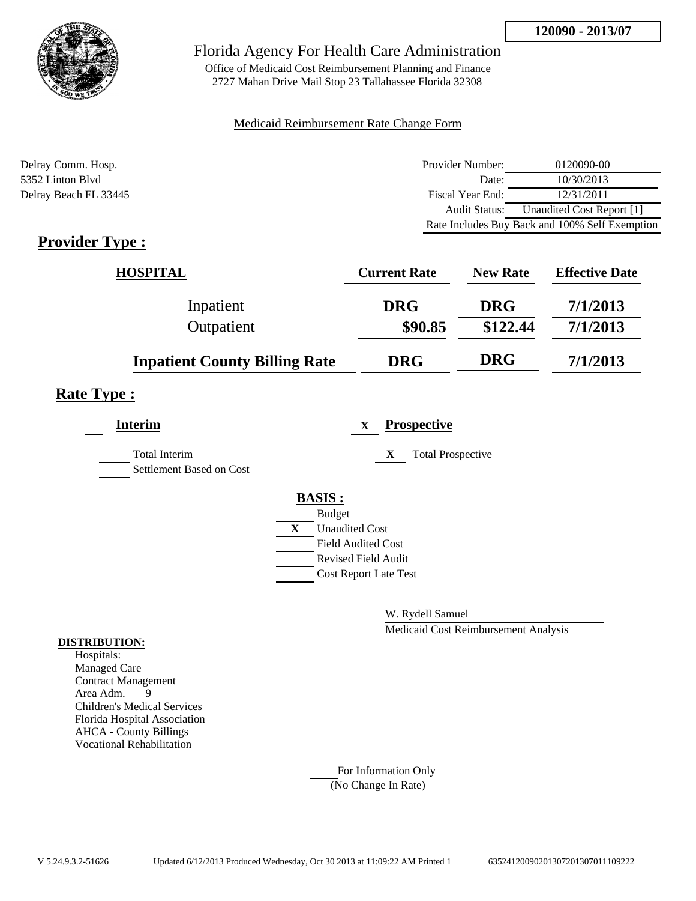

Office of Medicaid Cost Reimbursement Planning and Finance 2727 Mahan Drive Mail Stop 23 Tallahassee Florida 32308

### Medicaid Reimbursement Rate Change Form

| Delray Comm. Hosp.    | Provider Number: | 0120090-00                                     |
|-----------------------|------------------|------------------------------------------------|
| 5352 Linton Blyd      | Date:            | 10/30/2013                                     |
| Delray Beach FL 33445 | Fiscal Year End: | 12/31/2011                                     |
|                       | Audit Status:    | Unaudited Cost Report [1]                      |
|                       |                  | Rate Includes Buy Back and 100% Self Exemption |

## **Provider Type :**

| <b>HOSPITAL</b>                      | <b>Current Rate</b> | <b>New Rate</b> | <b>Effective Date</b> |
|--------------------------------------|---------------------|-----------------|-----------------------|
| Inpatient                            | <b>DRG</b>          | <b>DRG</b>      | 7/1/2013              |
| Outpatient                           | \$90.85             | \$122.44        | 7/1/2013              |
| <b>Inpatient County Billing Rate</b> | <b>DRG</b>          | <b>DRG</b>      | 7/1/2013              |

### **Rate Type :**

| <b>Interim</b>                            |              | <b>Prospective</b><br>X       |
|-------------------------------------------|--------------|-------------------------------|
| Total Interim<br>Settlement Based on Cost |              | <b>Total Prospective</b><br>X |
|                                           |              | <b>BASIS:</b>                 |
|                                           |              | <b>Budget</b>                 |
|                                           | $\mathbf{X}$ | <b>Unaudited Cost</b>         |
|                                           |              | <b>Field Audited Cost</b>     |
|                                           |              | <b>Revised Field Audit</b>    |
|                                           |              | <b>Cost Report Late Test</b>  |
|                                           |              |                               |

W. Rydell Samuel

Medicaid Cost Reimbursement Analysis

#### **DISTRIBUTION:**

Hospitals: Managed Care Contract Management Area Adm. 9 Children's Medical Services Florida Hospital Association AHCA - County Billings Vocational Rehabilitation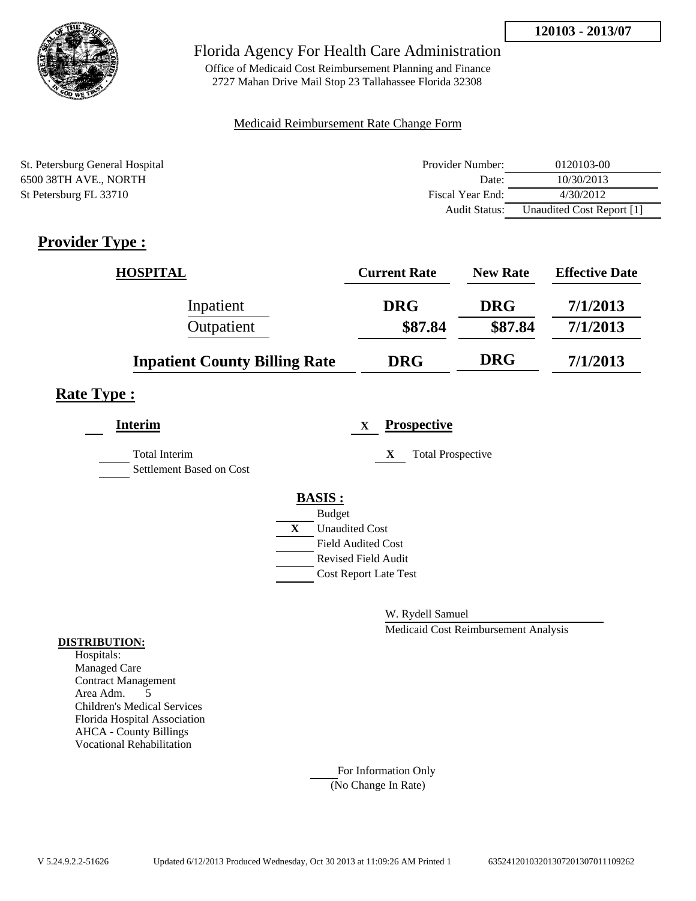

Office of Medicaid Cost Reimbursement Planning and Finance 2727 Mahan Drive Mail Stop 23 Tallahassee Florida 32308

### Medicaid Reimbursement Rate Change Form

| St. Petersburg General Hospital | Provider Number: | 0120103-00                |
|---------------------------------|------------------|---------------------------|
| 6500 38TH AVE., NORTH           | Date:            | 10/30/2013                |
| St Petersburg FL 33710          | Fiscal Year End: | 4/30/2012                 |
|                                 | Audit Status:    | Unaudited Cost Report [1] |

## **Provider Type :**

| <b>HOSPITAL</b>                      | <b>Current Rate</b> | <b>New Rate</b> | <b>Effective Date</b> |
|--------------------------------------|---------------------|-----------------|-----------------------|
| Inpatient                            | <b>DRG</b>          | <b>DRG</b>      | 7/1/2013              |
| Outpatient                           | \$87.84             | \$87.84         | 7/1/2013              |
| <b>Inpatient County Billing Rate</b> | <b>DRG</b>          | <b>DRG</b>      | 7/1/2013              |

### **Rate Type :**

| <b>Interim</b>                            |   | <b>Prospective</b><br>X       |
|-------------------------------------------|---|-------------------------------|
| Total Interim<br>Settlement Based on Cost |   | X<br><b>Total Prospective</b> |
|                                           |   | <b>BASIS:</b>                 |
|                                           |   | <b>Budget</b>                 |
|                                           | X | <b>Unaudited Cost</b>         |
|                                           |   | <b>Field Audited Cost</b>     |
|                                           |   | <b>Revised Field Audit</b>    |
|                                           |   | <b>Cost Report Late Test</b>  |
|                                           |   |                               |

W. Rydell Samuel

Medicaid Cost Reimbursement Analysis

#### **DISTRIBUTION:**

Hospitals: Managed Care Contract Management Area Adm. 5 Children's Medical Services Florida Hospital Association AHCA - County Billings Vocational Rehabilitation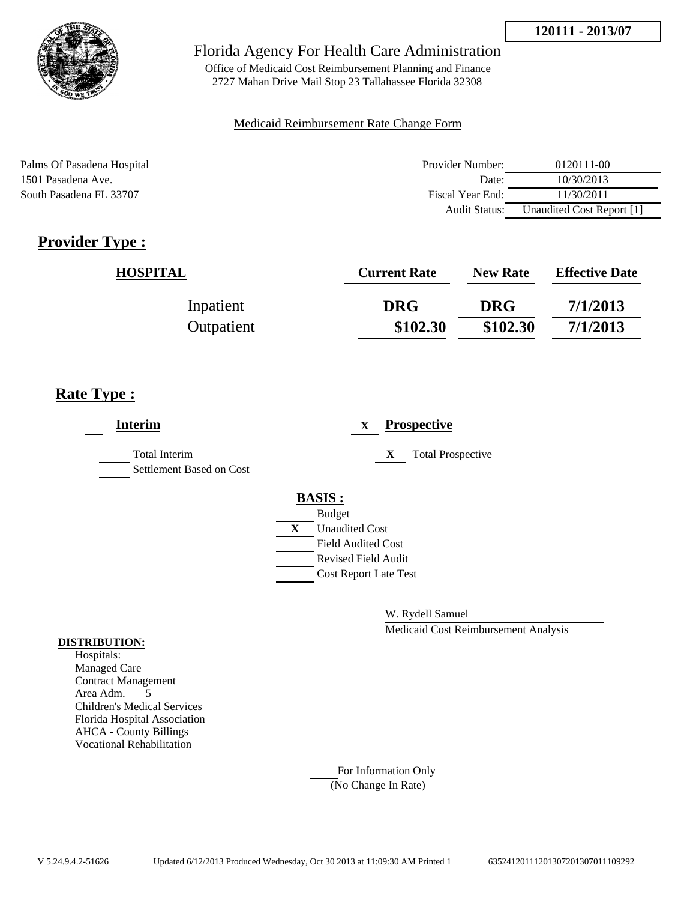

Office of Medicaid Cost Reimbursement Planning and Finance 2727 Mahan Drive Mail Stop 23 Tallahassee Florida 32308

### Medicaid Reimbursement Rate Change Form

Palms Of Pasadena Hospital 1501 Pasadena Ave. South Pasadena FL 33707

| Provider Number: | 0120111-00                |
|------------------|---------------------------|
| Date:            | 10/30/2013                |
| Fiscal Year End: | 11/30/2011                |
| Audit Status:    | Unaudited Cost Report [1] |

# **Provider Type :**

| <b>HOSPITAL</b> | <b>Current Rate</b> | <b>New Rate</b> | <b>Effective Date</b> |
|-----------------|---------------------|-----------------|-----------------------|
| Inpatient       | <b>DRG</b>          | <b>DRG</b>      | 7/1/2013              |
| Outpatient      | \$102.30            | \$102.30        | 7/1/2013              |

## **Rate Type :**

| <b>Interim</b>                                   |   |                              | X |   | <b>Prospective</b>       |
|--------------------------------------------------|---|------------------------------|---|---|--------------------------|
| <b>Total Interim</b><br>Settlement Based on Cost |   |                              |   | X | <b>Total Prospective</b> |
|                                                  |   | <b>BASIS:</b>                |   |   |                          |
|                                                  |   | <b>Budget</b>                |   |   |                          |
|                                                  | X | <b>Unaudited Cost</b>        |   |   |                          |
|                                                  |   | <b>Field Audited Cost</b>    |   |   |                          |
|                                                  |   | Revised Field Audit          |   |   |                          |
|                                                  |   | <b>Cost Report Late Test</b> |   |   |                          |
|                                                  |   |                              |   |   |                          |

W. Rydell Samuel

Medicaid Cost Reimbursement Analysis

#### **DISTRIBUTION:**

Hospitals: Managed Care Contract Management Area Adm. 5 Children's Medical Services Florida Hospital Association AHCA - County Billings Vocational Rehabilitation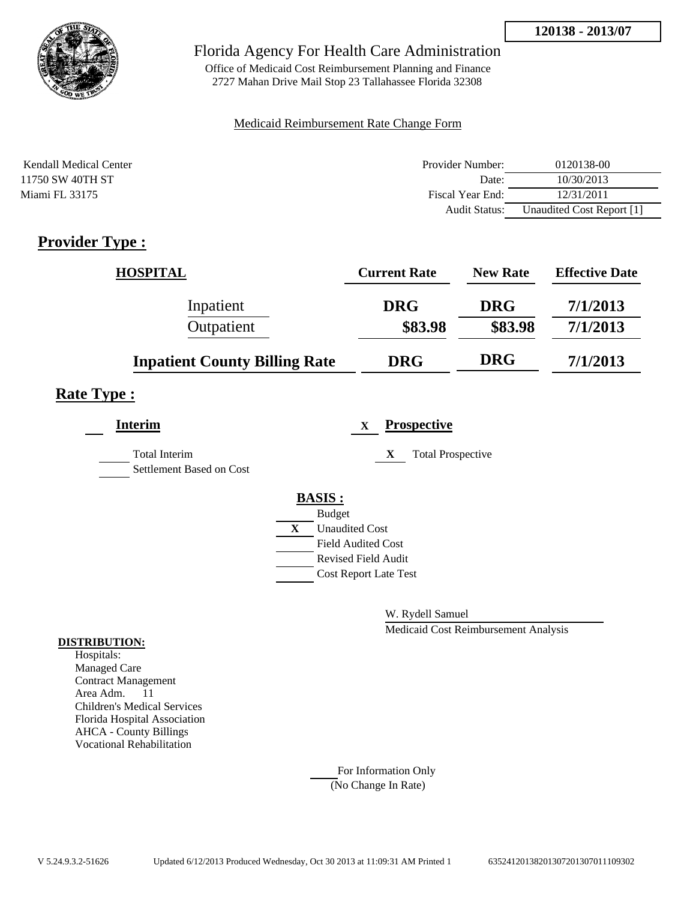

Office of Medicaid Cost Reimbursement Planning and Finance 2727 Mahan Drive Mail Stop 23 Tallahassee Florida 32308

### Medicaid Reimbursement Rate Change Form

| Kendall Medical Center | Provider Number:     | 0120138-00                |
|------------------------|----------------------|---------------------------|
| 11750 SW 40TH ST       | Date:                | 10/30/2013                |
| Miami FL 33175         | Fiscal Year End:     | 12/31/2011                |
|                        | <b>Audit Status:</b> | Unaudited Cost Report [1] |

## **Provider Type :**

| HOSPITAL                             | <b>Current Rate</b> | <b>New Rate</b> | <b>Effective Date</b> |
|--------------------------------------|---------------------|-----------------|-----------------------|
| Inpatient                            | <b>DRG</b>          | <b>DRG</b>      | 7/1/2013              |
| Outpatient                           | \$83.98             | \$83.98         | 7/1/2013              |
| <b>Inpatient County Billing Rate</b> | <b>DRG</b>          | <b>DRG</b>      | 7/1/2013              |

## **Rate Type :**

| <b>Interim</b>                            |               | X                            | <b>Prospective</b>            |
|-------------------------------------------|---------------|------------------------------|-------------------------------|
| Total Interim<br>Settlement Based on Cost |               |                              | <b>Total Prospective</b><br>X |
|                                           | <b>BASIS:</b> |                              |                               |
|                                           | <b>Budget</b> |                              |                               |
|                                           | X             | <b>Unaudited Cost</b>        |                               |
|                                           |               | Field Audited Cost           |                               |
|                                           |               | Revised Field Audit          |                               |
|                                           |               | <b>Cost Report Late Test</b> |                               |
|                                           |               |                              |                               |

W. Rydell Samuel

Medicaid Cost Reimbursement Analysis

#### **DISTRIBUTION:**

Hospitals: Managed Care Contract Management Area Adm. 11 Children's Medical Services Florida Hospital Association AHCA - County Billings Vocational Rehabilitation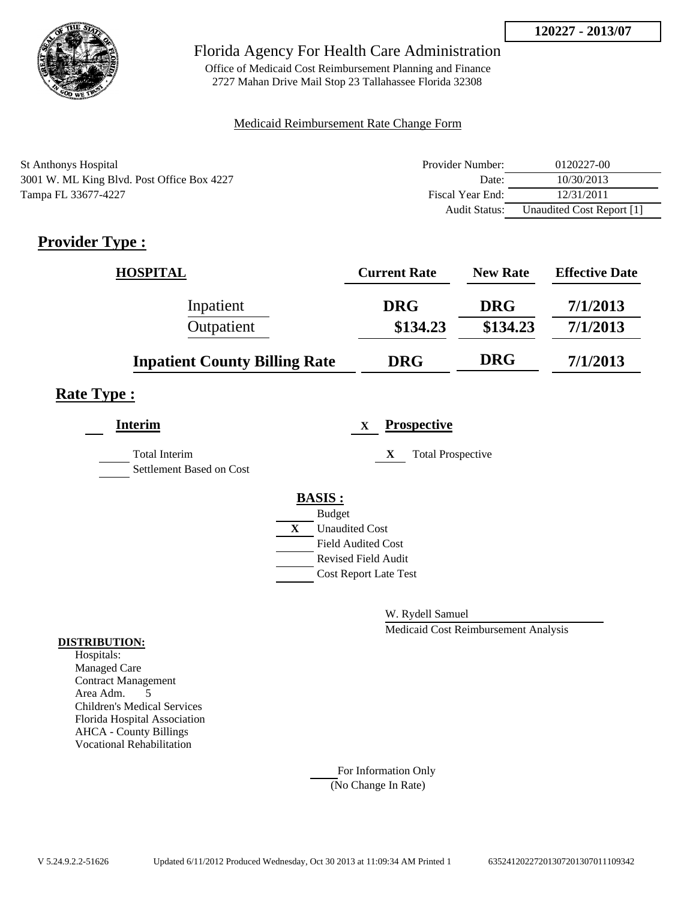

Office of Medicaid Cost Reimbursement Planning and Finance 2727 Mahan Drive Mail Stop 23 Tallahassee Florida 32308

### Medicaid Reimbursement Rate Change Form

| St Anthonys Hospital                       | Provider Number: | 0120227-00                |
|--------------------------------------------|------------------|---------------------------|
| 3001 W. ML King Blvd. Post Office Box 4227 | Date:            | 10/30/2013                |
| Tampa FL 33677-4227                        | Fiscal Year End: | 12/31/2011                |
|                                            | Audit Status:    | Unaudited Cost Report [1] |

# **Provider Type :**

| <b>HOSPITAL</b>                      | <b>Current Rate</b> | <b>New Rate</b> | <b>Effective Date</b> |
|--------------------------------------|---------------------|-----------------|-----------------------|
| Inpatient                            | <b>DRG</b>          | <b>DRG</b>      | 7/1/2013              |
| Outpatient                           | \$134.23            | \$134.23        | 7/1/2013              |
| <b>Inpatient County Billing Rate</b> | <b>DRG</b>          | <b>DRG</b>      | 7/1/2013              |

# **Rate Type :**

| <b>Interim</b>                                   |   | <b>Prospective</b><br>$\mathbf{x}$ |
|--------------------------------------------------|---|------------------------------------|
| <b>Total Interim</b><br>Settlement Based on Cost |   | <b>Total Prospective</b><br>X      |
|                                                  |   | <b>BASIS:</b>                      |
|                                                  |   | <b>Budget</b>                      |
|                                                  | X | <b>Unaudited Cost</b>              |
|                                                  |   | <b>Field Audited Cost</b>          |
|                                                  |   | <b>Revised Field Audit</b>         |
|                                                  |   | <b>Cost Report Late Test</b>       |
|                                                  |   |                                    |

W. Rydell Samuel

Medicaid Cost Reimbursement Analysis

#### **DISTRIBUTION:**

Hospitals: Managed Care Contract Management Area Adm. 5 Children's Medical Services Florida Hospital Association AHCA - County Billings Vocational Rehabilitation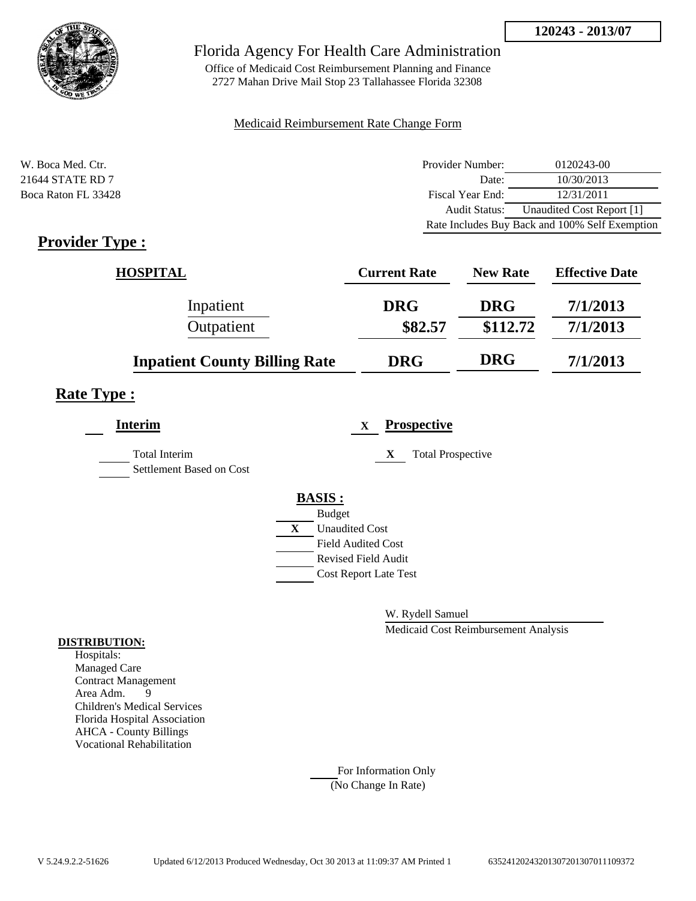

Office of Medicaid Cost Reimbursement Planning and Finance 2727 Mahan Drive Mail Stop 23 Tallahassee Florida 32308

#### Medicaid Reimbursement Rate Change Form

| W. Boca Med. Ctr.   | Provider Number:     | 0120243-00                                     |
|---------------------|----------------------|------------------------------------------------|
| 21644 STATE RD 7    | Date:                | 10/30/2013                                     |
| Boca Raton FL 33428 | Fiscal Year End:     | 12/31/2011                                     |
|                     | <b>Audit Status:</b> | Unaudited Cost Report [1]                      |
|                     |                      | Rate Includes Buy Back and 100% Self Exemption |

## **Provider Type :**

| <b>HOSPITAL</b>                      | <b>Current Rate</b> | <b>New Rate</b> | <b>Effective Date</b> |
|--------------------------------------|---------------------|-----------------|-----------------------|
| Inpatient                            | <b>DRG</b>          | <b>DRG</b>      | 7/1/2013              |
| Outpatient                           | \$82.57             | \$112.72        | 7/1/2013              |
| <b>Inpatient County Billing Rate</b> | <b>DRG</b>          | <b>DRG</b>      | 7/1/2013              |

### **Rate Type :**

| <b>Interim</b>                                   |   | <b>Prospective</b><br>$\mathbf X$ |
|--------------------------------------------------|---|-----------------------------------|
| <b>Total Interim</b><br>Settlement Based on Cost |   | X<br><b>Total Prospective</b>     |
|                                                  |   | <b>BASIS:</b>                     |
|                                                  |   | <b>Budget</b>                     |
|                                                  | X | <b>Unaudited Cost</b>             |
|                                                  |   | <b>Field Audited Cost</b>         |
|                                                  |   | <b>Revised Field Audit</b>        |
|                                                  |   | <b>Cost Report Late Test</b>      |
|                                                  |   |                                   |

W. Rydell Samuel

Medicaid Cost Reimbursement Analysis

#### **DISTRIBUTION:**

Hospitals: Managed Care Contract Management Area Adm. 9 Children's Medical Services Florida Hospital Association AHCA - County Billings Vocational Rehabilitation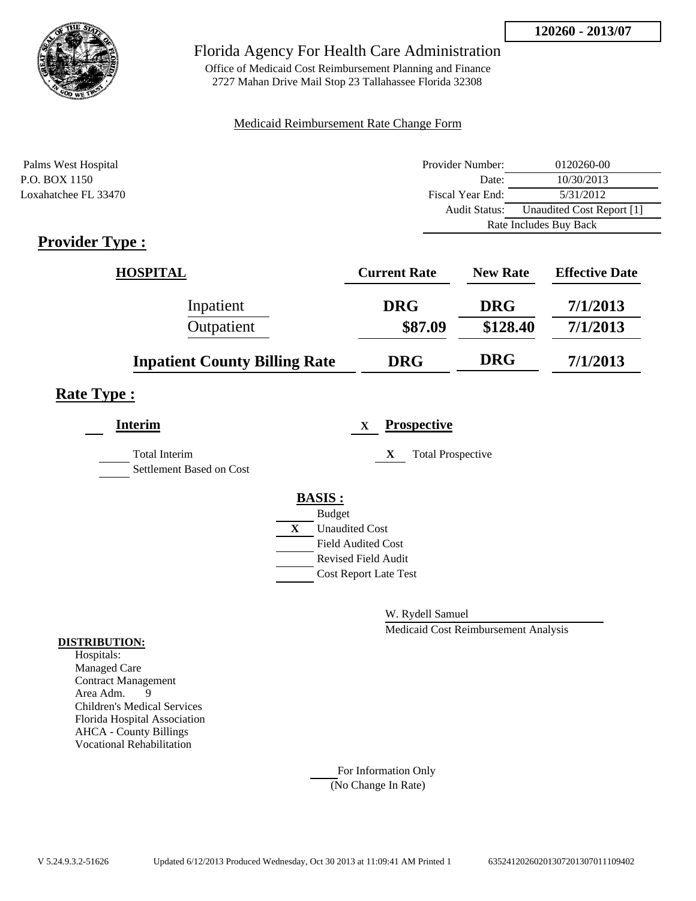

Office of Medicaid Cost Reimbursement Planning and Finance 2727 Mahan Drive Mail Stop 23 Tallahassee Florida 32308

### Medicaid Reimbursement Rate Change Form

| Palms West Hospital  | Provider Number:     | 0120260-00                |
|----------------------|----------------------|---------------------------|
| P.O. BOX 1150        | Date:                | 10/30/2013                |
| Loxahatchee FL 33470 | Fiscal Year End:     | 5/31/2012                 |
|                      | <b>Audit Status:</b> | Unaudited Cost Report [1] |
|                      |                      | Rate Includes Buy Back    |

## **Provider Type :**

| <b>HOSPITAL</b>                      | <b>Current Rate</b> | <b>New Rate</b> | <b>Effective Date</b> |
|--------------------------------------|---------------------|-----------------|-----------------------|
| Inpatient                            | <b>DRG</b>          | <b>DRG</b>      | 7/1/2013              |
| Outpatient                           | \$87.09             | \$128.40        | 7/1/2013              |
| <b>Inpatient County Billing Rate</b> | <b>DRG</b>          | <b>DRG</b>      | 7/1/2013              |

### **Rate Type :**

| <b>Interim</b>                            |              | <b>Prospective</b><br>$\mathbf X$ |
|-------------------------------------------|--------------|-----------------------------------|
| Total Interim<br>Settlement Based on Cost |              | <b>Total Prospective</b><br>X     |
|                                           |              | <b>BASIS:</b>                     |
|                                           |              | <b>Budget</b>                     |
|                                           | $\mathbf{X}$ | <b>Unaudited Cost</b>             |
|                                           |              | <b>Field Audited Cost</b>         |
|                                           |              | <b>Revised Field Audit</b>        |
|                                           |              | <b>Cost Report Late Test</b>      |
|                                           |              |                                   |

W. Rydell Samuel

Medicaid Cost Reimbursement Analysis

#### **DISTRIBUTION:**

Hospitals: Managed Care Contract Management Area Adm. 9 Children's Medical Services Florida Hospital Association AHCA - County Billings Vocational Rehabilitation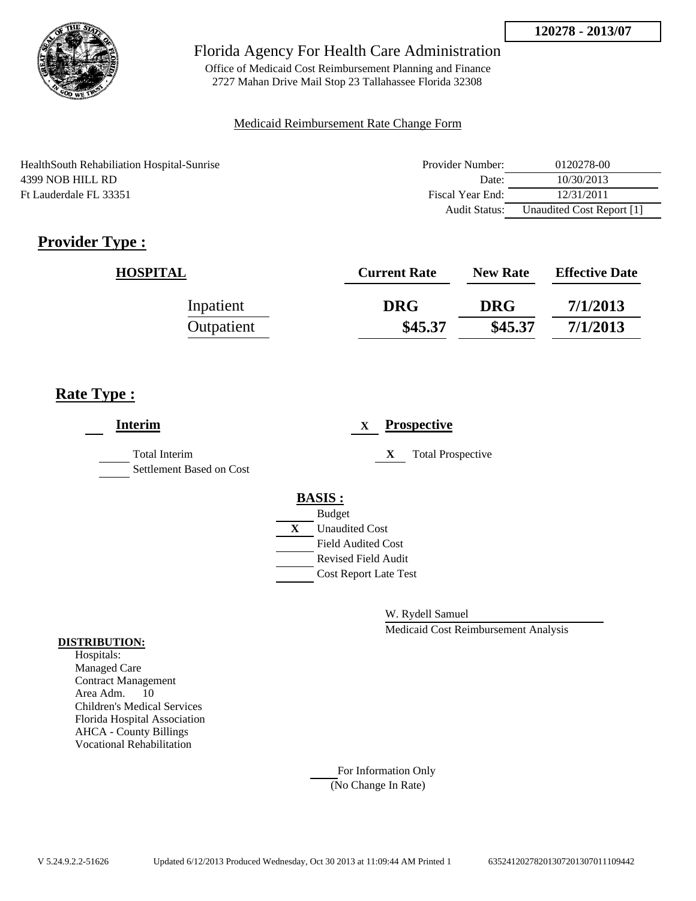

Office of Medicaid Cost Reimbursement Planning and Finance 2727 Mahan Drive Mail Stop 23 Tallahassee Florida 32308

### Medicaid Reimbursement Rate Change Form

HealthSouth Rehabiliation Hospital-Sunrise 4399 NOB HILL RD Ft Lauderdale FL 33351

| Provider Number:     | 0120278-00                |
|----------------------|---------------------------|
| Date:                | 10/30/2013                |
| Fiscal Year End:     | 12/31/2011                |
| <b>Audit Status:</b> | Unaudited Cost Report [1] |

# **Provider Type :**

| <b>HOSPITAL</b> | <b>Current Rate</b> | <b>New Rate</b> | <b>Effective Date</b> |
|-----------------|---------------------|-----------------|-----------------------|
| Inpatient       | <b>DRG</b>          | <b>DRG</b>      | 7/1/2013              |
| Outpatient      | \$45.37             | \$45.37         | 7/1/2013              |

## **Rate Type :**

| <b>Interim</b>                                   |               | X                            |   | <b>Prospective</b>       |
|--------------------------------------------------|---------------|------------------------------|---|--------------------------|
| <b>Total Interim</b><br>Settlement Based on Cost |               |                              | X | <b>Total Prospective</b> |
|                                                  | <b>BASIS:</b> |                              |   |                          |
|                                                  |               | <b>Budget</b>                |   |                          |
|                                                  | X             | <b>Unaudited Cost</b>        |   |                          |
|                                                  |               | <b>Field Audited Cost</b>    |   |                          |
|                                                  |               | <b>Revised Field Audit</b>   |   |                          |
|                                                  |               | <b>Cost Report Late Test</b> |   |                          |
|                                                  |               |                              |   |                          |

W. Rydell Samuel

Medicaid Cost Reimbursement Analysis

### **DISTRIBUTION:**

Hospitals: Managed Care Contract Management Area Adm. 10 Children's Medical Services Florida Hospital Association AHCA - County Billings Vocational Rehabilitation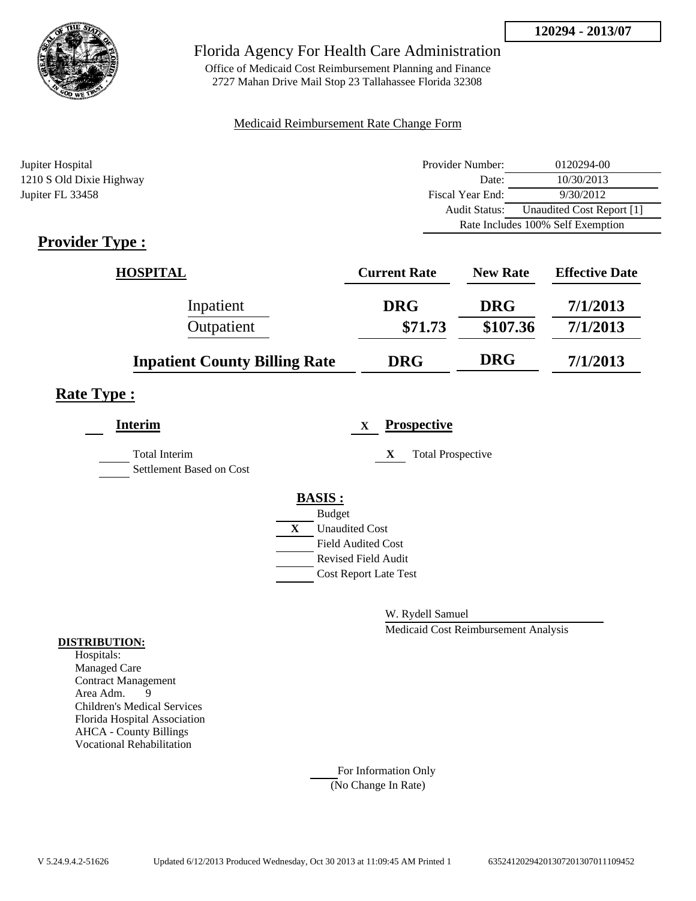

Office of Medicaid Cost Reimbursement Planning and Finance 2727 Mahan Drive Mail Stop 23 Tallahassee Florida 32308

### Medicaid Reimbursement Rate Change Form

| Jupiter Hospital         | Provider Number:     | 0120294-00                        |
|--------------------------|----------------------|-----------------------------------|
| 1210 S Old Dixie Highway | Date:                | 10/30/2013                        |
| Jupiter FL 33458         | Fiscal Year End:     | 9/30/2012                         |
|                          | <b>Audit Status:</b> | Unaudited Cost Report [1]         |
|                          |                      | Rate Includes 100% Self Exemption |

## **Provider Type :**

| <b>HOSPITAL</b>                      | <b>Current Rate</b> | <b>New Rate</b> | <b>Effective Date</b> |
|--------------------------------------|---------------------|-----------------|-----------------------|
| Inpatient                            | <b>DRG</b>          | <b>DRG</b>      | 7/1/2013              |
| Outpatient                           | \$71.73             | \$107.36        | 7/1/2013              |
| <b>Inpatient County Billing Rate</b> | <b>DRG</b>          | <b>DRG</b>      | 7/1/2013              |

## **Rate Type :**

| <b>Interim</b>                            |   | <b>Prospective</b><br>$\mathbf X$ |
|-------------------------------------------|---|-----------------------------------|
| Total Interim<br>Settlement Based on Cost |   | <b>Total Prospective</b><br>X     |
|                                           |   | <b>BASIS:</b>                     |
|                                           |   | <b>Budget</b>                     |
|                                           | X | <b>Unaudited Cost</b>             |
|                                           |   | <b>Field Audited Cost</b>         |
|                                           |   | <b>Revised Field Audit</b>        |
|                                           |   | <b>Cost Report Late Test</b>      |
|                                           |   |                                   |

W. Rydell Samuel

Medicaid Cost Reimbursement Analysis

#### **DISTRIBUTION:**

Hospitals: Managed Care Contract Management Area Adm. 9 Children's Medical Services Florida Hospital Association AHCA - County Billings Vocational Rehabilitation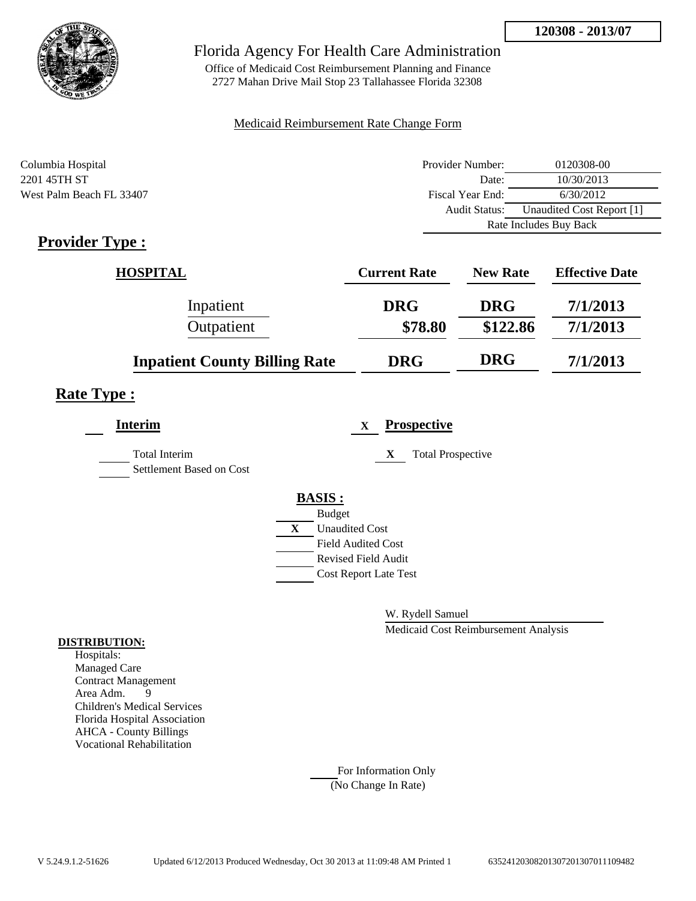

Office of Medicaid Cost Reimbursement Planning and Finance 2727 Mahan Drive Mail Stop 23 Tallahassee Florida 32308

### Medicaid Reimbursement Rate Change Form

| Columbia Hospital        | Provider Number:       | 0120308-00                |
|--------------------------|------------------------|---------------------------|
| 2201 45TH ST             | Date:                  | 10/30/2013                |
| West Palm Beach FL 33407 | Fiscal Year End:       | 6/30/2012                 |
|                          | Audit Status:          | Unaudited Cost Report [1] |
|                          | Rate Includes Buy Back |                           |

## **Provider Type :**

| <b>HOSPITAL</b>                      | <b>Current Rate</b> | <b>New Rate</b> | <b>Effective Date</b> |
|--------------------------------------|---------------------|-----------------|-----------------------|
| Inpatient                            | <b>DRG</b>          | <b>DRG</b>      | 7/1/2013              |
| Outpatient                           | \$78.80             | \$122.86        | 7/1/2013              |
| <b>Inpatient County Billing Rate</b> | <b>DRG</b>          | <b>DRG</b>      | 7/1/2013              |

## **Rate Type :**

| <b>Interim</b>                            |              |                              | X | <b>Prospective</b>            |
|-------------------------------------------|--------------|------------------------------|---|-------------------------------|
| Total Interim<br>Settlement Based on Cost |              |                              |   | <b>Total Prospective</b><br>X |
|                                           |              | <b>BASIS:</b>                |   |                               |
|                                           |              | <b>Budget</b>                |   |                               |
|                                           | $\mathbf{X}$ | <b>Unaudited Cost</b>        |   |                               |
|                                           |              | <b>Field Audited Cost</b>    |   |                               |
|                                           |              | <b>Revised Field Audit</b>   |   |                               |
|                                           |              | <b>Cost Report Late Test</b> |   |                               |
|                                           |              |                              |   |                               |

W. Rydell Samuel

Medicaid Cost Reimbursement Analysis

### **DISTRIBUTION:**

Hospitals: Managed Care Contract Management<br>Area Adm. 9 Area Adm. 9 Children's Medical Services Florida Hospital Association AHCA - County Billings Vocational Rehabilitation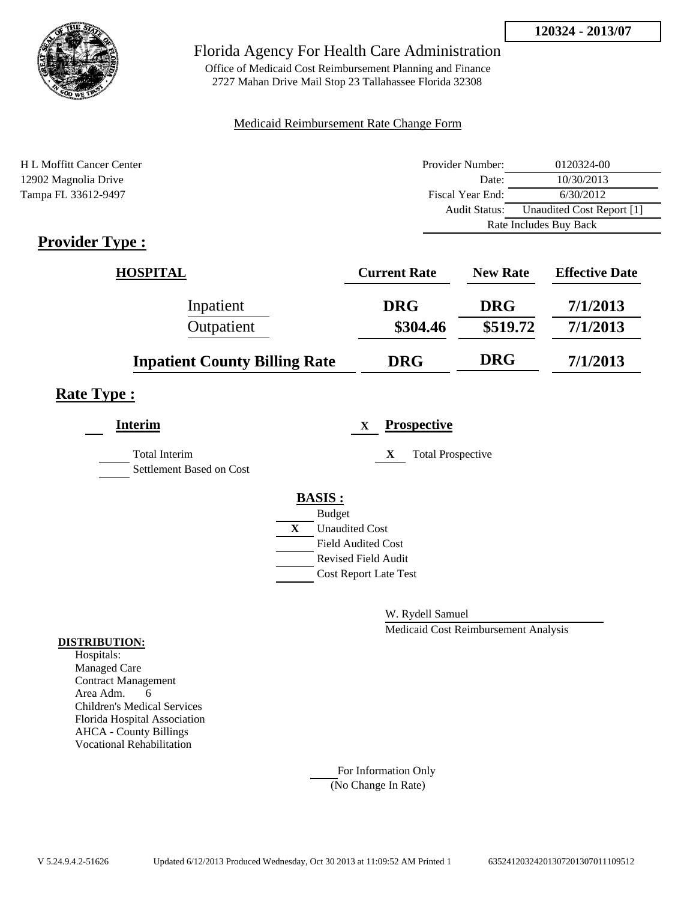

Office of Medicaid Cost Reimbursement Planning and Finance 2727 Mahan Drive Mail Stop 23 Tallahassee Florida 32308

### Medicaid Reimbursement Rate Change Form

| H L Moffitt Cancer Center | Provider Number:     | 0120324-00                |
|---------------------------|----------------------|---------------------------|
| 12902 Magnolia Drive      | Date:                | 10/30/2013                |
| Tampa FL 33612-9497       | Fiscal Year End:     | 6/30/2012                 |
|                           | <b>Audit Status:</b> | Unaudited Cost Report [1] |
|                           |                      | Rate Includes Buy Back    |
|                           |                      |                           |

## **Provider Type :**

| <b>HOSPITAL</b>                      | <b>Current Rate</b> | <b>New Rate</b> | <b>Effective Date</b> |
|--------------------------------------|---------------------|-----------------|-----------------------|
| Inpatient                            | <b>DRG</b>          | <b>DRG</b>      | 7/1/2013              |
| Outpatient                           | \$304.46            | \$519.72        | 7/1/2013              |
| <b>Inpatient County Billing Rate</b> | <b>DRG</b>          | <b>DRG</b>      | 7/1/2013              |

### **Rate Type :**

| <b>Interim</b>                                   |   | <b>Prospective</b><br>$\mathbf X$ |
|--------------------------------------------------|---|-----------------------------------|
| <b>Total Interim</b><br>Settlement Based on Cost |   | <b>Total Prospective</b><br>X     |
|                                                  |   | <b>BASIS:</b>                     |
|                                                  |   | <b>Budget</b>                     |
|                                                  | X | <b>Unaudited Cost</b>             |
|                                                  |   | <b>Field Audited Cost</b>         |
|                                                  |   | <b>Revised Field Audit</b>        |
|                                                  |   | <b>Cost Report Late Test</b>      |
|                                                  |   |                                   |

W. Rydell Samuel

Medicaid Cost Reimbursement Analysis

### **DISTRIBUTION:**

Hospitals: Managed Care Contract Management Area Adm. 6 Children's Medical Services Florida Hospital Association AHCA - County Billings Vocational Rehabilitation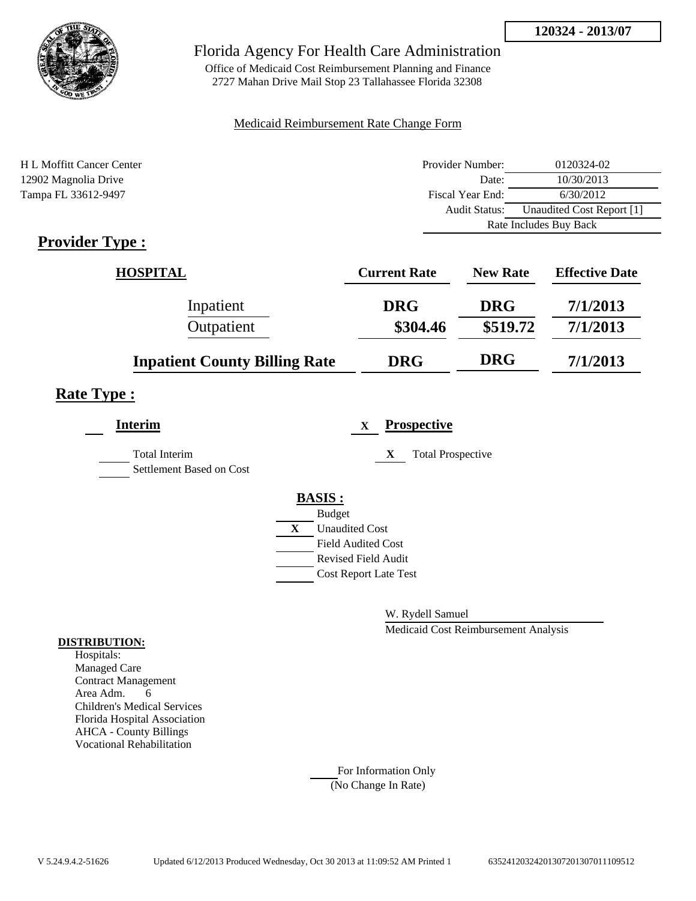

Office of Medicaid Cost Reimbursement Planning and Finance 2727 Mahan Drive Mail Stop 23 Tallahassee Florida 32308

### Medicaid Reimbursement Rate Change Form

| H L Moffitt Cancer Center | Provider Number:     | 0120324-02                |  |
|---------------------------|----------------------|---------------------------|--|
| 12902 Magnolia Drive      | Date:                | 10/30/2013                |  |
| Tampa FL 33612-9497       | Fiscal Year End:     | 6/30/2012                 |  |
|                           | <b>Audit Status:</b> | Unaudited Cost Report [1] |  |
|                           |                      | Rate Includes Buy Back    |  |
|                           |                      |                           |  |

## **Provider Type :**

| <b>HOSPITAL</b>                      | <b>Current Rate</b> | <b>New Rate</b> | <b>Effective Date</b> |
|--------------------------------------|---------------------|-----------------|-----------------------|
| Inpatient                            | <b>DRG</b>          | <b>DRG</b>      | 7/1/2013              |
| Outpatient                           | \$304.46            | \$519.72        | 7/1/2013              |
| <b>Inpatient County Billing Rate</b> | <b>DRG</b>          | <b>DRG</b>      | 7/1/2013              |

### **Rate Type :**

| <b>Interim</b>                                   |   | <b>Prospective</b><br>$\mathbf X$ |
|--------------------------------------------------|---|-----------------------------------|
| <b>Total Interim</b><br>Settlement Based on Cost |   | <b>Total Prospective</b><br>X     |
|                                                  |   | <b>BASIS:</b>                     |
|                                                  |   | <b>Budget</b>                     |
|                                                  | X | <b>Unaudited Cost</b>             |
|                                                  |   | <b>Field Audited Cost</b>         |
|                                                  |   | <b>Revised Field Audit</b>        |
|                                                  |   | <b>Cost Report Late Test</b>      |
|                                                  |   |                                   |

W. Rydell Samuel

Medicaid Cost Reimbursement Analysis

### **DISTRIBUTION:**

Hospitals: Managed Care Contract Management Area Adm. 6 Children's Medical Services Florida Hospital Association AHCA - County Billings Vocational Rehabilitation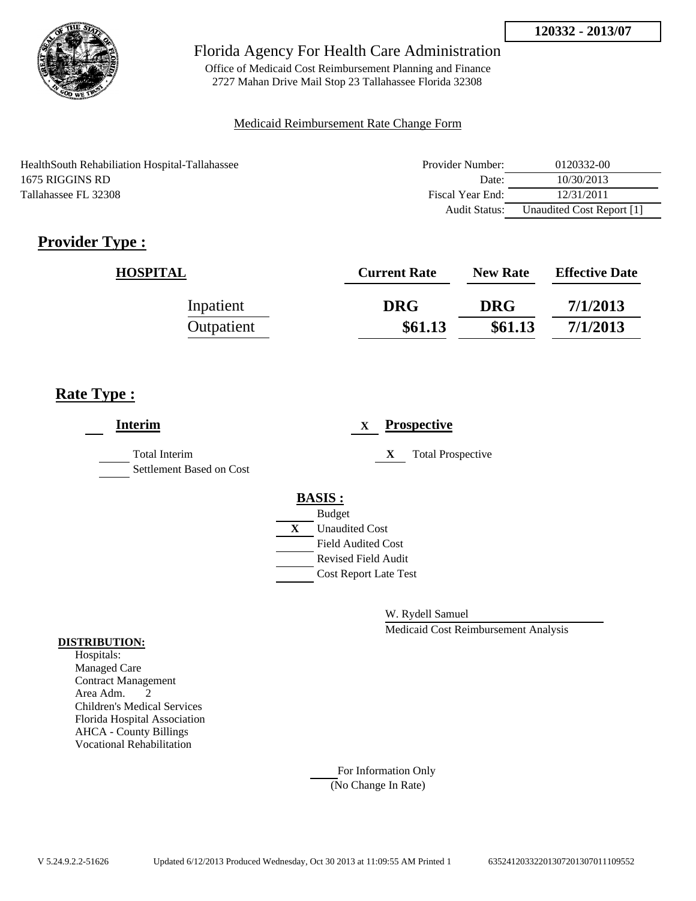

Office of Medicaid Cost Reimbursement Planning and Finance 2727 Mahan Drive Mail Stop 23 Tallahassee Florida 32308

### Medicaid Reimbursement Rate Change Form

HealthSouth Rehabiliation Hospital-Tallahassee 1675 RIGGINS RD Tallahassee FL 32308

| Provider Number: | 0120332-00                |
|------------------|---------------------------|
| Date:            | 10/30/2013                |
| Fiscal Year End: | 12/31/2011                |
| Audit Status:    | Unaudited Cost Report [1] |

# **Provider Type :**

| <b>HOSPITAL</b> | <b>Current Rate</b> | <b>New Rate</b> | <b>Effective Date</b> |
|-----------------|---------------------|-----------------|-----------------------|
| Inpatient       | <b>DRG</b>          | <b>DRG</b>      | 7/1/2013              |
| Outpatient      | \$61.13             | \$61.13         | 7/1/2013              |

## **Rate Type :**

| <b>Interim</b>                            |   | <b>Prospective</b><br>$\mathbf x$ |
|-------------------------------------------|---|-----------------------------------|
| Total Interim<br>Settlement Based on Cost |   | <b>Total Prospective</b><br>X     |
|                                           |   | <b>BASIS:</b>                     |
|                                           |   | <b>Budget</b>                     |
|                                           | X | <b>Unaudited Cost</b>             |
|                                           |   | <b>Field Audited Cost</b>         |
|                                           |   | <b>Revised Field Audit</b>        |
|                                           |   | <b>Cost Report Late Test</b>      |
|                                           |   |                                   |

W. Rydell Samuel

Medicaid Cost Reimbursement Analysis

### **DISTRIBUTION:**

Hospitals: Managed Care Contract Management Area Adm. 2 Children's Medical Services Florida Hospital Association AHCA - County Billings Vocational Rehabilitation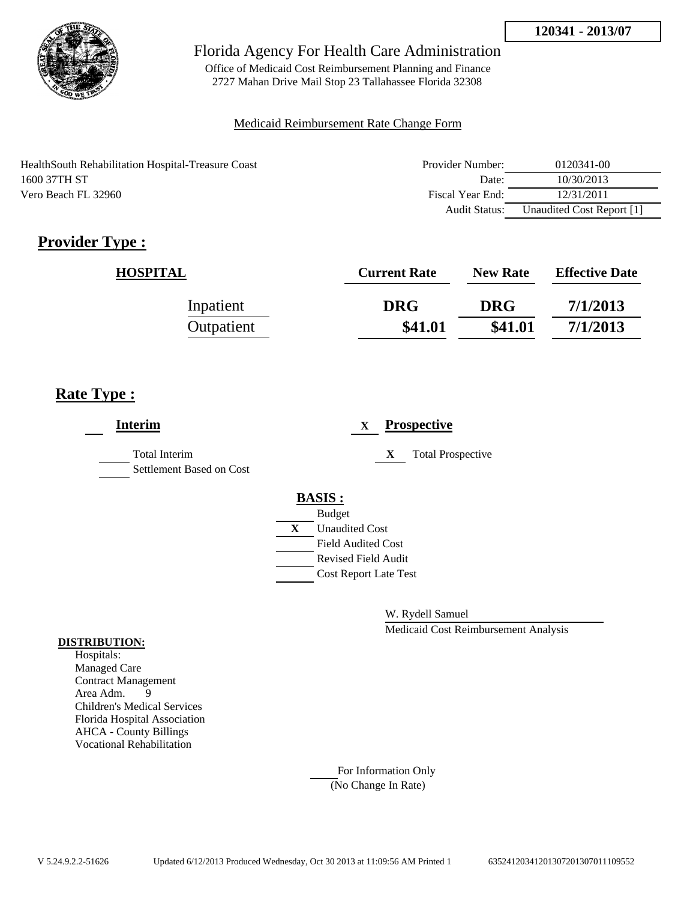

Office of Medicaid Cost Reimbursement Planning and Finance 2727 Mahan Drive Mail Stop 23 Tallahassee Florida 32308

### Medicaid Reimbursement Rate Change Form

HealthSouth Rehabilitation Hospital-Treasure Coast 1600 37TH ST Vero Beach FL 32960

| Provider Number: | 0120341-00                |
|------------------|---------------------------|
| Date:            | 10/30/2013                |
| Fiscal Year End: | 12/31/2011                |
| Audit Status:    | Unaudited Cost Report [1] |

# **Provider Type :**

| <b>HOSPITAL</b> | <b>Current Rate</b> | <b>New Rate</b> | <b>Effective Date</b> |
|-----------------|---------------------|-----------------|-----------------------|
| Inpatient       | <b>DRG</b>          | <b>DRG</b>      | 7/1/2013              |
| Outpatient      | \$41.01             | \$41.01         | 7/1/2013              |

## **Rate Type :**

| <b>Interim</b>                                   | <b>Prospective</b><br>$\mathbf{X}$ |
|--------------------------------------------------|------------------------------------|
| <b>Total Interim</b><br>Settlement Based on Cost | <b>Total Prospective</b><br>X      |
|                                                  | <b>BASIS:</b>                      |
|                                                  | <b>Budget</b>                      |
|                                                  | <b>Unaudited Cost</b><br>X         |
|                                                  | <b>Field Audited Cost</b>          |
|                                                  | <b>Revised Field Audit</b>         |
|                                                  | <b>Cost Report Late Test</b>       |
|                                                  |                                    |

W. Rydell Samuel

Medicaid Cost Reimbursement Analysis

### **DISTRIBUTION:**

Hospitals: Managed Care Contract Management Area Adm. 9 Children's Medical Services Florida Hospital Association AHCA - County Billings Vocational Rehabilitation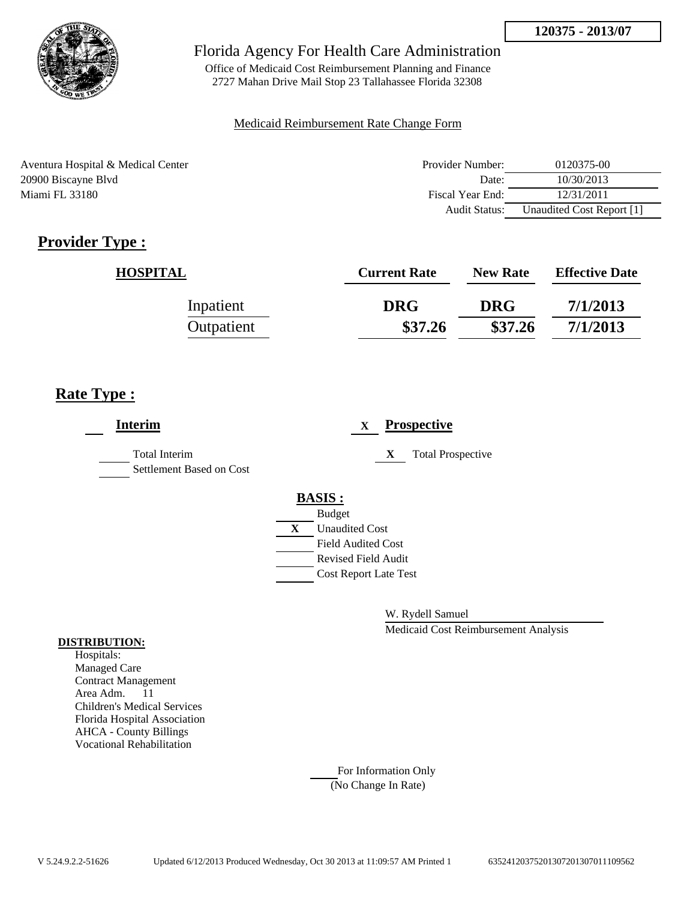

Office of Medicaid Cost Reimbursement Planning and Finance 2727 Mahan Drive Mail Stop 23 Tallahassee Florida 32308

### Medicaid Reimbursement Rate Change Form

Aventura Hospital & Medical Center 20900 Biscayne Blvd Miami FL 33180

| Provider Number: | 0120375-00                |
|------------------|---------------------------|
| Date:            | 10/30/2013                |
| Fiscal Year End: | 12/31/2011                |
| Audit Status:    | Unaudited Cost Report [1] |

# **Provider Type :**

| <b>HOSPITAL</b> | <b>Current Rate</b> | <b>New Rate</b> | <b>Effective Date</b> |
|-----------------|---------------------|-----------------|-----------------------|
| Inpatient       | <b>DRG</b>          | <b>DRG</b>      | 7/1/2013              |
| Outpatient      | \$37.26             | \$37.26         | 7/1/2013              |

# **Rate Type :**

| <b>Interim</b>                            |   | <b>Prospective</b><br>X       |
|-------------------------------------------|---|-------------------------------|
| Total Interim<br>Settlement Based on Cost |   | X<br><b>Total Prospective</b> |
|                                           |   | <b>BASIS:</b>                 |
|                                           |   | <b>Budget</b>                 |
|                                           | X | <b>Unaudited Cost</b>         |
|                                           |   | <b>Field Audited Cost</b>     |
|                                           |   | <b>Revised Field Audit</b>    |
|                                           |   | <b>Cost Report Late Test</b>  |
|                                           |   |                               |

W. Rydell Samuel

Medicaid Cost Reimbursement Analysis

#### **DISTRIBUTION:**

Hospitals: Managed Care Contract Management Area Adm. 11 Children's Medical Services Florida Hospital Association AHCA - County Billings Vocational Rehabilitation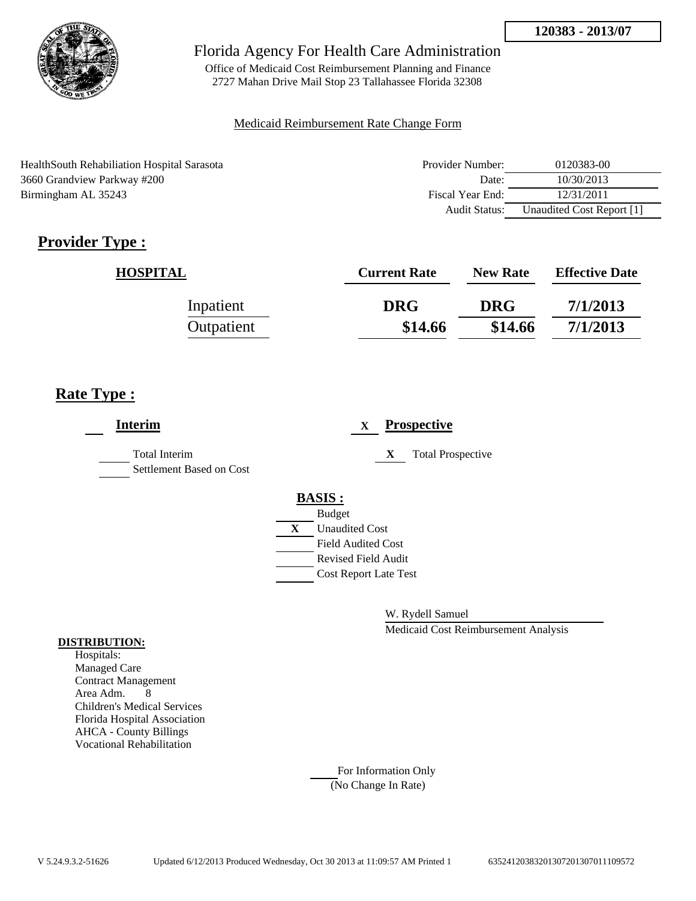

Office of Medicaid Cost Reimbursement Planning and Finance 2727 Mahan Drive Mail Stop 23 Tallahassee Florida 32308

## Medicaid Reimbursement Rate Change Form

HealthSouth Rehabiliation Hospital Sarasota 3660 Grandview Parkway #200 Birmingham AL 35243

| Provider Number: | 0120383-00                |
|------------------|---------------------------|
| Date:            | 10/30/2013                |
| Fiscal Year End: | 12/31/2011                |
| Audit Status:    | Unaudited Cost Report [1] |

# **Provider Type :**

| <b>HOSPITAL</b> | <b>Current Rate</b> | <b>New Rate</b> | <b>Effective Date</b> |
|-----------------|---------------------|-----------------|-----------------------|
| Inpatient       | <b>DRG</b>          | <b>DRG</b>      | 7/1/2013              |
| Outpatient      | \$14.66             | \$14.66         | 7/1/2013              |

# **Rate Type :**

| <b>Interim</b>                                   | $\mathbf{X}$                 | <b>Prospective</b>       |
|--------------------------------------------------|------------------------------|--------------------------|
| <b>Total Interim</b><br>Settlement Based on Cost | X                            | <b>Total Prospective</b> |
|                                                  | <b>BASIS:</b>                |                          |
|                                                  | <b>Budget</b>                |                          |
|                                                  | X<br><b>Unaudited Cost</b>   |                          |
|                                                  | <b>Field Audited Cost</b>    |                          |
|                                                  | <b>Revised Field Audit</b>   |                          |
|                                                  | <b>Cost Report Late Test</b> |                          |
|                                                  |                              |                          |

W. Rydell Samuel

Medicaid Cost Reimbursement Analysis

#### **DISTRIBUTION:**

Hospitals: Managed Care Contract Management Area Adm. 8 Children's Medical Services Florida Hospital Association AHCA - County Billings Vocational Rehabilitation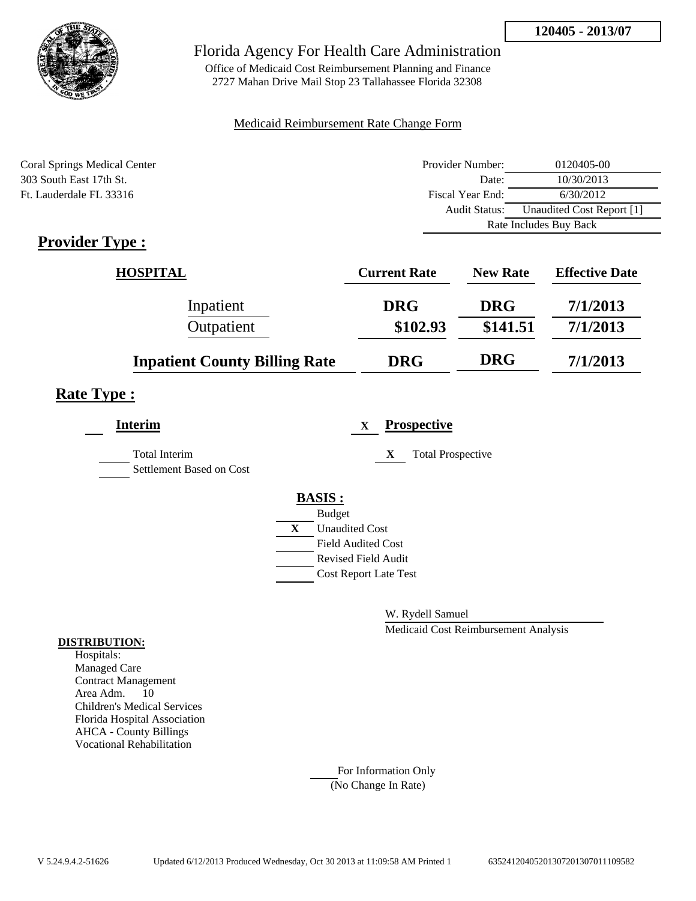

Office of Medicaid Cost Reimbursement Planning and Finance 2727 Mahan Drive Mail Stop 23 Tallahassee Florida 32308

### Medicaid Reimbursement Rate Change Form

| Coral Springs Medical Center | Provider Number: | 0120405-00                |  |
|------------------------------|------------------|---------------------------|--|
| 303 South East 17th St.      | Date:            | 10/30/2013                |  |
| Ft. Lauderdale FL 33316      | Fiscal Year End: | 6/30/2012                 |  |
|                              | Audit Status:    | Unaudited Cost Report [1] |  |
|                              |                  | Rate Includes Buy Back    |  |

# **Provider Type :**

| HOSPITAL                             | <b>Current Rate</b> | <b>New Rate</b> | <b>Effective Date</b> |
|--------------------------------------|---------------------|-----------------|-----------------------|
| Inpatient                            | <b>DRG</b>          | <b>DRG</b>      | 7/1/2013              |
| Outpatient                           | \$102.93            | \$141.51        | 7/1/2013              |
| <b>Inpatient County Billing Rate</b> | <b>DRG</b>          | <b>DRG</b>      | 7/1/2013              |

## **Rate Type :**

| <b>Interim</b>                                   |   | <b>Prospective</b><br>$\mathbf X$ |
|--------------------------------------------------|---|-----------------------------------|
| <b>Total Interim</b><br>Settlement Based on Cost |   | X<br><b>Total Prospective</b>     |
|                                                  |   | <b>BASIS:</b>                     |
|                                                  |   | <b>Budget</b>                     |
|                                                  | X | <b>Unaudited Cost</b>             |
|                                                  |   | <b>Field Audited Cost</b>         |
|                                                  |   | <b>Revised Field Audit</b>        |
|                                                  |   | <b>Cost Report Late Test</b>      |
|                                                  |   |                                   |

W. Rydell Samuel

Medicaid Cost Reimbursement Analysis

#### **DISTRIBUTION:**

Hospitals: Managed Care Contract Management Area Adm. 10 Children's Medical Services Florida Hospital Association AHCA - County Billings Vocational Rehabilitation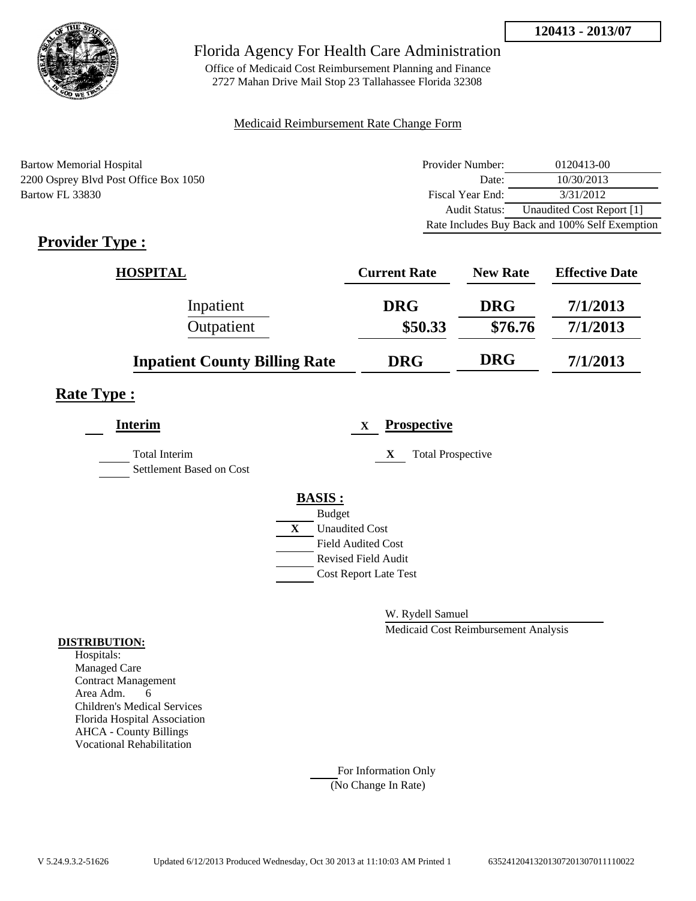

Office of Medicaid Cost Reimbursement Planning and Finance 2727 Mahan Drive Mail Stop 23 Tallahassee Florida 32308

## Medicaid Reimbursement Rate Change Form

Bartow Memorial Hospital 2200 Osprey Blvd Post Office Box 1050 Bartow FL 33830

| Provider Number: | 0120413-00                                     |
|------------------|------------------------------------------------|
| Date:            | 10/30/2013                                     |
| Fiscal Year End: | 3/31/2012                                      |
| Audit Status:    | Unaudited Cost Report [1]                      |
|                  | Rate Includes Buy Back and 100% Self Exemption |

# **Provider Type :**

| <b>HOSPITAL</b>                      | <b>Current Rate</b> | <b>New Rate</b> | <b>Effective Date</b> |
|--------------------------------------|---------------------|-----------------|-----------------------|
| Inpatient                            | <b>DRG</b>          | <b>DRG</b>      | 7/1/2013              |
| Outpatient                           | \$50.33             | \$76.76         | 7/1/2013              |
| <b>Inpatient County Billing Rate</b> | <b>DRG</b>          | <b>DRG</b>      | 7/1/2013              |

## **Rate Type :**

| <b>Interim</b>                                   |              | $\mathbf X$                  | <b>Prospective</b>            |
|--------------------------------------------------|--------------|------------------------------|-------------------------------|
| <b>Total Interim</b><br>Settlement Based on Cost |              |                              | <b>Total Prospective</b><br>X |
|                                                  |              | <b>BASIS:</b>                |                               |
|                                                  |              | <b>Budget</b>                |                               |
|                                                  | $\mathbf{X}$ | <b>Unaudited Cost</b>        |                               |
|                                                  |              | <b>Field Audited Cost</b>    |                               |
|                                                  |              | <b>Revised Field Audit</b>   |                               |
|                                                  |              | <b>Cost Report Late Test</b> |                               |
|                                                  |              |                              |                               |

W. Rydell Samuel

Medicaid Cost Reimbursement Analysis

### **DISTRIBUTION:**

Hospitals: Managed Care Contract Management Area Adm. 6 Children's Medical Services Florida Hospital Association AHCA - County Billings Vocational Rehabilitation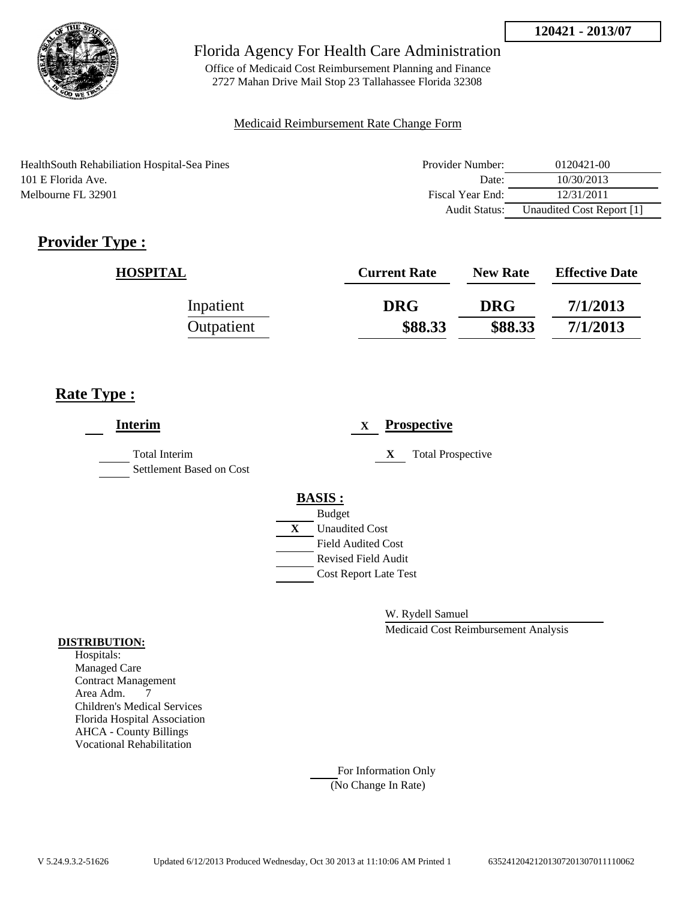

Office of Medicaid Cost Reimbursement Planning and Finance 2727 Mahan Drive Mail Stop 23 Tallahassee Florida 32308

## Medicaid Reimbursement Rate Change Form

HealthSouth Rehabiliation Hospital-Sea Pines 101 E Florida Ave. Melbourne FL 32901

| Provider Number: | 0120421-00                |
|------------------|---------------------------|
| Date:            | 10/30/2013                |
| Fiscal Year End: | 12/31/2011                |
| Audit Status:    | Unaudited Cost Report [1] |

# **Provider Type :**

| <b>HOSPITAL</b> | <b>Current Rate</b> | <b>New Rate</b> | <b>Effective Date</b> |
|-----------------|---------------------|-----------------|-----------------------|
| Inpatient       | <b>DRG</b>          | <b>DRG</b>      | 7/1/2013              |
| Outpatient      | \$88.33             | \$88.33         | 7/1/2013              |

# **Rate Type :**

| <b>Interim</b>                                   |               | $\mathbf X$                  |   | <b>Prospective</b>       |
|--------------------------------------------------|---------------|------------------------------|---|--------------------------|
| <b>Total Interim</b><br>Settlement Based on Cost |               |                              | X | <b>Total Prospective</b> |
|                                                  | <b>BASIS:</b> |                              |   |                          |
|                                                  | <b>Budget</b> |                              |   |                          |
|                                                  | X             | <b>Unaudited Cost</b>        |   |                          |
|                                                  |               | <b>Field Audited Cost</b>    |   |                          |
|                                                  |               | <b>Revised Field Audit</b>   |   |                          |
|                                                  |               | <b>Cost Report Late Test</b> |   |                          |
|                                                  |               |                              |   |                          |
|                                                  |               |                              |   |                          |

W. Rydell Samuel

Medicaid Cost Reimbursement Analysis

#### **DISTRIBUTION:**

Hospitals: Managed Care Contract Management Area Adm. 7 Children's Medical Services Florida Hospital Association AHCA - County Billings Vocational Rehabilitation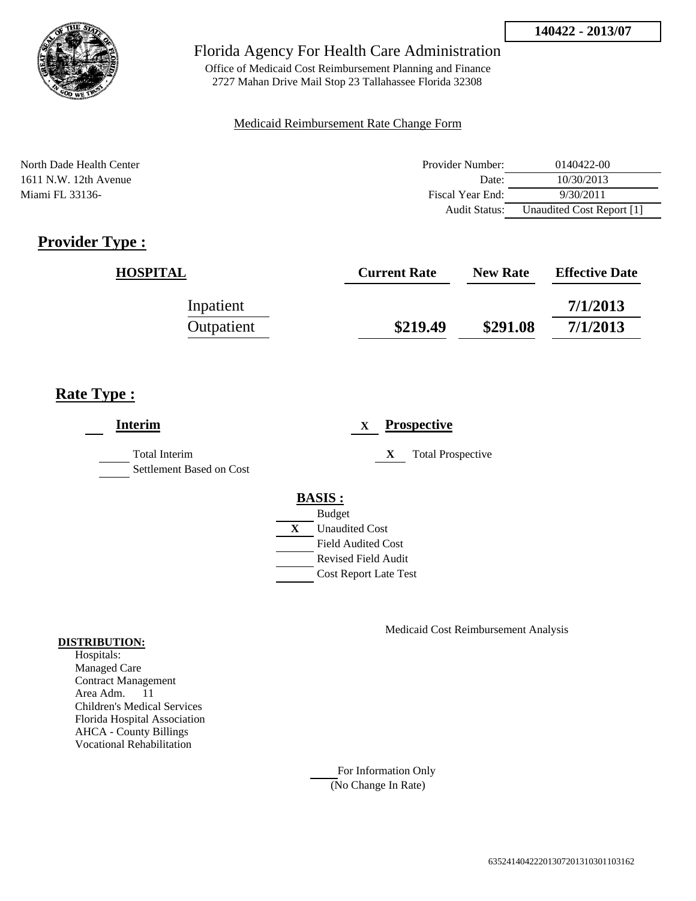

Office of Medicaid Cost Reimbursement Planning and Finance 2727 Mahan Drive Mail Stop 23 Tallahassee Florida 32308

### Medicaid Reimbursement Rate Change Form

North Dade Health Center 1611 N.W. 12th Avenue Miami FL 33136-

| Provider Number: | 0140422-00                |
|------------------|---------------------------|
| Date:            | 10/30/2013                |
| Fiscal Year End: | 9/30/2011                 |
| Audit Status:    | Unaudited Cost Report [1] |

# **Provider Type :**

| <b>HOSPITAL</b> | <b>Current Rate</b> | <b>New Rate</b> | <b>Effective Date</b> |
|-----------------|---------------------|-----------------|-----------------------|
| Inpatient       |                     |                 | 7/1/2013              |
| Outpatient      | \$219.49            | \$291.08        | 7/1/2013              |

# **Rate Type :**

| <b>Interim</b>                            | <b>Prospective</b><br>$\mathbf{X}$ |  |  |
|-------------------------------------------|------------------------------------|--|--|
| Total Interim<br>Settlement Based on Cost | <b>Total Prospective</b><br>X      |  |  |
|                                           | <b>BASIS:</b>                      |  |  |
|                                           | <b>Budget</b>                      |  |  |
|                                           | X<br><b>Unaudited Cost</b>         |  |  |
|                                           | <b>Field Audited Cost</b>          |  |  |
|                                           | Revised Field Audit                |  |  |
|                                           | <b>Cost Report Late Test</b>       |  |  |
|                                           |                                    |  |  |

Medicaid Cost Reimbursement Analysis

### **DISTRIBUTION:**

Hospitals: Managed Care Contract Management Area Adm. 11 Children's Medical Services Florida Hospital Association AHCA - County Billings Vocational Rehabilitation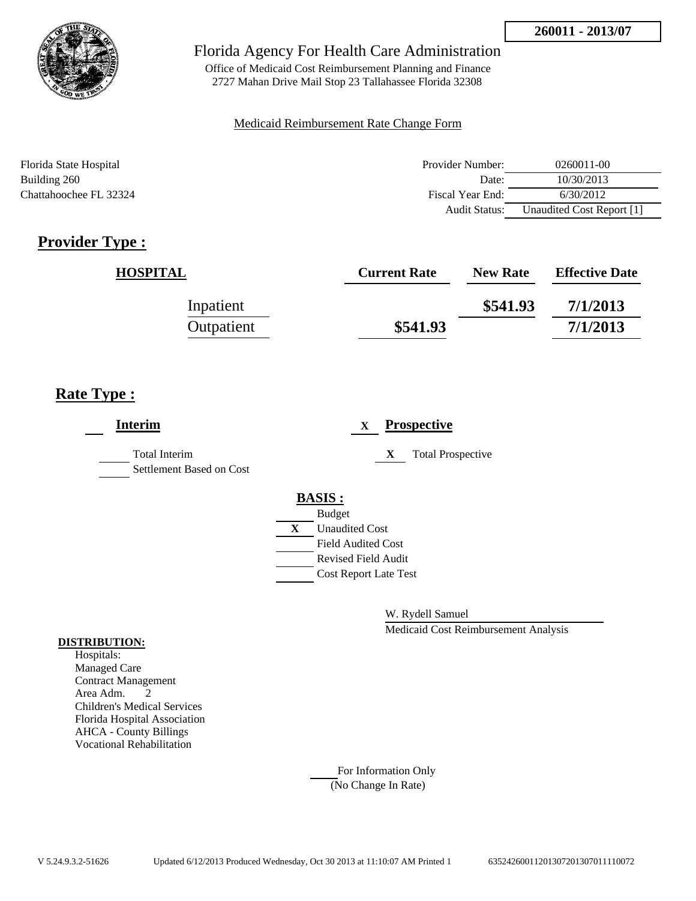

Office of Medicaid Cost Reimbursement Planning and Finance 2727 Mahan Drive Mail Stop 23 Tallahassee Florida 32308

### Medicaid Reimbursement Rate Change Form

| Florida State Hospital | Provider Number:     | 0260011-00                |
|------------------------|----------------------|---------------------------|
| Building 260           | Date:                | 10/30/2013                |
| Chattahoochee FL 32324 | Fiscal Year End:     | 6/30/2012                 |
|                        | <b>Audit Status:</b> | Unaudited Cost Report [1] |

# **Provider Type :**

| <b>HOSPITAL</b> | <b>Current Rate</b> | <b>New Rate</b> | <b>Effective Date</b> |
|-----------------|---------------------|-----------------|-----------------------|
| Inpatient       |                     | \$541.93        | 7/1/2013              |
| Outpatient      | \$541.93            |                 | 7/1/2013              |

# **Rate Type :**

| <b>Interim</b>                                   | <b>Prospective</b><br>$\mathbf{X}$                                               |  |
|--------------------------------------------------|----------------------------------------------------------------------------------|--|
| <b>Total Interim</b><br>Settlement Based on Cost | <b>Total Prospective</b><br>X                                                    |  |
|                                                  | <b>BASIS:</b><br><b>Budget</b><br>X<br><b>Unaudited Cost</b>                     |  |
|                                                  | <b>Field Audited Cost</b><br>Revised Field Audit<br><b>Cost Report Late Test</b> |  |
|                                                  |                                                                                  |  |

W. Rydell Samuel

Medicaid Cost Reimbursement Analysis

### **DISTRIBUTION:**

Hospitals: Managed Care Contract Management Area Adm. 2 Children's Medical Services Florida Hospital Association AHCA - County Billings Vocational Rehabilitation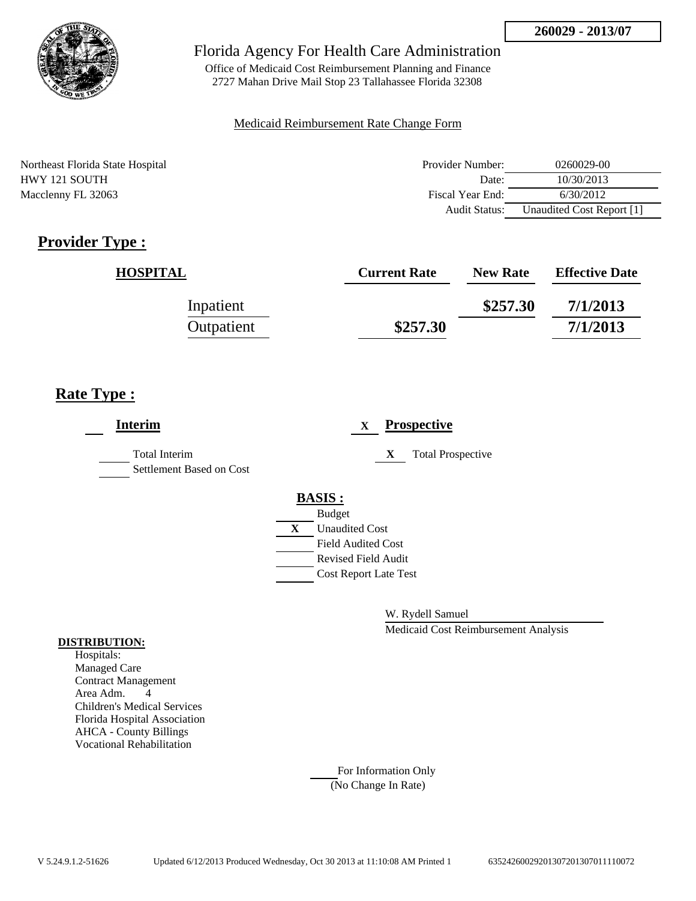

Office of Medicaid Cost Reimbursement Planning and Finance 2727 Mahan Drive Mail Stop 23 Tallahassee Florida 32308

### Medicaid Reimbursement Rate Change Form

Northeast Florida State Hospital Provider Number: 0260029-00 HWY 121 SOUTH Date: 10/30/2013 Macclenny FL 32063 **Fiscal Year End:** 6/30/2012 Audit Status: Unaudited Cost Report [1]

# **Provider Type :**

| <b>HOSPITAL</b> | <b>Current Rate</b> | <b>New Rate</b> | <b>Effective Date</b> |
|-----------------|---------------------|-----------------|-----------------------|
| Inpatient       |                     | \$257.30        | 7/1/2013              |
| Outpatient      | \$257.30            |                 | 7/1/2013              |

## **Rate Type :**

| <b>Interim</b>                                   | <b>Prospective</b><br>X               |
|--------------------------------------------------|---------------------------------------|
| <b>Total Interim</b><br>Settlement Based on Cost | <b>Total Prospective</b><br>X         |
|                                                  | <b>BASIS:</b>                         |
|                                                  | <b>Budget</b>                         |
|                                                  | $\mathbf{X}$<br><b>Unaudited Cost</b> |
|                                                  | <b>Field Audited Cost</b>             |
|                                                  | <b>Revised Field Audit</b>            |
|                                                  | <b>Cost Report Late Test</b>          |
|                                                  |                                       |

W. Rydell Samuel

Medicaid Cost Reimbursement Analysis

#### **DISTRIBUTION:**

Hospitals: Managed Care Contract Management Area Adm. 4 Children's Medical Services Florida Hospital Association AHCA - County Billings Vocational Rehabilitation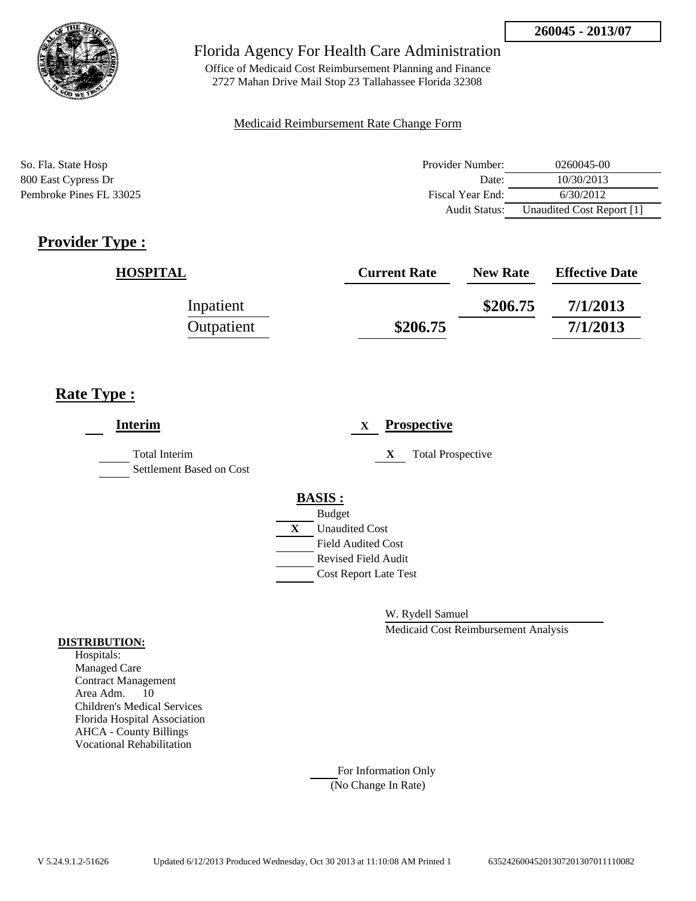

Office of Medicaid Cost Reimbursement Planning and Finance 2727 Mahan Drive Mail Stop 23 Tallahassee Florida 32308

### Medicaid Reimbursement Rate Change Form

| So. Fla. State Hosp     | Provider Number: | 0260045-00                |
|-------------------------|------------------|---------------------------|
| 800 East Cypress Dr     | Date:            | 10/30/2013                |
| Pembroke Pines FL 33025 | Fiscal Year End: | 6/30/2012                 |
|                         | Audit Status:    | Unaudited Cost Report [1] |

# **Provider Type :**

| <b>HOSPITAL</b> | <b>Current Rate</b> | <b>New Rate</b> | <b>Effective Date</b> |
|-----------------|---------------------|-----------------|-----------------------|
| Inpatient       |                     | \$206.75        | 7/1/2013              |
| Outpatient      | \$206.75            |                 | 7/1/2013              |

# **Rate Type :**

| Interim                                          | <b>Prospective</b><br>X       |
|--------------------------------------------------|-------------------------------|
| <b>Total Interim</b><br>Settlement Based on Cost | <b>Total Prospective</b><br>X |
|                                                  | <b>BASIS:</b>                 |
|                                                  | <b>Budget</b>                 |
|                                                  | X<br><b>Unaudited Cost</b>    |
|                                                  | <b>Field Audited Cost</b>     |
|                                                  | <b>Revised Field Audit</b>    |
|                                                  | <b>Cost Report Late Test</b>  |
|                                                  |                               |
|                                                  |                               |

W. Rydell Samuel

Medicaid Cost Reimbursement Analysis

#### **DISTRIBUTION:**

Hospitals: Managed Care Contract Management Area Adm. 10 Children's Medical Services Florida Hospital Association AHCA - County Billings Vocational Rehabilitation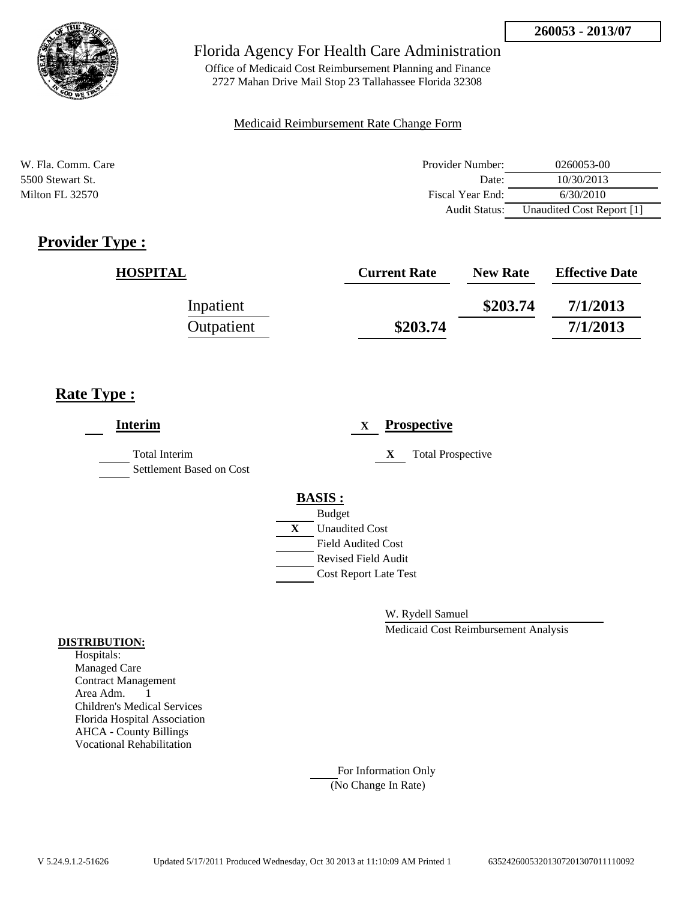

Office of Medicaid Cost Reimbursement Planning and Finance 2727 Mahan Drive Mail Stop 23 Tallahassee Florida 32308

### Medicaid Reimbursement Rate Change Form

| W. Fla. Comm. Care | Provider Number:     | 0260053-00                |
|--------------------|----------------------|---------------------------|
| 5500 Stewart St.   | Date:                | 10/30/2013                |
| Milton FL 32570    | Fiscal Year End:     | 6/30/2010                 |
|                    | <b>Audit Status:</b> | Unaudited Cost Report [1] |

# **Provider Type :**

| <b>HOSPITAL</b> | <b>Current Rate</b> | <b>New Rate</b> | <b>Effective Date</b> |
|-----------------|---------------------|-----------------|-----------------------|
| Inpatient       |                     | \$203.74        | 7/1/2013              |
| Outpatient      | \$203.74            |                 | 7/1/2013              |

# **Rate Type :**

| <b>Interim</b>                                   | <b>Prospective</b><br>$\mathbf{X}$                                                                                                                                 |
|--------------------------------------------------|--------------------------------------------------------------------------------------------------------------------------------------------------------------------|
| <b>Total Interim</b><br>Settlement Based on Cost | <b>Total Prospective</b><br>X                                                                                                                                      |
|                                                  | <b>BASIS:</b><br><b>Budget</b><br>$\mathbf{X}$<br><b>Unaudited Cost</b><br><b>Field Audited Cost</b><br><b>Revised Field Audit</b><br><b>Cost Report Late Test</b> |

W. Rydell Samuel

Medicaid Cost Reimbursement Analysis

#### **DISTRIBUTION:**

Hospitals: Managed Care Contract Management Area Adm. 1 Children's Medical Services Florida Hospital Association AHCA - County Billings Vocational Rehabilitation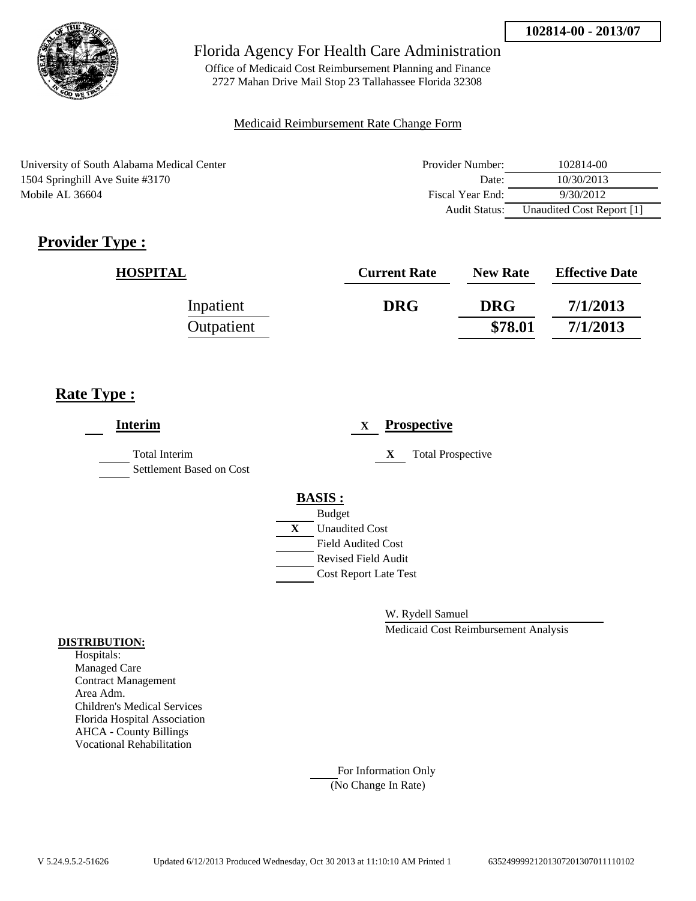

Office of Medicaid Cost Reimbursement Planning and Finance 2727 Mahan Drive Mail Stop 23 Tallahassee Florida 32308

## Medicaid Reimbursement Rate Change Form

University of South Alabama Medical Center 1504 Springhill Ave Suite #3170 Mobile AL 36604

| Provider Number: | 102814-00                 |
|------------------|---------------------------|
| Date:            | 10/30/2013                |
| Fiscal Year End: | 9/30/2012                 |
| Audit Status:    | Unaudited Cost Report [1] |

# **Provider Type :**

| <b>HOSPITAL</b> | <b>Current Rate</b> | <b>New Rate</b> | <b>Effective Date</b> |
|-----------------|---------------------|-----------------|-----------------------|
| Inpatient       | <b>DRG</b>          | <b>DRG</b>      | 7/1/2013              |
| Outpatient      |                     | \$78.01         | 7/1/2013              |

# **Rate Type :**

| <b>Interim</b>                                   |   | <b>Prospective</b><br>$\mathbf{x}$ |
|--------------------------------------------------|---|------------------------------------|
| <b>Total Interim</b><br>Settlement Based on Cost |   | X<br><b>Total Prospective</b>      |
|                                                  |   | <b>BASIS:</b>                      |
|                                                  |   | <b>Budget</b>                      |
|                                                  | X | <b>Unaudited Cost</b>              |
|                                                  |   | <b>Field Audited Cost</b>          |
|                                                  |   | <b>Revised Field Audit</b>         |
|                                                  |   | <b>Cost Report Late Test</b>       |
|                                                  |   |                                    |
|                                                  |   |                                    |

W. Rydell Samuel

Medicaid Cost Reimbursement Analysis

### **DISTRIBUTION:**

Hospitals: Managed Care Contract Management Area Adm. Children's Medical Services Florida Hospital Association AHCA - County Billings Vocational Rehabilitation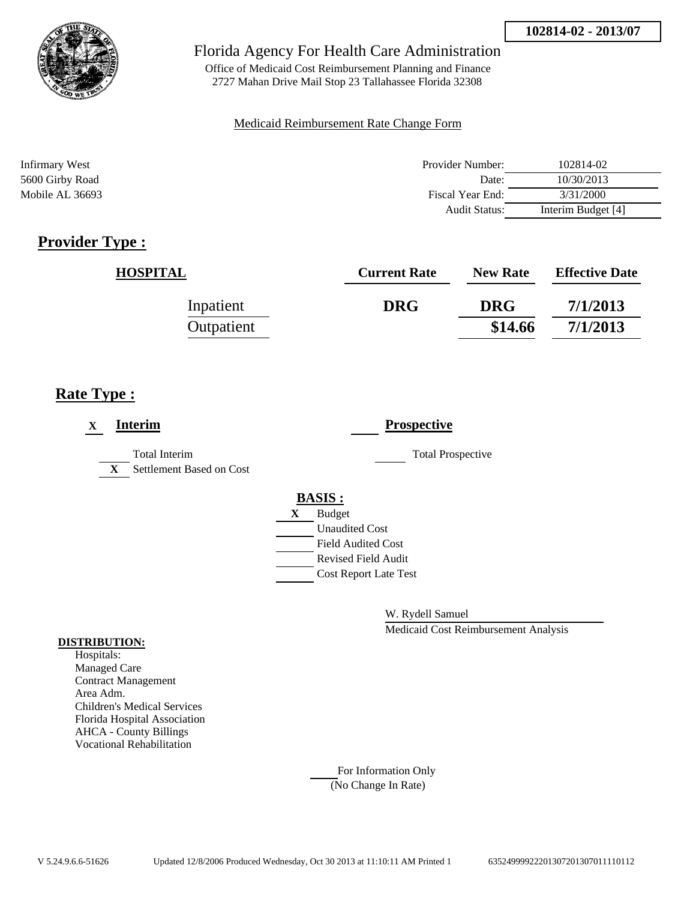

Office of Medicaid Cost Reimbursement Planning and Finance 2727 Mahan Drive Mail Stop 23 Tallahassee Florida 32308

## Medicaid Reimbursement Rate Change Form

| Infirmary West  | Provider Number: | 102814-02          |
|-----------------|------------------|--------------------|
| 5600 Girby Road | Date:            | 10/30/2013         |
| Mobile AL 36693 | Fiscal Year End: | 3/31/2000          |
|                 | Audit Status:    | Interim Budget [4] |

# **Provider Type :**

| <b>HOSPITAL</b> | <b>Current Rate</b> | <b>New Rate</b> | <b>Effective Date</b> |
|-----------------|---------------------|-----------------|-----------------------|
| Inpatient       | <b>DRG</b>          | <b>DRG</b>      | 7/1/2013              |
| Outpatient      |                     | \$14.66         | 7/1/2013              |

# **Rate Type :**

| Interim<br>X                                              | <b>Prospective</b>           |
|-----------------------------------------------------------|------------------------------|
| Total Interim<br>Settlement Based on Cost<br>$\mathbf{X}$ | <b>Total Prospective</b>     |
|                                                           | <b>BASIS:</b>                |
|                                                           | <b>Budget</b><br>X           |
|                                                           | <b>Unaudited Cost</b>        |
|                                                           | <b>Field Audited Cost</b>    |
|                                                           | Revised Field Audit          |
|                                                           | <b>Cost Report Late Test</b> |

W. Rydell Samuel

Medicaid Cost Reimbursement Analysis

### **DISTRIBUTION:**

Hospitals: Managed Care Contract Management Area Adm. Children's Medical Services Florida Hospital Association AHCA - County Billings Vocational Rehabilitation